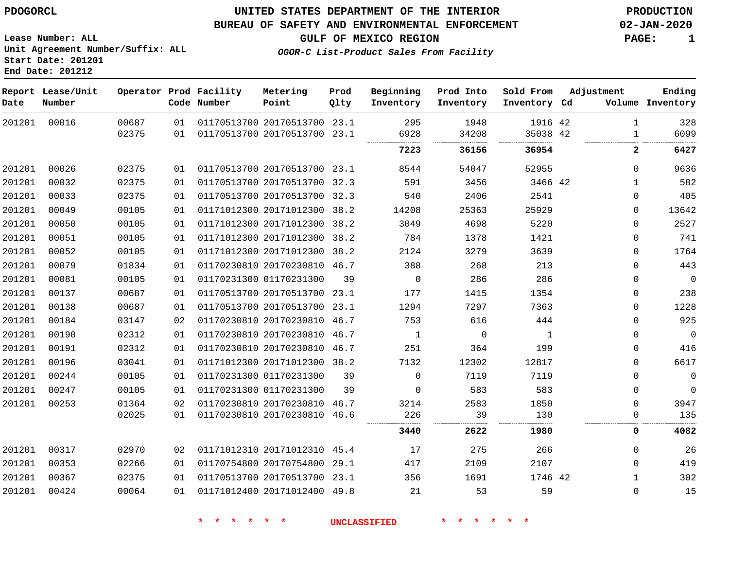**End Date: 201212**

## **UNITED STATES DEPARTMENT OF THE INTERIOR PDOGORCL PRODUCTION**

### **BUREAU OF SAFETY AND ENVIRONMENTAL ENFORCEMENT 02-JAN-2020**

**Lease Number: ALL Unit Agreement Number/Suffix: ALL Start Date: 201201**

**GULF OF MEXICO REGION PAGE: 1**

**OGOR-C List-Product Sales From Facility**

| Date   | Report Lease/Unit<br>Number |                |          | Operator Prod Facility<br>Code Number | Metering<br>Point                                       | Prod<br>Qlty | Beginning<br>Inventory | Prod Into<br>Inventory | Sold From<br>Inventory Cd | Adjustment                   | Ending<br>Volume Inventory |
|--------|-----------------------------|----------------|----------|---------------------------------------|---------------------------------------------------------|--------------|------------------------|------------------------|---------------------------|------------------------------|----------------------------|
| 201201 | 00016                       | 00687<br>02375 | 01<br>01 |                                       | 01170513700 20170513700 23.1<br>01170513700 20170513700 | 23.1         | 295<br>6928            | 1948<br>34208          | 1916 42<br>35038 42       | $\mathbf{1}$<br>$\mathbf{1}$ | 328<br>6099                |
|        |                             |                |          |                                       |                                                         |              | 7223                   | 36156                  | 36954                     | $\mathbf{2}$                 | 6427                       |
| 201201 | 00026                       | 02375          | 01       |                                       | 01170513700 20170513700 23.1                            |              | 8544                   | 54047                  | 52955                     | 0                            | 9636                       |
| 201201 | 00032                       | 02375          | 01       |                                       | 01170513700 20170513700 32.3                            |              | 591                    | 3456                   | 3466 42                   | 1                            | 582                        |
| 201201 | 00033                       | 02375          | 01       |                                       | 01170513700 20170513700 32.3                            |              | 540                    | 2406                   | 2541                      | $\mathbf 0$                  | 405                        |
| 201201 | 00049                       | 00105          | 01       |                                       | 01171012300 20171012300 38.2                            |              | 14208                  | 25363                  | 25929                     | 0                            | 13642                      |
| 201201 | 00050                       | 00105          | 01       |                                       | 01171012300 20171012300 38.2                            |              | 3049                   | 4698                   | 5220                      | 0                            | 2527                       |
| 201201 | 00051                       | 00105          | 01       |                                       | 01171012300 20171012300 38.2                            |              | 784                    | 1378                   | 1421                      | $\mathbf 0$                  | 741                        |
| 201201 | 00052                       | 00105          | 01       |                                       | 01171012300 20171012300 38.2                            |              | 2124                   | 3279                   | 3639                      | $\mathbf 0$                  | 1764                       |
| 201201 | 00079                       | 01834          | 01       |                                       | 01170230810 20170230810 46.7                            |              | 388                    | 268                    | 213                       | 0                            | 443                        |
| 201201 | 00081                       | 00105          | 01       |                                       | 01170231300 01170231300                                 | 39           | 0                      | 286                    | 286                       | 0                            | $\overline{0}$             |
| 201201 | 00137                       | 00687          | 01       |                                       | 01170513700 20170513700 23.1                            |              | 177                    | 1415                   | 1354                      | 0                            | 238                        |
| 201201 | 00138                       | 00687          | 01       |                                       | 01170513700 20170513700 23.1                            |              | 1294                   | 7297                   | 7363                      | $\mathbf 0$                  | 1228                       |
| 201201 | 00184                       | 03147          | 02       |                                       | 01170230810 20170230810 46.7                            |              | 753                    | 616                    | 444                       | $\Omega$                     | 925                        |
| 201201 | 00190                       | 02312          | 01       |                                       | 01170230810 20170230810 46.7                            |              | 1                      | $\mathbf 0$            | $\mathbf{1}$              | 0                            | $\overline{0}$             |
| 201201 | 00191                       | 02312          | 01       |                                       | 01170230810 20170230810 46.7                            |              | 251                    | 364                    | 199                       | 0                            | 416                        |
| 201201 | 00196                       | 03041          | 01       |                                       | 01171012300 20171012300 38.2                            |              | 7132                   | 12302                  | 12817                     | $\Omega$                     | 6617                       |
| 201201 | 00244                       | 00105          | 01       |                                       | 01170231300 01170231300                                 | 39           | $\Omega$               | 7119                   | 7119                      | 0                            | $\mathbf 0$                |
| 201201 | 00247                       | 00105          | 01       |                                       | 01170231300 01170231300                                 | 39           | $\Omega$               | 583                    | 583                       | $\mathbf 0$                  | $\mathbf 0$                |
| 201201 | 00253                       | 01364          | 02       |                                       | 01170230810 20170230810 46.7                            |              | 3214                   | 2583                   | 1850                      | $\Omega$                     | 3947                       |
|        |                             | 02025          | 01       |                                       | 01170230810 20170230810 46.6                            |              | 226                    | 39                     | 130                       | $\Omega$                     | 135                        |
|        |                             |                |          |                                       |                                                         |              | 3440                   | 2622                   | 1980                      | 0                            | 4082                       |
| 201201 | 00317                       | 02970          | 02       |                                       | 01171012310 20171012310 45.4                            |              | 17                     | 275                    | 266                       | 0                            | 26                         |
| 201201 | 00353                       | 02266          | 01       |                                       | 01170754800 20170754800                                 | 29.1         | 417                    | 2109                   | 2107                      | 0                            | 419                        |
| 201201 | 00367                       | 02375          | 01       |                                       | 01170513700 20170513700 23.1                            |              | 356                    | 1691                   | 1746 42                   | $\mathbf{1}$                 | 302                        |
| 201201 | 00424                       | 00064          | 01       |                                       | 01171012400 20171012400 49.8                            |              | 21                     | 53                     | 59                        | $\mathbf 0$                  | 15                         |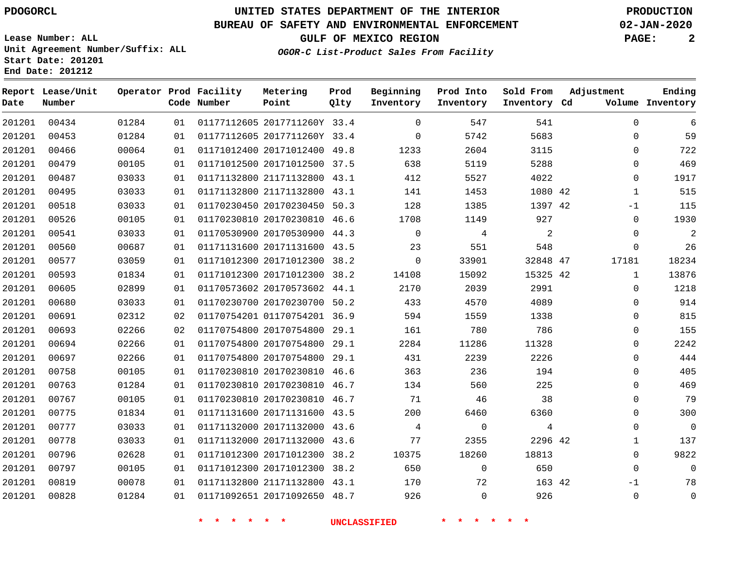**Start Date: 201201 End Date: 201212**

# **UNITED STATES DEPARTMENT OF THE INTERIOR PDOGORCL PRODUCTION**

### **BUREAU OF SAFETY AND ENVIRONMENTAL ENFORCEMENT 02-JAN-2020**

**Lease Number: ALL Unit Agreement Number/Suffix: ALL**

**GULF OF MEXICO REGION PAGE: 2**

**OGOR-C List-Product Sales From Facility**

| Date   | Report Lease/Unit<br>Number |       |    | Operator Prod Facility<br>Code Number | Metering<br>Point            | Prod<br>Qlty | Beginning<br>Inventory | Prod Into<br>Inventory | Sold From<br>Inventory Cd | Adjustment   | Ending<br>Volume Inventory |
|--------|-----------------------------|-------|----|---------------------------------------|------------------------------|--------------|------------------------|------------------------|---------------------------|--------------|----------------------------|
| 201201 | 00434                       | 01284 | 01 |                                       | 01177112605 2017711260Y 33.4 |              | $\Omega$               | 547                    | 541                       | $\Omega$     | 6                          |
| 201201 | 00453                       | 01284 | 01 |                                       | 01177112605 2017711260Y 33.4 |              | $\Omega$               | 5742                   | 5683                      | $\Omega$     | 59                         |
| 201201 | 00466                       | 00064 | 01 |                                       | 01171012400 20171012400 49.8 |              | 1233                   | 2604                   | 3115                      | $\mathbf 0$  | 722                        |
| 201201 | 00479                       | 00105 | 01 |                                       | 01171012500 20171012500 37.5 |              | 638                    | 5119                   | 5288                      | 0            | 469                        |
| 201201 | 00487                       | 03033 | 01 |                                       | 01171132800 21171132800 43.1 |              | 412                    | 5527                   | 4022                      | $\Omega$     | 1917                       |
| 201201 | 00495                       | 03033 | 01 |                                       | 01171132800 21171132800 43.1 |              | 141                    | 1453                   | 1080 42                   | $\mathbf{1}$ | 515                        |
| 201201 | 00518                       | 03033 | 01 |                                       | 01170230450 20170230450      | 50.3         | 128                    | 1385                   | 1397 42                   | $-1$         | 115                        |
| 201201 | 00526                       | 00105 | 01 |                                       | 01170230810 20170230810 46.6 |              | 1708                   | 1149                   | 927                       | 0            | 1930                       |
| 201201 | 00541                       | 03033 | 01 |                                       | 01170530900 20170530900 44.3 |              | $\Omega$               | 4                      | $\overline{a}$            | $\Omega$     | $\overline{2}$             |
| 201201 | 00560                       | 00687 | 01 |                                       | 01171131600 20171131600 43.5 |              | 23                     | 551                    | 548                       | $\mathbf{0}$ | 26                         |
| 201201 | 00577                       | 03059 | 01 |                                       | 01171012300 20171012300 38.2 |              | $\mathbf 0$            | 33901                  | 32848 47                  | 17181        | 18234                      |
| 201201 | 00593                       | 01834 | 01 |                                       | 01171012300 20171012300 38.2 |              | 14108                  | 15092                  | 15325 42                  | 1            | 13876                      |
| 201201 | 00605                       | 02899 | 01 |                                       | 01170573602 20170573602 44.1 |              | 2170                   | 2039                   | 2991                      | 0            | 1218                       |
| 201201 | 00680                       | 03033 | 01 |                                       | 01170230700 20170230700 50.2 |              | 433                    | 4570                   | 4089                      | $\mathbf 0$  | 914                        |
| 201201 | 00691                       | 02312 | 02 |                                       | 01170754201 01170754201 36.9 |              | 594                    | 1559                   | 1338                      | $\Omega$     | 815                        |
| 201201 | 00693                       | 02266 | 02 |                                       | 01170754800 20170754800 29.1 |              | 161                    | 780                    | 786                       | 0            | 155                        |
| 201201 | 00694                       | 02266 | 01 |                                       | 01170754800 20170754800 29.1 |              | 2284                   | 11286                  | 11328                     | 0            | 2242                       |
| 201201 | 00697                       | 02266 | 01 |                                       | 01170754800 20170754800 29.1 |              | 431                    | 2239                   | 2226                      | $\mathbf 0$  | 444                        |
| 201201 | 00758                       | 00105 | 01 |                                       | 01170230810 20170230810 46.6 |              | 363                    | 236                    | 194                       | $\Omega$     | 405                        |
| 201201 | 00763                       | 01284 | 01 |                                       | 01170230810 20170230810 46.7 |              | 134                    | 560                    | 225                       | 0            | 469                        |
| 201201 | 00767                       | 00105 | 01 |                                       | 01170230810 20170230810 46.7 |              | 71                     | 46                     | 38                        | 0            | 79                         |
| 201201 | 00775                       | 01834 | 01 |                                       | 01171131600 20171131600 43.5 |              | 200                    | 6460                   | 6360                      | 0            | 300                        |
| 201201 | 00777                       | 03033 | 01 |                                       | 01171132000 20171132000 43.6 |              | 4                      | $\mathbf 0$            | 4                         | $\Omega$     | $\Omega$                   |
| 201201 | 00778                       | 03033 | 01 |                                       | 01171132000 20171132000 43.6 |              | 77                     | 2355                   | 2296 42                   | $\mathbf{1}$ | 137                        |
| 201201 | 00796                       | 02628 | 01 |                                       | 01171012300 20171012300 38.2 |              | 10375                  | 18260                  | 18813                     | 0            | 9822                       |
| 201201 | 00797                       | 00105 | 01 |                                       | 01171012300 20171012300 38.2 |              | 650                    | $\mathbf 0$            | 650                       | $\mathbf{0}$ | $\Omega$                   |
| 201201 | 00819                       | 00078 | 01 |                                       | 01171132800 21171132800 43.1 |              | 170                    | 72                     | 163 42                    | $-1$         | 78                         |
| 201201 | 00828                       | 01284 | 01 |                                       | 01171092651 20171092650 48.7 |              | 926                    | $\Omega$               | 926                       | $\mathbf 0$  | $\mathbf{0}$               |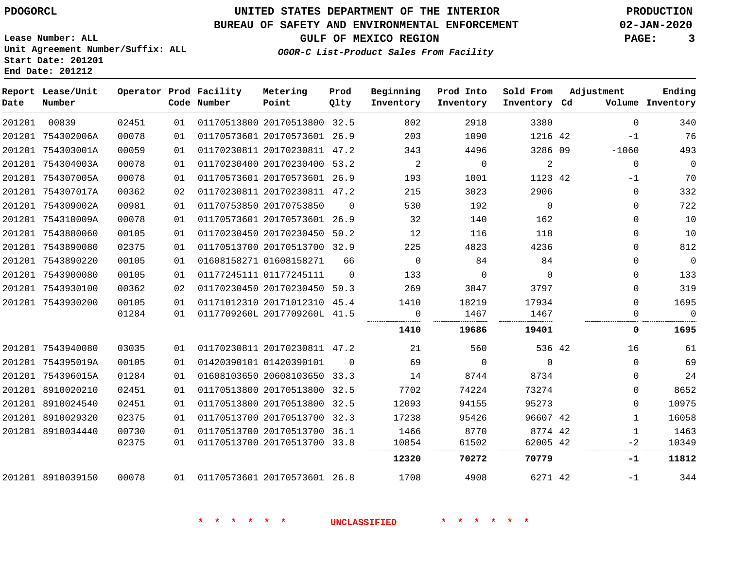**End Date: 201212**

# **UNITED STATES DEPARTMENT OF THE INTERIOR PDOGORCL PRODUCTION**

### **BUREAU OF SAFETY AND ENVIRONMENTAL ENFORCEMENT 02-JAN-2020**

**Lease Number: ALL Unit Agreement Number/Suffix: ALL Start Date: 201201**

## **GULF OF MEXICO REGION PAGE: 3**

**OGOR-C List-Product Sales From Facility**

| Date   | Report Lease/Unit<br>Number |       |    | Operator Prod Facility<br>Code Number | Metering<br>Point            | Prod<br>Qlty   | Beginning<br>Inventory | Prod Into<br>Inventory | Sold From<br>Inventory Cd | Adjustment   | Ending<br>Volume Inventory |
|--------|-----------------------------|-------|----|---------------------------------------|------------------------------|----------------|------------------------|------------------------|---------------------------|--------------|----------------------------|
| 201201 | 00839                       | 02451 | 01 |                                       | 01170513800 20170513800 32.5 |                | 802                    | 2918                   | 3380                      | $\Omega$     | 340                        |
|        | 201201 754302006A           | 00078 | 01 |                                       | 01170573601 20170573601 26.9 |                | 203                    | 1090                   | 1216 42                   | $-1$         | 76                         |
|        | 201201 754303001A           | 00059 | 01 |                                       | 01170230811 20170230811 47.2 |                | 343                    | 4496                   | 3286 09                   | $-1060$      | 493                        |
|        | 201201 754304003A           | 00078 | 01 |                                       | 01170230400 20170230400 53.2 |                | 2                      | $\mathbf 0$            | $\sqrt{2}$                | $\mathbf 0$  | $\mathbb O$                |
|        | 201201 754307005A           | 00078 | 01 |                                       | 01170573601 20170573601 26.9 |                | 193                    | 1001                   | 1123 42                   | $-1$         | 70                         |
|        | 201201 754307017A           | 00362 | 02 |                                       | 01170230811 20170230811 47.2 |                | 215                    | 3023                   | 2906                      | $\Omega$     | 332                        |
|        | 201201 754309002A           | 00981 | 01 |                                       | 01170753850 20170753850      | $\Omega$       | 530                    | 192                    | $\Omega$                  | $\Omega$     | 722                        |
|        | 201201 754310009A           | 00078 | 01 |                                       | 01170573601 20170573601 26.9 |                | 32                     | 140                    | 162                       | $\mathbf 0$  | 10                         |
|        | 201201 7543880060           | 00105 | 01 |                                       | 01170230450 20170230450      | 50.2           | 12                     | 116                    | 118                       | 0            | 10                         |
|        | 201201 7543890080           | 02375 | 01 |                                       | 01170513700 20170513700 32.9 |                | 225                    | 4823                   | 4236                      | $\Omega$     | 812                        |
|        | 201201 7543890220           | 00105 | 01 |                                       | 01608158271 01608158271      | 66             | $\overline{0}$         | 84                     | 84                        | 0            | $\mathbf 0$                |
|        | 201201 7543900080           | 00105 | 01 |                                       | 01177245111 01177245111      | $\Omega$       | 133                    | $\mathbf 0$            | $\overline{0}$            | 0            | 133                        |
|        | 201201 7543930100           | 00362 | 02 |                                       | 01170230450 20170230450      | 50.3           | 269                    | 3847                   | 3797                      | $\Omega$     | 319                        |
|        | 201201 7543930200           | 00105 | 01 |                                       | 01171012310 20171012310 45.4 |                | 1410                   | 18219                  | 17934                     | 0            | 1695                       |
|        |                             | 01284 | 01 |                                       | 0117709260L 2017709260L 41.5 |                | 0                      | 1467                   | 1467                      | 0            | $\overline{0}$             |
|        |                             |       |    |                                       |                              |                | 1410                   | 19686                  | 19401                     | 0            | 1695                       |
|        | 201201 7543940080           | 03035 | 01 |                                       | 01170230811 20170230811 47.2 |                | 21                     | 560                    | 536 42                    | 16           | 61                         |
|        | 201201 754395019A           | 00105 | 01 |                                       | 01420390101 01420390101      | $\overline{0}$ | 69                     | $\overline{0}$         | $\overline{0}$            | $\mathbf 0$  | 69                         |
|        | 201201 754396015A           | 01284 | 01 |                                       | 01608103650 20608103650 33.3 |                | 14                     | 8744                   | 8734                      | $\Omega$     | 24                         |
|        | 201201 8910020210           | 02451 | 01 |                                       | 01170513800 20170513800 32.5 |                | 7702                   | 74224                  | 73274                     | $\Omega$     | 8652                       |
|        | 201201 8910024540           | 02451 | 01 |                                       | 01170513800 20170513800      | 32.5           | 12093                  | 94155                  | 95273                     | $\Omega$     | 10975                      |
|        | 201201 8910029320           | 02375 | 01 |                                       | 01170513700 20170513700 32.3 |                | 17238                  | 95426                  | 96607 42                  | $\mathbf{1}$ | 16058                      |
|        | 201201 8910034440           | 00730 | 01 |                                       | 01170513700 20170513700 36.1 |                | 1466                   | 8770                   | 8774 42                   | 1            | 1463                       |
|        |                             | 02375 | 01 |                                       | 01170513700 20170513700 33.8 |                | 10854                  | 61502                  | 62005 42                  | $-2$         | 10349                      |
|        |                             |       |    |                                       |                              |                | 12320                  | 70272                  | 70779                     | -1           | 11812                      |
|        | 201201 8910039150           | 00078 |    | 01 01170573601 20170573601 26.8       |                              |                | 1708                   | 4908                   | 6271 42                   | $-1$         | 344                        |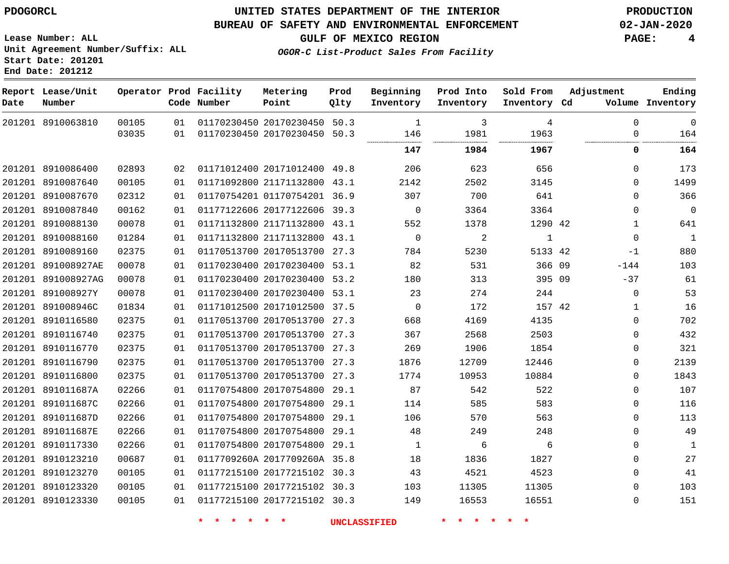**Start Date: 201201 End Date: 201212**

 891011687D 891011687E 8910117330 8910123210 8910123270 8910123320 8910123330

## **UNITED STATES DEPARTMENT OF THE INTERIOR PDOGORCL PRODUCTION**

#### **BUREAU OF SAFETY AND ENVIRONMENTAL ENFORCEMENT 02-JAN-2020**

**Lease Number: ALL Unit Agreement Number/Suffix: ALL**

**GULF OF MEXICO REGION PAGE: 4**

**OGOR-C List-Product Sales From Facility**

-37  $\Omega$  $\Omega$  $\Omega$   $\Omega$   $\Omega$  $\Omega$   $\Omega$  $\Omega$  $\Omega$  $\Omega$  $\Omega$ 

| Date   | Report Lease/Unit<br>Number |       |    | Operator Prod Facility<br>Code Number | Metering<br>Point            | Prod<br>Qlty | Beginning<br>Inventory | Prod Into<br>Inventory | Sold From<br>Inventory | Adjustment<br>Volume<br>Cd | Ending<br>Inventory |
|--------|-----------------------------|-------|----|---------------------------------------|------------------------------|--------------|------------------------|------------------------|------------------------|----------------------------|---------------------|
| 201201 | 8910063810                  | 00105 | 01 |                                       | 01170230450 20170230450      | 50.3         | -1                     | 3                      | 4                      | $\Omega$                   | 0                   |
|        |                             | 03035 | 01 |                                       | 01170230450 20170230450      | 50.3         | 146<br>                | 1981                   | 1963                   | 0                          | 164                 |
|        |                             |       |    |                                       |                              |              | 147                    | 1984                   | 1967                   | 0                          | 164                 |
| 201201 | 8910086400                  | 02893 | 02 |                                       | 01171012400 20171012400      | 49.8         | 206                    | 623                    | 656                    | $\Omega$                   | 173                 |
| 201201 | 8910087640                  | 00105 | 01 |                                       | 01171092800 21171132800      | 43.1         | 2142                   | 2502                   | 3145                   | $\Omega$                   | 1499                |
|        | 201201 8910087670           | 02312 | 01 |                                       | 01170754201 01170754201 36.9 |              | 307                    | 700                    | 641                    | $\Omega$                   | 366                 |
| 201201 | 8910087840                  | 00162 | 01 |                                       | 01177122606 20177122606      | 39.3         | $\Omega$               | 3364                   | 3364                   | 0                          | 0                   |
|        | 201201 8910088130           | 00078 | 01 |                                       | 01171132800 21171132800      | 43.1         | 552                    | 1378                   | 1290 42                |                            | 641                 |
| 201201 | 8910088160                  | 01284 | 01 |                                       | 01171132800 21171132800      | 43.1         | $\Omega$               | 2                      | $\mathbf 1$            | $\Omega$                   | 1                   |
| 201201 | 8910089160                  | 02375 | 01 |                                       | 01170513700 20170513700      | 27.3         | 784                    | 5230                   | 5133 42                | $-1$                       | 880                 |
| 201201 | 891008927AE                 | 00078 | 01 |                                       | 01170230400 20170230400      | 53.1         | 82                     | 531                    | 366 09                 | $-144$                     | 103                 |
| 201201 | 891008927AG                 | 00078 | 01 |                                       | 01170230400 20170230400      | 53.2         | 180                    | 313                    | 395 09                 | $-37$                      | 61                  |
| 201201 | 891008927Y                  | 00078 | 01 |                                       | 01170230400 20170230400      | 53.1         | 23                     | 274                    | 244                    | $\mathbf{0}$               | 53                  |
| 201201 | 891008946C                  | 01834 | 01 |                                       | 01171012500 20171012500      | 37.5         | $\Omega$               | 172                    | 157 42                 |                            | 16                  |
|        | 201201 8910116580           | 02375 | 01 |                                       | 01170513700 20170513700      | 27.3         | 668                    | 4169                   | 4135                   | $\Omega$                   | 702                 |
|        | 201201 8910116740           | 02375 | 01 |                                       | 01170513700 20170513700      | 27.3         | 367                    | 2568                   | 2503                   | $\Omega$                   | 432                 |
|        | 201201 8910116770           | 02375 | 01 |                                       | 01170513700 20170513700      | 27.3         | 269                    | 1906                   | 1854                   | 0                          | 321                 |
| 201201 | 8910116790                  | 02375 | 01 |                                       | 01170513700 20170513700      | 27.3         | 1876                   | 12709                  | 12446                  | $\Omega$                   | 2139                |
| 201201 | 8910116800                  | 02375 | 01 |                                       | 01170513700 20170513700      | 27.3         | 1774                   | 10953                  | 10884                  | $\Omega$                   | 1843                |
| 201201 | 891011687A                  | 02266 | 01 |                                       | 01170754800 20170754800      | 29.1         | 87                     | 542                    | 522                    | $\Omega$                   | 107                 |
|        | 201201 891011687C           | 02266 | 01 |                                       | 01170754800 20170754800      | 29.1         | 114                    | 585                    | 583                    | $\Omega$                   | 116                 |

 20170754800 29.1 20170754800 29.1 20170754800 29.1 0117709260A 2017709260A 35.8 20177215102 30.3 20177215102 30.3 20177215102 30.3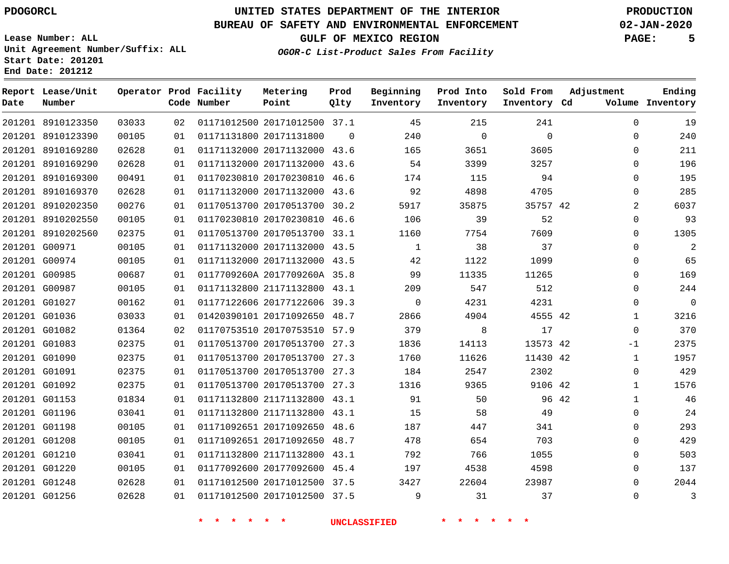**End Date: 201212**

# **UNITED STATES DEPARTMENT OF THE INTERIOR PDOGORCL PRODUCTION**

### **BUREAU OF SAFETY AND ENVIRONMENTAL ENFORCEMENT 02-JAN-2020**

**Lease Number: ALL Unit Agreement Number/Suffix: ALL Start Date: 201201**

**OGOR-C List-Product Sales From Facility**

**GULF OF MEXICO REGION PAGE: 5**

| Date | Report Lease/Unit<br>Number |       |    | Operator Prod Facility<br>Code Number | Metering<br>Point            | Prod<br>Qlty | Beginning<br>Inventory | Prod Into<br>Inventory | Sold From<br>Inventory Cd | Adjustment |              | Ending<br>Volume Inventory |
|------|-----------------------------|-------|----|---------------------------------------|------------------------------|--------------|------------------------|------------------------|---------------------------|------------|--------------|----------------------------|
|      | 201201 8910123350           | 03033 | 02 |                                       | 01171012500 20171012500 37.1 |              | 45                     | 215                    | 241                       |            | $\Omega$     | 19                         |
|      | 201201 8910123390           | 00105 | 01 |                                       | 01171131800 20171131800      | $\Omega$     | 240                    | $\mathbf 0$            | $\Omega$                  |            | 0            | 240                        |
|      | 201201 8910169280           | 02628 | 01 |                                       | 01171132000 20171132000 43.6 |              | 165                    | 3651                   | 3605                      |            | $\Omega$     | 211                        |
|      | 201201 8910169290           | 02628 | 01 |                                       | 01171132000 20171132000 43.6 |              | 54                     | 3399                   | 3257                      |            | $\Omega$     | 196                        |
|      | 201201 8910169300           | 00491 | 01 |                                       | 01170230810 20170230810 46.6 |              | 174                    | 115                    | 94                        |            | $\Omega$     | 195                        |
|      | 201201 8910169370           | 02628 | 01 |                                       | 01171132000 20171132000 43.6 |              | 92                     | 4898                   | 4705                      |            | 0            | 285                        |
|      | 201201 8910202350           | 00276 | 01 |                                       | 01170513700 20170513700 30.2 |              | 5917                   | 35875                  | 35757 42                  |            | 2            | 6037                       |
|      | 201201 8910202550           | 00105 | 01 |                                       | 01170230810 20170230810 46.6 |              | 106                    | 39                     | 52                        |            | 0            | 93                         |
|      | 201201 8910202560           | 02375 | 01 |                                       | 01170513700 20170513700 33.1 |              | 1160                   | 7754                   | 7609                      |            | $\Omega$     | 1305                       |
|      | 201201 G00971               | 00105 | 01 |                                       | 01171132000 20171132000 43.5 |              | 1                      | 38                     | 37                        |            | 0            | 2                          |
|      | 201201 G00974               | 00105 | 01 |                                       | 01171132000 20171132000 43.5 |              | 42                     | 1122                   | 1099                      |            | $\Omega$     | 65                         |
|      | 201201 G00985               | 00687 | 01 |                                       | 0117709260A 2017709260A 35.8 |              | 99                     | 11335                  | 11265                     |            | $\Omega$     | 169                        |
|      | 201201 G00987               | 00105 | 01 |                                       | 01171132800 21171132800 43.1 |              | 209                    | 547                    | 512                       |            | $\Omega$     | 244                        |
|      | 201201 G01027               | 00162 | 01 |                                       | 01177122606 20177122606 39.3 |              | $\Omega$               | 4231                   | 4231                      |            | 0            | $\overline{0}$             |
|      | 201201 G01036               | 03033 | 01 |                                       | 01420390101 20171092650 48.7 |              | 2866                   | 4904                   | 4555 42                   |            | $\mathbf{1}$ | 3216                       |
|      | 201201 G01082               | 01364 | 02 |                                       | 01170753510 20170753510 57.9 |              | 379                    | 8                      | 17                        |            | 0            | 370                        |
|      | 201201 G01083               | 02375 | 01 |                                       | 01170513700 20170513700 27.3 |              | 1836                   | 14113                  | 13573 42                  |            | $-1$         | 2375                       |
|      | 201201 G01090               | 02375 | 01 |                                       | 01170513700 20170513700 27.3 |              | 1760                   | 11626                  | 11430 42                  |            | $\mathbf{1}$ | 1957                       |
|      | 201201 G01091               | 02375 | 01 |                                       | 01170513700 20170513700 27.3 |              | 184                    | 2547                   | 2302                      |            | 0            | 429                        |
|      | 201201 G01092               | 02375 | 01 |                                       | 01170513700 20170513700 27.3 |              | 1316                   | 9365                   | 9106 42                   |            | $\mathbf{1}$ | 1576                       |
|      | 201201 G01153               | 01834 | 01 |                                       | 01171132800 21171132800 43.1 |              | 91                     | 50                     | 96 42                     |            | $\mathbf{1}$ | 46                         |
|      | 201201 G01196               | 03041 | 01 |                                       | 01171132800 21171132800 43.1 |              | 15                     | 58                     | 49                        |            | 0            | 24                         |
|      | 201201 G01198               | 00105 | 01 |                                       | 01171092651 20171092650 48.6 |              | 187                    | 447                    | 341                       |            | 0            | 293                        |
|      | 201201 G01208               | 00105 | 01 |                                       | 01171092651 20171092650 48.7 |              | 478                    | 654                    | 703                       |            | $\Omega$     | 429                        |
|      | 201201 G01210               | 03041 | 01 |                                       | 01171132800 21171132800 43.1 |              | 792                    | 766                    | 1055                      |            | $\Omega$     | 503                        |
|      | 201201 G01220               | 00105 | 01 |                                       | 01177092600 20177092600 45.4 |              | 197                    | 4538                   | 4598                      |            | $\Omega$     | 137                        |
|      | 201201 G01248               | 02628 | 01 |                                       | 01171012500 20171012500 37.5 |              | 3427                   | 22604                  | 23987                     |            | $\Omega$     | 2044                       |
|      | 201201 G01256               | 02628 | 01 |                                       | 01171012500 20171012500 37.5 |              | 9                      | 31                     | 37                        |            | $\Omega$     | $\overline{3}$             |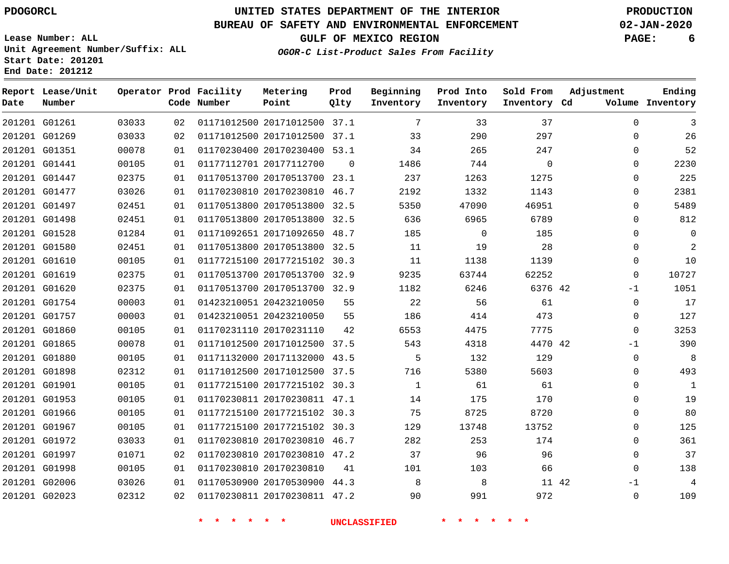### **BUREAU OF SAFETY AND ENVIRONMENTAL ENFORCEMENT 02-JAN-2020**

**Lease Number: ALL Unit Agreement Number/Suffix: ALL Start Date: 201201**

**Operator Prod Facility**

**End Date: 201212**

**Report Lease/Unit**

**GULF OF MEXICO REGION PAGE: 6**

**Prod Qlty**

**OGOR-C List-Product Sales From Facility**

**Beginning**

**Prod Into Inventory**

**Sold From Inventory**

**Adjustment**

**Ending**

| Date | Number        |       |    | Code Number | Point                        | Qlty     | Inventory    | Inventory | Inventory Cd | Volume Inventory           |
|------|---------------|-------|----|-------------|------------------------------|----------|--------------|-----------|--------------|----------------------------|
|      | 201201 G01261 | 03033 | 02 |             | 01171012500 20171012500 37.1 |          | 7            | 33        | 37           | $\Omega$<br>3              |
|      | 201201 G01269 | 03033 | 02 |             | 01171012500 20171012500 37.1 |          | 33           | 290       | 297          | 26<br>$\Omega$             |
|      | 201201 G01351 | 00078 | 01 |             | 01170230400 20170230400 53.1 |          | 34           | 265       | 247          | 52<br>$\Omega$             |
|      | 201201 G01441 | 00105 | 01 |             | 01177112701 20177112700      | $\Omega$ | 1486         | 744       | $\Omega$     | 2230<br>$\Omega$           |
|      | 201201 G01447 | 02375 | 01 |             | 01170513700 20170513700 23.1 |          | 237          | 1263      | 1275         | 225<br>$\Omega$            |
|      | 201201 G01477 | 03026 | 01 |             | 01170230810 20170230810 46.7 |          | 2192         | 1332      | 1143         | 2381<br>$\Omega$           |
|      | 201201 G01497 | 02451 | 01 |             | 01170513800 20170513800 32.5 |          | 5350         | 47090     | 46951        | 5489<br>$\Omega$           |
|      | 201201 G01498 | 02451 | 01 |             | 01170513800 20170513800 32.5 |          | 636          | 6965      | 6789         | 812<br>$\Omega$            |
|      | 201201 G01528 | 01284 | 01 |             | 01171092651 20171092650 48.7 |          | 185          | 0         | 185          | 0<br>$\Omega$              |
|      | 201201 G01580 | 02451 | 01 |             | 01170513800 20170513800 32.5 |          | 11           | 19        | 28           | $\overline{c}$<br>$\Omega$ |
|      | 201201 G01610 | 00105 | 01 |             | 01177215100 20177215102 30.3 |          | 11           | 1138      | 1139         | 10<br>$\Omega$             |
|      | 201201 G01619 | 02375 | 01 |             | 01170513700 20170513700 32.9 |          | 9235         | 63744     | 62252        | 10727<br>$\Omega$          |
|      | 201201 G01620 | 02375 | 01 |             | 01170513700 20170513700 32.9 |          | 1182         | 6246      | 6376 42      | 1051<br>$-1$               |
|      | 201201 G01754 | 00003 | 01 |             | 01423210051 20423210050      | 55       | 22           | 56        | 61           | 17<br>$\mathbf 0$          |
|      | 201201 G01757 | 00003 | 01 |             | 01423210051 20423210050      | 55       | 186          | 414       | 473          | 127<br>0                   |
|      | 201201 G01860 | 00105 | 01 |             | 01170231110 20170231110      | 42       | 6553         | 4475      | 7775         | 3253<br>$\mathbf 0$        |
|      | 201201 G01865 | 00078 | 01 |             | 01171012500 20171012500 37.5 |          | 543          | 4318      | 4470 42      | 390<br>-1                  |
|      | 201201 G01880 | 00105 | 01 |             | 01171132000 20171132000 43.5 |          | 5            | 132       | 129          | $\mathbf 0$<br>8           |
|      | 201201 G01898 | 02312 | 01 |             | 01171012500 20171012500 37.5 |          | 716          | 5380      | 5603         | 493<br>$\Omega$            |
|      | 201201 G01901 | 00105 | 01 |             | 01177215100 20177215102 30.3 |          | $\mathbf{1}$ | 61        | 61           | $\Omega$<br>$\mathbf{1}$   |
|      | 201201 G01953 | 00105 | 01 |             | 01170230811 20170230811 47.1 |          | 14           | 175       | 170          | 19<br>$\Omega$             |
|      | 201201 G01966 | 00105 | 01 |             | 01177215100 20177215102 30.3 |          | 75           | 8725      | 8720         | 80<br>$\Omega$             |
|      | 201201 G01967 | 00105 | 01 |             | 01177215100 20177215102 30.3 |          | 129          | 13748     | 13752        | 125<br>$\Omega$            |
|      | 201201 G01972 | 03033 | 01 |             | 01170230810 20170230810 46.7 |          | 282          | 253       | 174          | 361<br>$\Omega$            |
|      | 201201 G01997 | 01071 | 02 |             | 01170230810 20170230810 47.2 |          | 37           | 96        | 96           | 37<br>$\Omega$             |
|      | 201201 G01998 | 00105 | 01 |             | 01170230810 20170230810      | 41       | 101          | 103       | 66           | 138<br>$\Omega$            |
|      | 201201 G02006 | 03026 | 01 |             | 01170530900 20170530900 44.3 |          | 8            | 8         | 11 42        | $-1$<br>4                  |
|      | 201201 G02023 | 02312 | 02 |             | 01170230811 20170230811 47.2 |          | 90           | 991       | 972          | 109<br>$\mathbf 0$         |

**Metering Point**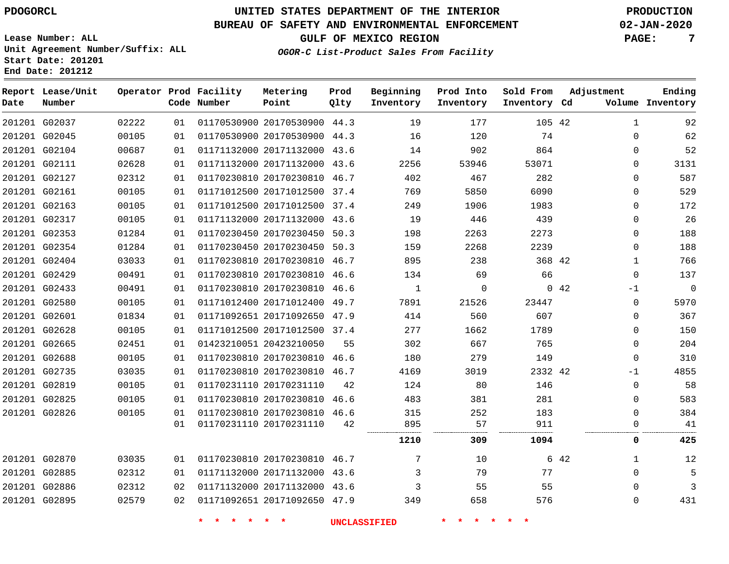### **BUREAU OF SAFETY AND ENVIRONMENTAL ENFORCEMENT 02-JAN-2020**

**Lease Number: ALL Unit Agreement Number/Suffix: ALL Start Date: 201201**

**End Date: 201212**

**GULF OF MEXICO REGION PAGE: 7**

**OGOR-C List-Product Sales From Facility**

| Date | Report Lease/Unit<br>Number |       |    | Operator Prod Facility<br>Code Number | Metering<br>Point            | Prod<br>Qlty | Beginning<br>Inventory | Prod Into<br>Inventory | Sold From<br>Inventory Cd | Adjustment | Ending<br>Volume Inventory |
|------|-----------------------------|-------|----|---------------------------------------|------------------------------|--------------|------------------------|------------------------|---------------------------|------------|----------------------------|
|      | 201201 G02037               | 02222 | 01 |                                       | 01170530900 20170530900 44.3 |              | 19                     | 177                    | 105 42                    |            | 92<br>1                    |
|      | 201201 G02045               | 00105 | 01 |                                       | 01170530900 20170530900 44.3 |              | 16                     | 120                    | 74                        |            | 62<br>$\Omega$             |
|      | 201201 G02104               | 00687 | 01 |                                       | 01171132000 20171132000 43.6 |              | 14                     | 902                    | 864                       |            | 52<br>$\Omega$             |
|      | 201201 G02111               | 02628 | 01 |                                       | 01171132000 20171132000 43.6 |              | 2256                   | 53946                  | 53071                     |            | 3131<br>$\Omega$           |
|      | 201201 G02127               | 02312 | 01 |                                       | 01170230810 20170230810 46.7 |              | 402                    | 467                    | 282                       |            | 587<br>$\Omega$            |
|      | 201201 G02161               | 00105 | 01 |                                       | 01171012500 20171012500 37.4 |              | 769                    | 5850                   | 6090                      |            | 529<br>0                   |
|      | 201201 G02163               | 00105 | 01 |                                       | 01171012500 20171012500 37.4 |              | 249                    | 1906                   | 1983                      |            | 0<br>172                   |
|      | 201201 G02317               | 00105 | 01 |                                       | 01171132000 20171132000 43.6 |              | 19                     | 446                    | 439                       |            | 26<br>0                    |
|      | 201201 G02353               | 01284 | 01 |                                       | 01170230450 20170230450 50.3 |              | 198                    | 2263                   | 2273                      |            | 188<br>$\mathbf{0}$        |
|      | 201201 G02354               | 01284 | 01 |                                       | 01170230450 20170230450 50.3 |              | 159                    | 2268                   | 2239                      |            | 188<br>$\Omega$            |
|      | 201201 G02404               | 03033 | 01 |                                       | 01170230810 20170230810 46.7 |              | 895                    | 238                    | 368 42                    |            | 766<br>1                   |
|      | 201201 G02429               | 00491 | 01 |                                       | 01170230810 20170230810 46.6 |              | 134                    | 69                     | 66                        |            | 137<br>$\mathbf 0$         |
|      | 201201 G02433               | 00491 | 01 |                                       | 01170230810 20170230810 46.6 |              | $\mathbf{1}$           | $\mathbf 0$            |                           | 042        | $\mathbf 0$<br>$-1$        |
|      | 201201 G02580               | 00105 | 01 |                                       | 01171012400 20171012400 49.7 |              | 7891                   | 21526                  | 23447                     |            | 5970<br>0                  |
|      | 201201 G02601               | 01834 | 01 |                                       | 01171092651 20171092650 47.9 |              | 414                    | 560                    | 607                       |            | 367<br>0                   |
|      | 201201 G02628               | 00105 | 01 |                                       | 01171012500 20171012500 37.4 |              | 277                    | 1662                   | 1789                      |            | 150<br>0                   |
|      | 201201 G02665               | 02451 | 01 |                                       | 01423210051 20423210050      | 55           | 302                    | 667                    | 765                       |            | 204<br>0                   |
|      | 201201 G02688               | 00105 | 01 |                                       | 01170230810 20170230810 46.6 |              | 180                    | 279                    | 149                       |            | 310<br>$\mathbf{0}$        |
|      | 201201 G02735               | 03035 | 01 |                                       | 01170230810 20170230810 46.7 |              | 4169                   | 3019                   | 2332 42                   |            | 4855<br>$-1$               |
|      | 201201 G02819               | 00105 | 01 |                                       | 01170231110 20170231110      | 42           | 124                    | 80                     | 146                       |            | 58<br>0                    |
|      | 201201 G02825               | 00105 | 01 |                                       | 01170230810 20170230810 46.6 |              | 483                    | 381                    | 281                       |            | 583<br>$\mathbf{0}$        |
|      | 201201 G02826               | 00105 | 01 |                                       | 01170230810 20170230810 46.6 |              | 315                    | 252                    | 183                       |            | 384<br>$\Omega$            |
|      |                             |       | 01 |                                       | 01170231110 20170231110      | 42           | 895                    | 57                     | 911                       |            | 41<br>0                    |
|      |                             |       |    |                                       |                              |              | 1210                   | 309                    | 1094                      |            | 425<br>0                   |
|      | 201201 G02870               | 03035 | 01 |                                       | 01170230810 20170230810 46.7 |              | 7                      | 10                     |                           | 6 42       | 12<br>1                    |
|      | 201201 G02885               | 02312 | 01 |                                       | 01171132000 20171132000 43.6 |              | 3                      | 79                     | 77                        |            | 5<br>0                     |
|      | 201201 G02886               | 02312 | 02 |                                       | 01171132000 20171132000 43.6 |              | 3                      | 55                     | 55                        |            | $\mathbf{0}$<br>3          |
|      | 201201 G02895               | 02579 | 02 |                                       | 01171092651 20171092650 47.9 |              | 349                    | 658                    | 576                       |            | 431<br>$\Omega$            |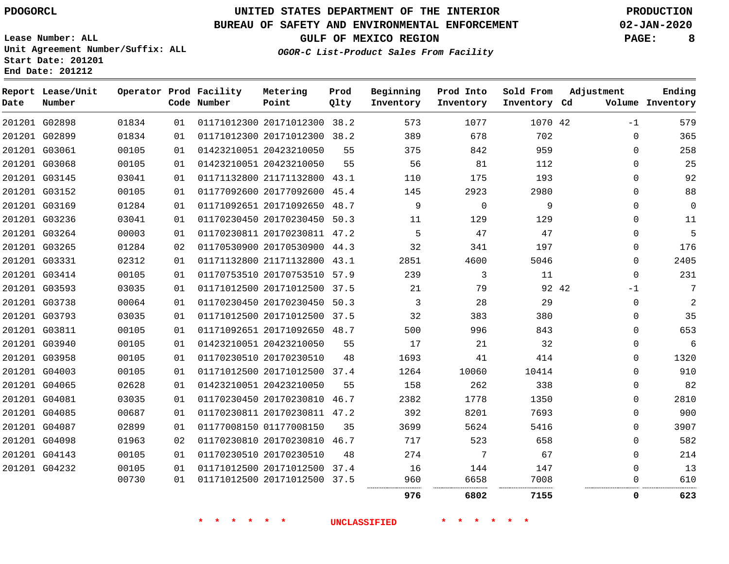### **BUREAU OF SAFETY AND ENVIRONMENTAL ENFORCEMENT 02-JAN-2020**

**OGOR-C List-Product Sales From Facility**

**GULF OF MEXICO REGION PAGE: 8**

**Lease Number: ALL Unit Agreement Number/Suffix: ALL Start Date: 201201 End Date: 201212**

| Date | Report Lease/Unit<br>Number |       |    | Operator Prod Facility<br>Code Number | Metering<br>Point            | Prod<br>Qlty | Beginning<br>Inventory | Prod Into<br>Inventory | Sold From<br>Inventory Cd | Adjustment   | Ending<br>Volume Inventory |
|------|-----------------------------|-------|----|---------------------------------------|------------------------------|--------------|------------------------|------------------------|---------------------------|--------------|----------------------------|
|      | 201201 G02898               | 01834 | 01 |                                       | 01171012300 20171012300 38.2 |              | 573                    | 1077                   | 1070 42                   | $-1$         | 579                        |
|      | 201201 G02899               | 01834 | 01 |                                       | 01171012300 20171012300 38.2 |              | 389                    | 678                    | 702                       | $\Omega$     | 365                        |
|      | 201201 G03061               | 00105 | 01 |                                       | 01423210051 20423210050      | 55           | 375                    | 842                    | 959                       | $\Omega$     | 258                        |
|      | 201201 G03068               | 00105 | 01 |                                       | 01423210051 20423210050      | 55           | 56                     | 81                     | 112                       | $\mathbf{0}$ | 25                         |
|      | 201201 G03145               | 03041 | 01 |                                       | 01171132800 21171132800 43.1 |              | 110                    | 175                    | 193                       | $\Omega$     | 92                         |
|      | 201201 G03152               | 00105 | 01 |                                       | 01177092600 20177092600 45.4 |              | 145                    | 2923                   | 2980                      | 0            | 88                         |
|      | 201201 G03169               | 01284 | 01 |                                       | 01171092651 20171092650 48.7 |              | 9                      | $\Omega$               | 9                         | 0            | $\mathbf 0$                |
|      | 201201 G03236               | 03041 | 01 |                                       | 01170230450 20170230450 50.3 |              | 11                     | 129                    | 129                       | 0            | 11                         |
|      | 201201 G03264               | 00003 | 01 |                                       | 01170230811 20170230811 47.2 |              | 5                      | 47                     | 47                        | 0            | 5                          |
|      | 201201 G03265               | 01284 | 02 |                                       | 01170530900 20170530900 44.3 |              | 32                     | 341                    | 197                       | 0            | 176                        |
|      | 201201 G03331               | 02312 | 01 |                                       | 01171132800 21171132800 43.1 |              | 2851                   | 4600                   | 5046                      | 0            | 2405                       |
|      | 201201 G03414               | 00105 | 01 |                                       | 01170753510 20170753510 57.9 |              | 239                    | 3                      | 11                        | $\mathbf{0}$ | 231                        |
|      | 201201 G03593               | 03035 | 01 |                                       | 01171012500 20171012500 37.5 |              | 21                     | 79                     |                           | 92 42<br>-1  | 7                          |
|      | 201201 G03738               | 00064 | 01 |                                       | 01170230450 20170230450 50.3 |              | 3                      | 28                     | 29                        | $\Omega$     | 2                          |
|      | 201201 G03793               | 03035 | 01 |                                       | 01171012500 20171012500 37.5 |              | 32                     | 383                    | 380                       | $\Omega$     | 35                         |
|      | 201201 G03811               | 00105 | 01 |                                       | 01171092651 20171092650 48.7 |              | 500                    | 996                    | 843                       | $\Omega$     | 653                        |
|      | 201201 G03940               | 00105 | 01 |                                       | 01423210051 20423210050      | 55           | 17                     | 21                     | 32                        | $\Omega$     | 6                          |
|      | 201201 G03958               | 00105 | 01 |                                       | 01170230510 20170230510      | 48           | 1693                   | 41                     | 414                       | $\Omega$     | 1320                       |
|      | 201201 G04003               | 00105 | 01 |                                       | 01171012500 20171012500 37.4 |              | 1264                   | 10060                  | 10414                     | $\Omega$     | 910                        |
|      | 201201 G04065               | 02628 | 01 |                                       | 01423210051 20423210050      | 55           | 158                    | 262                    | 338                       | 0            | 82                         |
|      | 201201 G04081               | 03035 | 01 |                                       | 01170230450 20170230810 46.7 |              | 2382                   | 1778                   | 1350                      | $\Omega$     | 2810                       |
|      | 201201 G04085               | 00687 | 01 |                                       | 01170230811 20170230811 47.2 |              | 392                    | 8201                   | 7693                      | 0            | 900                        |
|      | 201201 G04087               | 02899 | 01 |                                       | 01177008150 01177008150      | 35           | 3699                   | 5624                   | 5416                      | 0            | 3907                       |
|      | 201201 G04098               | 01963 | 02 |                                       | 01170230810 20170230810 46.7 |              | 717                    | 523                    | 658                       | 0            | 582                        |
|      | 201201 G04143               | 00105 | 01 |                                       | 01170230510 20170230510      | 48           | 274                    | 7                      | 67                        | $\Omega$     | 214                        |
|      | 201201 G04232               | 00105 | 01 |                                       | 01171012500 20171012500 37.4 |              | 16                     | 144                    | 147                       | 0            | 13                         |
|      |                             | 00730 | 01 |                                       | 01171012500 20171012500 37.5 |              | 960                    | 6658                   | 7008                      | 0            | 610                        |
|      |                             |       |    |                                       |                              |              | 976                    | 6802                   | 7155                      | 0            | 623                        |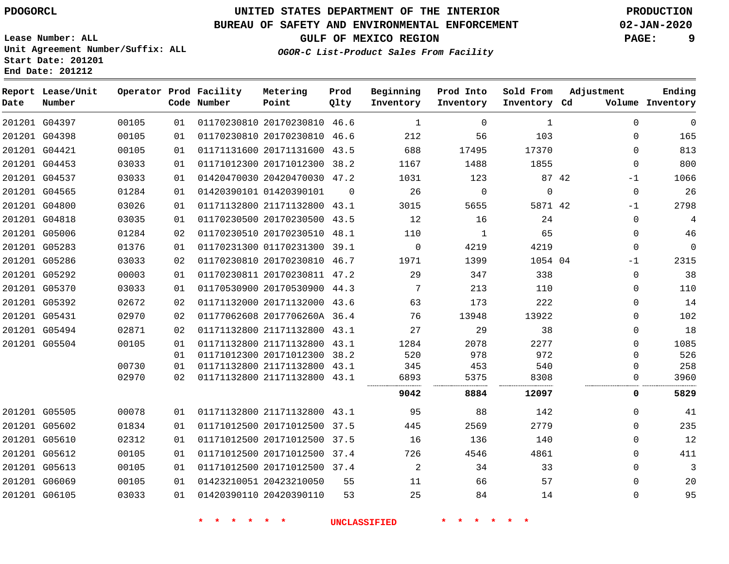**Start Date: 201201 End Date: 201212**

# **UNITED STATES DEPARTMENT OF THE INTERIOR PDOGORCL PRODUCTION**

### **BUREAU OF SAFETY AND ENVIRONMENTAL ENFORCEMENT 02-JAN-2020**

**Lease Number: ALL Unit Agreement Number/Suffix: ALL**

**OGOR-C List-Product Sales From Facility**

| GULF OF MEXICO REGION                         | PAGE: |
|-----------------------------------------------|-------|
| $2 - \alpha$ Iist Drodust Color From Forility |       |

| Date | Report Lease/Unit<br>Number |       |                 | Operator Prod Facility<br>Code Number | Metering<br>Point            | Prod<br>Qlty | Beginning<br>Inventory | Prod Into<br>Inventory | Sold From<br>Inventory Cd | Adjustment    | Ending<br>Volume Inventory |
|------|-----------------------------|-------|-----------------|---------------------------------------|------------------------------|--------------|------------------------|------------------------|---------------------------|---------------|----------------------------|
|      | 201201 G04397               | 00105 | 01              |                                       | 01170230810 20170230810 46.6 |              | $\mathbf{1}$           | $\Omega$               | $\mathbf{1}$              | $\Omega$      | $\Omega$                   |
|      | 201201 G04398               | 00105 | 01              |                                       | 01170230810 20170230810 46.6 |              | 212                    | 56                     | 103                       | $\mathbf 0$   | 165                        |
|      | 201201 G04421               | 00105 | 01              |                                       | 01171131600 20171131600 43.5 |              | 688                    | 17495                  | 17370                     | $\Omega$      | 813                        |
|      | 201201 G04453               | 03033 | 01              |                                       | 01171012300 20171012300 38.2 |              | 1167                   | 1488                   | 1855                      | $\Omega$      | 800                        |
|      | 201201 G04537               | 03033 | 01              |                                       | 01420470030 20420470030 47.2 |              | 1031                   | 123                    |                           | 87 42<br>$-1$ | 1066                       |
|      | 201201 G04565               | 01284 | 01              |                                       | 01420390101 01420390101      | $\Omega$     | 26                     | $\mathbf 0$            | $\mathbf 0$               | $\mathbf 0$   | 26                         |
|      | 201201 G04800               | 03026 | 01              |                                       | 01171132800 21171132800 43.1 |              | 3015                   | 5655                   | 5871 42                   | -1            | 2798                       |
|      | 201201 G04818               | 03035 | 01              |                                       | 01170230500 20170230500 43.5 |              | 12                     | 16                     | 24                        | $\Omega$      | 4                          |
|      | 201201 G05006               | 01284 | 02 <sub>o</sub> |                                       | 01170230510 20170230510 48.1 |              | 110                    | $\mathbf{1}$           | 65                        | $\Omega$      | 46                         |
|      | 201201 G05283               | 01376 | 01              |                                       | 01170231300 01170231300 39.1 |              | $\mathbf 0$            | 4219                   | 4219                      | $\Omega$      | $\overline{0}$             |
|      | 201201 G05286               | 03033 | 02              |                                       | 01170230810 20170230810 46.7 |              | 1971                   | 1399                   | 1054 04                   | $-1$          | 2315                       |
|      | 201201 G05292               | 00003 | 01              |                                       | 01170230811 20170230811 47.2 |              | 29                     | 347                    | 338                       | $\Omega$      | 38                         |
|      | 201201 G05370               | 03033 | 01              |                                       | 01170530900 20170530900 44.3 |              | 7                      | 213                    | 110                       | $\mathbf 0$   | 110                        |
|      | 201201 G05392               | 02672 | 02              |                                       | 01171132000 20171132000 43.6 |              | 63                     | 173                    | 222                       | $\Omega$      | 14                         |
|      | 201201 G05431               | 02970 | 02              |                                       | 01177062608 2017706260A 36.4 |              | 76                     | 13948                  | 13922                     | $\Omega$      | 102                        |
|      | 201201 G05494               | 02871 | 02 <sub>o</sub> |                                       | 01171132800 21171132800 43.1 |              | 27                     | 29                     | 38                        | $\Omega$      | 18                         |
|      | 201201 G05504               | 00105 | 01              |                                       | 01171132800 21171132800 43.1 |              | 1284                   | 2078                   | 2277                      | $\Omega$      | 1085                       |
|      |                             |       | 01              |                                       | 01171012300 20171012300      | 38.2         | 520                    | 978                    | 972                       | $\Omega$      | 526                        |
|      |                             | 00730 | 01              |                                       | 01171132800 21171132800 43.1 |              | 345                    | 453                    | 540                       | 0             | 258                        |
|      |                             | 02970 | 02              |                                       | 01171132800 21171132800 43.1 |              | 6893                   | 5375                   | 8308                      | $\Omega$      | 3960                       |
|      |                             |       |                 |                                       |                              |              | 9042                   | 8884                   | 12097                     | 0             | 5829                       |
|      | 201201 G05505               | 00078 | 01              |                                       | 01171132800 21171132800 43.1 |              | 95                     | 88                     | 142                       | $\Omega$      | 41                         |
|      | 201201 G05602               | 01834 | 01              |                                       | 01171012500 20171012500 37.5 |              | 445                    | 2569                   | 2779                      | $\Omega$      | 235                        |
|      | 201201 G05610               | 02312 | 01              |                                       | 01171012500 20171012500 37.5 |              | 16                     | 136                    | 140                       | $\Omega$      | 12                         |
|      | 201201 G05612               | 00105 | 01              |                                       | 01171012500 20171012500 37.4 |              | 726                    | 4546                   | 4861                      | $\Omega$      | 411                        |
|      | 201201 G05613               | 00105 | 01              |                                       | 01171012500 20171012500 37.4 |              | 2                      | 34                     | 33                        | $\mathbf 0$   | 3                          |
|      | 201201 G06069               | 00105 | 01              |                                       | 01423210051 20423210050      | 55           | 11                     | 66                     | 57                        | $\Omega$      | 20                         |
|      | 201201 G06105               | 03033 | 01              |                                       | 01420390110 20420390110      | 53           | 25                     | 84                     | 14                        | $\Omega$      | 95                         |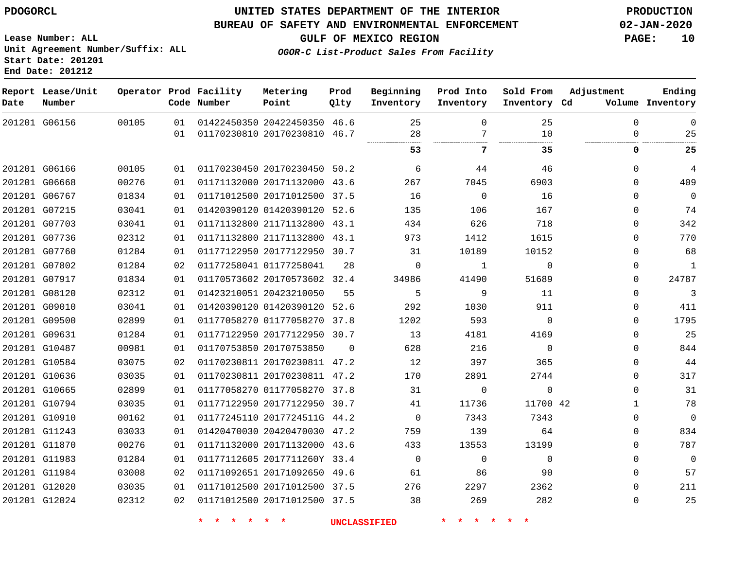### **BUREAU OF SAFETY AND ENVIRONMENTAL ENFORCEMENT 02-JAN-2020**

**Lease Number: ALL Unit Agreement Number/Suffix: ALL Start Date: 201201**

**OGOR-C List-Product Sales From Facility**

**GULF OF MEXICO REGION PAGE: 10**

**End Date: 201212**

| Date | Report Lease/Unit<br>Number |       |    | Operator Prod Facility<br>Code Number | Metering<br>Point            | Prod<br>Qlty | Beginning<br>Inventory | Prod Into<br>Inventory | Sold From<br>Inventory Cd | Adjustment   | Ending<br>Volume Inventory |
|------|-----------------------------|-------|----|---------------------------------------|------------------------------|--------------|------------------------|------------------------|---------------------------|--------------|----------------------------|
|      | 201201 G06156               | 00105 | 01 |                                       | 01422450350 20422450350 46.6 |              | 25                     | $\Omega$               | 25                        | $\Omega$     | $\mathbf 0$                |
|      |                             |       | 01 |                                       | 01170230810 20170230810 46.7 |              | 28                     | 7                      | 10                        | $\Omega$     | 25                         |
|      |                             |       |    |                                       |                              |              | 53                     | 7                      | 35.                       | 0            | 25                         |
|      | 201201 G06166               | 00105 | 01 |                                       | 01170230450 20170230450 50.2 |              | 6                      | 44                     | 46                        | $\Omega$     | $\overline{4}$             |
|      | 201201 G06668               | 00276 | 01 |                                       | 01171132000 20171132000 43.6 |              | 267                    | 7045                   | 6903                      | $\Omega$     | 409                        |
|      | 201201 G06767               | 01834 | 01 |                                       | 01171012500 20171012500 37.5 |              | 16                     | $\mathbf 0$            | 16                        | $\Omega$     | $\mathbb O$                |
|      | 201201 G07215               | 03041 | 01 |                                       | 01420390120 01420390120 52.6 |              | 135                    | 106                    | 167                       | 0            | 74                         |
|      | 201201 G07703               | 03041 | 01 |                                       | 01171132800 21171132800 43.1 |              | 434                    | 626                    | 718                       | $\mathbf{0}$ | 342                        |
|      | 201201 G07736               | 02312 | 01 |                                       | 01171132800 21171132800 43.1 |              | 973                    | 1412                   | 1615                      | 0            | 770                        |
|      | 201201 G07760               | 01284 | 01 |                                       | 01177122950 20177122950 30.7 |              | 31                     | 10189                  | 10152                     | $\mathbf{0}$ | 68                         |
|      | 201201 G07802               | 01284 | 02 |                                       | 01177258041 01177258041      | 28           | $\mathbf 0$            | $\mathbf{1}$           | $\mathbf 0$               | 0            | $\mathbf{1}$               |
|      | 201201 G07917               | 01834 | 01 |                                       | 01170573602 20170573602 32.4 |              | 34986                  | 41490                  | 51689                     | $\Omega$     | 24787                      |
|      | 201201 G08120               | 02312 | 01 |                                       | 01423210051 20423210050      | 55           | 5                      | 9                      | 11                        | $\Omega$     | 3                          |
|      | 201201 G09010               | 03041 | 01 |                                       | 01420390120 01420390120 52.6 |              | 292                    | 1030                   | 911                       | $\mathbf{0}$ | 411                        |
|      | 201201 G09500               | 02899 | 01 |                                       | 01177058270 01177058270 37.8 |              | 1202                   | 593                    | $\mathbf 0$               | $\Omega$     | 1795                       |
|      | 201201 G09631               | 01284 | 01 |                                       | 01177122950 20177122950 30.7 |              | 13                     | 4181                   | 4169                      | $\Omega$     | 25                         |
|      | 201201 G10487               | 00981 | 01 |                                       | 01170753850 20170753850      | $\Omega$     | 628                    | 216                    | $\mathbf 0$               | $\Omega$     | 844                        |
|      | 201201 G10584               | 03075 | 02 |                                       | 01170230811 20170230811 47.2 |              | 12                     | 397                    | 365                       | $\Omega$     | 44                         |
|      | 201201 G10636               | 03035 | 01 |                                       | 01170230811 20170230811 47.2 |              | 170                    | 2891                   | 2744                      | 0            | 317                        |
|      | 201201 G10665               | 02899 | 01 |                                       | 01177058270 01177058270 37.8 |              | 31                     | $\Omega$               | $\Omega$                  | $\Omega$     | 31                         |
|      | 201201 G10794               | 03035 | 01 |                                       | 01177122950 20177122950 30.7 |              | 41                     | 11736                  | 11700 42                  | $\mathbf{1}$ | 78                         |
|      | 201201 G10910               | 00162 | 01 |                                       | 01177245110 2017724511G 44.2 |              | $\Omega$               | 7343                   | 7343                      | $\Omega$     | $\mathbf 0$                |
|      | 201201 G11243               | 03033 | 01 |                                       | 01420470030 20420470030 47.2 |              | 759                    | 139                    | 64                        | 0            | 834                        |
|      | 201201 G11870               | 00276 | 01 |                                       | 01171132000 20171132000 43.6 |              | 433                    | 13553                  | 13199                     | $\Omega$     | 787                        |
|      | 201201 G11983               | 01284 | 01 |                                       | 01177112605 2017711260Y 33.4 |              | $\mathbf 0$            | $\Omega$               | $\Omega$                  | $\Omega$     | $\mathbf 0$                |
|      | 201201 G11984               | 03008 | 02 |                                       | 01171092651 20171092650 49.6 |              | 61                     | 86                     | 90                        | $\Omega$     | 57                         |
|      | 201201 G12020               | 03035 | 01 |                                       | 01171012500 20171012500 37.5 |              | 276                    | 2297                   | 2362                      | $\Omega$     | 211                        |
|      | 201201 G12024               | 02312 | 02 |                                       | 01171012500 20171012500 37.5 |              | 38                     | 269                    | 282                       | $\Omega$     | 25                         |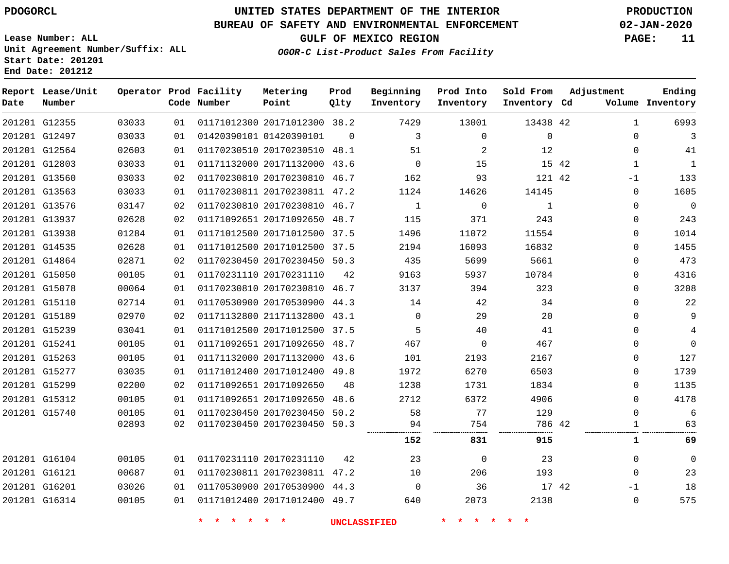**Start Date: 201201 End Date: 201212**

# **UNITED STATES DEPARTMENT OF THE INTERIOR PDOGORCL PRODUCTION**

### **BUREAU OF SAFETY AND ENVIRONMENTAL ENFORCEMENT 02-JAN-2020**

**Lease Number: ALL Unit Agreement Number/Suffix: ALL**

**GULF OF MEXICO REGION PAGE: 11**

**OGOR-C List-Product Sales From Facility**

| Date | Report Lease/Unit<br>Number |       |    | Operator Prod Facility<br>Code Number | Metering<br>Point            | Prod<br>Qlty | Beginning<br>Inventory | Prod Into<br>Inventory | Sold From<br>Inventory Cd | Adjustment   | Ending<br>Volume Inventory |
|------|-----------------------------|-------|----|---------------------------------------|------------------------------|--------------|------------------------|------------------------|---------------------------|--------------|----------------------------|
|      | 201201 G12355               | 03033 | 01 |                                       | 01171012300 20171012300 38.2 |              | 7429                   | 13001                  | 13438 42                  | $\mathbf{1}$ | 6993                       |
|      | 201201 G12497               | 03033 | 01 |                                       | 01420390101 01420390101      | $\Omega$     | 3                      | $\mathbf 0$            | $\mathbf{0}$              | $\Omega$     | 3                          |
|      | 201201 G12564               | 02603 | 01 |                                       | 01170230510 20170230510 48.1 |              | 51                     | 2                      | 12                        | $\Omega$     | 41                         |
|      | 201201 G12803               | 03033 | 01 |                                       | 01171132000 20171132000 43.6 |              | $\overline{0}$         | 15                     | 15 42                     | 1            | $\mathbf{1}$               |
|      | 201201 G13560               | 03033 | 02 |                                       | 01170230810 20170230810 46.7 |              | 162                    | 93                     | 121 42                    | -1           | 133                        |
|      | 201201 G13563               | 03033 | 01 |                                       | 01170230811 20170230811 47.2 |              | 1124                   | 14626                  | 14145                     | 0            | 1605                       |
|      | 201201 G13576               | 03147 | 02 |                                       | 01170230810 20170230810 46.7 |              | $\mathbf{1}$           | $\mathbf 0$            | $\mathbf{1}$              | $\Omega$     | $\mathbf 0$                |
|      | 201201 G13937               | 02628 | 02 |                                       | 01171092651 20171092650 48.7 |              | 115                    | 371                    | 243                       | $\Omega$     | 243                        |
|      | 201201 G13938               | 01284 | 01 |                                       | 01171012500 20171012500 37.5 |              | 1496                   | 11072                  | 11554                     | 0            | 1014                       |
|      | 201201 G14535               | 02628 | 01 |                                       | 01171012500 20171012500 37.5 |              | 2194                   | 16093                  | 16832                     | $\Omega$     | 1455                       |
|      | 201201 G14864               | 02871 | 02 |                                       | 01170230450 20170230450 50.3 |              | 435                    | 5699                   | 5661                      | 0            | 473                        |
|      | 201201 G15050               | 00105 | 01 |                                       | 01170231110 20170231110      | 42           | 9163                   | 5937                   | 10784                     | $\Omega$     | 4316                       |
|      | 201201 G15078               | 00064 | 01 |                                       | 01170230810 20170230810 46.7 |              | 3137                   | 394                    | 323                       | $\Omega$     | 3208                       |
|      | 201201 G15110               | 02714 | 01 |                                       | 01170530900 20170530900 44.3 |              | 14                     | 42                     | 34                        | $\Omega$     | 22                         |
|      | 201201 G15189               | 02970 | 02 |                                       | 01171132800 21171132800 43.1 |              | $\Omega$               | 29                     | 20                        | $\Omega$     | 9                          |
|      | 201201 G15239               | 03041 | 01 |                                       | 01171012500 20171012500 37.5 |              | 5                      | 40                     | 41                        | 0            | 4                          |
|      | 201201 G15241               | 00105 | 01 |                                       | 01171092651 20171092650 48.7 |              | 467                    | $\mathbf 0$            | 467                       | $\Omega$     | $\overline{0}$             |
|      | 201201 G15263               | 00105 | 01 |                                       | 01171132000 20171132000 43.6 |              | 101                    | 2193                   | 2167                      | $\Omega$     | 127                        |
|      | 201201 G15277               | 03035 | 01 |                                       | 01171012400 20171012400 49.8 |              | 1972                   | 6270                   | 6503                      | 0            | 1739                       |
|      | 201201 G15299               | 02200 | 02 |                                       | 01171092651 20171092650      | 48           | 1238                   | 1731                   | 1834                      | $\Omega$     | 1135                       |
|      | 201201 G15312               | 00105 | 01 |                                       | 01171092651 20171092650      | 48.6         | 2712                   | 6372                   | 4906                      | $\Omega$     | 4178                       |
|      | 201201 G15740               | 00105 | 01 |                                       | 01170230450 20170230450      | 50.2         | 58                     | 77                     | 129                       | $\Omega$     | 6                          |
|      |                             | 02893 | 02 |                                       | 01170230450 20170230450 50.3 |              | 94                     | 754                    | 786 42                    | 1            | 63                         |
|      |                             |       |    |                                       |                              |              | 152                    | 831                    | 915                       | 1            | 69                         |
|      | 201201 G16104               | 00105 | 01 |                                       | 01170231110 20170231110      | 42           | 23                     | 0                      | 23                        | $\Omega$     | $\mathbf 0$                |
|      | 201201 G16121               | 00687 | 01 |                                       | 01170230811 20170230811 47.2 |              | 10                     | 206                    | 193                       | $\mathbf 0$  | 23                         |
|      | 201201 G16201               | 03026 | 01 |                                       | 01170530900 20170530900 44.3 |              | $\Omega$               | 36                     | 17 42                     | -1           | 18                         |
|      | 201201 G16314               | 00105 | 01 |                                       | 01171012400 20171012400 49.7 |              | 640                    | 2073                   | 2138                      | $\mathbf 0$  | 575                        |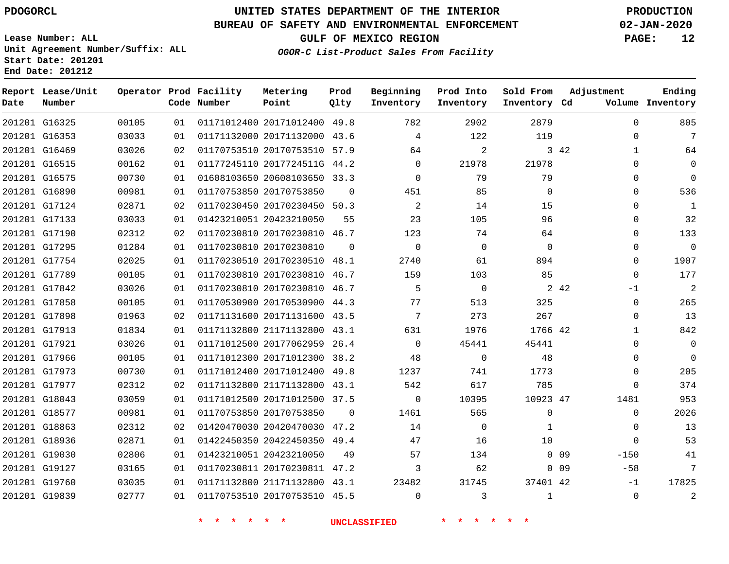**Date**

## **UNITED STATES DEPARTMENT OF THE INTERIOR PDOGORCL PRODUCTION**

#### **BUREAU OF SAFETY AND ENVIRONMENTAL ENFORCEMENT 02-JAN-2020**

**Lease Number: ALL Unit Agreement Number/Suffix: ALL Start Date: 201201**

**Operator Prod Facility**

**Code Number**

**End Date: 201212**

**Report Lease/Unit**

**Number**

**GULF OF MEXICO REGION PAGE: 12**

**Prod Qlty**

**OGOR-C List-Product Sales From Facility**

**Beginning Inventory**

**Prod Into Inventory**

**Sold From Inventory**

**Inventory Cd Volume**

**Adjustment**

  $\Omega$  $\Omega$  $\Omega$  $\Omega$  $\Omega$   $\Omega$   $\Omega$ -1  $\overline{0}$  $\Omega$   $\Omega$  $\Omega$  $\Omega$  $\Omega$ 

**Ending**

|               | 201201 G16325 | 00105 | 01 | 01171012400 20171012400 49.8 |             | 782            | 2902           | 2879         |                 | $\Omega$       |
|---------------|---------------|-------|----|------------------------------|-------------|----------------|----------------|--------------|-----------------|----------------|
|               | 201201 G16353 | 03033 | 01 | 01171132000 20171132000 43.6 |             | $\overline{4}$ | 122            | 119          |                 | $\Omega$       |
|               | 201201 G16469 | 03026 | 02 | 01170753510 20170753510 57.9 |             | 64             | 2              |              | 3 4 2           | 1              |
|               | 201201 G16515 | 00162 | 01 | 01177245110 2017724511G 44.2 |             | $\Omega$       | 21978          | 21978        |                 | $\mathbf 0$    |
|               | 201201 G16575 | 00730 | 01 | 01608103650 20608103650 33.3 |             | $\Omega$       | 79             | 79           |                 | 0              |
|               | 201201 G16890 | 00981 | 01 | 01170753850 20170753850      | $\Omega$    | 451            | 85             | $\mathbf{0}$ |                 | 0              |
|               | 201201 G17124 | 02871 | 02 | 01170230450 20170230450 50.3 |             | 2              | 14             | 15           |                 | 0              |
|               | 201201 G17133 | 03033 | 01 | 01423210051 20423210050      | 55          | 23             | 105            | 96           |                 | 0              |
|               | 201201 G17190 | 02312 | 02 | 01170230810 20170230810 46.7 |             | 123            | 74             | 64           |                 | 0              |
|               | 201201 G17295 | 01284 | 01 | 01170230810 20170230810      | $\mathbf 0$ | $\overline{0}$ | $\mathbf{0}$   | $\mathbf 0$  |                 | 0              |
|               | 201201 G17754 | 02025 | 01 | 01170230510 20170230510 48.1 |             | 2740           | 61             | 894          |                 | 0              |
|               | 201201 G17789 | 00105 | 01 | 01170230810 20170230810 46.7 |             | 159            | 103            | 85           |                 | $\mathbf 0$    |
|               | 201201 G17842 | 03026 | 01 | 01170230810 20170230810 46.7 |             | 5              | $\overline{0}$ |              | 2 4 2           | $-1$           |
| 201201 G17858 |               | 00105 | 01 | 01170530900 20170530900 44.3 |             | 77             | 513            | 325          |                 | $\mathbf 0$    |
|               | 201201 G17898 | 01963 | 02 | 01171131600 20171131600 43.5 |             | 7              | 273            | 267          |                 | $\mathbf 0$    |
|               | 201201 G17913 | 01834 | 01 | 01171132800 21171132800 43.1 |             | 631            | 1976           | 1766 42      |                 | 1              |
| 201201 G17921 |               | 03026 | 01 | 01171012500 20177062959 26.4 |             | $\Omega$       | 45441          | 45441        |                 | $\mathbf 0$    |
|               | 201201 G17966 | 00105 | 01 | 01171012300 20171012300 38.2 |             | 48             | $\Omega$       | 48           |                 | 0              |
|               | 201201 G17973 | 00730 | 01 | 01171012400 20171012400 49.8 |             | 1237           | 741            | 1773         |                 | $\mathbf 0$    |
| 201201 G17977 |               | 02312 | 02 | 01171132800 21171132800 43.1 |             | 542            | 617            | 785          |                 | $\Omega$       |
|               | 201201 G18043 | 03059 | 01 | 01171012500 20171012500 37.5 |             | $\overline{0}$ | 10395          | 10923 47     |                 | 1481           |
|               | 201201 G18577 | 00981 | 01 | 01170753850 20170753850      | $\Omega$    | 1461           | 565            | $\mathbf 0$  |                 | $\overline{0}$ |
| 201201 G18863 |               | 02312 | 02 | 01420470030 20420470030 47.2 |             | 14             | $\Omega$       | 1            |                 | 0              |
|               | 201201 G18936 | 02871 | 01 | 01422450350 20422450350 49.4 |             | 47             | 16             | 10           |                 | $\overline{0}$ |
|               | 201201 G19030 | 02806 | 01 | 01423210051 20423210050      | 49          | 57             | 134            |              | $0$ 09          | $-150$         |
|               | 201201 G19127 | 03165 | 01 | 01170230811 20170230811 47.2 |             | 3              | 62             |              | 0 <sub>09</sub> | $-58$          |
|               | 201201 G19760 | 03035 | 01 | 01171132800 21171132800 43.1 |             | 23482          | 31745          | 37401 42     |                 | $-1$           |
|               | 201201 G19839 | 02777 | 01 | 01170753510 20170753510 45.5 |             | $\Omega$       | 3              | $\mathbf{1}$ |                 | $\overline{0}$ |

**Metering Point**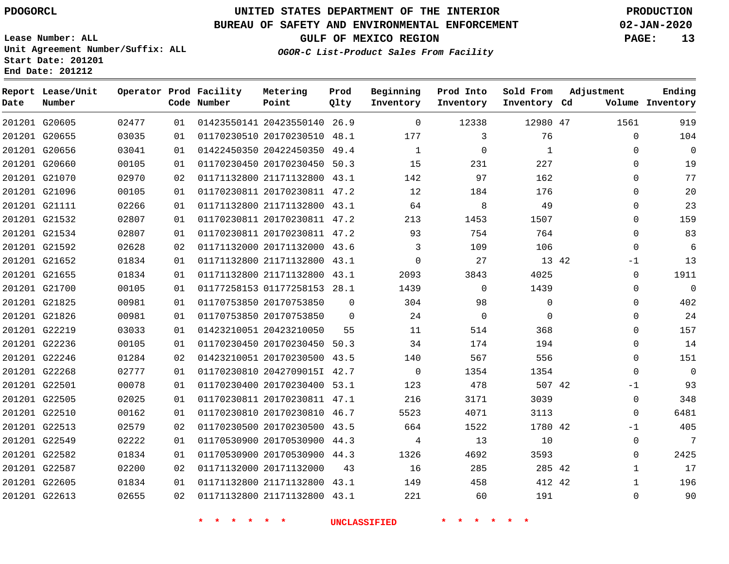G20605 G20655 G20656 G20660

**Date**

**Report Lease/Unit**

**Number**

# **UNITED STATES DEPARTMENT OF THE INTERIOR PDOGORCL PRODUCTION**

**Prod Qlty**

### **BUREAU OF SAFETY AND ENVIRONMENTAL ENFORCEMENT 02-JAN-2020**

**Lease Number: ALL Unit Agreement Number/Suffix: ALL Start Date: 201201 End Date: 201212**

**Operator Prod Facility**

**Code Number**

 20423550140 26.9 20170230510 48.1 20422450350 49.4 20170230450 50.3

**Metering Point**

**GULF OF MEXICO REGION PAGE: 13**

**Inventory Cd Volume**

**Adjustment**

  $\Omega$  $\Omega$   $\Omega$  $\Omega$  $\Omega$  $\Omega$  -1  $\Omega$  $\overline{0}$   $\Omega$  $\overline{0}$  $\Omega$  $\Omega$  $\Omega$  $-1$  -1  $\Omega$ 

**Ending**

47

**Sold From Inventory**

> 

 

|               |       |                 |  | <b>水</b>                     |          | <b>UNCLASSIFIED</b> |                |                |
|---------------|-------|-----------------|--|------------------------------|----------|---------------------|----------------|----------------|
| 201201 G22613 | 02655 | 02 <sub>o</sub> |  | 01171132800 21171132800 43.1 |          | 221                 | 60             | 191            |
| 201201 G22605 | 01834 | 01              |  | 01171132800 21171132800 43.1 |          | 149                 | 458            | 412            |
| 201201 G22587 | 02200 | 02              |  | 01171132000 20171132000 43   |          | 16                  | 285            | 285            |
| 201201 G22582 | 01834 | 01              |  | 01170530900 20170530900 44.3 |          | 1326                | 4692           | 3593           |
| 201201 G22549 | 02222 | 01              |  | 01170530900 20170530900 44.3 |          | 4                   | 13             | 10             |
| 201201 G22513 | 02579 | 02              |  | 01170230500 20170230500 43.5 |          | 664                 | 1522           | 1780           |
| 201201 G22510 | 00162 | 01              |  | 01170230810 20170230810 46.7 |          | 5523                | 4071           | 3113           |
| 201201 G22505 | 02025 | 01              |  | 01170230811 20170230811 47.1 |          | 216                 | 3171           | 3039           |
| 201201 G22501 | 00078 | 01              |  | 01170230400 20170230400 53.1 |          | 123                 | 478            | 507            |
| 201201 G22268 | 02777 | 01              |  | 01170230810 2042709015I 42.7 |          | $\overline{0}$      | 1354           | 1354           |
| 201201 G22246 | 01284 | 02              |  | 01423210051 20170230500 43.5 |          | 140                 | 567            | 556            |
| 201201 G22236 | 00105 | 01              |  | 01170230450 20170230450 50.3 |          | 34                  | 174            | 194            |
| 201201 G22219 | 03033 | 01              |  | 01423210051 20423210050      | 55       | 11                  | 514            | 368            |
| 201201 G21826 | 00981 | 01              |  | 01170753850 20170753850      | $\Omega$ | 24                  | $\overline{0}$ | $\overline{0}$ |
| 201201 G21825 | 00981 | 01              |  | 01170753850 20170753850      | $\Omega$ | 304                 | 98             | $\overline{0}$ |
| 201201 G21700 | 00105 | 01              |  | 01177258153 01177258153 28.1 |          | 1439                | $\overline{0}$ | 1439           |
| 201201 G21655 | 01834 | 01              |  | 01171132800 21171132800 43.1 |          | 2093                | 3843           | 4025           |
| 201201 G21652 | 01834 | 01              |  | 01171132800 21171132800 43.1 |          | $\Omega$            | 27             | 13             |
| 201201 G21592 | 02628 | 02              |  | 01171132000 20171132000 43.6 |          | $\mathsf{3}$        | 109            | 106            |
| 201201 G21534 | 02807 | 01              |  | 01170230811 20170230811 47.2 |          | 93                  | 754            | 764            |
| 201201 G21532 | 02807 | 01              |  | 01170230811 20170230811 47.2 |          | 213                 | 1453           | 1507           |
| 201201 G21111 | 02266 | 01              |  | 01171132800 21171132800 43.1 |          | 64                  | 8              | 49             |
| 201201 G21096 | 00105 | 01              |  | 01170230811 20170230811 47.2 |          | 12                  | 184            | 176            |
| 201201 G21070 | 02970 | 02              |  | 01171132800 21171132800 43.1 |          | 142                 | 97             | 162            |

### **OGOR-C List-Product Sales From Facility**

**Beginning Inventory**

**Prod Into Inventory**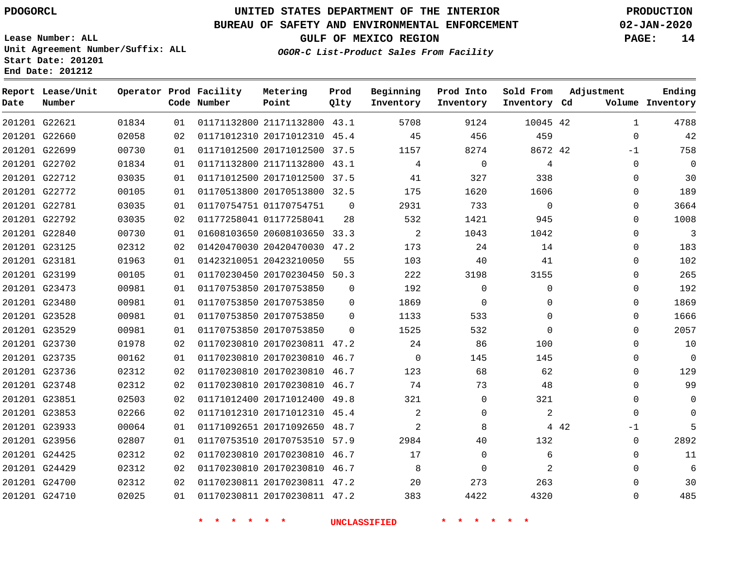#### **BUREAU OF SAFETY AND ENVIRONMENTAL ENFORCEMENT 02-JAN-2020**

**Lease Number: ALL Unit Agreement Number/Suffix: ALL Start Date: 201201 End Date: 201212**

**OGOR-C List-Product Sales From Facility**

**GULF OF MEXICO REGION PAGE: 14**

**Metering Prod Beginning Prod Into**

| Date | Report Lease/Unit<br>Number |       |    | Operator Prod Facility<br>Code Number | Metering<br>Point            | Prod<br>Qlty | Beginning<br>Inventory | Prod Into<br>Inventory | Sold From<br>Inventory Cd | Adjustment    | Ending<br>Volume Inventory |
|------|-----------------------------|-------|----|---------------------------------------|------------------------------|--------------|------------------------|------------------------|---------------------------|---------------|----------------------------|
|      | 201201 G22621               | 01834 | 01 |                                       | 01171132800 21171132800 43.1 |              | 5708                   | 9124                   | 10045 42                  | $\mathbf{1}$  | 4788                       |
|      | 201201 G22660               | 02058 | 02 |                                       | 01171012310 20171012310 45.4 |              | 45                     | 456                    | 459                       | $\Omega$      | 42                         |
|      | 201201 G22699               | 00730 | 01 |                                       | 01171012500 20171012500 37.5 |              | 1157                   | 8274                   | 8672 42                   | $-1$          | 758                        |
|      | 201201 G22702               | 01834 | 01 |                                       | 01171132800 21171132800 43.1 |              | 4                      | $\mathbf 0$            | 4                         | $\mathbf 0$   | $\mathbf 0$                |
|      | 201201 G22712               | 03035 | 01 |                                       | 01171012500 20171012500 37.5 |              | 41                     | 327                    | 338                       | $\Omega$      | 30                         |
|      | 201201 G22772               | 00105 | 01 |                                       | 01170513800 20170513800 32.5 |              | 175                    | 1620                   | 1606                      | $\Omega$      | 189                        |
|      | 201201 G22781               | 03035 | 01 |                                       | 01170754751 01170754751      | $\Omega$     | 2931                   | 733                    | $\Omega$                  | $\Omega$      | 3664                       |
|      | 201201 G22792               | 03035 | 02 |                                       | 01177258041 01177258041      | 28           | 532                    | 1421                   | 945                       | $\Omega$      | 1008                       |
|      | 201201 G22840               | 00730 | 01 |                                       | 01608103650 20608103650 33.3 |              | 2                      | 1043                   | 1042                      | $\mathbf 0$   | 3                          |
|      | 201201 G23125               | 02312 | 02 |                                       | 01420470030 20420470030 47.2 |              | 173                    | 24                     | 14                        | $\mathbf 0$   | 183                        |
|      | 201201 G23181               | 01963 | 01 |                                       | 01423210051 20423210050      | 55           | 103                    | 40                     | 41                        | $\mathbf 0$   | 102                        |
|      | 201201 G23199               | 00105 | 01 |                                       | 01170230450 20170230450 50.3 |              | 222                    | 3198                   | 3155                      | $\mathbf 0$   | 265                        |
|      | 201201 G23473               | 00981 | 01 |                                       | 01170753850 20170753850      | $\Omega$     | 192                    | $\Omega$               | $\Omega$                  | $\Omega$      | 192                        |
|      | 201201 G23480               | 00981 | 01 |                                       | 01170753850 20170753850      | 0            | 1869                   | 0                      | $\Omega$                  | $\mathbf{0}$  | 1869                       |
|      | 201201 G23528               | 00981 | 01 |                                       | 01170753850 20170753850      | $\Omega$     | 1133                   | 533                    | $\Omega$                  | $\mathbf 0$   | 1666                       |
|      | 201201 G23529               | 00981 | 01 |                                       | 01170753850 20170753850      | $\Omega$     | 1525                   | 532                    | $\Omega$                  | $\mathbf 0$   | 2057                       |
|      | 201201 G23730               | 01978 | 02 |                                       | 01170230810 20170230811 47.2 |              | 24                     | 86                     | 100                       | $\Omega$      | 10                         |
|      | 201201 G23735               | 00162 | 01 |                                       | 01170230810 20170230810 46.7 |              | $\Omega$               | 145                    | 145                       | $\Omega$      | $\mathbf 0$                |
|      | 201201 G23736               | 02312 | 02 |                                       | 01170230810 20170230810 46.7 |              | 123                    | 68                     | 62                        | $\mathbf 0$   | 129                        |
|      | 201201 G23748               | 02312 | 02 |                                       | 01170230810 20170230810 46.7 |              | 74                     | 73                     | 48                        | $\mathbf 0$   | 99                         |
|      | 201201 G23851               | 02503 | 02 |                                       | 01171012400 20171012400 49.8 |              | 321                    | 0                      | 321                       | $\mathbf 0$   | $\mathbf 0$                |
|      | 201201 G23853               | 02266 | 02 |                                       | 01171012310 20171012310 45.4 |              | $\overline{2}$         | $\Omega$               | 2                         | $\Omega$      | $\mathbf 0$                |
|      | 201201 G23933               | 00064 | 01 |                                       | 01171092651 20171092650 48.7 |              | $\overline{2}$         | 8                      |                           | 4 4 2<br>$-1$ | 5                          |
|      | 201201 G23956               | 02807 | 01 |                                       | 01170753510 20170753510 57.9 |              | 2984                   | 40                     | 132                       | $\mathbf 0$   | 2892                       |
|      | 201201 G24425               | 02312 | 02 |                                       | 01170230810 20170230810 46.7 |              | 17                     | 0                      | 6                         | $\mathbf 0$   | 11                         |
|      | 201201 G24429               | 02312 | 02 |                                       | 01170230810 20170230810 46.7 |              | 8                      | $\Omega$               | 2                         | $\Omega$      | 6                          |
|      | 201201 G24700               | 02312 | 02 |                                       | 01170230811 20170230811 47.2 |              | 20                     | 273                    | 263                       | $\Omega$      | 30                         |
|      | 201201 G24710               | 02025 | 01 |                                       | 01170230811 20170230811 47.2 |              | 383                    | 4422                   | 4320                      | $\Omega$      | 485                        |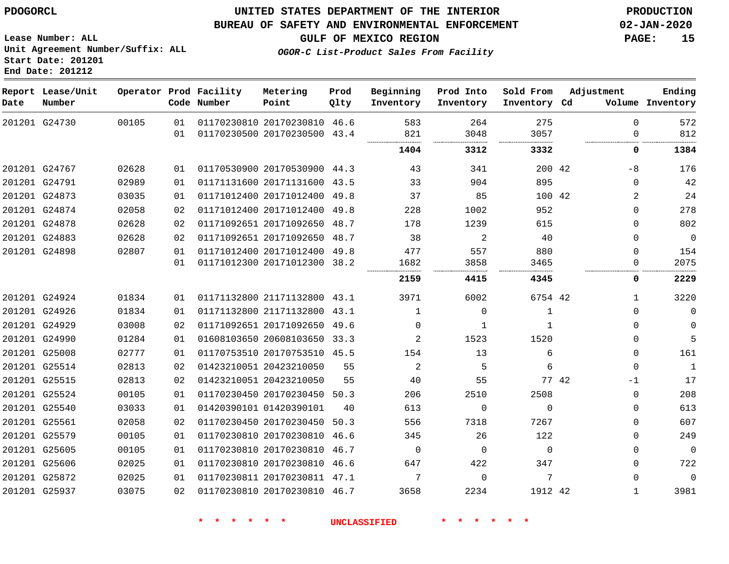### **BUREAU OF SAFETY AND ENVIRONMENTAL ENFORCEMENT 02-JAN-2020**

**OGOR-C List-Product Sales From Facility**

**GULF OF MEXICO REGION PAGE: 15**

**Lease Number: ALL Unit Agreement Number/Suffix: ALL Start Date: 201201 End Date: 201212**

| Report Lease/Unit<br>Number |       |          | Metering<br>Point                     | Prod<br>Qlty                                                                  | Beginning<br>Inventory                                                                                                                                                                                                                                                                                                                                                                                                                                                                                                                                                                                                                                                                                             | Prod Into<br>Inventory | Sold From   | Adjustment    | Ending<br>Volume Inventory                                      |
|-----------------------------|-------|----------|---------------------------------------|-------------------------------------------------------------------------------|--------------------------------------------------------------------------------------------------------------------------------------------------------------------------------------------------------------------------------------------------------------------------------------------------------------------------------------------------------------------------------------------------------------------------------------------------------------------------------------------------------------------------------------------------------------------------------------------------------------------------------------------------------------------------------------------------------------------|------------------------|-------------|---------------|-----------------------------------------------------------------|
| 201201 G24730               | 00105 | 01<br>01 |                                       |                                                                               | 583<br>821                                                                                                                                                                                                                                                                                                                                                                                                                                                                                                                                                                                                                                                                                                         | 264<br>3048            | 275<br>3057 | $\Omega$<br>0 | 572<br>812                                                      |
|                             |       |          |                                       |                                                                               | 1404                                                                                                                                                                                                                                                                                                                                                                                                                                                                                                                                                                                                                                                                                                               | 3312                   | 3332        | 0             | 1384                                                            |
| 201201 G24767               | 02628 | 01       |                                       |                                                                               | 43                                                                                                                                                                                                                                                                                                                                                                                                                                                                                                                                                                                                                                                                                                                 | 341                    |             | -8            | 176                                                             |
| 201201 G24791               | 02989 | 01       |                                       |                                                                               | 33                                                                                                                                                                                                                                                                                                                                                                                                                                                                                                                                                                                                                                                                                                                 | 904                    | 895         | $\Omega$      | 42                                                              |
| 201201 G24873               | 03035 | 01       |                                       |                                                                               | 37                                                                                                                                                                                                                                                                                                                                                                                                                                                                                                                                                                                                                                                                                                                 | 85                     |             | 2             | 24                                                              |
| 201201 G24874               | 02058 | 02       |                                       |                                                                               | 228                                                                                                                                                                                                                                                                                                                                                                                                                                                                                                                                                                                                                                                                                                                | 1002                   | 952         | 0             | 278                                                             |
| 201201 G24878               | 02628 | 02       |                                       |                                                                               | 178                                                                                                                                                                                                                                                                                                                                                                                                                                                                                                                                                                                                                                                                                                                | 1239                   | 615         | 0             | 802                                                             |
| 201201 G24883               | 02628 | 02       |                                       |                                                                               | 38                                                                                                                                                                                                                                                                                                                                                                                                                                                                                                                                                                                                                                                                                                                 | 2                      | 40          | 0             | $\mathbf 0$                                                     |
| 201201 G24898               | 02807 | 01       |                                       |                                                                               | 477                                                                                                                                                                                                                                                                                                                                                                                                                                                                                                                                                                                                                                                                                                                | 557                    | 880         | 0             | 154                                                             |
|                             |       | 01       |                                       |                                                                               | 1682                                                                                                                                                                                                                                                                                                                                                                                                                                                                                                                                                                                                                                                                                                               | 3858                   | 3465        | 0             | 2075                                                            |
|                             |       |          |                                       |                                                                               | 2159                                                                                                                                                                                                                                                                                                                                                                                                                                                                                                                                                                                                                                                                                                               | 4415                   | 4345        | 0             | 2229                                                            |
| 201201 G24924               | 01834 | 01       |                                       |                                                                               | 3971                                                                                                                                                                                                                                                                                                                                                                                                                                                                                                                                                                                                                                                                                                               | 6002                   |             | $\mathbf{1}$  | 3220                                                            |
| 201201 G24926               | 01834 | 01       |                                       |                                                                               | $\mathbf 1$                                                                                                                                                                                                                                                                                                                                                                                                                                                                                                                                                                                                                                                                                                        | $\mathbf 0$            | 1           | 0             | $\mathbf 0$                                                     |
| 201201 G24929               | 03008 | 02       |                                       |                                                                               | $\Omega$                                                                                                                                                                                                                                                                                                                                                                                                                                                                                                                                                                                                                                                                                                           | 1                      | 1           | $\Omega$      | $\mathbf 0$                                                     |
| 201201 G24990               | 01284 | 01       |                                       |                                                                               | 2                                                                                                                                                                                                                                                                                                                                                                                                                                                                                                                                                                                                                                                                                                                  | 1523                   | 1520        | 0             | 5                                                               |
| 201201 G25008               | 02777 | 01       |                                       |                                                                               | 154                                                                                                                                                                                                                                                                                                                                                                                                                                                                                                                                                                                                                                                                                                                | 13                     | 6           | $\Omega$      | 161                                                             |
| 201201 G25514               | 02813 | 02       |                                       | 55                                                                            | $\overline{2}$                                                                                                                                                                                                                                                                                                                                                                                                                                                                                                                                                                                                                                                                                                     | 5                      | 6           | $\Omega$      | $\mathbf{1}$                                                    |
| 201201 G25515               | 02813 | 02       |                                       | 55                                                                            | 40                                                                                                                                                                                                                                                                                                                                                                                                                                                                                                                                                                                                                                                                                                                 | 55                     |             | $-1$          | 17                                                              |
| 201201 G25524               | 00105 | 01       |                                       | 50.3                                                                          | 206                                                                                                                                                                                                                                                                                                                                                                                                                                                                                                                                                                                                                                                                                                                | 2510                   | 2508        | $\mathbf{0}$  | 208                                                             |
| 201201 G25540               | 03033 | 01       |                                       | 40                                                                            | 613                                                                                                                                                                                                                                                                                                                                                                                                                                                                                                                                                                                                                                                                                                                | $\Omega$               | $\Omega$    | $\Omega$      | 613                                                             |
| 201201 G25561               | 02058 | 02       |                                       |                                                                               | 556                                                                                                                                                                                                                                                                                                                                                                                                                                                                                                                                                                                                                                                                                                                | 7318                   | 7267        | $\Omega$      | 607                                                             |
| 201201 G25579               | 00105 | 01       |                                       |                                                                               | 345                                                                                                                                                                                                                                                                                                                                                                                                                                                                                                                                                                                                                                                                                                                | 26                     | 122         | $\Omega$      | 249                                                             |
| 201201 G25605               | 00105 | 01       |                                       | 46.7                                                                          | $\mathbf 0$                                                                                                                                                                                                                                                                                                                                                                                                                                                                                                                                                                                                                                                                                                        | $\mathbf 0$            | $\mathbf 0$ | 0             | $\mathbf 0$                                                     |
| 201201 G25606               | 02025 | 01       |                                       |                                                                               | 647                                                                                                                                                                                                                                                                                                                                                                                                                                                                                                                                                                                                                                                                                                                | 422                    | 347         | $\Omega$      | 722                                                             |
| 201201 G25872               | 02025 | 01       |                                       |                                                                               | 7                                                                                                                                                                                                                                                                                                                                                                                                                                                                                                                                                                                                                                                                                                                  | $\Omega$               | 7           | $\Omega$      | $\Omega$                                                        |
| 201201 G25937               | 03075 | 02       |                                       |                                                                               | 3658                                                                                                                                                                                                                                                                                                                                                                                                                                                                                                                                                                                                                                                                                                               | 2234                   |             | $\mathbf{1}$  | 3981                                                            |
|                             |       |          | Operator Prod Facility<br>Code Number | 01423210051 20423210050<br>01423210051 20423210050<br>01420390101 01420390101 | 01170230810 20170230810 46.6<br>01170230500 20170230500 43.4<br>01170530900 20170530900 44.3<br>01171131600 20171131600 43.5<br>01171012400 20171012400 49.8<br>01171012400 20171012400 49.8<br>01171092651 20171092650 48.7<br>01171092651 20171092650 48.7<br>01171012400 20171012400 49.8<br>01171012300 20171012300 38.2<br>01171132800 21171132800 43.1<br>01171132800 21171132800 43.1<br>01171092651 20171092650 49.6<br>01608103650 20608103650 33.3<br>01170753510 20170753510 45.5<br>01170230450 20170230450<br>01170230450 20170230450 50.3<br>01170230810 20170230810 46.6<br>01170230810 20170230810<br>01170230810 20170230810 46.6<br>01170230811 20170230811 47.1<br>01170230810 20170230810 46.7 |                        | .           |               | Inventory Cd<br>200 42<br>100 42<br>6754 42<br>77 42<br>1912 42 |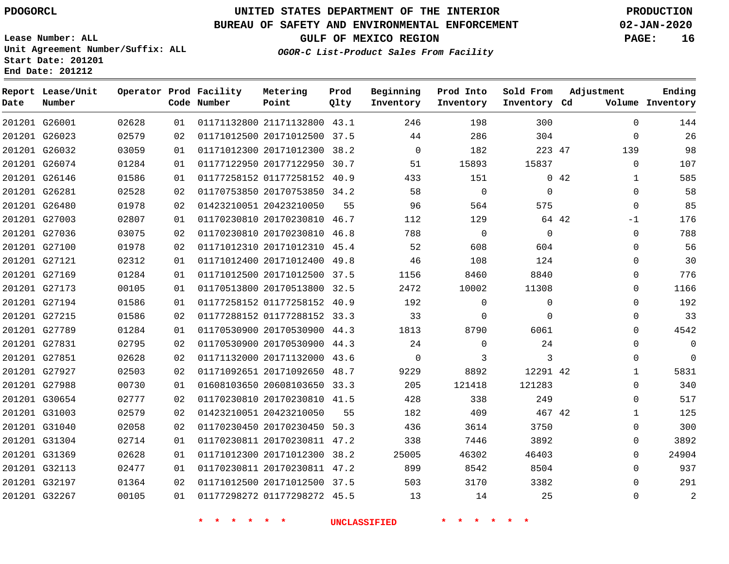**Date**

**Report Lease/Unit**

**Number**

## **UNITED STATES DEPARTMENT OF THE INTERIOR PDOGORCL PRODUCTION**

**Prod Qlty**

#### **BUREAU OF SAFETY AND ENVIRONMENTAL ENFORCEMENT 02-JAN-2020**

**Lease Number: ALL Unit Agreement Number/Suffix: ALL Start Date: 201201 End Date: 201212**

**Operator Prod Facility**

**Code Number**

**OGOR-C List-Product Sales From Facility**

**Beginning Inventory** **Prod Into Inventory** **Sold From Inventory**

**GULF OF MEXICO REGION PAGE: 16**

**Inventory Cd Volume**

**Adjustment**

**Ending**

|                                |                |          | 一天<br>$\star$           | $\rightarrow$<br>一大                                          | <b>UNCLASSIFIED</b> |                | $\star$<br>$\star$<br>$\star$ |              |      |                          |
|--------------------------------|----------------|----------|-------------------------|--------------------------------------------------------------|---------------------|----------------|-------------------------------|--------------|------|--------------------------|
| 201201 G32267                  | 00105          | 01       |                         | 01177298272 01177298272 45.5                                 |                     | 13             | 14                            | 25           |      | $\Omega$                 |
| 201201 G32197                  | 01364          | 02       |                         | 01171012500 20171012500 37.5                                 |                     | 503            | 3170                          | 3382         |      | $\Omega$                 |
| 201201 G32113                  | 02477          | 01       |                         | 01170230811 20170230811 47.2                                 |                     | 899            | 8542                          | 8504         |      | $\Omega$                 |
| 201201 G31369                  | 02628          | 01       |                         | 01171012300 20171012300 38.2                                 |                     | 25005          | 46302                         | 46403        |      | $\mathbf 0$              |
| 201201 G31304                  | 02714          | 01       |                         | 01170230811 20170230811 47.2                                 |                     | 338            | 7446                          | 3892         |      | $\Omega$                 |
| 201201 G31040                  | 02058          | 02       |                         | 01170230450 20170230450 50.3                                 |                     | 436            | 3614                          | 3750         |      | $\Omega$                 |
| 201201 G31003                  | 02579          | 02       |                         | 01423210051 20423210050                                      | 55                  | 182            | 409                           | 467 42       |      | $\mathbf 1$              |
| 201201 G30654                  | 02777          | 02       |                         | 01170230810 20170230810 41.5                                 |                     | 428            | 338                           | 249          |      | $\overline{0}$           |
| 201201 G27988                  | 00730          | 01       |                         | 01608103650 20608103650 33.3                                 |                     | 205            | 121418                        | 121283       |      | $\Omega$                 |
| 201201 G27927                  | 02503          | 02       |                         | 01171092651 20171092650 48.7                                 |                     | 9229           | 8892                          | 12291 42     |      | $\mathbf 1$              |
| 201201 G27851                  | 02628          | 02       |                         | 01171132000 20171132000 43.6                                 |                     | $\overline{0}$ | 3                             | $\mathbf{3}$ |      | $\Omega$                 |
| 201201 G27831                  | 02795          | 02       |                         | 01170530900 20170530900 44.3                                 |                     | 24             | $\Omega$                      | 24           |      | $\Omega$                 |
| 201201 G27789                  | 01284          | 01       |                         | 01170530900 20170530900 44.3                                 |                     | 1813           | 8790                          | 6061         |      | $\Omega$                 |
| 201201 G27215                  | 01586          | 02       |                         | 01177288152 01177288152 33.3                                 |                     | 33             | $\mathbf{0}$                  | $\mathbf 0$  |      | $\Omega$                 |
| 201201 G27194                  | 01586          | 01       |                         | 01177258152 01177258152 40.9                                 |                     | 192            | $\overline{0}$                | $\mathbf 0$  |      | $\Omega$                 |
| 201201 G27173                  | 00105          | 01       |                         | 01170513800 20170513800 32.5                                 |                     | 2472           | 10002                         | 11308        |      | $\mathbf 0$              |
| 201201 G27169                  | 01284          | 01       |                         | 01171012500 20171012500 37.5                                 |                     | 1156           | 8460                          | 8840         |      | $\Omega$                 |
| 201201 G27121                  | 02312          | 01       |                         | 01171012400 20171012400 49.8                                 |                     | 46             | 108                           | 124          |      | $\mathbf 0$              |
| 201201 G27100                  | 01978          | 02       |                         | 01171012310 20171012310 45.4                                 |                     | 52             | 608                           | 604          |      | $\Omega$                 |
| 201201 G27036                  | 03075          | 02       |                         | 01170230810 20170230810 46.8                                 |                     | 788            | $\overline{0}$                | $\mathbf 0$  |      | $\mathbf 0$              |
| 201201 G27003                  | 02807          | 01       |                         | 01170230810 20170230810 46.7                                 |                     | 112            | 129                           | 64 42        |      | $-1$                     |
| 201201 G26480                  | 01978          | 02       | 01423210051 20423210050 |                                                              | 55                  | 96             | 564                           | 575          |      | $\mathbf 0$              |
| 201201 G26146<br>201201 G26281 | 01586<br>02528 | 01<br>02 |                         | 01170753850 20170753850 34.2                                 |                     | 433<br>58      | 151<br>$\overline{0}$         | $\Omega$     |      | $\mathbf{1}$<br>$\Omega$ |
| 201201 G26074                  | 01284          | 01       |                         | 01177122950 20177122950 30.7<br>01177258152 01177258152 40.9 |                     | 51             | 15893                         | 15837        | 0.42 |                          |
| 201201 G26032                  | 03059          | 01       |                         | 01171012300 20171012300 38.2                                 |                     | $\Omega$       | 182                           | 223 47       |      | 139<br>$\Omega$          |
| 201201 G26023                  | 02579          | 02       |                         | 01171012500 20171012500 37.5                                 |                     | 44             | 286                           | 304          |      | $\overline{0}$           |
| 201201 G26001                  | 02628          | 01       |                         | 01171132800 21171132800 43.1                                 |                     | 246            | 198                           | 300          |      | $\mathbf 0$              |
|                                |                |          |                         |                                                              |                     |                |                               |              |      |                          |

**Metering Point**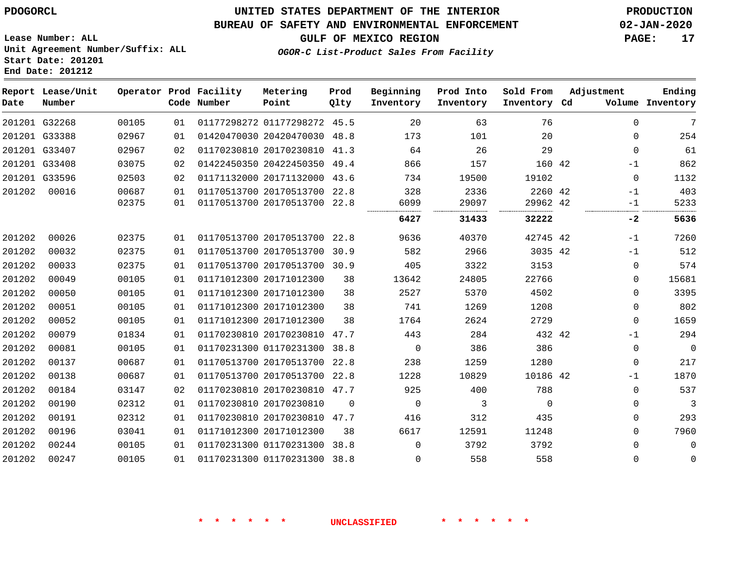G32268 G33388 G33407 G33408 G33596 00016

**Date**

**Report Lease/Unit**

**Number**

## **UNITED STATES DEPARTMENT OF THE INTERIOR PDOGORCL PRODUCTION**

#### **BUREAU OF SAFETY AND ENVIRONMENTAL ENFORCEMENT 02-JAN-2020**

**Lease Number: ALL Unit Agreement Number/Suffix: ALL Start Date: 201201 End Date: 201212**

**OGOR-C List-Product Sales From Facility**

**GULF OF MEXICO REGION PAGE: 17**

|       |    | Operator Prod Facility<br>Code Number | Metering<br>Point       | Prod<br>Qlty | Beginning<br>Inventory | Prod Into<br>Inventory | Sold From<br>Inventory Cd |     | Adjustment<br>Volume | Ending<br>Inventory |
|-------|----|---------------------------------------|-------------------------|--------------|------------------------|------------------------|---------------------------|-----|----------------------|---------------------|
| 00105 | 01 |                                       | 01177298272 01177298272 | 45.5         | 20                     | 63                     | 76                        |     | 0                    | 7                   |
| 02967 | 01 |                                       | 01420470030 20420470030 | 48.8         | 173                    | 101                    | 20                        |     |                      | 254                 |
| 02967 | 02 |                                       | 01170230810 20170230810 | 41.3         | 64                     | 26                     | 29                        |     | O                    | 61                  |
| 03075 | 02 |                                       | 01422450350 20422450350 | 49.4         | 866                    | 157                    | 160 42                    |     | $-1$                 | 862                 |
| 02503 | 02 |                                       | 01171132000 20171132000 | 43.6         | 734                    | 19500                  | 19102                     |     | 0                    | 1132                |
| 00687 | 01 |                                       | 01170513700 20170513700 | 22.8         | 328                    | 2336                   | 2260 42                   |     | $-1$                 | 403                 |
| 02375 | 01 |                                       | 01170513700 20170513700 | 22.8         | 6099                   | 29097                  | 29962 42                  |     | $-1$                 | 5233                |
|       |    |                                       |                         |              | <br>6427               | <br>31433              | <br>32222                 |     | $-2$                 | 5636                |
| 02375 | 01 |                                       | 01170513700 20170513700 | 22.8         | 9636                   | 40370                  | 42745                     | -42 | - 1                  | 7260                |

| 7260           | $-1$     |        | 42745 42 | 40370 | 9636        | 22.8     | 01170513700 20170513700 | 01 | 02375 | 00026 | 201202 |
|----------------|----------|--------|----------|-------|-------------|----------|-------------------------|----|-------|-------|--------|
| 512            | $-1$     |        | 3035 42  | 2966  | 582         | 30.9     | 01170513700 20170513700 | 01 | 02375 | 00032 | 201202 |
| 574            | $\Omega$ |        | 3153     | 3322  | 405         | 30.9     | 01170513700 20170513700 | 01 | 02375 | 00033 | 201202 |
| 15681          | $\Omega$ |        | 22766    | 24805 | 13642       | 38       | 01171012300 20171012300 | 01 | 00105 | 00049 | 201202 |
| 3395           | $\Omega$ |        | 4502     | 5370  | 2527        | 38       | 01171012300 20171012300 | 01 | 00105 | 00050 | 201202 |
| 802            | $\Omega$ |        | 1208     | 1269  | 741         | 38       | 01171012300 20171012300 | 01 | 00105 | 00051 | 201202 |
| 1659           | $\Omega$ |        | 2729     | 2624  | 1764        | 38       | 01171012300 20171012300 | 01 | 00105 | 00052 | 201202 |
| 294            | $-1$     | 432 42 |          | 284   | 443         | 47.7     | 01170230810 20170230810 | 01 | 01834 | 00079 | 201202 |
| $\overline{0}$ | $\Omega$ |        | 386      | 386   | $\mathbf 0$ | 38.8     | 01170231300 01170231300 | 01 | 00105 | 00081 | 201202 |
| 217            | $\Omega$ |        | 1280     | 1259  | 238         | 22.8     | 01170513700 20170513700 | 01 | 00687 | 00137 | 201202 |
| 1870           | $-1$     |        | 10186 42 | 10829 | 1228        | 22.8     | 01170513700 20170513700 | 01 | 00687 | 00138 | 201202 |
| 537            | $\Omega$ |        | 788      | 400   | 925         | 47.7     | 01170230810 20170230810 | 02 | 03147 | 00184 | 201202 |
| 3              | $\Omega$ |        | 0        |       | 0           | $\Omega$ | 01170230810 20170230810 | 01 | 02312 | 00190 | 201202 |
| 293            | $\Omega$ |        | 435      | 312   | 416         | 47.7     | 01170230810 20170230810 | 01 | 02312 | 00191 | 201202 |
| 7960           | $\Omega$ |        | 11248    | 12591 | 6617        | 38       | 01171012300 20171012300 | 01 | 03041 | 00196 | 201202 |
| $\overline{0}$ | $\Omega$ |        | 3792     | 3792  | 0           | 38.8     | 01170231300 01170231300 | 01 | 00105 | 00244 | 201202 |
| 0              | $\Omega$ |        | 558      | 558   | 0           | 38.8     | 01170231300 01170231300 | 01 | 00105 | 00247 | 201202 |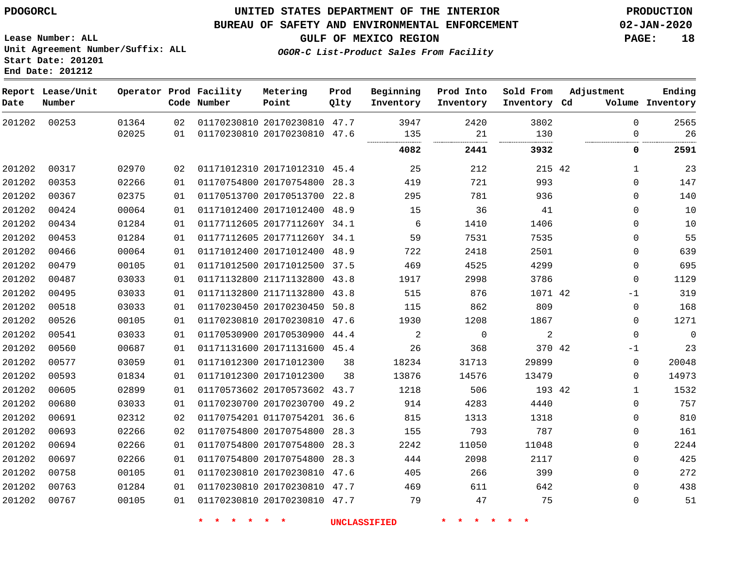**Lease Number: ALL**

**Report Lease/Unit**

## **UNITED STATES DEPARTMENT OF THE INTERIOR PDOGORCL PRODUCTION**

**Prod**

#### **BUREAU OF SAFETY AND ENVIRONMENTAL ENFORCEMENT 02-JAN-2020**

**Metering**

**Operator Prod Facility**

**GULF OF MEXICO REGION PAGE: 18**

**Adjustment**

**Ending**

**Unit Agreement Number/Suffix: ALL Start Date: 201201 End Date: 201212**

**OGOR-C List-Product Sales From Facility**

**Beginning**

**Prod Into Inventory** **Sold From**

| Date   | Number |       |    | Code Number | Point                        | Qlty | Inventory | Inventory | Inventory Cd |             | Volume Inventory |
|--------|--------|-------|----|-------------|------------------------------|------|-----------|-----------|--------------|-------------|------------------|
| 201202 | 00253  | 01364 | 02 |             | 01170230810 20170230810 47.7 |      | 3947      | 2420      | 3802         | $\mathbf 0$ | 2565             |
|        |        | 02025 | 01 |             | 01170230810 20170230810      | 47.6 | 135       | 21        | 130          | $\Omega$    | 26               |
|        |        |       |    |             |                              |      | 4082      | 2441      | 3932         | 0           | 2591             |
| 201202 | 00317  | 02970 | 02 |             | 01171012310 20171012310 45.4 |      | 25        | 212       | 215 42       | 1           | 23               |
| 201202 | 00353  | 02266 | 01 |             | 01170754800 20170754800      | 28.3 | 419       | 721       | 993          | 0           | 147              |
| 201202 | 00367  | 02375 | 01 |             | 01170513700 20170513700      | 22.8 | 295       | 781       | 936          | $\mathbf 0$ | 140              |
| 201202 | 00424  | 00064 | 01 |             | 01171012400 20171012400 48.9 |      | 15        | 36        | 41           | $\Omega$    | 10               |
| 201202 | 00434  | 01284 | 01 |             | 01177112605 2017711260Y 34.1 |      | 6         | 1410      | 1406         | $\mathbf 0$ | 10               |
| 201202 | 00453  | 01284 | 01 |             | 01177112605 2017711260Y 34.1 |      | 59        | 7531      | 7535         | $\mathbf 0$ | 55               |
| 201202 | 00466  | 00064 | 01 |             | 01171012400 20171012400 48.9 |      | 722       | 2418      | 2501         | 0           | 639              |
| 201202 | 00479  | 00105 | 01 |             | 01171012500 20171012500      | 37.5 | 469       | 4525      | 4299         | $\mathbf 0$ | 695              |
| 201202 | 00487  | 03033 | 01 |             | 01171132800 21171132800 43.8 |      | 1917      | 2998      | 3786         | $\mathbf 0$ | 1129             |
| 201202 | 00495  | 03033 | 01 |             | 01171132800 21171132800 43.8 |      | 515       | 876       | 1071 42      | -1          | 319              |
| 201202 | 00518  | 03033 | 01 |             | 01170230450 20170230450      | 50.8 | 115       | 862       | 809          | 0           | 168              |
| 201202 | 00526  | 00105 | 01 |             | 01170230810 20170230810 47.6 |      | 1930      | 1208      | 1867         | 0           | 1271             |
| 201202 | 00541  | 03033 | 01 |             | 01170530900 20170530900 44.4 |      | 2         | 0         | 2            | $\mathbf 0$ | $\mathbf 0$      |
| 201202 | 00560  | 00687 | 01 |             | 01171131600 20171131600 45.4 |      | 26        | 368       | 370 42       | $-1$        | 23               |
| 201202 | 00577  | 03059 | 01 |             | 01171012300 20171012300      | 38   | 18234     | 31713     | 29899        | $\mathbf 0$ | 20048            |
| 201202 | 00593  | 01834 | 01 |             | 01171012300 20171012300      | 38   | 13876     | 14576     | 13479        | 0           | 14973            |
| 201202 | 00605  | 02899 | 01 |             | 01170573602 20170573602 43.7 |      | 1218      | 506       | 193 42       | $\mathbf 1$ | 1532             |
| 201202 | 00680  | 03033 | 01 |             | 01170230700 20170230700      | 49.2 | 914       | 4283      | 4440         | 0           | 757              |
| 201202 | 00691  | 02312 | 02 |             | 01170754201 01170754201 36.6 |      | 815       | 1313      | 1318         | $\mathbf 0$ | 810              |
| 201202 | 00693  | 02266 | 02 |             | 01170754800 20170754800      | 28.3 | 155       | 793       | 787          | $\mathbf 0$ | 161              |
| 201202 | 00694  | 02266 | 01 |             | 01170754800 20170754800      | 28.3 | 2242      | 11050     | 11048        | $\Omega$    | 2244             |
| 201202 | 00697  | 02266 | 01 |             | 01170754800 20170754800      | 28.3 | 444       | 2098      | 2117         | $\mathbf 0$ | 425              |
| 201202 | 00758  | 00105 | 01 |             | 01170230810 20170230810 47.6 |      | 405       | 266       | 399          | 0           | 272              |
| 201202 | 00763  | 01284 | 01 |             | 01170230810 20170230810 47.7 |      | 469       | 611       | 642          | $\mathbf 0$ | 438              |

**\* \* \* \* \* \* UNCLASSIFIED \* \* \* \* \* \***

01170230810 20170230810 47.7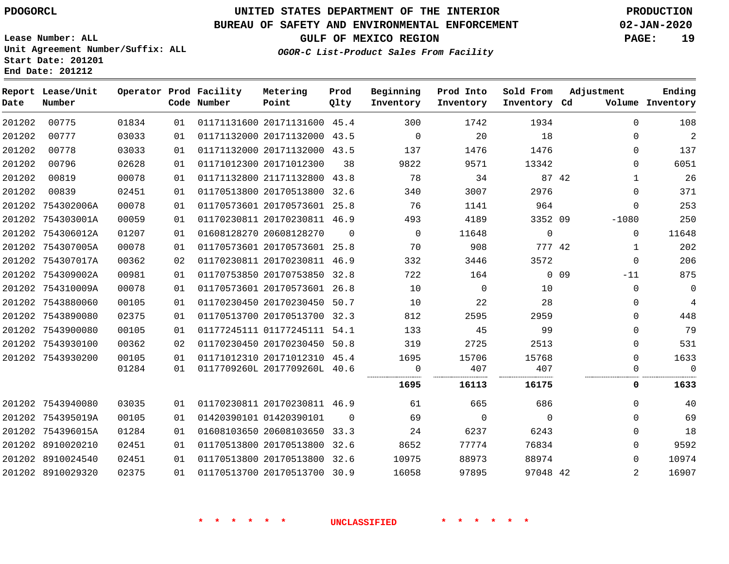### **BUREAU OF SAFETY AND ENVIRONMENTAL ENFORCEMENT 02-JAN-2020**

**Lease Number: ALL Unit Agreement Number/Suffix: ALL Start Date: 201201 End Date: 201212**

**OGOR-C List-Product Sales From Facility**

**GULF OF MEXICO REGION PAGE: 19**

| Date   | Report Lease/Unit<br>Number |       |    | Operator Prod Facility<br>Code Number | Metering<br>Point            | Prod<br>Qlty | Beginning<br>Inventory | Prod Into<br>Inventory | Sold From<br>Inventory Cd | Adjustment |                | Ending<br>Volume Inventory |
|--------|-----------------------------|-------|----|---------------------------------------|------------------------------|--------------|------------------------|------------------------|---------------------------|------------|----------------|----------------------------|
| 201202 | 00775                       | 01834 | 01 |                                       | 01171131600 20171131600 45.4 |              | 300                    | 1742                   | 1934                      |            | $\Omega$       | 108                        |
| 201202 | 00777                       | 03033 | 01 |                                       | 01171132000 20171132000 43.5 |              | $\overline{0}$         | 20                     | 18                        |            | $\Omega$       | 2                          |
| 201202 | 00778                       | 03033 | 01 |                                       | 01171132000 20171132000 43.5 |              | 137                    | 1476                   | 1476                      |            | $\Omega$       | 137                        |
| 201202 | 00796                       | 02628 | 01 |                                       | 01171012300 20171012300      | 38           | 9822                   | 9571                   | 13342                     |            | $\Omega$       | 6051                       |
| 201202 | 00819                       | 00078 | 01 |                                       | 01171132800 21171132800 43.8 |              | 78                     | 34                     |                           | 87 42      | 1              | 26                         |
| 201202 | 00839                       | 02451 | 01 |                                       | 01170513800 20170513800 32.6 |              | 340                    | 3007                   | 2976                      |            | $\Omega$       | 371                        |
|        | 201202 754302006A           | 00078 | 01 |                                       | 01170573601 20170573601 25.8 |              | 76                     | 1141                   | 964                       |            | $\Omega$       | 253                        |
|        | 201202 754303001A           | 00059 | 01 |                                       | 01170230811 20170230811 46.9 |              | 493                    | 4189                   | 3352 09                   | $-1080$    |                | 250                        |
|        | 201202 754306012A           | 01207 | 01 |                                       | 01608128270 20608128270      | $\Omega$     | $\Omega$               | 11648                  | $\mathbf 0$               |            | $\mathbf 0$    | 11648                      |
|        | 201202 754307005A           | 00078 | 01 |                                       | 01170573601 20170573601 25.8 |              | 70                     | 908                    | 777 42                    |            | $\mathbf{1}$   | 202                        |
|        | 201202 754307017A           | 00362 | 02 |                                       | 01170230811 20170230811 46.9 |              | 332                    | 3446                   | 3572                      |            | $\Omega$       | 206                        |
|        | 201202 754309002A           | 00981 | 01 |                                       | 01170753850 20170753850 32.8 |              | 722                    | 164                    |                           | $0$ 09     | $-11$          | 875                        |
|        | 201202 754310009A           | 00078 | 01 |                                       | 01170573601 20170573601 26.8 |              | 10                     | $\Omega$               | 10                        |            | $\Omega$       | 0                          |
|        | 201202 7543880060           | 00105 | 01 |                                       | 01170230450 20170230450 50.7 |              | 10                     | 22                     | 28                        |            | $\Omega$       | 4                          |
|        | 201202 7543890080           | 02375 | 01 |                                       | 01170513700 20170513700 32.3 |              | 812                    | 2595                   | 2959                      |            | $\Omega$       | 448                        |
|        | 201202 7543900080           | 00105 | 01 |                                       | 01177245111 01177245111 54.1 |              | 133                    | 45                     | 99                        |            | $\Omega$       | 79                         |
|        | 201202 7543930100           | 00362 | 02 |                                       | 01170230450 20170230450 50.8 |              | 319                    | 2725                   | 2513                      |            | $\Omega$       | 531                        |
|        | 201202 7543930200           | 00105 | 01 |                                       | 01171012310 20171012310 45.4 |              | 1695                   | 15706                  | 15768                     |            | $\Omega$       | 1633                       |
|        |                             | 01284 | 01 |                                       | 0117709260L 2017709260L 40.6 |              | $\mathbf 0$            | 407                    | 407                       |            | 0              | $\mathbf 0$                |
|        |                             |       |    |                                       |                              |              | 1695                   | 16113                  | 16175                     |            | 0              | 1633                       |
|        | 201202 7543940080           | 03035 | 01 |                                       | 01170230811 20170230811 46.9 |              | 61                     | 665                    | 686                       |            | $\Omega$       | 40                         |
|        | 201202 754395019A           | 00105 | 01 |                                       | 01420390101 01420390101      | $\Omega$     | 69                     | $\overline{0}$         | $\overline{0}$            |            | $\Omega$       | 69                         |
|        | 201202 754396015A           | 01284 | 01 |                                       | 01608103650 20608103650 33.3 |              | 24                     | 6237                   | 6243                      |            | $\Omega$       | 18                         |
|        | 201202 8910020210           | 02451 | 01 |                                       | 01170513800 20170513800 32.6 |              | 8652                   | 77774                  | 76834                     |            | $\Omega$       | 9592                       |
|        | 201202 8910024540           | 02451 | 01 |                                       | 01170513800 20170513800 32.6 |              | 10975                  | 88973                  | 88974                     |            | $\Omega$       | 10974                      |
|        | 201202 8910029320           | 02375 | 01 |                                       | 01170513700 20170513700 30.9 |              | 16058                  | 97895                  | 97048 42                  |            | $\overline{2}$ | 16907                      |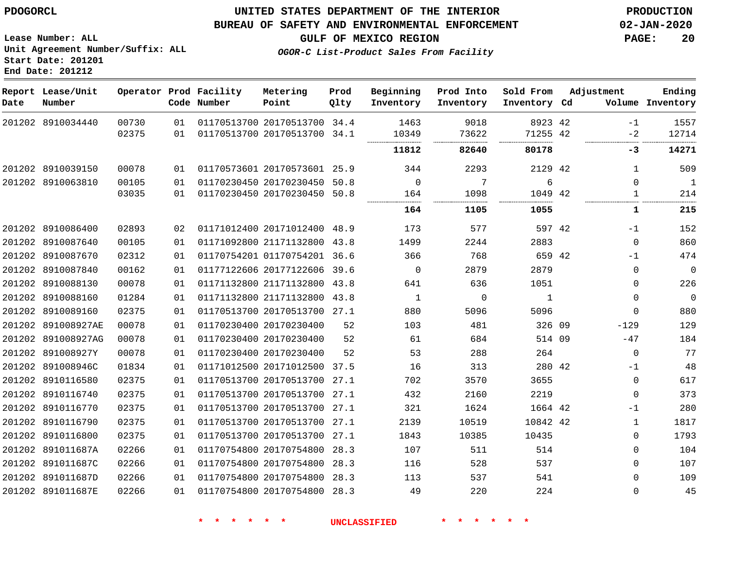### **BUREAU OF SAFETY AND ENVIRONMENTAL ENFORCEMENT 02-JAN-2020**

**Lease Number: ALL Unit Agreement Number/Suffix: ALL Start Date: 201201**

**End Date: 201212**

**GULF OF MEXICO REGION PAGE: 20**

**OGOR-C List-Product Sales From Facility**

| Date | Report Lease/Unit<br>Number |       |    | Operator Prod Facility<br>Code Number | Metering<br>Point            | Prod<br>Qlty | Beginning<br>Inventory | Prod Into<br>Inventory | Sold From<br>Inventory Cd | Adjustment   | Ending<br>Volume Inventory |
|------|-----------------------------|-------|----|---------------------------------------|------------------------------|--------------|------------------------|------------------------|---------------------------|--------------|----------------------------|
|      | 201202 8910034440           | 00730 | 01 |                                       | 01170513700 20170513700 34.4 |              | 1463                   | 9018                   | 8923 42                   | -1           | 1557                       |
|      |                             | 02375 | 01 |                                       | 01170513700 20170513700      | 34.1         | 10349                  | 73622<br>.             | 71255 42<br>              | $-2$         | 12714                      |
|      |                             |       |    |                                       |                              |              | 11812                  | 82640                  | 80178                     | -3           | 14271                      |
|      | 201202 8910039150           | 00078 | 01 |                                       | 01170573601 20170573601 25.9 |              | 344                    | 2293                   | 2129 42                   | 1            | 509                        |
|      | 201202 8910063810           | 00105 | 01 |                                       | 01170230450 20170230450 50.8 |              | $\mathbf 0$            | 7                      | 6                         | $\Omega$     | 1                          |
|      |                             | 03035 | 01 |                                       | 01170230450 20170230450 50.8 |              | 164<br>                | 1098<br>               | 1049 42<br>               | 1            | 214                        |
|      |                             |       |    |                                       |                              |              | 164                    | 1105                   | 1055                      | 1            | 215                        |
|      | 201202 8910086400           | 02893 | 02 |                                       | 01171012400 20171012400 48.9 |              | 173                    | 577                    | 597 42                    | $-1$         | 152                        |
|      | 201202 8910087640           | 00105 | 01 |                                       | 01171092800 21171132800 43.8 |              | 1499                   | 2244                   | 2883                      | $\Omega$     | 860                        |
|      | 201202 8910087670           | 02312 | 01 |                                       | 01170754201 01170754201 36.6 |              | 366                    | 768                    | 659 42                    | $-1$         | 474                        |
|      | 201202 8910087840           | 00162 | 01 |                                       | 01177122606 20177122606      | 39.6         | $\mathbf 0$            | 2879                   | 2879                      | $\Omega$     | $\mathbf 0$                |
|      | 201202 8910088130           | 00078 | 01 |                                       | 01171132800 21171132800      | 43.8         | 641                    | 636                    | 1051                      | $\mathbf 0$  | 226                        |
|      | 201202 8910088160           | 01284 | 01 |                                       | 01171132800 21171132800 43.8 |              | 1                      | 0                      | 1                         | 0            | $\mathbf 0$                |
|      | 201202 8910089160           | 02375 | 01 |                                       | 01170513700 20170513700 27.1 |              | 880                    | 5096                   | 5096                      | $\mathbf 0$  | 880                        |
|      | 201202 891008927AE          | 00078 | 01 |                                       | 01170230400 20170230400      | 52           | 103                    | 481                    | 326 09                    | $-129$       | 129                        |
|      | 201202 891008927AG          | 00078 | 01 |                                       | 01170230400 20170230400      | 52           | 61                     | 684                    | 514 09                    | $-47$        | 184                        |
|      | 201202 891008927Y           | 00078 | 01 |                                       | 01170230400 20170230400      | 52           | 53                     | 288                    | 264                       | $\mathbf 0$  | 77                         |
|      | 201202 891008946C           | 01834 | 01 |                                       | 01171012500 20171012500 37.5 |              | 16                     | 313                    | 280 42                    | -1           | 48                         |
|      | 201202 8910116580           | 02375 | 01 |                                       | 01170513700 20170513700 27.1 |              | 702                    | 3570                   | 3655                      | $\mathbf 0$  | 617                        |
|      | 201202 8910116740           | 02375 | 01 |                                       | 01170513700 20170513700 27.1 |              | 432                    | 2160                   | 2219                      | $\mathbf 0$  | 373                        |
|      | 201202 8910116770           | 02375 | 01 |                                       | 01170513700 20170513700 27.1 |              | 321                    | 1624                   | 1664 42                   | -1           | 280                        |
|      | 201202 8910116790           | 02375 | 01 |                                       | 01170513700 20170513700 27.1 |              | 2139                   | 10519                  | 10842 42                  | $\mathbf{1}$ | 1817                       |
|      | 201202 8910116800           | 02375 | 01 |                                       | 01170513700 20170513700 27.1 |              | 1843                   | 10385                  | 10435                     | $\Omega$     | 1793                       |
|      | 201202 891011687A           | 02266 | 01 |                                       | 01170754800 20170754800      | 28.3         | 107                    | 511                    | 514                       | $\mathbf 0$  | 104                        |
|      | 201202 891011687C           | 02266 | 01 |                                       | 01170754800 20170754800 28.3 |              | 116                    | 528                    | 537                       | $\Omega$     | 107                        |
|      | 201202 891011687D           | 02266 | 01 |                                       | 01170754800 20170754800 28.3 |              | 113                    | 537                    | 541                       | $\Omega$     | 109                        |
|      | 201202 891011687E           | 02266 | 01 |                                       | 01170754800 20170754800 28.3 |              | 49                     | 220                    | 224                       | $\Omega$     | 45                         |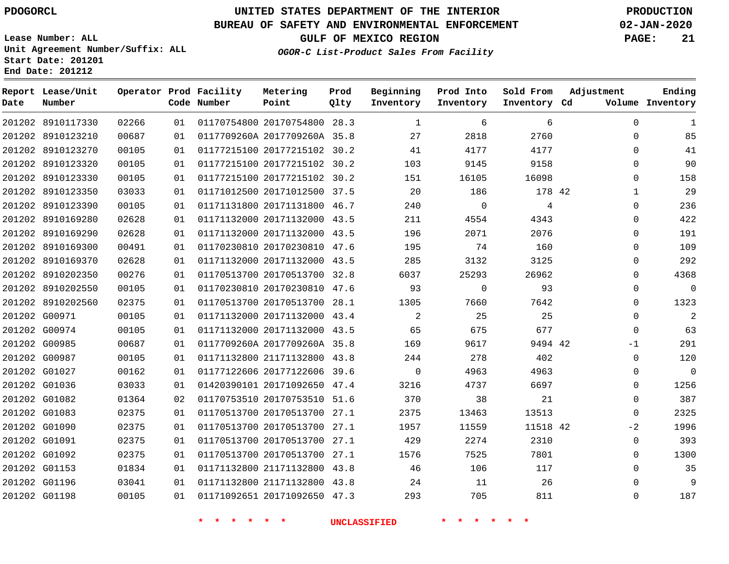**Date**

**Report Lease/Unit**

**Number**

# **UNITED STATES DEPARTMENT OF THE INTERIOR PDOGORCL PRODUCTION**

**Prod Qlty**

### **BUREAU OF SAFETY AND ENVIRONMENTAL ENFORCEMENT 02-JAN-2020**

**Lease Number: ALL Unit Agreement Number/Suffix: ALL Start Date: 201201 End Date: 201212**

**Operator Prod Facility**

**Code Number**

**OGOR-C List-Product Sales From Facility**

**Beginning Inventory** **Prod Into Inventory** **Sold From Inventory**

**GULF OF MEXICO REGION PAGE: 21**

**Inventory Cd Volume**

**Adjustment**

**Ending**

|                         |       |    | * * * * * *                       |                                 | UNCLASSIFIED                         | * * * * * *     |                 |  |
|-------------------------|-------|----|-----------------------------------|---------------------------------|--------------------------------------|-----------------|-----------------|--|
| 201202 G01198           | 00105 |    |                                   |                                 |                                      |                 | 705<br>811      |  |
| 201202 G01196           | 03041 | 01 |                                   |                                 | 01171132800 21171132800 43.8 24      | 11              | 26              |  |
| 201202 G01153           | 01834 | 01 |                                   |                                 | 01171132800 21171132800 43.8 46      | 106             | 117             |  |
| 201202 G01092           | 02375 | 01 | 01170513700 20170513700 27.1 1576 |                                 |                                      | 7525            | 7801            |  |
| 201202 G01091           | 02375 | 01 |                                   |                                 | 01170513700 20170513700 27.1 429     | 2274            | 2310            |  |
| 201202 G01090           | 02375 | 01 |                                   |                                 | 01170513700 20170513700 27.1 1957    | 11559           | 11518 42        |  |
| 201202 G01083           | 02375 | 01 |                                   |                                 | 01170513700 20170513700 27.1 2375    | 13463           | 13513           |  |
| 201202 G01082           | 01364 | 02 |                                   |                                 | 01170753510 20170753510 51.6 370     | 38              | 21              |  |
| 201202 G01036           | 03033 | 01 |                                   |                                 | 01420390101 20171092650 47.4 3216    | 4737            | 6697            |  |
| 201202 G01027           | 00162 | 01 |                                   | 01177122606 20177122606 39.6    | $\overline{0}$                       | 4963            | 4963            |  |
| 201202 G00987           | 00105 | 01 |                                   |                                 | 01171132800 21171132800 43.8 244 278 |                 | 402             |  |
| 201202 G00985           | 00687 | 01 |                                   |                                 | 0117709260A 2017709260A 35.8 169     | 9617            | 9494 42         |  |
| 201202 G00974           | 00105 | 01 |                                   |                                 | 01171132000 20171132000 43.5 65 675  |                 | 677             |  |
| 201202 G00971           | 00105 | 01 |                                   | 01171132000 20171132000 43.4 2  |                                      | 25              | 25              |  |
| 201202 8910202560       | 02375 | 01 |                                   |                                 | 01170513700 20170513700 28.1 1305    | 7660            | 7642            |  |
| 201202 8910202550       | 00105 | 01 |                                   |                                 | 01170230810 20170230810 47.6 93      | $\overline{0}$  | 93              |  |
| 201202 8910202350       | 00276 | 01 | 01170513700 20170513700 32.8      |                                 | 6037 600                             | 25293           | 26962           |  |
| 201202 8910169370       | 02628 | 01 |                                   | 01171132000 20171132000 43.5    | 285                                  | 3132            | 3125            |  |
| 201202 8910169300       | 00491 | 01 | 01170230810 20170230810 47.6      |                                 | 195                                  | 74              | 160             |  |
| 201202 8910169290       | 02628 | 01 | 01171132000 20171132000 43.5      |                                 | 196                                  | 2071            | 2076            |  |
| 201202 8910169280       | 02628 | 01 | 01171132000 20171132000 43.5      |                                 | 211                                  | 4554            | 4343            |  |
| 201202 8910123390       | 00105 | 01 |                                   | 01171131800 20171131800 46.7    | 240                                  | $\overline{0}$  | $\overline{4}$  |  |
| 201202 8910123350       | 03033 | 01 |                                   |                                 | 01171012500 20171012500 37.5 20      | 186             | 178 42          |  |
| 201202 8910123330       | 00105 | 01 |                                   | 01177215100 20177215102 30.2    | 151                                  | 16105           | 16098           |  |
| 201202 8910123320       | 00105 | 01 | 01177215100 20177215102 30.2      |                                 |                                      | 103 9145        | 9158            |  |
| 201202 8910123270       | 00105 | 01 |                                   | 01177215100 20177215102 30.2 41 |                                      | 4177            | 4177            |  |
| 201202 8910123210       | 00687 | 01 |                                   |                                 | 0117709260A 2017709260A 35.8 27      | 2818            | 2760            |  |
| 201202 8910117330 02266 |       |    |                                   |                                 | 01 01170754800 20170754800 28.3 1    | $6\overline{6}$ | $6\overline{6}$ |  |

**Metering Point**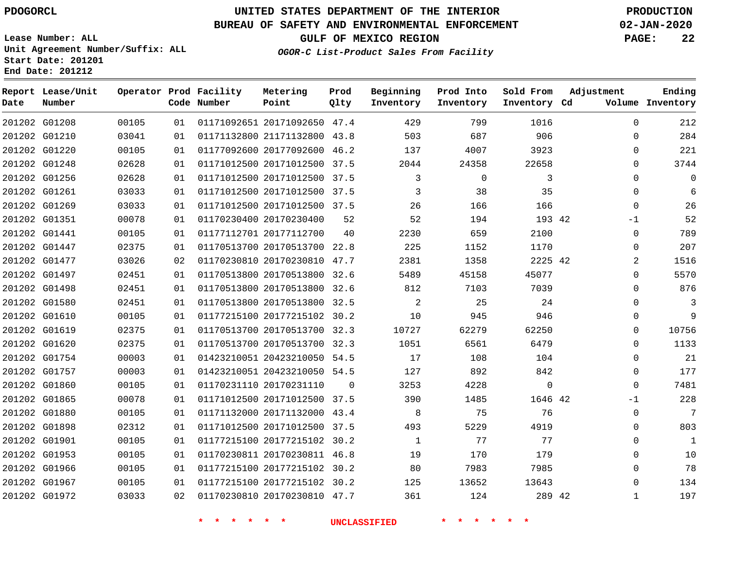### **BUREAU OF SAFETY AND ENVIRONMENTAL ENFORCEMENT 02-JAN-2020**

**Lease Number: ALL Unit Agreement Number/Suffix: ALL Start Date: 201201 End Date: 201212**

**GULF OF MEXICO REGION PAGE: 22**

**OGOR-C List-Product Sales From Facility**

| Date | Report Lease/Unit<br>Number |       |    | Operator Prod Facility<br>Code Number | Metering<br>Point            | Prod<br>Qlty | Beginning<br>Inventory | Prod Into<br>Inventory | Sold From<br>Inventory Cd | Adjustment   | Ending<br>Volume Inventory |
|------|-----------------------------|-------|----|---------------------------------------|------------------------------|--------------|------------------------|------------------------|---------------------------|--------------|----------------------------|
|      | 201202 G01208               | 00105 | 01 |                                       | 01171092651 20171092650 47.4 |              | 429                    | 799                    | 1016                      | $\mathbf 0$  | 212                        |
|      | 201202 G01210               | 03041 | 01 |                                       | 01171132800 21171132800 43.8 |              | 503                    | 687                    | 906                       | $\mathbf 0$  | 284                        |
|      | 201202 G01220               | 00105 | 01 |                                       | 01177092600 20177092600 46.2 |              | 137                    | 4007                   | 3923                      | 0            | 221                        |
|      | 201202 G01248               | 02628 | 01 |                                       | 01171012500 20171012500 37.5 |              | 2044                   | 24358                  | 22658                     | 0            | 3744                       |
|      | 201202 G01256               | 02628 | 01 |                                       | 01171012500 20171012500 37.5 |              | 3                      | 0                      | 3                         | $\Omega$     | $\mathbf 0$                |
|      | 201202 G01261               | 03033 | 01 |                                       | 01171012500 20171012500 37.5 |              | 3                      | 38                     | 35                        | $\Omega$     | 6                          |
|      | 201202 G01269               | 03033 | 01 |                                       | 01171012500 20171012500 37.5 |              | 26                     | 166                    | 166                       | $\mathbf 0$  | 26                         |
|      | 201202 G01351               | 00078 | 01 |                                       | 01170230400 20170230400      | 52           | 52                     | 194                    | 193 42                    | $-1$         | 52                         |
|      | 201202 G01441               | 00105 | 01 |                                       | 01177112701 20177112700      | 40           | 2230                   | 659                    | 2100                      | $\Omega$     | 789                        |
|      | 201202 G01447               | 02375 | 01 |                                       | 01170513700 20170513700 22.8 |              | 225                    | 1152                   | 1170                      | 0            | 207                        |
|      | 201202 G01477               | 03026 | 02 |                                       | 01170230810 20170230810 47.7 |              | 2381                   | 1358                   | 2225 42                   | 2            | 1516                       |
|      | 201202 G01497               | 02451 | 01 |                                       | 01170513800 20170513800 32.6 |              | 5489                   | 45158                  | 45077                     | 0            | 5570                       |
|      | 201202 G01498               | 02451 | 01 |                                       | 01170513800 20170513800 32.6 |              | 812                    | 7103                   | 7039                      | $\Omega$     | 876                        |
|      | 201202 G01580               | 02451 | 01 |                                       | 01170513800 20170513800 32.5 |              | 2                      | 25                     | 24                        | 0            | 3                          |
|      | 201202 G01610               | 00105 | 01 |                                       | 01177215100 20177215102 30.2 |              | 10                     | 945                    | 946                       | 0            | 9                          |
|      | 201202 G01619               | 02375 | 01 |                                       | 01170513700 20170513700 32.3 |              | 10727                  | 62279                  | 62250                     | 0            | 10756                      |
|      | 201202 G01620               | 02375 | 01 |                                       | 01170513700 20170513700 32.3 |              | 1051                   | 6561                   | 6479                      | $\Omega$     | 1133                       |
|      | 201202 G01754               | 00003 | 01 |                                       | 01423210051 20423210050 54.5 |              | 17                     | 108                    | 104                       | $\mathbf 0$  | 21                         |
|      | 201202 G01757               | 00003 | 01 |                                       | 01423210051 20423210050 54.5 |              | 127                    | 892                    | 842                       | $\mathbf 0$  | 177                        |
|      | 201202 G01860               | 00105 | 01 |                                       | 01170231110 20170231110      | $\Omega$     | 3253                   | 4228                   | $\mathbf 0$               | $\Omega$     | 7481                       |
|      | 201202 G01865               | 00078 | 01 |                                       | 01171012500 20171012500 37.5 |              | 390                    | 1485                   | 1646 42                   | $-1$         | 228                        |
|      | 201202 G01880               | 00105 | 01 |                                       | 01171132000 20171132000 43.4 |              | 8                      | 75                     | 76                        | $\Omega$     | 7                          |
|      | 201202 G01898               | 02312 | 01 |                                       | 01171012500 20171012500 37.5 |              | 493                    | 5229                   | 4919                      | $\mathbf 0$  | 803                        |
|      | 201202 G01901               | 00105 | 01 |                                       | 01177215100 20177215102 30.2 |              | 1                      | 77                     | 77                        | $\mathbf 0$  | $\mathbf{1}$               |
|      | 201202 G01953               | 00105 | 01 |                                       | 01170230811 20170230811 46.8 |              | 19                     | 170                    | 179                       | $\Omega$     | 10                         |
|      | 201202 G01966               | 00105 | 01 |                                       | 01177215100 20177215102 30.2 |              | 80                     | 7983                   | 7985                      | $\mathbf 0$  | 78                         |
|      | 201202 G01967               | 00105 | 01 |                                       | 01177215100 20177215102 30.2 |              | 125                    | 13652                  | 13643                     | $\mathbf 0$  | 134                        |
|      | 201202 G01972               | 03033 | 02 |                                       | 01170230810 20170230810 47.7 |              | 361                    | 124                    | 289 42                    | $\mathbf{1}$ | 197                        |
|      |                             |       |    |                                       |                              |              |                        |                        |                           |              |                            |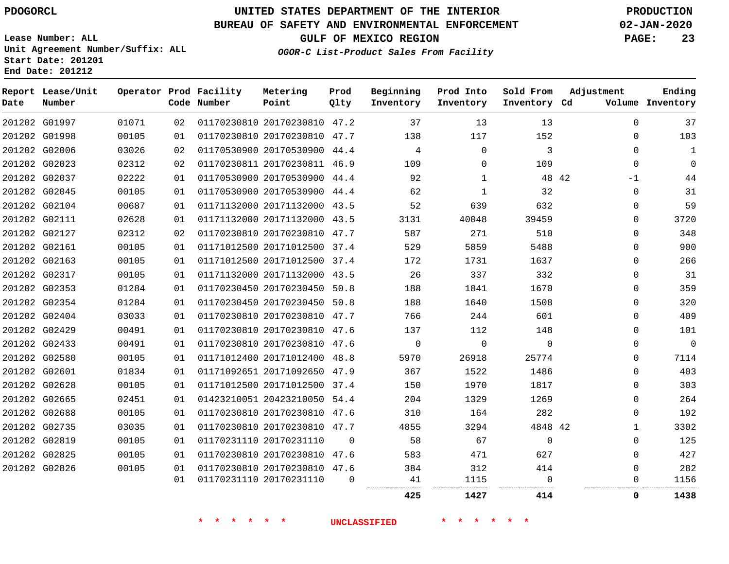**Report Lease/Unit**

**Number**

**Date**

# **UNITED STATES DEPARTMENT OF THE INTERIOR PDOGORCL PRODUCTION**

**Prod Qlty**

### **BUREAU OF SAFETY AND ENVIRONMENTAL ENFORCEMENT 02-JAN-2020**

**Lease Number: ALL Unit Agreement Number/Suffix: ALL Start Date: 201201 End Date: 201212**

**Operator Prod Facility**

**Code Number**

**OGOR-C List-Product Sales From Facility**

**Beginning Inventory** **Prod Into Inventory** **Sold From Inventory**

**GULF OF MEXICO REGION PAGE: 23**

**Inventory Cd Volume**

**Adjustment**

**Ending**

|        |       |    |                              |          | 425      | 1427         | 414          | 0            | 1438        |
|--------|-------|----|------------------------------|----------|----------|--------------|--------------|--------------|-------------|
|        |       | 01 | 01170231110 20170231110      | $\Omega$ | 41<br>   | 1115<br>     | $\Omega$<br> | $\Omega$<br> | 1156        |
| G02826 | 00105 | 01 | 01170230810 20170230810 47.6 |          | 384      | 312          | 414          | $\Omega$     | 282         |
| G02825 | 00105 | 01 | 01170230810 20170230810 47.6 |          | 583      | 471          | 627          | $\Omega$     | 427         |
| G02819 | 00105 | 01 | 01170231110 20170231110      | $\Omega$ | 58       | 67           | $\Omega$     | $\Omega$     | 125         |
| G02735 | 03035 | 01 | 01170230810 20170230810 47.7 |          | 4855     | 3294         | 4848 42      | $\mathbf{1}$ | 3302        |
| G02688 | 00105 | 01 | 01170230810 20170230810 47.6 |          | 310      | 164          | 282          | 0            | 192         |
| G02665 | 02451 | 01 | 01423210051 20423210050 54.4 |          | 204      | 1329         | 1269         | $\Omega$     | 264         |
| G02628 | 00105 | 01 | 01171012500 20171012500 37.4 |          | 150      | 1970         | 1817         | $\Omega$     | 303         |
| G02601 | 01834 | 01 | 01171092651 20171092650 47.9 |          | 367      | 1522         | 1486         | $\Omega$     | 403         |
| G02580 | 00105 | 01 | 01171012400 20171012400 48.8 |          | 5970     | 26918        | 25774        | $\Omega$     | 7114        |
| G02433 | 00491 | 01 | 01170230810 20170230810 47.6 |          | $\Omega$ | 0            | $\Omega$     | $\Omega$     | $\mathbf 0$ |
| G02429 | 00491 | 01 | 01170230810 20170230810 47.6 |          | 137      | 112          | 148          | $\Omega$     | 101         |
| G02404 | 03033 | 01 | 01170230810 20170230810 47.7 |          | 766      | 244          | 601          | $\Omega$     | 409         |
| G02354 | 01284 | 01 | 01170230450 20170230450 50.8 |          | 188      | 1640         | 1508         | 0            | 320         |
| G02353 | 01284 | 01 | 01170230450 20170230450 50.8 |          | 188      | 1841         | 1670         | 0            | 359         |
| G02317 | 00105 | 01 | 01171132000 20171132000 43.5 |          | 26       | 337          | 332          | $\Omega$     | 31          |
| G02163 | 00105 | 01 | 01171012500 20171012500 37.4 |          | 172      | 1731         | 1637         | $\Omega$     | 266         |
| G02161 | 00105 | 01 | 01171012500 20171012500 37.4 |          | 529      | 5859         | 5488         | $\Omega$     | 900         |
| G02127 | 02312 | 02 | 01170230810 20170230810 47.7 |          | 587      | 271          | 510          | $\Omega$     | 348         |
| G02111 | 02628 | 01 | 01171132000 20171132000 43.5 |          | 3131     | 40048        | 39459        | 0            | 3720        |
| G02104 | 00687 | 01 | 01171132000 20171132000 43.5 |          | 52       | 639          | 632          | $\Omega$     | 59          |
| G02045 | 00105 | 01 | 01170530900 20170530900 44.4 |          | 62       | 1            | 32           | $\mathbf{0}$ | 31          |
| G02037 | 02222 | 01 | 01170530900 20170530900 44.4 |          | 92       | $\mathbf{1}$ | 48 42        | -1           | 44          |
| G02023 | 02312 | 02 | 01170230811 20170230811 46.9 |          | 109      | $\Omega$     | 109          | $\Omega$     | $\mathbf 0$ |
| G02006 | 03026 | 02 | 01170530900 20170530900 44.4 |          | 4        | 0            | 3            | $\Omega$     | 1           |
| G01998 | 00105 | 01 | 01170230810 20170230810 47.7 |          | 138      | 117          | 152          | $\Omega$     | 103         |
| G01997 | 01071 | 02 | 01170230810 20170230810 47.2 |          | 37       | 13           | 13           | $\Omega$     | 37          |

**Metering Point**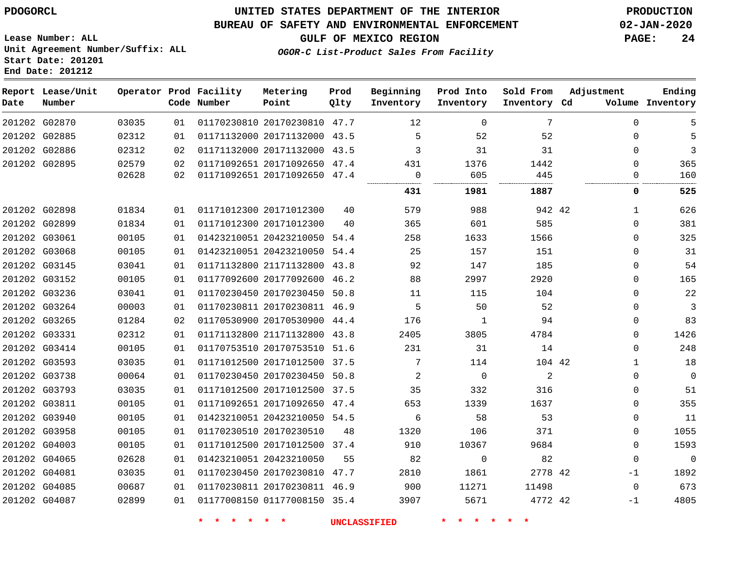**End Date: 201212**

## **UNITED STATES DEPARTMENT OF THE INTERIOR PDOGORCL PRODUCTION**

### **BUREAU OF SAFETY AND ENVIRONMENTAL ENFORCEMENT 02-JAN-2020**

**Lease Number: ALL Unit Agreement Number/Suffix: ALL Start Date: 201201**

**GULF OF MEXICO REGION PAGE: 24**

**OGOR-C List-Product Sales From Facility**

| Date | Report Lease/Unit<br>Number |       |    | Operator Prod Facility<br>Code Number | Metering<br>Point            | Prod<br>Qlty | Beginning<br>Inventory | Prod Into<br>Inventory | Sold From<br>Inventory Cd | Adjustment  | Ending<br>Volume Inventory |
|------|-----------------------------|-------|----|---------------------------------------|------------------------------|--------------|------------------------|------------------------|---------------------------|-------------|----------------------------|
|      | 201202 G02870               | 03035 | 01 |                                       | 01170230810 20170230810 47.7 |              | $12 \overline{ }$      | $\Omega$               | 7                         | $\Omega$    | 5                          |
|      | 201202 G02885               | 02312 | 01 |                                       | 01171132000 20171132000 43.5 |              | 5                      | 52                     | 52                        | $\mathbf 0$ |                            |
|      | 201202 G02886               | 02312 | 02 |                                       | 01171132000 20171132000 43.5 |              | 3                      | 31                     | 31                        | $\mathbf 0$ | 3                          |
|      | 201202 G02895               | 02579 | 02 |                                       | 01171092651 20171092650 47.4 |              | 431                    | 1376                   | 1442                      | $\Omega$    | 365                        |
|      |                             | 02628 | 02 |                                       | 01171092651 20171092650 47.4 |              | 0                      | 605                    | 445                       | 0           | 160                        |
|      |                             |       |    |                                       |                              |              | 431                    | 1981                   | 1887                      | 0           | 525                        |
|      | 201202 G02898               | 01834 | 01 |                                       | 01171012300 20171012300      | 40           | 579                    | 988                    | 942 42                    | 1           | 626                        |
|      | 201202 G02899               | 01834 | 01 |                                       | 01171012300 20171012300      | 40           | 365                    | 601                    | 585                       | $\Omega$    | 381                        |
|      | 201202 G03061               | 00105 | 01 |                                       | 01423210051 20423210050 54.4 |              | 258                    | 1633                   | 1566                      | $\mathbf 0$ | 325                        |
|      | 201202 G03068               | 00105 | 01 |                                       | 01423210051 20423210050 54.4 |              | 25                     | 157                    | 151                       | $\mathbf 0$ | 31                         |
|      | 201202 G03145               | 03041 | 01 |                                       | 01171132800 21171132800 43.8 |              | 92                     | 147                    | 185                       | $\mathbf 0$ | 54                         |
|      | 201202 G03152               | 00105 | 01 |                                       | 01177092600 20177092600 46.2 |              | 88                     | 2997                   | 2920                      | $\Omega$    | 165                        |
|      | 201202 G03236               | 03041 | 01 |                                       | 01170230450 20170230450 50.8 |              | 11                     | 115                    | 104                       | $\mathbf 0$ | 22                         |
|      | 201202 G03264               | 00003 | 01 |                                       | 01170230811 20170230811 46.9 |              | 5                      | 50                     | 52                        | $\mathbf 0$ | 3                          |
|      | 201202 G03265               | 01284 | 02 |                                       | 01170530900 20170530900 44.4 |              | 176                    | $\mathbf{1}$           | 94                        | $\mathbf 0$ | 83                         |
|      | 201202 G03331               | 02312 | 01 |                                       | 01171132800 21171132800 43.8 |              | 2405                   | 3805                   | 4784                      | $\Omega$    | 1426                       |
|      | 201202 G03414               | 00105 | 01 |                                       | 01170753510 20170753510 51.6 |              | 231                    | 31                     | 14                        | $\Omega$    | 248                        |
|      | 201202 G03593               | 03035 | 01 |                                       | 01171012500 20171012500 37.5 |              | 7                      | 114                    | 104 42                    | 1           | 18                         |
|      | 201202 G03738               | 00064 | 01 |                                       | 01170230450 20170230450 50.8 |              | 2                      | $\overline{0}$         | 2                         | 0           | $\mathbf 0$                |
|      | 201202 G03793               | 03035 | 01 |                                       | 01171012500 20171012500 37.5 |              | 35                     | 332                    | 316                       | $\mathbf 0$ | 51                         |
|      | 201202 G03811               | 00105 | 01 |                                       | 01171092651 20171092650 47.4 |              | 653                    | 1339                   | 1637                      | 0           | 355                        |
|      | 201202 G03940               | 00105 | 01 |                                       | 01423210051 20423210050 54.5 |              | 6                      | 58                     | 53                        | $\mathbf 0$ | 11                         |
|      | 201202 G03958               | 00105 | 01 |                                       | 01170230510 20170230510      | 48           | 1320                   | 106                    | 371                       | $\mathbf 0$ | 1055                       |
|      | 201202 G04003               | 00105 | 01 |                                       | 01171012500 20171012500 37.4 |              | 910                    | 10367                  | 9684                      | $\mathbf 0$ | 1593                       |
|      | 201202 G04065               | 02628 | 01 |                                       | 01423210051 20423210050      | 55           | 82                     | $\mathbf 0$            | 82                        | $\mathbf 0$ | $\mathbf 0$                |
|      | 201202 G04081               | 03035 | 01 |                                       | 01170230450 20170230810 47.7 |              | 2810                   | 1861                   | 2778 42                   | $-1$        | 1892                       |
|      | 201202 G04085               | 00687 | 01 |                                       | 01170230811 20170230811 46.9 |              | 900                    | 11271                  | 11498                     | $\mathbf 0$ | 673                        |
|      | 201202 G04087               | 02899 | 01 |                                       | 01177008150 01177008150 35.4 |              | 3907                   | 5671                   | 4772 42                   | $-1$        | 4805                       |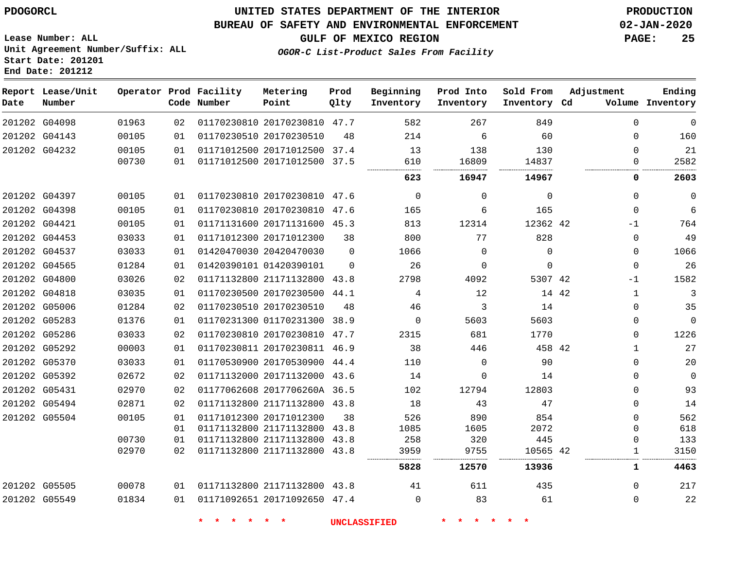### **BUREAU OF SAFETY AND ENVIRONMENTAL ENFORCEMENT 02-JAN-2020**

**Lease Number: ALL Unit Agreement Number/Suffix: ALL Start Date: 201201 End Date: 201212**

**OGOR-C List-Product Sales From Facility**

**GULF OF MEXICO REGION PAGE: 25**

| Date | Report Lease/Unit<br>Number |       |                 | Operator Prod Facility<br>Code Number | Metering<br>Point            | Prod<br>Qlty | Beginning<br>Inventory | Prod Into<br>Inventory | Sold From<br>Inventory Cd |       | Adjustment   | Ending<br>Volume Inventory |
|------|-----------------------------|-------|-----------------|---------------------------------------|------------------------------|--------------|------------------------|------------------------|---------------------------|-------|--------------|----------------------------|
|      | 201202 G04098               | 01963 | 02              |                                       | 01170230810 20170230810 47.7 |              | 582                    | 267                    | 849                       |       | $\mathbf{0}$ | $\mathbf 0$                |
|      | 201202 G04143               | 00105 | 01              |                                       | 01170230510 20170230510      | 48           | 214                    | 6                      | 60                        |       | $\Omega$     | 160                        |
|      | 201202 G04232               | 00105 | 01              |                                       | 01171012500 20171012500      | 37.4         | 13                     | 138                    | 130                       |       | $\Omega$     | 21                         |
|      |                             | 00730 | 01              |                                       | 01171012500 20171012500 37.5 |              | 610                    | 16809                  | 14837                     |       | $\Omega$     | 2582                       |
|      |                             |       |                 |                                       |                              |              | 623                    | 16947                  | 14967                     |       | 0            | 2603                       |
|      | 201202 G04397               | 00105 | 01              |                                       | 01170230810 20170230810 47.6 |              | $\overline{0}$         | $\mathbf 0$            | $\mathbf 0$               |       | $\mathbf{0}$ | $\mathbf{0}$               |
|      | 201202 G04398               | 00105 | 01              |                                       | 01170230810 20170230810 47.6 |              | 165                    | 6                      | 165                       |       | $\mathbf{0}$ | 6                          |
|      | 201202 G04421               | 00105 | 01              |                                       | 01171131600 20171131600 45.3 |              | 813                    | 12314                  | 12362 42                  |       | $-1$         | 764                        |
|      | 201202 G04453               | 03033 | 01              |                                       | 01171012300 20171012300      | 38           | 800                    | 77                     | 828                       |       | $\mathbf 0$  | 49                         |
|      | 201202 G04537               | 03033 | 01              |                                       | 01420470030 20420470030      | $\Omega$     | 1066                   | 0                      | $\Omega$                  |       | $\mathbf 0$  | 1066                       |
|      | 201202 G04565               | 01284 | 01              |                                       | 01420390101 01420390101      | $\Omega$     | 26                     | 0                      | $\Omega$                  |       | $\Omega$     | 26                         |
|      | 201202 G04800               | 03026 | 02              |                                       | 01171132800 21171132800 43.8 |              | 2798                   | 4092                   | 5307 42                   |       | $-1$         | 1582                       |
|      | 201202 G04818               | 03035 | 01              |                                       | 01170230500 20170230500      | 44.1         | 4                      | 12                     |                           | 14 42 | $\mathbf{1}$ | 3                          |
|      | 201202 G05006               | 01284 | 02              |                                       | 01170230510 20170230510      | 48           | 46                     | 3                      | 14                        |       | 0            | 35                         |
|      | 201202 G05283               | 01376 | 01              |                                       | 01170231300 01170231300      | 38.9         | $\mathbf 0$            | 5603                   | 5603                      |       | $\mathbf{0}$ | $\mathbf{0}$               |
|      | 201202 G05286               | 03033 | 02              |                                       | 01170230810 20170230810      | 47.7         | 2315                   | 681                    | 1770                      |       | $\mathbf{0}$ | 1226                       |
|      | 201202 G05292               | 00003 | 01              |                                       | 01170230811 20170230811 46.9 |              | 38                     | 446                    | 458 42                    |       | $\mathbf{1}$ | 27                         |
|      | 201202 G05370               | 03033 | 01              |                                       | 01170530900 20170530900 44.4 |              | 110                    | $\mathbf 0$            | 90                        |       | $\mathbf{0}$ | 20                         |
|      | 201202 G05392               | 02672 | 02              |                                       | 01171132000 20171132000 43.6 |              | 14                     | 0                      | 14                        |       | $\Omega$     | $\mathbf{0}$               |
|      | 201202 G05431               | 02970 | 02              |                                       | 01177062608 2017706260A 36.5 |              | 102                    | 12794                  | 12803                     |       | $\Omega$     | 93                         |
|      | 201202 G05494               | 02871 | 02              |                                       | 01171132800 21171132800 43.8 |              | 18                     | 43                     | 47                        |       | $\Omega$     | 14                         |
|      | 201202 G05504               | 00105 | 01              |                                       | 01171012300 20171012300      | 38           | 526                    | 890                    | 854                       |       | $\Omega$     | 562                        |
|      |                             |       | 01              |                                       | 01171132800 21171132800      | 43.8         | 1085                   | 1605                   | 2072                      |       | $\Omega$     | 618                        |
|      |                             | 00730 | 01              |                                       | 01171132800 21171132800      | 43.8         | 258                    | 320                    | 445                       |       | $\Omega$     | 133                        |
|      |                             | 02970 | 02 <sub>o</sub> |                                       | 01171132800 21171132800 43.8 |              | 3959                   | 9755                   | 10565 42                  |       | $\mathbf{1}$ | 3150                       |
|      |                             |       |                 |                                       |                              |              | 5828                   | 12570                  | 13936                     |       | 1            | 4463                       |
|      | 201202 G05505               | 00078 | 01              |                                       | 01171132800 21171132800 43.8 |              | 41                     | 611                    | 435                       |       | $\Omega$     | 217                        |
|      | 201202 G05549               | 01834 | 01              |                                       | 01171092651 20171092650 47.4 |              | $\Omega$               | 83                     | 61                        |       | $\mathbf 0$  | 22                         |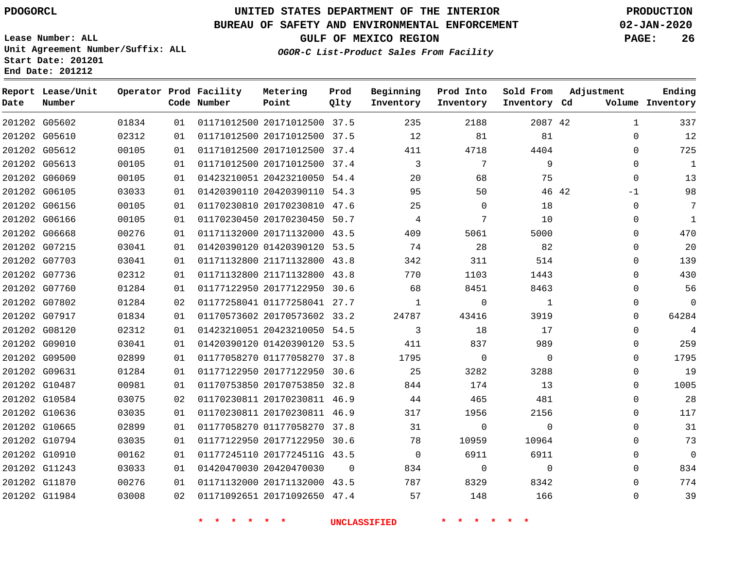## **UNITED STATES DEPARTMENT OF THE INTERIOR PDOGORCL PRODUCTION**

**Prod**

**Metering**

#### **BUREAU OF SAFETY AND ENVIRONMENTAL ENFORCEMENT 02-JAN-2020**

**Lease Number: ALL Unit Agreement Number/Suffix: ALL Start Date: 201201 End Date: 201212**

**OGOR-C List-Product Sales From Facility**

**Beginning**

**GULF OF MEXICO REGION PAGE: 26**

**Adjustment**

**Ending**

| Date | Report Lease/Unit<br>Number |       |    | Operator Prod Facility<br>Code Number | Metering<br>Point            | Prod<br>Qlty | Beginning<br>Inventory | Prod Into<br>Inventory | Sold From<br>Inventory Cd | Adjustment    | Ending<br>Volume Inventory |
|------|-----------------------------|-------|----|---------------------------------------|------------------------------|--------------|------------------------|------------------------|---------------------------|---------------|----------------------------|
|      | 201202 G05602               | 01834 | 01 |                                       | 01171012500 20171012500 37.5 |              | 235                    | 2188                   | 2087 42                   | 1             | 337                        |
|      | 201202 G05610               | 02312 | 01 |                                       | 01171012500 20171012500 37.5 |              | 12                     | 81                     | 81                        | $\Omega$      | 12                         |
|      | 201202 G05612               | 00105 | 01 |                                       | 01171012500 20171012500 37.4 |              | 411                    | 4718                   | 4404                      | $\Omega$      | 725                        |
|      | 201202 G05613               | 00105 | 01 |                                       | 01171012500 20171012500 37.4 |              | 3                      | 7                      | 9                         | $\Omega$      | $\mathbf{1}$               |
|      | 201202 G06069               | 00105 | 01 |                                       | 01423210051 20423210050 54.4 |              | 20                     | 68                     | 75                        | $\Omega$      | 13                         |
|      | 201202 G06105               | 03033 | 01 |                                       | 01420390110 20420390110 54.3 |              | 95                     | 50                     |                           | 46 42<br>$-1$ | 98                         |
|      | 201202 G06156               | 00105 | 01 |                                       | 01170230810 20170230810 47.6 |              | 25                     | $\Omega$               | 18                        | $\Omega$      | 7                          |
|      | 201202 G06166               | 00105 | 01 |                                       | 01170230450 20170230450 50.7 |              | 4                      | 7                      | 10                        | $\Omega$      | $\mathbf{1}$               |
|      | 201202 G06668               | 00276 | 01 |                                       | 01171132000 20171132000 43.5 |              | 409                    | 5061                   | 5000                      | $\Omega$      | 470                        |
|      | 201202 G07215               | 03041 | 01 |                                       | 01420390120 01420390120 53.5 |              | 74                     | 28                     | 82                        | $\Omega$      | 20                         |
|      | 201202 G07703               | 03041 | 01 |                                       | 01171132800 21171132800 43.8 |              | 342                    | 311                    | 514                       | $\Omega$      | 139                        |
|      | 201202 G07736               | 02312 | 01 |                                       | 01171132800 21171132800 43.8 |              | 770                    | 1103                   | 1443                      | $\Omega$      | 430                        |
|      | 201202 G07760               | 01284 | 01 |                                       | 01177122950 20177122950 30.6 |              | 68                     | 8451                   | 8463                      | $\Omega$      | 56                         |
|      | 201202 G07802               | 01284 | 02 |                                       | 01177258041 01177258041 27.7 |              | $\mathbf{1}$           | $\Omega$               | $\mathbf{1}$              | $\Omega$      | $\overline{0}$             |
|      | 201202 G07917               | 01834 | 01 |                                       | 01170573602 20170573602 33.2 |              | 24787                  | 43416                  | 3919                      | $\Omega$      | 64284                      |
|      | 201202 G08120               | 02312 | 01 |                                       | 01423210051 20423210050 54.5 |              | 3                      | 18                     | 17                        | $\Omega$      | 4                          |
|      | 201202 G09010               | 03041 | 01 |                                       | 01420390120 01420390120 53.5 |              | 411                    | 837                    | 989                       | $\Omega$      | 259                        |
|      | 201202 G09500               | 02899 | 01 |                                       | 01177058270 01177058270 37.8 |              | 1795                   | $\mathbf 0$            | $\Omega$                  | $\Omega$      | 1795                       |
|      | 201202 G09631               | 01284 | 01 |                                       | 01177122950 20177122950 30.6 |              | 25                     | 3282                   | 3288                      | $\Omega$      | 19                         |
|      | 201202 G10487               | 00981 | 01 |                                       | 01170753850 20170753850 32.8 |              | 844                    | 174                    | 13                        | $\Omega$      | 1005                       |
|      | 201202 G10584               | 03075 | 02 |                                       | 01170230811 20170230811 46.9 |              | 44                     | 465                    | 481                       | $\Omega$      | 28                         |
|      | 201202 G10636               | 03035 | 01 |                                       | 01170230811 20170230811 46.9 |              | 317                    | 1956                   | 2156                      | $\Omega$      | 117                        |
|      | 201202 G10665               | 02899 | 01 |                                       | 01177058270 01177058270 37.8 |              | 31                     | $\mathbf 0$            | $\Omega$                  | $\Omega$      | 31                         |
|      | 201202 G10794               | 03035 | 01 |                                       | 01177122950 20177122950 30.6 |              | 78                     | 10959                  | 10964                     | $\Omega$      | 73                         |
|      | 201202 G10910               | 00162 | 01 |                                       | 01177245110 2017724511G 43.5 |              | $\Omega$               | 6911                   | 6911                      | $\Omega$      | $\Omega$                   |
|      | 201202 G11243               | 03033 | 01 |                                       | 01420470030 20420470030      | $\Omega$     | 834                    | $\Omega$               | $\Omega$                  | $\Omega$      | 834                        |
|      | 201202 G11870               | 00276 | 01 |                                       | 01171132000 20171132000 43.5 |              | 787                    | 8329                   | 8342                      | $\Omega$      | 774                        |
|      | 201202 G11984               | 03008 | 02 |                                       | 01171092651 20171092650 47.4 |              | 57                     | 148                    | 166                       | $\Omega$      | 39                         |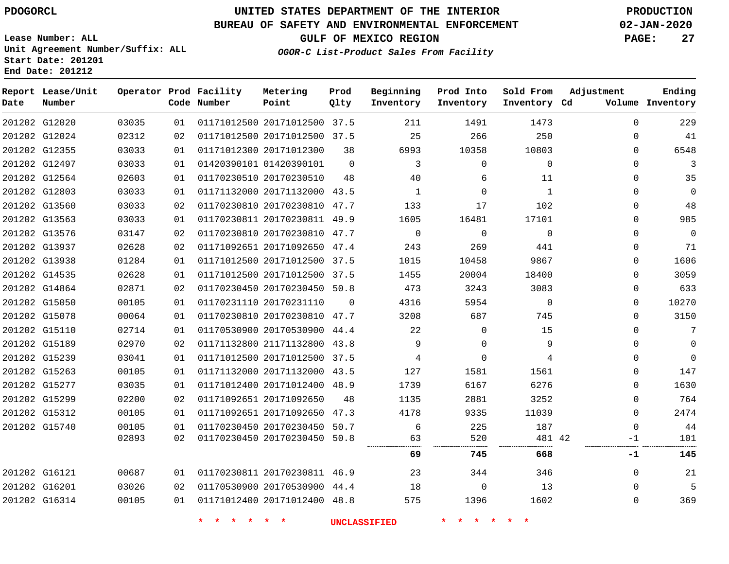**End Date: 201212**

## **UNITED STATES DEPARTMENT OF THE INTERIOR PDOGORCL PRODUCTION**

### **BUREAU OF SAFETY AND ENVIRONMENTAL ENFORCEMENT 02-JAN-2020**

**Lease Number: ALL Unit Agreement Number/Suffix: ALL Start Date: 201201**

**GULF OF MEXICO REGION PAGE: 27**

**OGOR-C List-Product Sales From Facility**

| Date | Report Lease/Unit<br>Number |       |    | Operator Prod Facility<br>Code Number | Metering<br>Point            | Prod<br>Qlty | Beginning<br>Inventory | Prod Into<br>Inventory | Sold From<br>Inventory Cd | Adjustment  | Ending<br>Volume Inventory |
|------|-----------------------------|-------|----|---------------------------------------|------------------------------|--------------|------------------------|------------------------|---------------------------|-------------|----------------------------|
|      | 201202 G12020               | 03035 | 01 |                                       | 01171012500 20171012500 37.5 |              | 211                    | 1491                   | 1473                      | $\Omega$    | 229                        |
|      | 201202 G12024               | 02312 | 02 |                                       | 01171012500 20171012500 37.5 |              | 25                     | 266                    | 250                       | $\Omega$    | 41                         |
|      | 201202 G12355               | 03033 | 01 |                                       | 01171012300 20171012300      | 38           | 6993                   | 10358                  | 10803                     | $\Omega$    | 6548                       |
|      | 201202 G12497               | 03033 | 01 |                                       | 01420390101 01420390101      | $\Omega$     | 3                      | $\mathbf 0$            | $\mathbf 0$               | $\mathbf 0$ | 3                          |
|      | 201202 G12564               | 02603 | 01 |                                       | 01170230510 20170230510      | 48           | 40                     | 6                      | 11                        | $\Omega$    | 35                         |
|      | 201202 G12803               | 03033 | 01 |                                       | 01171132000 20171132000 43.5 |              | 1                      | $\Omega$               | $\mathbf{1}$              | 0           | $\overline{0}$             |
|      | 201202 G13560               | 03033 | 02 |                                       | 01170230810 20170230810 47.7 |              | 133                    | 17                     | 102                       | 0           | 48                         |
|      | 201202 G13563               | 03033 | 01 |                                       | 01170230811 20170230811 49.9 |              | 1605                   | 16481                  | 17101                     | $\Omega$    | 985                        |
|      | 201202 G13576               | 03147 | 02 |                                       | 01170230810 20170230810 47.7 |              | $\mathbf 0$            | $\mathbf 0$            | $\Omega$                  | 0           | $\mathbf{0}$               |
|      | 201202 G13937               | 02628 | 02 |                                       | 01171092651 20171092650 47.4 |              | 243                    | 269                    | 441                       | $\Omega$    | 71                         |
|      | 201202 G13938               | 01284 | 01 |                                       | 01171012500 20171012500 37.5 |              | 1015                   | 10458                  | 9867                      | 0           | 1606                       |
|      | 201202 G14535               | 02628 | 01 |                                       | 01171012500 20171012500 37.5 |              | 1455                   | 20004                  | 18400                     | $\Omega$    | 3059                       |
|      | 201202 G14864               | 02871 | 02 |                                       | 01170230450 20170230450 50.8 |              | 473                    | 3243                   | 3083                      | $\Omega$    | 633                        |
|      | 201202 G15050               | 00105 | 01 |                                       | 01170231110 20170231110      | $\Omega$     | 4316                   | 5954                   | $\Omega$                  | 0           | 10270                      |
|      | 201202 G15078               | 00064 | 01 |                                       | 01170230810 20170230810 47.7 |              | 3208                   | 687                    | 745                       | 0           | 3150                       |
|      | 201202 G15110               | 02714 | 01 |                                       | 01170530900 20170530900 44.4 |              | 22                     | $\Omega$               | 15                        | $\Omega$    | 7                          |
|      | 201202 G15189               | 02970 | 02 |                                       | 01171132800 21171132800 43.8 |              | 9                      | $\mathbf 0$            | 9                         | $\mathbf 0$ | $\Omega$                   |
|      | 201202 G15239               | 03041 | 01 |                                       | 01171012500 20171012500 37.5 |              | 4                      | $\mathbf 0$            | 4                         | 0           | $\mathbf{0}$               |
|      | 201202 G15263               | 00105 | 01 |                                       | 01171132000 20171132000 43.5 |              | 127                    | 1581                   | 1561                      | 0           | 147                        |
|      | 201202 G15277               | 03035 | 01 |                                       | 01171012400 20171012400 48.9 |              | 1739                   | 6167                   | 6276                      | 0           | 1630                       |
|      | 201202 G15299               | 02200 | 02 |                                       | 01171092651 20171092650      | 48           | 1135                   | 2881                   | 3252                      | $\Omega$    | 764                        |
|      | 201202 G15312               | 00105 | 01 |                                       | 01171092651 20171092650 47.3 |              | 4178                   | 9335                   | 11039                     | $\mathbf 0$ | 2474                       |
|      | 201202 G15740               | 00105 | 01 |                                       | 01170230450 20170230450 50.7 |              | 6                      | 225                    | 187                       | $\mathbf 0$ | 44                         |
|      |                             | 02893 | 02 |                                       | 01170230450 20170230450 50.8 |              | 63                     | 520                    | 481 42                    | $-1$        | 101                        |
|      |                             |       |    |                                       |                              |              | 69                     | 745                    | 668                       | $-1$        | 145                        |
|      | 201202 G16121               | 00687 | 01 |                                       | 01170230811 20170230811 46.9 |              | 23                     | 344                    | 346                       | $\mathbf 0$ | 21                         |
|      | 201202 G16201               | 03026 | 02 |                                       | 01170530900 20170530900 44.4 |              | 18                     | $\mathbf{0}$           | 13                        | $\mathbf 0$ | 5                          |
|      | 201202 G16314               | 00105 | 01 |                                       | 01171012400 20171012400 48.8 |              | 575                    | 1396                   | 1602                      | $\Omega$    | 369                        |
|      |                             |       |    | $\star$ $\star$<br>$\star$ $\star$    | $*$ *                        |              | <b>UNCLASSIFIED</b>    | * * * * * *            |                           |             |                            |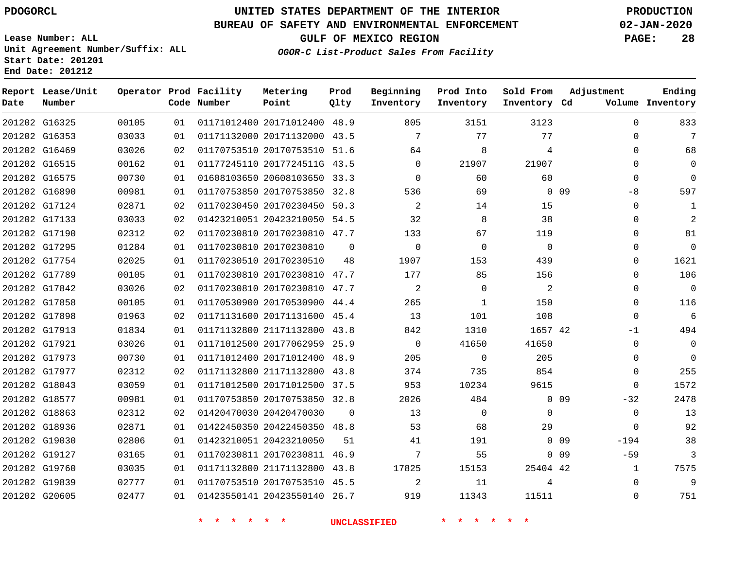### **BUREAU OF SAFETY AND ENVIRONMENTAL ENFORCEMENT 02-JAN-2020**

**Lease Number: ALL Unit Agreement Number/Suffix: ALL Start Date: 201201 End Date: 201212**

**GULF OF MEXICO REGION PAGE: 28**

**OGOR-C List-Product Sales From Facility**

| Date | Report Lease/Unit<br>Number |       |    | Operator Prod Facility<br>Code Number | Metering<br>Point            | Prod<br>Qlty | Beginning<br>Inventory | Prod Into<br>Inventory | Sold From<br>Inventory Cd | Adjustment                | Ending<br>Volume Inventory |
|------|-----------------------------|-------|----|---------------------------------------|------------------------------|--------------|------------------------|------------------------|---------------------------|---------------------------|----------------------------|
|      | 201202 G16325               | 00105 | 01 |                                       | 01171012400 20171012400 48.9 |              | 805                    | 3151                   | 3123                      | $\Omega$                  | 833                        |
|      | 201202 G16353               | 03033 | 01 |                                       | 01171132000 20171132000 43.5 |              | 7                      | 77                     | 77                        | $\Omega$                  | 7                          |
|      | 201202 G16469               | 03026 | 02 |                                       | 01170753510 20170753510 51.6 |              | 64                     | 8                      | 4                         | $\Omega$                  | 68                         |
|      | 201202 G16515               | 00162 | 01 |                                       | 01177245110 2017724511G 43.5 |              | $\Omega$               | 21907                  | 21907                     | $\Omega$                  | $\mathbf 0$                |
|      | 201202 G16575               | 00730 | 01 |                                       | 01608103650 20608103650 33.3 |              | $\Omega$               | 60                     | 60                        | $\Omega$                  | $\mathbf{0}$               |
|      | 201202 G16890               | 00981 | 01 |                                       | 01170753850 20170753850 32.8 |              | 536                    | 69                     |                           | $0$ 09<br>$-8$            | 597                        |
|      | 201202 G17124               | 02871 | 02 |                                       | 01170230450 20170230450 50.3 |              | 2                      | 14                     | 15                        | $\mathbf 0$               | $\mathbf{1}$               |
|      | 201202 G17133               | 03033 | 02 |                                       | 01423210051 20423210050 54.5 |              | 32                     | 8                      | 38                        | 0                         | $\overline{2}$             |
|      | 201202 G17190               | 02312 | 02 |                                       | 01170230810 20170230810 47.7 |              | 133                    | 67                     | 119                       | $\Omega$                  | 81                         |
|      | 201202 G17295               | 01284 | 01 |                                       | 01170230810 20170230810      | $\Omega$     | $\Omega$               | $\Omega$               | $\Omega$                  | $\Omega$                  | $\mathbf 0$                |
|      | 201202 G17754               | 02025 | 01 |                                       | 01170230510 20170230510      | 48           | 1907                   | 153                    | 439                       | $\Omega$                  | 1621                       |
|      | 201202 G17789               | 00105 | 01 |                                       | 01170230810 20170230810 47.7 |              | 177                    | 85                     | 156                       | $\Omega$                  | 106                        |
|      | 201202 G17842               | 03026 | 02 |                                       | 01170230810 20170230810 47.7 |              | 2                      | $\Omega$               | 2                         | $\Omega$                  | $\mathbf 0$                |
|      | 201202 G17858               | 00105 | 01 |                                       | 01170530900 20170530900 44.4 |              | 265                    | 1                      | 150                       | $\mathbf 0$               | 116                        |
|      | 201202 G17898               | 01963 | 02 |                                       | 01171131600 20171131600 45.4 |              | 13                     | 101                    | 108                       | $\mathbf 0$               | 6                          |
|      | 201202 G17913               | 01834 | 01 |                                       | 01171132800 21171132800 43.8 |              | 842                    | 1310                   | 1657 42                   | $-1$                      | 494                        |
|      | 201202 G17921               | 03026 | 01 |                                       | 01171012500 20177062959 25.9 |              | $\Omega$               | 41650                  | 41650                     | $\Omega$                  | $\mathbf 0$                |
|      | 201202 G17973               | 00730 | 01 |                                       | 01171012400 20171012400 48.9 |              | 205                    | $\Omega$               | 205                       | $\Omega$                  | $\Omega$                   |
|      | 201202 G17977               | 02312 | 02 |                                       | 01171132800 21171132800 43.8 |              | 374                    | 735                    | 854                       | $\Omega$                  | 255                        |
|      | 201202 G18043               | 03059 | 01 |                                       | 01171012500 20171012500 37.5 |              | 953                    | 10234                  | 9615                      | $\Omega$                  | 1572                       |
|      | 201202 G18577               | 00981 | 01 |                                       | 01170753850 20170753850 32.8 |              | 2026                   | 484                    |                           | $0$ 09<br>$-32$           | 2478                       |
|      | 201202 G18863               | 02312 | 02 |                                       | 01420470030 20420470030      | $\Omega$     | 13                     | $\overline{0}$         | $\Omega$                  | $\mathbf 0$               | 13                         |
|      | 201202 G18936               | 02871 | 01 |                                       | 01422450350 20422450350 48.8 |              | 53                     | 68                     | 29                        | $\Omega$                  | 92                         |
|      | 201202 G19030               | 02806 | 01 |                                       | 01423210051 20423210050      | 51           | 41                     | 191                    |                           | 0 <sub>09</sub><br>$-194$ | 38                         |
|      | 201202 G19127               | 03165 | 01 |                                       | 01170230811 20170230811 46.9 |              | 7                      | 55                     |                           | 0 <sub>09</sub><br>$-59$  | $\mathbf{3}$               |
|      | 201202 G19760               | 03035 | 01 |                                       | 01171132800 21171132800 43.8 |              | 17825                  | 15153                  | 25404 42                  | $\mathbf{1}$              | 7575                       |
|      | 201202 G19839               | 02777 | 01 |                                       | 01170753510 20170753510 45.5 |              | 2                      | 11                     | 4                         | $\mathbf 0$               | 9                          |
|      | 201202 G20605               | 02477 | 01 |                                       | 01423550141 20423550140 26.7 |              | 919                    | 11343                  | 11511                     | $\Omega$                  | 751                        |
|      |                             |       |    |                                       |                              |              |                        |                        |                           |                           |                            |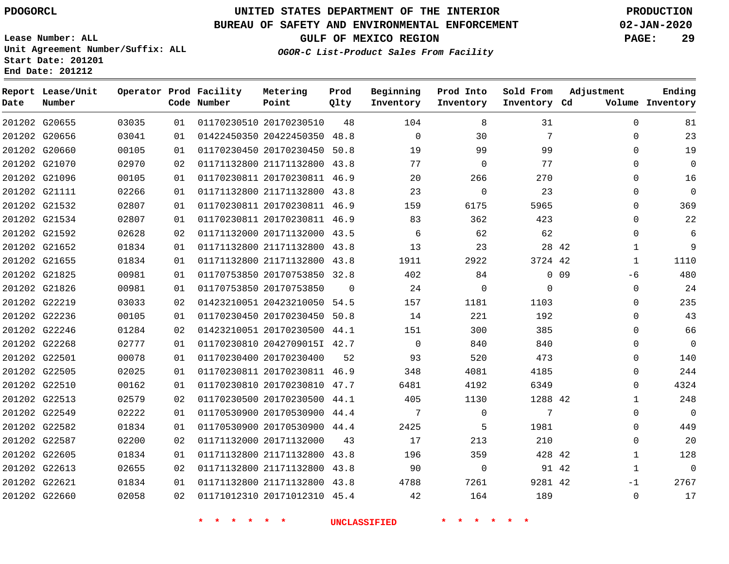#### **BUREAU OF SAFETY AND ENVIRONMENTAL ENFORCEMENT 02-JAN-2020**

**Lease Number: ALL Unit Agreement Number/Suffix: ALL Start Date: 201201**

**End Date: 201212**

**GULF OF MEXICO REGION PAGE: 29**

**Prod**

**Metering**

**Adjustment**

**Ending**

**OGOR-C List-Product Sales From Facility**

| Date | Report Lease/Unit<br>Number |       |    | Operator Prod Facility<br>Code Number | Metering<br>Point            | Prod<br>Qlty | Beginning<br>Inventory | Prod Into<br>Inventory | Sold From<br>Inventory Cd | Adjustment            | Ending<br>Volume Inventory |
|------|-----------------------------|-------|----|---------------------------------------|------------------------------|--------------|------------------------|------------------------|---------------------------|-----------------------|----------------------------|
|      | 201202 G20655               | 03035 | 01 |                                       | 01170230510 20170230510      | 48           | 104                    | 8                      | 31                        | $\Omega$              | 81                         |
|      | 201202 G20656               | 03041 | 01 |                                       | 01422450350 20422450350 48.8 |              | $\Omega$               | 30                     | 7                         | $\Omega$              | 23                         |
|      | 201202 G20660               | 00105 | 01 |                                       | 01170230450 20170230450 50.8 |              | 19                     | 99                     | 99                        | $\Omega$              | 19                         |
|      | 201202 G21070               | 02970 | 02 |                                       | 01171132800 21171132800      | 43.8         | 77                     | $\mathbf 0$            | 77                        | 0                     | $\mathbf 0$                |
|      | 201202 G21096               | 00105 | 01 |                                       | 01170230811 20170230811 46.9 |              | 20                     | 266                    | 270                       | 0                     | 16                         |
|      | 201202 G21111               | 02266 | 01 |                                       | 01171132800 21171132800 43.8 |              | 23                     | $\mathbf 0$            | 23                        | $\Omega$              | $\mathbf 0$                |
|      | 201202 G21532               | 02807 | 01 |                                       | 01170230811 20170230811 46.9 |              | 159                    | 6175                   | 5965                      | $\Omega$              | 369                        |
|      | 201202 G21534               | 02807 | 01 |                                       | 01170230811 20170230811 46.9 |              | 83                     | 362                    | 423                       | $\Omega$              | 22                         |
|      | 201202 G21592               | 02628 | 02 |                                       | 01171132000 20171132000 43.5 |              | 6                      | 62                     | 62                        | 0                     | 6                          |
|      | 201202 G21652               | 01834 | 01 |                                       | 01171132800 21171132800 43.8 |              | 13                     | 23                     |                           | 28 42<br>1            | 9                          |
|      | 201202 G21655               | 01834 | 01 |                                       | 01171132800 21171132800 43.8 |              | 1911                   | 2922                   | 3724 42                   | 1                     | 1110                       |
|      | 201202 G21825               | 00981 | 01 |                                       | 01170753850 20170753850 32.8 |              | 402                    | 84                     |                           | 0 <sub>09</sub><br>-6 | 480                        |
|      | 201202 G21826               | 00981 | 01 |                                       | 01170753850 20170753850      | $\Omega$     | 24                     | $\mathbf 0$            | $\Omega$                  | $\mathbf 0$           | 24                         |
|      | 201202 G22219               | 03033 | 02 |                                       | 01423210051 20423210050 54.5 |              | 157                    | 1181                   | 1103                      | 0                     | 235                        |
|      | 201202 G22236               | 00105 | 01 |                                       | 01170230450 20170230450 50.8 |              | 14                     | 221                    | 192                       | 0                     | 43                         |
|      | 201202 G22246               | 01284 | 02 |                                       | 01423210051 20170230500 44.1 |              | 151                    | 300                    | 385                       | $\Omega$              | 66                         |
|      | 201202 G22268               | 02777 | 01 |                                       | 01170230810 2042709015I 42.7 |              | $\mathbf 0$            | 840                    | 840                       | $\Omega$              | $\mathbf 0$                |
|      | 201202 G22501               | 00078 | 01 |                                       | 01170230400 20170230400      | 52           | 93                     | 520                    | 473                       | $\Omega$              | 140                        |
|      | 201202 G22505               | 02025 | 01 |                                       | 01170230811 20170230811 46.9 |              | 348                    | 4081                   | 4185                      | 0                     | 244                        |
|      | 201202 G22510               | 00162 | 01 |                                       | 01170230810 20170230810 47.7 |              | 6481                   | 4192                   | 6349                      | $\Omega$              | 4324                       |
|      | 201202 G22513               | 02579 | 02 |                                       | 01170230500 20170230500 44.1 |              | 405                    | 1130                   | 1288 42                   | $\mathbf{1}$          | 248                        |
|      | 201202 G22549               | 02222 | 01 |                                       | 01170530900 20170530900 44.4 |              | 7                      | $\Omega$               | 7                         | $\Omega$              | $\Omega$                   |
|      | 201202 G22582               | 01834 | 01 |                                       | 01170530900 20170530900 44.4 |              | 2425                   | 5                      | 1981                      | $\Omega$              | 449                        |
|      | 201202 G22587               | 02200 | 02 |                                       | 01171132000 20171132000      | 43           | 17                     | 213                    | 210                       | 0                     | 20                         |
|      | 201202 G22605               | 01834 | 01 |                                       | 01171132800 21171132800      | 43.8         | 196                    | 359                    | 428 42                    | $\mathbf 1$           | 128                        |
|      | 201202 G22613               | 02655 | 02 |                                       | 01171132800 21171132800 43.8 |              | 90                     | $\mathbf 0$            | 91 42                     | $\mathbf 1$           | $\mathbf 0$                |
|      | 201202 G22621               | 01834 | 01 |                                       | 01171132800 21171132800 43.8 |              | 4788                   | 7261                   | 9281 42                   | $-1$                  | 2767                       |
|      | 201202 G22660               | 02058 | 02 |                                       | 01171012310 20171012310 45.4 |              | 42                     | 164                    | 189                       | $\Omega$              | 17                         |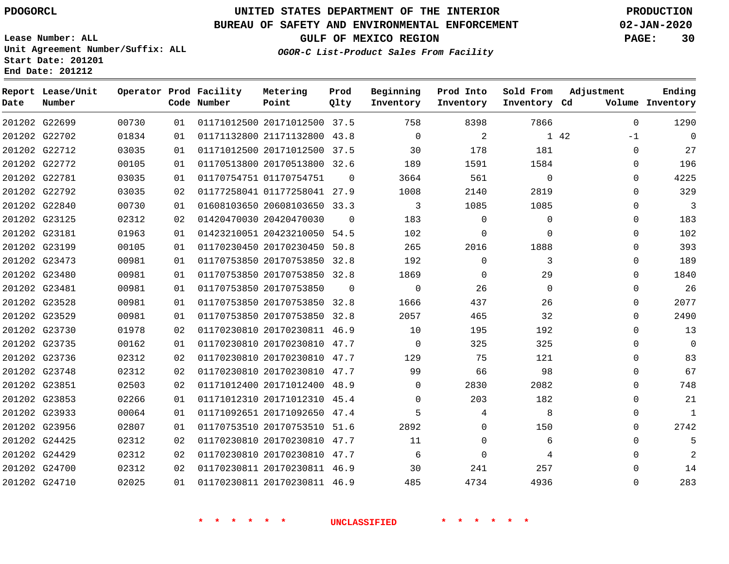**Date**

**Report Lease/Unit**

**Number**

## **UNITED STATES DEPARTMENT OF THE INTERIOR PDOGORCL PRODUCTION**

**Prod Qlty**

### **BUREAU OF SAFETY AND ENVIRONMENTAL ENFORCEMENT 02-JAN-2020**

**Lease Number: ALL Unit Agreement Number/Suffix: ALL Start Date: 201201 End Date: 201212**

**Operator Prod Facility**

**Code Number**

**OGOR-C List-Product Sales From Facility**

**Beginning Inventory** **Prod Into Inventory** **Sold From Inventory**

**Inventory Cd Volume**

**Adjustment**

  $-1$   $\Omega$  $\Omega$  $\Omega$   $\Omega$   $\Omega$  $\overline{0}$  $\overline{0}$  $\Omega$  $\overline{0}$  $\Omega$  $\Omega$  $\Omega$  $\Omega$  

**GULF OF MEXICO REGION PAGE: 30**

**Ending**

| 201202 G22699 | 00730 | 01 |                         | 01171012500 20171012500 37.5 |          | 758            | 8398     | 7866        |      |
|---------------|-------|----|-------------------------|------------------------------|----------|----------------|----------|-------------|------|
| 201202 G22702 | 01834 | 01 |                         | 01171132800 21171132800 43.8 |          | $\Omega$       | 2        |             | 1 42 |
| 201202 G22712 | 03035 | 01 |                         | 01171012500 20171012500 37.5 |          | 30             | 178      | 181         |      |
| 201202 G22772 | 00105 | 01 |                         | 01170513800 20170513800 32.6 |          | 189            | 1591     | 1584        |      |
| 201202 G22781 | 03035 | 01 | 01170754751 01170754751 |                              | $\Omega$ | 3664           | 561      | $\mathbf 0$ |      |
| 201202 G22792 | 03035 | 02 |                         | 01177258041 01177258041 27.9 |          | 1008           | 2140     | 2819        |      |
| 201202 G22840 | 00730 | 01 |                         | 01608103650 20608103650 33.3 |          | $\overline{3}$ | 1085     | 1085        |      |
| 201202 G23125 | 02312 | 02 | 01420470030 20420470030 |                              | $\Omega$ | 183            | $\Omega$ | 0           |      |
| 201202 G23181 | 01963 | 01 |                         | 01423210051 20423210050 54.5 |          | 102            | $\Omega$ | $\Omega$    |      |
| 201202 G23199 | 00105 | 01 |                         | 01170230450 20170230450 50.8 |          | 265            | 2016     | 1888        |      |
| 201202 G23473 | 00981 | 01 |                         | 01170753850 20170753850 32.8 |          | 192            | $\Omega$ | 3           |      |
| 201202 G23480 | 00981 | 01 |                         | 01170753850 20170753850 32.8 |          | 1869           | $\Omega$ | 29          |      |
| 201202 G23481 | 00981 | 01 | 01170753850 20170753850 |                              | $\Omega$ | $\Omega$       | 26       | $\Omega$    |      |
| 201202 G23528 | 00981 | 01 |                         | 01170753850 20170753850 32.8 |          | 1666           | 437      | 26          |      |
| 201202 G23529 | 00981 | 01 |                         | 01170753850 20170753850 32.8 |          | 2057           | 465      | 32          |      |
| 201202 G23730 | 01978 | 02 |                         | 01170230810 20170230811 46.9 |          | 10             | 195      | 192         |      |
| 201202 G23735 | 00162 | 01 |                         | 01170230810 20170230810 47.7 |          | $\overline{0}$ | 325      | 325         |      |
| 201202 G23736 | 02312 | 02 |                         | 01170230810 20170230810 47.7 |          | 129            | 75       | 121         |      |
| 201202 G23748 | 02312 | 02 |                         | 01170230810 20170230810 47.7 |          | 99             | 66       | 98          |      |
| 201202 G23851 | 02503 | 02 |                         | 01171012400 20171012400 48.9 |          | $\Omega$       | 2830     | 2082        |      |
| 201202 G23853 | 02266 | 01 |                         | 01171012310 20171012310 45.4 |          | $\Omega$       | 203      | 182         |      |
| 201202 G23933 | 00064 | 01 |                         | 01171092651 20171092650 47.4 |          | 5              | 4        | 8           |      |
| 201202 G23956 | 02807 | 01 |                         | 01170753510 20170753510 51.6 |          | 2892           | $\Omega$ | 150         |      |
| 201202 G24425 | 02312 | 02 |                         | 01170230810 20170230810 47.7 |          | 11             | $\Omega$ | 6           |      |
| 201202 G24429 | 02312 | 02 |                         | 01170230810 20170230810 47.7 |          | 6              | $\Omega$ | 4           |      |
| 201202 G24700 | 02312 | 02 |                         | 01170230811 20170230811 46.9 |          | 30             | 241      | 257         |      |
| 201202 G24710 | 02025 | 01 |                         | 01170230811 20170230811 46.9 |          | 485            | 4734     | 4936        |      |
|               |       |    |                         |                              |          |                |          |             |      |

**Metering Point**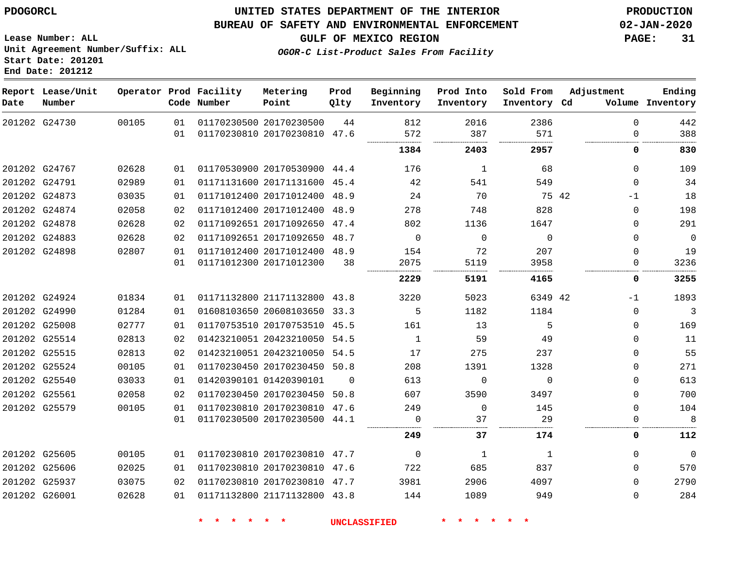### **BUREAU OF SAFETY AND ENVIRONMENTAL ENFORCEMENT 02-JAN-2020**

**GULF OF MEXICO REGION PAGE: 31**

**Lease Number: ALL Unit Agreement Number/Suffix: ALL Start Date: 201201 End Date: 201212**

**OGOR-C List-Product Sales From Facility**

| Date | Report Lease/Unit<br>Number |       |          | Operator Prod Facility<br>Code Number | Metering<br>Point                                       | Prod<br>Qlty | Beginning<br>Inventory | Prod Into<br>Inventory | Sold From<br>Inventory Cd | Adjustment           | Ending<br>Volume Inventory |
|------|-----------------------------|-------|----------|---------------------------------------|---------------------------------------------------------|--------------|------------------------|------------------------|---------------------------|----------------------|----------------------------|
|      | 201202 G24730               | 00105 | 01<br>01 |                                       | 01170230500 20170230500<br>01170230810 20170230810 47.6 | 44           | 812<br>572             | 2016<br>387            | 2386<br>571               | $\Omega$<br>$\Omega$ | 442<br>388                 |
|      |                             |       |          |                                       |                                                         |              | 1384                   | 2403                   | 2957                      | 0                    | 830                        |
|      |                             |       |          |                                       |                                                         |              |                        |                        |                           |                      |                            |
|      | 201202 G24767               | 02628 | 01       |                                       | 01170530900 20170530900 44.4                            |              | 176                    | $\mathbf{1}$           | 68                        | $\Omega$             | 109                        |
|      | 201202 G24791               | 02989 | 01       |                                       | 01171131600 20171131600 45.4                            |              | 42                     | 541                    | 549                       | $\Omega$             | 34                         |
|      | 201202 G24873               | 03035 | 01       |                                       | 01171012400 20171012400 48.9                            |              | 24                     | 70                     | 75 42                     | $-1$                 | 18                         |
|      | 201202 G24874               | 02058 | 02       |                                       | 01171012400 20171012400 48.9                            |              | 278                    | 748                    | 828                       | $\mathbf{0}$         | 198                        |
|      | 201202 G24878               | 02628 | 02       |                                       | 01171092651 20171092650 47.4                            |              | 802                    | 1136                   | 1647                      | $\Omega$             | 291                        |
|      | 201202 G24883               | 02628 | 02       |                                       | 01171092651 20171092650 48.7                            |              | $\Omega$               | $\Omega$               | $\Omega$                  | $\Omega$             | $\overline{0}$             |
|      | 201202 G24898               | 02807 | 01       |                                       | 01171012400 20171012400 48.9                            |              | 154                    | 72                     | 207                       | $\Omega$             | 19                         |
|      |                             |       | 01       |                                       | 01171012300 20171012300                                 | 38           | 2075                   | 5119                   | 3958                      | 0                    | 3236                       |
|      |                             |       |          |                                       |                                                         |              | 2229                   | 5191                   | 4165                      | 0                    | 3255                       |
|      | 201202 G24924               | 01834 | 01       |                                       | 01171132800 21171132800 43.8                            |              | 3220                   | 5023                   | 6349 42                   | $-1$                 | 1893                       |
|      | 201202 G24990               | 01284 | 01       |                                       | 01608103650 20608103650 33.3                            |              | 5                      | 1182                   | 1184                      | $\mathbf{0}$         | $\overline{3}$             |
|      | 201202 G25008               | 02777 | 01       |                                       | 01170753510 20170753510 45.5                            |              | 161                    | 13                     | 5                         | $\Omega$             | 169                        |
|      | 201202 G25514               | 02813 | 02       |                                       | 01423210051 20423210050 54.5                            |              | $\mathbf{1}$           | 59                     | 49                        | $\Omega$             | 11                         |
|      | 201202 G25515               | 02813 | 02       |                                       | 01423210051 20423210050 54.5                            |              | 17                     | 275                    | 237                       | $\Omega$             | 55                         |
|      | 201202 G25524               | 00105 | 01       |                                       | 01170230450 20170230450 50.8                            |              | 208                    | 1391                   | 1328                      | $\mathbf 0$          | 271                        |
|      | 201202 G25540               | 03033 | 01       |                                       | 01420390101 01420390101                                 | $\Omega$     | 613                    | $\Omega$               | $\Omega$                  | $\Omega$             | 613                        |
|      | 201202 G25561               | 02058 | 02       |                                       | 01170230450 20170230450 50.8                            |              | 607                    | 3590                   | 3497                      | $\Omega$             | 700                        |
|      | 201202 G25579               | 00105 | 01       |                                       | 01170230810 20170230810 47.6                            |              | 249                    | $\mathbf 0$            | 145                       | $\Omega$             | 104                        |
|      |                             |       | 01       |                                       | 01170230500 20170230500 44.1                            |              | $\Omega$               | 37                     | 29                        | $\Omega$             | 8                          |
|      |                             |       |          |                                       |                                                         |              | 249                    | 37                     | 174                       | 0                    | 112                        |
|      | 201202 G25605               | 00105 | 01       |                                       | 01170230810 20170230810 47.7                            |              | $\Omega$               | 1                      | 1                         | $\Omega$             | $\mathbf 0$                |
|      | 201202 G25606               | 02025 | 01       |                                       | 01170230810 20170230810 47.6                            |              | 722                    | 685                    | 837                       | $\mathbf 0$          | 570                        |
|      | 201202 G25937               | 03075 | 02       |                                       | 01170230810 20170230810 47.7                            |              | 3981                   | 2906                   | 4097                      | $\Omega$             | 2790                       |
|      | 201202 G26001               | 02628 | 01       |                                       | 01171132800 21171132800 43.8                            |              | 144                    | 1089                   | 949                       | $\Omega$             | 284                        |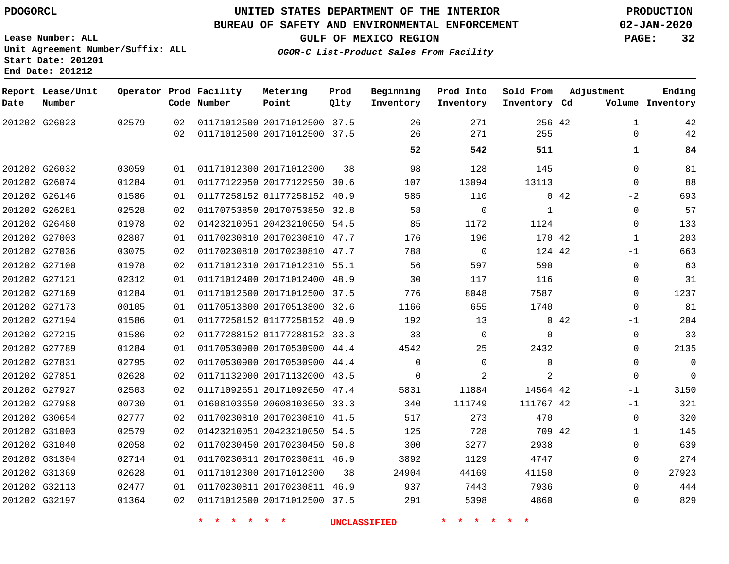**Report Lease/Unit**

**Number**

**End** 

**Date**

 G31304 G31369 G32113 G32197

## **UNITED STATES DEPARTMENT OF THE INTERIOR PDOGORCL PRODUCTION**

#### **BUREAU OF SAFETY AND ENVIRONMENTAL ENFORCEMENT 02-JAN-2020**

**Lease Number: ALL Unit Agreement Number/Suffix: ALL Star** 

**GULF OF MEXICO REGION PAGE: 32**

**Prod Qlty**

**OGOR-C List-Product Sales From Facility**

**Beginning Inventory**

**Sold From Inventory**

**Prod Into Inventory**

**Inventory Cd Volume**

**Adjustment**

 $\Omega$  $\Omega$  $\Omega$  $\Omega$  **Ending**

| Date: 201212                   |  |
|--------------------------------|--|
| rt Date: 201201 <sup>.</sup>   |  |
| . Agleement Number/Sullix: And |  |

**Operator Prod Facility**

**Code Number**

 

| 201202 G26023 | 02579 | 02 | 01171012500 20171012500 37.5 |    | 26       | 271                      | 256 42         |             |          | 42   |
|---------------|-------|----|------------------------------|----|----------|--------------------------|----------------|-------------|----------|------|
|               |       | 02 | 01171012500 20171012500 37.5 |    | 26<br>   | 271<br>----------------- | 255<br>        |             |          | 42   |
|               |       |    |                              |    | 52       | 542                      | 511            |             |          | 84   |
| 201202 G26032 | 03059 | 01 | 01171012300 20171012300      | 38 | 98       | 128                      | 145            |             | $\Omega$ | 81   |
| 201202 G26074 | 01284 | 01 | 01177122950 20177122950 30.6 |    | 107      | 13094                    | 13113          |             | $\Omega$ | 88   |
| 201202 G26146 | 01586 | 01 | 01177258152 01177258152 40.9 |    | 585      | 110                      |                | $0\quad 42$ | $-2$     | 693  |
| 201202 G26281 | 02528 | 02 | 01170753850 20170753850 32.8 |    | 58       | $\Omega$                 | 1              |             | $\Omega$ | 57   |
| 201202 G26480 | 01978 | 02 | 01423210051 20423210050 54.5 |    | 85       | 1172                     | 1124           |             | $\Omega$ | 133  |
| 201202 G27003 | 02807 | 01 | 01170230810 20170230810 47.7 |    | 176      | 196                      | 170 42         |             | 1        | 203  |
| 201202 G27036 | 03075 | 02 | 01170230810 20170230810 47.7 |    | 788      | $\Omega$                 | 124 42         |             | $-1$     | 663  |
| 201202 G27100 | 01978 | 02 | 01171012310 20171012310 55.1 |    | 56       | 597                      | 590            |             | $\Omega$ | 63   |
| 201202 G27121 | 02312 | 01 | 01171012400 20171012400 48.9 |    | 30       | 117                      | 116            |             | 0        | 31   |
| 201202 G27169 | 01284 | 01 | 01171012500 20171012500 37.5 |    | 776      | 8048                     | 7587           |             | $\Omega$ | 1237 |
| 201202 G27173 | 00105 | 01 | 01170513800 20170513800 32.6 |    | 1166     | 655                      | 1740           |             | $\Omega$ | 81   |
| 201202 G27194 | 01586 | 01 | 01177258152 01177258152 40.9 |    | 192      | 13                       |                | $0\quad 42$ | $-1$     | 204  |
| 201202 G27215 | 01586 | 02 | 01177288152 01177288152 33.3 |    | 33       | $\Omega$                 | $\Omega$       |             | 0        | 33   |
| 201202 G27789 | 01284 | 01 | 01170530900 20170530900 44.4 |    | 4542     | 25                       | 2432           |             | 0        | 2135 |
| 201202 G27831 | 02795 | 02 | 01170530900 20170530900 44.4 |    | $\Omega$ | $\Omega$                 | $\Omega$       |             | 0        | 0    |
| 201202 G27851 | 02628 | 02 | 01171132000 20171132000 43.5 |    | $\Omega$ |                          | $\mathfrak{D}$ |             | $\Omega$ | 0    |
| 201202 G27927 | 02503 | 02 | 01171092651 20171092650 47.4 |    | 5831     | 11884                    | 14564 42       |             | $-1$     | 3150 |
| 201202 G27988 | 00730 | 01 | 01608103650 20608103650 33.3 |    | 340      | 111749                   | 111767 42      |             | $-1$     | 321  |
| 201202 G30654 | 02777 | 02 | 01170230810 20170230810 41.5 |    | 517      | 273                      | 470            |             | 0        | 320  |
| 201202 G31003 | 02579 | 02 | 01423210051 20423210050 54.5 |    | 125      | 728                      | 709 42         |             | 1        | 145  |
| 201202 G31040 | 02058 | 02 | 01170230450 20170230450 50.8 |    | 300      | 3277                     | 2938           |             | $\Omega$ | 639  |

 20171012500 37.5 

20170230811 46.9

**Metering Point**

20170230811 46.9

20171012300

 

**\* \* \* \* \* \* UNCLASSIFIED \* \* \* \* \* \***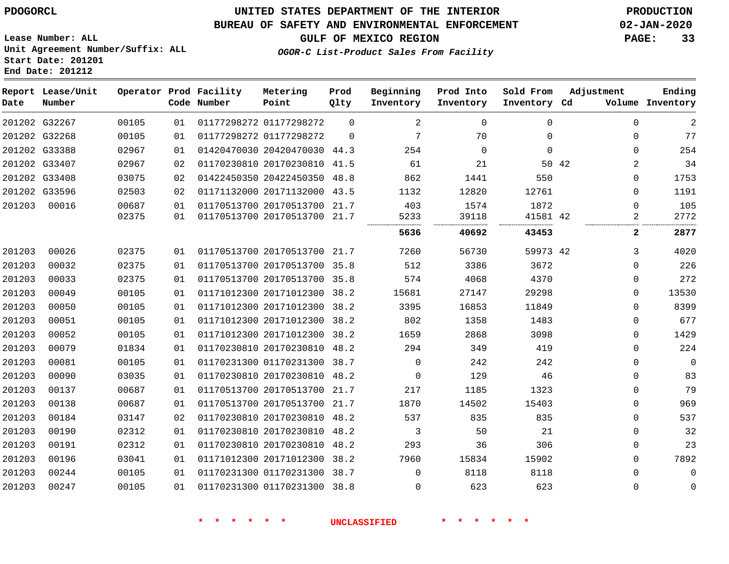#### **BUREAU OF SAFETY AND ENVIRONMENTAL ENFORCEMENT 02-JAN-2020**

**Lease Number: ALL Unit Agreement Number/Suffix: ALL Start Date: 201201**

**End Date: 201212**

**GULF OF MEXICO REGION PAGE: 33**

**OGOR-C List-Product Sales From Facility**

| Date   | Report Lease/Unit<br>Number |                |          | Operator Prod Facility<br>Code Number | Metering<br>Point                                            | Prod<br>Qlty | Beginning<br>Inventory | Prod Into<br>Inventory | Sold From<br>Inventory Cd | Adjustment                 | Ending<br>Volume Inventory |
|--------|-----------------------------|----------------|----------|---------------------------------------|--------------------------------------------------------------|--------------|------------------------|------------------------|---------------------------|----------------------------|----------------------------|
|        | 201202 G32267               | 00105          | 01       |                                       | 01177298272 01177298272                                      | $\Omega$     | 2                      | $\Omega$               | $\Omega$                  | $\Omega$                   | $\overline{a}$             |
|        | 201202 G32268               | 00105          | 01       |                                       | 01177298272 01177298272                                      | $\Omega$     | 7                      | 70                     | $\Omega$                  | $\mathbf 0$                | 77                         |
|        | 201202 G33388               | 02967          | 01       |                                       | 01420470030 20420470030 44.3                                 |              | 254                    | $\Omega$               | $\Omega$                  | $\Omega$                   | 254                        |
|        | 201202 G33407               | 02967          | 02       |                                       | 01170230810 20170230810                                      | 41.5         | 61                     | 21                     |                           | 50 42<br>2                 | 34                         |
|        | 201202 G33408               | 03075          | 02       |                                       | 01422450350 20422450350 48.8                                 |              | 862                    | 1441                   | 550                       | $\Omega$                   | 1753                       |
|        | 201202 G33596               | 02503          | 02       |                                       | 01171132000 20171132000 43.5                                 |              | 1132                   | 12820                  | 12761                     | $\Omega$                   | 1191                       |
| 201203 | 00016                       | 00687<br>02375 | 01<br>01 |                                       | 01170513700 20170513700 21.7<br>01170513700 20170513700 21.7 |              | 403<br>5233            | 1574<br>39118          | 1872<br>41581 42          | $\Omega$<br>$\overline{a}$ | 105<br>2772                |
|        |                             |                |          |                                       |                                                              |              | 5636                   | 40692                  | <br>43453                 | 2                          | 2877                       |
| 201203 | 00026                       | 02375          | 01       |                                       | 01170513700 20170513700 21.7                                 |              | 7260                   | 56730                  | 59973 42                  | 3                          | 4020                       |
| 201203 | 00032                       | 02375          | 01       |                                       | 01170513700 20170513700 35.8                                 |              | 512                    | 3386                   | 3672                      | $\Omega$                   | 226                        |
| 201203 | 00033                       | 02375          | 01       |                                       | 01170513700 20170513700 35.8                                 |              | 574                    | 4068                   | 4370                      | $\Omega$                   | 272                        |
| 201203 | 00049                       | 00105          | 01       |                                       | 01171012300 20171012300 38.2                                 |              | 15681                  | 27147                  | 29298                     | $\mathbf 0$                | 13530                      |
| 201203 | 00050                       | 00105          | 01       |                                       | 01171012300 20171012300 38.2                                 |              | 3395                   | 16853                  | 11849                     | $\mathbf 0$                | 8399                       |
| 201203 | 00051                       | 00105          | 01       |                                       | 01171012300 20171012300 38.2                                 |              | 802                    | 1358                   | 1483                      | $\mathbf 0$                | 677                        |
| 201203 | 00052                       | 00105          | 01       |                                       | 01171012300 20171012300 38.2                                 |              | 1659                   | 2868                   | 3098                      | $\mathbf 0$                | 1429                       |
| 201203 | 00079                       | 01834          | 01       |                                       | 01170230810 20170230810 48.2                                 |              | 294                    | 349                    | 419                       | $\Omega$                   | 224                        |
| 201203 | 00081                       | 00105          | 01       |                                       | 01170231300 01170231300 38.7                                 |              | $\mathbf 0$            | 242                    | 242                       | $\mathbf 0$                | $\Omega$                   |
| 201203 | 00090                       | 03035          | 01       |                                       | 01170230810 20170230810 48.2                                 |              | $\Omega$               | 129                    | 46                        | $\Omega$                   | 83                         |
| 201203 | 00137                       | 00687          | 01       |                                       | 01170513700 20170513700 21.7                                 |              | 217                    | 1185                   | 1323                      | $\mathbf 0$                | 79                         |
| 201203 | 00138                       | 00687          | 01       |                                       | 01170513700 20170513700 21.7                                 |              | 1870                   | 14502                  | 15403                     | $\Omega$                   | 969                        |
| 201203 | 00184                       | 03147          | 02       |                                       | 01170230810 20170230810 48.2                                 |              | 537                    | 835                    | 835                       | $\mathbf 0$                | 537                        |
| 201203 | 00190                       | 02312          | 01       |                                       | 01170230810 20170230810                                      | 48.2         | 3                      | 50                     | 21                        | $\mathbf 0$                | 32                         |
| 201203 | 00191                       | 02312          | 01       |                                       | 01170230810 20170230810 48.2                                 |              | 293                    | 36                     | 306                       | $\Omega$                   | 23                         |
| 201203 | 00196                       | 03041          | 01       |                                       | 01171012300 20171012300 38.2                                 |              | 7960                   | 15834                  | 15902                     | $\mathbf 0$                | 7892                       |
| 201203 | 00244                       | 00105          | 01       |                                       | 01170231300 01170231300 38.7                                 |              | $\Omega$               | 8118                   | 8118                      | $\Omega$                   | $\mathbf 0$                |
| 201203 | 00247                       | 00105          | 01       |                                       | 01170231300 01170231300 38.8                                 |              | $\Omega$               | 623                    | 623                       | $\mathbf 0$                | $\mathbf 0$                |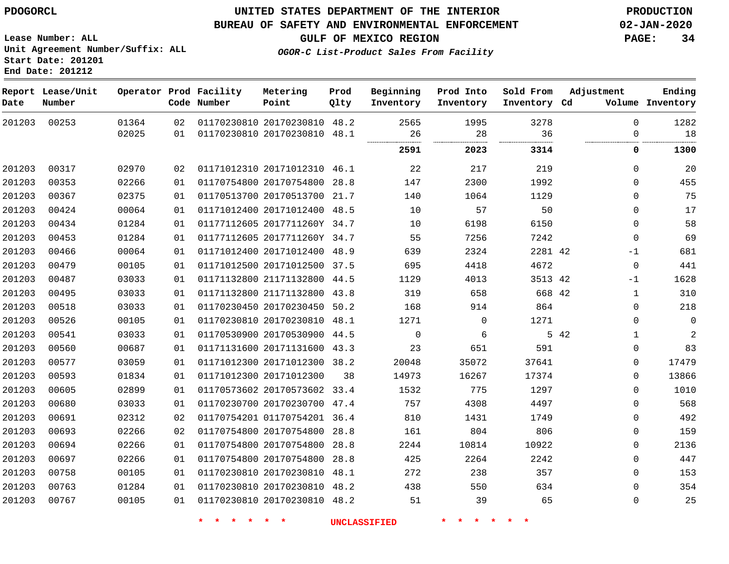**End Date: 201212**

## **UNITED STATES DEPARTMENT OF THE INTERIOR PDOGORCL PRODUCTION**

### **BUREAU OF SAFETY AND ENVIRONMENTAL ENFORCEMENT 02-JAN-2020**

**Lease Number: ALL Unit Agreement Number/Suffix: ALL Start Date: 201201**

**GULF OF MEXICO REGION PAGE: 34**

**OGOR-C List-Product Sales From Facility**

| Date   | Report Lease/Unit<br>Number |       |    | Operator Prod Facility<br>Code Number | Metering<br>Point            | Prod<br>Qlty | Beginning<br>Inventory | Prod Into<br>Inventory | Sold From<br>Inventory Cd | Adjustment           | Ending<br>Volume Inventory |
|--------|-----------------------------|-------|----|---------------------------------------|------------------------------|--------------|------------------------|------------------------|---------------------------|----------------------|----------------------------|
| 201203 | 00253                       | 01364 | 02 |                                       | 01170230810 20170230810 48.2 |              | 2565                   | 1995                   | 3278                      | $\Omega$             | 1282                       |
|        |                             | 02025 | 01 |                                       | 01170230810 20170230810 48.1 |              | 26<br>                 | 28<br>.                | 36<br>.                   | $\Omega$             | 18                         |
|        |                             |       |    |                                       |                              |              | 2591                   | 2023                   | 3314                      | 0                    | 1300                       |
| 201203 | 00317                       | 02970 | 02 |                                       | 01171012310 20171012310 46.1 |              | 22                     | 217                    | 219                       | $\mathbf 0$          | 20                         |
| 201203 | 00353                       | 02266 | 01 |                                       | 01170754800 20170754800 28.8 |              | 147                    | 2300                   | 1992                      | $\Omega$             | 455                        |
| 201203 | 00367                       | 02375 | 01 |                                       | 01170513700 20170513700 21.7 |              | 140                    | 1064                   | 1129                      | $\Omega$             | 75                         |
| 201203 | 00424                       | 00064 | 01 |                                       | 01171012400 20171012400 48.5 |              | 10                     | 57                     | 50                        | $\mathbf 0$          | 17                         |
| 201203 | 00434                       | 01284 | 01 |                                       | 01177112605 2017711260Y 34.7 |              | 10                     | 6198                   | 6150                      | $\Omega$             | 58                         |
| 201203 | 00453                       | 01284 | 01 |                                       | 01177112605 2017711260Y 34.7 |              | 55                     | 7256                   | 7242                      | $\Omega$             | 69                         |
| 201203 | 00466                       | 00064 | 01 |                                       | 01171012400 20171012400 48.9 |              | 639                    | 2324                   | 2281 42                   | $-1$                 | 681                        |
| 201203 | 00479                       | 00105 | 01 |                                       | 01171012500 20171012500      | 37.5         | 695                    | 4418                   | 4672                      | $\mathbf 0$          | 441                        |
| 201203 | 00487                       | 03033 | 01 |                                       | 01171132800 21171132800 44.5 |              | 1129                   | 4013                   | 3513 42                   | $-1$                 | 1628                       |
| 201203 | 00495                       | 03033 | 01 |                                       | 01171132800 21171132800 43.8 |              | 319                    | 658                    | 668 42                    | $\mathbf{1}$         | 310                        |
| 201203 | 00518                       | 03033 | 01 |                                       | 01170230450 20170230450 50.2 |              | 168                    | 914                    | 864                       | $\Omega$             | 218                        |
| 201203 | 00526                       | 00105 | 01 |                                       | 01170230810 20170230810 48.1 |              | 1271                   | $\Omega$               | 1271                      | $\Omega$             | $\mathbf 0$                |
| 201203 | 00541                       | 03033 | 01 |                                       | 01170530900 20170530900 44.5 |              | $\mathbf 0$            | 6                      |                           | 5 42<br>$\mathbf{1}$ | $\overline{2}$             |
| 201203 | 00560                       | 00687 | 01 |                                       | 01171131600 20171131600 43.3 |              | 23                     | 651                    | 591                       | $\Omega$             | 83                         |
| 201203 | 00577                       | 03059 | 01 |                                       | 01171012300 20171012300 38.2 |              | 20048                  | 35072                  | 37641                     | $\Omega$             | 17479                      |
| 201203 | 00593                       | 01834 | 01 |                                       | 01171012300 20171012300      | 38           | 14973                  | 16267                  | 17374                     | $\Omega$             | 13866                      |
| 201203 | 00605                       | 02899 | 01 |                                       | 01170573602 20170573602 33.4 |              | 1532                   | 775                    | 1297                      | $\Omega$             | 1010                       |
| 201203 | 00680                       | 03033 | 01 |                                       | 01170230700 20170230700 47.4 |              | 757                    | 4308                   | 4497                      | $\Omega$             | 568                        |
| 201203 | 00691                       | 02312 | 02 |                                       | 01170754201 01170754201 36.4 |              | 810                    | 1431                   | 1749                      | $\Omega$             | 492                        |
| 201203 | 00693                       | 02266 | 02 |                                       | 01170754800 20170754800 28.8 |              | 161                    | 804                    | 806                       | $\Omega$             | 159                        |
| 201203 | 00694                       | 02266 | 01 |                                       | 01170754800 20170754800 28.8 |              | 2244                   | 10814                  | 10922                     | $\Omega$             | 2136                       |
| 201203 | 00697                       | 02266 | 01 |                                       | 01170754800 20170754800      | 28.8         | 425                    | 2264                   | 2242                      | $\mathbf 0$          | 447                        |
| 201203 | 00758                       | 00105 | 01 |                                       | 01170230810 20170230810 48.1 |              | 272                    | 238                    | 357                       | $\Omega$             | 153                        |
| 201203 | 00763                       | 01284 | 01 |                                       | 01170230810 20170230810 48.2 |              | 438                    | 550                    | 634                       | $\Omega$             | 354                        |
| 201203 | 00767                       | 00105 | 01 |                                       | 01170230810 20170230810 48.2 |              | 51                     | 39                     | 65                        | $\mathbf 0$          | 25                         |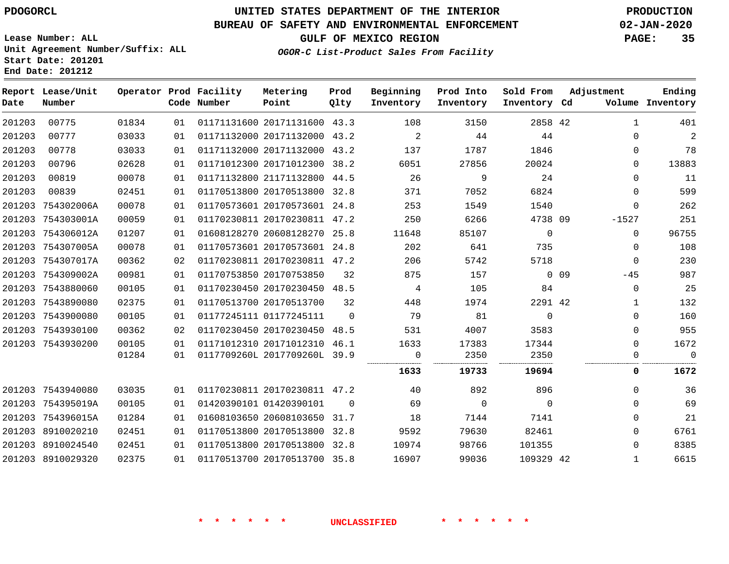**Report Date**

8910029320

**End Date: 201212**

## **UNITED STATES DEPARTMENT OF THE INTERIOR PDOGORCL PRODUCTION**

#### **BUREAU OF SAFETY AND ENVIRONMENTAL ENFORCEMENT 02-JAN-2020**

**Lease Number: ALL Unit Agreement Number/Suffix: ALL Start Date: 201201**

**OGOR-C List-Product Sales From Facility**

**GULF OF MEXICO REGION PAGE: 35**

42

| Lease/Unit<br>Number |       |    | Operator Prod Facility<br>Code Number | Metering<br>Point            | Prod<br>Qlty | Beginning<br>Inventory | Prod Into<br>Inventory | Sold From<br>Inventory Cd | Adjustment               | Ending<br>Volume Inventory |
|----------------------|-------|----|---------------------------------------|------------------------------|--------------|------------------------|------------------------|---------------------------|--------------------------|----------------------------|
| 00775                | 01834 | 01 |                                       | 01171131600 20171131600 43.3 |              | 108                    | 3150                   | 2858 42                   | $\mathbf{1}$             | 401                        |
| 00777                | 03033 | 01 |                                       | 01171132000 20171132000 43.2 |              | 2                      | 44                     | 44                        | $\Omega$                 | $\mathbf{2}$               |
| 00778                | 03033 | 01 |                                       | 01171132000 20171132000      | 43.2         | 137                    | 1787                   | 1846                      | $\Omega$                 | 78                         |
| 00796                | 02628 | 01 |                                       | 01171012300 20171012300 38.2 |              | 6051                   | 27856                  | 20024                     | $\Omega$                 | 13883                      |
| 00819                | 00078 | 01 |                                       | 01171132800 21171132800      | 44.5         | 26                     | 9                      | 24                        | $\Omega$                 | 11                         |
| 00839                | 02451 | 01 |                                       | 01170513800 20170513800 32.8 |              | 371                    | 7052                   | 6824                      | $\Omega$                 | 599                        |
| 754302006A           | 00078 | 01 |                                       | 01170573601 20170573601 24.8 |              | 253                    | 1549                   | 1540                      | $\Omega$                 | 262                        |
| 754303001A           | 00059 | 01 |                                       | 01170230811 20170230811 47.2 |              | 250                    | 6266                   | 4738 09                   | $-1527$                  | 251                        |
| 754306012A           | 01207 | 01 |                                       | 01608128270 20608128270      | 25.8         | 11648                  | 85107                  | $\Omega$                  | $\Omega$                 | 96755                      |
| 754307005A           | 00078 | 01 |                                       | 01170573601 20170573601      | 24.8         | 202                    | 641                    | 735                       | $\Omega$                 | 108                        |
| 754307017A           | 00362 | 02 |                                       | 01170230811 20170230811      | 47.2         | 206                    | 5742                   | 5718                      | $\mathbf 0$              | 230                        |
| 754309002A           | 00981 | 01 |                                       | 01170753850 20170753850      | 32           | 875                    | 157                    |                           | 0 <sub>09</sub><br>$-45$ | 987                        |
| 7543880060           | 00105 | 01 |                                       | 01170230450 20170230450      | 48.5         | 4                      | 105                    | 84                        | $\Omega$                 | 25                         |
| 7543890080           | 02375 | 01 |                                       | 01170513700 20170513700      | 32           | 448                    | 1974                   | 2291 42                   | $\mathbf 1$              | 132                        |
| 7543900080           | 00105 | 01 |                                       | 01177245111 01177245111      | $\Omega$     | 79                     | 81                     | $\mathbf 0$               | $\Omega$                 | 160                        |
| 7543930100           | 00362 | 02 |                                       | 01170230450 20170230450      | 48.5         | 531                    | 4007                   | 3583                      | 0                        | 955                        |
| 7543930200           | 00105 | 01 |                                       | 01171012310 20171012310 46.1 |              | 1633                   | 17383                  | 17344                     | $\Omega$                 | 1672                       |
|                      | 01284 | 01 |                                       | 0117709260L 2017709260L 39.9 |              | $\Omega$               | 2350                   | 2350                      | $\Omega$                 | $\Omega$                   |
|                      |       |    |                                       |                              |              | 1633                   | 19733                  | 19694                     | 0                        | 1672                       |
| 7543940080           | 03035 | 01 |                                       | 01170230811 20170230811 47.2 |              | 40                     | 892                    | 896                       | $\Omega$                 | 36                         |
| 754395019A           | 00105 | 01 |                                       | 01420390101 01420390101      | $\Omega$     | 69                     | $\mathbf 0$            | $\Omega$                  | $\Omega$                 | 69                         |
| 754396015A           | 01284 | 01 |                                       | 01608103650 20608103650      | 31.7         | 18                     | 7144                   | 7141                      | 0                        | 21                         |
| 8910020210           | 02451 | 01 |                                       | 01170513800 20170513800 32.8 |              | 9592                   | 79630                  | 82461                     | $\Omega$                 | 6761                       |
| 8910024540           | 02451 | 01 |                                       | 01170513800 20170513800 32.8 |              | 10974                  | 98766                  | 101355                    | $\Omega$                 | 8385                       |
|                      |       |    |                                       |                              |              |                        |                        |                           |                          |                            |

01170513700 20170513700 35.8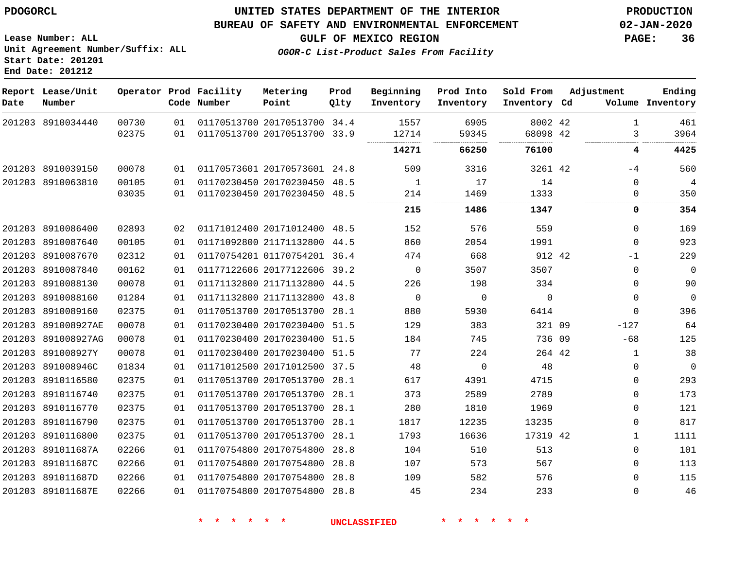**Date**

**Report Lease/Unit**

**Number**

 8910116800 891011687A 891011687C 891011687D 891011687E

## **UNITED STATES DEPARTMENT OF THE INTERIOR PDOGORCL PRODUCTION**

**Prod Qlty**

#### **BUREAU OF SAFETY AND ENVIRONMENTAL ENFORCEMENT 02-JAN-2020**

**Lease Number: ALL Unit Agreement Number/Suffix: ALL Start Date: 201201 End Date: 201212**

**Operator Prod Facility**

**Code Number**

**OGOR-C List-Product Sales From Facility**

**Beginning Inventory** **Prod Into Inventory** **Sold From Inventory**

**Inventory Cd Volume**

**Adjustment**

 

 $-4$   $\Omega$ 

  $\Omega$  $-1$   $\Omega$  $\Omega$  $\Omega$  $-127$ -68  $\Omega$  $\Omega$  $\Omega$  $\Omega$   $\Omega$  

**GULF OF MEXICO REGION PAGE: 36**

 

**Ending**

 

|        | 201203 8910034440  | 00730 | 01 | 01170513700 20170513700 34.4 |      | 1557      | 6905      | 8002 42                       |  |
|--------|--------------------|-------|----|------------------------------|------|-----------|-----------|-------------------------------|--|
|        |                    | 02375 | 01 | 01170513700 20170513700 33.9 |      | 12714<br> | 59345<br> | 68098 42<br>------------<br>. |  |
|        |                    |       |    |                              |      | 14271     | 66250     | 76100                         |  |
|        | 201203 8910039150  | 00078 | 01 | 01170573601 20170573601 24.8 |      | 509       | 3316      | 3261 42                       |  |
|        | 201203 8910063810  | 00105 | 01 | 01170230450 20170230450 48.5 |      | 1         | 17        | 14                            |  |
|        |                    | 03035 | 01 | 01170230450 20170230450 48.5 |      | 214       | 1469      | 1333                          |  |
|        |                    |       |    |                              |      | 215       | 1486      | 1347                          |  |
|        | 201203 8910086400  | 02893 | 02 | 01171012400 20171012400 48.5 |      | 152       | 576       | 559                           |  |
|        | 201203 8910087640  | 00105 | 01 | 01171092800 21171132800 44.5 |      | 860       | 2054      | 1991                          |  |
| 201203 | 8910087670         | 02312 | 01 | 01170754201 01170754201 36.4 |      | 474       | 668       | 912 42                        |  |
|        | 201203 8910087840  | 00162 | 01 | 01177122606 20177122606 39.2 |      | $\Omega$  | 3507      | 3507                          |  |
| 201203 | 8910088130         | 00078 | 01 | 01171132800 21171132800      | 44.5 | 226       | 198       | 334                           |  |
| 201203 | 8910088160         | 01284 | 01 | 01171132800 21171132800      | 43.8 | $\Omega$  | $\Omega$  | $\Omega$                      |  |
|        | 201203 8910089160  | 02375 | 01 | 01170513700 20170513700 28.1 |      | 880       | 5930      | 6414                          |  |
|        | 201203 891008927AE | 00078 | 01 | 01170230400 20170230400 51.5 |      | 129       | 383       | 321 09                        |  |
| 201203 | 891008927AG        | 00078 | 01 | 01170230400 20170230400 51.5 |      | 184       | 745       | 736 09                        |  |
| 201203 | 891008927Y         | 00078 | 01 | 01170230400 20170230400 51.5 |      | 77        | 224       | 264 42                        |  |
| 201203 | 891008946C         | 01834 | 01 | 01171012500 20171012500      | 37.5 | 48        | $\Omega$  | 48                            |  |
| 201203 | 8910116580         | 02375 | 01 | 01170513700 20170513700      | 28.1 | 617       | 4391      | 4715                          |  |
| 201203 | 8910116740         | 02375 | 01 | 01170513700 20170513700      | 28.1 | 373       | 2589      | 2789                          |  |
| 201203 | 8910116770         | 02375 | 01 | 01170513700 20170513700      | 28.1 | 280       | 1810      | 1969                          |  |
|        | 201203 8910116790  | 02375 | 01 | 01170513700 20170513700 28.1 |      | 1817      | 12235     | 13235                         |  |
|        |                    |       |    |                              |      |           |           |                               |  |

**Metering Point**

 20170513700 28.1 20170754800 28.8 20170754800 28.8 20170754800 28.8 20170754800 28.8

**\* \* \* \* \* \* UNCLASSIFIED \* \* \* \* \* \***

42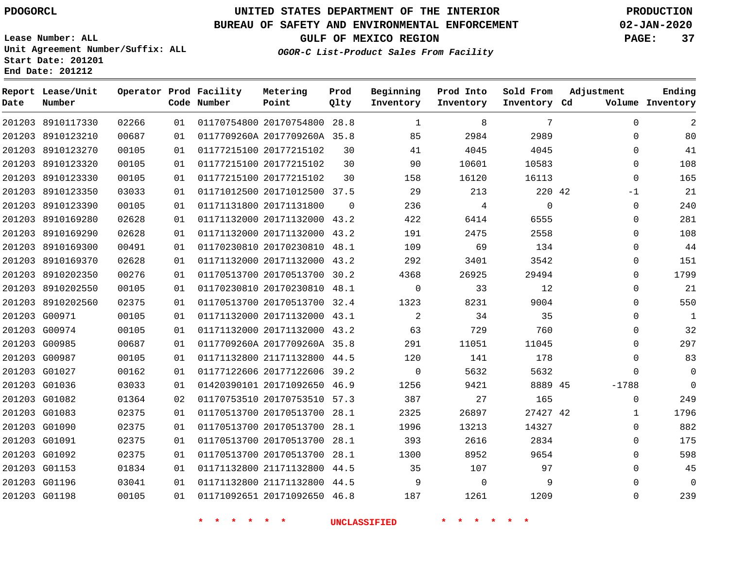8910117330

**Report Lease/Unit**

**Number**

**Date**

# **UNITED STATES DEPARTMENT OF THE INTERIOR PDOGORCL PRODUCTION**

**Prod Qlty**

### **BUREAU OF SAFETY AND ENVIRONMENTAL ENFORCEMENT 02-JAN-2020**

**Lease Number: ALL Unit Agreement Number/Suffix: ALL Start Date: 201201 End Date: 201212**

**Operator Prod Facility**

**Code Number**

20170754800 28.8

**Metering Point**

**OGOR-C List-Product Sales From Facility**

**Sold From Inventory**

**Prod Into Inventory**

**Beginning Inventory**

**GULF OF MEXICO REGION PAGE: 37**

**Inventory Cd Volume**

**Adjustment**

  $\Omega$  $\Omega$   $\Omega$ -1  $\Omega$   $\Omega$  $\Omega$   $\Omega$  $\overline{0}$  $\overline{0}$  $\Omega$  $\overline{0}$  $\Omega$  $\Omega$  $\Omega$ -1788  $\Omega$   $\Omega$   $\Omega$   $\Omega$ 

**Ending**

|                   |       |    | $\star$ $\star$<br>* * * * |                              |          | <b>UNCLASSIFIED</b> | $\star$ $\star$<br>$\star$ $\star$ | $\star$ $\star$ |  |
|-------------------|-------|----|----------------------------|------------------------------|----------|---------------------|------------------------------------|-----------------|--|
| 201203 G01198     | 00105 | 01 |                            | 01171092651 20171092650 46.8 |          | 187                 | 1261                               | 1209            |  |
| 201203 G01196     | 03041 | 01 |                            | 01171132800 21171132800 44.5 |          | 9                   | $\Omega$                           | 9               |  |
| 201203 G01153     | 01834 | 01 |                            | 01171132800 21171132800 44.5 |          | 35                  | 107                                | 97              |  |
| 201203 G01092     | 02375 | 01 |                            | 01170513700 20170513700 28.1 |          | 1300                | 8952                               | 9654            |  |
| 201203 G01091     | 02375 | 01 |                            | 01170513700 20170513700 28.1 |          | 393                 | 2616                               | 2834            |  |
| 201203 G01090     | 02375 | 01 |                            | 01170513700 20170513700 28.1 |          | 1996                | 13213                              | 14327           |  |
| 201203 G01083     | 02375 | 01 |                            | 01170513700 20170513700 28.1 |          | 2325                | 26897                              | 27427 42        |  |
| 201203 G01082     | 01364 | 02 |                            | 01170753510 20170753510 57.3 |          | 387                 | 27                                 | 165             |  |
| 201203 G01036     | 03033 | 01 |                            | 01420390101 20171092650 46.9 |          | 1256                | 9421                               | 8889 45         |  |
| 201203 G01027     | 00162 | 01 |                            | 01177122606 20177122606 39.2 |          | $\overline{0}$      | 5632                               | 5632            |  |
| 201203 G00987     | 00105 | 01 |                            | 01171132800 21171132800 44.5 |          | 120                 | 141                                | 178             |  |
| 201203 G00985     | 00687 | 01 |                            | 0117709260A 2017709260A 35.8 |          | 291                 | 11051                              | 11045           |  |
| 201203 G00974     | 00105 | 01 |                            | 01171132000 20171132000 43.2 |          | 63                  | 729                                | 760             |  |
| 201203 G00971     | 00105 | 01 |                            | 01171132000 20171132000 43.1 |          | 2                   | 34                                 | 35              |  |
| 201203 8910202560 | 02375 | 01 |                            | 01170513700 20170513700 32.4 |          | 1323                | 8231                               | 9004            |  |
| 201203 8910202550 | 00105 | 01 |                            | 01170230810 20170230810 48.1 |          | $\mathbf 0$         | 33                                 | 12              |  |
| 201203 8910202350 | 00276 | 01 |                            | 01170513700 20170513700 30.2 |          | 4368                | 26925                              | 29494           |  |
| 201203 8910169370 | 02628 | 01 |                            | 01171132000 20171132000 43.2 |          | 292                 | 3401                               | 3542            |  |
| 201203 8910169300 | 00491 | 01 |                            | 01170230810 20170230810 48.1 |          | 109                 | 69                                 | 134             |  |
| 201203 8910169290 | 02628 | 01 |                            | 01171132000 20171132000 43.2 |          | 191                 | 2475                               | 2558            |  |
| 201203 8910169280 | 02628 | 01 |                            | 01171132000 20171132000 43.2 |          | 422                 | 6414                               | 6555            |  |
| 201203 8910123390 | 00105 | 01 |                            | 01171131800 20171131800      | $\Omega$ | 236                 | 4                                  | $\overline{0}$  |  |
| 201203 8910123350 | 03033 | 01 |                            | 01171012500 20171012500 37.5 |          | 29                  | 213                                | 220 42          |  |
| 201203 8910123330 | 00105 | 01 |                            | 01177215100 20177215102      | 30       | 158                 | 16120                              | 16113           |  |
| 201203 8910123320 | 00105 | 01 |                            | 01177215100 20177215102      | 30       | 90                  | 10601                              | 10583           |  |
| 201203 8910123270 | 00105 | 01 |                            | 01177215100 20177215102      | 30       | 41                  | 4045                               | 4045            |  |
| 201203 8910123210 | 00687 | 01 |                            | 0117709260A 2017709260A 35.8 |          | 85                  | 2984                               | 2989            |  |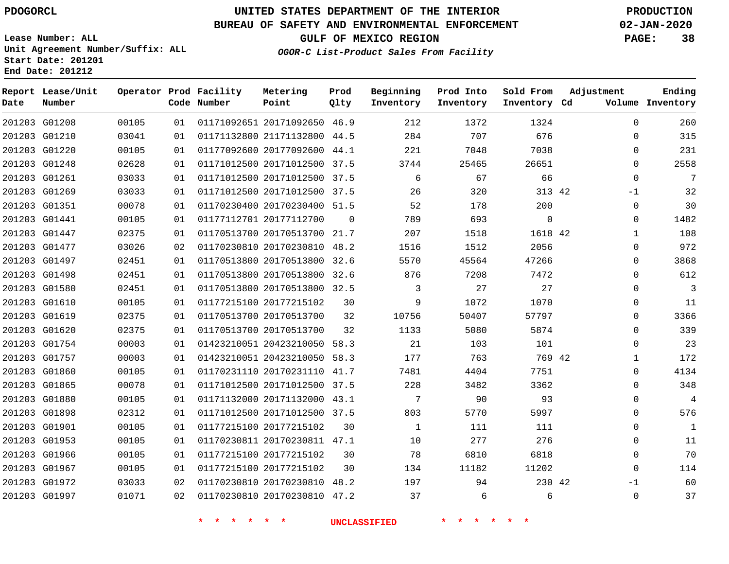### **BUREAU OF SAFETY AND ENVIRONMENTAL ENFORCEMENT 02-JAN-2020**

**Lease Number: ALL Unit Agreement Number/Suffix: ALL Start Date: 201201 End Date: 201212**

**GULF OF MEXICO REGION PAGE: 38**

**OGOR-C List-Product Sales From Facility**

| Date | Report Lease/Unit<br>Number |       |                 | Operator Prod Facility<br>Code Number | Metering<br>Point            | Prod<br>Qlty | Beginning<br>Inventory | Prod Into<br>Inventory | Sold From<br>Inventory Cd | Adjustment   | Ending<br>Volume Inventory |
|------|-----------------------------|-------|-----------------|---------------------------------------|------------------------------|--------------|------------------------|------------------------|---------------------------|--------------|----------------------------|
|      | 201203 G01208               | 00105 | 01              |                                       | 01171092651 20171092650 46.9 |              | 212                    | 1372                   | 1324                      | $\Omega$     | 260                        |
|      | 201203 G01210               | 03041 | 01              |                                       | 01171132800 21171132800 44.5 |              | 284                    | 707                    | 676                       | $\mathbf 0$  | 315                        |
|      | 201203 G01220               | 00105 | 01              |                                       | 01177092600 20177092600 44.1 |              | 221                    | 7048                   | 7038                      | $\Omega$     | 231                        |
|      | 201203 G01248               | 02628 | 01              |                                       | 01171012500 20171012500 37.5 |              | 3744                   | 25465                  | 26651                     | $\mathbf 0$  | 2558                       |
|      | 201203 G01261               | 03033 | 01              |                                       | 01171012500 20171012500 37.5 |              | 6                      | 67                     | 66                        | $\Omega$     | 7                          |
|      | 201203 G01269               | 03033 | 01              |                                       | 01171012500 20171012500 37.5 |              | 26                     | 320                    | 313 42                    | $-1$         | 32                         |
|      | 201203 G01351               | 00078 | 01              |                                       | 01170230400 20170230400 51.5 |              | 52                     | 178                    | 200                       | $\mathbf 0$  | 30                         |
|      | 201203 G01441               | 00105 | 01              |                                       | 01177112701 20177112700      | 0            | 789                    | 693                    | $\mathbf 0$               | $\mathbf 0$  | 1482                       |
|      | 201203 G01447               | 02375 | 01              |                                       | 01170513700 20170513700 21.7 |              | 207                    | 1518                   | 1618 42                   | $\mathbf{1}$ | 108                        |
|      | 201203 G01477               | 03026 | 02              |                                       | 01170230810 20170230810 48.2 |              | 1516                   | 1512                   | 2056                      | $\mathbf 0$  | 972                        |
|      | 201203 G01497               | 02451 | 01              |                                       | 01170513800 20170513800 32.6 |              | 5570                   | 45564                  | 47266                     | $\Omega$     | 3868                       |
|      | 201203 G01498               | 02451 | 01              |                                       | 01170513800 20170513800 32.6 |              | 876                    | 7208                   | 7472                      | $\Omega$     | 612                        |
|      | 201203 G01580               | 02451 | 01              |                                       | 01170513800 20170513800 32.5 |              | 3                      | 27                     | 27                        | $\Omega$     | 3                          |
|      | 201203 G01610               | 00105 | 01              |                                       | 01177215100 20177215102      | 30           | 9                      | 1072                   | 1070                      | $\mathbf 0$  | 11                         |
|      | 201203 G01619               | 02375 | 01              |                                       | 01170513700 20170513700      | 32           | 10756                  | 50407                  | 57797                     | $\Omega$     | 3366                       |
|      | 201203 G01620               | 02375 | 01              |                                       | 01170513700 20170513700      | 32           | 1133                   | 5080                   | 5874                      | $\mathbf 0$  | 339                        |
|      | 201203 G01754               | 00003 | 01              |                                       | 01423210051 20423210050 58.3 |              | 21                     | 103                    | 101                       | $\mathbf 0$  | 23                         |
|      | 201203 G01757               | 00003 | 01              |                                       | 01423210051 20423210050 58.3 |              | 177                    | 763                    | 769 42                    | 1            | 172                        |
|      | 201203 G01860               | 00105 | 01              |                                       | 01170231110 20170231110 41.7 |              | 7481                   | 4404                   | 7751                      | $\mathbf 0$  | 4134                       |
|      | 201203 G01865               | 00078 | 01              |                                       | 01171012500 20171012500 37.5 |              | 228                    | 3482                   | 3362                      | $\mathbf 0$  | 348                        |
|      | 201203 G01880               | 00105 | 01              |                                       | 01171132000 20171132000 43.1 |              | 7                      | 90                     | 93                        | $\mathbf 0$  | $\overline{4}$             |
|      | 201203 G01898               | 02312 | 01              |                                       | 01171012500 20171012500 37.5 |              | 803                    | 5770                   | 5997                      | $\Omega$     | 576                        |
|      | 201203 G01901               | 00105 | 01              |                                       | 01177215100 20177215102      | 30           | 1                      | 111                    | 111                       | 0            | 1                          |
|      | 201203 G01953               | 00105 | 01              |                                       | 01170230811 20170230811 47.1 |              | 10                     | 277                    | 276                       | $\mathbf 0$  | 11                         |
|      | 201203 G01966               | 00105 | 01              |                                       | 01177215100 20177215102      | 30           | 78                     | 6810                   | 6818                      | $\mathbf 0$  | 70                         |
|      | 201203 G01967               | 00105 | 01              |                                       | 01177215100 20177215102      | 30           | 134                    | 11182                  | 11202                     | $\Omega$     | 114                        |
|      | 201203 G01972               | 03033 | 02              |                                       | 01170230810 20170230810 48.2 |              | 197                    | 94                     | 230 42                    | -1           | 60                         |
|      | 201203 G01997               | 01071 | 02 <sub>o</sub> |                                       | 01170230810 20170230810 47.2 |              | 37                     | 6                      | 6                         | $\mathbf 0$  | 37                         |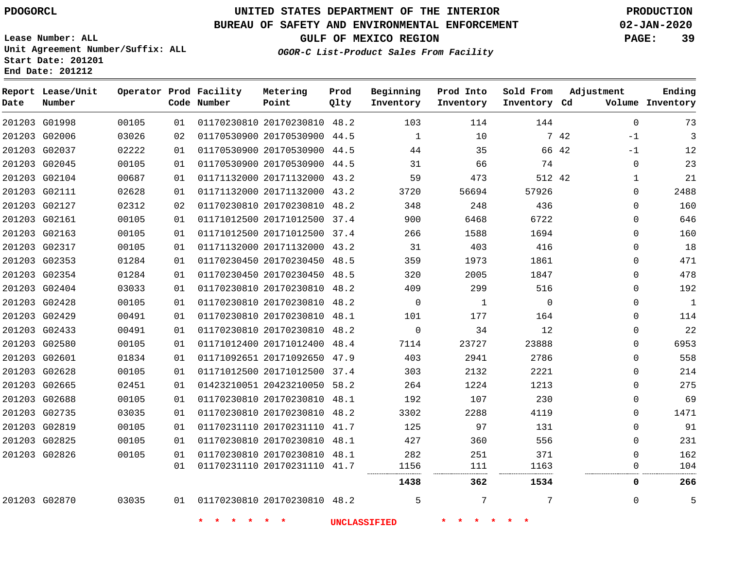### **BUREAU OF SAFETY AND ENVIRONMENTAL ENFORCEMENT 02-JAN-2020**

**Lease Number: ALL Unit Agreement Number/Suffix: ALL Start Date: 201201**

**End Date: 201212**

**GULF OF MEXICO REGION PAGE: 39**

**OGOR-C List-Product Sales From Facility**

| Date | Report Lease/Unit<br>Number |       |    | Operator Prod Facility<br>Code Number | Metering<br>Point            | Prod<br>Qlty | Beginning<br>Inventory | Prod Into<br>Inventory     | Sold From<br>Inventory Cd | Adjustment    | Ending<br>Volume Inventory |
|------|-----------------------------|-------|----|---------------------------------------|------------------------------|--------------|------------------------|----------------------------|---------------------------|---------------|----------------------------|
|      | 201203 G01998               | 00105 | 01 |                                       | 01170230810 20170230810 48.2 |              | 103                    | 114                        | 144                       | $\Omega$      | 73                         |
|      | 201203 G02006               | 03026 | 02 |                                       | 01170530900 20170530900 44.5 |              | $\mathbf{1}$           | 10                         |                           | 7 42<br>$-1$  | $\overline{3}$             |
|      | 201203 G02037               | 02222 | 01 |                                       | 01170530900 20170530900 44.5 |              | 44                     | 35                         |                           | 66 42<br>$-1$ | 12                         |
|      | 201203 G02045               | 00105 | 01 |                                       | 01170530900 20170530900 44.5 |              | 31                     | 66                         | 74                        | $\Omega$      | 23                         |
|      | 201203 G02104               | 00687 | 01 |                                       | 01171132000 20171132000 43.2 |              | 59                     | 473                        | 512 42                    | 1             | 21                         |
|      | 201203 G02111               | 02628 | 01 |                                       | 01171132000 20171132000 43.2 |              | 3720                   | 56694                      | 57926                     | $\Omega$      | 2488                       |
|      | 201203 G02127               | 02312 | 02 |                                       | 01170230810 20170230810 48.2 |              | 348                    | 248                        | 436                       | $\mathbf 0$   | 160                        |
|      | 201203 G02161               | 00105 | 01 |                                       | 01171012500 20171012500 37.4 |              | 900                    | 6468                       | 6722                      | $\Omega$      | 646                        |
|      | 201203 G02163               | 00105 | 01 |                                       | 01171012500 20171012500 37.4 |              | 266                    | 1588                       | 1694                      | $\Omega$      | 160                        |
|      | 201203 G02317               | 00105 | 01 |                                       | 01171132000 20171132000 43.2 |              | 31                     | 403                        | 416                       | $\Omega$      | 18                         |
|      | 201203 G02353               | 01284 | 01 |                                       | 01170230450 20170230450 48.5 |              | 359                    | 1973                       | 1861                      | 0             | 471                        |
|      | 201203 G02354               | 01284 | 01 |                                       | 01170230450 20170230450 48.5 |              | 320                    | 2005                       | 1847                      | $\Omega$      | 478                        |
|      | 201203 G02404               | 03033 | 01 |                                       | 01170230810 20170230810 48.2 |              | 409                    | 299                        | 516                       | $\Omega$      | 192                        |
|      | 201203 G02428               | 00105 | 01 |                                       | 01170230810 20170230810 48.2 |              | $\mathbf 0$            | $\mathbf{1}$               | $\mathsf{O}\xspace$       | $\Omega$      | $\mathbf{1}$               |
|      | 201203 G02429               | 00491 | 01 |                                       | 01170230810 20170230810 48.1 |              | 101                    | 177                        | 164                       | 0             | 114                        |
|      | 201203 G02433               | 00491 | 01 |                                       | 01170230810 20170230810 48.2 |              | $\mathbf 0$            | 34                         | 12                        | $\Omega$      | 22                         |
|      | 201203 G02580               | 00105 | 01 |                                       | 01171012400 20171012400 48.4 |              | 7114                   | 23727                      | 23888                     | $\Omega$      | 6953                       |
|      | 201203 G02601               | 01834 | 01 |                                       | 01171092651 20171092650 47.9 |              | 403                    | 2941                       | 2786                      | $\Omega$      | 558                        |
|      | 201203 G02628               | 00105 | 01 |                                       | 01171012500 20171012500 37.4 |              | 303                    | 2132                       | 2221                      | $\Omega$      | 214                        |
|      | 201203 G02665               | 02451 | 01 |                                       | 01423210051 20423210050 58.2 |              | 264                    | 1224                       | 1213                      | $\Omega$      | 275                        |
|      | 201203 G02688               | 00105 | 01 |                                       | 01170230810 20170230810 48.1 |              | 192                    | 107                        | 230                       | $\Omega$      | 69                         |
|      | 201203 G02735               | 03035 | 01 |                                       | 01170230810 20170230810 48.2 |              | 3302                   | 2288                       | 4119                      | 0             | 1471                       |
|      | 201203 G02819               | 00105 | 01 |                                       | 01170231110 20170231110 41.7 |              | 125                    | 97                         | 131                       | 0             | 91                         |
|      | 201203 G02825               | 00105 | 01 |                                       | 01170230810 20170230810 48.1 |              | 427                    | 360                        | 556                       | $\Omega$      | 231                        |
|      | 201203 G02826               | 00105 | 01 |                                       | 01170230810 20170230810 48.1 |              | 282                    | 251                        | 371                       | $\Omega$      | 162                        |
|      |                             |       | 01 |                                       | 01170231110 20170231110 41.7 |              | 1156<br>               | 111<br>                    | 1163<br>.                 | $\Omega$      | 104                        |
|      |                             |       |    |                                       |                              |              | 1438                   | 362                        | 1534                      | 0             | 266                        |
|      | 201203 G02870               | 03035 | 01 |                                       | 01170230810 20170230810 48.2 |              | 5                      | 7                          | 7                         | $\Omega$      | 5                          |
|      |                             |       |    | $\star$ $\star$<br>$\star$<br>$\star$ | $\star$ $\star$              |              | <b>UNCLASSIFIED</b>    | $\star$<br>$\star$ $\star$ | $*$ *                     |               |                            |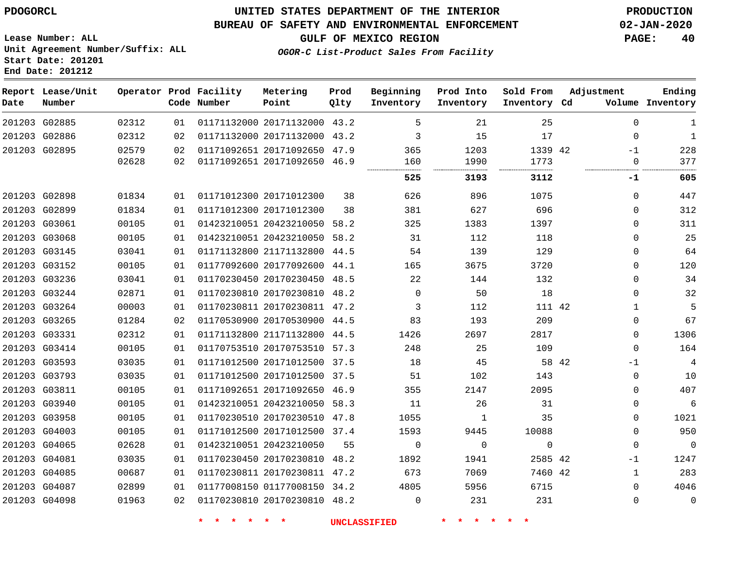### **BUREAU OF SAFETY AND ENVIRONMENTAL ENFORCEMENT 02-JAN-2020**

**Lease Number: ALL Unit Agreement Number/Suffix: ALL**

**GULF OF MEXICO REGION PAGE: 40**

**OGOR-C List-Product Sales From Facility**

| UILL AGLEEMENC NUMBER/BULLIA. ADD<br>Start Date: 201201<br>End Date: 201212 |                             |  |  |                                       |  |  |  |  |  |  |  |
|-----------------------------------------------------------------------------|-----------------------------|--|--|---------------------------------------|--|--|--|--|--|--|--|
| Date                                                                        | Report Lease/Unit<br>Number |  |  | Operator Prod Facility<br>Code Number |  |  |  |  |  |  |  |

| Date | Report Lease/Unit<br>Number |       |    | Operator Prod Facility<br>Code Number | Metering<br>Point            | Prod<br>Qlty | Beginning<br>Inventory | Prod Into<br>Inventory | Sold From<br>Inventory Cd | Adjustment    | Ending<br>Volume Inventory |
|------|-----------------------------|-------|----|---------------------------------------|------------------------------|--------------|------------------------|------------------------|---------------------------|---------------|----------------------------|
|      | 201203 G02885               | 02312 | 01 |                                       | 01171132000 20171132000 43.2 |              | 5                      | 21                     | 25                        | $\mathbf 0$   | 1                          |
|      | 201203 G02886               | 02312 | 02 |                                       | 01171132000 20171132000 43.2 |              | 3                      | 15                     | 17                        | $\Omega$      | 1                          |
|      | 201203 G02895               | 02579 | 02 |                                       | 01171092651 20171092650 47.9 |              | 365                    | 1203                   | 1339 42                   | $-1$          | 228                        |
|      |                             | 02628 | 02 |                                       | 01171092651 20171092650 46.9 |              | 160                    | 1990                   | 1773                      | $\mathbf 0$   | 377                        |
|      |                             |       |    |                                       |                              |              | 525                    | 3193                   | 3112                      | -1            | 605                        |
|      | 201203 G02898               | 01834 | 01 |                                       | 01171012300 20171012300      | 38           | 626                    | 896                    | 1075                      | $\Omega$      | 447                        |
|      | 201203 G02899               | 01834 | 01 |                                       | 01171012300 20171012300      | 38           | 381                    | 627                    | 696                       | $\Omega$      | 312                        |
|      | 201203 G03061               | 00105 | 01 |                                       | 01423210051 20423210050 58.2 |              | 325                    | 1383                   | 1397                      | $\Omega$      | 311                        |
|      | 201203 G03068               | 00105 | 01 |                                       | 01423210051 20423210050      | 58.2         | 31                     | 112                    | 118                       | 0             | 25                         |
|      | 201203 G03145               | 03041 | 01 |                                       | 01171132800 21171132800 44.5 |              | 54                     | 139                    | 129                       | $\Omega$      | 64                         |
|      | 201203 G03152               | 00105 | 01 |                                       | 01177092600 20177092600      | 44.1         | 165                    | 3675                   | 3720                      | 0             | 120                        |
|      | 201203 G03236               | 03041 | 01 |                                       | 01170230450 20170230450 48.5 |              | 22                     | 144                    | 132                       | $\Omega$      | 34                         |
|      | 201203 G03244               | 02871 | 01 |                                       | 01170230810 20170230810 48.2 |              | 0                      | 50                     | 18                        | $\Omega$      | 32                         |
|      | 201203 G03264               | 00003 | 01 |                                       | 01170230811 20170230811 47.2 |              | 3                      | 112                    | 111 42                    | 1             | 5                          |
|      | 201203 G03265               | 01284 | 02 |                                       | 01170530900 20170530900 44.5 |              | 83                     | 193                    | 209                       | 0             | 67                         |
|      | 201203 G03331               | 02312 | 01 |                                       | 01171132800 21171132800 44.5 |              | 1426                   | 2697                   | 2817                      | $\Omega$      | 1306                       |
|      | 201203 G03414               | 00105 | 01 |                                       | 01170753510 20170753510 57.3 |              | 248                    | 25                     | 109                       | $\Omega$      | 164                        |
|      | 201203 G03593               | 03035 | 01 |                                       | 01171012500 20171012500 37.5 |              | 18                     | 45                     |                           | 58 42<br>$-1$ | 4                          |
|      | 201203 G03793               | 03035 | 01 |                                       | 01171012500 20171012500 37.5 |              | 51                     | 102                    | 143                       | 0             | 10                         |
|      | 201203 G03811               | 00105 | 01 |                                       | 01171092651 20171092650 46.9 |              | 355                    | 2147                   | 2095                      | $\Omega$      | 407                        |
|      | 201203 G03940               | 00105 | 01 |                                       | 01423210051 20423210050 58.3 |              | 11                     | 26                     | 31                        | 0             | 6                          |
|      | 201203 G03958               | 00105 | 01 |                                       | 01170230510 20170230510 47.8 |              | 1055                   | $\mathbf{1}$           | 35                        | $\Omega$      | 1021                       |
|      | 201203 G04003               | 00105 | 01 |                                       | 01171012500 20171012500 37.4 |              | 1593                   | 9445                   | 10088                     | $\Omega$      | 950                        |
|      | 201203 G04065               | 02628 | 01 |                                       | 01423210051 20423210050      | 55           | $\mathbf 0$            | $\mathbf 0$            | $\mathbf 0$               | $\Omega$      | $\mathbf 0$                |
|      | 201203 G04081               | 03035 | 01 |                                       | 01170230450 20170230810 48.2 |              | 1892                   | 1941                   | 2585 42                   | $-1$          | 1247                       |
|      | 201203 G04085               | 00687 | 01 |                                       | 01170230811 20170230811 47.2 |              | 673                    | 7069                   | 7460 42                   | $\mathbf{1}$  | 283                        |
|      | 201203 G04087               | 02899 | 01 |                                       | 01177008150 01177008150 34.2 |              | 4805                   | 5956                   | 6715                      | $\Omega$      | 4046                       |
|      | 201203 G04098               | 01963 | 02 |                                       | 01170230810 20170230810 48.2 |              | 0                      | 231                    | 231                       | $\Omega$      | $\mathbf 0$                |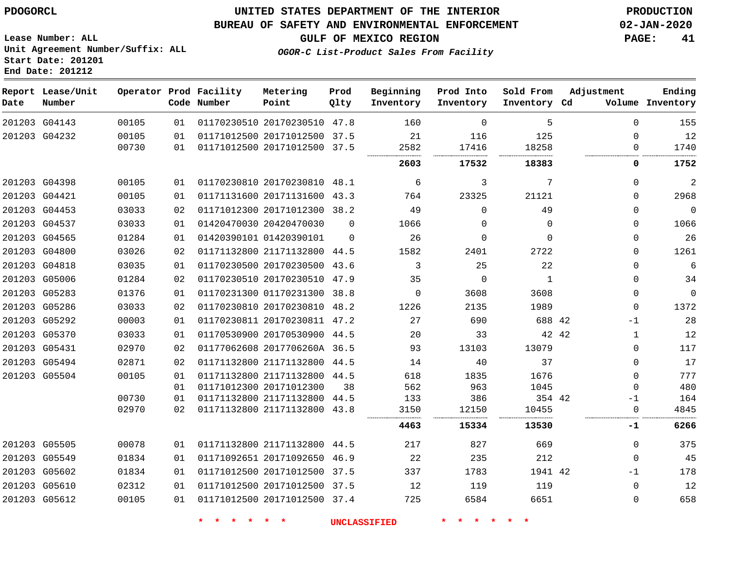### **UNITED STATES DEPARTMENT OF THE INTERIOR PDOGORCL PRODUCTION**

### **BUREAU OF SAFETY AND ENVIRONMENTAL ENFORCEMENT 02-JAN-2020**

**Lease Number: ALL Unit Agreement Number/Suffix: ALL Start Date: 201201**

**GULF OF MEXICO REGION PAGE: 41**

**OGOR-C List-Product Sales From Facility**

| Date | Report Lease/Unit<br>Number |                |          | Operator Prod Facility<br>Code Number | Metering<br>Point                                            | Prod<br>Qlty | Beginning<br>Inventory | Prod Into<br>Inventory | Sold From<br>Inventory Cd | Adjustment        | Ending<br>Volume Inventory |
|------|-----------------------------|----------------|----------|---------------------------------------|--------------------------------------------------------------|--------------|------------------------|------------------------|---------------------------|-------------------|----------------------------|
|      | 201203 G04143               | 00105          | 01       |                                       | 01170230510 20170230510 47.8                                 |              | 160                    | $\Omega$               | 5                         | $\Omega$          | 155                        |
|      | 201203 G04232               | 00105          | 01       |                                       | 01171012500 20171012500 37.5                                 |              | 21                     | 116                    | 125                       | $\Omega$          | 12                         |
|      |                             | 00730          | 01       |                                       | 01171012500 20171012500 37.5                                 |              | 2582                   | 17416                  | 18258                     | 0                 | 1740                       |
|      |                             |                |          |                                       |                                                              |              | 2603                   | 17532                  | 18383                     | 0                 | 1752                       |
|      | 201203 G04398               | 00105          | 01       |                                       | 01170230810 20170230810 48.1                                 |              | 6                      | 3                      | 7                         | 0                 | $\sqrt{2}$                 |
|      | 201203 G04421               | 00105          | 01       |                                       | 01171131600 20171131600 43.3                                 |              | 764                    | 23325                  | 21121                     | $\mathbf 0$       | 2968                       |
|      | 201203 G04453               | 03033          | 02       |                                       | 01171012300 20171012300 38.2                                 |              | 49                     | $\Omega$               | 49                        | $\Omega$          | $\mathbb O$                |
|      | 201203 G04537               | 03033          | 01       |                                       | 01420470030 20420470030                                      | $\Omega$     | 1066                   | $\Omega$               | $\Omega$                  | $\Omega$          | 1066                       |
|      | 201203 G04565               | 01284          | 01       |                                       | 01420390101 01420390101                                      | $\Omega$     | 26                     | $\Omega$               | $\Omega$                  | $\mathbf 0$       | 26                         |
|      | 201203 G04800               | 03026          | 02       |                                       | 01171132800 21171132800 44.5                                 |              | 1582                   | 2401                   | 2722                      | $\Omega$          | 1261                       |
|      | 201203 G04818               | 03035          | 01       |                                       | 01170230500 20170230500 43.6                                 |              | 3                      | 25                     | 22                        | $\Omega$          | $\sqrt{6}$                 |
|      | 201203 G05006               | 01284          | 02       |                                       | 01170230510 20170230510 47.9                                 |              | 35                     | $\mathbf 0$            | 1                         | $\mathbf 0$       | 34                         |
|      | 201203 G05283               | 01376          | 01       |                                       | 01170231300 01170231300 38.8                                 |              | $\Omega$               | 3608                   | 3608                      | $\mathbf 0$       | $\mathbf 0$                |
|      | 201203 G05286               | 03033          | 02       |                                       | 01170230810 20170230810 48.2                                 |              | 1226                   | 2135                   | 1989                      | $\mathbf 0$       | 1372                       |
|      | 201203 G05292               | 00003          | 01       |                                       | 01170230811 20170230811 47.2                                 |              | 27                     | 690                    | 688 42                    | $-1$              | 28                         |
|      | 201203 G05370               | 03033          | 01       |                                       | 01170530900 20170530900 44.5                                 |              | 20                     | 33                     | 42 42                     | $\mathbf{1}$      | 12                         |
|      | 201203 G05431               | 02970          | 02       |                                       | 01177062608 2017706260A 36.5                                 |              | 93                     | 13103                  | 13079                     | $\Omega$          | 117                        |
|      | 201203 G05494               | 02871          | 02       |                                       | 01171132800 21171132800 44.5                                 |              | 14                     | 40                     | 37                        | $\Omega$          | 17                         |
|      | 201203 G05504               | 00105          | 01       |                                       | 01171132800 21171132800 44.5                                 |              | 618                    | 1835                   | 1676                      | $\Omega$          | 777                        |
|      |                             |                | 01       |                                       | 01171012300 20171012300                                      | 38           | 562                    | 963                    | 1045                      | $\Omega$          | 480                        |
|      |                             | 00730<br>02970 | 01<br>02 |                                       | 01171132800 21171132800 44.5<br>01171132800 21171132800 43.8 |              | 133<br>3150            | 386<br>12150           | 354 42<br>10455           | -1<br>$\mathbf 0$ | 164<br>4845                |
|      |                             |                |          |                                       |                                                              |              | 4463                   | 15334                  | 13530                     | -1                | 6266                       |
|      |                             |                |          |                                       |                                                              |              |                        |                        |                           |                   |                            |
|      | 201203 G05505               | 00078          | 01       |                                       | 01171132800 21171132800 44.5                                 |              | 217                    | 827                    | 669                       | 0                 | 375                        |
|      | 201203 G05549               | 01834          | 01       |                                       | 01171092651 20171092650 46.9                                 |              | 22                     | 235                    | 212                       | 0                 | 45                         |
|      | 201203 G05602               | 01834          | 01       |                                       | 01171012500 20171012500 37.5                                 |              | 337                    | 1783                   | 1941 42                   | $-1$              | 178                        |
|      | 201203 G05610               | 02312          | 01       |                                       | 01171012500 20171012500 37.5                                 |              | 12                     | 119                    | 119                       | $\mathbf 0$       | 12                         |
|      | 201203 G05612               | 00105          | 01       |                                       | 01171012500 20171012500 37.4                                 |              | 725                    | 6584                   | 6651                      | 0                 | 658                        |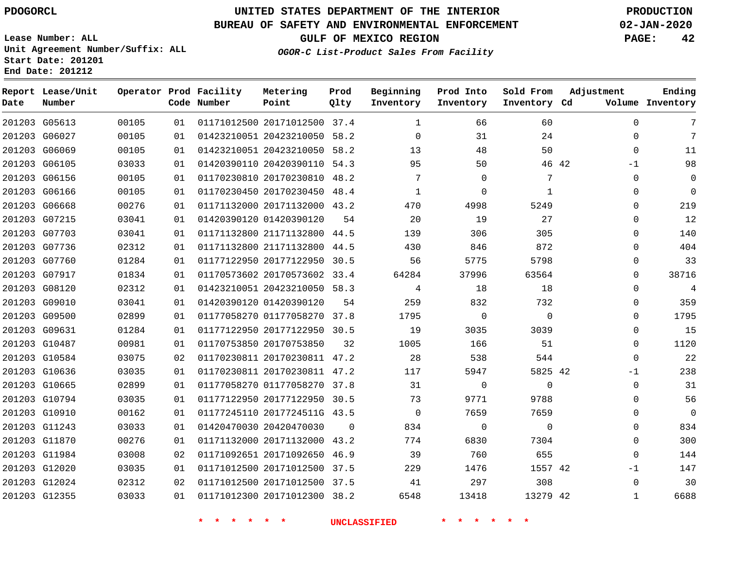### **BUREAU OF SAFETY AND ENVIRONMENTAL ENFORCEMENT 02-JAN-2020**

**Lease Number: ALL Unit Agreement Number/Suffix: ALL**

**GULF OF MEXICO REGION PAGE: 42**

**OGOR-C List-Product Sales From Facility**

**Start Date: 201201 End Date: 201212**

| Date          | Report Lease/Unit<br>Number |       |     | Operator Prod Facility<br>Code Number | Metering<br>Point            | Prod<br>Qlty | Beginning<br>Inventory | Prod Into<br>Inventory | Sold From<br>Inventory Cd | Adjustment |              | Ending<br>Volume Inventory |
|---------------|-----------------------------|-------|-----|---------------------------------------|------------------------------|--------------|------------------------|------------------------|---------------------------|------------|--------------|----------------------------|
| 201203 G05613 |                             | 00105 | 01  |                                       | 01171012500 20171012500 37.4 |              | 1                      | 66                     | 60                        |            | $\mathbf 0$  | 7                          |
|               | 201203 G06027               | 00105 | 0 1 |                                       | 01423210051 20423210050 58.2 |              | $\Omega$               | 31                     | 24                        |            | $\mathbf 0$  | 7                          |
|               | 201203 G06069               | 00105 | 01  |                                       | 01423210051 20423210050 58.2 |              | 13                     | 48                     | 50                        |            | $\mathbf 0$  | 11                         |
|               | 201203 G06105               | 03033 | 0 1 |                                       | 01420390110 20420390110 54.3 |              | 95                     | 50                     |                           | 46 42      | $-1$         | 98                         |
|               | 201203 G06156               | 00105 | 01  |                                       | 01170230810 20170230810 48.2 |              | 7                      | $\Omega$               | 7                         |            | $\Omega$     | $\mathbf 0$                |
|               | 201203 G06166               | 00105 | 01  |                                       | 01170230450 20170230450 48.4 |              | $\mathbf{1}$           | $\Omega$               | $\mathbf{1}$              |            | $\Omega$     | $\Omega$                   |
| 201203 G06668 |                             | 00276 | 01  |                                       | 01171132000 20171132000 43.2 |              | 470                    | 4998                   | 5249                      |            | $\mathbf 0$  | 219                        |
| 201203 G07215 |                             | 03041 | 01  |                                       | 01420390120 01420390120      | 54           | 20                     | 19                     | 27                        |            | $\mathbf 0$  | 12                         |
| 201203 G07703 |                             | 03041 | 01  |                                       | 01171132800 21171132800 44.5 |              | 139                    | 306                    | 305                       |            | $\mathbf 0$  | 140                        |
|               | 201203 G07736               | 02312 | 01  |                                       | 01171132800 21171132800 44.5 |              | 430                    | 846                    | 872                       |            | $\Omega$     | 404                        |
|               | 201203 G07760               | 01284 | 01  |                                       | 01177122950 20177122950 30.5 |              | 56                     | 5775                   | 5798                      |            | $\mathbf 0$  | 33                         |
|               | 201203 G07917               | 01834 | 01  |                                       | 01170573602 20170573602 33.4 |              | 64284                  | 37996                  | 63564                     |            | $\Omega$     | 38716                      |
| 201203 G08120 |                             | 02312 | 01  |                                       | 01423210051 20423210050 58.3 |              | 4                      | 18                     | 18                        |            | $\mathbf 0$  | 4                          |
|               | 201203 G09010               | 03041 | 01  |                                       | 01420390120 01420390120      | 54           | 259                    | 832                    | 732                       |            | $\Omega$     | 359                        |
|               | 201203 G09500               | 02899 | 01  |                                       | 01177058270 01177058270 37.8 |              | 1795                   | $\mathbf 0$            | $\mathbf 0$               |            | $\mathbf 0$  | 1795                       |
|               | 201203 G09631               | 01284 | 01  |                                       | 01177122950 20177122950 30.5 |              | 19                     | 3035                   | 3039                      |            | $\mathbf 0$  | 15                         |
| 201203 G10487 |                             | 00981 | 01  |                                       | 01170753850 20170753850      | 32           | 1005                   | 166                    | 51                        |            | $\mathbf 0$  | 1120                       |
|               | 201203 G10584               | 03075 | 02  |                                       | 01170230811 20170230811 47.2 |              | 28                     | 538                    | 544                       |            | $\Omega$     | 22                         |
|               | 201203 G10636               | 03035 | 01  |                                       | 01170230811 20170230811 47.2 |              | 117                    | 5947                   | 5825 42                   |            | $-1$         | 238                        |
| 201203 G10665 |                             | 02899 | 01  |                                       | 01177058270 01177058270 37.8 |              | 31                     | $\Omega$               | $\Omega$                  |            | $\mathbf 0$  | 31                         |
|               | 201203 G10794               | 03035 | 01  |                                       | 01177122950 20177122950 30.5 |              | 73                     | 9771                   | 9788                      |            | $\mathbf 0$  | 56                         |
|               | 201203 G10910               | 00162 | 01  |                                       | 01177245110 2017724511G 43.5 |              | $\Omega$               | 7659                   | 7659                      |            | $\Omega$     | $\Omega$                   |
|               | 201203 G11243               | 03033 | 01  |                                       | 01420470030 20420470030      | $\Omega$     | 834                    | 0                      | $\Omega$                  |            | $\mathbf 0$  | 834                        |
|               | 201203 G11870               | 00276 | 01  |                                       | 01171132000 20171132000 43.2 |              | 774                    | 6830                   | 7304                      |            | $\mathbf 0$  | 300                        |
|               | 201203 G11984               | 03008 | 02  |                                       | 01171092651 20171092650 46.9 |              | 39                     | 760                    | 655                       |            | $\mathbf 0$  | 144                        |
| 201203 G12020 |                             | 03035 | 01  |                                       | 01171012500 20171012500 37.5 |              | 229                    | 1476                   | 1557 42                   |            | $-1$         | 147                        |
|               | 201203 G12024               | 02312 | 02  |                                       | 01171012500 20171012500 37.5 |              | 41                     | 297                    | 308                       |            | $\mathbf 0$  | 30                         |
| 201203 G12355 |                             | 03033 | 01  |                                       | 01171012300 20171012300 38.2 |              | 6548                   | 13418                  | 13279 42                  |            | $\mathbf{1}$ | 6688                       |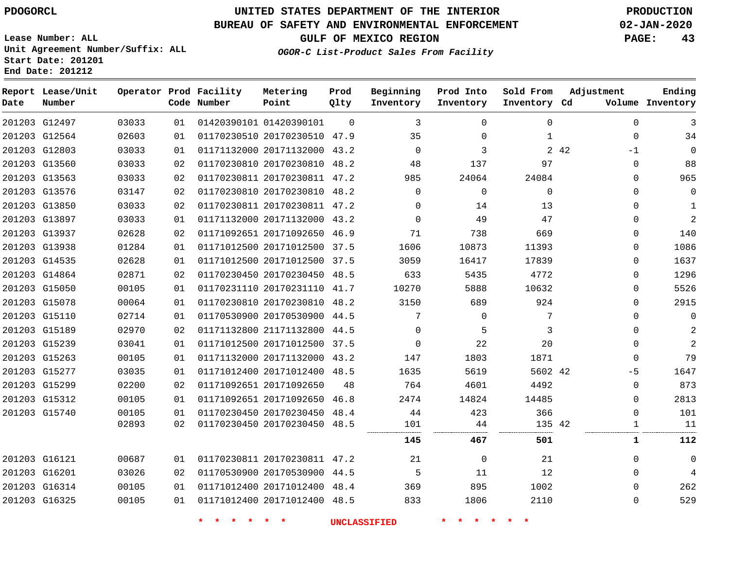G12497

**Date**

**Report Lease/Unit**

**Number**

G16325

## **UNITED STATES DEPARTMENT OF THE INTERIOR PDOGORCL PRODUCTION**

 $\Omega$ 

**Prod Qlty**

#### **BUREAU OF SAFETY AND ENVIRONMENTAL ENFORCEMENT 02-JAN-2020**

**Lease Number: ALL Unit Agreement Number/Suffix: ALL Start Date: 201201 End Date: 201212**

**Operator Prod Facility**

**Code Number**

01420390101

**Metering Point**

**OGOR-C List-Product Sales From Facility**

**Sold From Inventory**

**Prod Into Inventory**

**Beginning Inventory**

**GULF OF MEXICO REGION PAGE: 43**

**Inventory Cd Volume**

**Adjustment**

**Ending**

  $\Omega$  $\Omega$  $\Omega$ 

| 201203 G12564 | 02603 | 01 | 01170230510 20170230510 47.9 |    | 35       | 0        | 1        |       | $\mathbf 0$ | 34             |
|---------------|-------|----|------------------------------|----|----------|----------|----------|-------|-------------|----------------|
| 201203 G12803 | 03033 | 01 | 01171132000 20171132000 43.2 |    | $\Omega$ | 3        |          | 2 4 2 | $-1$        | 0              |
| 201203 G13560 | 03033 | 02 | 01170230810 20170230810 48.2 |    | 48       | 137      | 97       |       | 0           | 88             |
| 201203 G13563 | 03033 | 02 | 01170230811 20170230811 47.2 |    | 985      | 24064    | 24084    |       | 0           | 965            |
| 201203 G13576 | 03147 | 02 | 01170230810 20170230810 48.2 |    | $\Omega$ | $\Omega$ | $\Omega$ |       | 0           | 0              |
| 201203 G13850 | 03033 | 02 | 01170230811 20170230811 47.2 |    | $\Omega$ | 14       | 13       |       | 0           | 1              |
| 201203 G13897 | 03033 | 01 | 01171132000 20171132000 43.2 |    | $\Omega$ | 49       | 47       |       | 0           | 2              |
| 201203 G13937 | 02628 | 02 | 01171092651 20171092650 46.9 |    | 71       | 738      | 669      |       | $\Omega$    | 140            |
| 201203 G13938 | 01284 | 01 | 01171012500 20171012500 37.5 |    | 1606     | 10873    | 11393    |       | 0           | 1086           |
| 201203 G14535 | 02628 | 01 | 01171012500 20171012500 37.5 |    | 3059     | 16417    | 17839    |       | 0           | 1637           |
| 201203 G14864 | 02871 | 02 | 01170230450 20170230450 48.5 |    | 633      | 5435     | 4772     |       | 0           | 1296           |
| 201203 G15050 | 00105 | 01 | 01170231110 20170231110 41.7 |    | 10270    | 5888     | 10632    |       | 0           | 5526           |
| 201203 G15078 | 00064 | 01 | 01170230810 20170230810 48.2 |    | 3150     | 689      | 924      |       | 0           | 2915           |
| 201203 G15110 | 02714 | 01 | 01170530900 20170530900 44.5 |    | 7        | $\Omega$ | 7        |       | $\Omega$    | 0              |
| 201203 G15189 | 02970 | 02 | 01171132800 21171132800 44.5 |    | $\Omega$ | 5        | 3        |       | $\Omega$    | $\overline{2}$ |
| 201203 G15239 | 03041 | 01 | 01171012500 20171012500 37.5 |    | $\Omega$ | 22       | 20       |       | $\Omega$    | $\overline{a}$ |
| 201203 G15263 | 00105 | 01 | 01171132000 20171132000 43.2 |    | 147      | 1803     | 1871     |       | $\mathbf 0$ | 79             |
| 201203 G15277 | 03035 | 01 | 01171012400 20171012400 48.5 |    | 1635     | 5619     | 5602 42  |       | $-5$        | 1647           |
| 201203 G15299 | 02200 | 02 | 01171092651 20171092650      | 48 | 764      | 4601     | 4492     |       | $\Omega$    | 873            |
| 201203 G15312 | 00105 | 01 | 01171092651 20171092650 46.8 |    | 2474     | 14824    | 14485    |       | 0           | 2813           |
| 201203 G15740 | 00105 | 01 | 01170230450 20170230450 48.4 |    | 44       | 423      | 366      |       | $\Omega$    | 101            |
|               | 02893 | 02 | 01170230450 20170230450 48.5 |    | 101      | 44       | 135 42   |       |             | 11             |
|               |       |    |                              |    | 145      | 467      | 501      |       | 1           | 112            |
| 201203 G16121 | 00687 | 01 | 01170230811 20170230811 47.2 |    | 21       | $\Omega$ | 21       |       | $\Omega$    | 0              |
| 201203 G16201 | 03026 | 02 | 01170530900 20170530900 44.5 |    | 5        | 11       | 12       |       | $\Omega$    | 4              |
| 201203 G16314 | 00105 | 01 | 01171012400 20171012400 48.4 |    | 369      | 895      | 1002     |       | $\Omega$    | 262            |

20171012400 48.5

**\* \* \* \* \* \* UNCLASSIFIED \* \* \* \* \* \***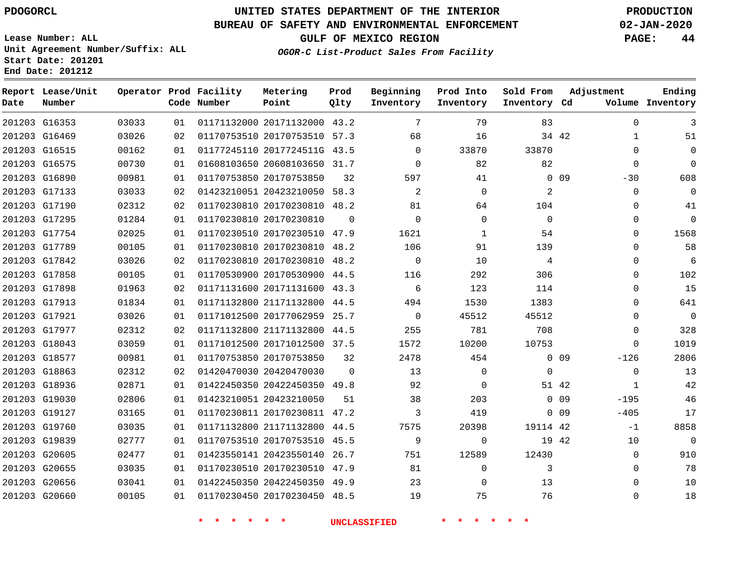### **BUREAU OF SAFETY AND ENVIRONMENTAL ENFORCEMENT 02-JAN-2020**

**Lease Number: ALL Unit Agreement Number/Suffix: ALL Start Date: 201201**

### **OGOR-C List-Product Sales From Facility**

**GULF OF MEXICO REGION PAGE: 44**

**End Date: 201212**

| Date | Report Lease/Unit<br>Number |       |    | Operator Prod Facility<br>Code Number | Metering<br>Point            | Prod<br>Olty | Beginning<br>Inventory | Prod Into<br>Inventory | Sold From<br>Inventory Cd | Adjustment                | Ending<br>Volume Inventory |
|------|-----------------------------|-------|----|---------------------------------------|------------------------------|--------------|------------------------|------------------------|---------------------------|---------------------------|----------------------------|
|      | 201203 G16353               | 03033 | 01 |                                       | 01171132000 20171132000 43.2 |              | $7\phantom{.0}$        | 79                     | 83                        |                           | $\mathbf 0$<br>3           |
|      | 201203 G16469               | 03026 | 02 |                                       | 01170753510 20170753510 57.3 |              | 68                     | 16                     |                           | 34 42                     | $\mathbf 1$<br>51          |
|      | 201203 G16515               | 00162 | 01 |                                       | 01177245110 2017724511G 43.5 |              | $\Omega$               | 33870                  | 33870                     |                           | $\Omega$<br>$\Omega$       |
|      | 201203 G16575               | 00730 | 01 |                                       | 01608103650 20608103650 31.7 |              | $\Omega$               | 82                     | 82                        |                           | $\Omega$<br>$\Omega$       |
|      | 201203 G16890               | 00981 | 01 |                                       | 01170753850 20170753850      | 32           | 597                    | 41                     |                           | 0.09<br>$-30$             | 608                        |
|      | 201203 G17133               | 03033 | 02 |                                       | 01423210051 20423210050 58.3 |              | 2                      | $\Omega$               | 2                         |                           | $\Omega$<br>$\Omega$       |
|      | 201203 G17190               | 02312 | 02 |                                       | 01170230810 20170230810 48.2 |              | 81                     | 64                     | 104                       |                           | $\mathbf 0$<br>41          |
|      | 201203 G17295               | 01284 | 01 |                                       | 01170230810 20170230810      | $\Omega$     | $\Omega$               | $\Omega$               | $\Omega$                  |                           | $\mathbf 0$<br>$\Omega$    |
|      | 201203 G17754               | 02025 | 01 |                                       | 01170230510 20170230510 47.9 |              | 1621                   | $\mathbf{1}$           | 54                        |                           | 1568<br>$\Omega$           |
|      | 201203 G17789               | 00105 | 01 |                                       | 01170230810 20170230810      | 48.2         | 106                    | 91                     | 139                       |                           | 58<br>$\Omega$             |
|      | 201203 G17842               | 03026 | 02 |                                       | 01170230810 20170230810      | 48.2         | 0                      | 10                     | 4                         |                           | 6<br>$\Omega$              |
|      | 201203 G17858               | 00105 | 01 |                                       | 01170530900 20170530900      | 44.5         | 116                    | 292                    | 306                       |                           | 102<br>$\Omega$            |
|      | 201203 G17898               | 01963 | 02 |                                       | 01171131600 20171131600 43.3 |              | 6                      | 123                    | 114                       |                           | 15<br>$\Omega$             |
|      | 201203 G17913               | 01834 | 01 |                                       | 01171132800 21171132800      | 44.5         | 494                    | 1530                   | 1383                      |                           | 641<br>$\Omega$            |
|      | 201203 G17921               | 03026 | 01 |                                       | 01171012500 20177062959      | 25.7         | $\Omega$               | 45512                  | 45512                     |                           | $\Omega$<br>$\Omega$       |
|      | 201203 G17977               | 02312 | 02 |                                       | 01171132800 21171132800      | 44.5         | 255                    | 781                    | 708                       |                           | 328<br>$\mathbf{0}$        |
|      | 201203 G18043               | 03059 | 01 |                                       | 01171012500 20171012500 37.5 |              | 1572                   | 10200                  | 10753                     |                           | 1019<br>$\Omega$           |
|      | 201203 G18577               | 00981 | 01 |                                       | 01170753850 20170753850      | 32           | 2478                   | 454                    |                           | 0 <sub>09</sub><br>$-126$ | 2806                       |
|      | 201203 G18863               | 02312 | 02 |                                       | 01420470030 20420470030      | $\Omega$     | 13                     | $\Omega$               | $\Omega$                  |                           | $\Omega$<br>13             |
|      | 201203 G18936               | 02871 | 01 |                                       | 01422450350 20422450350 49.8 |              | 92                     | $\mathbf 0$            | 51 42                     |                           | 42<br>1                    |
|      | 201203 G19030               | 02806 | 01 |                                       | 01423210051 20423210050      | 51           | 38                     | 203                    |                           | 0.09<br>$-195$            | 46                         |
|      | 201203 G19127               | 03165 | 01 |                                       | 01170230811 20170230811 47.2 |              | 3                      | 419                    |                           | 0.09<br>$-405$            | 17                         |
|      | 201203 G19760               | 03035 | 01 |                                       | 01171132800 21171132800 44.5 |              | 7575                   | 20398                  | 19114 42                  | $-1$                      | 8858                       |
|      | 201203 G19839               | 02777 | 01 |                                       | 01170753510 20170753510      | 45.5         | 9                      | $\mathbf 0$            | 19 42                     | 10                        | $\mathbf 0$                |
|      | 201203 G20605               | 02477 | 01 |                                       | 01423550141 20423550140      | 26.7         | 751                    | 12589                  | 12430                     |                           | 910<br>$\mathbf 0$         |
|      | 201203 G20655               | 03035 | 01 |                                       | 01170230510 20170230510      | 47.9         | 81                     | $\Omega$               | 3                         |                           | 78<br>$\Omega$             |
|      | 201203 G20656               | 03041 | 01 |                                       | 01422450350 20422450350      | 49.9         | 23                     | 0                      | 13                        |                           | 10<br>$\mathbf{0}$         |
|      | 201203 G20660               | 00105 | 01 |                                       | 01170230450 20170230450 48.5 |              | 19                     | 75                     | 76                        |                           | $\Omega$<br>18             |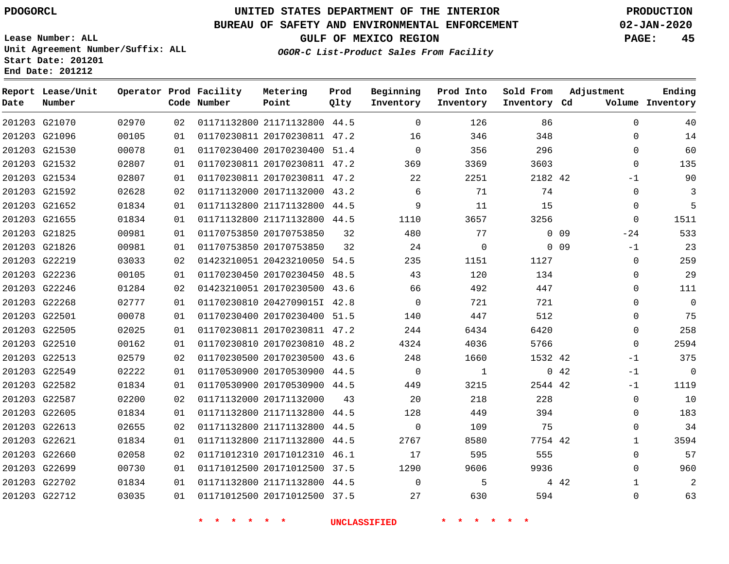## **UNITED STATES DEPARTMENT OF THE INTERIOR PDOGORCL PRODUCTION**

### **BUREAU OF SAFETY AND ENVIRONMENTAL ENFORCEMENT 02-JAN-2020**

**Lease Number: ALL Unit Agreement Number/Suffix: ALL Start Date: 201201**

### **OGOR-C List-Product Sales From Facility**

**GULF OF MEXICO REGION PAGE: 45**

| Date | Report Lease/Unit<br>Number |       |    | Operator Prod Facility<br>Code Number | Metering<br>Point            | Prod<br>Qlty | Beginning<br>Inventory | Prod Into<br>Inventory | Sold From<br>Inventory Cd | Adjustment            | Ending<br>Volume Inventory |
|------|-----------------------------|-------|----|---------------------------------------|------------------------------|--------------|------------------------|------------------------|---------------------------|-----------------------|----------------------------|
|      | 201203 G21070               | 02970 | 02 |                                       | 01171132800 21171132800 44.5 |              | $\Omega$               | 126                    | 86                        | $\Omega$              | 40                         |
|      | 201203 G21096               | 00105 | 01 |                                       | 01170230811 20170230811 47.2 |              | 16                     | 346                    | 348                       | $\Omega$              | 14                         |
|      | 201203 G21530               | 00078 | 01 |                                       | 01170230400 20170230400 51.4 |              | $\Omega$               | 356                    | 296                       | $\Omega$              | 60                         |
|      | 201203 G21532               | 02807 | 01 |                                       | 01170230811 20170230811 47.2 |              | 369                    | 3369                   | 3603                      | $\mathbf 0$           | 135                        |
|      | 201203 G21534               | 02807 | 01 |                                       | 01170230811 20170230811 47.2 |              | 22                     | 2251                   | 2182 42                   | -1                    | 90                         |
|      | 201203 G21592               | 02628 | 02 |                                       | 01171132000 20171132000 43.2 |              | 6                      | 71                     | 74                        | $\mathbf 0$           | 3                          |
|      | 201203 G21652               | 01834 | 01 |                                       | 01171132800 21171132800 44.5 |              | 9                      | 11                     | 15                        | $\mathbf 0$           | 5                          |
|      | 201203 G21655               | 01834 | 01 |                                       | 01171132800 21171132800 44.5 |              | 1110                   | 3657                   | 3256                      | $\mathbf 0$           | 1511                       |
|      | 201203 G21825               | 00981 | 01 |                                       | 01170753850 20170753850      | 32           | 480                    | 77                     |                           | $0$ 09<br>$-24$       | 533                        |
|      | 201203 G21826               | 00981 | 01 |                                       | 01170753850 20170753850      | 32           | 24                     | 0                      |                           | $0\quad09$<br>$-1$    | 23                         |
|      | 201203 G22219               | 03033 | 02 |                                       | 01423210051 20423210050 54.5 |              | 235                    | 1151                   | 1127                      | $\mathbf 0$           | 259                        |
|      | 201203 G22236               | 00105 | 01 |                                       | 01170230450 20170230450      | 48.5         | 43                     | 120                    | 134                       | $\mathbf 0$           | 29                         |
|      | 201203 G22246               | 01284 | 02 |                                       | 01423210051 20170230500 43.6 |              | 66                     | 492                    | 447                       | $\Omega$              | 111                        |
|      | 201203 G22268               | 02777 | 01 |                                       | 01170230810 2042709015I 42.8 |              | $\mathbf 0$            | 721                    | 721                       | 0                     | $\mathbf 0$                |
|      | 201203 G22501               | 00078 | 01 |                                       | 01170230400 20170230400 51.5 |              | 140                    | 447                    | 512                       | $\mathbf 0$           | 75                         |
|      | 201203 G22505               | 02025 | 01 |                                       | 01170230811 20170230811 47.2 |              | 244                    | 6434                   | 6420                      | $\mathbf 0$           | 258                        |
|      | 201203 G22510               | 00162 | 01 |                                       | 01170230810 20170230810 48.2 |              | 4324                   | 4036                   | 5766                      | $\Omega$              | 2594                       |
|      | 201203 G22513               | 02579 | 02 |                                       | 01170230500 20170230500 43.6 |              | 248                    | 1660                   | 1532 42                   | $-1$                  | 375                        |
|      | 201203 G22549               | 02222 | 01 |                                       | 01170530900 20170530900 44.5 |              | $\mathbf 0$            | $\mathbf{1}$           |                           | 042<br>$-1$           | $\mathbf 0$                |
|      | 201203 G22582               | 01834 | 01 |                                       | 01170530900 20170530900 44.5 |              | 449                    | 3215                   | 2544 42                   | $-1$                  | 1119                       |
|      | 201203 G22587               | 02200 | 02 |                                       | 01171132000 20171132000      | 43           | 20                     | 218                    | 228                       | $\mathbf 0$           | 10                         |
|      | 201203 G22605               | 01834 | 01 |                                       | 01171132800 21171132800 44.5 |              | 128                    | 449                    | 394                       | $\Omega$              | 183                        |
|      | 201203 G22613               | 02655 | 02 |                                       | 01171132800 21171132800 44.5 |              | $\Omega$               | 109                    | 75                        | $\Omega$              | 34                         |
|      | 201203 G22621               | 01834 | 01 |                                       | 01171132800 21171132800      | 44.5         | 2767                   | 8580                   | 7754 42                   | $\mathbf{1}$          | 3594                       |
|      | 201203 G22660               | 02058 | 02 |                                       | 01171012310 20171012310 46.1 |              | 17                     | 595                    | 555                       | $\Omega$              | 57                         |
|      | 201203 G22699               | 00730 | 01 |                                       | 01171012500 20171012500      | 37.5         | 1290                   | 9606                   | 9936                      | $\Omega$              | 960                        |
|      | 201203 G22702               | 01834 | 01 |                                       | 01171132800 21171132800 44.5 |              | $\Omega$               | 5                      |                           | 4 4 2<br>$\mathbf{1}$ | 2                          |
|      | 201203 G22712               | 03035 | 01 |                                       | 01171012500 20171012500 37.5 |              | 27                     | 630                    | 594                       | $\Omega$              | 63                         |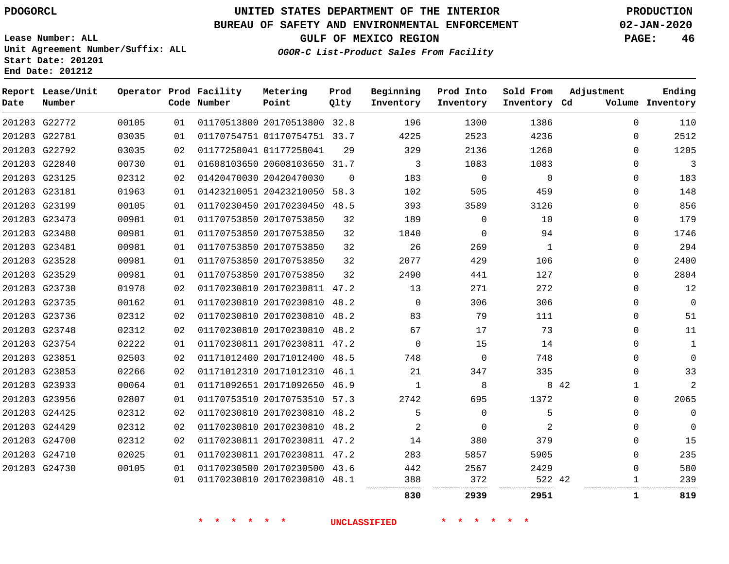### **BUREAU OF SAFETY AND ENVIRONMENTAL ENFORCEMENT 02-JAN-2020**

**GULF OF MEXICO REGION PAGE: 46**

**Lease Number: ALL Unit Agreement Number/Suffix: ALL Start Date: 201201 End Date: 201212**

| Date | Report Lease/Unit<br>Number |       |    | Operator Prod Facility<br>Code Number | Metering<br>Point            | Prod<br>Qlty | Beginning<br>Inventory | Prod Into<br>Inventory | Sold From<br>Inventory Cd | Adjustment           | Ending<br>Volume Inventory |
|------|-----------------------------|-------|----|---------------------------------------|------------------------------|--------------|------------------------|------------------------|---------------------------|----------------------|----------------------------|
|      | 201203 G22772               | 00105 | 01 |                                       | 01170513800 20170513800 32.8 |              | 196                    | 1300                   | 1386                      | $\Omega$             | 110                        |
|      | 201203 G22781               | 03035 | 01 |                                       | 01170754751 01170754751 33.7 |              | 4225                   | 2523                   | 4236                      | 0                    | 2512                       |
|      | 201203 G22792               | 03035 | 02 |                                       | 01177258041 01177258041      | 29           | 329                    | 2136                   | 1260                      | 0                    | 1205                       |
|      | 201203 G22840               | 00730 | 01 |                                       | 01608103650 20608103650 31.7 |              | 3                      | 1083                   | 1083                      | $\Omega$             | 3                          |
|      | 201203 G23125               | 02312 | 02 |                                       | 01420470030 20420470030      | $\Omega$     | 183                    | $\Omega$               | $\Omega$                  | $\mathbf{0}$         | 183                        |
|      | 201203 G23181               | 01963 | 01 |                                       | 01423210051 20423210050 58.3 |              | 102                    | 505                    | 459                       | 0                    | 148                        |
|      | 201203 G23199               | 00105 | 01 |                                       | 01170230450 20170230450 48.5 |              | 393                    | 3589                   | 3126                      | 0                    | 856                        |
|      | 201203 G23473               | 00981 | 01 |                                       | 01170753850 20170753850      | 32           | 189                    | 0                      | 10                        | 0                    | 179                        |
|      | 201203 G23480               | 00981 | 01 |                                       | 01170753850 20170753850      | 32           | 1840                   | $\Omega$               | 94                        | 0                    | 1746                       |
|      | 201203 G23481               | 00981 | 01 |                                       | 01170753850 20170753850      | 32           | 26                     | 269                    | 1                         | 0                    | 294                        |
|      | 201203 G23528               | 00981 | 01 |                                       | 01170753850 20170753850      | 32           | 2077                   | 429                    | 106                       | 0                    | 2400                       |
|      | 201203 G23529               | 00981 | 01 |                                       | 01170753850 20170753850      | 32           | 2490                   | 441                    | 127                       | $\mathbf{0}$         | 2804                       |
|      | 201203 G23730               | 01978 | 02 |                                       | 01170230810 20170230811 47.2 |              | 13                     | 271                    | 272                       | $\Omega$             | 12                         |
|      | 201203 G23735               | 00162 | 01 |                                       | 01170230810 20170230810 48.2 |              | $\mathbf{0}$           | 306                    | 306                       | 0                    | $\mathbf 0$                |
|      | 201203 G23736               | 02312 | 02 |                                       | 01170230810 20170230810 48.2 |              | 83                     | 79                     | 111                       | 0                    | 51                         |
|      | 201203 G23748               | 02312 | 02 |                                       | 01170230810 20170230810 48.2 |              | 67                     | 17                     | 73                        | 0                    | 11                         |
|      | 201203 G23754               | 02222 | 01 |                                       | 01170230811 20170230811 47.2 |              | $\mathbf 0$            | 15                     | 14                        | 0                    | 1                          |
|      | 201203 G23851               | 02503 | 02 |                                       | 01171012400 20171012400 48.5 |              | 748                    | $\Omega$               | 748                       | 0                    | $\mathbf 0$                |
|      | 201203 G23853               | 02266 | 02 |                                       | 01171012310 20171012310 46.1 |              | 21                     | 347                    | 335                       | $\mathbf{0}$         | 33                         |
|      | 201203 G23933               | 00064 | 01 |                                       | 01171092651 20171092650 46.9 |              | 1                      | 8                      |                           | 8 4 2<br>$\mathbf 1$ | $\overline{2}$             |
|      | 201203 G23956               | 02807 | 01 |                                       | 01170753510 20170753510 57.3 |              | 2742                   | 695                    | 1372                      | $\mathbf{0}$         | 2065                       |
|      | 201203 G24425               | 02312 | 02 |                                       | 01170230810 20170230810 48.2 |              | 5                      | $\mathbf 0$            | 5                         | 0                    | $\mathbf 0$                |
|      | 201203 G24429               | 02312 | 02 |                                       | 01170230810 20170230810 48.2 |              | 2                      | 0                      | 2                         | 0                    | 0                          |
|      | 201203 G24700               | 02312 | 02 |                                       | 01170230811 20170230811 47.2 |              | 14                     | 380                    | 379                       | 0                    | 15                         |
|      | 201203 G24710               | 02025 | 01 |                                       | 01170230811 20170230811 47.2 |              | 283                    | 5857                   | 5905                      | $\Omega$             | 235                        |
|      | 201203 G24730               | 00105 | 01 |                                       | 01170230500 20170230500 43.6 |              | 442                    | 2567                   | 2429                      | $\mathbf{0}$         | 580                        |
|      |                             |       | 01 |                                       | 01170230810 20170230810 48.1 |              | 388                    | 372                    | 522 42                    | 1                    | 239                        |
|      |                             |       |    |                                       |                              |              | 830                    | 2939                   | 2951                      | 1                    | 819                        |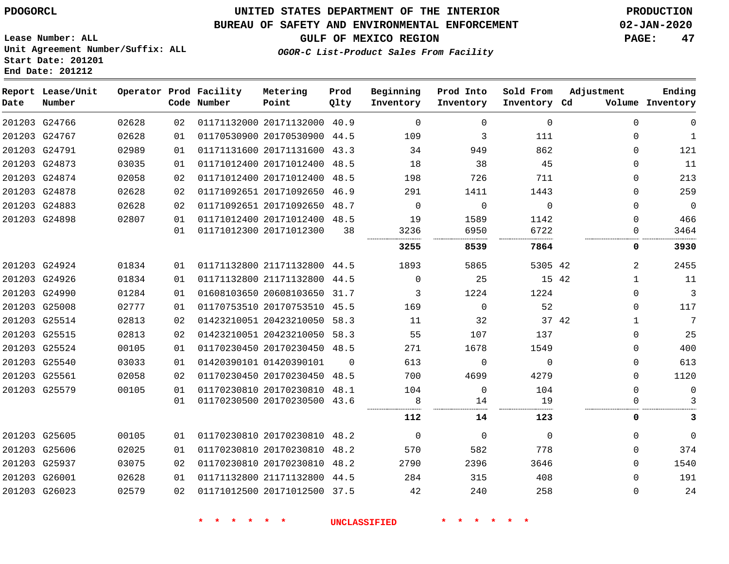# **UNITED STATES DEPARTMENT OF THE INTERIOR PDOGORCL PRODUCTION**

### **BUREAU OF SAFETY AND ENVIRONMENTAL ENFORCEMENT 02-JAN-2020**

**OGOR-C List-Product Sales From Facility**

**GULF OF MEXICO REGION PAGE: 47**

**Lease Number: ALL Unit Agreement Number/Suffix: ALL Start Date: 201201 End Date: 201212**

| Date   | Report Lease/Unit<br>Number |       |    | Operator Prod Facility<br>Code Number | Metering<br>Point            | Prod<br>Qlty | Beginning<br>Inventory | Prod Into<br>Inventory | Sold From<br>Inventory Cd | Adjustment     | Ending<br>Volume Inventory |
|--------|-----------------------------|-------|----|---------------------------------------|------------------------------|--------------|------------------------|------------------------|---------------------------|----------------|----------------------------|
|        | 201203 G24766               | 02628 | 02 |                                       | 01171132000 20171132000      | 40.9         | $\Omega$               | 0                      | $\mathbf 0$               | $\Omega$       | $\mathbf 0$                |
|        | 201203 G24767               | 02628 | 01 |                                       | 01170530900 20170530900      | 44.5         | 109                    | 3                      | 111                       | $\Omega$       | $\mathbf{1}$               |
|        | 201203 G24791               | 02989 | 01 |                                       | 01171131600 20171131600      | 43.3         | 34                     | 949                    | 862                       | $\Omega$       | 121                        |
|        | 201203 G24873               | 03035 | 01 |                                       | 01171012400 20171012400      | 48.5         | 18                     | 38                     | 45                        | $\Omega$       | 11                         |
|        | 201203 G24874               | 02058 | 02 |                                       | 01171012400 20171012400      | 48.5         | 198                    | 726                    | 711                       | 0              | 213                        |
|        | 201203 G24878               | 02628 | 02 |                                       | 01171092651 20171092650      | 46.9         | 291                    | 1411                   | 1443                      | $\Omega$       | 259                        |
|        | 201203 G24883               | 02628 | 02 |                                       | 01171092651 20171092650      | 48.7         | $\Omega$               | $\mathbf 0$            | $\mathbf 0$               | 0              | $\mathbf 0$                |
|        | 201203 G24898               | 02807 | 01 |                                       | 01171012400 20171012400      | 48.5         | 19                     | 1589                   | 1142                      | $\Omega$       | 466                        |
|        |                             |       | 01 |                                       | 01171012300 20171012300      | 38           | 3236                   | 6950                   | 6722                      | 0              | 3464                       |
|        |                             |       |    |                                       |                              |              | 3255                   | 8539                   | 7864                      | 0              | 3930                       |
|        | 201203 G24924               | 01834 | 01 |                                       | 01171132800 21171132800      | 44.5         | 1893                   | 5865                   | 5305 42                   | $\overline{2}$ | 2455                       |
|        | 201203 G24926               | 01834 | 01 |                                       | 01171132800 21171132800      | 44.5         | $\Omega$               | 25                     | 15 42                     | $\mathbf{1}$   | 11                         |
|        | 201203 G24990               | 01284 | 01 |                                       | 01608103650 20608103650      | 31.7         | 3                      | 1224                   | 1224                      | $\Omega$       | $\overline{3}$             |
|        | 201203 G25008               | 02777 | 01 |                                       | 01170753510 20170753510      | 45.5         | 169                    | $\Omega$               | 52                        | $\Omega$       | 117                        |
| 201203 | G25514                      | 02813 | 02 |                                       | 01423210051 20423210050      | 58.3         | 11                     | 32                     | 37 42                     | $\mathbf{1}$   | 7                          |
|        | 201203 G25515               | 02813 | 02 |                                       | 01423210051 20423210050      | 58.3         | 55                     | 107                    | 137                       | $\Omega$       | 25                         |
|        | 201203 G25524               | 00105 | 01 |                                       | 01170230450 20170230450 48.5 |              | 271                    | 1678                   | 1549                      | $\Omega$       | 400                        |
|        | 201203 G25540               | 03033 | 01 |                                       | 01420390101 01420390101      | $\Omega$     | 613                    | $\mathbf 0$            | $\Omega$                  | $\Omega$       | 613                        |
|        | 201203 G25561               | 02058 | 02 |                                       | 01170230450 20170230450      | 48.5         | 700                    | 4699                   | 4279                      | $\Omega$       | 1120                       |
|        | 201203 G25579               | 00105 | 01 |                                       | 01170230810 20170230810      | 48.1         | 104                    | $\Omega$               | 104                       | $\Omega$       | $\mathbf 0$                |
|        |                             |       | 01 |                                       | 01170230500 20170230500      | 43.6         | 8                      | 14                     | 19                        |                | 3                          |
|        |                             |       |    |                                       |                              |              | 112                    | 14                     | 123                       | 0              | 3                          |
|        | 201203 G25605               | 00105 | 01 |                                       | 01170230810 20170230810      | 48.2         | $\Omega$               | $\Omega$               | $\Omega$                  | $\Omega$       | $\Omega$                   |
|        | 201203 G25606               | 02025 | 01 |                                       | 01170230810 20170230810 48.2 |              | 570                    | 582                    | 778                       | $\Omega$       | 374                        |

 G25937 G26001 G26023 20170230810 48.2 21171132800 44.5 20171012500 37.5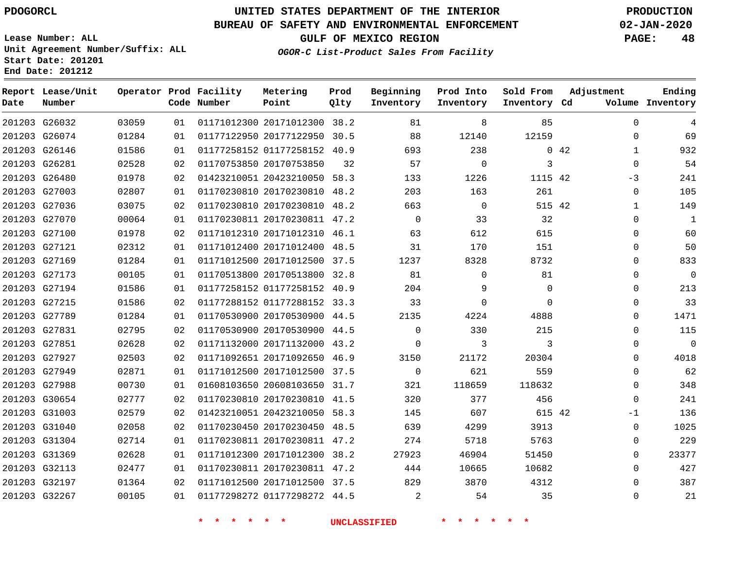## **UNITED STATES DEPARTMENT OF THE INTERIOR PDOGORCL PRODUCTION**

### **BUREAU OF SAFETY AND ENVIRONMENTAL ENFORCEMENT 02-JAN-2020**

**Lease Number: ALL Unit Agreement Number/Suffix: ALL Start Date: 201201**

**OGOR-C List-Product Sales From Facility**

**GULF OF MEXICO REGION PAGE: 48**

**Adjustment**

**Ending**

|  | Operator Prod Facility | Metering     | Prod                 | Beginning        |
|--|------------------------|--------------|----------------------|------------------|
|  | $\theta$               | <b>Dodna</b> | $\sim$ $\sim$ $\sim$ | Tween the Assess |

| Date          | Report Lease/Unit<br>Number |       |     | Operator Prod Facility<br>Code Number | Metering<br>Point            | Prod<br>Qlty | Beginning<br>Inventory | Prod Into<br>Inventory | Sold From<br>Inventory Cd | Adjustment  | Ending<br>Volume Inventory |
|---------------|-----------------------------|-------|-----|---------------------------------------|------------------------------|--------------|------------------------|------------------------|---------------------------|-------------|----------------------------|
| 201203 G26032 |                             | 03059 | 01  |                                       | 01171012300 20171012300 38.2 |              | 81                     | 8                      | 85                        |             | $\Omega$<br>4              |
| 201203 G26074 |                             | 01284 | 01  |                                       | 01177122950 20177122950      | 30.5         | 88                     | 12140                  | 12159                     |             | 69<br>$\Omega$             |
| 201203 G26146 |                             | 01586 | 01  |                                       | 01177258152 01177258152 40.9 |              | 693                    | 238                    |                           | $0\quad 42$ | 932<br>$\mathbf{1}$        |
| 201203 G26281 |                             | 02528 | 02  |                                       | 01170753850 20170753850      | 32           | 57                     | $\mathbf 0$            | 3                         |             | 54<br>$\Omega$             |
| 201203 G26480 |                             | 01978 | 02  |                                       | 01423210051 20423210050 58.3 |              | 133                    | 1226                   | 1115 42                   | $-3$        | 241                        |
| 201203 G27003 |                             | 02807 | 01  |                                       | 01170230810 20170230810      | 48.2         | 203                    | 163                    | 261                       |             | 105<br>$\mathbf 0$         |
| 201203 G27036 |                             | 03075 | 02  |                                       | 01170230810 20170230810 48.2 |              | 663                    | $\mathbf 0$            | 515 42                    |             | 149<br>$\mathbf{1}$        |
| 201203 G27070 |                             | 00064 | 01  |                                       | 01170230811 20170230811 47.2 |              | $\mathbf 0$            | 33                     | 32                        |             | 0<br>1                     |
| 201203 G27100 |                             | 01978 | 02  |                                       | 01171012310 20171012310 46.1 |              | 63                     | 612                    | 615                       |             | 60<br>0                    |
| 201203 G27121 |                             | 02312 | 01  |                                       | 01171012400 20171012400 48.5 |              | 31                     | 170                    | 151                       |             | 50<br>$\Omega$             |
| 201203 G27169 |                             | 01284 | 01  |                                       | 01171012500 20171012500 37.5 |              | 1237                   | 8328                   | 8732                      |             | $\Omega$<br>833            |
| 201203 G27173 |                             | 00105 | 01  |                                       | 01170513800 20170513800 32.8 |              | 81                     | $\Omega$               | 81                        |             | $\overline{0}$<br>0        |
|               | 201203 G27194               | 01586 | 01  |                                       | 01177258152 01177258152 40.9 |              | 204                    | 9                      | $\mathbf{0}$              |             | 213<br>0                   |
| 201203 G27215 |                             | 01586 | 02  |                                       | 01177288152 01177288152 33.3 |              | 33                     | $\Omega$               | $\Omega$                  |             | 33<br>0                    |
| 201203 G27789 |                             | 01284 | 01  |                                       | 01170530900 20170530900 44.5 |              | 2135                   | 4224                   | 4888                      |             | $\Omega$<br>1471           |
| 201203 G27831 |                             | 02795 | 02  |                                       | 01170530900 20170530900 44.5 |              | 0                      | 330                    | 215                       |             | 115<br>0                   |
| 201203 G27851 |                             | 02628 | 02  |                                       | 01171132000 20171132000      | 43.2         | 0                      | 3                      | 3                         |             | $\overline{0}$<br>0        |
| 201203 G27927 |                             | 02503 | 02  |                                       | 01171092651 20171092650 46.9 |              | 3150                   | 21172                  | 20304                     |             | 4018<br>$\Omega$           |
|               | 201203 G27949               | 02871 | 01  |                                       | 01171012500 20171012500 37.5 |              | 0                      | 621                    | 559                       |             | 62<br>$\Omega$             |
| 201203 G27988 |                             | 00730 | 01  |                                       | 01608103650 20608103650 31.7 |              | 321                    | 118659                 | 118632                    |             | 348<br>$\mathbf 0$         |
|               | 201203 G30654               | 02777 | 02  |                                       | 01170230810 20170230810 41.5 |              | 320                    | 377                    | 456                       |             | 241<br>0                   |
| 201203 G31003 |                             | 02579 | 02  |                                       | 01423210051 20423210050 58.3 |              | 145                    | 607                    | 615 42                    | $-1$        | 136                        |
| 201203 G31040 |                             | 02058 | 02  |                                       | 01170230450 20170230450 48.5 |              | 639                    | 4299                   | 3913                      |             | 1025<br>0                  |
| 201203 G31304 |                             | 02714 | 01  |                                       | 01170230811 20170230811 47.2 |              | 274                    | 5718                   | 5763                      |             | 229<br>$\mathbf 0$         |
| 201203 G31369 |                             | 02628 | 01  |                                       | 01171012300 20171012300      | 38.2         | 27923                  | 46904                  | 51450                     |             | 23377<br>0                 |
| 201203 G32113 |                             | 02477 | 01  |                                       | 01170230811 20170230811 47.2 |              | 444                    | 10665                  | 10682                     |             | 427<br>0                   |
| 201203 G32197 |                             | 01364 | 02  |                                       | 01171012500 20171012500 37.5 |              | 829                    | 3870                   | 4312                      |             | $\mathbf 0$<br>387         |
| 201203 G32267 |                             | 00105 | 0 1 |                                       | 01177298272 01177298272 44.5 |              | 2                      | 54                     | 35                        |             | 21<br>$\Omega$             |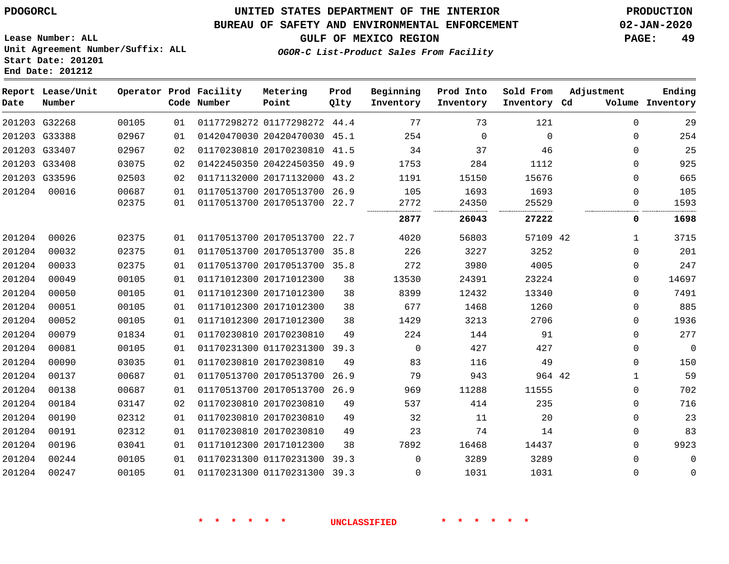#### **BUREAU OF SAFETY AND ENVIRONMENTAL ENFORCEMENT 02-JAN-2020**

**Lease Number: ALL Unit Agreement Number/Suffix: ALL Start Date: 201201**

**End Date: 201212**

**GULF OF MEXICO REGION PAGE: 49**

**OGOR-C List-Product Sales From Facility**

| Date   | Report Lease/Unit<br>Number |       |    | Operator Prod Facility<br>Code Number | Metering<br>Point            | Prod<br>Qlty | Beginning<br>Inventory | Prod Into<br>Inventory | Sold From<br>Inventory Cd | Adjustment   | Ending<br>Volume Inventory |
|--------|-----------------------------|-------|----|---------------------------------------|------------------------------|--------------|------------------------|------------------------|---------------------------|--------------|----------------------------|
|        | 201203 G32268               | 00105 | 01 |                                       | 01177298272 01177298272 44.4 |              | 77                     | 73                     | 121                       | $\Omega$     | 29                         |
|        | 201203 G33388               | 02967 | 01 |                                       | 01420470030 20420470030 45.1 |              | 254                    | $\Omega$               | $\Omega$                  | 0            | 254                        |
|        | 201203 G33407               | 02967 | 02 |                                       | 01170230810 20170230810 41.5 |              | 34                     | 37                     | 46                        | 0            | 25                         |
|        | 201203 G33408               | 03075 | 02 |                                       | 01422450350 20422450350 49.9 |              | 1753                   | 284                    | 1112                      | 0            | 925                        |
|        | 201203 G33596               | 02503 | 02 |                                       | 01171132000 20171132000 43.2 |              | 1191                   | 15150                  | 15676                     | $\Omega$     | 665                        |
| 201204 | 00016                       | 00687 | 01 |                                       | 01170513700 20170513700 26.9 |              | 105                    | 1693                   | 1693                      | $\Omega$     | 105                        |
|        |                             | 02375 | 01 |                                       | 01170513700 20170513700 22.7 |              | 2772                   | 24350                  | 25529                     | $\Omega$     | 1593                       |
|        |                             |       |    |                                       |                              |              | 2877                   | 26043                  | 27222                     | 0            | 1698                       |
| 201204 | 00026                       | 02375 | 01 |                                       | 01170513700 20170513700 22.7 |              | 4020                   | 56803                  | 57109 42                  | $\mathbf{1}$ | 3715                       |
| 201204 | 00032                       | 02375 | 01 |                                       | 01170513700 20170513700 35.8 |              | 226                    | 3227                   | 3252                      | 0            | 201                        |
| 201204 | 00033                       | 02375 | 01 |                                       | 01170513700 20170513700 35.8 |              | 272                    | 3980                   | 4005                      | $\Omega$     | 247                        |
| 201204 | 00049                       | 00105 | 01 |                                       | 01171012300 20171012300      | 38           | 13530                  | 24391                  | 23224                     | $\Omega$     | 14697                      |
| 201204 | 00050                       | 00105 | 01 |                                       | 01171012300 20171012300      | 38           | 8399                   | 12432                  | 13340                     | 0            | 7491                       |
| 201204 | 00051                       | 00105 | 01 |                                       | 01171012300 20171012300      | 38           | 677                    | 1468                   | 1260                      | $\Omega$     | 885                        |
| 201204 | 00052                       | 00105 | 01 |                                       | 01171012300 20171012300      | 38           | 1429                   | 3213                   | 2706                      | $\Omega$     | 1936                       |
| 201204 | 00079                       | 01834 | 01 |                                       | 01170230810 20170230810      | 49           | 224                    | 144                    | 91                        | 0            | 277                        |
| 201204 | 00081                       | 00105 | 01 |                                       | 01170231300 01170231300      | 39.3         | $\mathbf 0$            | 427                    | 427                       | $\mathbf 0$  | $\overline{0}$             |
| 201204 | 00090                       | 03035 | 01 |                                       | 01170230810 20170230810      | 49           | 83                     | 116                    | 49                        | $\Omega$     | 150                        |
| 201204 | 00137                       | 00687 | 01 |                                       | 01170513700 20170513700 26.9 |              | 79                     | 943                    | 964 42                    | 1            | 59                         |
| 201204 | 00138                       | 00687 | 01 |                                       | 01170513700 20170513700      | 26.9         | 969                    | 11288                  | 11555                     | $\mathbf 0$  | 702                        |
| 201204 | 00184                       | 03147 | 02 |                                       | 01170230810 20170230810      | 49           | 537                    | 414                    | 235                       | 0            | 716                        |
| 201204 | 00190                       | 02312 | 01 |                                       | 01170230810 20170230810      | 49           | 32                     | 11                     | 20                        | $\Omega$     | 23                         |
| 201204 | 00191                       | 02312 | 01 |                                       | 01170230810 20170230810      | 49           | 23                     | 74                     | 14                        | $\mathbf 0$  | 83                         |
| 201204 | 00196                       | 03041 | 01 |                                       | 01171012300 20171012300      | 38           | 7892                   | 16468                  | 14437                     | 0            | 9923                       |
| 201204 | 00244                       | 00105 | 01 |                                       | 01170231300 01170231300 39.3 |              | $\Omega$               | 3289                   | 3289                      | $\Omega$     | $\mathbf 0$                |
| 201204 | 00247                       | 00105 | 01 |                                       | 01170231300 01170231300 39.3 |              | $\mathbf{0}$           | 1031                   | 1031                      | $\Omega$     | $\mathbf 0$                |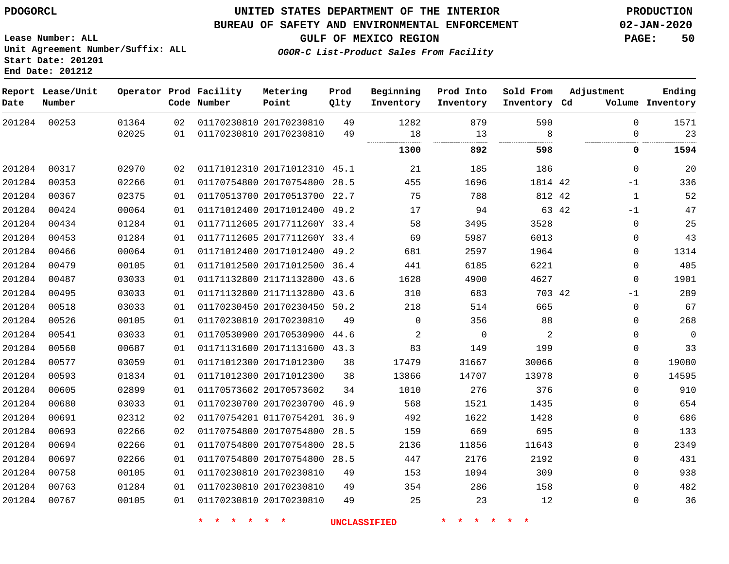**Start Date: 201201 End Date: 201212**

### **UNITED STATES DEPARTMENT OF THE INTERIOR PDOGORCL PRODUCTION**

### **BUREAU OF SAFETY AND ENVIRONMENTAL ENFORCEMENT 02-JAN-2020**

**Lease Number: ALL Unit Agreement Number/Suffix: ALL**

**GULF OF MEXICO REGION PAGE: 50**

**OGOR-C List-Product Sales From Facility**

| Date   | Report Lease/Unit<br>Number |       |    | Operator Prod Facility<br>Code Number | Metering<br>Point            | Prod<br>Qlty | Beginning<br>Inventory | Prod Into<br>Inventory | Sold From<br>Inventory Cd | Adjustment    | Ending<br>Volume Inventory |
|--------|-----------------------------|-------|----|---------------------------------------|------------------------------|--------------|------------------------|------------------------|---------------------------|---------------|----------------------------|
| 201204 | 00253                       | 01364 | 02 |                                       | 01170230810 20170230810      | 49           | 1282                   | 879                    | 590                       | $\Omega$      | 1571                       |
|        |                             | 02025 | 01 |                                       | 01170230810 20170230810      | 49           | 18                     | 13                     | 8                         | $\Omega$      | 23                         |
|        |                             |       |    |                                       |                              |              | 1300                   | 892                    | 598                       | 0             | 1594                       |
| 201204 | 00317                       | 02970 | 02 |                                       | 01171012310 20171012310 45.1 |              | 21                     | 185                    | 186                       | $\mathbf{0}$  | 20                         |
| 201204 | 00353                       | 02266 | 01 |                                       | 01170754800 20170754800 28.5 |              | 455                    | 1696                   | 1814 42                   | $-1$          | 336                        |
| 201204 | 00367                       | 02375 | 01 |                                       | 01170513700 20170513700 22.7 |              | 75                     | 788                    | 812 42                    | $\mathbf{1}$  | 52                         |
| 201204 | 00424                       | 00064 | 01 |                                       | 01171012400 20171012400 49.2 |              | 17                     | 94                     |                           | 63 42<br>$-1$ | 47                         |
| 201204 | 00434                       | 01284 | 01 |                                       | 01177112605 2017711260Y 33.4 |              | 58                     | 3495                   | 3528                      | $\mathbf 0$   | 25                         |
| 201204 | 00453                       | 01284 | 01 |                                       | 01177112605 2017711260Y 33.4 |              | 69                     | 5987                   | 6013                      | 0             | 43                         |
| 201204 | 00466                       | 00064 | 01 |                                       | 01171012400 20171012400 49.2 |              | 681                    | 2597                   | 1964                      | $\mathbf{0}$  | 1314                       |
| 201204 | 00479                       | 00105 | 01 |                                       | 01171012500 20171012500      | 36.4         | 441                    | 6185                   | 6221                      | $\mathbf 0$   | 405                        |
| 201204 | 00487                       | 03033 | 01 |                                       | 01171132800 21171132800 43.6 |              | 1628                   | 4900                   | 4627                      | $\mathbf{0}$  | 1901                       |
| 201204 | 00495                       | 03033 | 01 |                                       | 01171132800 21171132800 43.6 |              | 310                    | 683                    | 703 42                    | $-1$          | 289                        |
| 201204 | 00518                       | 03033 | 01 |                                       | 01170230450 20170230450 50.2 |              | 218                    | 514                    | 665                       | $\mathbf 0$   | 67                         |
| 201204 | 00526                       | 00105 | 01 |                                       | 01170230810 20170230810      | 49           | $\Omega$               | 356                    | 88                        | 0             | 268                        |
| 201204 | 00541                       | 03033 | 01 |                                       | 01170530900 20170530900 44.6 |              | 2                      | 0                      | $\overline{a}$            | 0             | $\mathbf 0$                |
| 201204 | 00560                       | 00687 | 01 |                                       | 01171131600 20171131600 43.3 |              | 83                     | 149                    | 199                       | 0             | 33                         |
| 201204 | 00577                       | 03059 | 01 |                                       | 01171012300 20171012300      | 38           | 17479                  | 31667                  | 30066                     | 0             | 19080                      |
| 201204 | 00593                       | 01834 | 01 |                                       | 01171012300 20171012300      | 38           | 13866                  | 14707                  | 13978                     | 0             | 14595                      |
| 201204 | 00605                       | 02899 | 01 |                                       | 01170573602 20170573602      | 34           | 1010                   | 276                    | 376                       | $\mathbf 0$   | 910                        |
| 201204 | 00680                       | 03033 | 01 |                                       | 01170230700 20170230700      | 46.9         | 568                    | 1521                   | 1435                      | 0             | 654                        |
| 201204 | 00691                       | 02312 | 02 |                                       | 01170754201 01170754201 36.9 |              | 492                    | 1622                   | 1428                      | 0             | 686                        |
| 201204 | 00693                       | 02266 | 02 |                                       | 01170754800 20170754800      | 28.5         | 159                    | 669                    | 695                       | 0             | 133                        |
| 201204 | 00694                       | 02266 | 01 |                                       | 01170754800 20170754800 28.5 |              | 2136                   | 11856                  | 11643                     | $\mathbf 0$   | 2349                       |
| 201204 | 00697                       | 02266 | 01 |                                       | 01170754800 20170754800 28.5 |              | 447                    | 2176                   | 2192                      | $\mathbf{0}$  | 431                        |
| 201204 | 00758                       | 00105 | 01 |                                       | 01170230810 20170230810      | 49           | 153                    | 1094                   | 309                       | $\mathbf 0$   | 938                        |
| 201204 | 00763                       | 01284 | 01 |                                       | 01170230810 20170230810      | 49           | 354                    | 286                    | 158                       | 0             | 482                        |
| 201204 | 00767                       | 00105 | 01 |                                       | 01170230810 20170230810      | 49           | 25                     | 23                     | 12                        | $\mathbf 0$   | 36                         |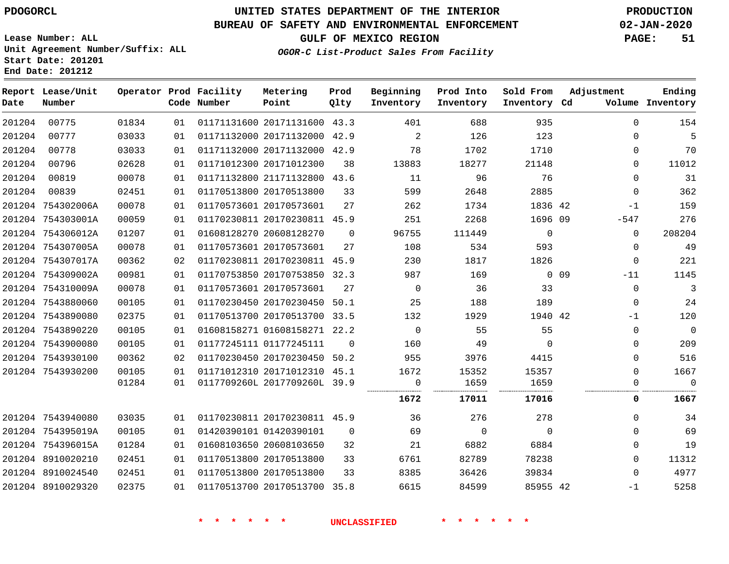**Lease Number: ALL**

**Report Lease/Unit**

## **UNITED STATES DEPARTMENT OF THE INTERIOR PDOGORCL PRODUCTION**

**Prod**  $Q1 + 3r$ 

### **BUREAU OF SAFETY AND ENVIRONMENTAL ENFORCEMENT 02-JAN-2020**

**Metering Point**

**Operator Prod Facility**

**GULF OF MEXICO REGION PAGE: 51**

**Ending**

**Unit Agreement Number/Suffix: ALL Start Date: 201201 End Date: 201212**

**OGOR-C List-Product Sales From Facility**

**Beginning**

**Prod Into Inventory**

**Sold From Inventory**

**Adjustment**

| Date   | Number            |       |     | Code Number | Point                        | Qlty     | Inventory | Inventory   | Inventory Cd |                 |             | Volume Inventory |
|--------|-------------------|-------|-----|-------------|------------------------------|----------|-----------|-------------|--------------|-----------------|-------------|------------------|
| 201204 | 00775             | 01834 | 01  |             | 01171131600 20171131600 43.3 |          | 401       | 688         | 935          |                 | $\Omega$    | 154              |
| 201204 | 00777             | 03033 | 01  |             | 01171132000 20171132000 42.9 |          | 2         | 126         | 123          |                 | $\Omega$    | 5                |
| 201204 | 00778             | 03033 | 01  |             | 01171132000 20171132000 42.9 |          | 78        | 1702        | 1710         |                 | $\Omega$    | 70               |
| 201204 | 00796             | 02628 | 01  |             | 01171012300 20171012300      | 38       | 13883     | 18277       | 21148        |                 | 0           | 11012            |
| 201204 | 00819             | 00078 | 01  |             | 01171132800 21171132800 43.6 |          | 11        | 96          | 76           |                 | $\Omega$    | 31               |
| 201204 | 00839             | 02451 | 0 1 |             | 01170513800 20170513800      | 33       | 599       | 2648        | 2885         |                 | $\mathbf 0$ | 362              |
|        | 201204 754302006A | 00078 | 01  |             | 01170573601 20170573601      | 27       | 262       | 1734        | 1836 42      |                 | $-1$        | 159              |
|        | 201204 754303001A | 00059 | 01  |             | 01170230811 20170230811 45.9 |          | 251       | 2268        | 1696 09      |                 | $-547$      | 276              |
|        | 201204 754306012A | 01207 | 01  |             | 01608128270 20608128270      | $\Omega$ | 96755     | 111449      | $\mathbf 0$  |                 | $\Omega$    | 208204           |
|        | 201204 754307005A | 00078 | 01  |             | 01170573601 20170573601      | 27       | 108       | 534         | 593          |                 | 0           | 49               |
|        | 201204 754307017A | 00362 | 02  |             | 01170230811 20170230811 45.9 |          | 230       | 1817        | 1826         |                 | $\mathbf 0$ | 221              |
|        | 201204 754309002A | 00981 | 01  |             | 01170753850 20170753850 32.3 |          | 987       | 169         |              | 0 <sub>09</sub> | $-11$       | 1145             |
|        | 201204 754310009A | 00078 | 01  |             | 01170573601 20170573601      | 27       | $\Omega$  | 36          | 33           |                 | $\mathbf 0$ | 3                |
|        | 201204 7543880060 | 00105 | 01  |             | 01170230450 20170230450 50.1 |          | 25        | 188         | 189          |                 | $\mathbf 0$ | 24               |
|        | 201204 7543890080 | 02375 | 01  |             | 01170513700 20170513700 33.5 |          | 132       | 1929        | 1940 42      |                 | $-1$        | 120              |
|        | 201204 7543890220 | 00105 | 01  |             | 01608158271 01608158271 22.2 |          | $\Omega$  | 55          | 55           |                 | 0           | $\overline{0}$   |
|        | 201204 7543900080 | 00105 | 01  |             | 01177245111 01177245111      | $\Omega$ | 160       | 49          | $\Omega$     |                 | 0           | 209              |
|        | 201204 7543930100 | 00362 | 02  |             | 01170230450 20170230450 50.2 |          | 955       | 3976        | 4415         |                 | $\Omega$    | 516              |
|        | 201204 7543930200 | 00105 | 01  |             | 01171012310 20171012310 45.1 |          | 1672      | 15352       | 15357        |                 | $\Omega$    | 1667             |
|        |                   | 01284 | 01  |             | 0117709260L 2017709260L 39.9 |          | 0         | 1659        | 1659         |                 | 0           | $\mathbf 0$      |
|        |                   |       |     |             |                              |          | 1672      | 17011       | 17016        |                 | 0           | 1667             |
|        | 201204 7543940080 | 03035 | 01  |             | 01170230811 20170230811 45.9 |          | 36        | 276         | 278          |                 | 0           | 34               |
|        | 201204 754395019A | 00105 | 01  |             | 01420390101 01420390101      | $\Omega$ | 69        | $\mathbf 0$ | $\Omega$     |                 | 0           | 69               |
|        | 201204 754396015A | 01284 | 01  |             | 01608103650 20608103650      | 32       | 21        | 6882        | 6884         |                 | 0           | 19               |
|        | 201204 8910020210 | 02451 | 01  |             | 01170513800 20170513800      | 33       | 6761      | 82789       | 78238        |                 | 0           | 11312            |
|        | 201204 8910024540 | 02451 | 01  |             | 01170513800 20170513800      | 33       | 8385      | 36426       | 39834        |                 | $\Omega$    | 4977             |
|        | 201204 8910029320 | 02375 | 01  |             | 01170513700 20170513700 35.8 |          | 6615      | 84599       | 85955 42     |                 | $-1$        | 5258             |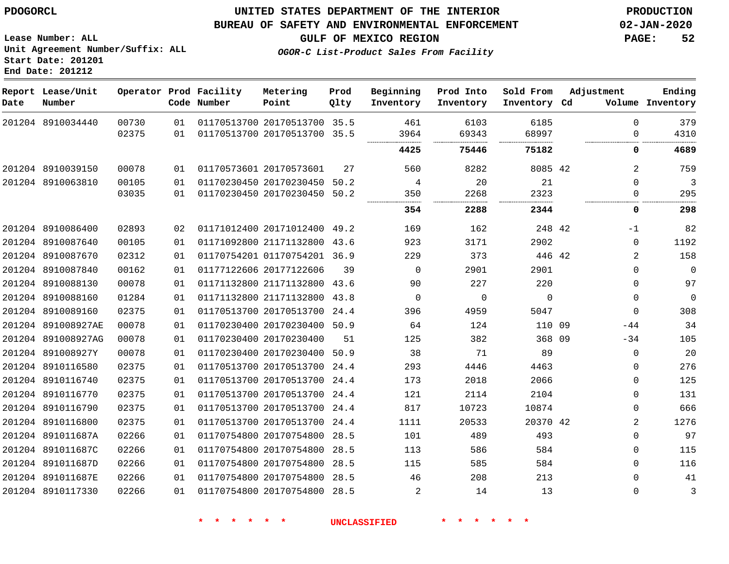### **BUREAU OF SAFETY AND ENVIRONMENTAL ENFORCEMENT 02-JAN-2020**

**Lease Number: ALL Unit Agreement Number/Suffix: ALL Start Date: 201201**

**OGOR-C List-Product Sales From Facility**

**GULF OF MEXICO REGION PAGE: 52**

**End Date: 201212**

| Date | Report Lease/Unit<br>Number |       |    | Operator Prod Facility<br>Code Number | Metering<br>Point            | Prod<br>Qlty | Beginning<br>Inventory | Prod Into<br>Inventory | Sold From<br>Inventory Cd | Adjustment |              | Ending<br>Volume Inventory |
|------|-----------------------------|-------|----|---------------------------------------|------------------------------|--------------|------------------------|------------------------|---------------------------|------------|--------------|----------------------------|
|      | 201204 8910034440           | 00730 | 01 |                                       | 01170513700 20170513700 35.5 |              | 461                    | 6103                   | 6185                      |            | 0            | 379                        |
|      |                             | 02375 | 01 |                                       | 01170513700 20170513700 35.5 |              | 3964                   | 69343                  | 68997                     |            | 0            | 4310                       |
|      |                             |       |    |                                       |                              |              | 4425                   | 75446                  | 75182                     |            | 0            | 4689                       |
|      | 201204 8910039150           | 00078 | 01 |                                       | 01170573601 20170573601      | 27           | 560                    | 8282                   | 8085 42                   |            | 2            | 759                        |
|      | 201204 8910063810           | 00105 | 01 |                                       | 01170230450 20170230450      | 50.2         | $\overline{4}$         | 20                     | 21                        |            | $\Omega$     | $\overline{\mathbf{3}}$    |
|      |                             | 03035 | 01 |                                       | 01170230450 20170230450 50.2 |              | 350                    | 2268                   | 2323                      |            | $\Omega$     | 295                        |
|      |                             |       |    |                                       |                              |              | 354                    | 2288                   | 2344                      |            | 0            | 298                        |
|      | 201204 8910086400           | 02893 | 02 |                                       | 01171012400 20171012400 49.2 |              | 169                    | 162                    | 248 42                    |            | -1           | 82                         |
|      | 201204 8910087640           | 00105 | 01 |                                       | 01171092800 21171132800      | 43.6         | 923                    | 3171                   | 2902                      |            | 0            | 1192                       |
|      | 201204 8910087670           | 02312 | 01 |                                       | 01170754201 01170754201 36.9 |              | 229                    | 373                    | 446 42                    |            | 2            | 158                        |
|      | 201204 8910087840           | 00162 | 01 |                                       | 01177122606 20177122606      | 39           | $\mathbf 0$            | 2901                   | 2901                      |            | $\mathbf 0$  | $\overline{0}$             |
|      | 201204 8910088130           | 00078 | 01 |                                       | 01171132800 21171132800 43.6 |              | 90                     | 227                    | 220                       |            | 0            | 97                         |
|      | 201204 8910088160           | 01284 | 01 |                                       | 01171132800 21171132800      | 43.8         | 0                      | 0                      | $\mathbf 0$               |            | 0            | $\overline{0}$             |
|      | 201204 8910089160           | 02375 | 01 |                                       | 01170513700 20170513700 24.4 |              | 396                    | 4959                   | 5047                      |            | $\Omega$     | 308                        |
|      | 201204 891008927AE          | 00078 | 01 |                                       | 01170230400 20170230400 50.9 |              | 64                     | 124                    | 110 09                    |            | $-44$        | 34                         |
|      | 201204 891008927AG          | 00078 | 01 |                                       | 01170230400 20170230400      | 51           | 125                    | 382                    | 368 09                    |            | $-34$        | 105                        |
|      | 201204 891008927Y           | 00078 | 01 |                                       | 01170230400 20170230400      | 50.9         | 38                     | 71                     | 89                        |            | $\mathbf 0$  | 20                         |
|      | 201204 8910116580           | 02375 | 01 |                                       | 01170513700 20170513700 24.4 |              | 293                    | 4446                   | 4463                      |            | 0            | 276                        |
|      | 201204 8910116740           | 02375 | 01 |                                       | 01170513700 20170513700 24.4 |              | 173                    | 2018                   | 2066                      |            | 0            | 125                        |
|      | 201204 8910116770           | 02375 | 01 |                                       | 01170513700 20170513700 24.4 |              | 121                    | 2114                   | 2104                      |            | 0            | 131                        |
|      | 201204 8910116790           | 02375 | 01 |                                       | 01170513700 20170513700      | 24.4         | 817                    | 10723                  | 10874                     |            | 0            | 666                        |
|      | 201204 8910116800           | 02375 | 01 |                                       | 01170513700 20170513700 24.4 |              | 1111                   | 20533                  | 20370 42                  |            | 2            | 1276                       |
|      | 201204 891011687A           | 02266 | 01 |                                       | 01170754800 20170754800      | 28.5         | 101                    | 489                    | 493                       |            | $\mathbf 0$  | 97                         |
|      | 201204 891011687C           | 02266 | 01 |                                       | 01170754800 20170754800      | 28.5         | 113                    | 586                    | 584                       |            | 0            | 115                        |
|      | 201204 891011687D           | 02266 | 01 |                                       | 01170754800 20170754800      | 28.5         | 115                    | 585                    | 584                       |            | $\Omega$     | 116                        |
|      | 201204 891011687E           | 02266 | 01 |                                       | 01170754800 20170754800 28.5 |              | 46                     | 208                    | 213                       |            | $\Omega$     | 41                         |
|      | 201204 8910117330           | 02266 | 01 |                                       | 01170754800 20170754800 28.5 |              | 2                      | 14                     | 13                        |            | $\mathbf{0}$ | 3                          |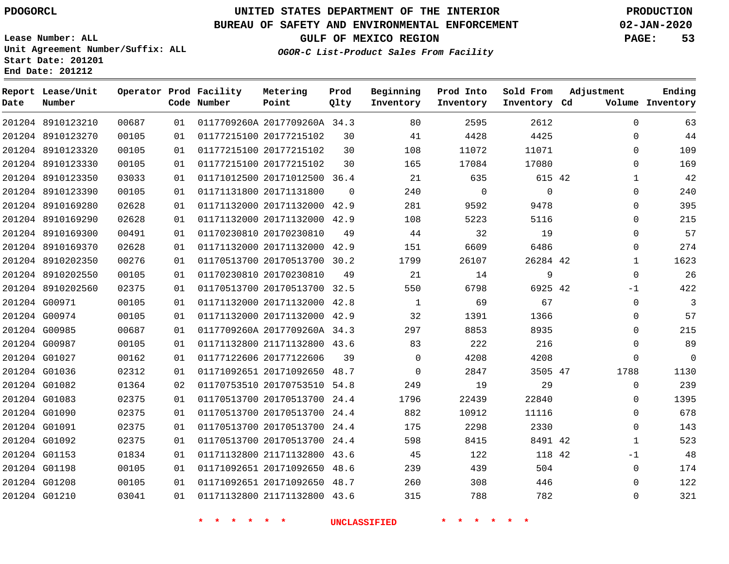**Date**

**Report Lease/Unit**

**Number**

## **UNITED STATES DEPARTMENT OF THE INTERIOR PDOGORCL PRODUCTION**

**Prod Qlty**

#### **BUREAU OF SAFETY AND ENVIRONMENTAL ENFORCEMENT 02-JAN-2020**

**Lease Number: ALL Unit Agreement Number/Suffix: ALL Start Date: 201201 End Date: 201212**

**Operator Prod Facility**

**Code Number**

**OGOR-C List-Product Sales From Facility**

**Beginning Inventory** **Prod Into Inventory** **Sold From Inventory**

**GULF OF MEXICO REGION PAGE: 53**

**Inventory Cd Volume**

**Adjustment**

**Ending**

|               | 201204 8910123210 | 00687 | 01 | 0117709260A 2017709260A 34.3 |                     | 80             | 2595     | 2612     |  |
|---------------|-------------------|-------|----|------------------------------|---------------------|----------------|----------|----------|--|
|               | 201204 8910123270 | 00105 | 01 | 01177215100 20177215102      | 30                  | 41             | 4428     | 4425     |  |
|               | 201204 8910123320 | 00105 | 01 | 01177215100 20177215102      | 30                  | 108            | 11072    | 11071    |  |
|               | 201204 8910123330 | 00105 | 01 | 01177215100 20177215102      | 30                  | 165            | 17084    | 17080    |  |
|               | 201204 8910123350 | 03033 | 01 | 01171012500 20171012500 36.4 |                     | 21             | 635      | 615 42   |  |
|               | 201204 8910123390 | 00105 | 01 | 01171131800 20171131800      | $\Omega$            | 240            | $\Omega$ | $\Omega$ |  |
|               | 201204 8910169280 | 02628 | 01 | 01171132000 20171132000 42.9 |                     | 281            | 9592     | 9478     |  |
|               | 201204 8910169290 | 02628 | 01 | 01171132000 20171132000 42.9 |                     | 108            | 5223     | 5116     |  |
|               | 201204 8910169300 | 00491 | 01 | 01170230810 20170230810      | 49                  | 44             | 32       | 19       |  |
|               | 201204 8910169370 | 02628 | 01 | 01171132000 20171132000 42.9 |                     | 151            | 6609     | 6486     |  |
|               | 201204 8910202350 | 00276 | 01 | 01170513700 20170513700 30.2 |                     | 1799           | 26107    | 26284 42 |  |
|               | 201204 8910202550 | 00105 | 01 | 01170230810 20170230810      | 49                  | 21             | 14       | 9        |  |
|               | 201204 8910202560 | 02375 | 01 | 01170513700 20170513700 32.5 |                     | 550            | 6798     | 6925 42  |  |
|               | 201204 G00971     | 00105 | 01 | 01171132000 20171132000 42.8 |                     | $\mathbf{1}$   | 69       | 67       |  |
| 201204 G00974 |                   | 00105 | 01 | 01171132000 20171132000 42.9 |                     | 32             | 1391     | 1366     |  |
| 201204 G00985 |                   | 00687 | 01 | 0117709260A 2017709260A 34.3 |                     | 297            | 8853     | 8935     |  |
| 201204 G00987 |                   | 00105 | 01 | 01171132800 21171132800 43.6 |                     | 83             | 222      | 216      |  |
| 201204 G01027 |                   | 00162 | 01 | 01177122606 20177122606      | 39                  | $\overline{0}$ | 4208     | 4208     |  |
| 201204 G01036 |                   | 02312 | 01 | 01171092651 20171092650 48.7 |                     | $\overline{0}$ | 2847     | 3505 47  |  |
| 201204 G01082 |                   | 01364 | 02 | 01170753510 20170753510 54.8 |                     | 249            | 19       | 29       |  |
| 201204 G01083 |                   | 02375 | 01 | 01170513700 20170513700 24.4 |                     | 1796           | 22439    | 22840    |  |
| 201204 G01090 |                   | 02375 | 01 | 01170513700 20170513700 24.4 |                     | 882            | 10912    | 11116    |  |
| 201204 G01091 |                   | 02375 | 01 | 01170513700 20170513700 24.4 |                     | 175            | 2298     | 2330     |  |
| 201204 G01092 |                   | 02375 | 01 | 01170513700 20170513700 24.4 |                     | 598            | 8415     | 8491 42  |  |
| 201204 G01153 |                   | 01834 | 01 | 01171132800 21171132800 43.6 |                     | 45             | 122      | 118 42   |  |
| 201204 G01198 |                   | 00105 | 01 | 01171092651 20171092650 48.6 |                     | 239            | 439      | 504      |  |
| 201204 G01208 |                   | 00105 | 01 | 01171092651 20171092650 48.7 |                     | 260            | 308      | 446      |  |
| 201204 G01210 |                   | 03041 | 01 | 01171132800 21171132800 43.6 |                     | 315            | 788      | 782      |  |
|               |                   |       |    |                              | <b>UNCLASSIFIED</b> |                | $\ast$   |          |  |

**Metering Point**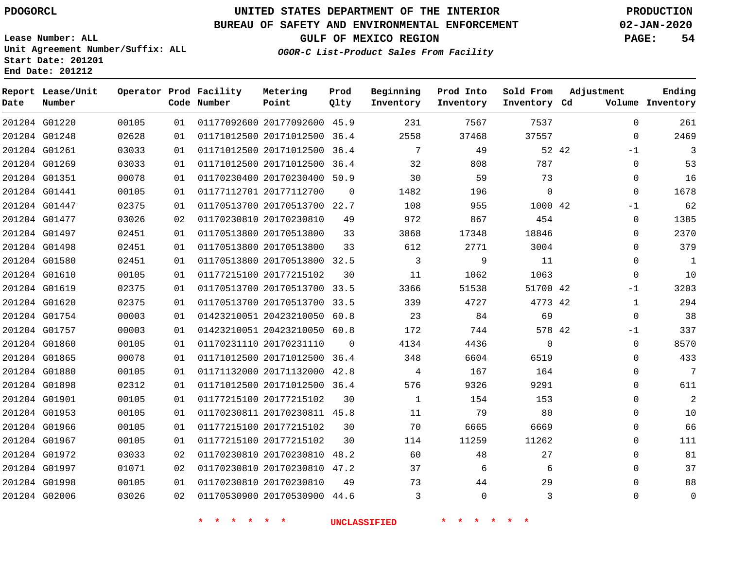**Report Lease/Unit**

**Number**

 G01220 G01248 G01261 G01269 G01351

**Date**

## **UNITED STATES DEPARTMENT OF THE INTERIOR PDOGORCL PRODUCTION**

#### **BUREAU OF SAFETY AND ENVIRONMENTAL ENFORCEMENT 02-JAN-2020**

**Lease Number: ALL Unit Agreement Number/Suffix: ALL Start Date: 201201**

  **OGOR-C List-Product Sales From Facility**

 

 

**GULF OF MEXICO REGION PAGE: 54**

**Inventory Cd Volume**

**Adjustment**

  $\Omega$ -1  $\Omega$  $\Omega$ 

**Ending**

42

 

> 

#### **Operator Prod Facility Code Number** 20177092600 45.9 20171012500 36.4 **Metering Point Prod Qlty Beginning Inventory Prod Into Inventory Sold From Inventory**

 20171012500 36.4 20171012500 36.4 20170230400 50.9

|               | 201204 G01441 | 00105 | 01 | 01177112701 20177112700 |                              | $\Omega$ | 1482 | 196      | 0        | $\Omega$ |
|---------------|---------------|-------|----|-------------------------|------------------------------|----------|------|----------|----------|----------|
| 201204 G01447 |               | 02375 | 01 | 01170513700 20170513700 |                              | 22.7     | 108  | 955      | 1000 42  | $-1$     |
|               | 201204 G01477 | 03026 | 02 | 01170230810 20170230810 |                              | 49       | 972  | 867      | 454      | $\Omega$ |
| 201204 G01497 |               | 02451 | 01 | 01170513800 20170513800 |                              | 33       | 3868 | 17348    | 18846    | $\Omega$ |
| 201204 G01498 |               | 02451 | 01 | 01170513800 20170513800 |                              | 33       | 612  | 2771     | 3004     | $\Omega$ |
| 201204 G01580 |               | 02451 | 01 |                         | 01170513800 20170513800      | 32.5     | 3    | 9        | 11       | $\Omega$ |
| 201204 G01610 |               | 00105 | 01 | 01177215100 20177215102 |                              | 30       | 11   | 1062     | 1063     | $\Omega$ |
|               | 201204 G01619 | 02375 | 01 |                         | 01170513700 20170513700 33.5 |          | 3366 | 51538    | 51700 42 | $-1$     |
| 201204 G01620 |               | 02375 | 01 |                         | 01170513700 20170513700 33.5 |          | 339  | 4727     | 4773 42  | 1        |
| 201204 G01754 |               | 00003 | 01 |                         | 01423210051 20423210050 60.8 |          | 23   | 84       | 69       | $\Omega$ |
| 201204 G01757 |               | 00003 | 01 |                         | 01423210051 20423210050 60.8 |          | 172  | 744      | 578 42   | $-1$     |
| 201204 G01860 |               | 00105 | 01 | 01170231110 20170231110 |                              | $\Omega$ | 4134 | 4436     | $\Omega$ | $\Omega$ |
| 201204 G01865 |               | 00078 | 01 | 01171012500 20171012500 |                              | 36.4     | 348  | 6604     | 6519     | 0        |
| 201204 G01880 |               | 00105 | 01 | 01171132000 20171132000 |                              | 42.8     | 4    | 167      | 164      | $\Omega$ |
| 201204 G01898 |               | 02312 | 01 |                         | 01171012500 20171012500 36.4 |          | 576  | 9326     | 9291     | $\Omega$ |
| 201204 G01901 |               | 00105 | 01 | 01177215100 20177215102 |                              | 30       | 1    | 154      | 153      | $\Omega$ |
|               | 201204 G01953 | 00105 | 01 |                         | 01170230811 20170230811      | 45.8     | 11   | 79       | 80       | $\Omega$ |
| 201204 G01966 |               | 00105 | 01 | 01177215100 20177215102 |                              | 30       | 70   | 6665     | 6669     | $\Omega$ |
| 201204 G01967 |               | 00105 | 01 | 01177215100 20177215102 |                              | 30       | 114  | 11259    | 11262    | 0        |
| 201204 G01972 |               | 03033 | 02 | 01170230810 20170230810 |                              | 48.2     | 60   | 48       | 27       | $\Omega$ |
| 201204 G01997 |               | 01071 | 02 |                         | 01170230810 20170230810      | 47.2     | 37   | 6        | 6        | 0        |
| 201204 G01998 |               | 00105 | 01 | 01170230810 20170230810 |                              | 49       | 73   | 44       | 29       | 0        |
|               | 201204 G02006 | 03026 | 02 |                         | 01170530900 20170530900 44.6 |          | 3    | $\Omega$ | 3        | 0        |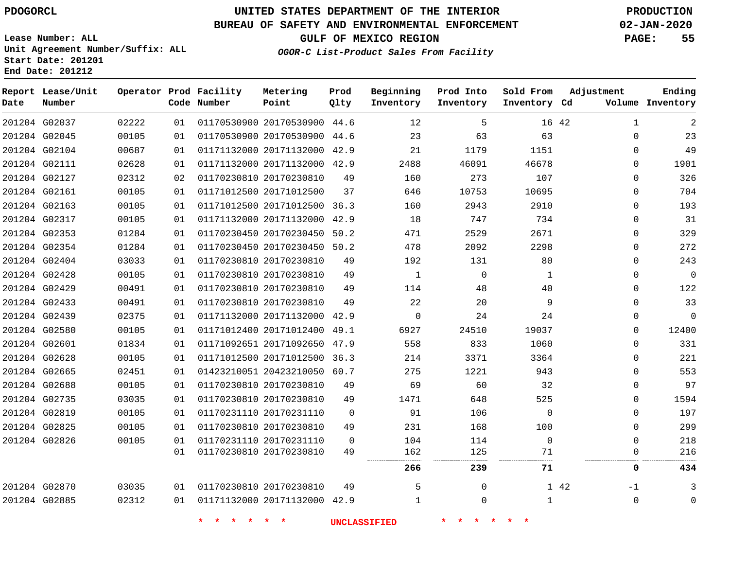**Prod**

**Metering**

#### **BUREAU OF SAFETY AND ENVIRONMENTAL ENFORCEMENT 02-JAN-2020**

**Lease Number: ALL Unit Agreement Number/Suffix: ALL Start Date: 201201**

**Operator Prod Facility**

**End Date: 201212**

**Report Lease/Unit**

**GULF OF MEXICO REGION PAGE: 55**

**Ending**

**OGOR-C List-Product Sales From Facility**

**Beginning**

**Prod Into**

**Sold From**

**Adjustment**

| Date | Number        |       |    | Code Number | Point                        | Qlty        | Inventory | Inventory   | Inventory Cd |       |             | Volume Inventory |
|------|---------------|-------|----|-------------|------------------------------|-------------|-----------|-------------|--------------|-------|-------------|------------------|
|      | 201204 G02037 | 02222 | 01 |             | 01170530900 20170530900 44.6 |             | 12        | 5           |              | 16 42 | 1           | 2                |
|      | 201204 G02045 | 00105 | 01 |             | 01170530900 20170530900 44.6 |             | 23        | 63          | 63           |       | 0           | 23               |
|      | 201204 G02104 | 00687 | 01 |             | 01171132000 20171132000 42.9 |             | 21        | 1179        | 1151         |       | $\Omega$    | 49               |
|      | 201204 G02111 | 02628 | 01 |             | 01171132000 20171132000 42.9 |             | 2488      | 46091       | 46678        |       | 0           | 1901             |
|      | 201204 G02127 | 02312 | 02 |             | 01170230810 20170230810      | 49          | 160       | 273         | 107          |       | $\Omega$    | 326              |
|      | 201204 G02161 | 00105 | 01 |             | 01171012500 20171012500      | 37          | 646       | 10753       | 10695        |       | $\Omega$    | 704              |
|      | 201204 G02163 | 00105 | 01 |             | 01171012500 20171012500 36.3 |             | 160       | 2943        | 2910         |       | $\Omega$    | 193              |
|      | 201204 G02317 | 00105 | 01 |             | 01171132000 20171132000 42.9 |             | 18        | 747         | 734          |       | $\Omega$    | 31               |
|      | 201204 G02353 | 01284 | 01 |             | 01170230450 20170230450 50.2 |             | 471       | 2529        | 2671         |       | 0           | 329              |
|      | 201204 G02354 | 01284 | 01 |             | 01170230450 20170230450 50.2 |             | 478       | 2092        | 2298         |       | $\Omega$    | 272              |
|      | 201204 G02404 | 03033 | 01 |             | 01170230810 20170230810      | 49          | 192       | 131         | 80           |       | 0           | 243              |
|      | 201204 G02428 | 00105 | 01 |             | 01170230810 20170230810      | 49          | 1         | $\mathbf 0$ | 1            |       | $\Omega$    | 0                |
|      | 201204 G02429 | 00491 | 01 |             | 01170230810 20170230810      | 49          | 114       | 48          | 40           |       | $\Omega$    | 122              |
|      | 201204 G02433 | 00491 | 01 |             | 01170230810 20170230810      | 49          | 22        | 20          | 9            |       | 0           | 33               |
|      | 201204 G02439 | 02375 | 01 |             | 01171132000 20171132000      | 42.9        | $\Omega$  | 24          | 24           |       | $\Omega$    | 0                |
|      | 201204 G02580 | 00105 | 01 |             | 01171012400 20171012400      | 49.1        | 6927      | 24510       | 19037        |       | $\Omega$    | 12400            |
|      | 201204 G02601 | 01834 | 01 |             | 01171092651 20171092650 47.9 |             | 558       | 833         | 1060         |       | $\Omega$    | 331              |
|      | 201204 G02628 | 00105 | 01 |             | 01171012500 20171012500      | 36.3        | 214       | 3371        | 3364         |       | $\Omega$    | 221              |
|      | 201204 G02665 | 02451 | 01 |             | 01423210051 20423210050 60.7 |             | 275       | 1221        | 943          |       | $\Omega$    | 553              |
|      | 201204 G02688 | 00105 | 01 |             | 01170230810 20170230810      | 49          | 69        | 60          | 32           |       | $\Omega$    | 97               |
|      | 201204 G02735 | 03035 | 01 |             | 01170230810 20170230810      | 49          | 1471      | 648         | 525          |       | $\Omega$    | 1594             |
|      | 201204 G02819 | 00105 | 01 |             | 01170231110 20170231110      | $\Omega$    | 91        | 106         | $\Omega$     |       | $\Omega$    | 197              |
|      | 201204 G02825 | 00105 | 01 |             | 01170230810 20170230810      | 49          | 231       | 168         | 100          |       | 0           | 299              |
|      | 201204 G02826 | 00105 | 01 |             | 01170231110 20170231110      | $\mathbf 0$ | 104       | 114         | $\mathbf 0$  |       | $\mathbf 0$ | 218              |
|      |               |       | 01 |             | 01170230810 20170230810      | 49          | 162       | 125<br>     | 71           |       | 0           | 216              |
|      |               |       |    |             |                              |             | 266       | 239         | 71           |       | 0           | 434              |
|      | 201204 G02870 | 03035 | 01 |             | 01170230810 20170230810      | 49          | 5         | $\Omega$    |              | 1 42  | $-1$        | 3                |
|      | 201204 G02885 | 02312 | 01 |             | 01171132000 20171132000 42.9 |             |           | 0           | 1            |       | $\mathbf 0$ | $\mathbf 0$      |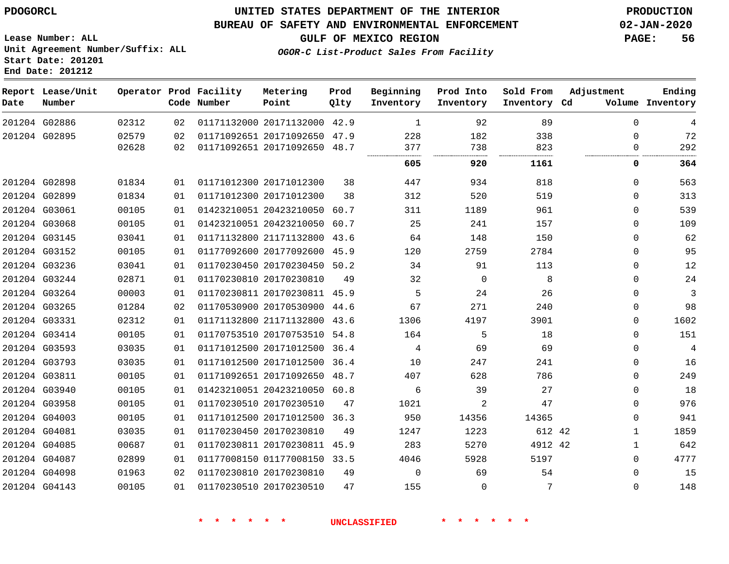**Date**

 G02898 G02899 G03061 G03068 G03145 G03152 G03236 G03244 G03264 G03265 G03331 G03414 G03593 G03793 G03811 G03940 G03958 G04003 G04081 G04085 G04087 G04098 G04143

### **UNITED STATES DEPARTMENT OF THE INTERIOR PDOGORCL PRODUCTION**

#### **BUREAU OF SAFETY AND ENVIRONMENTAL ENFORCEMENT 02-JAN-2020**

**Lease Number: ALL Unit Agreement Number/Suffix: ALL Start Date: 201201**

**OGOR-C List-Product Sales From Facility**

**GULF OF MEXICO REGION PAGE: 56**

  $\Omega$  $\Omega$  $\Omega$  $\Omega$   $\Omega$  $\Omega$  $\Omega$  $\Omega$  $\Omega$   $\Omega$   $\Omega$  $\Omega$   $\Omega$  $\Omega$  $\Omega$ 

 

| Date | Report Lease/Unit<br>Number |       |    | Operator Prod Facility<br>Code Number | Metering<br>Point            | Prod<br>Qlty | Beginning<br>Inventory | Prod Into<br>Inventory | Sold From<br>Inventory Cd | Adjustment  | Ending<br>Volume Inventory |
|------|-----------------------------|-------|----|---------------------------------------|------------------------------|--------------|------------------------|------------------------|---------------------------|-------------|----------------------------|
|      | 201204 G02886               | 02312 | 02 |                                       | 01171132000 20171132000      | 42.9         | $\overline{1}$         | 92                     | 89                        | 0           | 4                          |
|      | 201204 G02895               | 02579 | 02 |                                       | 01171092651 20171092650      | 47.9         | 228                    | 182                    | 338                       | $\Omega$    | 72                         |
|      |                             | 02628 | 02 |                                       | 01171092651 20171092650      | 48.7         | 377                    | 738                    | 823                       | 0           | 292                        |
|      |                             |       |    |                                       |                              |              | 605                    | 920                    | 1161                      | 0           | 364                        |
|      | 201204 G02898               | 01834 | 01 |                                       | 01171012300 20171012300      | 38           | 447                    | 934                    | 818                       | $\Omega$    | 563                        |
|      | 201204 G02899               | 01834 | 01 |                                       | 01171012300 20171012300      | 38           | 312                    | 520                    | 519                       | $\Omega$    | 313                        |
|      | 201204 G03061               | 00105 | 01 |                                       | 01423210051 20423210050      | 60.7         | 311                    | 1189                   | 961                       | $\Omega$    | 539                        |
|      | 201204 G03068               | 00105 | 01 |                                       | 01423210051 20423210050      | 60.7         | 25                     | 241                    | 157                       | $\mathbf 0$ | 109                        |
|      | 201204 G03145               | 03041 | 01 |                                       | 01171132800 21171132800      | 43.6         | 64                     | 148                    | 150                       | $\Omega$    | 62                         |
|      | 201204 G03152               | 00105 | 01 |                                       | 01177092600 20177092600      | 45.9         | 120                    | 2759                   | 2784                      | $\Omega$    | 95                         |
|      | 201204 G03236               | 03041 | 01 |                                       | 01170230450 20170230450      | 50.2         | 34                     | 91                     | 113                       | $\Omega$    | 12                         |
|      | 201204 G03244               | 02871 | 01 |                                       | 01170230810 20170230810      | 49           | 32                     | $\Omega$               | 8                         | 0           | 24                         |
|      | 201204 G03264               | 00003 | 01 |                                       | 01170230811 20170230811      | 45.9         | 5                      | 24                     | 26                        | $\Omega$    | 3                          |
|      | 201204 G03265               | 01284 | 02 |                                       | 01170530900 20170530900      | 44.6         | 67                     | 271                    | 240                       | $\mathbf 0$ | 98                         |
|      | 201204 G03331               | 02312 | 01 |                                       | 01171132800 21171132800      | 43.6         | 1306                   | 4197                   | 3901                      | $\Omega$    | 1602                       |
|      | 201204 G03414               | 00105 | 01 |                                       | 01170753510 20170753510      | 54.8         | 164                    | 5                      | 18                        | 0           | 151                        |
|      | 201204 G03593               | 03035 | 01 |                                       | 01171012500 20171012500      | 36.4         | 4                      | 69                     | 69                        | $\Omega$    | 4                          |
|      | 201204 G03793               | 03035 | 01 |                                       | 01171012500 20171012500 36.4 |              | 10                     | 247                    | 241                       | $\mathbf 0$ | 16                         |
|      |                             |       |    |                                       |                              |              |                        |                        |                           |             |                            |

**\* \* \* \* \* \* UNCLASSIFIED \* \* \* \* \* \***

 20171092650 48.7 20423210050 60.8

20171012500 36.3

 20170230811 45.9 01177008150 33.5

20170230510

20170230810

 20170230810 20170230510

 

42 42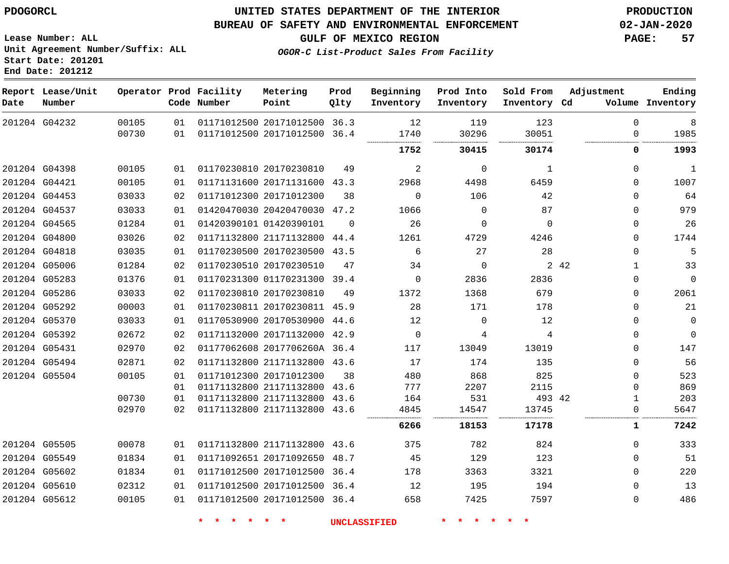**Report Lease/Unit**

### **UNITED STATES DEPARTMENT OF THE INTERIOR PDOGORCL PRODUCTION**

#### **BUREAU OF SAFETY AND ENVIRONMENTAL ENFORCEMENT 02-JAN-2020**

**Lease Number: ALL Unit Agreement Number/Suffix: ALL Start Date: 201201**

**Operator Prod Facility**

**GULF OF MEXICO REGION PAGE: 57**

**Prod**

**Metering**

**OGOR-C List-Product Sales From Facility**

**Beginning**

**Prod Into**

**Sold From**

**Adjustment**

**Ending**

**Number Point Date Code Number Qlty Inventory Inventory Inventory Inventory Cd Volume** G04232 20171012500 36.3  $\Omega$  20171012500 36.4  $\Omega$  . . . . . . . . . . . . G04398 20170230810  $\Omega$   $\Omega$  G04421 20171131600 43.3  $\Omega$  G04453 20171012300  $\Omega$   $\Omega$  G04537 20420470030 47.2  $\Omega$  G04565 01420390101  $\Omega$   $\Omega$  $\Omega$  $\Omega$  G04800 21171132800 44.4  $\Omega$  G04818 20170230500 43.5  $\Omega$  G05006 20170230510  $\Omega$ 42 G05283 01170231300 39.4  $\Omega$   $\Omega$  G05286 20170230810  $\Omega$  G05292 20170230811 45.9  $\Omega$  G05370 20170530900 44.6  $\Omega$   $\Omega$  $\Omega$  G05392 20171132000 42.9  $\Omega$   $\Omega$  $\Omega$  G05431 2017706260A 36.4  $\Omega$  G05494 21171132800 43.6  $\Omega$  G05504 20171012300  $\Omega$   $\Omega$  21171132800 43.6 21171132800 43.6 42 21171132800 43.6  $\Omega$  G05505 21171132800 43.6 G05549 20171092650 48.7 G05602 20171012500 36.4  $\Omega$  G05610 20171012500 36.4  $\Omega$  G05612 20171012500 36.4  $\Omega$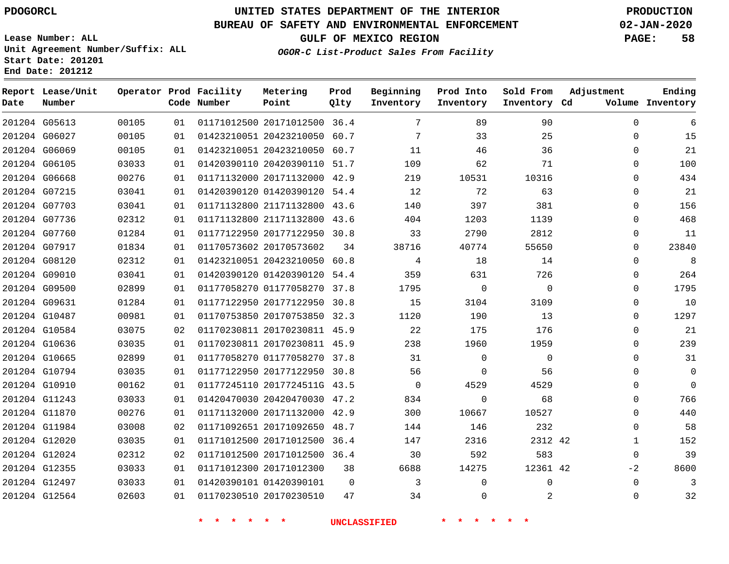**Prod Qlty**

### **BUREAU OF SAFETY AND ENVIRONMENTAL ENFORCEMENT 02-JAN-2020**

**Lease Number: ALL Unit Agreement Number/Suffix: ALL Start Date: 201201**

**Operator Prod Facility**

**Code Number**

**Metering Point**

**End Date: 201212**

**Date**

**Report Lease/Unit**

**Number**

**GULF OF MEXICO REGION PAGE: 58**

**Inventory Cd Volume**

**Adjustment**

**Ending**

**OGOR-C List-Product Sales From Facility**

**Beginning Inventory** **Prod Into Inventory** **Sold From Inventory**

| 201204 G05613 | 00105 | 01 | 01171012500 20171012500 36.4 |          | 7        | 89          | 90          | $\Omega$     | 6           |
|---------------|-------|----|------------------------------|----------|----------|-------------|-------------|--------------|-------------|
| 201204 G06027 | 00105 | 01 | 01423210051 20423210050      | 60.7     | 7        | 33          | 25          | $\Omega$     | 15          |
| 201204 G06069 | 00105 | 01 | 01423210051 20423210050 60.7 |          | 11       | 46          | 36          | $\Omega$     | 21          |
| 201204 G06105 | 03033 | 01 | 01420390110 20420390110 51.7 |          | 109      | 62          | 71          | $\Omega$     | 100         |
| 201204 G06668 | 00276 | 01 | 01171132000 20171132000 42.9 |          | 219      | 10531       | 10316       | $\Omega$     | 434         |
| 201204 G07215 | 03041 | 01 | 01420390120 01420390120 54.4 |          | 12       | 72          | 63          | $\Omega$     | 21          |
| 201204 G07703 | 03041 | 01 | 01171132800 21171132800      | 43.6     | 140      | 397         | 381         | 0            | 156         |
| 201204 G07736 | 02312 | 01 | 01171132800 21171132800      | 43.6     | 404      | 1203        | 1139        | $\Omega$     | 468         |
| 201204 G07760 | 01284 | 01 | 01177122950 20177122950 30.8 |          | 33       | 2790        | 2812        | $\Omega$     | 11          |
| 201204 G07917 | 01834 | 01 | 01170573602 20170573602      | 34       | 38716    | 40774       | 55650       | $\Omega$     | 23840       |
| 201204 G08120 | 02312 | 01 | 01423210051 20423210050      | 60.8     | 4        | 18          | 14          | $\Omega$     | 8           |
| 201204 G09010 | 03041 | 01 | 01420390120 01420390120 54.4 |          | 359      | 631         | 726         | $\Omega$     | 264         |
| 201204 G09500 | 02899 | 01 | 01177058270 01177058270      | 37.8     | 1795     | $\mathbf 0$ | $\mathbf 0$ | $\Omega$     | 1795        |
| 201204 G09631 | 01284 | 01 | 01177122950 20177122950      | 30.8     | 15       | 3104        | 3109        | $\Omega$     | 10          |
| 201204 G10487 | 00981 | 01 | 01170753850 20170753850 32.3 |          | 1120     | 190         | 13          | $\Omega$     | 1297        |
| 201204 G10584 | 03075 | 02 | 01170230811 20170230811 45.9 |          | 22       | 175         | 176         | 0            | 21          |
| 201204 G10636 | 03035 | 01 | 01170230811 20170230811 45.9 |          | 238      | 1960        | 1959        | $\Omega$     | 239         |
| 201204 G10665 | 02899 | 01 | 01177058270 01177058270 37.8 |          | 31       | $\Omega$    | $\Omega$    | $\Omega$     | 31          |
| 201204 G10794 | 03035 | 01 | 01177122950 20177122950 30.8 |          | 56       | 0           | 56          | $\Omega$     | $\mathbf 0$ |
| 201204 G10910 | 00162 | 01 | 01177245110 2017724511G 43.5 |          | $\Omega$ | 4529        | 4529        | $\Omega$     | $\Omega$    |
| 201204 G11243 | 03033 | 01 | 01420470030 20420470030 47.2 |          | 834      | 0           | 68          | $\Omega$     | 766         |
| 201204 G11870 | 00276 | 01 | 01171132000 20171132000 42.9 |          | 300      | 10667       | 10527       | $\Omega$     | 440         |
| 201204 G11984 | 03008 | 02 | 01171092651 20171092650      | 48.7     | 144      | 146         | 232         | $\Omega$     | 58          |
| 201204 G12020 | 03035 | 01 | 01171012500 20171012500 36.4 |          | 147      | 2316        | 2312 42     | $\mathbf{1}$ | 152         |
| 201204 G12024 | 02312 | 02 | 01171012500 20171012500 36.4 |          | 30       | 592         | 583         | $\mathbf 0$  | 39          |
| 201204 G12355 | 03033 | 01 | 01171012300 20171012300      | 38       | 6688     | 14275       | 12361 42    | $-2$         | 8600        |
| 201204 G12497 | 03033 | 01 | 01420390101 01420390101      | $\Omega$ | 3        | 0           | $\Omega$    | $\Omega$     | 3           |
| 201204 G12564 | 02603 | 01 | 01170230510 20170230510      | 47       | 34       | $\Omega$    | 2           | $\Omega$     | 32          |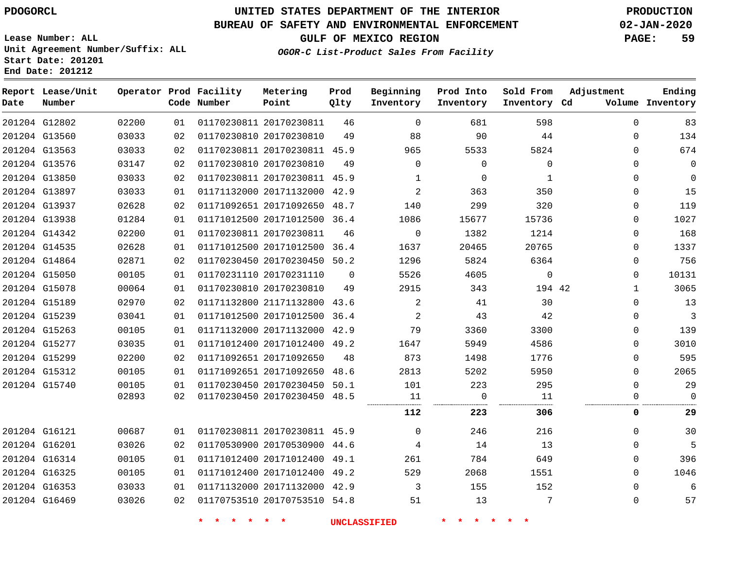# **UNITED STATES DEPARTMENT OF THE INTERIOR PDOGORCL PRODUCTION**

### **BUREAU OF SAFETY AND ENVIRONMENTAL ENFORCEMENT 02-JAN-2020**

**Lease Number: ALL Unit Agreement Number/Suffix: ALL Start Date: 201201**

### **OGOR-C List-Product Sales From Facility**

**GULF OF MEXICO REGION PAGE: 59**

| Date          | Report Lease/Unit<br>Number |       |    | Operator Prod Facility<br>Code Number | Metering<br>Point            | Prod<br>Qlty | Beginning<br>Inventory | Prod Into<br>Inventory | Sold From<br>Inventory Cd | Adjustment | Ending<br>Volume Inventory |
|---------------|-----------------------------|-------|----|---------------------------------------|------------------------------|--------------|------------------------|------------------------|---------------------------|------------|----------------------------|
| 201204 G12802 |                             | 02200 | 01 |                                       | 01170230811 20170230811      | 46           | $\mathbf 0$            | 681                    | 598                       | $\Omega$   | 83                         |
| 201204 G13560 |                             | 03033 | 02 |                                       | 01170230810 20170230810      | 49           | 88                     | 90                     | 44                        | $\Omega$   | 134                        |
| 201204 G13563 |                             | 03033 | 02 |                                       | 01170230811 20170230811 45.9 |              | 965                    | 5533                   | 5824                      | $\Omega$   | 674                        |
| 201204 G13576 |                             | 03147 | 02 |                                       | 01170230810 20170230810      | 49           | 0                      | $\Omega$               | $\Omega$                  | $\Omega$   | $\mathbf 0$                |
| 201204 G13850 |                             | 03033 | 02 |                                       | 01170230811 20170230811 45.9 |              | 1                      | $\Omega$               | $\mathbf{1}$              | $\Omega$   | $\mathbf 0$                |
| 201204 G13897 |                             | 03033 | 01 |                                       | 01171132000 20171132000      | 42.9         | 2                      | 363                    | 350                       | 0          | 15                         |
| 201204 G13937 |                             | 02628 | 02 |                                       | 01171092651 20171092650      | 48.7         | 140                    | 299                    | 320                       | 0          | 119                        |
| 201204 G13938 |                             | 01284 | 01 |                                       | 01171012500 20171012500      | 36.4         | 1086                   | 15677                  | 15736                     | $\Omega$   | 1027                       |
| 201204 G14342 |                             | 02200 | 01 |                                       | 01170230811 20170230811      | 46           | 0                      | 1382                   | 1214                      | $\Omega$   | 168                        |
| 201204 G14535 |                             | 02628 | 01 |                                       | 01171012500 20171012500      | 36.4         | 1637                   | 20465                  | 20765                     | $\Omega$   | 1337                       |
|               | 201204 G14864               | 02871 | 02 |                                       | 01170230450 20170230450 50.2 |              | 1296                   | 5824                   | 6364                      | $\Omega$   | 756                        |
| 201204 G15050 |                             | 00105 | 01 |                                       | 01170231110 20170231110      | 0            | 5526                   | 4605                   | $\mathbf 0$               | $\Omega$   | 10131                      |
| 201204 G15078 |                             | 00064 | 01 |                                       | 01170230810 20170230810      | 49           | 2915                   | 343                    | 194 42                    | 1          | 3065                       |
| 201204 G15189 |                             | 02970 | 02 |                                       | 01171132800 21171132800      | 43.6         | 2                      | 41                     | 30                        | $\Omega$   | 13                         |
| 201204 G15239 |                             | 03041 | 01 |                                       | 01171012500 20171012500      | 36.4         | 2                      | 43                     | 42                        | 0          | 3                          |
| 201204 G15263 |                             | 00105 | 01 |                                       | 01171132000 20171132000      | 42.9         | 79                     | 3360                   | 3300                      | $\Omega$   | 139                        |
| 201204 G15277 |                             | 03035 | 01 |                                       | 01171012400 20171012400      | 49.2         | 1647                   | 5949                   | 4586                      | $\Omega$   | 3010                       |
| 201204 G15299 |                             | 02200 | 02 |                                       | 01171092651 20171092650      | 48           | 873                    | 1498                   | 1776                      | $\Omega$   | 595                        |
| 201204 G15312 |                             | 00105 | 01 |                                       | 01171092651 20171092650      | 48.6         | 2813                   | 5202                   | 5950                      | $\Omega$   | 2065                       |
| 201204 G15740 |                             | 00105 | 01 |                                       | 01170230450 20170230450      | 50.1         | 101                    | 223                    | 295                       | 0          | 29                         |
|               |                             | 02893 | 02 |                                       | 01170230450 20170230450      | 48.5         | 11                     | 0                      | 11                        | 0          | $\mathbf 0$                |
|               |                             |       |    |                                       |                              |              | 112                    | 223                    | 306                       | 0          | 29                         |
| 201204 G16121 |                             | 00687 | 01 |                                       | 01170230811 20170230811 45.9 |              | $\Omega$               | 246                    | 216                       | $\Omega$   | 30                         |
| 201204 G16201 |                             | 03026 | 02 |                                       | 01170530900 20170530900      | 44.6         | 4                      | 14                     | 13                        | $\Omega$   | 5                          |
| 201204 G16314 |                             | 00105 | 01 |                                       | 01171012400 20171012400      | 49.1         | 261                    | 784                    | 649                       | 0          | 396                        |
| 201204 G16325 |                             | 00105 | 01 |                                       | 01171012400 20171012400 49.2 |              | 529                    | 2068                   | 1551                      | $\Omega$   | 1046                       |
| 201204 G16353 |                             | 03033 | 01 |                                       | 01171132000 20171132000      | 42.9         | 3                      | 155                    | 152                       | $\Omega$   | 6                          |
| 201204 G16469 |                             | 03026 | 02 |                                       | 01170753510 20170753510 54.8 |              | 51                     | 13                     | 7                         | 0          | 57                         |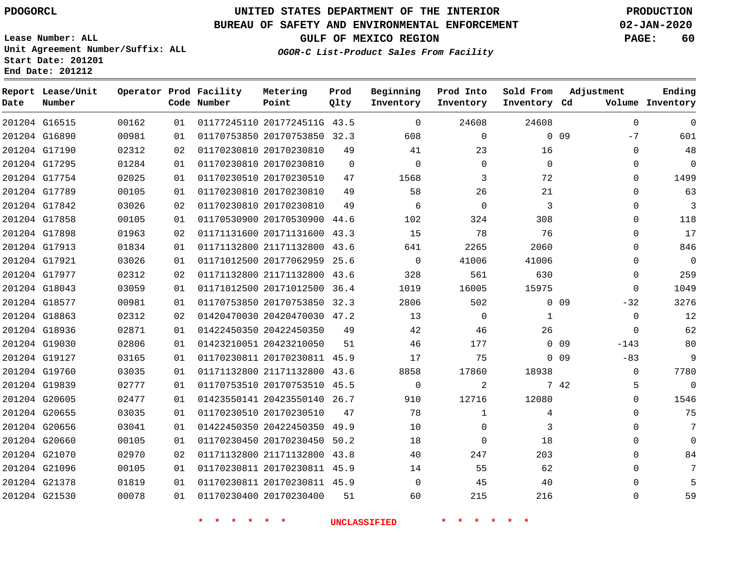## **UNITED STATES DEPARTMENT OF THE INTERIOR PDOGORCL PRODUCTION**

### **BUREAU OF SAFETY AND ENVIRONMENTAL ENFORCEMENT 02-JAN-2020**

**Lease Number: ALL Unit Agreement Number/Suffix: ALL Start Date: 201201**

**GULF OF MEXICO REGION PAGE: 60**

**OGOR-C List-Product Sales From Facility**

| Date | Report Lease/Unit<br>Number |       |    | Operator Prod Facility<br>Code Number | Metering<br>Point            | Prod<br>Qlty | Beginning<br>Inventory | Prod Into<br>Inventory | Sold From<br>Inventory Cd | Adjustment      | Ending<br>Volume Inventory |
|------|-----------------------------|-------|----|---------------------------------------|------------------------------|--------------|------------------------|------------------------|---------------------------|-----------------|----------------------------|
|      | 201204 G16515               | 00162 | 01 |                                       | 01177245110 2017724511G 43.5 |              | $\overline{0}$         | 24608                  | 24608                     |                 | $\mathsf 0$<br>$\mathbf 0$ |
|      | 201204 G16890               | 00981 | 01 |                                       | 01170753850 20170753850 32.3 |              | 608                    | $\mathbf 0$            |                           | 0 <sub>09</sub> | $-7$<br>601                |
|      | 201204 G17190               | 02312 | 02 |                                       | 01170230810 20170230810      | 49           | 41                     | 23                     | 16                        |                 | 48<br>$\mathbf{0}$         |
|      | 201204 G17295               | 01284 | 01 |                                       | 01170230810 20170230810      | $\mathbf 0$  | $\Omega$               | $\mathbf 0$            | $\mathbf 0$               |                 | $\mathbf 0$<br>0           |
|      | 201204 G17754               | 02025 | 01 |                                       | 01170230510 20170230510      | 47           | 1568                   | 3                      | 72                        |                 | 1499<br>$\mathbf 0$        |
|      | 201204 G17789               | 00105 | 01 |                                       | 01170230810 20170230810      | 49           | 58                     | 26                     | 21                        |                 | 63<br>$\Omega$             |
|      | 201204 G17842               | 03026 | 02 |                                       | 01170230810 20170230810      | 49           | 6                      | $\Omega$               | 3                         |                 | $\Omega$<br>3              |
|      | 201204 G17858               | 00105 | 01 |                                       | 01170530900 20170530900 44.6 |              | 102                    | 324                    | 308                       |                 | $\Omega$<br>118            |
|      | 201204 G17898               | 01963 | 02 |                                       | 01171131600 20171131600 43.3 |              | 15                     | 78                     | 76                        |                 | 17<br>$\Omega$             |
|      | 201204 G17913               | 01834 | 01 |                                       | 01171132800 21171132800 43.6 |              | 641                    | 2265                   | 2060                      |                 | 846<br>$\Omega$            |
|      | 201204 G17921               | 03026 | 01 |                                       | 01171012500 20177062959      | 25.6         | $\overline{0}$         | 41006                  | 41006                     |                 | $\mathbf 0$<br>$\Omega$    |
|      | 201204 G17977               | 02312 | 02 |                                       | 01171132800 21171132800 43.6 |              | 328                    | 561                    | 630                       |                 | 259<br>$\Omega$            |
|      | 201204 G18043               | 03059 | 01 |                                       | 01171012500 20171012500      | 36.4         | 1019                   | 16005                  | 15975                     |                 | $\Omega$<br>1049           |
|      | 201204 G18577               | 00981 | 01 |                                       | 01170753850 20170753850 32.3 |              | 2806                   | 502                    |                           | $0\quad09$      | 3276<br>$-32$              |
|      | 201204 G18863               | 02312 | 02 |                                       | 01420470030 20420470030 47.2 |              | 13                     | $\mathbf 0$            | $\mathbf{1}$              |                 | $\mathbf 0$<br>12          |
|      | 201204 G18936               | 02871 | 01 |                                       | 01422450350 20422450350      | 49           | 42                     | 46                     | 26                        |                 | 62<br>$\Omega$             |
|      | 201204 G19030               | 02806 | 01 |                                       | 01423210051 20423210050      | 51           | 46                     | 177                    |                           | $-143$<br>0 09  | 80                         |
|      | 201204 G19127               | 03165 | 01 |                                       | 01170230811 20170230811 45.9 |              | 17                     | 75                     |                           | $0\quad09$      | 9<br>$-83$                 |
|      | 201204 G19760               | 03035 | 01 |                                       | 01171132800 21171132800 43.6 |              | 8858                   | 17860                  | 18938                     |                 | 7780<br>$\Omega$           |
|      | 201204 G19839               | 02777 | 01 |                                       | 01170753510 20170753510 45.5 |              | 0                      | 2                      |                           | 7 42            | 5<br>0                     |
|      | 201204 G20605               | 02477 | 01 |                                       | 01423550141 20423550140 26.7 |              | 910                    | 12716                  | 12080                     |                 | 1546<br>$\Omega$           |
|      | 201204 G20655               | 03035 | 01 |                                       | 01170230510 20170230510      | 47           | 78                     | 1                      | 4                         |                 | 75<br>$\Omega$             |
|      | 201204 G20656               | 03041 | 01 |                                       | 01422450350 20422450350 49.9 |              | 10                     | 0                      | 3                         |                 | 7<br>$\Omega$              |
|      | 201204 G20660               | 00105 | 01 |                                       | 01170230450 20170230450      | 50.2         | 18                     | $\mathbf 0$            | 18                        |                 | $\Omega$<br>$\Omega$       |
|      | 201204 G21070               | 02970 | 02 |                                       | 01171132800 21171132800 43.8 |              | 40                     | 247                    | 203                       |                 | $\Omega$<br>84             |
|      | 201204 G21096               | 00105 | 01 |                                       | 01170230811 20170230811 45.9 |              | 14                     | 55                     | 62                        |                 | $\mathbf 0$                |
|      | 201204 G21378               | 01819 | 01 |                                       | 01170230811 20170230811 45.9 |              | $\Omega$               | 45                     | 40                        |                 | 5<br>$\Omega$              |
|      | 201204 G21530               | 00078 | 01 |                                       | 01170230400 20170230400      | 51           | 60                     | 215                    | 216                       |                 | $\Omega$<br>59             |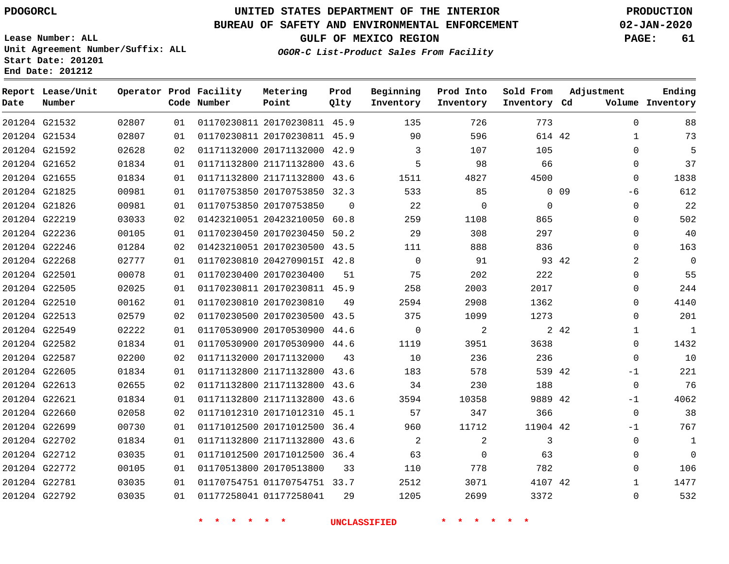**End Date: 201212**

**Report Lease/Unit**

# **UNITED STATES DEPARTMENT OF THE INTERIOR PDOGORCL PRODUCTION**

### **BUREAU OF SAFETY AND ENVIRONMENTAL ENFORCEMENT 02-JAN-2020**

**Lease Number: ALL Unit Agreement Number/Suffix: ALL Start Date: 201201**

**Operator Prod**

**OGOR-C List-Product Sales From Facility**

**GULF OF MEXICO REGION PAGE: 61**

**Adjustment**

**Ending**

| Facility | Metering                     | Prod | Beginning | Prod Into | Sold From |
|----------|------------------------------|------|-----------|-----------|-----------|
| Number   | Point                        | Olty | Inventory | Inventory | Inventory |
|          | 01170230811 20170230811 45.9 |      | 135       | 726       | 773       |

| Date          | Number        |       |    | Code Number             | Point                        | Qlty     | Inventory   | Inventory      | Inventory Cd |            |                | Volume Inventory |
|---------------|---------------|-------|----|-------------------------|------------------------------|----------|-------------|----------------|--------------|------------|----------------|------------------|
|               | 201204 G21532 | 02807 | 01 |                         | 01170230811 20170230811 45.9 |          | 135         | 726            | 773          |            | $\Omega$       | 88               |
|               | 201204 G21534 | 02807 | 01 |                         | 01170230811 20170230811 45.9 |          | 90          | 596            | 614 42       |            | $\mathbf{1}$   | 73               |
|               | 201204 G21592 | 02628 | 02 |                         | 01171132000 20171132000 42.9 |          | 3           | 107            | 105          |            | $\Omega$       | 5                |
|               | 201204 G21652 | 01834 | 01 |                         | 01171132800 21171132800 43.6 |          | 5           | 98             | 66           |            | 0              | 37               |
|               | 201204 G21655 | 01834 | 01 |                         | 01171132800 21171132800 43.6 |          | 1511        | 4827           | 4500         |            | $\mathbf 0$    | 1838             |
|               | 201204 G21825 | 00981 | 01 |                         | 01170753850 20170753850 32.3 |          | 533         | 85             |              | $0\quad09$ | -6             | 612              |
|               | 201204 G21826 | 00981 | 01 |                         | 01170753850 20170753850      | $\Omega$ | 22          | $\mathbf 0$    | $\Omega$     |            | $\mathbf 0$    | 22               |
|               | 201204 G22219 | 03033 | 02 |                         | 01423210051 20423210050 60.8 |          | 259         | 1108           | 865          |            | $\Omega$       | 502              |
|               | 201204 G22236 | 00105 | 01 |                         | 01170230450 20170230450 50.2 |          | 29          | 308            | 297          |            | 0              | 40               |
|               | 201204 G22246 | 01284 | 02 |                         | 01423210051 20170230500 43.5 |          | 111         | 888            | 836          |            | 0              | 163              |
|               | 201204 G22268 | 02777 | 01 |                         | 01170230810 2042709015I 42.8 |          | $\mathbf 0$ | 91             |              | 93 42      | $\overline{a}$ | $\mathbf 0$      |
| 201204 G22501 |               | 00078 | 01 |                         | 01170230400 20170230400      | 51       | 75          | 202            | 222          |            | 0              | 55               |
|               | 201204 G22505 | 02025 | 01 |                         | 01170230811 20170230811 45.9 |          | 258         | 2003           | 2017         |            | 0              | 244              |
|               | 201204 G22510 | 00162 | 01 |                         | 01170230810 20170230810      | 49       | 2594        | 2908           | 1362         |            | $\Omega$       | 4140             |
|               | 201204 G22513 | 02579 | 02 |                         | 01170230500 20170230500 43.5 |          | 375         | 1099           | 1273         |            | $\Omega$       | 201              |
|               | 201204 G22549 | 02222 | 01 |                         | 01170530900 20170530900 44.6 |          | $\mathbf 0$ | 2              |              | 2 42       | $\mathbf{1}$   | $\mathbf{1}$     |
|               | 201204 G22582 | 01834 | 01 |                         | 01170530900 20170530900 44.6 |          | 1119        | 3951           | 3638         |            | $\mathbf{0}$   | 1432             |
|               | 201204 G22587 | 02200 | 02 |                         | 01171132000 20171132000      | 43       | 10          | 236            | 236          |            | $\mathbf 0$    | 10               |
|               | 201204 G22605 | 01834 | 01 |                         | 01171132800 21171132800 43.6 |          | 183         | 578            | 539 42       |            | $-1$           | 221              |
|               | 201204 G22613 | 02655 | 02 |                         | 01171132800 21171132800 43.6 |          | 34          | 230            | 188          |            | $\mathbf 0$    | 76               |
| 201204 G22621 |               | 01834 | 01 |                         | 01171132800 21171132800 43.6 |          | 3594        | 10358          | 9889 42      |            | $-1$           | 4062             |
|               | 201204 G22660 | 02058 | 02 |                         | 01171012310 20171012310      | 45.1     | 57          | 347            | 366          |            | $\mathbf 0$    | 38               |
|               | 201204 G22699 | 00730 | 01 |                         | 01171012500 20171012500 36.4 |          | 960         | 11712          | 11904 42     |            | $-1$           | 767              |
|               | 201204 G22702 | 01834 | 01 |                         | 01171132800 21171132800 43.6 |          | 2           | $\overline{a}$ | 3            |            | $\mathbf 0$    | 1                |
|               | 201204 G22712 | 03035 | 01 |                         | 01171012500 20171012500 36.4 |          | 63          | $\Omega$       | 63           |            | $\mathbf{0}$   | $\Omega$         |
|               | 201204 G22772 | 00105 | 01 | 01170513800 20170513800 |                              | 33       | 110         | 778            | 782          |            | $\Omega$       | 106              |
| 201204 G22781 |               | 03035 | 01 |                         | 01170754751 01170754751 33.7 |          | 2512        | 3071           | 4107 42      |            | $\mathbf{1}$   | 1477             |
|               | 201204 G22792 | 03035 | 01 | 01177258041 01177258041 |                              | 29       | 1205        | 2699           | 3372         |            | 0              | 532              |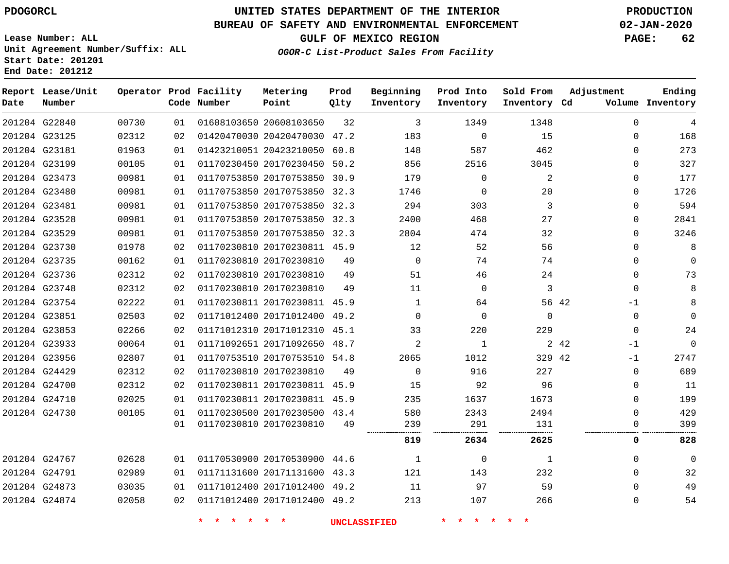# **UNITED STATES DEPARTMENT OF THE INTERIOR PDOGORCL PRODUCTION**

### **BUREAU OF SAFETY AND ENVIRONMENTAL ENFORCEMENT 02-JAN-2020**

**Lease Number: ALL Unit Agreement Number/Suffix: ALL Start Date: 201201**

**GULF OF MEXICO REGION PAGE: 62**

**OGOR-C List-Product Sales From Facility**

| Date | Report Lease/Unit<br>Number |       |    | Operator Prod Facility<br>Code Number | Metering<br>Point            | Prod<br>Qlty | Beginning<br>Inventory | Prod Into<br>Inventory | Sold From<br>Inventory Cd | Adjustment    | Ending<br>Volume Inventory |
|------|-----------------------------|-------|----|---------------------------------------|------------------------------|--------------|------------------------|------------------------|---------------------------|---------------|----------------------------|
|      | 201204 G22840               | 00730 | 01 |                                       | 01608103650 20608103650      | 32           | 3                      | 1349                   | 1348                      | $\mathbf 0$   | 4                          |
|      | 201204 G23125               | 02312 | 02 |                                       | 01420470030 20420470030 47.2 |              | 183                    | $\mathbf 0$            | 15                        | 0             | 168                        |
|      | 201204 G23181               | 01963 | 01 |                                       | 01423210051 20423210050 60.8 |              | 148                    | 587                    | 462                       | $\Omega$      | 273                        |
|      | 201204 G23199               | 00105 | 01 |                                       | 01170230450 20170230450      | 50.2         | 856                    | 2516                   | 3045                      | $\mathbf 0$   | 327                        |
|      | 201204 G23473               | 00981 | 01 |                                       | 01170753850 20170753850 30.9 |              | 179                    | $\Omega$               | 2                         | $\mathbf{0}$  | 177                        |
|      | 201204 G23480               | 00981 | 01 |                                       | 01170753850 20170753850 32.3 |              | 1746                   | 0                      | 20                        | $\Omega$      | 1726                       |
|      | 201204 G23481               | 00981 | 01 |                                       | 01170753850 20170753850 32.3 |              | 294                    | 303                    | 3                         | $\mathbf 0$   | 594                        |
|      | 201204 G23528               | 00981 | 01 |                                       | 01170753850 20170753850 32.3 |              | 2400                   | 468                    | 27                        | $\mathbf 0$   | 2841                       |
|      | 201204 G23529               | 00981 | 01 |                                       | 01170753850 20170753850 32.3 |              | 2804                   | 474                    | 32                        | $\mathbf 0$   | 3246                       |
|      | 201204 G23730               | 01978 | 02 |                                       | 01170230810 20170230811 45.9 |              | 12                     | 52                     | 56                        | $\Omega$      | 8                          |
|      | 201204 G23735               | 00162 | 01 |                                       | 01170230810 20170230810      | 49           | $\Omega$               | 74                     | 74                        | $\mathbf 0$   | $\Omega$                   |
|      | 201204 G23736               | 02312 | 02 |                                       | 01170230810 20170230810      | 49           | 51                     | 46                     | 24                        | $\mathbf 0$   | 73                         |
|      | 201204 G23748               | 02312 | 02 |                                       | 01170230810 20170230810      | 49           | 11                     | 0                      | 3                         | 0             | 8                          |
|      | 201204 G23754               | 02222 | 01 |                                       | 01170230811 20170230811 45.9 |              | $\mathbf{1}$           | 64                     | 56 42                     | $-1$          | 8                          |
|      | 201204 G23851               | 02503 | 02 |                                       | 01171012400 20171012400 49.2 |              | $\Omega$               | $\Omega$               | $\Omega$                  | $\mathbf 0$   | $\Omega$                   |
|      | 201204 G23853               | 02266 | 02 |                                       | 01171012310 20171012310 45.1 |              | 33                     | 220                    | 229                       | $\mathbf{0}$  | 24                         |
|      | 201204 G23933               | 00064 | 01 |                                       | 01171092651 20171092650      | 48.7         | 2                      | 1                      |                           | 2 4 2<br>$-1$ | $\Omega$                   |
|      | 201204 G23956               | 02807 | 01 |                                       | 01170753510 20170753510 54.8 |              | 2065                   | 1012                   | 329 42                    | $-1$          | 2747                       |
|      | 201204 G24429               | 02312 | 02 |                                       | 01170230810 20170230810      | 49           | $\mathbf 0$            | 916                    | 227                       | 0             | 689                        |
|      | 201204 G24700               | 02312 | 02 |                                       | 01170230811 20170230811 45.9 |              | 15                     | 92                     | 96                        | $\mathbf 0$   | 11                         |
|      | 201204 G24710               | 02025 | 01 |                                       | 01170230811 20170230811 45.9 |              | 235                    | 1637                   | 1673                      | $\mathbf 0$   | 199                        |
|      | 201204 G24730               | 00105 | 01 |                                       | 01170230500 20170230500 43.4 |              | 580                    | 2343                   | 2494                      | $\mathbf 0$   | 429                        |
|      |                             |       | 01 |                                       | 01170230810 20170230810      | 49           | 239                    | 291                    | 131                       | 0             | 399                        |
|      |                             |       |    |                                       |                              |              | 819                    | 2634                   | 2625                      | 0             | 828                        |
|      | 201204 G24767               | 02628 | 01 |                                       | 01170530900 20170530900 44.6 |              | $\mathbf{1}$           | 0                      | 1                         | $\mathbf 0$   | $\Omega$                   |
|      | 201204 G24791               | 02989 | 01 |                                       | 01171131600 20171131600 43.3 |              | 121                    | 143                    | 232                       | $\Omega$      | 32                         |
|      | 201204 G24873               | 03035 | 01 |                                       | 01171012400 20171012400 49.2 |              | 11                     | 97                     | 59                        | $\Omega$      | 49                         |
|      | 201204 G24874               | 02058 | 02 |                                       | 01171012400 20171012400 49.2 |              | 213                    | 107                    | 266                       | $\mathbf 0$   | 54                         |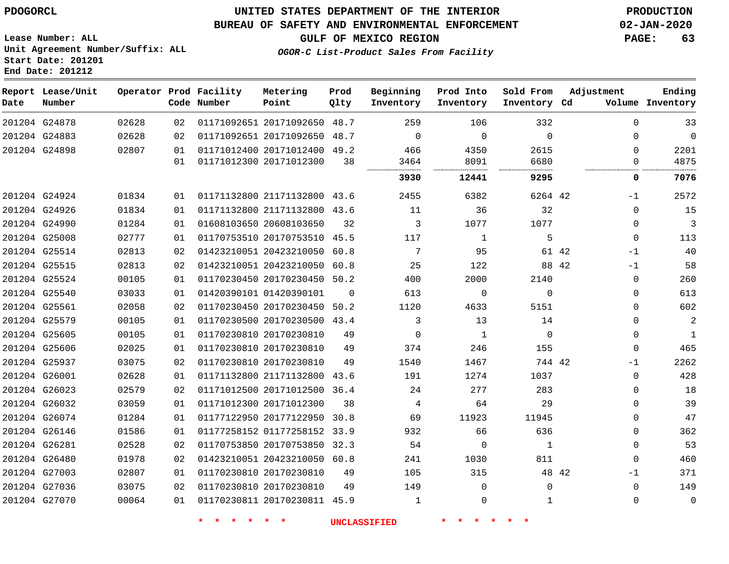### **UNITED STATES DEPARTMENT OF THE INTERIOR PDOGORCL PRODUCTION**

### **BUREAU OF SAFETY AND ENVIRONMENTAL ENFORCEMENT 02-JAN-2020**

**Lease Number: ALL Unit Agreement Number/Suffix: ALL Start Date: 201201**

**GULF OF MEXICO REGION PAGE: 63**

**OGOR-C List-Product Sales From Facility**

| Date          | Report Lease/Unit<br>Number |       |    | Operator Prod Facility<br>Code Number | Metering<br>Point            | Prod<br>Qlty | Beginning<br>Inventory | Prod Into<br>Inventory | Sold From<br>Inventory Cd | Adjustment    | Ending<br>Volume Inventory |
|---------------|-----------------------------|-------|----|---------------------------------------|------------------------------|--------------|------------------------|------------------------|---------------------------|---------------|----------------------------|
|               | 201204 G24878               | 02628 | 02 |                                       | 01171092651 20171092650 48.7 |              | 259                    | 106                    | 332                       | $\Omega$      | 33                         |
| 201204 G24883 |                             | 02628 | 02 |                                       | 01171092651 20171092650      | 48.7         | $\Omega$               | 0                      | $\mathbf 0$               | 0             | $\mathbf 0$                |
| 201204 G24898 |                             | 02807 | 01 |                                       | 01171012400 20171012400 49.2 |              | 466                    | 4350                   | 2615                      | $\Omega$      | 2201                       |
|               |                             |       | 01 |                                       | 01171012300 20171012300      | 38           | 3464                   | 8091                   | 6680                      | 0             | 4875                       |
|               |                             |       |    |                                       |                              |              | 3930                   | 12441                  | 9295                      | 0             | 7076                       |
| 201204 G24924 |                             | 01834 | 01 |                                       | 01171132800 21171132800 43.6 |              | 2455                   | 6382                   | 6264 42                   | $-1$          | 2572                       |
|               | 201204 G24926               | 01834 | 01 |                                       | 01171132800 21171132800      | 43.6         | 11                     | 36                     | 32                        | $\Omega$      | 15                         |
|               | 201204 G24990               | 01284 | 01 |                                       | 01608103650 20608103650      | 32           | 3                      | 1077                   | 1077                      | 0             | 3                          |
| 201204 G25008 |                             | 02777 | 01 |                                       | 01170753510 20170753510 45.5 |              | 117                    | 1                      | 5                         | $\Omega$      | 113                        |
|               | 201204 G25514               | 02813 | 02 |                                       | 01423210051 20423210050      | 60.8         | 7                      | 95                     | 61 42                     | $-1$          | 40                         |
|               | 201204 G25515               | 02813 | 02 |                                       | 01423210051 20423210050      | 60.8         | 25                     | 122                    | 88 42                     | $-1$          | 58                         |
|               | 201204 G25524               | 00105 | 01 |                                       | 01170230450 20170230450 50.2 |              | 400                    | 2000                   | 2140                      | $\mathbf 0$   | 260                        |
|               | 201204 G25540               | 03033 | 01 |                                       | 01420390101 01420390101      | 0            | 613                    | 0                      | $\Omega$                  | 0             | 613                        |
|               | 201204 G25561               | 02058 | 02 |                                       | 01170230450 20170230450 50.2 |              | 1120                   | 4633                   | 5151                      | $\mathbf 0$   | 602                        |
|               | 201204 G25579               | 00105 | 01 |                                       | 01170230500 20170230500 43.4 |              | 3                      | 13                     | 14                        | $\Omega$      | $\overline{a}$             |
|               | 201204 G25605               | 00105 | 01 |                                       | 01170230810 20170230810      | 49           | 0                      | 1                      | $\mathbf 0$               | 0             | 1                          |
|               | 201204 G25606               | 02025 | 01 |                                       | 01170230810 20170230810      | 49           | 374                    | 246                    | 155                       | $\Omega$      | 465                        |
| 201204 G25937 |                             | 03075 | 02 |                                       | 01170230810 20170230810      | 49           | 1540                   | 1467                   | 744 42                    | $-1$          | 2262                       |
|               | 201204 G26001               | 02628 | 01 |                                       | 01171132800 21171132800 43.6 |              | 191                    | 1274                   | 1037                      | $\mathbf 0$   | 428                        |
|               | 201204 G26023               | 02579 | 02 |                                       | 01171012500 20171012500 36.4 |              | 24                     | 277                    | 283                       | $\Omega$      | 18                         |
|               | 201204 G26032               | 03059 | 01 |                                       | 01171012300 20171012300      | 38           | 4                      | 64                     | 29                        | $\Omega$      | 39                         |
| 201204 G26074 |                             | 01284 | 01 |                                       | 01177122950 20177122950      | 30.8         | 69                     | 11923                  | 11945                     | 0             | 47                         |
|               | 201204 G26146               | 01586 | 01 |                                       | 01177258152 01177258152 33.9 |              | 932                    | 66                     | 636                       | $\mathbf 0$   | 362                        |
|               | 201204 G26281               | 02528 | 02 |                                       | 01170753850 20170753850 32.3 |              | 54                     | 0                      | 1                         | $\mathbf 0$   | 53                         |
|               | 201204 G26480               | 01978 | 02 |                                       | 01423210051 20423210050      | 60.8         | 241                    | 1030                   | 811                       | $\Omega$      | 460                        |
|               | 201204 G27003               | 02807 | 01 |                                       | 01170230810 20170230810      | 49           | 105                    | 315                    |                           | 48 42<br>$-1$ | 371                        |
|               | 201204 G27036               | 03075 | 02 |                                       | 01170230810 20170230810      | 49           | 149                    | $\mathbf 0$            | 0                         | $\mathbf 0$   | 149                        |
|               | 201204 G27070               | 00064 | 01 |                                       | 01170230811 20170230811 45.9 |              | 1                      | $\Omega$               | 1                         | $\Omega$      | $\mathbf 0$                |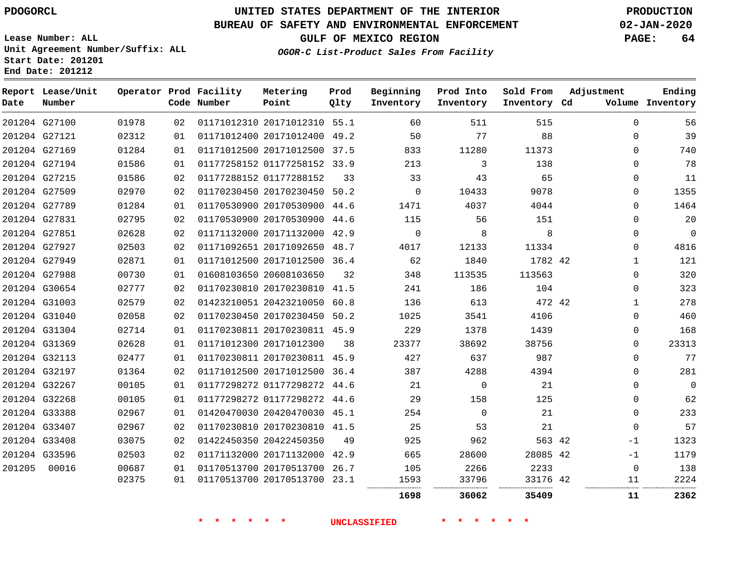# **UNITED STATES DEPARTMENT OF THE INTERIOR PDOGORCL PRODUCTION**

### **BUREAU OF SAFETY AND ENVIRONMENTAL ENFORCEMENT 02-JAN-2020**

**Lease Number: ALL Unit Agreement Number/Suffix: ALL Start Date: 201201**

**GULF OF MEXICO REGION PAGE: 64**

**OGOR-C List-Product Sales From Facility**

| Date   | Report Lease/Unit<br>Number |       |    | Operator Prod Facility<br>Code Number | Metering<br>Point            | Prod<br>Qlty | Beginning<br>Inventory | Prod Into<br>Inventory | Sold From<br>Inventory Cd | Adjustment |              | Ending<br>Volume Inventory |
|--------|-----------------------------|-------|----|---------------------------------------|------------------------------|--------------|------------------------|------------------------|---------------------------|------------|--------------|----------------------------|
|        | 201204 G27100               | 01978 | 02 |                                       | 01171012310 20171012310 55.1 |              | 60                     | 511                    | 515                       |            | $\mathbf 0$  | 56                         |
|        | 201204 G27121               | 02312 | 01 |                                       | 01171012400 20171012400 49.2 |              | 50                     | 77                     | 88                        |            | $\mathbf 0$  | 39                         |
|        | 201204 G27169               | 01284 | 01 |                                       | 01171012500 20171012500 37.5 |              | 833                    | 11280                  | 11373                     |            | $\Omega$     | 740                        |
|        | 201204 G27194               | 01586 | 01 |                                       | 01177258152 01177258152 33.9 |              | 213                    | 3                      | 138                       |            | $\Omega$     | 78                         |
|        | 201204 G27215               | 01586 | 02 |                                       | 01177288152 01177288152      | 33           | 33                     | 43                     | 65                        |            | $\mathbf 0$  | 11                         |
|        | 201204 G27509               | 02970 | 02 |                                       | 01170230450 20170230450 50.2 |              | $\Omega$               | 10433                  | 9078                      |            | $\Omega$     | 1355                       |
|        | 201204 G27789               | 01284 | 01 |                                       | 01170530900 20170530900 44.6 |              | 1471                   | 4037                   | 4044                      |            | $\mathbf 0$  | 1464                       |
|        | 201204 G27831               | 02795 | 02 |                                       | 01170530900 20170530900 44.6 |              | 115                    | 56                     | 151                       |            | $\Omega$     | 20                         |
|        | 201204 G27851               | 02628 | 02 |                                       | 01171132000 20171132000 42.9 |              | $\mathbf 0$            | 8                      | 8                         |            | 0            | $\mathbf 0$                |
|        | 201204 G27927               | 02503 | 02 |                                       | 01171092651 20171092650 48.7 |              | 4017                   | 12133                  | 11334                     |            | $\mathbf 0$  | 4816                       |
|        | 201204 G27949               | 02871 | 01 |                                       | 01171012500 20171012500 36.4 |              | 62                     | 1840                   | 1782 42                   |            | $\mathbf{1}$ | 121                        |
|        | 201204 G27988               | 00730 | 01 |                                       | 01608103650 20608103650      | 32           | 348                    | 113535                 | 113563                    |            | $\mathbf 0$  | 320                        |
|        | 201204 G30654               | 02777 | 02 |                                       | 01170230810 20170230810 41.5 |              | 241                    | 186                    | 104                       |            | $\mathbf 0$  | 323                        |
|        | 201204 G31003               | 02579 | 02 |                                       | 01423210051 20423210050 60.8 |              | 136                    | 613                    | 472 42                    |            | $\mathbf{1}$ | 278                        |
|        | 201204 G31040               | 02058 | 02 |                                       | 01170230450 20170230450 50.2 |              | 1025                   | 3541                   | 4106                      |            | $\mathbf 0$  | 460                        |
|        | 201204 G31304               | 02714 | 01 |                                       | 01170230811 20170230811 45.9 |              | 229                    | 1378                   | 1439                      |            | $\Omega$     | 168                        |
|        | 201204 G31369               | 02628 | 01 |                                       | 01171012300 20171012300      | 38           | 23377                  | 38692                  | 38756                     |            | $\Omega$     | 23313                      |
|        | 201204 G32113               | 02477 | 01 |                                       | 01170230811 20170230811 45.9 |              | 427                    | 637                    | 987                       |            | $\mathbf 0$  | 77                         |
|        | 201204 G32197               | 01364 | 02 |                                       | 01171012500 20171012500 36.4 |              | 387                    | 4288                   | 4394                      |            | $\Omega$     | 281                        |
|        | 201204 G32267               | 00105 | 01 |                                       | 01177298272 01177298272 44.6 |              | 21                     | $\mathbf 0$            | 21                        |            | $\mathbf 0$  | $\mathbf{0}$               |
|        | 201204 G32268               | 00105 | 01 |                                       | 01177298272 01177298272 44.6 |              | 29                     | 158                    | 125                       |            | $\mathbf 0$  | 62                         |
|        | 201204 G33388               | 02967 | 01 |                                       | 01420470030 20420470030 45.1 |              | 254                    | $\Omega$               | 21                        |            | $\Omega$     | 233                        |
|        | 201204 G33407               | 02967 | 02 |                                       | 01170230810 20170230810 41.5 |              | 25                     | 53                     | 21                        |            | $\mathbf 0$  | 57                         |
|        | 201204 G33408               | 03075 | 02 |                                       | 01422450350 20422450350      | 49           | 925                    | 962                    | 563 42                    |            | $-1$         | 1323                       |
|        | 201204 G33596               | 02503 | 02 |                                       | 01171132000 20171132000 42.9 |              | 665                    | 28600                  | 28085 42                  |            | -1           | 1179                       |
| 201205 | 00016                       | 00687 | 01 |                                       | 01170513700 20170513700 26.7 |              | 105                    | 2266                   | 2233                      |            | 0            | 138                        |
|        |                             | 02375 | 01 |                                       | 01170513700 20170513700 23.1 |              | 1593                   | 33796                  | 33176 42                  |            | 11           | 2224                       |
|        |                             |       |    |                                       |                              |              | 1698                   | 36062                  | 35409                     |            | 11           | 2362                       |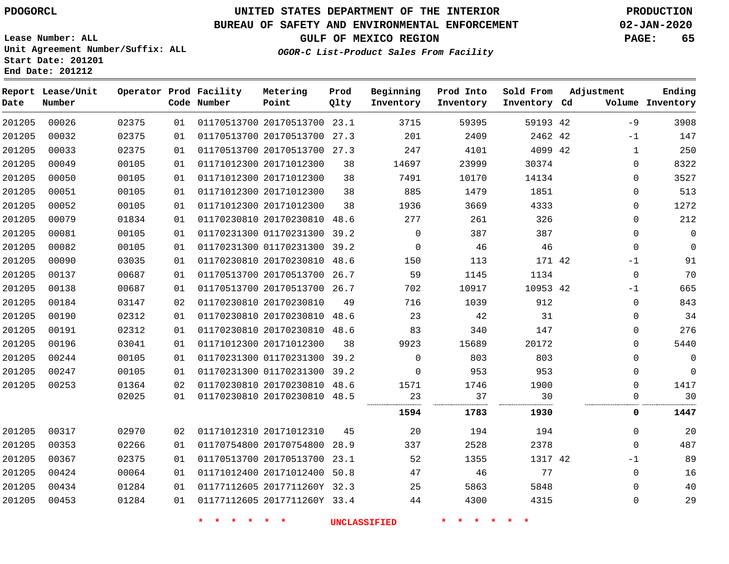### **BUREAU OF SAFETY AND ENVIRONMENTAL ENFORCEMENT 02-JAN-2020**

**Unit Agreement Number/Suffix: ALL**

**GULF OF MEXICO REGION PAGE: 65**

**OGOR-C List-Product Sales From Facility**

**Start Date: 201201 End Date: 201212**

**Lease Number: ALL**

| Date   | Report Lease/Unit<br>Number |       |    | Operator Prod Facility<br>Code Number | Metering<br>Point            | Prod<br>Qlty | Beginning<br>Inventory | Prod Into<br>Inventory | Sold From<br>Inventory Cd | Adjustment |              | Ending<br>Volume Inventory |
|--------|-----------------------------|-------|----|---------------------------------------|------------------------------|--------------|------------------------|------------------------|---------------------------|------------|--------------|----------------------------|
| 201205 | 00026                       | 02375 | 01 |                                       | 01170513700 20170513700      | 23.1         | 3715                   | 59395                  | 59193 42                  |            | $-9$         | 3908                       |
| 201205 | 00032                       | 02375 | 01 |                                       | 01170513700 20170513700 27.3 |              | 201                    | 2409                   | 2462 42                   |            | $-1$         | 147                        |
| 201205 | 00033                       | 02375 | 01 |                                       | 01170513700 20170513700 27.3 |              | 247                    | 4101                   | 4099 42                   |            | $\mathbf 1$  | 250                        |
| 201205 | 00049                       | 00105 | 01 |                                       | 01171012300 20171012300      | 38           | 14697                  | 23999                  | 30374                     |            | 0            | 8322                       |
| 201205 | 00050                       | 00105 | 01 |                                       | 01171012300 20171012300      | 38           | 7491                   | 10170                  | 14134                     |            | $\mathbf 0$  | 3527                       |
| 201205 | 00051                       | 00105 | 01 |                                       | 01171012300 20171012300      | 38           | 885                    | 1479                   | 1851                      |            | $\mathbf{0}$ | 513                        |
| 201205 | 00052                       | 00105 | 01 |                                       | 01171012300 20171012300      | 38           | 1936                   | 3669                   | 4333                      |            | 0            | 1272                       |
| 201205 | 00079                       | 01834 | 01 |                                       | 01170230810 20170230810 48.6 |              | 277                    | 261                    | 326                       |            | $\mathbf{0}$ | 212                        |
| 201205 | 00081                       | 00105 | 01 |                                       | 01170231300 01170231300      | 39.2         | $\mathbf 0$            | 387                    | 387                       |            | $\mathbf{0}$ | $\mathbf 0$                |
| 201205 | 00082                       | 00105 | 01 |                                       | 01170231300 01170231300 39.2 |              | $\mathbf 0$            | 46                     | 46                        |            | $\mathbf{0}$ | $\mathbf 0$                |
| 201205 | 00090                       | 03035 | 01 |                                       | 01170230810 20170230810 48.6 |              | 150                    | 113                    | 171 42                    |            | $-1$         | 91                         |
| 201205 | 00137                       | 00687 | 01 |                                       | 01170513700 20170513700 26.7 |              | 59                     | 1145                   | 1134                      |            | $\mathbf 0$  | 70                         |
| 201205 | 00138                       | 00687 | 01 |                                       | 01170513700 20170513700 26.7 |              | 702                    | 10917                  | 10953 42                  |            | $-1$         | 665                        |
| 201205 | 00184                       | 03147 | 02 |                                       | 01170230810 20170230810      | 49           | 716                    | 1039                   | 912                       |            | $\mathbf 0$  | 843                        |
| 201205 | 00190                       | 02312 | 01 |                                       | 01170230810 20170230810 48.6 |              | 23                     | 42                     | 31                        |            | $\Omega$     | 34                         |
| 201205 | 00191                       | 02312 | 01 |                                       | 01170230810 20170230810 48.6 |              | 83                     | 340                    | 147                       |            | $\mathbf{0}$ | 276                        |
| 201205 | 00196                       | 03041 | 01 |                                       | 01171012300 20171012300      | 38           | 9923                   | 15689                  | 20172                     |            | $\mathbf{0}$ | 5440                       |
| 201205 | 00244                       | 00105 | 01 |                                       | 01170231300 01170231300      | 39.2         | $\Omega$               | 803                    | 803                       |            | $\Omega$     | $\mathbf 0$                |
| 201205 | 00247                       | 00105 | 01 |                                       | 01170231300 01170231300      | 39.2         | $\mathbf 0$            | 953                    | 953                       |            | $\mathbf 0$  | $\mathbf 0$                |
| 201205 | 00253                       | 01364 | 02 |                                       | 01170230810 20170230810 48.6 |              | 1571                   | 1746                   | 1900                      |            | $\mathbf 0$  | 1417                       |
|        |                             | 02025 | 01 |                                       | 01170230810 20170230810 48.5 |              | 23                     | 37                     | 30                        |            | $\Omega$     | 30                         |
|        |                             |       |    |                                       |                              |              | 1594                   | 1783                   | 1930                      |            | 0            | 1447                       |
| 201205 | 00317                       | 02970 | 02 |                                       | 01171012310 20171012310      | 45           | 20                     | 194                    | 194                       |            | $\Omega$     | 20                         |
| 201205 | 00353                       | 02266 | 01 |                                       | 01170754800 20170754800      | 28.9         | 337                    | 2528                   | 2378                      |            | $\Omega$     | 487                        |
| 201205 | 00367                       | 02375 | 01 |                                       | 01170513700 20170513700      | 23.1         | 52                     | 1355                   | 1317 42                   |            | $-1$         | 89                         |
| 201205 | 00424                       | 00064 | 01 |                                       | 01171012400 20171012400 50.8 |              | 47                     | 46                     | 77                        |            | $\Omega$     | 16                         |
| 201205 | 00434                       | 01284 | 01 |                                       | 01177112605 2017711260Y 32.3 |              | 25                     | 5863                   | 5848                      |            | $\mathbf{0}$ | 40                         |
| 201205 | 00453                       | 01284 | 01 |                                       | 01177112605 2017711260Y 33.4 |              | 44                     | 4300                   | 4315                      |            | 0            | 29                         |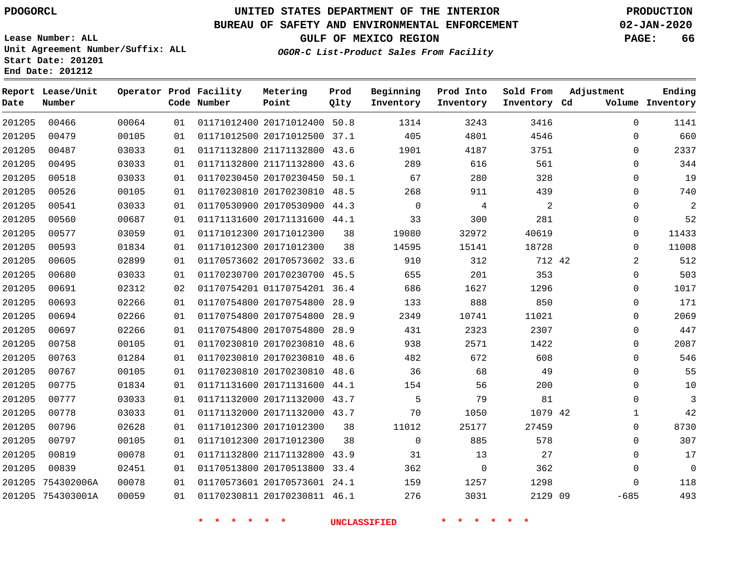**Report Lease/Unit**

**Number**

**Date**

754303001A

# **UNITED STATES DEPARTMENT OF THE INTERIOR PDOGORCL PRODUCTION**

**Prod Qlty**

#### **BUREAU OF SAFETY AND ENVIRONMENTAL ENFORCEMENT 02-JAN-2020**

**Lease Number: ALL Unit Agreement Number/Suffix: ALL Start Date: 201201 End Date: 201212**

> 

**Operator Prod Facility**

**Code Number**

 20171012400 50.8 20171012500 37.1

**Metering Point**

 

**OGOR-C List-Product Sales From Facility**

     

**Sold From Inventory**

**Prod Into Inventory**

**Beginning Inventory**

**GULF OF MEXICO REGION PAGE: 66**

**Inventory Cd Volume**

**Adjustment**

  $\Omega$  $\Omega$   $\Omega$  $\Omega$  $\Omega$  $\Omega$  $\Omega$  $\Omega$  $\overline{2}$  $\Omega$  $\overline{0}$  $\overline{0}$  $\Omega$  $\overline{0}$  $\Omega$  $\Omega$  $\Omega$  $\Omega$   $\Omega$  -685

**Ending**

| 201205 | 00487      | 03033 | 01 | 01171132800 21171132800      | 43.6 | 1901     | 4187  | 3751    |  |
|--------|------------|-------|----|------------------------------|------|----------|-------|---------|--|
| 201205 | 00495      | 03033 | 01 | 01171132800 21171132800      | 43.6 | 289      | 616   | 561     |  |
| 201205 | 00518      | 03033 | 01 | 01170230450 20170230450      | 50.1 | 67       | 280   | 328     |  |
| 201205 | 00526      | 00105 | 01 | 01170230810 20170230810      | 48.5 | 268      | 911   | 439     |  |
| 201205 | 00541      | 03033 | 01 | 01170530900 20170530900      | 44.3 | $\Omega$ | 4     | 2       |  |
| 201205 | 00560      | 00687 | 01 | 01171131600 20171131600      | 44.1 | 33       | 300   | 281     |  |
| 201205 | 00577      | 03059 | 01 | 01171012300 20171012300      | 38   | 19080    | 32972 | 40619   |  |
| 201205 | 00593      | 01834 | 01 | 01171012300 20171012300      | 38   | 14595    | 15141 | 18728   |  |
| 201205 | 00605      | 02899 | 01 | 01170573602 20170573602 33.6 |      | 910      | 312   | 712 42  |  |
| 201205 | 00680      | 03033 | 01 | 01170230700 20170230700      | 45.5 | 655      | 201   | 353     |  |
| 201205 | 00691      | 02312 | 02 | 01170754201 01170754201      | 36.4 | 686      | 1627  | 1296    |  |
| 201205 | 00693      | 02266 | 01 | 01170754800 20170754800      | 28.9 | 133      | 888   | 850     |  |
| 201205 | 00694      | 02266 | 01 | 01170754800 20170754800      | 28.9 | 2349     | 10741 | 11021   |  |
| 201205 | 00697      | 02266 | 01 | 01170754800 20170754800      | 28.9 | 431      | 2323  | 2307    |  |
| 201205 | 00758      | 00105 | 01 | 01170230810 20170230810      | 48.6 | 938      | 2571  | 1422    |  |
| 201205 | 00763      | 01284 | 01 | 01170230810 20170230810      | 48.6 | 482      | 672   | 608     |  |
| 201205 | 00767      | 00105 | 01 | 01170230810 20170230810      | 48.6 | 36       | 68    | 49      |  |
| 201205 | 00775      | 01834 | 01 | 01171131600 20171131600      | 44.1 | 154      | 56    | 200     |  |
| 201205 | 00777      | 03033 | 01 | 01171132000 20171132000      | 43.7 | 5        | 79    | 81      |  |
| 201205 | 00778      | 03033 | 01 | 01171132000 20171132000      | 43.7 | 70       | 1050  | 1079 42 |  |
| 201205 | 00796      | 02628 | 01 | 01171012300 20171012300      | 38   | 11012    | 25177 | 27459   |  |
| 201205 | 00797      | 00105 | 01 | 01171012300 20171012300      | 38   | 0        | 885   | 578     |  |
| 201205 | 00819      | 00078 | 01 | 01171132800 21171132800      | 43.9 | 31       | 13    | 27      |  |
| 201205 | 00839      | 02451 | 01 | 01170513800 20170513800      | 33.4 | 362      | 0     | 362     |  |
| 201205 | 754302006A | 00078 | 01 | 01170573601 20170573601      | 24.1 | 159      | 1257  | 1298    |  |

20170230811 46.1

2129 09

**\* \* \* \* \* \* UNCLASSIFIED \* \* \* \* \* \***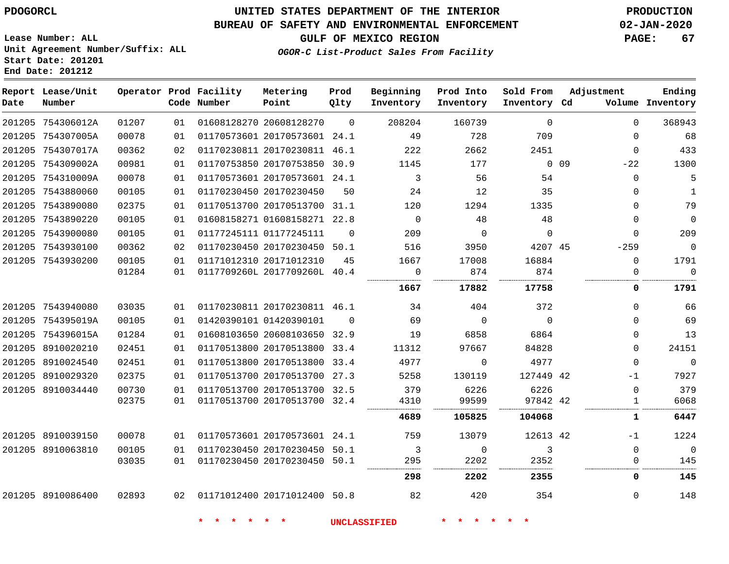# **UNITED STATES DEPARTMENT OF THE INTERIOR PDOGORCL PRODUCTION**

### **BUREAU OF SAFETY AND ENVIRONMENTAL ENFORCEMENT 02-JAN-2020**

**Lease Number: ALL Unit Agreement Number/Suffix: ALL Start Date: 201201**

**GULF OF MEXICO REGION PAGE: 67**

**OGOR-C List-Product Sales From Facility**

| Date | Report Lease/Unit<br>Number |       |    | Operator Prod Facility<br>Code Number | Metering<br>Point            | Prod<br>Qlty | Beginning<br>Inventory | Prod Into<br>Inventory | Sold From<br>Inventory Cd | Adjustment |              | Ending<br>Volume Inventory |
|------|-----------------------------|-------|----|---------------------------------------|------------------------------|--------------|------------------------|------------------------|---------------------------|------------|--------------|----------------------------|
|      | 201205 754306012A           | 01207 | 01 |                                       | 01608128270 20608128270      | $\Omega$     | 208204                 | 160739                 | $\Omega$                  |            | $\Omega$     | 368943                     |
|      | 201205 754307005A           | 00078 | 01 |                                       | 01170573601 20170573601 24.1 |              | 49                     | 728                    | 709                       |            | $\Omega$     | 68                         |
|      | 201205 754307017A           | 00362 | 02 |                                       | 01170230811 20170230811 46.1 |              | 222                    | 2662                   | 2451                      |            | $\Omega$     | 433                        |
|      | 201205 754309002A           | 00981 | 01 |                                       | 01170753850 20170753850 30.9 |              | 1145                   | 177                    |                           | $0$ 09     | $-22$        | 1300                       |
|      | 201205 754310009A           | 00078 | 01 |                                       | 01170573601 20170573601 24.1 |              | 3                      | 56                     | 54                        |            | $\Omega$     | 5                          |
|      | 201205 7543880060           | 00105 | 01 |                                       | 01170230450 20170230450      | 50           | 24                     | 12                     | 35                        |            | $\Omega$     | 1                          |
|      | 201205 7543890080           | 02375 | 01 |                                       | 01170513700 20170513700 31.1 |              | 120                    | 1294                   | 1335                      |            | $\Omega$     | 79                         |
|      | 201205 7543890220           | 00105 | 01 |                                       | 01608158271 01608158271 22.8 |              | $\overline{0}$         | 48                     | 48                        |            | $\Omega$     | $\overline{0}$             |
|      | 201205 7543900080           | 00105 | 01 |                                       | 01177245111 01177245111      | $\Omega$     | 209                    | $\Omega$               | $\Omega$                  |            | $\Omega$     | 209                        |
|      | 201205 7543930100           | 00362 | 02 |                                       | 01170230450 20170230450 50.1 |              | 516                    | 3950                   | 4207 45                   |            | $-259$       | $\mathbb O$                |
|      | 201205 7543930200           | 00105 | 01 |                                       | 01171012310 20171012310      | 45           | 1667                   | 17008                  | 16884                     |            | $\Omega$     | 1791                       |
|      |                             | 01284 | 01 |                                       | 0117709260L 2017709260L 40.4 |              | $\overline{0}$         | 874                    | 874                       |            | $\mathbf 0$  | $\Omega$                   |
|      |                             |       |    |                                       |                              |              | 1667                   | 17882                  | 17758                     |            | 0            | 1791                       |
|      | 201205 7543940080           | 03035 | 01 |                                       | 01170230811 20170230811 46.1 |              | 34                     | 404                    | 372                       |            | $\Omega$     | 66                         |
|      | 201205 754395019A           | 00105 | 01 |                                       | 01420390101 01420390101      | $\Omega$     | 69                     | $\overline{0}$         | $\overline{0}$            |            | $\Omega$     | 69                         |
|      | 201205 754396015A           | 01284 | 01 |                                       | 01608103650 20608103650 32.9 |              | 19                     | 6858                   | 6864                      |            | $\Omega$     | 13                         |
|      | 201205 8910020210           | 02451 | 01 |                                       | 01170513800 20170513800 33.4 |              | 11312                  | 97667                  | 84828                     |            | $\Omega$     | 24151                      |
|      | 201205 8910024540           | 02451 | 01 |                                       | 01170513800 20170513800 33.4 |              | 4977                   | $\Omega$               | 4977                      |            | $\Omega$     | $\mathbb O$                |
|      | 201205 8910029320           | 02375 | 01 |                                       | 01170513700 20170513700 27.3 |              | 5258                   | 130119                 | 127449 42                 |            | $-1$         | 7927                       |
|      | 201205 8910034440           | 00730 | 01 |                                       | 01170513700 20170513700 32.5 |              | 379                    | 6226                   | 6226                      |            | $\Omega$     | 379                        |
|      |                             | 02375 | 01 |                                       | 01170513700 20170513700 32.4 |              | 4310                   | 99599                  | 97842 42                  |            | $\mathbf{1}$ | 6068                       |
|      |                             |       |    |                                       |                              |              | 4689                   | 105825                 | 104068                    |            | 1            | 6447                       |
|      | 201205 8910039150           | 00078 | 01 |                                       | 01170573601 20170573601 24.1 |              | 759                    | 13079                  | 12613 42                  |            | $-1$         | 1224                       |
|      | 201205 8910063810           | 00105 | 01 |                                       | 01170230450 20170230450 50.1 |              | 3                      | $\mathbf 0$            | 3                         |            | $\Omega$     | $\overline{0}$             |
|      |                             | 03035 | 01 |                                       | 01170230450 20170230450 50.1 |              | 295                    | 2202                   | 2352                      |            | $\Omega$     | 145                        |
|      |                             |       |    |                                       |                              |              | 298                    | 2202                   | 2355                      |            | 0            | 145                        |
|      | 201205 8910086400           | 02893 |    | 02 01171012400 20171012400 50.8       |                              |              | 82                     | 420                    | 354                       |            | $\Omega$     | 148                        |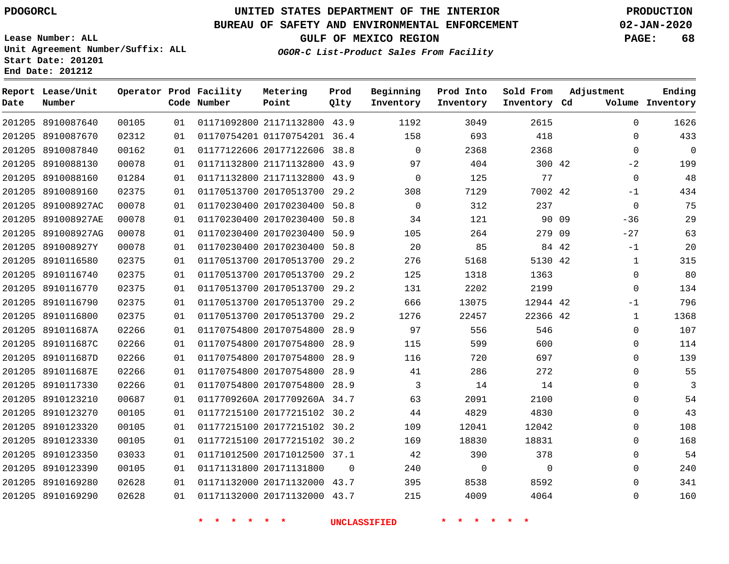**Report Date**

# **UNITED STATES DEPARTMENT OF THE INTERIOR PDOGORCL PRODUCTION**

### **BUREAU OF SAFETY AND ENVIRONMENTAL ENFORCEMENT 02-JAN-2020**

**Lease Number: ALL Unit Agreement Number/Suffix: ALL Start Date: 201201 End Date: 201212**

**OGOR-C List-Product Sales From Facility**

**GULF OF MEXICO REGION PAGE: 68**

**Ending Inventory**

| Lease/Unit<br>Number |       |    | Operator Prod Facility<br>Code Number | Metering<br>Point            | Prod<br>Qlty | Beginning<br>Inventory | Prod Into<br>Inventory | Sold From<br>Inventory Cd |    | Adjustment<br>Volume |
|----------------------|-------|----|---------------------------------------|------------------------------|--------------|------------------------|------------------------|---------------------------|----|----------------------|
| 8910087640           | 00105 | 01 |                                       | 01171092800 21171132800      | 43.9         | 1192                   | 3049                   | 2615                      |    | $\mathbf 0$          |
| 8910087670           | 02312 | 01 |                                       | 01170754201 01170754201 36.4 |              | 158                    | 693                    | 418                       |    | $\mathbf 0$          |
| 8910087840           | 00162 | 01 |                                       | 01177122606 20177122606      | 38.8         | $\mathbf 0$            | 2368                   | 2368                      |    | $\Omega$             |
| 8910088130           | 00078 | 01 |                                       | 01171132800 21171132800 43.9 |              | 97                     | 404                    | 300 42                    |    | $-2$                 |
| 8910088160           | 01284 | 01 |                                       | 01171132800 21171132800      | 43.9         | $\Omega$               | 125                    | 77                        |    | $\Omega$             |
| 8910089160           | 02375 | 01 |                                       | 01170513700 20170513700      | 29.2         | 308                    | 7129                   | 7002 42                   |    | $-1$                 |
| 891008927AC          | 00078 | 01 |                                       | 01170230400 20170230400      | 50.8         | $\Omega$               | 312                    | 237                       |    | $\Omega$             |
| 891008927AE          | 00078 | 01 |                                       | 01170230400 20170230400      | 50.8         | 34                     | 121                    | 90 09                     |    | $-36$                |
| 891008927AG          | 00078 | 01 |                                       | 01170230400 20170230400      | 50.9         | 105                    | 264                    | 279                       | 09 | $-27$                |
| 891008927Y           | 00078 | 01 |                                       | 01170230400 20170230400      | 50.8         | 20                     | 85                     | 84                        | 42 | $-1$                 |
| 8910116580           | 02375 | 01 |                                       | 01170513700 20170513700      | 29.2         | 276                    | 5168                   | 5130 42                   |    | $\mathbf{1}$         |
| 8910116740           | 02375 | 01 |                                       | 01170513700 20170513700      | 29.2         | 125                    | 1318                   | 1363                      |    | $\mathbf 0$          |
| 8910116770           | 02375 | 01 |                                       | 01170513700 20170513700      | 29.2         | 131                    | 2202                   | 2199                      |    | $\Omega$             |
| 8910116790           | 02375 | 01 |                                       | 01170513700 20170513700 29.2 |              | 666                    | 13075                  | 12944 42                  |    | $-1$                 |
| 8910116800           | 02375 | 01 |                                       | 01170513700 20170513700      | 29.2         | 1276                   | 22457                  | 22366 42                  |    | $\mathbf{1}$         |
| 891011687A           | 02266 | 01 |                                       | 01170754800 20170754800      | 28.9         | 97                     | 556                    | 546                       |    | $\Omega$             |
| 891011687C           | 02266 | 01 |                                       | 01170754800 20170754800      | 28.9         | 115                    | 599                    | 600                       |    | 0                    |
| 891011687D           | 02266 | 01 |                                       | 01170754800 20170754800      | 28.9         | 116                    | 720                    | 697                       |    | $\Omega$             |
| 891011687E           | 02266 | 01 |                                       | 01170754800 20170754800      | 28.9         | 41                     | 286                    | 272                       |    | $\mathbf 0$          |
| 8910117330           | 02266 | 01 |                                       | 01170754800 20170754800      | 28.9         | 3                      | 14                     | 14                        |    | $\mathbf 0$          |
| 8910123210           | 00687 | 01 |                                       | 0117709260A 2017709260A 34.7 |              | 63                     | 2091                   | 2100                      |    | $\mathbf 0$          |
| 8910123270           | 00105 | 01 |                                       | 01177215100 20177215102      | 30.2         | 44                     | 4829                   | 4830                      |    | $\mathbf 0$          |
| 8910123320           | 00105 | 01 |                                       | 01177215100 20177215102      | 30.2         | 109                    | 12041                  | 12042                     |    | $\mathbf 0$          |
| 8910123330           | 00105 | 01 |                                       | 01177215100 20177215102 30.2 |              | 169                    | 18830                  | 18831                     |    | $\Omega$             |
| 8910123350           | 03033 | 01 |                                       | 01171012500 20171012500 37.1 |              | 42                     | 390                    | 378                       |    | $\mathbf 0$          |
| 8910123390           | 00105 | 01 |                                       | 01171131800 20171131800      | $\Omega$     | 240                    | $\Omega$               | $\Omega$                  |    | $\Omega$             |
| 8910169280           | 02628 | 01 |                                       | 01171132000 20171132000 43.7 |              | 395                    | 8538                   | 8592                      |    | $\mathbf 0$          |
| 8910169290           | 02628 | 01 |                                       | 01171132000 20171132000      | 43.7         | 215                    | 4009                   | 4064                      |    | $\Omega$             |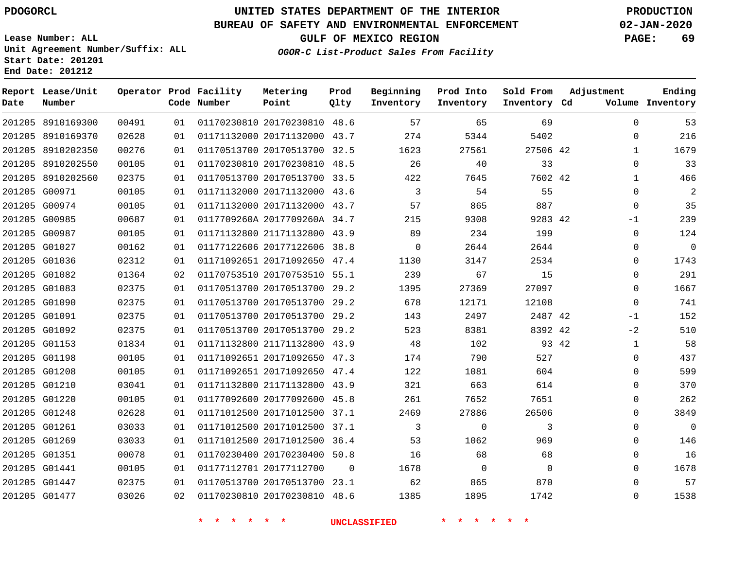**Date**

**End Date: 201212**

8910169300

**Report Lease/Unit**

**Number**

 G00971 G00974 G00985 G00987 G01027 G01036 G01082 G01083 G01090 G01091 G01092 G01153 G01198 G01208 G01210 G01220 G01248 G01261 G01269 G01351 G01441 G01447 G01477

# **UNITED STATES DEPARTMENT OF THE INTERIOR PDOGORCL PRODUCTION**

**Prod Qlty**

### **BUREAU OF SAFETY AND ENVIRONMENTAL ENFORCEMENT 02-JAN-2020**

**Lease Number: ALL Unit Agreement Number/Suffix: ALL Start Date: 201201**

**Operator Prod Facility**

**Code Number**

20170230810 48.6

**Metering Point**

    **OGOR-C List-Product Sales From Facility**

**Sold From Inventory**

**Prod Into Inventory**

**Beginning Inventory**

**GULF OF MEXICO REGION PAGE: 69**

**Inventory Cd Volume**

**Adjustment**

  $\Omega$   $\Omega$  $\Omega$  $-1$  $\Omega$  $\Omega$  $\Omega$  $\Omega$  $\overline{0}$   $-1$  $-2$   $\Omega$  $\Omega$  $\Omega$   $\Omega$  $\Omega$   $\Omega$   $\Omega$ 

**Ending**

|       | 5402     | 5344  | 274  | 43.7 | 01171132000 20171132000      | 01 | 02628 | 201205 8910169370 |        |
|-------|----------|-------|------|------|------------------------------|----|-------|-------------------|--------|
|       | 27506 42 | 27561 | 1623 | 32.5 | 01170513700 20170513700      | 01 | 00276 | 8910202350        | 201205 |
|       | 33       | 40    | 26   |      | 01170230810 20170230810 48.5 | 01 | 00105 | 201205 8910202550 |        |
|       | 7602 42  | 7645  | 422  |      | 01170513700 20170513700 33.5 | 01 | 02375 | 8910202560        | 201205 |
|       | 55       | 54    | 3    | 43.6 | 01171132000 20171132000      | 01 | 00105 | 201205 G00971     |        |
|       | 887      | 865   | 57   | 43.7 | 01171132000 20171132000      | 01 | 00105 | G00974            | 201205 |
|       | 9283 42  | 9308  | 215  |      | 0117709260A 2017709260A 34.7 | 01 | 00687 | G00985            | 201205 |
|       | 199      | 234   | 89   | 43.9 | 01171132800 21171132800      | 01 | 00105 | 201205 G00987     |        |
|       | 2644     | 2644  | 0    | 38.8 | 01177122606 20177122606      | 01 | 00162 | 201205 G01027     |        |
|       | 2534     | 3147  | 1130 |      | 01171092651 20171092650 47.4 | 01 | 02312 | 201205 G01036     |        |
|       | 15       | 67    | 239  | 55.1 | 01170753510 20170753510      | 02 | 01364 | G01082            | 201205 |
|       | 27097    | 27369 | 1395 | 29.2 | 01170513700 20170513700      | 01 | 02375 | G01083            | 201205 |
|       | 12108    | 12171 | 678  | 29.2 | 01170513700 20170513700      | 01 | 02375 | 201205 G01090     |        |
|       | 2487 42  | 2497  | 143  | 29.2 | 01170513700 20170513700      | 01 | 02375 | 201205 G01091     |        |
|       | 8392 42  | 8381  | 523  | 29.2 | 01170513700 20170513700      | 01 | 02375 | 201205 G01092     |        |
| 93 42 |          | 102   | 48   | 43.9 | 01171132800 21171132800      | 01 | 01834 | G01153            | 201205 |
|       | 527      | 790   | 174  | 47.3 | 01171092651 20171092650      | 01 | 00105 | 201205 G01198     |        |
|       | 604      | 1081  | 122  | 47.4 | 01171092651 20171092650      | 01 | 00105 | 201205 G01208     |        |
|       | 614      | 663   | 321  | 43.9 | 01171132800 21171132800      | 01 | 03041 | 201205 G01210     |        |
|       | 7651     | 7652  | 261  | 45.8 | 01177092600 20177092600      | 01 | 00105 | 201205 G01220     |        |
|       | 26506    | 27886 | 2469 | 37.1 | 01171012500 20171012500      | 01 | 02628 | 201205 G01248     |        |
|       | 3        | 0     | 3    | 37.1 | 01171012500 20171012500      | 01 | 03033 | 201205 G01261     |        |
|       | 969      | 1062  | 53   |      | 01171012500 20171012500 36.4 | 01 | 03033 | 201205 G01269     |        |
|       | 68       | 68    | 16   | 50.8 | 01170230400 20170230400      | 01 | 00078 | 201205 G01351     |        |

20177112700

 20170513700 23.1 20170230810 48.6

 

 $\Omega$ 

**\* \* \* \* \* \* UNCLASSIFIED \* \* \* \* \* \***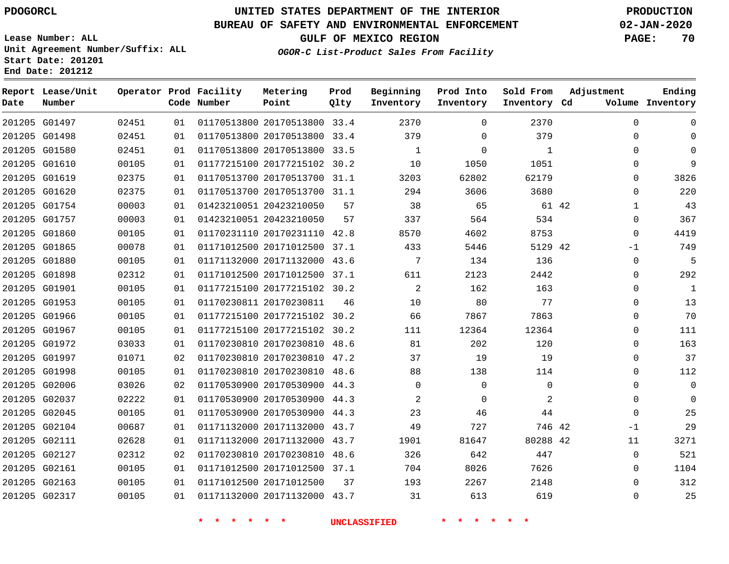G01497

**Date**

**Report Lease/Unit**

**Number**

# **UNITED STATES DEPARTMENT OF THE INTERIOR PDOGORCL PRODUCTION**

**Prod Qlty**

### **BUREAU OF SAFETY AND ENVIRONMENTAL ENFORCEMENT 02-JAN-2020**

**Lease Number: ALL Unit Agreement Number/Suffix: ALL Start Date: 201201 End Date: 201212**

**Operator Prod Facility**

**Code Number**

20170513800 33.4

**Metering Point**

**OGOR-C List-Product Sales From Facility**

**Sold From Inventory**

**Prod Into Inventory**

**Beginning Inventory**

**GULF OF MEXICO REGION PAGE: 70**

**Inventory Cd Volume**

**Adjustment**

  $\Omega$  $\Omega$   $\Omega$  $\Omega$  -1  $\Omega$  $\overline{0}$   $\Omega$  $\overline{0}$  $\Omega$  $\Omega$  $\Omega$  $\Omega$  -1  $\Omega$ 

**Ending**

|               |       |    | * * * * * |                                 |    | UNCLASSIFIED                      | * * * * * *    |                |  |
|---------------|-------|----|-----------|---------------------------------|----|-----------------------------------|----------------|----------------|--|
| 201205 G02317 | 00105 | 01 |           | 01171132000 20171132000 43.7 31 |    |                                   | 613            | 619            |  |
| 201205 G02163 | 00105 | 01 |           | 01171012500 20171012500 37      |    | 193                               | 2267           | 2148           |  |
| 201205 G02161 | 00105 | 01 |           | 01171012500 20171012500 37.1    |    | 704                               | 8026           | 7626           |  |
| 201205 G02127 | 02312 | 02 |           | 01170230810 20170230810 48.6    |    | 326                               | 642            | 447            |  |
| 201205 G02111 | 02628 | 01 |           |                                 |    | 01171132000 20171132000 43.7 1901 | 81647          | 80288 42       |  |
| 201205 G02104 | 00687 | 01 |           | 01171132000 20171132000 43.7 49 |    |                                   | 727            | 746 42         |  |
| 201205 G02045 | 00105 | 01 |           | 01170530900 20170530900 44.3    |    | 23                                | 46             | 44             |  |
| 201205 G02037 | 02222 | 01 |           | 01170530900 20170530900 44.3    |    | 2                                 | $\Omega$       | 2              |  |
| 201205 G02006 | 03026 | 02 |           | 01170530900 20170530900 44.3    |    | $\overline{0}$                    | $\overline{0}$ | $\mathbf 0$    |  |
| 201205 G01998 | 00105 | 01 |           | 01170230810 20170230810 48.6    |    | 88                                | 138            | 114            |  |
| 201205 G01997 | 01071 | 02 |           | 01170230810 20170230810 47.2    |    | 37                                | 19             | 19             |  |
| 201205 G01972 | 03033 | 01 |           | 01170230810 20170230810 48.6 81 |    |                                   | 202            | 120            |  |
| 201205 G01967 | 00105 | 01 |           | 01177215100 20177215102 30.2    |    | 111                               | 12364          | 12364          |  |
| 201205 G01966 | 00105 | 01 |           | 01177215100 20177215102 30.2 66 |    |                                   | 7867           | 7863           |  |
| 201205 G01953 | 00105 | 01 |           | 01170230811 20170230811         | 46 | 10                                | 80             | 77             |  |
| 201205 G01901 | 00105 | 01 |           | 01177215100 20177215102 30.2    |    | $\overline{\phantom{0}}^2$        | 162            | 163            |  |
| 201205 G01898 | 02312 | 01 |           | 01171012500 20171012500 37.1    |    | 611                               | 2123           | 2442           |  |
| 201205 G01880 | 00105 | 01 |           | 01171132000 20171132000 43.6    |    | $\overline{7}$                    | 134            | 136            |  |
| 201205 G01865 | 00078 | 01 |           | 01171012500 20171012500 37.1    |    | 433                               | 5446           | 5129 42        |  |
| 201205 G01860 | 00105 | 01 |           | 01170231110 20170231110 42.8    |    | 8570 35                           | 4602           | 8753           |  |
| 201205 G01757 | 00003 | 01 |           | 01423210051 20423210050         | 57 | 337                               | 564            | 534            |  |
| 201205 G01754 | 00003 | 01 |           | 01423210051 20423210050         | 57 | 38                                | 65             | 61 42          |  |
| 201205 G01620 | 02375 | 01 |           | 01170513700 20170513700 31.1    |    | 294                               | 3606           | 3680           |  |
| 201205 G01619 | 02375 | 01 |           | 01170513700 20170513700 31.1    |    | 3203                              | 62802          | 62179          |  |
| 201205 G01610 | 00105 | 01 |           | 01177215100 20177215102 30.2 10 |    |                                   | 1050           | 1051           |  |
| 201205 G01580 | 02451 | 01 |           | 01170513800 20170513800 33.5    |    | $\overline{1}$                    | $\overline{0}$ | $\overline{1}$ |  |
| 201205 G01498 | 02451 | 01 |           | 01170513800 20170513800 33.4    |    | 379                               | $\Omega$       | 379            |  |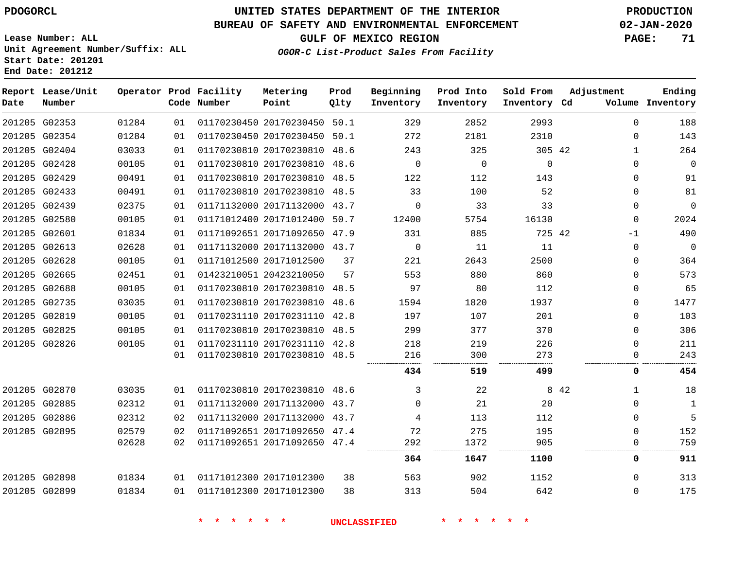## **UNITED STATES DEPARTMENT OF THE INTERIOR PDOGORCL PRODUCTION**

### **BUREAU OF SAFETY AND ENVIRONMENTAL ENFORCEMENT 02-JAN-2020**

**Lease Number: ALL Unit Agreement Number/Suffix: ALL Start Date: 201201**

# **GULF OF MEXICO REGION PAGE: 71**

**OGOR-C List-Product Sales From Facility**

| Date | Report Lease/Unit<br>Number |       |    | Operator Prod Facility<br>Code Number | Metering<br>Point            | Prod<br>Qlty | Beginning<br>Inventory | Prod Into<br>Inventory | Sold From<br>Inventory Cd | Adjustment   | Ending<br>Volume Inventory |
|------|-----------------------------|-------|----|---------------------------------------|------------------------------|--------------|------------------------|------------------------|---------------------------|--------------|----------------------------|
|      | 201205 G02353               | 01284 | 01 |                                       | 01170230450 20170230450 50.1 |              | 329                    | 2852                   | 2993                      | $\Omega$     | 188                        |
|      | 201205 G02354               | 01284 | 01 |                                       | 01170230450 20170230450 50.1 |              | 272                    | 2181                   | 2310                      | $\Omega$     | 143                        |
|      | 201205 G02404               | 03033 | 01 |                                       | 01170230810 20170230810 48.6 |              | 243                    | 325                    | 305 42                    | $\mathbf{1}$ | 264                        |
|      | 201205 G02428               | 00105 | 01 |                                       | 01170230810 20170230810 48.6 |              | $\Omega$               | $\mathbf 0$            | $\mathbf 0$               | $\Omega$     | $\mathbf 0$                |
|      | 201205 G02429               | 00491 | 01 |                                       | 01170230810 20170230810 48.5 |              | 122                    | 112                    | 143                       | $\Omega$     | 91                         |
|      | 201205 G02433               | 00491 | 01 |                                       | 01170230810 20170230810 48.5 |              | 33                     | 100                    | 52                        | $\Omega$     | 81                         |
|      | 201205 G02439               | 02375 | 01 |                                       | 01171132000 20171132000 43.7 |              | $\Omega$               | 33                     | 33                        | $\mathbf{0}$ | $\mathbf 0$                |
|      | 201205 G02580               | 00105 | 01 |                                       | 01171012400 20171012400 50.7 |              | 12400                  | 5754                   | 16130                     | $\Omega$     | 2024                       |
|      | 201205 G02601               | 01834 | 01 |                                       | 01171092651 20171092650 47.9 |              | 331                    | 885                    | 725 42                    | $-1$         | 490                        |
|      | 201205 G02613               | 02628 | 01 |                                       | 01171132000 20171132000 43.7 |              | $\Omega$               | 11                     | 11                        | $\Omega$     | $\mathbf 0$                |
|      | 201205 G02628               | 00105 | 01 |                                       | 01171012500 20171012500      | 37           | 221                    | 2643                   | 2500                      | $\Omega$     | 364                        |
|      | 201205 G02665               | 02451 | 01 |                                       | 01423210051 20423210050      | 57           | 553                    | 880                    | 860                       | $\Omega$     | 573                        |
|      | 201205 G02688               | 00105 | 01 |                                       | 01170230810 20170230810 48.5 |              | 97                     | 80                     | 112                       | $\Omega$     | 65                         |
|      | 201205 G02735               | 03035 | 01 |                                       | 01170230810 20170230810 48.6 |              | 1594                   | 1820                   | 1937                      | 0            | 1477                       |
|      | 201205 G02819               | 00105 | 01 |                                       | 01170231110 20170231110      | 42.8         | 197                    | 107                    | 201                       | 0            | 103                        |
|      | 201205 G02825               | 00105 | 01 |                                       | 01170230810 20170230810 48.5 |              | 299                    | 377                    | 370                       | 0            | 306                        |
|      | 201205 G02826               | 00105 | 01 |                                       | 01170231110 20170231110 42.8 |              | 218                    | 219                    | 226                       | 0            | 211                        |
|      |                             |       | 01 |                                       | 01170230810 20170230810 48.5 |              | 216                    | 300                    | 273                       | 0            | 243                        |
|      |                             |       |    |                                       |                              |              | 434                    | 519                    | 499                       | 0            | 454                        |
|      | 201205 G02870               | 03035 | 01 |                                       | 01170230810 20170230810 48.6 |              | 3                      | 22                     |                           | 8 4 2<br>1   | 18                         |
|      | 201205 G02885               | 02312 | 01 |                                       | 01171132000 20171132000 43.7 |              | $\Omega$               | 21                     | 20                        | $\Omega$     | 1                          |
|      | 201205 G02886               | 02312 | 02 |                                       | 01171132000 20171132000 43.7 |              | 4                      | 113                    | 112                       | $\Omega$     | 5                          |
|      | 201205 G02895               | 02579 | 02 |                                       | 01171092651 20171092650 47.4 |              | 72                     | 275                    | 195                       | $\Omega$     | 152                        |
|      |                             | 02628 | 02 |                                       | 01171092651 20171092650 47.4 |              | 292                    | 1372                   | 905                       | $\Omega$     | 759                        |
|      |                             |       |    |                                       |                              |              | 364                    | 1647                   | 1100                      | 0            | 911                        |
|      | 201205 G02898               | 01834 | 01 |                                       | 01171012300 20171012300      | 38           | 563                    | 902                    | 1152                      | $\Omega$     | 313                        |
|      | 201205 G02899               | 01834 | 01 |                                       | 01171012300 20171012300      | 38           | 313                    | 504                    | 642                       | $\Omega$     | 175                        |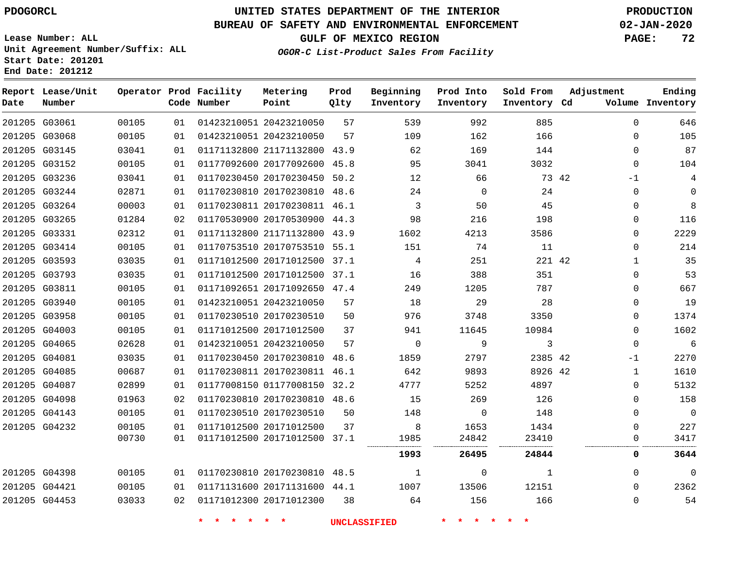# **UNITED STATES DEPARTMENT OF THE INTERIOR PDOGORCL PRODUCTION**

### **BUREAU OF SAFETY AND ENVIRONMENTAL ENFORCEMENT 02-JAN-2020**

**Lease Number: ALL Unit Agreement Number/Suffix: ALL Start Date: 201201**

**GULF OF MEXICO REGION PAGE: 72**

**OGOR-C List-Product Sales From Facility**

| Date | Report Lease/Unit<br>Number |       |    | Operator Prod Facility<br>Code Number            | Metering<br>Point            | Prod<br>Qlty | Beginning<br>Inventory | Prod Into<br>Inventory | Sold From<br>Inventory Cd | Adjustment   | Ending<br>Volume Inventory |
|------|-----------------------------|-------|----|--------------------------------------------------|------------------------------|--------------|------------------------|------------------------|---------------------------|--------------|----------------------------|
|      | 201205 G03061               | 00105 | 01 |                                                  | 01423210051 20423210050      | 57           | 539                    | 992                    | 885                       | $\Omega$     | 646                        |
|      | 201205 G03068               | 00105 | 01 |                                                  | 01423210051 20423210050      | 57           | 109                    | 162                    | 166                       | 0            | 105                        |
|      | 201205 G03145               | 03041 | 01 |                                                  | 01171132800 21171132800 43.9 |              | 62                     | 169                    | 144                       | $\mathbf{0}$ | 87                         |
|      | 201205 G03152               | 00105 | 01 |                                                  | 01177092600 20177092600 45.8 |              | 95                     | 3041                   | 3032                      | $\mathbf 0$  | 104                        |
|      | 201205 G03236               | 03041 | 01 |                                                  | 01170230450 20170230450      | 50.2         | 12                     | 66                     |                           | 73 42<br>-1  | $\overline{4}$             |
|      | 201205 G03244               | 02871 | 01 |                                                  | 01170230810 20170230810 48.6 |              | 24                     | $\mathbf 0$            | 24                        | $\mathbf 0$  | 0                          |
|      | 201205 G03264               | 00003 | 01 |                                                  | 01170230811 20170230811 46.1 |              | 3                      | 50                     | 45                        | $\Omega$     | 8                          |
|      | 201205 G03265               | 01284 | 02 |                                                  | 01170530900 20170530900 44.3 |              | 98                     | 216                    | 198                       | 0            | 116                        |
|      | 201205 G03331               | 02312 | 01 |                                                  | 01171132800 21171132800 43.9 |              | 1602                   | 4213                   | 3586                      | 0            | 2229                       |
|      | 201205 G03414               | 00105 | 01 |                                                  | 01170753510 20170753510 55.1 |              | 151                    | 74                     | 11                        | $\Omega$     | 214                        |
|      | 201205 G03593               | 03035 | 01 |                                                  | 01171012500 20171012500 37.1 |              | 4                      | 251                    | 221 42                    | $\mathbf 1$  | 35                         |
|      | 201205 G03793               | 03035 | 01 |                                                  | 01171012500 20171012500 37.1 |              | 16                     | 388                    | 351                       | 0            | 53                         |
|      | 201205 G03811               | 00105 | 01 |                                                  | 01171092651 20171092650 47.4 |              | 249                    | 1205                   | 787                       | $\Omega$     | 667                        |
|      | 201205 G03940               | 00105 | 01 |                                                  | 01423210051 20423210050      | 57           | 18                     | 29                     | 28                        | 0            | 19                         |
|      | 201205 G03958               | 00105 | 01 |                                                  | 01170230510 20170230510      | 50           | 976                    | 3748                   | 3350                      | 0            | 1374                       |
|      | 201205 G04003               | 00105 | 01 |                                                  | 01171012500 20171012500      | 37           | 941                    | 11645                  | 10984                     | $\Omega$     | 1602                       |
|      | 201205 G04065               | 02628 | 01 |                                                  | 01423210051 20423210050      | 57           | $\mathbf 0$            | 9                      | 3                         | 0            | $\epsilon$                 |
|      | 201205 G04081               | 03035 | 01 |                                                  | 01170230450 20170230810 48.6 |              | 1859                   | 2797                   | 2385 42                   | -1           | 2270                       |
|      | 201205 G04085               | 00687 | 01 |                                                  | 01170230811 20170230811 46.1 |              | 642                    | 9893                   | 8926 42                   | $\mathbf{1}$ | 1610                       |
|      | 201205 G04087               | 02899 | 01 |                                                  | 01177008150 01177008150 32.2 |              | 4777                   | 5252                   | 4897                      | $\Omega$     | 5132                       |
|      | 201205 G04098               | 01963 | 02 |                                                  | 01170230810 20170230810 48.6 |              | 15                     | 269                    | 126                       | 0            | 158                        |
|      | 201205 G04143               | 00105 | 01 |                                                  | 01170230510 20170230510      | 50           | 148                    | $\mathbf 0$            | 148                       | 0            | $\mathbf 0$                |
|      | 201205 G04232               | 00105 | 01 |                                                  | 01171012500 20171012500      | 37           | 8                      | 1653                   | 1434                      | $\mathbf{0}$ | 227                        |
|      |                             | 00730 | 01 |                                                  | 01171012500 20171012500 37.1 |              | 1985                   | 24842                  | 23410                     | 0            | 3417                       |
|      |                             |       |    |                                                  |                              |              | 1993                   | 26495                  | 24844                     | 0            | 3644                       |
|      | 201205 G04398               | 00105 | 01 |                                                  | 01170230810 20170230810 48.5 |              | $\mathbf{1}$           | $\mathbf 0$            | $\mathbf{1}$              | $\mathbf 0$  | $\mathbf 0$                |
|      | 201205 G04421               | 00105 | 01 |                                                  | 01171131600 20171131600 44.1 |              | 1007                   | 13506                  | 12151                     | $\Omega$     | 2362                       |
|      | 201205 G04453               | 03033 | 02 |                                                  | 01171012300 20171012300      | 38           | 64                     | 156                    | 166                       | $\Omega$     | 54                         |
|      |                             |       |    | $\bullet$<br>$\star$<br>$\rightarrow$<br>$\star$ | $\star$ $\star$              |              | <b>UNCLASSIFIED</b>    | * * * *                | $\star$ $\star$           |              |                            |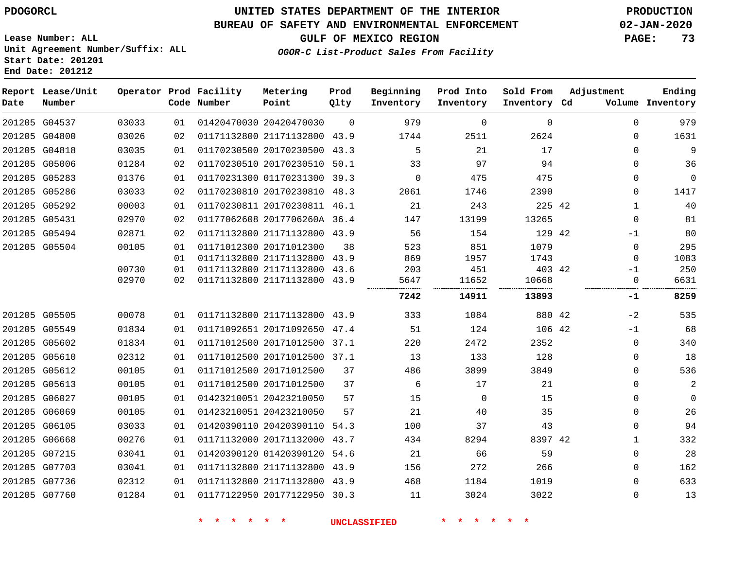#### **BUREAU OF SAFETY AND ENVIRONMENTAL ENFORCEMENT 02-JAN-2020**

**OGOR-C List-Product Sales From Facility**

**GULF OF MEXICO REGION PAGE: 73**

**Lease Number: ALL Unit Agreement Number/Suffix: ALL Start Date: 201201 End Date: 201212**

| Date | Report Lease/Unit<br>Number |       |    | Operator Prod Facility<br>Code Number | Metering<br>Point            | Prod<br>Qlty | Beginning<br>Inventory | Prod Into<br>Inventory | Sold From<br>Inventory Cd | Adjustment   | Ending<br>Volume Inventory |
|------|-----------------------------|-------|----|---------------------------------------|------------------------------|--------------|------------------------|------------------------|---------------------------|--------------|----------------------------|
|      | 201205 G04537               | 03033 | 01 |                                       | 01420470030 20420470030      | $\Omega$     | 979                    | $\mathbf 0$            | $\mathbf 0$               | $\Omega$     | 979                        |
|      | 201205 G04800               | 03026 | 02 |                                       | 01171132800 21171132800 43.9 |              | 1744                   | 2511                   | 2624                      | $\Omega$     | 1631                       |
|      | 201205 G04818               | 03035 | 01 |                                       | 01170230500 20170230500      | 43.3         | 5                      | 21                     | 17                        | $\Omega$     | 9                          |
|      | 201205 G05006               | 01284 | 02 |                                       | 01170230510 20170230510 50.1 |              | 33                     | 97                     | 94                        | 0            | 36                         |
|      | 201205 G05283               | 01376 | 01 |                                       | 01170231300 01170231300 39.3 |              | 0                      | 475                    | 475                       | $\Omega$     | $\mathbf 0$                |
|      | 201205 G05286               | 03033 | 02 |                                       | 01170230810 20170230810 48.3 |              | 2061                   | 1746                   | 2390                      | 0            | 1417                       |
|      | 201205 G05292               | 00003 | 01 |                                       | 01170230811 20170230811 46.1 |              | 21                     | 243                    | 225 42                    | $\mathbf{1}$ | 40                         |
|      | 201205 G05431               | 02970 | 02 |                                       | 01177062608 2017706260A 36.4 |              | 147                    | 13199                  | 13265                     | $\Omega$     | 81                         |
|      | 201205 G05494               | 02871 | 02 |                                       | 01171132800 21171132800 43.9 |              | 56                     | 154                    | 129 42                    | -1           | 80                         |
|      | 201205 G05504               | 00105 | 01 |                                       | 01171012300 20171012300      | 38           | 523                    | 851                    | 1079                      | $\mathbf 0$  | 295                        |
|      |                             |       | 01 |                                       | 01171132800 21171132800 43.9 |              | 869                    | 1957                   | 1743                      | $\mathbf 0$  | 1083                       |
|      |                             | 00730 | 01 |                                       | 01171132800 21171132800      | 43.6         | 203                    | 451                    | 403 42                    | -1           | 250                        |
|      |                             | 02970 | 02 |                                       | 01171132800 21171132800 43.9 |              | 5647                   | 11652                  | 10668                     | 0            | 6631                       |
|      |                             |       |    |                                       |                              |              | 7242                   | 14911                  | 13893                     | -1           | 8259                       |
|      | 201205 G05505               | 00078 | 01 |                                       | 01171132800 21171132800 43.9 |              | 333                    | 1084                   | 880 42                    | $-2$         | 535                        |
|      | 201205 G05549               | 01834 | 01 |                                       | 01171092651 20171092650      | 47.4         | 51                     | 124                    | 106 42                    | $-1$         | 68                         |
|      | 201205 G05602               | 01834 | 01 |                                       | 01171012500 20171012500 37.1 |              | 220                    | 2472                   | 2352                      | $\mathbf 0$  | 340                        |
|      | 201205 G05610               | 02312 | 01 |                                       | 01171012500 20171012500 37.1 |              | 13                     | 133                    | 128                       | $\Omega$     | 18                         |
|      | 201205 G05612               | 00105 | 01 |                                       | 01171012500 20171012500      | 37           | 486                    | 3899                   | 3849                      | $\mathbf 0$  | 536                        |
|      | 201205 G05613               | 00105 | 01 |                                       | 01171012500 20171012500      | 37           | 6                      | 17                     | 21                        | 0            | $\mathbf{2}$               |
|      | 201205 G06027               | 00105 | 01 |                                       | 01423210051 20423210050      | 57           | 15                     | $\mathbf 0$            | 15                        | 0            | $\mathbf 0$                |
|      | 201205 G06069               | 00105 | 01 |                                       | 01423210051 20423210050      | 57           | 21                     | 40                     | 35                        | $\Omega$     | 26                         |
|      | 201205 G06105               | 03033 | 01 |                                       | 01420390110 20420390110 54.3 |              | 100                    | 37                     | 43                        | $\Omega$     | 94                         |
|      | 201205 G06668               | 00276 | 01 |                                       | 01171132000 20171132000 43.7 |              | 434                    | 8294                   | 8397 42                   | 1            | 332                        |
|      | 201205 G07215               | 03041 | 01 |                                       | 01420390120 01420390120 54.6 |              | 21                     | 66                     | 59                        | 0            | 28                         |
|      | 201205 G07703               | 03041 | 01 |                                       | 01171132800 21171132800 43.9 |              | 156                    | 272                    | 266                       | 0            | 162                        |
|      | 201205 G07736               | 02312 | 01 |                                       | 01171132800 21171132800 43.9 |              | 468                    | 1184                   | 1019                      | 0            | 633                        |
|      | 201205 G07760               | 01284 | 01 |                                       | 01177122950 20177122950 30.3 |              | 11                     | 3024                   | 3022                      | $\Omega$     | 13                         |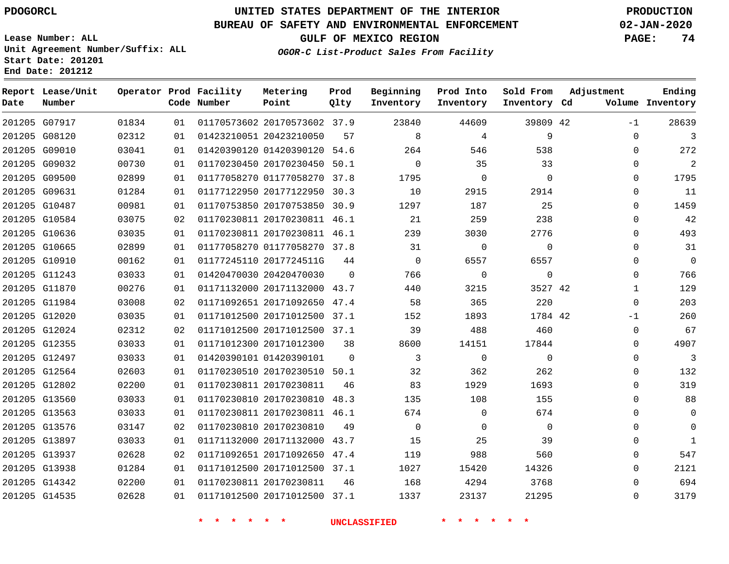#### **BUREAU OF SAFETY AND ENVIRONMENTAL ENFORCEMENT 02-JAN-2020**

**Lease Number: ALL Unit Agreement Number/Suffix: ALL Start Date: 201201**

**OGOR-C List-Product Sales From Facility**

**GULF OF MEXICO REGION PAGE: 74**

**End Date: 201212**

| Date | Report Lease/Unit<br>Number |       |    | Operator Prod Facility<br>Code Number | Metering<br>Point            | Prod<br>Qlty | Beginning<br>Inventory | Prod Into<br>Inventory | Sold From<br>Inventory Cd | Adjustment   | Ending<br>Volume Inventory |
|------|-----------------------------|-------|----|---------------------------------------|------------------------------|--------------|------------------------|------------------------|---------------------------|--------------|----------------------------|
|      | 201205 G07917               | 01834 | 01 |                                       | 01170573602 20170573602 37.9 |              | 23840                  | 44609                  | 39809 42                  | $-1$         | 28639                      |
|      | 201205 G08120               | 02312 | 01 |                                       | 01423210051 20423210050      | 57           | 8                      | 4                      | 9                         | 0            | 3                          |
|      | 201205 G09010               | 03041 | 01 |                                       | 01420390120 01420390120 54.6 |              | 264                    | 546                    | 538                       | $\Omega$     | 272                        |
|      | 201205 G09032               | 00730 | 01 |                                       | 01170230450 20170230450 50.1 |              | $\Omega$               | 35                     | 33                        | $\Omega$     | $\overline{2}$             |
|      | 201205 G09500               | 02899 | 01 |                                       | 01177058270 01177058270 37.8 |              | 1795                   | $\mathbf 0$            | $\mathbf 0$               | 0            | 1795                       |
|      | 201205 G09631               | 01284 | 01 |                                       | 01177122950 20177122950 30.3 |              | 10                     | 2915                   | 2914                      | $\Omega$     | 11                         |
|      | 201205 G10487               | 00981 | 01 |                                       | 01170753850 20170753850      | 30.9         | 1297                   | 187                    | 25                        | 0            | 1459                       |
|      | 201205 G10584               | 03075 | 02 |                                       | 01170230811 20170230811 46.1 |              | 21                     | 259                    | 238                       | $\Omega$     | 42                         |
|      | 201205 G10636               | 03035 | 01 |                                       | 01170230811 20170230811 46.1 |              | 239                    | 3030                   | 2776                      | $\Omega$     | 493                        |
|      | 201205 G10665               | 02899 | 01 |                                       | 01177058270 01177058270 37.8 |              | 31                     | 0                      | $\mathbf 0$               | 0            | 31                         |
|      | 201205 G10910               | 00162 | 01 |                                       | 01177245110 2017724511G      | 44           | $\Omega$               | 6557                   | 6557                      | $\Omega$     | $\mathbf{0}$               |
|      | 201205 G11243               | 03033 | 01 |                                       | 01420470030 20420470030      | 0            | 766                    | 0                      | $\mathbf 0$               | 0            | 766                        |
|      | 201205 G11870               | 00276 | 01 |                                       | 01171132000 20171132000 43.7 |              | 440                    | 3215                   | 3527 42                   | $\mathbf{1}$ | 129                        |
|      | 201205 G11984               | 03008 | 02 |                                       | 01171092651 20171092650 47.4 |              | 58                     | 365                    | 220                       | $\mathbf 0$  | 203                        |
|      | 201205 G12020               | 03035 | 01 |                                       | 01171012500 20171012500 37.1 |              | 152                    | 1893                   | 1784 42                   | $-1$         | 260                        |
|      | 201205 G12024               | 02312 | 02 |                                       | 01171012500 20171012500 37.1 |              | 39                     | 488                    | 460                       | $\mathbf 0$  | 67                         |
|      | 201205 G12355               | 03033 | 01 |                                       | 01171012300 20171012300      | 38           | 8600                   | 14151                  | 17844                     | 0            | 4907                       |
|      | 201205 G12497               | 03033 | 01 |                                       | 01420390101 01420390101      | $\Omega$     | 3                      | $\mathbf 0$            | $\Omega$                  | $\mathbf 0$  | 3                          |
|      | 201205 G12564               | 02603 | 01 |                                       | 01170230510 20170230510 50.1 |              | 32                     | 362                    | 262                       | $\Omega$     | 132                        |
|      | 201205 G12802               | 02200 | 01 |                                       | 01170230811 20170230811      | 46           | 83                     | 1929                   | 1693                      | $\mathbf 0$  | 319                        |
|      | 201205 G13560               | 03033 | 01 |                                       | 01170230810 20170230810 48.3 |              | 135                    | 108                    | 155                       | $\Omega$     | 88                         |
|      | 201205 G13563               | 03033 | 01 |                                       | 01170230811 20170230811 46.1 |              | 674                    | $\mathbf 0$            | 674                       | $\mathbf 0$  | $\mathbf 0$                |
|      | 201205 G13576               | 03147 | 02 |                                       | 01170230810 20170230810      | 49           | $\Omega$               | 0                      | $\Omega$                  | 0            | $\Omega$                   |
|      | 201205 G13897               | 03033 | 01 |                                       | 01171132000 20171132000 43.7 |              | 15                     | 25                     | 39                        | 0            | $\mathbf{1}$               |
|      | 201205 G13937               | 02628 | 02 |                                       | 01171092651 20171092650 47.4 |              | 119                    | 988                    | 560                       | 0            | 547                        |
|      | 201205 G13938               | 01284 | 01 |                                       | 01171012500 20171012500 37.1 |              | 1027                   | 15420                  | 14326                     | $\Omega$     | 2121                       |
|      | 201205 G14342               | 02200 | 01 |                                       | 01170230811 20170230811      | 46           | 168                    | 4294                   | 3768                      | $\mathbf 0$  | 694                        |
|      | 201205 G14535               | 02628 | 01 |                                       | 01171012500 20171012500 37.1 |              | 1337                   | 23137                  | 21295                     | $\Omega$     | 3179                       |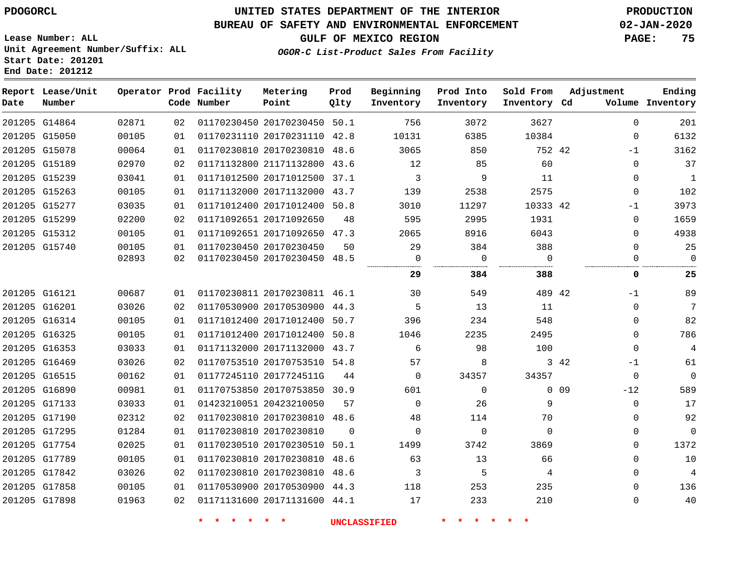**Lease Number: ALL**

**Start Date: 201201**

### **UNITED STATES DEPARTMENT OF THE INTERIOR PDOGORCL PRODUCTION**

#### **BUREAU OF SAFETY AND ENVIRONMENTAL ENFORCEMENT 02-JAN-2020**

**Unit Agreement Number/Suffix: ALL**

**GULF OF MEXICO REGION PAGE: 75**

**OGOR-C List-Product Sales From Facility**

|      | End Date: 201212            |       |    |                                       |                              |              |                        |                        |                           |                          |                            |
|------|-----------------------------|-------|----|---------------------------------------|------------------------------|--------------|------------------------|------------------------|---------------------------|--------------------------|----------------------------|
| Date | Report Lease/Unit<br>Number |       |    | Operator Prod Facility<br>Code Number | Metering<br>Point            | Prod<br>Qlty | Beginning<br>Inventory | Prod Into<br>Inventory | Sold From<br>Inventory Cd | Adjustment               | Ending<br>Volume Inventory |
|      | 201205 G14864               | 02871 | 02 |                                       | 01170230450 20170230450 50.1 |              | 756                    | 3072                   | 3627                      | $\mathbf{0}$             | 201                        |
|      | 201205 G15050               | 00105 | 01 |                                       | 01170231110 20170231110      | 42.8         | 10131                  | 6385                   | 10384                     | $\mathbf{0}$             | 6132                       |
|      | 201205 G15078               | 00064 | 01 |                                       | 01170230810 20170230810 48.6 |              | 3065                   | 850                    | 752 42                    | $-1$                     | 3162                       |
|      | 201205 G15189               | 02970 | 02 |                                       | 01171132800 21171132800      | 43.6         | 12                     | 85                     | 60                        | $\mathbf 0$              | 37                         |
|      | 201205 G15239               | 03041 | 01 |                                       | 01171012500 20171012500      | 37.1         | 3                      | 9                      | 11                        | $\Omega$                 | $\mathbf{1}$               |
|      | 201205 G15263               | 00105 | 01 |                                       | 01171132000 20171132000      | 43.7         | 139                    | 2538                   | 2575                      | $\Omega$                 | 102                        |
|      | 201205 G15277               | 03035 | 01 |                                       | 01171012400 20171012400      | 50.8         | 3010                   | 11297                  | 10333 42                  | -1                       | 3973                       |
|      | 201205 G15299               | 02200 | 02 |                                       | 01171092651 20171092650      | 48           | 595                    | 2995                   | 1931                      | $\Omega$                 | 1659                       |
|      | 201205 G15312               | 00105 | 01 |                                       | 01171092651 20171092650 47.3 |              | 2065                   | 8916                   | 6043                      | $\Omega$                 | 4938                       |
|      | 201205 G15740               | 00105 | 01 |                                       | 01170230450 20170230450      | 50           | 29                     | 384                    | 388                       | $\mathbf 0$              | 25                         |
|      |                             | 02893 | 02 |                                       | 01170230450 20170230450      | 48.5         | 0                      | $\mathbf 0$<br>        | $\Omega$<br>              | $\Omega$                 | $\mathbf 0$<br>            |
|      |                             |       |    |                                       |                              |              | 29                     | 384                    | 388                       | 0                        | 25                         |
|      | 201205 G16121               | 00687 | 01 |                                       | 01170230811 20170230811 46.1 |              | 30                     | 549                    | 489 42                    | $-1$                     | 89                         |
|      | 201205 G16201               | 03026 | 02 |                                       | 01170530900 20170530900      | 44.3         | 5                      | 13                     | 11                        | $\Omega$                 | 7                          |
|      | 201205 G16314               | 00105 | 01 |                                       | 01171012400 20171012400      | 50.7         | 396                    | 234                    | 548                       | $\mathbf{0}$             | 82                         |
|      | 201205 G16325               | 00105 | 01 |                                       | 01171012400 20171012400      | 50.8         | 1046                   | 2235                   | 2495                      | $\Omega$                 | 786                        |
|      | 201205 G16353               | 03033 | 01 |                                       | 01171132000 20171132000      | 43.7         | 6                      | 98                     | 100                       | $\mathbf 0$              | 4                          |
|      | 201205 G16469               | 03026 | 02 |                                       | 01170753510 20170753510 54.8 |              | 57                     | 8                      |                           | 3 42<br>$-1$             | 61                         |
|      | 201205 G16515               | 00162 | 01 |                                       | 01177245110 2017724511G      | 44           | $\mathbf 0$            | 34357                  | 34357                     | $\Omega$                 | $\Omega$                   |
|      | 201205 G16890               | 00981 | 01 |                                       | 01170753850 20170753850 30.9 |              | 601                    | $\mathbf{0}$           |                           | 0 <sub>09</sub><br>$-12$ | 589                        |
|      | 201205 G17133               | 03033 | 01 |                                       | 01423210051 20423210050      | 57           | $\Omega$               | 26                     | 9                         | $\Omega$                 | 17                         |
|      | 201205 G17190               | 02312 | 02 |                                       | 01170230810 20170230810 48.6 |              | 48                     | 114                    | 70                        | 0                        | 92                         |
|      | 201205 G17295               | 01284 | 01 |                                       | 01170230810 20170230810      | $\Omega$     | $\mathbf 0$            | $\mathbf 0$            | $\mathbf 0$               | $\mathsf 0$              | 0                          |
|      | 201205 G17754               | 02025 | 01 |                                       | 01170230510 20170230510      | 50.1         | 1499                   | 3742                   | 3869                      | 0                        | 1372                       |
|      | 201205 G17789               | 00105 | 01 |                                       | 01170230810 20170230810      | 48.6         | 63                     | 13                     | 66                        | 0                        | 10                         |
|      | 201205 G17842               | 03026 | 02 |                                       | 01170230810 20170230810      | 48.6         | 3                      | 5                      | 4                         | $\Omega$                 | $\overline{4}$             |
|      | 201205 G17858               | 00105 | 01 |                                       | 01170530900 20170530900      | 44.3         | 118                    | 253                    | 235                       | $\Omega$                 | 136                        |
|      | 201205 G17898               | 01963 | 02 |                                       | 01171131600 20171131600 44.1 |              | 17                     | 233                    | 210                       | $\mathbf{0}$             | 40                         |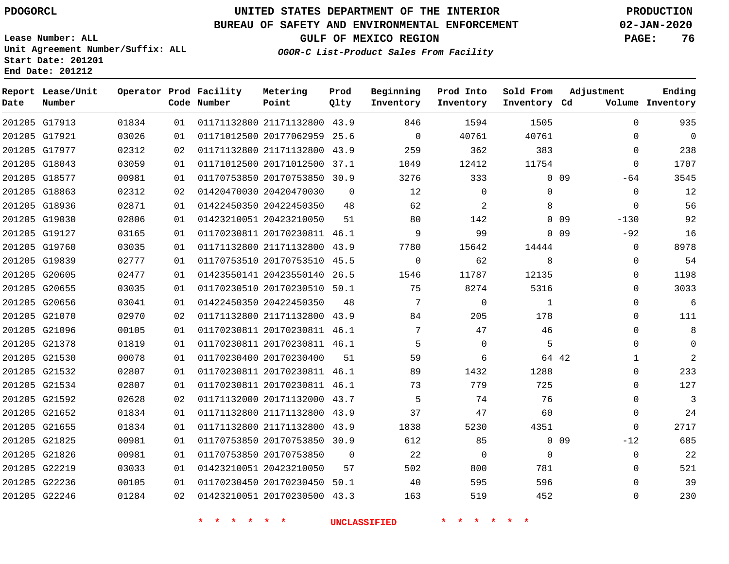#### **BUREAU OF SAFETY AND ENVIRONMENTAL ENFORCEMENT 02-JAN-2020**

**Lease Number: ALL Unit Agreement Number/Suffix: ALL Start Date: 201201**

**End Date: 201212**

**GULF OF MEXICO REGION PAGE: 76**

**OGOR-C List-Product Sales From Facility**

| Date | Report Lease/Unit<br>Number |       |    | Operator Prod Facility<br>Code Number | Metering<br>Point            | Prod<br>Qlty | Beginning<br>Inventory | Prod Into<br>Inventory | Sold From<br>Inventory Cd | Adjustment                | Ending<br>Volume Inventory |
|------|-----------------------------|-------|----|---------------------------------------|------------------------------|--------------|------------------------|------------------------|---------------------------|---------------------------|----------------------------|
|      | 201205 G17913               | 01834 | 01 |                                       | 01171132800 21171132800 43.9 |              | 846                    | 1594                   | 1505                      | $\mathbf 0$               | 935                        |
|      | 201205 G17921               | 03026 | 01 |                                       | 01171012500 20177062959 25.6 |              | $\Omega$               | 40761                  | 40761                     | $\Omega$                  | $\mathsf{O}$               |
|      | 201205 G17977               | 02312 | 02 |                                       | 01171132800 21171132800      | 43.9         | 259                    | 362                    | 383                       | $\Omega$                  | 238                        |
|      | 201205 G18043               | 03059 | 01 |                                       | 01171012500 20171012500      | 37.1         | 1049                   | 12412                  | 11754                     | $\Omega$                  | 1707                       |
|      | 201205 G18577               | 00981 | 01 |                                       | 01170753850 20170753850      | 30.9         | 3276                   | 333                    |                           | 0 <sub>09</sub><br>-64    | 3545                       |
|      | 201205 G18863               | 02312 | 02 |                                       | 01420470030 20420470030      | $\Omega$     | 12                     | $\mathbf 0$            | $\mathbf 0$               | $\mathbf 0$               | 12                         |
|      | 201205 G18936               | 02871 | 01 |                                       | 01422450350 20422450350      | 48           | 62                     | 2                      | 8                         | $\mathbf 0$               | 56                         |
|      | 201205 G19030               | 02806 | 01 |                                       | 01423210051 20423210050      | 51           | 80                     | 142                    |                           | $-130$<br>0 <sub>09</sub> | 92                         |
|      | 201205 G19127               | 03165 | 01 |                                       | 01170230811 20170230811 46.1 |              | 9                      | 99                     |                           | 0 <sub>09</sub><br>$-92$  | 16                         |
|      | 201205 G19760               | 03035 | 01 |                                       | 01171132800 21171132800 43.9 |              | 7780                   | 15642                  | 14444                     | 0                         | 8978                       |
|      | 201205 G19839               | 02777 | 01 |                                       | 01170753510 20170753510 45.5 |              | $\mathbf 0$            | 62                     | 8                         | $\mathbf 0$               | 54                         |
|      | 201205 G20605               | 02477 | 01 |                                       | 01423550141 20423550140      | 26.5         | 1546                   | 11787                  | 12135                     | $\mathbf 0$               | 1198                       |
|      | 201205 G20655               | 03035 | 01 |                                       | 01170230510 20170230510 50.1 |              | 75                     | 8274                   | 5316                      | $\Omega$                  | 3033                       |
|      | 201205 G20656               | 03041 | 01 |                                       | 01422450350 20422450350      | 48           | $7\phantom{.0}$        | 0                      | $\mathbf{1}$              | $\Omega$                  | 6                          |
|      | 201205 G21070               | 02970 | 02 |                                       | 01171132800 21171132800 43.9 |              | 84                     | 205                    | 178                       | $\Omega$                  | 111                        |
|      | 201205 G21096               | 00105 | 01 |                                       | 01170230811 20170230811 46.1 |              | 7                      | 47                     | 46                        | $\mathbf 0$               | 8                          |
|      | 201205 G21378               | 01819 | 01 |                                       | 01170230811 20170230811 46.1 |              | 5                      | $\Omega$               | 5                         | $\Omega$                  | $\Omega$                   |
|      | 201205 G21530               | 00078 | 01 |                                       | 01170230400 20170230400      | 51           | 59                     | 6                      |                           | 64 42<br>$\mathbf{1}$     | $\overline{2}$             |
|      | 201205 G21532               | 02807 | 01 |                                       | 01170230811 20170230811 46.1 |              | 89                     | 1432                   | 1288                      | $\mathbf 0$               | 233                        |
|      | 201205 G21534               | 02807 | 01 |                                       | 01170230811 20170230811 46.1 |              | 73                     | 779                    | 725                       | $\mathbf 0$               | 127                        |
|      | 201205 G21592               | 02628 | 02 |                                       | 01171132000 20171132000 43.7 |              | 5                      | 74                     | 76                        | $\mathbf 0$               | 3                          |
|      | 201205 G21652               | 01834 | 01 |                                       | 01171132800 21171132800 43.9 |              | 37                     | 47                     | 60                        | $\mathbf 0$               | 24                         |
|      | 201205 G21655               | 01834 | 01 |                                       | 01171132800 21171132800 43.9 |              | 1838                   | 5230                   | 4351                      | $\Omega$                  | 2717                       |
|      | 201205 G21825               | 00981 | 01 |                                       | 01170753850 20170753850 30.9 |              | 612                    | 85                     |                           | $0$ 09<br>$-12$           | 685                        |
|      | 201205 G21826               | 00981 | 01 |                                       | 01170753850 20170753850      | $\Omega$     | 22                     | $\mathbf 0$            | $\mathbf 0$               | $\mathbf 0$               | 22                         |
|      | 201205 G22219               | 03033 | 01 |                                       | 01423210051 20423210050      | 57           | 502                    | 800                    | 781                       | $\mathbf 0$               | 521                        |
|      | 201205 G22236               | 00105 | 01 |                                       | 01170230450 20170230450      | 50.1         | 40                     | 595                    | 596                       | $\Omega$                  | 39                         |
|      | 201205 G22246               | 01284 | 02 |                                       | 01423210051 20170230500 43.3 |              | 163                    | 519                    | 452                       | $\mathbf 0$               | 230                        |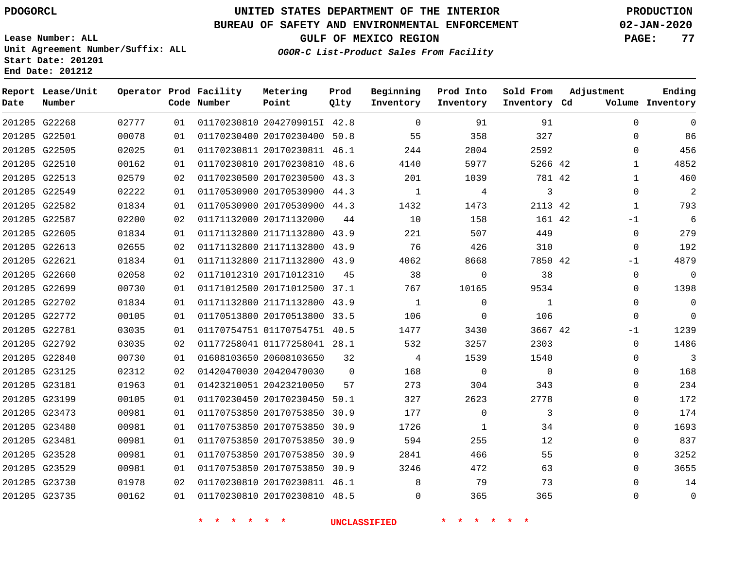#### **BUREAU OF SAFETY AND ENVIRONMENTAL ENFORCEMENT 02-JAN-2020**

**Lease Number: ALL Unit Agreement Number/Suffix: ALL Start Date: 201201**

**OGOR-C List-Product Sales From Facility**

**GULF OF MEXICO REGION PAGE: 77**

# **End Date: 201212**

| Date | Report Lease/Unit<br>Number |       |    | Operator Prod Facility<br>Code Number | Metering<br>Point            | Prod<br>Qlty | Beginning<br>Inventory | Prod Into<br>Inventory | Sold From<br>Inventory Cd | Adjustment   | Ending<br>Volume Inventory |
|------|-----------------------------|-------|----|---------------------------------------|------------------------------|--------------|------------------------|------------------------|---------------------------|--------------|----------------------------|
|      | 201205 G22268               | 02777 | 01 |                                       | 01170230810 2042709015I 42.8 |              | $\Omega$               | 91                     | 91                        | $\Omega$     | $\mathbf 0$                |
|      | 201205 G22501               | 00078 | 01 |                                       | 01170230400 20170230400 50.8 |              | 55                     | 358                    | 327                       | 0            | 86                         |
|      | 201205 G22505               | 02025 | 01 |                                       | 01170230811 20170230811 46.1 |              | 244                    | 2804                   | 2592                      | 0            | 456                        |
|      | 201205 G22510               | 00162 | 01 |                                       | 01170230810 20170230810      | 48.6         | 4140                   | 5977                   | 5266 42                   | $\mathbf{1}$ | 4852                       |
|      | 201205 G22513               | 02579 | 02 |                                       | 01170230500 20170230500 43.3 |              | 201                    | 1039                   | 781 42                    | $\mathbf{1}$ | 460                        |
|      | 201205 G22549               | 02222 | 01 |                                       | 01170530900 20170530900 44.3 |              | 1                      | 4                      | 3                         | 0            | $\overline{2}$             |
|      | 201205 G22582               | 01834 | 01 |                                       | 01170530900 20170530900 44.3 |              | 1432                   | 1473                   | 2113 42                   | $\mathbf 1$  | 793                        |
|      | 201205 G22587               | 02200 | 02 | 01171132000 20171132000               |                              | 44           | 10                     | 158                    | 161 42                    | $-1$         | 6                          |
|      | 201205 G22605               | 01834 | 01 |                                       | 01171132800 21171132800 43.9 |              | 221                    | 507                    | 449                       | 0            | 279                        |
|      | 201205 G22613               | 02655 | 02 |                                       | 01171132800 21171132800 43.9 |              | 76                     | 426                    | 310                       | 0            | 192                        |
|      | 201205 G22621               | 01834 | 01 |                                       | 01171132800 21171132800 43.9 |              | 4062                   | 8668                   | 7850 42                   | $-1$         | 4879                       |
|      | 201205 G22660               | 02058 | 02 |                                       | 01171012310 20171012310      | 45           | 38                     | $\mathbf 0$            | 38                        | 0            | $\mathbf 0$                |
|      | 201205 G22699               | 00730 | 01 |                                       | 01171012500 20171012500 37.1 |              | 767                    | 10165                  | 9534                      | $\Omega$     | 1398                       |
|      | 201205 G22702               | 01834 | 01 |                                       | 01171132800 21171132800 43.9 |              | 1                      | $\Omega$               | $\mathbf{1}$              | $\Omega$     | $\mathbf 0$                |
|      | 201205 G22772               | 00105 | 01 |                                       | 01170513800 20170513800 33.5 |              | 106                    | $\Omega$               | 106                       | $\Omega$     | $\Omega$                   |
|      | 201205 G22781               | 03035 | 01 |                                       | 01170754751 01170754751 40.5 |              | 1477                   | 3430                   | 3667 42                   | $-1$         | 1239                       |
|      | 201205 G22792               | 03035 | 02 |                                       | 01177258041 01177258041 28.1 |              | 532                    | 3257                   | 2303                      | 0            | 1486                       |
|      | 201205 G22840               | 00730 | 01 |                                       | 01608103650 20608103650      | 32           | 4                      | 1539                   | 1540                      | 0            | 3                          |
|      | 201205 G23125               | 02312 | 02 |                                       | 01420470030 20420470030      | $\mathbf 0$  | 168                    | 0                      | $\mathbf 0$               | 0            | 168                        |
|      | 201205 G23181               | 01963 | 01 |                                       | 01423210051 20423210050      | 57           | 273                    | 304                    | 343                       | 0            | 234                        |
|      | 201205 G23199               | 00105 | 01 |                                       | 01170230450 20170230450      | 50.1         | 327                    | 2623                   | 2778                      | 0            | 172                        |
|      | 201205 G23473               | 00981 | 01 |                                       | 01170753850 20170753850      | 30.9         | 177                    | $\mathbf 0$            | 3                         | 0            | 174                        |
|      | 201205 G23480               | 00981 | 01 |                                       | 01170753850 20170753850      | 30.9         | 1726                   | 1                      | 34                        | 0            | 1693                       |
|      | 201205 G23481               | 00981 | 01 |                                       | 01170753850 20170753850      | 30.9         | 594                    | 255                    | 12                        | 0            | 837                        |
|      | 201205 G23528               | 00981 | 01 |                                       | 01170753850 20170753850      | 30.9         | 2841                   | 466                    | 55                        | 0            | 3252                       |
|      | 201205 G23529               | 00981 | 01 |                                       | 01170753850 20170753850 30.9 |              | 3246                   | 472                    | 63                        | $\Omega$     | 3655                       |
|      | 201205 G23730               | 01978 | 02 |                                       | 01170230810 20170230811 46.1 |              | 8                      | 79                     | 73                        | 0            | 14                         |
|      | 201205 G23735               | 00162 | 01 |                                       | 01170230810 20170230810 48.5 |              | 0                      | 365                    | 365                       | 0            | $\mathbf 0$                |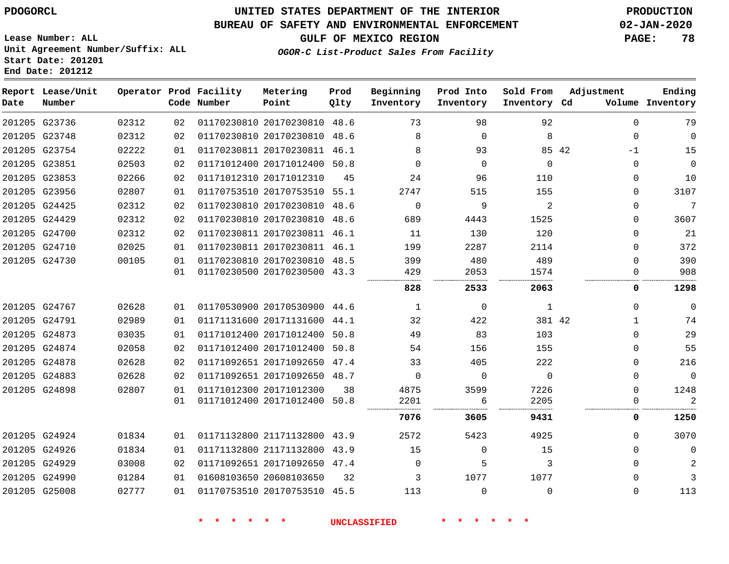#### **BUREAU OF SAFETY AND ENVIRONMENTAL ENFORCEMENT 02-JAN-2020**

**Lease Number: ALL Unit Agreement Number/Suffix: ALL Start Date: 201201 End Date: 201212**

#### **OGOR-C List-Product Sales From Facility**

**GULF OF MEXICO REGION PAGE: 78**

| Date | Report Lease/Unit<br>Number |       |    | Operator Prod Facility<br>Code Number | Metering<br>Point            | Prod<br>Qlty | Beginning<br>Inventory | Prod Into<br>Inventory | Sold From<br>Inventory Cd | Adjustment    | Ending<br>Volume Inventory |
|------|-----------------------------|-------|----|---------------------------------------|------------------------------|--------------|------------------------|------------------------|---------------------------|---------------|----------------------------|
|      | 201205 G23736               | 02312 | 02 |                                       | 01170230810 20170230810 48.6 |              | 73                     | 98                     | 92                        | $\Omega$      | 79                         |
|      | 201205 G23748               | 02312 | 02 |                                       | 01170230810 20170230810 48.6 |              | 8                      | $\Omega$               | 8                         | $\Omega$      | $\mathsf{O}$               |
|      | 201205 G23754               | 02222 | 01 |                                       | 01170230811 20170230811      | 46.1         | 8                      | 93                     |                           | 85 42<br>$-1$ | 15                         |
|      | 201205 G23851               | 02503 | 02 |                                       | 01171012400 20171012400 50.8 |              | $\Omega$               | $\Omega$               | $\Omega$                  | $\Omega$      | $\mathbf 0$                |
|      | 201205 G23853               | 02266 | 02 |                                       | 01171012310 20171012310      | 45           | 24                     | 96                     | 110                       | $\Omega$      | 10                         |
|      | 201205 G23956               | 02807 | 01 |                                       | 01170753510 20170753510 55.1 |              | 2747                   | 515                    | 155                       | $\Omega$      | 3107                       |
|      | 201205 G24425               | 02312 | 02 |                                       | 01170230810 20170230810      | 48.6         | $\Omega$               | 9                      | 2                         | $\Omega$      | 7                          |
|      | 201205 G24429               | 02312 | 02 |                                       | 01170230810 20170230810      | 48.6         | 689                    | 4443                   | 1525                      | $\Omega$      | 3607                       |
|      | 201205 G24700               | 02312 | 02 |                                       | 01170230811 20170230811      | 46.1         | 11                     | 130                    | 120                       | $\Omega$      | 21                         |
|      | 201205 G24710               | 02025 | 01 |                                       | 01170230811 20170230811 46.1 |              | 199                    | 2287                   | 2114                      | $\Omega$      | 372                        |
|      | 201205 G24730               | 00105 | 01 |                                       | 01170230810 20170230810      | 48.5         | 399                    | 480                    | 489                       | $\Omega$      | 390                        |
|      |                             |       | 01 |                                       | 01170230500 20170230500 43.3 |              | 429                    | 2053                   | 1574                      | $\Omega$      | 908                        |
|      |                             |       |    |                                       |                              |              | 828                    | 2533                   | 2063                      | 0             | 1298                       |
|      | 201205 G24767               | 02628 | 01 |                                       | 01170530900 20170530900 44.6 |              | 1                      | 0                      | 1                         | $\Omega$      | $\mathbf 0$                |
|      | 201205 G24791               | 02989 | 01 |                                       | 01171131600 20171131600      | 44.1         | 32                     | 422                    | 381 42                    | 1             | 74                         |
|      | 201205 G24873               | 03035 | 01 |                                       | 01171012400 20171012400      | 50.8         | 49                     | 83                     | 103                       | $\Omega$      | 29                         |
|      | 201205 G24874               | 02058 | 02 |                                       | 01171012400 20171012400      | 50.8         | 54                     | 156                    | 155                       | $\Omega$      | 55                         |
|      | 201205 G24878               | 02628 | 02 |                                       | 01171092651 20171092650      | 47.4         | 33                     | 405                    | 222                       | $\Omega$      | 216                        |
|      | 201205 G24883               | 02628 | 02 |                                       | 01171092651 20171092650 48.7 |              | $\Omega$               | $\Omega$               | $\Omega$                  | $\Omega$      | $\mathbf 0$                |
|      | 201205 G24898               | 02807 | 01 |                                       | 01171012300 20171012300      | 38           | 4875                   | 3599                   | 7226                      | $\mathbf{0}$  | 1248                       |
|      |                             |       | 01 |                                       | 01171012400 20171012400 50.8 |              | 2201                   | 6                      | 2205                      | 0             | $\overline{2}$             |
|      |                             |       |    |                                       |                              |              | 7076                   | 3605                   | 9431                      | 0             | 1250                       |
|      | 201205 G24924               | 01834 | 01 |                                       | 01171132800 21171132800 43.9 |              | 2572                   | 5423                   | 4925                      | $\Omega$      | 3070                       |
|      | 201205 G24926               | 01834 | 01 |                                       | 01171132800 21171132800      | 43.9         | 15                     | $\mathbf 0$            | 15                        | $\Omega$      | $\mathbf 0$                |
|      | 201205 G24929               | 03008 | 02 |                                       | 01171092651 20171092650 47.4 |              | $\Omega$               | 5                      | 3                         | $\Omega$      | 2                          |
|      | 201205 G24990               | 01284 | 01 |                                       | 01608103650 20608103650      | 32           | 3                      | 1077                   | 1077                      | $\Omega$      | 3                          |
|      | 201205 G25008               | 02777 | 01 |                                       | 01170753510 20170753510 45.5 |              | 113                    | $\Omega$               | $\Omega$                  | $\Omega$      | 113                        |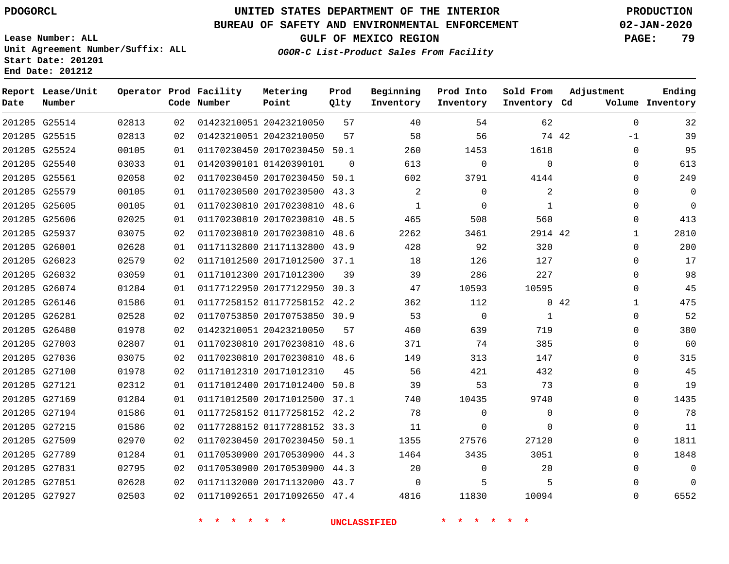**Report Date**

### **UNITED STATES DEPARTMENT OF THE INTERIOR PDOGORCL PRODUCTION**

#### **BUREAU OF SAFETY AND ENVIRONMENTAL ENFORCEMENT 02-JAN-2020**

**Lease Number: ALL Unit Agreement Number/Suffix: ALL Start Date: 201201 End Date: 201212**

**OGOR-C List-Product Sales From Facility**

**GULF OF MEXICO REGION PAGE: 79**

**Ending Inventory**

|       |                 | Metering                              | Prod                                                                                                                                                                    | Beginning                                                                                                                                                                                                                                                                                                                                                                                                                                                                                                                                                                                                                                                                                                                            | Prod Into   | Sold From    | Adjustment                              |
|-------|-----------------|---------------------------------------|-------------------------------------------------------------------------------------------------------------------------------------------------------------------------|--------------------------------------------------------------------------------------------------------------------------------------------------------------------------------------------------------------------------------------------------------------------------------------------------------------------------------------------------------------------------------------------------------------------------------------------------------------------------------------------------------------------------------------------------------------------------------------------------------------------------------------------------------------------------------------------------------------------------------------|-------------|--------------|-----------------------------------------|
|       |                 |                                       |                                                                                                                                                                         |                                                                                                                                                                                                                                                                                                                                                                                                                                                                                                                                                                                                                                                                                                                                      |             |              | Volume                                  |
| 02813 | 02              |                                       | 57                                                                                                                                                                      | 40                                                                                                                                                                                                                                                                                                                                                                                                                                                                                                                                                                                                                                                                                                                                   | 54          | 62           | $\mathbf 0$                             |
| 02813 | 02              |                                       | 57                                                                                                                                                                      | 58                                                                                                                                                                                                                                                                                                                                                                                                                                                                                                                                                                                                                                                                                                                                   | 56          |              | $-1$                                    |
| 00105 | 01              |                                       |                                                                                                                                                                         | 260                                                                                                                                                                                                                                                                                                                                                                                                                                                                                                                                                                                                                                                                                                                                  | 1453        | 1618         | $\mathbf 0$                             |
| 03033 | 01              |                                       | $\mathbf 0$                                                                                                                                                             | 613                                                                                                                                                                                                                                                                                                                                                                                                                                                                                                                                                                                                                                                                                                                                  | $\mathbf 0$ | $\mathbf 0$  | $\mathbf 0$                             |
| 02058 | 02              |                                       |                                                                                                                                                                         | 602                                                                                                                                                                                                                                                                                                                                                                                                                                                                                                                                                                                                                                                                                                                                  | 3791        | 4144         | 0                                       |
| 00105 | 01              |                                       |                                                                                                                                                                         | $\overline{a}$                                                                                                                                                                                                                                                                                                                                                                                                                                                                                                                                                                                                                                                                                                                       | 0           | 2            | 0                                       |
| 00105 | 01              |                                       |                                                                                                                                                                         | $\mathbf{1}$                                                                                                                                                                                                                                                                                                                                                                                                                                                                                                                                                                                                                                                                                                                         | $\mathbf 0$ | $\mathbf{1}$ | $\Omega$                                |
| 02025 | 01              |                                       |                                                                                                                                                                         | 465                                                                                                                                                                                                                                                                                                                                                                                                                                                                                                                                                                                                                                                                                                                                  | 508         | 560          | $\Omega$                                |
| 03075 | 02              |                                       |                                                                                                                                                                         | 2262                                                                                                                                                                                                                                                                                                                                                                                                                                                                                                                                                                                                                                                                                                                                 | 3461        |              | $\mathbf 1$                             |
| 02628 | 01              |                                       |                                                                                                                                                                         | 428                                                                                                                                                                                                                                                                                                                                                                                                                                                                                                                                                                                                                                                                                                                                  | 92          | 320          | $\Omega$                                |
| 02579 | 02              |                                       |                                                                                                                                                                         | 18                                                                                                                                                                                                                                                                                                                                                                                                                                                                                                                                                                                                                                                                                                                                   | 126         | 127          | $\Omega$                                |
| 03059 | 01              |                                       | 39                                                                                                                                                                      | 39                                                                                                                                                                                                                                                                                                                                                                                                                                                                                                                                                                                                                                                                                                                                   | 286         | 227          | $\Omega$                                |
| 01284 | 01              |                                       |                                                                                                                                                                         | 47                                                                                                                                                                                                                                                                                                                                                                                                                                                                                                                                                                                                                                                                                                                                   | 10593       | 10595        | $\Omega$                                |
| 01586 | 01              |                                       |                                                                                                                                                                         | 362                                                                                                                                                                                                                                                                                                                                                                                                                                                                                                                                                                                                                                                                                                                                  | 112         |              | $\mathbf{1}$                            |
| 02528 | 02              |                                       |                                                                                                                                                                         | 53                                                                                                                                                                                                                                                                                                                                                                                                                                                                                                                                                                                                                                                                                                                                   | $\mathbf 0$ | 1            | $\Omega$                                |
| 01978 | 02              |                                       | 57                                                                                                                                                                      | 460                                                                                                                                                                                                                                                                                                                                                                                                                                                                                                                                                                                                                                                                                                                                  | 639         | 719          | $\Omega$                                |
| 02807 | 01              |                                       |                                                                                                                                                                         | 371                                                                                                                                                                                                                                                                                                                                                                                                                                                                                                                                                                                                                                                                                                                                  | 74          | 385          | 0                                       |
| 03075 | 02              |                                       |                                                                                                                                                                         | 149                                                                                                                                                                                                                                                                                                                                                                                                                                                                                                                                                                                                                                                                                                                                  | 313         | 147          | 0                                       |
| 01978 | 02              |                                       | 45                                                                                                                                                                      | 56                                                                                                                                                                                                                                                                                                                                                                                                                                                                                                                                                                                                                                                                                                                                   | 421         | 432          | $\Omega$                                |
| 02312 | 01              |                                       |                                                                                                                                                                         | 39                                                                                                                                                                                                                                                                                                                                                                                                                                                                                                                                                                                                                                                                                                                                   | 53          | 73           | $\Omega$                                |
| 01284 | 01              |                                       |                                                                                                                                                                         | 740                                                                                                                                                                                                                                                                                                                                                                                                                                                                                                                                                                                                                                                                                                                                  | 10435       | 9740         | $\Omega$                                |
| 01586 | 01              |                                       |                                                                                                                                                                         | 78                                                                                                                                                                                                                                                                                                                                                                                                                                                                                                                                                                                                                                                                                                                                   | 0           | $\mathbf{0}$ | $\Omega$                                |
| 01586 | 02              |                                       |                                                                                                                                                                         | 11                                                                                                                                                                                                                                                                                                                                                                                                                                                                                                                                                                                                                                                                                                                                   | 0           | $\mathbf 0$  | $\Omega$                                |
| 02970 | 02              |                                       |                                                                                                                                                                         | 1355                                                                                                                                                                                                                                                                                                                                                                                                                                                                                                                                                                                                                                                                                                                                 | 27576       | 27120        | $\Omega$                                |
| 01284 | 01              |                                       |                                                                                                                                                                         | 1464                                                                                                                                                                                                                                                                                                                                                                                                                                                                                                                                                                                                                                                                                                                                 | 3435        | 3051         | 0                                       |
| 02795 | 02              |                                       |                                                                                                                                                                         | 20                                                                                                                                                                                                                                                                                                                                                                                                                                                                                                                                                                                                                                                                                                                                   | $\mathbf 0$ | 20           | $\Omega$                                |
| 02628 | 02              |                                       |                                                                                                                                                                         | 0                                                                                                                                                                                                                                                                                                                                                                                                                                                                                                                                                                                                                                                                                                                                    | 5           | 5            | $\Omega$                                |
| 02503 | 02 <sub>o</sub> |                                       |                                                                                                                                                                         | 4816                                                                                                                                                                                                                                                                                                                                                                                                                                                                                                                                                                                                                                                                                                                                 | 11830       | 10094        | 0                                       |
|       |                 | Operator Prod Facility<br>Code Number | Point<br>01423210051 20423210050<br>01423210051 20423210050<br>01420390101 01420390101<br>01171012300 20171012300<br>01423210051 20423210050<br>01171012310 20171012310 | Qlty<br>01170230450 20170230450 50.1<br>01170230450 20170230450 50.1<br>01170230500 20170230500 43.3<br>01170230810 20170230810 48.6<br>01170230810 20170230810 48.5<br>01170230810 20170230810 48.6<br>01171132800 21171132800 43.9<br>01171012500 20171012500 37.1<br>01177122950 20177122950 30.3<br>01177258152 01177258152 42.2<br>01170753850 20170753850 30.9<br>01170230810 20170230810 48.6<br>01170230810 20170230810 48.6<br>01171012400 20171012400 50.8<br>01171012500 20171012500 37.1<br>01177258152 01177258152 42.2<br>01177288152 01177288152 33.3<br>01170230450 20170230450 50.1<br>01170530900 20170530900 44.3<br>01170530900 20170530900 44.3<br>01171132000 20171132000 43.7<br>01171092651 20171092650 47.4 | Inventory   | Inventory    | Inventory Cd<br>74 42<br>2914 42<br>042 |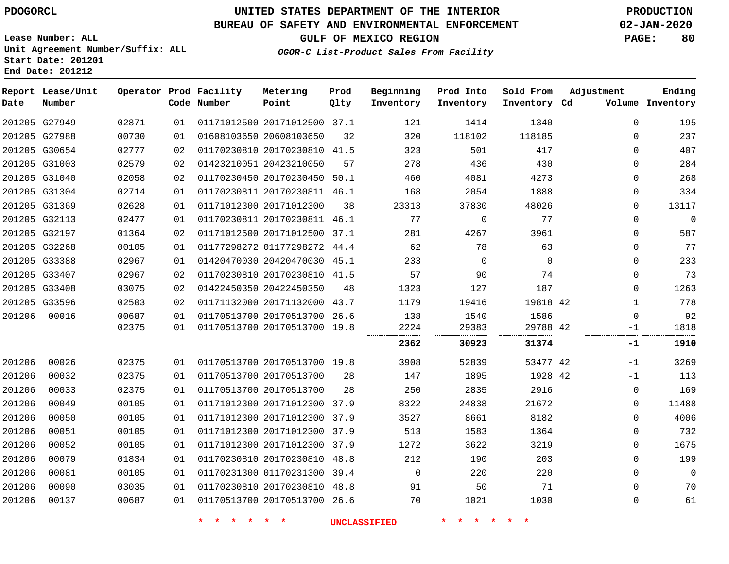#### **BUREAU OF SAFETY AND ENVIRONMENTAL ENFORCEMENT 02-JAN-2020**

**OGOR-C List-Product Sales From Facility**

**GULF OF MEXICO REGION PAGE: 80**

**Lease Number: ALL Unit Agreement Number/Suffix: ALL Start Date: 201201 End Date: 201212**

| Date   | Report Lease/Unit<br>Number |       |    | Operator Prod Facility<br>Code Number | Metering<br>Point            | Prod<br>Qlty | Beginning<br>Inventory | Prod Into<br>Inventory | Sold From<br>Inventory Cd | Adjustment  | Ending<br>Volume Inventory |
|--------|-----------------------------|-------|----|---------------------------------------|------------------------------|--------------|------------------------|------------------------|---------------------------|-------------|----------------------------|
|        | 201205 G27949               | 02871 | 01 |                                       | 01171012500 20171012500 37.1 |              | 121                    | 1414                   | 1340                      | $\Omega$    | 195                        |
|        | 201205 G27988               | 00730 | 01 |                                       | 01608103650 20608103650      | 32           | 320                    | 118102                 | 118185                    | 0           | 237                        |
|        | 201205 G30654               | 02777 | 02 |                                       | 01170230810 20170230810 41.5 |              | 323                    | 501                    | 417                       | $\mathbf 0$ | 407                        |
|        | 201205 G31003               | 02579 | 02 |                                       | 01423210051 20423210050      | 57           | 278                    | 436                    | 430                       | 0           | 284                        |
|        | 201205 G31040               | 02058 | 02 |                                       | 01170230450 20170230450 50.1 |              | 460                    | 4081                   | 4273                      | 0           | 268                        |
|        | 201205 G31304               | 02714 | 01 |                                       | 01170230811 20170230811 46.1 |              | 168                    | 2054                   | 1888                      | 0           | 334                        |
|        | 201205 G31369               | 02628 | 01 |                                       | 01171012300 20171012300      | 38           | 23313                  | 37830                  | 48026                     | $\mathbf 0$ | 13117                      |
|        | 201205 G32113               | 02477 | 01 |                                       | 01170230811 20170230811 46.1 |              | 77                     | $\mathsf{O}$           | 77                        | $\mathbf 0$ | $\mathbf 0$                |
|        | 201205 G32197               | 01364 | 02 |                                       | 01171012500 20171012500 37.1 |              | 281                    | 4267                   | 3961                      | 0           | 587                        |
|        | 201205 G32268               | 00105 | 01 |                                       | 01177298272 01177298272 44.4 |              | 62                     | 78                     | 63                        | 0           | 77                         |
|        | 201205 G33388               | 02967 | 01 |                                       | 01420470030 20420470030 45.1 |              | 233                    | $\mathbf 0$            | $\mathbf 0$               | 0           | 233                        |
|        | 201205 G33407               | 02967 | 02 |                                       | 01170230810 20170230810 41.5 |              | 57                     | 90                     | 74                        | 0           | 73                         |
|        | 201205 G33408               | 03075 | 02 |                                       | 01422450350 20422450350      | 48           | 1323                   | 127                    | 187                       | 0           | 1263                       |
|        | 201205 G33596               | 02503 | 02 |                                       | 01171132000 20171132000 43.7 |              | 1179                   | 19416                  | 19818 42                  | 1           | 778                        |
| 201206 | 00016                       | 00687 | 01 |                                       | 01170513700 20170513700 26.6 |              | 138                    | 1540                   | 1586                      | $\mathbf 0$ | 92                         |
|        |                             | 02375 | 01 |                                       | 01170513700 20170513700 19.8 |              | 2224                   | 29383                  | 29788 42                  | $-1$        | 1818                       |
|        |                             |       |    |                                       |                              |              | 2362                   | 30923                  | 31374                     | -1          | 1910                       |
| 201206 | 00026                       | 02375 | 01 |                                       | 01170513700 20170513700 19.8 |              | 3908                   | 52839                  | 53477 42                  | $-1$        | 3269                       |
| 201206 | 00032                       | 02375 | 01 |                                       | 01170513700 20170513700      | 28           | 147                    | 1895                   | 1928 42                   | $-1$        | 113                        |
| 201206 | 00033                       | 02375 | 01 |                                       | 01170513700 20170513700      | 28           | 250                    | 2835                   | 2916                      | $\mathbf 0$ | 169                        |
| 201206 | 00049                       | 00105 | 01 |                                       | 01171012300 20171012300 37.9 |              | 8322                   | 24838                  | 21672                     | 0           | 11488                      |
| 201206 | 00050                       | 00105 | 01 |                                       | 01171012300 20171012300 37.9 |              | 3527                   | 8661                   | 8182                      | 0           | 4006                       |
| 201206 | 00051                       | 00105 | 01 |                                       | 01171012300 20171012300 37.9 |              | 513                    | 1583                   | 1364                      | 0           | 732                        |
| 201206 | 00052                       | 00105 | 01 |                                       | 01171012300 20171012300 37.9 |              | 1272                   | 3622                   | 3219                      | $\mathbf 0$ | 1675                       |
| 201206 | 00079                       | 01834 | 01 |                                       | 01170230810 20170230810 48.8 |              | 212                    | 190                    | 203                       | 0           | 199                        |
| 201206 | 00081                       | 00105 | 01 |                                       | 01170231300 01170231300 39.4 |              | $\mathbf 0$            | 220                    | 220                       | $\mathbf 0$ | $\mathbf 0$                |
| 201206 | 00090                       | 03035 | 01 |                                       | 01170230810 20170230810 48.8 |              | 91                     | 50                     | 71                        | 0           | 70                         |
| 201206 | 00137                       | 00687 | 01 |                                       | 01170513700 20170513700 26.6 |              | 70                     | 1021                   | 1030                      | $\mathbf 0$ | 61                         |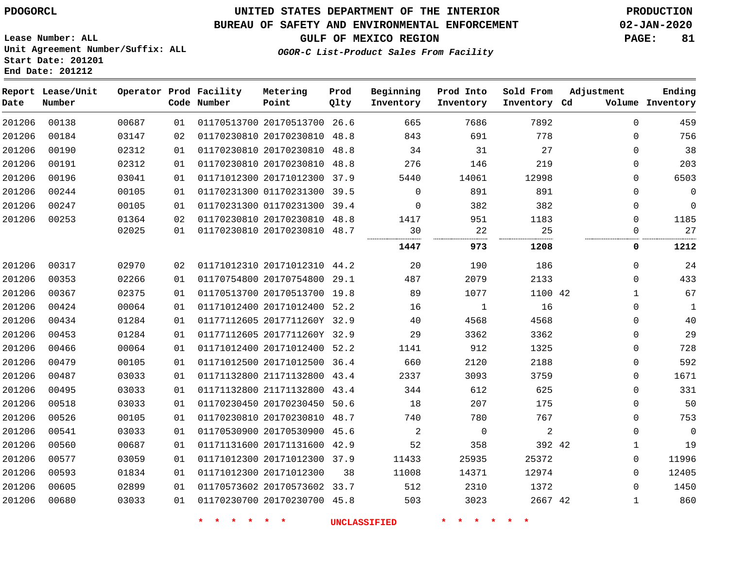**End Date: 201212**

### **UNITED STATES DEPARTMENT OF THE INTERIOR PDOGORCL PRODUCTION**

#### **BUREAU OF SAFETY AND ENVIRONMENTAL ENFORCEMENT 02-JAN-2020**

**Lease Number: ALL Unit Agreement Number/Suffix: ALL Start Date: 201201**

#### **GULF OF MEXICO REGION PAGE: 81**

**OGOR-C List-Product Sales From Facility**

| Date   | Report Lease/Unit<br>Number |       |    | Operator Prod Facility<br>Code Number | Metering<br>Point            | Prod<br>Qlty | Beginning<br>Inventory | Prod Into<br>Inventory | Sold From<br>Inventory Cd | Adjustment   | Ending<br>Volume Inventory |
|--------|-----------------------------|-------|----|---------------------------------------|------------------------------|--------------|------------------------|------------------------|---------------------------|--------------|----------------------------|
| 201206 | 00138                       | 00687 | 01 |                                       | 01170513700 20170513700 26.6 |              | 665                    | 7686                   | 7892                      | $\Omega$     | 459                        |
| 201206 | 00184                       | 03147 | 02 |                                       | 01170230810 20170230810 48.8 |              | 843                    | 691                    | 778                       | $\mathbf 0$  | 756                        |
| 201206 | 00190                       | 02312 | 01 |                                       | 01170230810 20170230810      | 48.8         | 34                     | 31                     | 27                        | $\mathbf 0$  | 38                         |
| 201206 | 00191                       | 02312 | 01 |                                       | 01170230810 20170230810      | 48.8         | 276                    | 146                    | 219                       | $\mathbf 0$  | 203                        |
| 201206 | 00196                       | 03041 | 01 |                                       | 01171012300 20171012300 37.9 |              | 5440                   | 14061                  | 12998                     | 0            | 6503                       |
| 201206 | 00244                       | 00105 | 01 |                                       | 01170231300 01170231300 39.5 |              | $\mathbf 0$            | 891                    | 891                       | 0            | $\overline{0}$             |
| 201206 | 00247                       | 00105 | 01 |                                       | 01170231300 01170231300 39.4 |              | $\Omega$               | 382                    | 382                       | 0            | $\mathbf 0$                |
| 201206 | 00253                       | 01364 | 02 |                                       | 01170230810 20170230810 48.8 |              | 1417                   | 951                    | 1183                      | $\mathbf 0$  | 1185                       |
|        |                             | 02025 | 01 |                                       | 01170230810 20170230810 48.7 |              | 30                     | 22                     | 25                        | 0            | 27                         |
|        |                             |       |    |                                       |                              |              | 1447                   | 973                    | 1208                      | 0            | 1212                       |
| 201206 | 00317                       | 02970 | 02 |                                       | 01171012310 20171012310 44.2 |              | 20                     | 190                    | 186                       | $\mathbf 0$  | 24                         |
| 201206 | 00353                       | 02266 | 01 |                                       | 01170754800 20170754800 29.1 |              | 487                    | 2079                   | 2133                      | $\Omega$     | 433                        |
| 201206 | 00367                       | 02375 | 01 |                                       | 01170513700 20170513700 19.8 |              | 89                     | 1077                   | 1100 42                   | $\mathbf{1}$ | 67                         |
| 201206 | 00424                       | 00064 | 01 |                                       | 01171012400 20171012400 52.2 |              | 16                     | 1                      | 16                        | $\mathbf 0$  | $\mathbf{1}$               |
| 201206 | 00434                       | 01284 | 01 |                                       | 01177112605 2017711260Y 32.9 |              | 40                     | 4568                   | 4568                      | 0            | 40                         |
| 201206 | 00453                       | 01284 | 01 |                                       | 01177112605 2017711260Y 32.9 |              | 29                     | 3362                   | 3362                      | $\mathbf 0$  | 29                         |
| 201206 | 00466                       | 00064 | 01 |                                       | 01171012400 20171012400 52.2 |              | 1141                   | 912                    | 1325                      | $\mathbf 0$  | 728                        |
| 201206 | 00479                       | 00105 | 01 |                                       | 01171012500 20171012500 36.4 |              | 660                    | 2120                   | 2188                      | 0            | 592                        |
| 201206 | 00487                       | 03033 | 01 |                                       | 01171132800 21171132800 43.4 |              | 2337                   | 3093                   | 3759                      | $\mathbf 0$  | 1671                       |
| 201206 | 00495                       | 03033 | 01 |                                       | 01171132800 21171132800      | 43.4         | 344                    | 612                    | 625                       | $\mathbf 0$  | 331                        |
| 201206 | 00518                       | 03033 | 01 |                                       | 01170230450 20170230450 50.6 |              | 18                     | 207                    | 175                       | $\Omega$     | 50                         |
| 201206 | 00526                       | 00105 | 01 |                                       | 01170230810 20170230810      | 48.7         | 740                    | 780                    | 767                       | $\mathbf 0$  | 753                        |
| 201206 | 00541                       | 03033 | 01 |                                       | 01170530900 20170530900      | 45.6         | 2                      | $\mathsf{O}$           | $\sqrt{2}$                | 0            | $\Omega$                   |
| 201206 | 00560                       | 00687 | 01 |                                       | 01171131600 20171131600      | 42.9         | 52                     | 358                    | 392 42                    | 1            | 19                         |
| 201206 | 00577                       | 03059 | 01 |                                       | 01171012300 20171012300 37.9 |              | 11433                  | 25935                  | 25372                     | $\mathbf 0$  | 11996                      |
| 201206 | 00593                       | 01834 | 01 |                                       | 01171012300 20171012300      | 38           | 11008                  | 14371                  | 12974                     | $\mathbf 0$  | 12405                      |
| 201206 | 00605                       | 02899 | 01 |                                       | 01170573602 20170573602 33.7 |              | 512                    | 2310                   | 1372                      | $\mathbf 0$  | 1450                       |
| 201206 | 00680                       | 03033 | 01 |                                       | 01170230700 20170230700 45.8 |              | 503                    | 3023                   | 2667 42                   | $\mathbf 1$  | 860                        |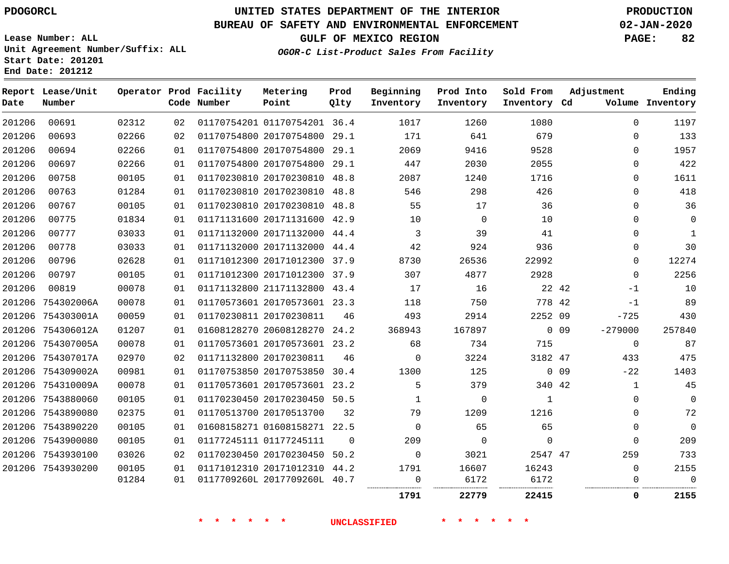**Date**

**End Date: 201212**

**Report Lease/Unit**

**Number**

### **UNITED STATES DEPARTMENT OF THE INTERIOR PDOGORCL PRODUCTION**

**Prod Qlty**

#### **BUREAU OF SAFETY AND ENVIRONMENTAL ENFORCEMENT 02-JAN-2020**

**Lease Number: ALL Unit Agreement Number/Suffix: ALL Start Date: 201201**

**Operator Prod Facility**

**Code Number**

**OGOR-C List-Product Sales From Facility**

**Sold From Inventory**

**Prod Into Inventory**

**Beginning Inventory**

**GULF OF MEXICO REGION PAGE: 82**

**Inventory Cd Volume**

**Adjustment**

**Ending**

|                  |                   |                |          | $\star$<br>一大<br>$\star$<br>$\star$ | $*$ $*$                                                      |          | <b>UNCLASSIFIED</b> | $\star$ $\star$ $\star$<br>$\star$ | $\star$<br>$\star$ |            |               |             |
|------------------|-------------------|----------------|----------|-------------------------------------|--------------------------------------------------------------|----------|---------------------|------------------------------------|--------------------|------------|---------------|-------------|
|                  |                   |                |          |                                     |                                                              |          | 1791                | 22779                              | 22415              |            | 0             | 2155        |
|                  |                   | 01284          | 01       |                                     | 0117709260L 2017709260L 40.7                                 |          | 0                   | 6172                               | 6172               |            | 0             | $\mathbf 0$ |
|                  | 201206 7543930200 | 00105          | 01       |                                     | 01171012310 20171012310 44.2                                 |          | 1791                | 16607                              | 16243              |            | 0             | 2155        |
|                  | 201206 7543930100 | 03026          | 02       |                                     | 01170230450 20170230450 50.2                                 |          | $\mathbf 0$         | 3021                               | 2547 47            |            | 259           | 733         |
|                  | 201206 7543900080 | 00105          | 01       |                                     | 01177245111 01177245111                                      | $\Omega$ | 209                 | $\mathbf 0$                        | $\mathbf 0$        |            | $\mathbf{0}$  | 209         |
|                  | 201206 7543890220 | 00105          | 01       |                                     | 01608158271 01608158271 22.5                                 |          | $\mathbf 0$         | 65                                 | 65                 |            | 0             | $\mathbf 0$ |
|                  | 201206 7543890080 | 02375          | 01       |                                     | 01170513700 20170513700                                      | 32       | 79                  | 1209                               | 1216               |            | 0             | 72          |
|                  | 201206 7543880060 | 00105          | 01       |                                     | 01170230450 20170230450 50.5                                 |          | 1                   | 0                                  | $\mathbf{1}$       |            | 0             | $\mathbf 0$ |
|                  | 201206 754310009A | 00078          | 01       |                                     | 01170573601 20170573601 23.2                                 |          | 5                   | 379                                | 340 42             |            | 1             | 45          |
|                  | 201206 754309002A | 00981          | 01       |                                     | 01170753850 20170753850 30.4                                 |          | 1300                | 125                                |                    | $0\quad09$ | $-22$         | 1403        |
|                  | 201206 754307017A | 02970          | 02       |                                     | 01171132800 20170230811                                      | 46       | $\overline{0}$      | 3224                               | 3182 47            |            | 433           | 475         |
|                  | 201206 754307005A | 00078          | 01       |                                     | 01170573601 20170573601 23.2                                 |          | 68                  | 734                                | 715                |            | 0             | 87          |
|                  | 201206 754306012A | 01207          | 01       |                                     | 01608128270 20608128270 24.2                                 |          | 368943              | 167897                             |                    | $0$ 09     | $-279000$     | 257840      |
|                  | 201206 754303001A | 00059          | 01       |                                     | 01170230811 20170230811                                      | 46       | 493                 | 2914                               | 2252 09            |            | $-725$        | 430         |
|                  | 201206 754302006A | 00078          | 01       |                                     | 01170573601 20170573601 23.3                                 |          | 118                 | 750                                | 778 42             |            | $-1$          | 89          |
| 201206           | 00819             | 00078          | 01       |                                     | 01171132800 21171132800 43.4                                 |          | 17                  | 16                                 | 22 42              |            | $-1$          | 10          |
| 201206           | 00797             | 00105          | 01       |                                     | 01171012300 20171012300 37.9                                 |          | 307                 | 4877                               | 2928               |            | $\Omega$      | 2256        |
| 201206           | 00796             | 02628          | 01       |                                     | 01171012300 20171012300 37.9                                 |          | 8730                | 26536                              | 22992              |            | 0             | 12274       |
| 201206           | 00778             | 03033          | 01       |                                     | 01171132000 20171132000 44.4                                 |          | 42                  | 924                                | 936                |            | 0             | 30          |
| 201206           | 00777             | 03033          | 01       |                                     | 01171132000 20171132000 44.4                                 |          | 3                   | 39                                 | 41                 |            | 0             | 1           |
| 201206           | 00775             | 01834          | 01       |                                     | 01171131600 20171131600 42.9                                 |          | 10                  | $\overline{0}$                     | 10                 |            | $\Omega$      | 0           |
| 201206           | 00767             | 00105          | 01       |                                     | 01170230810 20170230810 48.8                                 |          | 55                  | 17                                 | 36                 |            | 0             | 36          |
| 201206<br>201206 | 00758<br>00763    | 00105<br>01284 | 01<br>01 |                                     | 01170230810 20170230810 48.8<br>01170230810 20170230810 48.8 |          | 2087<br>546         | 1240<br>298                        | 1716<br>426        |            | 0<br>$\Omega$ | 1611<br>418 |
| 201206           | 00697             | 02266          | 01       |                                     | 01170754800 20170754800 29.1                                 |          | 447                 | 2030                               | 2055               |            | 0             | 422         |
| 201206           | 00694             | 02266          | 01       |                                     | 01170754800 20170754800 29.1                                 |          | 2069                | 9416                               | 9528               |            | 0             | 1957        |
| 201206           | 00693             | 02266          | 02       |                                     | 01170754800 20170754800 29.1                                 |          | 171                 | 641                                | 679                |            | 0             | 133         |
| 201206           | 00691             | 02312          | 02       |                                     | 01170754201 01170754201 36.4                                 |          | 1017                | 1260                               | 1080               |            | $\mathbf 0$   | 1197        |
|                  |                   |                |          |                                     |                                                              |          |                     |                                    |                    |            |               |             |

**Metering Point**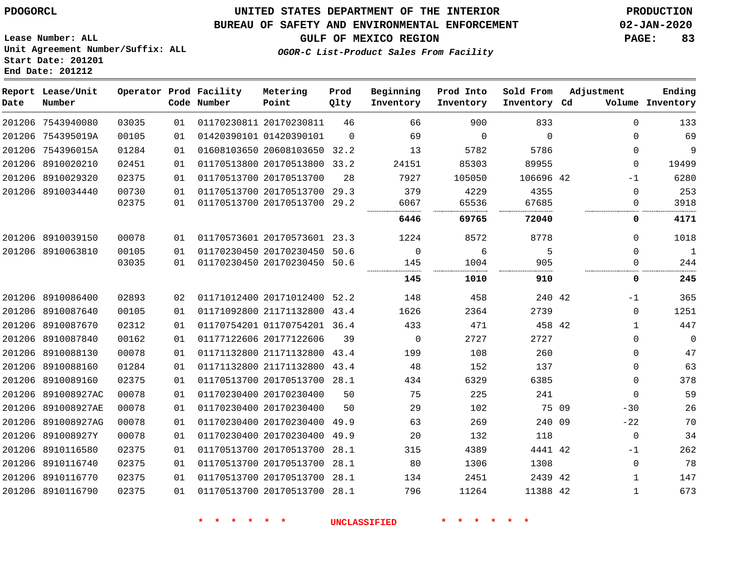#### **BUREAU OF SAFETY AND ENVIRONMENTAL ENFORCEMENT 02-JAN-2020**

**Lease Number: ALL Unit Agreement Number/Suffix: ALL Start Date: 201201 End Date: 201212**

**OGOR-C List-Product Sales From Facility**

**GULF OF MEXICO REGION PAGE: 83**

| Date | Report Lease/Unit<br>Number |       |    | Operator Prod Facility<br>Code Number | Metering<br>Point            | Prod<br>Qlty | Beginning<br>Inventory | Prod Into<br>Inventory | Sold From<br>Inventory Cd | Adjustment   | Ending<br>Volume Inventory |
|------|-----------------------------|-------|----|---------------------------------------|------------------------------|--------------|------------------------|------------------------|---------------------------|--------------|----------------------------|
|      | 201206 7543940080           | 03035 | 01 |                                       | 01170230811 20170230811      | 46           | 66                     | 900                    | 833                       | $\Omega$     | 133                        |
|      | 201206 754395019A           | 00105 | 01 |                                       | 01420390101 01420390101      | $\Omega$     | 69                     | $\mathbf 0$            | $\Omega$                  | $\Omega$     | 69                         |
|      | 201206 754396015A           | 01284 | 01 |                                       | 01608103650 20608103650 32.2 |              | 13                     | 5782                   | 5786                      | 0            | 9                          |
|      | 201206 8910020210           | 02451 | 01 |                                       | 01170513800 20170513800      | 33.2         | 24151                  | 85303                  | 89955                     | 0            | 19499                      |
|      | 201206 8910029320           | 02375 | 01 |                                       | 01170513700 20170513700      | 28           | 7927                   | 105050                 | 106696 42                 | $-1$         | 6280                       |
|      | 201206 8910034440           | 00730 | 01 |                                       | 01170513700 20170513700      | 29.3         | 379                    | 4229                   | 4355                      | $\Omega$     | 253                        |
|      |                             | 02375 | 01 |                                       | 01170513700 20170513700      | 29.2         | 6067                   | 65536                  | 67685                     | 0            | 3918                       |
|      |                             |       |    |                                       |                              |              | 6446                   | 69765                  | 72040                     | 0            | 4171                       |
|      | 201206 8910039150           | 00078 | 01 |                                       | 01170573601 20170573601      | 23.3         | 1224                   | 8572                   | 8778                      | $\Omega$     | 1018                       |
|      | 201206 8910063810           | 00105 | 01 |                                       | 01170230450 20170230450      | 50.6         | $\Omega$               | 6                      | 5                         | $\Omega$     | $\mathbf{1}$               |
|      |                             | 03035 | 01 |                                       | 01170230450 20170230450 50.6 |              | 145                    | 1004                   | 905                       | $\Omega$     | 244                        |
|      |                             |       |    |                                       |                              |              | 145                    | 1010                   | 910                       | 0            | 245                        |
|      | 201206 8910086400           | 02893 | 02 |                                       | 01171012400 20171012400 52.2 |              | 148                    | 458                    | 240 42                    | $-1$         | 365                        |
|      | 201206 8910087640           | 00105 | 01 |                                       | 01171092800 21171132800 43.4 |              | 1626                   | 2364                   | 2739                      | 0            | 1251                       |
|      | 201206 8910087670           | 02312 | 01 |                                       | 01170754201 01170754201 36.4 |              | 433                    | 471                    | 458 42                    | 1            | 447                        |
|      | 201206 8910087840           | 00162 | 01 |                                       | 01177122606 20177122606      | 39           | $\mathbf 0$            | 2727                   | 2727                      | 0            | $\mathbf 0$                |
|      | 201206 8910088130           | 00078 | 01 |                                       | 01171132800 21171132800 43.4 |              | 199                    | 108                    | 260                       | 0            | 47                         |
|      | 201206 8910088160           | 01284 | 01 |                                       | 01171132800 21171132800 43.4 |              | 48                     | 152                    | 137                       | $\Omega$     | 63                         |
|      | 201206 8910089160           | 02375 | 01 |                                       | 01170513700 20170513700 28.1 |              | 434                    | 6329                   | 6385                      | 0            | 378                        |
|      | 201206 891008927AC          | 00078 | 01 |                                       | 01170230400 20170230400      | 50           | 75                     | 225                    | 241                       | 0            | 59                         |
|      | 201206 891008927AE          | 00078 | 01 |                                       | 01170230400 20170230400      | 50           | 29                     | 102                    | 75 09                     | $-30$        | 26                         |
|      | 201206 891008927AG          | 00078 | 01 |                                       | 01170230400 20170230400 49.9 |              | 63                     | 269                    | 240 09                    | $-22$        | 70                         |
|      | 201206 891008927Y           | 00078 | 01 |                                       | 01170230400 20170230400      | 49.9         | 20                     | 132                    | 118                       | 0            | 34                         |
|      | 201206 8910116580           | 02375 | 01 |                                       | 01170513700 20170513700      | 28.1         | 315                    | 4389                   | 4441 42                   | $-1$         | 262                        |
|      | 201206 8910116740           | 02375 | 01 |                                       | 01170513700 20170513700      | 28.1         | 80                     | 1306                   | 1308                      | 0            | 78                         |
|      | 201206 8910116770           | 02375 | 01 |                                       | 01170513700 20170513700      | 28.1         | 134                    | 2451                   | 2439 42                   | $\mathbf{1}$ | 147                        |
|      | 201206 8910116790           | 02375 | 01 |                                       | 01170513700 20170513700      | 28.1         | 796                    | 11264                  | 11388 42                  | $\mathbf{1}$ | 673                        |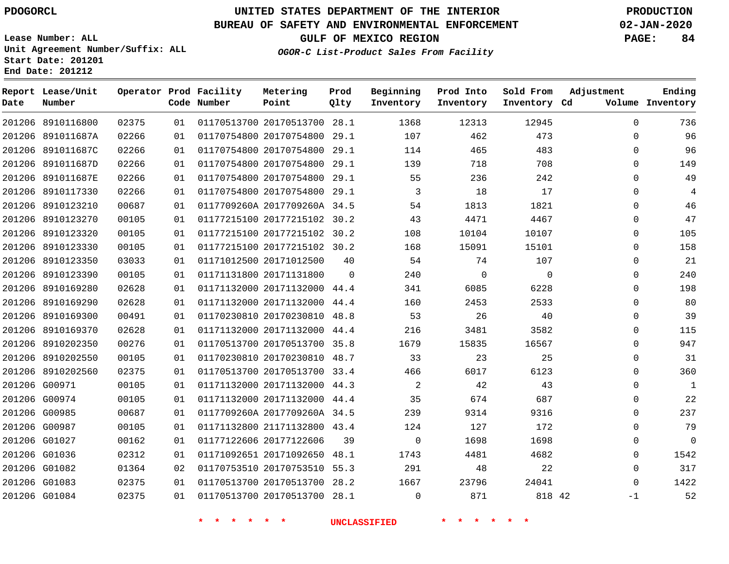#### **BUREAU OF SAFETY AND ENVIRONMENTAL ENFORCEMENT 02-JAN-2020**

**Lease Number: ALL Unit Agreement Number/Suffix: ALL Start Date: 201201 End Date: 201212**

**GULF OF MEXICO REGION PAGE: 84**

**OGOR-C List-Product Sales From Facility**

| Date | Report Lease/Unit<br>Number |       |    | Operator Prod Facility<br>Code Number | Metering<br>Point            | Prod<br>Qlty | Beginning<br>Inventory | Prod Into<br>Inventory | Sold From<br>Inventory Cd | Adjustment  | Ending<br>Volume Inventory |
|------|-----------------------------|-------|----|---------------------------------------|------------------------------|--------------|------------------------|------------------------|---------------------------|-------------|----------------------------|
|      | 201206 8910116800           | 02375 | 01 |                                       | 01170513700 20170513700 28.1 |              | 1368                   | 12313                  | 12945                     | $\mathbf 0$ | 736                        |
|      | 201206 891011687A           | 02266 | 01 |                                       | 01170754800 20170754800      | 29.1         | 107                    | 462                    | 473                       | 0           | 96                         |
|      | 201206 891011687C           | 02266 | 01 |                                       | 01170754800 20170754800 29.1 |              | 114                    | 465                    | 483                       | $\Omega$    | 96                         |
|      | 201206 891011687D           | 02266 | 01 |                                       | 01170754800 20170754800 29.1 |              | 139                    | 718                    | 708                       | 0           | 149                        |
|      | 201206 891011687E           | 02266 | 01 |                                       | 01170754800 20170754800      | 29.1         | 55                     | 236                    | 242                       | $\mathbf 0$ | 49                         |
|      | 201206 8910117330           | 02266 | 01 |                                       | 01170754800 20170754800 29.1 |              | 3                      | 18                     | 17                        | $\mathbf 0$ | $\overline{4}$             |
|      | 201206 8910123210           | 00687 | 01 |                                       | 0117709260A 2017709260A 34.5 |              | 54                     | 1813                   | 1821                      | 0           | 46                         |
|      | 201206 8910123270           | 00105 | 01 |                                       | 01177215100 20177215102 30.2 |              | 43                     | 4471                   | 4467                      | $\mathbf 0$ | 47                         |
|      | 201206 8910123320           | 00105 | 01 |                                       | 01177215100 20177215102 30.2 |              | 108                    | 10104                  | 10107                     | 0           | 105                        |
|      | 201206 8910123330           | 00105 | 01 |                                       | 01177215100 20177215102 30.2 |              | 168                    | 15091                  | 15101                     | $\mathbf 0$ | 158                        |
|      | 201206 8910123350           | 03033 | 01 |                                       | 01171012500 20171012500      | 40           | 54                     | 74                     | 107                       | 0           | 21                         |
|      | 201206 8910123390           | 00105 | 01 |                                       | 01171131800 20171131800      | $\Omega$     | 240                    | $\Omega$               | $\Omega$                  | $\mathbf 0$ | 240                        |
|      | 201206 8910169280           | 02628 | 01 |                                       | 01171132000 20171132000 44.4 |              | 341                    | 6085                   | 6228                      | $\mathbf 0$ | 198                        |
|      | 201206 8910169290           | 02628 | 01 |                                       | 01171132000 20171132000 44.4 |              | 160                    | 2453                   | 2533                      | $\mathbf 0$ | 80                         |
|      | 201206 8910169300           | 00491 | 01 |                                       | 01170230810 20170230810 48.8 |              | 53                     | 26                     | 40                        | $\mathbf 0$ | 39                         |
|      | 201206 8910169370           | 02628 | 01 |                                       | 01171132000 20171132000 44.4 |              | 216                    | 3481                   | 3582                      | $\mathbf 0$ | 115                        |
|      | 201206 8910202350           | 00276 | 01 |                                       | 01170513700 20170513700 35.8 |              | 1679                   | 15835                  | 16567                     | $\mathbf 0$ | 947                        |
|      | 201206 8910202550           | 00105 | 01 |                                       | 01170230810 20170230810 48.7 |              | 33                     | 23                     | 25                        | $\mathbf 0$ | 31                         |
|      | 201206 8910202560           | 02375 | 01 |                                       | 01170513700 20170513700 33.4 |              | 466                    | 6017                   | 6123                      | $\mathbf 0$ | 360                        |
|      | 201206 G00971               | 00105 | 01 |                                       | 01171132000 20171132000 44.3 |              | 2                      | 42                     | 43                        | $\mathbf 0$ | $\mathbf{1}$               |
|      | 201206 G00974               | 00105 | 01 |                                       | 01171132000 20171132000 44.4 |              | 35                     | 674                    | 687                       | $\mathbf 0$ | 22                         |
|      | 201206 G00985               | 00687 | 01 |                                       | 0117709260A 2017709260A 34.5 |              | 239                    | 9314                   | 9316                      | $\mathbf 0$ | 237                        |
|      | 201206 G00987               | 00105 | 01 |                                       | 01171132800 21171132800 43.4 |              | 124                    | 127                    | 172                       | $\Omega$    | 79                         |
|      | 201206 G01027               | 00162 | 01 |                                       | 01177122606 20177122606      | 39           | $\mathbf 0$            | 1698                   | 1698                      | 0           | $\overline{0}$             |
|      | 201206 G01036               | 02312 | 01 |                                       | 01171092651 20171092650 48.1 |              | 1743                   | 4481                   | 4682                      | 0           | 1542                       |
|      | 201206 G01082               | 01364 | 02 |                                       | 01170753510 20170753510 55.3 |              | 291                    | 48                     | 22                        | $\mathbf 0$ | 317                        |
|      | 201206 G01083               | 02375 | 01 |                                       | 01170513700 20170513700 28.2 |              | 1667                   | 23796                  | 24041                     | $\Omega$    | 1422                       |
|      | 201206 G01084               | 02375 | 01 |                                       | 01170513700 20170513700 28.1 |              | $\Omega$               | 871                    | 818 42                    | $-1$        | 52                         |
|      |                             |       |    |                                       |                              |              |                        |                        |                           |             |                            |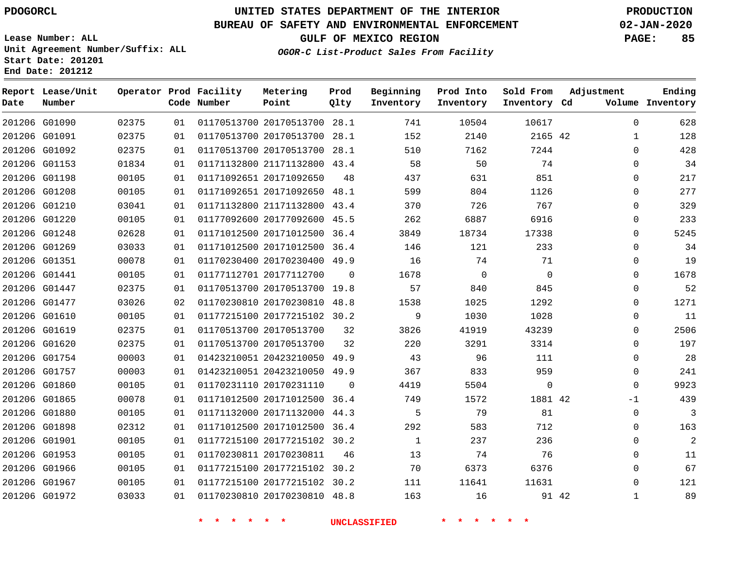#### **BUREAU OF SAFETY AND ENVIRONMENTAL ENFORCEMENT 02-JAN-2020**

**Lease Number: ALL Unit Agreement Number/Suffix: ALL Start Date: 201201**

**End Date: 201212**

**GULF OF MEXICO REGION PAGE: 85**

**OGOR-C List-Product Sales From Facility**

| Date | Report Lease/Unit<br>Number |       |    | Operator Prod Facility<br>Code Number | Metering<br>Point            | Prod<br>Qlty | Beginning<br>Inventory | Prod Into<br>Inventory | Sold From<br>Inventory Cd | Adjustment   | Ending<br>Volume Inventory |
|------|-----------------------------|-------|----|---------------------------------------|------------------------------|--------------|------------------------|------------------------|---------------------------|--------------|----------------------------|
|      | 201206 G01090               | 02375 | 01 |                                       | 01170513700 20170513700 28.1 |              | 741                    | 10504                  | 10617                     | $\Omega$     | 628                        |
|      | 201206 G01091               | 02375 | 01 |                                       | 01170513700 20170513700      | 28.1         | 152                    | 2140                   | 2165 42                   | $\mathbf{1}$ | 128                        |
|      | 201206 G01092               | 02375 | 01 |                                       | 01170513700 20170513700 28.1 |              | 510                    | 7162                   | 7244                      | $\mathbf 0$  | 428                        |
|      | 201206 G01153               | 01834 | 01 |                                       | 01171132800 21171132800 43.4 |              | 58                     | 50                     | 74                        | $\mathbf 0$  | 34                         |
|      | 201206 G01198               | 00105 | 01 |                                       | 01171092651 20171092650      | 48           | 437                    | 631                    | 851                       | 0            | 217                        |
|      | 201206 G01208               | 00105 | 01 |                                       | 01171092651 20171092650      | 48.1         | 599                    | 804                    | 1126                      | $\mathbf 0$  | 277                        |
|      | 201206 G01210               | 03041 | 01 |                                       | 01171132800 21171132800 43.4 |              | 370                    | 726                    | 767                       | $\mathbf 0$  | 329                        |
|      | 201206 G01220               | 00105 | 01 |                                       | 01177092600 20177092600 45.5 |              | 262                    | 6887                   | 6916                      | 0            | 233                        |
|      | 201206 G01248               | 02628 | 01 |                                       | 01171012500 20171012500 36.4 |              | 3849                   | 18734                  | 17338                     | $\mathbf 0$  | 5245                       |
|      | 201206 G01269               | 03033 | 01 |                                       | 01171012500 20171012500 36.4 |              | 146                    | 121                    | 233                       | $\mathbf 0$  | 34                         |
|      | 201206 G01351               | 00078 | 01 |                                       | 01170230400 20170230400 49.9 |              | 16                     | 74                     | 71                        | 0            | 19                         |
|      | 201206 G01441               | 00105 | 01 |                                       | 01177112701 20177112700      | $\Omega$     | 1678                   | $\mathbf 0$            | $\Omega$                  | $\mathbf 0$  | 1678                       |
|      | 201206 G01447               | 02375 | 01 |                                       | 01170513700 20170513700 19.8 |              | 57                     | 840                    | 845                       | $\mathbf 0$  | 52                         |
|      | 201206 G01477               | 03026 | 02 |                                       | 01170230810 20170230810 48.8 |              | 1538                   | 1025                   | 1292                      | $\mathbf 0$  | 1271                       |
|      | 201206 G01610               | 00105 | 01 |                                       | 01177215100 20177215102 30.2 |              | 9                      | 1030                   | 1028                      | $\mathbf 0$  | 11                         |
|      | 201206 G01619               | 02375 | 01 |                                       | 01170513700 20170513700      | 32           | 3826                   | 41919                  | 43239                     | $\mathbf 0$  | 2506                       |
|      | 201206 G01620               | 02375 | 01 |                                       | 01170513700 20170513700      | 32           | 220                    | 3291                   | 3314                      | 0            | 197                        |
|      | 201206 G01754               | 00003 | 01 |                                       | 01423210051 20423210050 49.9 |              | 43                     | 96                     | 111                       | $\mathbf 0$  | 28                         |
|      | 201206 G01757               | 00003 | 01 |                                       | 01423210051 20423210050 49.9 |              | 367                    | 833                    | 959                       | $\mathbf 0$  | 241                        |
|      | 201206 G01860               | 00105 | 01 |                                       | 01170231110 20170231110      | $\Omega$     | 4419                   | 5504                   | $\mathbf 0$               | $\mathbf 0$  | 9923                       |
|      | 201206 G01865               | 00078 | 01 |                                       | 01171012500 20171012500 36.4 |              | 749                    | 1572                   | 1881 42                   | $-1$         | 439                        |
|      | 201206 G01880               | 00105 | 01 |                                       | 01171132000 20171132000 44.3 |              | 5                      | 79                     | 81                        | $\mathbf 0$  | 3                          |
|      | 201206 G01898               | 02312 | 01 |                                       | 01171012500 20171012500 36.4 |              | 292                    | 583                    | 712                       | 0            | 163                        |
|      | 201206 G01901               | 00105 | 01 |                                       | 01177215100 20177215102 30.2 |              | $\mathbf{1}$           | 237                    | 236                       | $\mathbf 0$  | 2                          |
|      | 201206 G01953               | 00105 | 01 |                                       | 01170230811 20170230811      | 46           | 13                     | 74                     | 76                        | $\mathbf 0$  | 11                         |
|      | 201206 G01966               | 00105 | 01 |                                       | 01177215100 20177215102 30.2 |              | 70                     | 6373                   | 6376                      | $\mathbf 0$  | 67                         |
|      | 201206 G01967               | 00105 | 01 |                                       | 01177215100 20177215102 30.2 |              | 111                    | 11641                  | 11631                     | $\mathbf 0$  | 121                        |
|      | 201206 G01972               | 03033 | 01 |                                       | 01170230810 20170230810 48.8 |              | 163                    | 16                     | 91 42                     | $\mathbf{1}$ | 89                         |
|      |                             |       |    |                                       |                              |              |                        |                        |                           |              |                            |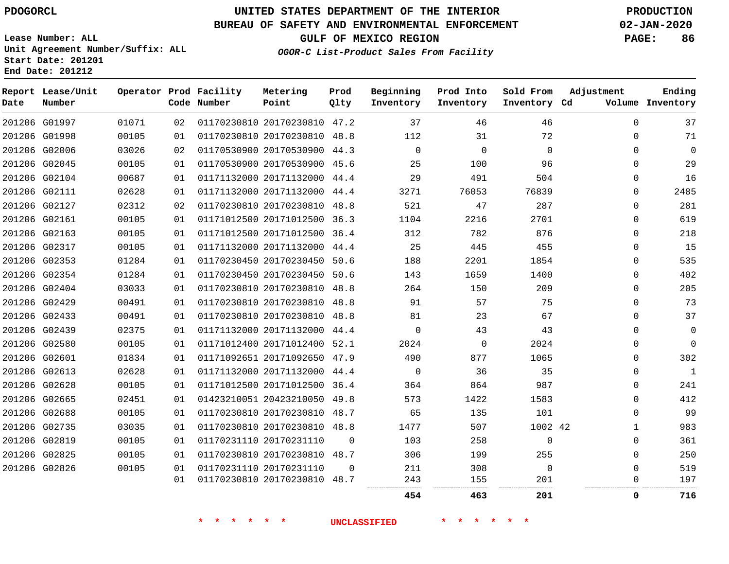**Date**

### **UNITED STATES DEPARTMENT OF THE INTERIOR PDOGORCL PRODUCTION**

**Prod Qlty**

#### **BUREAU OF SAFETY AND ENVIRONMENTAL ENFORCEMENT 02-JAN-2020**

**Lease Number: ALL Unit Agreement Number/Suffix: ALL Start Date: 201201**

**Operator Prod Facility**

**Code Number**

**OGOR-C List-Product Sales From Facility**

**Beginning Inventory** **Prod Into Inventory** **Sold From Inventory**

**GULF OF MEXICO REGION PAGE: 86**

**Inventory Cd Volume**

**Adjustment**

**Ending**

| 201206 G01997 | 01071 | 02 | 01170230810 20170230810 47.2 |          | 37          | 46       | 46           | 0        | 37           |
|---------------|-------|----|------------------------------|----------|-------------|----------|--------------|----------|--------------|
| 201206 G01998 | 00105 | 01 | 01170230810 20170230810 48.8 |          | 112         | 31       | 72           | $\Omega$ | 71           |
| 201206 G02006 | 03026 | 02 | 01170530900 20170530900 44.3 |          | $\mathbf 0$ | 0        | $\mathbf{0}$ | 0        | 0            |
| 201206 G02045 | 00105 | 01 | 01170530900 20170530900 45.6 |          | 25          | 100      | 96           | $\Omega$ | 29           |
| 201206 G02104 | 00687 | 01 | 01171132000 20171132000 44.4 |          | 29          | 491      | 504          | $\Omega$ | 16           |
| 201206 G02111 | 02628 | 01 | 01171132000 20171132000 44.4 |          | 3271        | 76053    | 76839        | $\Omega$ | 2485         |
| 201206 G02127 | 02312 | 02 | 01170230810 20170230810 48.8 |          | 521         | 47       | 287          | 0        | 281          |
| 201206 G02161 | 00105 | 01 | 01171012500 20171012500 36.3 |          | 1104        | 2216     | 2701         | $\Omega$ | 619          |
| 201206 G02163 | 00105 | 01 | 01171012500 20171012500 36.4 |          | 312         | 782      | 876          | 0        | 218          |
| 201206 G02317 | 00105 | 01 | 01171132000 20171132000 44.4 |          | 25          | 445      | 455          | $\Omega$ | 15           |
| 201206 G02353 | 01284 | 01 | 01170230450 20170230450 50.6 |          | 188         | 2201     | 1854         | $\Omega$ | 535          |
| 201206 G02354 | 01284 | 01 | 01170230450 20170230450 50.6 |          | 143         | 1659     | 1400         | $\Omega$ | 402          |
| 201206 G02404 | 03033 | 01 | 01170230810 20170230810 48.8 |          | 264         | 150      | 209          | $\Omega$ | 205          |
| 201206 G02429 | 00491 | 01 | 01170230810 20170230810 48.8 |          | 91          | 57       | 75           | 0        | 73           |
| 201206 G02433 | 00491 | 01 | 01170230810 20170230810 48.8 |          | 81          | 23       | 67           | $\Omega$ | 37           |
| 201206 G02439 | 02375 | 01 | 01171132000 20171132000 44.4 |          | $\mathbf 0$ | 43       | 43           | 0        | 0            |
| 201206 G02580 | 00105 | 01 | 01171012400 20171012400 52.1 |          | 2024        | $\Omega$ | 2024         | $\Omega$ | 0            |
| 201206 G02601 | 01834 | 01 | 01171092651 20171092650 47.9 |          | 490         | 877      | 1065         | $\Omega$ | 302          |
| 201206 G02613 | 02628 | 01 | 01171132000 20171132000 44.4 |          | $\Omega$    | 36       | 35           | $\Omega$ | $\mathbf{1}$ |
| 201206 G02628 | 00105 | 01 | 01171012500 20171012500 36.4 |          | 364         | 864      | 987          | $\Omega$ | 241          |
| 201206 G02665 | 02451 | 01 | 01423210051 20423210050 49.8 |          | 573         | 1422     | 1583         | $\Omega$ | 412          |
| 201206 G02688 | 00105 | 01 | 01170230810 20170230810 48.7 |          | 65          | 135      | 101          | $\Omega$ | 99           |
| 201206 G02735 | 03035 | 01 | 01170230810 20170230810 48.8 |          | 1477        | 507      | 1002 42      | 1        | 983          |
| 201206 G02819 | 00105 | 01 | 01170231110 20170231110      | $\Omega$ | 103         | 258      | $\mathbf{0}$ | $\Omega$ | 361          |
| 201206 G02825 | 00105 | 01 | 01170230810 20170230810 48.7 |          | 306         | 199      | 255          | $\Omega$ | 250          |
| 201206 G02826 | 00105 | 01 | 01170231110 20170231110      | $\Omega$ | 211         | 308      | $\mathbf{0}$ | 0        | 519          |
|               |       | 01 | 01170230810 20170230810 48.7 |          | 243         | 155      | 201          | 0        | 197          |
|               |       |    |                              |          | 454         | 463      | 201          | 0        | 716          |

**Metering Point**

**\* \* \* \* \* \* UNCLASSIFIED \* \* \* \* \* \***

**End Date: 201212**

**Report Lease/Unit**

**Number**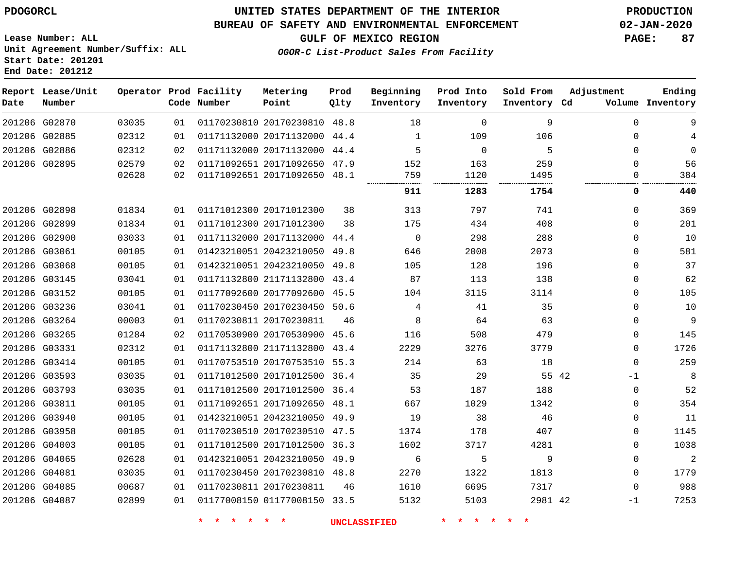**Report Date**

 G04081 G04085 G04087    

### **UNITED STATES DEPARTMENT OF THE INTERIOR PDOGORCL PRODUCTION**

#### **BUREAU OF SAFETY AND ENVIRONMENTAL ENFORCEMENT 02-JAN-2020**

**Lease Number: ALL Unit Agreement Number/Suffix: ALL Start Date: 201201 End Date: 201212**

**OGOR-C List-Product Sales From Facility**

**GULF OF MEXICO REGION PAGE: 87**

  $\Omega$  $\Omega$   $\Omega$   $\Omega$  -1

| Date | Report Lease/Unit<br>Number |       |    | Operator Prod Facility<br>Code Number | Metering<br>Point            | Prod<br>Qlty | Beginning<br>Inventory | Prod Into<br>Inventory | Sold From<br>Inventory Cd | Adjustment  | Ending<br>Volume Inventory |
|------|-----------------------------|-------|----|---------------------------------------|------------------------------|--------------|------------------------|------------------------|---------------------------|-------------|----------------------------|
|      | 201206 G02870               | 03035 | 01 |                                       | 01170230810 20170230810 48.8 |              | 18                     | $\mathbf 0$            | 9                         | $\mathbf 0$ | 9                          |
|      | 201206 G02885               | 02312 | 01 |                                       | 01171132000 20171132000 44.4 |              | 1                      | 109                    | 106                       | $\mathbf 0$ |                            |
|      | 201206 G02886               | 02312 | 02 |                                       | 01171132000 20171132000 44.4 |              | 5                      | $\Omega$               | 5                         | $\Omega$    | 0                          |
|      | 201206 G02895               | 02579 | 02 |                                       | 01171092651 20171092650 47.9 |              | 152                    | 163                    | 259                       | $\Omega$    | 56                         |
|      |                             | 02628 | 02 |                                       | 01171092651 20171092650 48.1 |              | 759<br>                | 1120<br>               | 1495<br>                  | 0           | 384                        |
|      |                             |       |    |                                       |                              |              | 911                    | 1283                   | 1754                      | 0           | 440                        |
|      | 201206 G02898               | 01834 | 01 |                                       | 01171012300 20171012300      | 38           | 313                    | 797                    | 741                       | $\Omega$    | 369                        |
|      | 201206 G02899               | 01834 | 01 |                                       | 01171012300 20171012300      | 38           | 175                    | 434                    | 408                       | $\Omega$    | 201                        |
|      | 201206 G02900               | 03033 | 01 |                                       | 01171132000 20171132000 44.4 |              | $\mathbf 0$            | 298                    | 288                       | $\mathbf 0$ | 10                         |
|      | 201206 G03061               | 00105 | 01 |                                       | 01423210051 20423210050 49.8 |              | 646                    | 2008                   | 2073                      | $\Omega$    | 581                        |
|      | 201206 G03068               | 00105 | 01 |                                       | 01423210051 20423210050 49.8 |              | 105                    | 128                    | 196                       | $\Omega$    | 37                         |
|      | 201206 G03145               | 03041 | 01 |                                       | 01171132800 21171132800      | 43.4         | 87                     | 113                    | 138                       | 0           | 62                         |
|      | 201206 G03152               | 00105 | 01 |                                       | 01177092600 20177092600 45.5 |              | 104                    | 3115                   | 3114                      | $\Omega$    | 105                        |
|      | 201206 G03236               | 03041 | 01 |                                       | 01170230450 20170230450 50.6 |              | 4                      | 41                     | 35                        | $\Omega$    | 10                         |
|      | 201206 G03264               | 00003 | 01 |                                       | 01170230811 20170230811      | 46           | 8                      | 64                     | 63                        | $\Omega$    | 9                          |
|      | 201206 G03265               | 01284 | 02 |                                       | 01170530900 20170530900 45.6 |              | 116                    | 508                    | 479                       | $\Omega$    | 145                        |
|      | 201206 G03331               | 02312 | 01 |                                       | 01171132800 21171132800 43.4 |              | 2229                   | 3276                   | 3779                      | $\mathbf 0$ | 1726                       |
|      | 201206 G03414               | 00105 | 01 |                                       | 01170753510 20170753510 55.3 |              | 214                    | 63                     | 18                        | $\mathbf 0$ | 259                        |
|      | 201206 G03593               | 03035 | 01 |                                       | 01171012500 20171012500 36.4 |              | 35                     | 29                     | 55 42                     | $-1$        | 8                          |
|      | 201206 G03793               | 03035 | 01 |                                       | 01171012500 20171012500 36.4 |              | 53                     | 187                    | 188                       | $\mathbf 0$ | 52                         |
|      | 201206 G03811               | 00105 | 01 |                                       | 01171092651 20171092650 48.1 |              | 667                    | 1029                   | 1342                      | $\mathbf 0$ | 354                        |
|      | 201206 G03940               | 00105 | 01 |                                       | 01423210051 20423210050 49.9 |              | 19                     | 38                     | 46                        | $\mathbf 0$ | 11                         |
|      | 201206 G03958               | 00105 | 01 |                                       | 01170230510 20170230510 47.5 |              | 1374                   | 178                    | 407                       | $\Omega$    | 1145                       |
|      | 201206 G04003               | 00105 | 01 |                                       | 01171012500 20171012500 36.3 |              | 1602                   | 3717                   | 4281                      | $\Omega$    | 1038                       |
|      | 201206 G04065               | 02628 | 01 |                                       | 01423210051 20423210050 49.9 |              | 6                      | 5                      | 9                         | $\Omega$    | $\overline{2}$             |

**\* \* \* \* \* \* UNCLASSIFIED \* \* \* \* \* \***

20170230811

20170230810 48.8

01177008150 33.5

 

 

42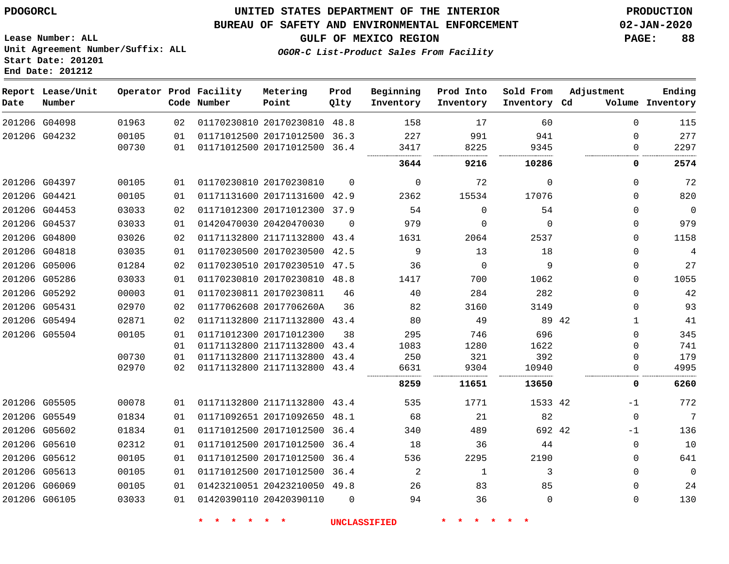#### **BUREAU OF SAFETY AND ENVIRONMENTAL ENFORCEMENT 02-JAN-2020**

**Lease Number: ALL Unit Agreement Number/Suffix: ALL Start Date: 201201**

**End Date: 201212**

**GULF OF MEXICO REGION PAGE: 88**

**OGOR-C List-Product Sales From Facility**

| Date | Report Lease/Unit<br>Number |       |    | Operator Prod Facility<br>Code Number | Metering<br>Point            | Prod<br>Qlty | Beginning<br>Inventory | Prod Into<br>Inventory | Sold From<br>Inventory Cd | Adjustment            | Ending<br>Volume Inventory |
|------|-----------------------------|-------|----|---------------------------------------|------------------------------|--------------|------------------------|------------------------|---------------------------|-----------------------|----------------------------|
|      | 201206 G04098               | 01963 | 02 |                                       | 01170230810 20170230810 48.8 |              | 158                    | 17                     | 60                        | $\mathbf 0$           | 115                        |
|      | 201206 G04232               | 00105 | 01 |                                       | 01171012500 20171012500 36.3 |              | 227                    | 991                    | 941                       | $\mathbf 0$           | 277                        |
|      |                             | 00730 | 01 |                                       | 01171012500 20171012500 36.4 |              | 3417                   | 8225                   | 9345                      | $\mathbf 0$<br>       | 2297                       |
|      |                             |       |    |                                       |                              |              | 3644                   | 9216                   | 10286                     | 0                     | 2574                       |
|      | 201206 G04397               | 00105 | 01 |                                       | 01170230810 20170230810      | $\Omega$     | $\mathbf 0$            | 72                     | $\mathbf 0$               | $\mathbf 0$           | 72                         |
|      | 201206 G04421               | 00105 | 01 |                                       | 01171131600 20171131600 42.9 |              | 2362                   | 15534                  | 17076                     | $\Omega$              | 820                        |
|      | 201206 G04453               | 03033 | 02 |                                       | 01171012300 20171012300 37.9 |              | 54                     | $\Omega$               | 54                        | $\mathbf 0$           | $\Omega$                   |
|      | 201206 G04537               | 03033 | 01 |                                       | 01420470030 20420470030      | $\Omega$     | 979                    | $\Omega$               | $\Omega$                  | $\mathbf 0$           | 979                        |
|      | 201206 G04800               | 03026 | 02 |                                       | 01171132800 21171132800 43.4 |              | 1631                   | 2064                   | 2537                      | $\mathbf 0$           | 1158                       |
|      | 201206 G04818               | 03035 | 01 |                                       | 01170230500 20170230500 42.5 |              | 9                      | 13                     | 18                        | $\mathbf 0$           |                            |
|      | 201206 G05006               | 01284 | 02 |                                       | 01170230510 20170230510 47.5 |              | 36                     | $\Omega$               | 9                         | $\mathbf 0$           | 27                         |
|      | 201206 G05286               | 03033 | 01 |                                       | 01170230810 20170230810 48.8 |              | 1417                   | 700                    | 1062                      | $\Omega$              | 1055                       |
|      | 201206 G05292               | 00003 | 01 |                                       | 01170230811 20170230811      | 46           | 40                     | 284                    | 282                       | $\Omega$              | 42                         |
|      | 201206 G05431               | 02970 | 02 |                                       | 01177062608 2017706260A      | 36           | 82                     | 3160                   | 3149                      | $\mathbf 0$           | 93                         |
|      | 201206 G05494               | 02871 | 02 |                                       | 01171132800 21171132800 43.4 |              | 80                     | 49                     |                           | 89 42<br>$\mathbf{1}$ | 41                         |
|      | 201206 G05504               | 00105 | 01 |                                       | 01171012300 20171012300      | 38           | 295                    | 746                    | 696                       | $\Omega$              | 345                        |
|      |                             |       | 01 |                                       | 01171132800 21171132800      | 43.4         | 1083                   | 1280                   | 1622                      | 0                     | 741                        |
|      |                             | 00730 | 01 |                                       | 01171132800 21171132800      | 43.4         | 250                    | 321                    | 392                       | $\Omega$              | 179                        |
|      |                             | 02970 | 02 |                                       | 01171132800 21171132800      | 43.4         | 6631                   | 9304                   | 10940                     | 0                     | 4995                       |
|      |                             |       |    |                                       |                              |              | 8259                   | 11651                  | 13650                     | 0                     | 6260                       |
|      | 201206 G05505               | 00078 | 01 |                                       | 01171132800 21171132800 43.4 |              | 535                    | 1771                   | 1533 42                   | $-1$                  | 772                        |
|      | 201206 G05549               | 01834 | 01 |                                       | 01171092651 20171092650      | 48.1         | 68                     | 21                     | 82                        | $\mathbf 0$           | 7                          |
|      | 201206 G05602               | 01834 | 01 |                                       | 01171012500 20171012500      | 36.4         | 340                    | 489                    | 692 42                    | $-1$                  | 136                        |
|      | 201206 G05610               | 02312 | 01 |                                       | 01171012500 20171012500      | 36.4         | 18                     | 36                     | 44                        | 0                     | 10                         |
|      | 201206 G05612               | 00105 | 01 |                                       | 01171012500 20171012500 36.4 |              | 536                    | 2295                   | 2190                      | $\mathbf 0$           | 641                        |
|      | 201206 G05613               | 00105 | 01 |                                       | 01171012500 20171012500 36.4 |              | $\overline{a}$         | 1                      | 3                         | $\mathbf 0$           | $\Omega$                   |
|      | 201206 G06069               | 00105 | 01 |                                       | 01423210051 20423210050 49.8 |              | 26                     | 83                     | 85                        | $\Omega$              | 24                         |
|      | 201206 G06105               | 03033 | 01 |                                       | 01420390110 20420390110      | $\Omega$     | 94                     | 36                     | $\Omega$                  | $\mathbf 0$           | 130                        |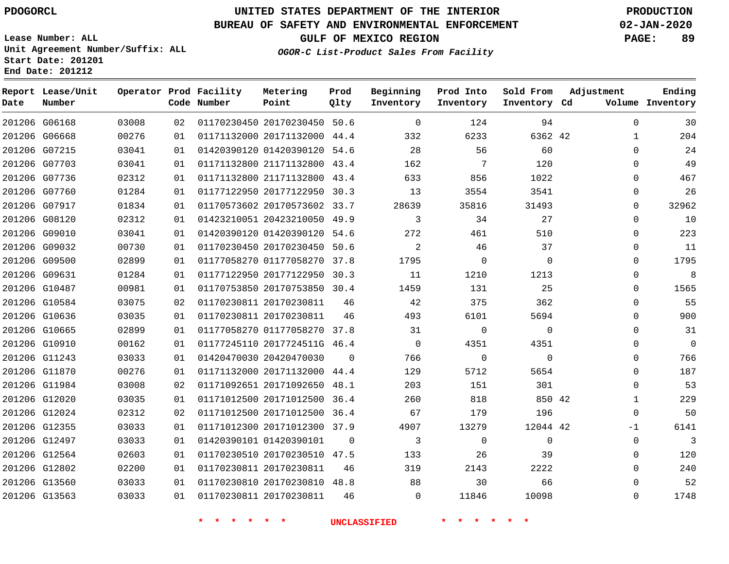### **UNITED STATES DEPARTMENT OF THE INTERIOR PDOGORCL PRODUCTION**

#### **BUREAU OF SAFETY AND ENVIRONMENTAL ENFORCEMENT 02-JAN-2020**

**Lease Number: ALL Unit Agreement Number/Suffix: ALL Start Date: 201201**

**End Date: 201212**

**GULF OF MEXICO REGION PAGE: 89**

**OGOR-C List-Product Sales From Facility**

| Date | Report Lease/Unit<br>Number |       |    | Operator Prod Facility<br>Code Number | Metering<br>Point            | Prod<br>Qlty | Beginning<br>Inventory | Prod Into<br>Inventory | Sold From<br>Inventory Cd | Adjustment   | Ending<br>Volume Inventory |
|------|-----------------------------|-------|----|---------------------------------------|------------------------------|--------------|------------------------|------------------------|---------------------------|--------------|----------------------------|
|      | 201206 G06168               | 03008 | 02 |                                       | 01170230450 20170230450 50.6 |              | $\mathbf 0$            | 124                    | 94                        | $\mathbf{0}$ | 30                         |
|      | 201206 G06668               | 00276 | 01 |                                       | 01171132000 20171132000 44.4 |              | 332                    | 6233                   | 6362 42                   | $\mathbf 1$  | 204                        |
|      | 201206 G07215               | 03041 | 01 |                                       | 01420390120 01420390120 54.6 |              | 28                     | 56                     | 60                        | $\Omega$     | 24                         |
|      | 201206 G07703               | 03041 | 01 |                                       | 01171132800 21171132800 43.4 |              | 162                    | 7                      | 120                       | $\Omega$     | 49                         |
|      | 201206 G07736               | 02312 | 01 |                                       | 01171132800 21171132800 43.4 |              | 633                    | 856                    | 1022                      | $\Omega$     | 467                        |
|      | 201206 G07760               | 01284 | 01 |                                       | 01177122950 20177122950 30.3 |              | 13                     | 3554                   | 3541                      | 0            | 26                         |
|      | 201206 G07917               | 01834 | 01 |                                       | 01170573602 20170573602 33.7 |              | 28639                  | 35816                  | 31493                     | 0            | 32962                      |
|      | 201206 G08120               | 02312 | 01 |                                       | 01423210051 20423210050 49.9 |              | 3                      | 34                     | 27                        | 0            | 10                         |
|      | 201206 G09010               | 03041 | 01 |                                       | 01420390120 01420390120 54.6 |              | 272                    | 461                    | 510                       | 0            | 223                        |
|      | 201206 G09032               | 00730 | 01 |                                       | 01170230450 20170230450 50.6 |              | $\overline{2}$         | 46                     | 37                        | $\mathbf{0}$ | 11                         |
|      | 201206 G09500               | 02899 | 01 |                                       | 01177058270 01177058270 37.8 |              | 1795                   | $\mathbf 0$            | $\Omega$                  | $\Omega$     | 1795                       |
|      | 201206 G09631               | 01284 | 01 |                                       | 01177122950 20177122950 30.3 |              | 11                     | 1210                   | 1213                      | $\mathbf 0$  | 8                          |
|      | 201206 G10487               | 00981 | 01 |                                       | 01170753850 20170753850 30.4 |              | 1459                   | 131                    | 25                        | $\Omega$     | 1565                       |
|      | 201206 G10584               | 03075 | 02 |                                       | 01170230811 20170230811      | 46           | 42                     | 375                    | 362                       | $\Omega$     | 55                         |
|      | 201206 G10636               | 03035 | 01 |                                       | 01170230811 20170230811      | 46           | 493                    | 6101                   | 5694                      | $\Omega$     | 900                        |
|      | 201206 G10665               | 02899 | 01 |                                       | 01177058270 01177058270 37.8 |              | 31                     | $\mathbf 0$            | $\Omega$                  | $\Omega$     | 31                         |
|      | 201206 G10910               | 00162 | 01 |                                       | 01177245110 2017724511G 46.4 |              | $\Omega$               | 4351                   | 4351                      | $\Omega$     | $\mathbf 0$                |
|      | 201206 G11243               | 03033 | 01 |                                       | 01420470030 20420470030      | $\Omega$     | 766                    | $\mathbf 0$            | $\mathbf 0$               | $\Omega$     | 766                        |
|      | 201206 G11870               | 00276 | 01 |                                       | 01171132000 20171132000 44.4 |              | 129                    | 5712                   | 5654                      | $\Omega$     | 187                        |
|      | 201206 G11984               | 03008 | 02 |                                       | 01171092651 20171092650 48.1 |              | 203                    | 151                    | 301                       | $\Omega$     | 53                         |
|      | 201206 G12020               | 03035 | 01 |                                       | 01171012500 20171012500 36.4 |              | 260                    | 818                    | 850 42                    | $\mathbf 1$  | 229                        |
|      | 201206 G12024               | 02312 | 02 |                                       | 01171012500 20171012500 36.4 |              | 67                     | 179                    | 196                       | $\mathbf 0$  | 50                         |
|      | 201206 G12355               | 03033 | 01 |                                       | 01171012300 20171012300 37.9 |              | 4907                   | 13279                  | 12044 42                  | $-1$         | 6141                       |
|      | 201206 G12497               | 03033 | 01 |                                       | 01420390101 01420390101      | $\Omega$     | 3                      | $\mathbf 0$            | 0                         | $\mathbf 0$  | 3                          |
|      | 201206 G12564               | 02603 | 01 |                                       | 01170230510 20170230510 47.5 |              | 133                    | 26                     | 39                        | $\Omega$     | 120                        |
|      | 201206 G12802               | 02200 | 01 |                                       | 01170230811 20170230811      | 46           | 319                    | 2143                   | 2222                      | $\Omega$     | 240                        |
|      | 201206 G13560               | 03033 | 01 |                                       | 01170230810 20170230810 48.8 |              | 88                     | 30                     | 66                        | $\Omega$     | 52                         |
|      | 201206 G13563               | 03033 | 01 |                                       | 01170230811 20170230811      | 46           | $\Omega$               | 11846                  | 10098                     | $\Omega$     | 1748                       |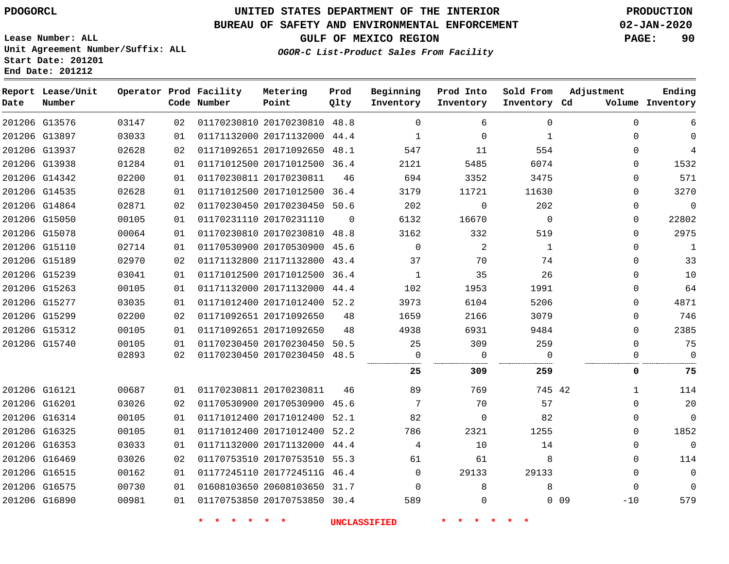**Start Date: 201201 End Date: 201212**

## **UNITED STATES DEPARTMENT OF THE INTERIOR PDOGORCL PRODUCTION**

#### **BUREAU OF SAFETY AND ENVIRONMENTAL ENFORCEMENT 02-JAN-2020**

**Lease Number: ALL Unit Agreement Number/Suffix: ALL**

**GULF OF MEXICO REGION PAGE: 90**

**OGOR-C List-Product Sales From Facility**

| Date | Report Lease/Unit<br>Number |       |    | Operator Prod Facility<br>Code Number | Metering<br>Point            | Prod<br>Qlty | Beginning<br>Inventory | Prod Into<br>Inventory | Sold From<br>Inventory Cd | Adjustment               | Ending<br>Volume Inventory |
|------|-----------------------------|-------|----|---------------------------------------|------------------------------|--------------|------------------------|------------------------|---------------------------|--------------------------|----------------------------|
|      | 201206 G13576               | 03147 | 02 |                                       | 01170230810 20170230810 48.8 |              | $\Omega$               | 6                      | $\mathbf 0$               | $\mathbf 0$              | 6                          |
|      | 201206 G13897               | 03033 | 01 |                                       | 01171132000 20171132000      | 44.4         | $\mathbf{1}$           | $\Omega$               | 1                         | $\Omega$                 | $\Omega$                   |
|      | 201206 G13937               | 02628 | 02 |                                       | 01171092651 20171092650      | 48.1         | 547                    | 11                     | 554                       | $\Omega$                 | 4                          |
|      | 201206 G13938               | 01284 | 01 |                                       | 01171012500 20171012500 36.4 |              | 2121                   | 5485                   | 6074                      | $\Omega$                 | 1532                       |
|      | 201206 G14342               | 02200 | 01 |                                       | 01170230811 20170230811      | 46           | 694                    | 3352                   | 3475                      | $\Omega$                 | 571                        |
|      | 201206 G14535               | 02628 | 01 |                                       | 01171012500 20171012500 36.4 |              | 3179                   | 11721                  | 11630                     | $\Omega$                 | 3270                       |
|      | 201206 G14864               | 02871 | 02 |                                       | 01170230450 20170230450      | 50.6         | 202                    | $\Omega$               | 202                       | $\Omega$                 | $\mathbf 0$                |
|      | 201206 G15050               | 00105 | 01 |                                       | 01170231110 20170231110      | $\Omega$     | 6132                   | 16670                  | $\Omega$                  | $\mathbf 0$              | 22802                      |
|      | 201206 G15078               | 00064 | 01 |                                       | 01170230810 20170230810 48.8 |              | 3162                   | 332                    | 519                       | $\Omega$                 | 2975                       |
|      | 201206 G15110               | 02714 | 01 |                                       | 01170530900 20170530900      | 45.6         | $\mathbf 0$            | 2                      | 1                         | $\mathbf 0$              | $\mathbf{1}$               |
|      | 201206 G15189               | 02970 | 02 |                                       | 01171132800 21171132800 43.4 |              | 37                     | 70                     | 74                        | $\Omega$                 | 33                         |
|      | 201206 G15239               | 03041 | 01 |                                       | 01171012500 20171012500      | 36.4         | 1                      | 35                     | 26                        | $\Omega$                 | 10                         |
|      | 201206 G15263               | 00105 | 01 |                                       | 01171132000 20171132000      | 44.4         | 102                    | 1953                   | 1991                      | $\Omega$                 | 64                         |
|      | 201206 G15277               | 03035 | 01 |                                       | 01171012400 20171012400 52.2 |              | 3973                   | 6104                   | 5206                      | $\Omega$                 | 4871                       |
|      | 201206 G15299               | 02200 | 02 |                                       | 01171092651 20171092650      | 48           | 1659                   | 2166                   | 3079                      | $\mathbf 0$              | 746                        |
|      | 201206 G15312               | 00105 | 01 |                                       | 01171092651 20171092650      | 48           | 4938                   | 6931                   | 9484                      | $\Omega$                 | 2385                       |
|      | 201206 G15740               | 00105 | 01 |                                       | 01170230450 20170230450 50.5 |              | 25                     | 309                    | 259                       | $\Omega$                 | 75                         |
|      |                             | 02893 | 02 |                                       | 01170230450 20170230450 48.5 |              | $\Omega$<br>           | 0                      | $\Omega$                  | $\Omega$                 | $\Omega$                   |
|      |                             |       |    |                                       |                              |              | 25                     | 309                    | 259                       | 0                        | 75                         |
|      | 201206 G16121               | 00687 | 01 |                                       | 01170230811 20170230811      | 46           | 89                     | 769                    | 745 42                    | $\mathbf{1}$             | 114                        |
|      | 201206 G16201               | 03026 | 02 |                                       | 01170530900 20170530900 45.6 |              | 7                      | 70                     | 57                        | $\Omega$                 | 20                         |
|      | 201206 G16314               | 00105 | 01 |                                       | 01171012400 20171012400 52.1 |              | 82                     | $\Omega$               | 82                        | $\Omega$                 | $\Omega$                   |
|      | 201206 G16325               | 00105 | 01 |                                       | 01171012400 20171012400      | 52.2         | 786                    | 2321                   | 1255                      | $\Omega$                 | 1852                       |
|      | 201206 G16353               | 03033 | 01 |                                       | 01171132000 20171132000      | 44.4         | 4                      | 10                     | 14                        | $\mathbf 0$              | $\mathbf 0$                |
|      | 201206 G16469               | 03026 | 02 |                                       | 01170753510 20170753510      | 55.3         | 61                     | 61                     | 8                         | $\mathbf 0$              | 114                        |
|      | 201206 G16515               | 00162 | 01 |                                       | 01177245110 2017724511G 46.4 |              | $\Omega$               | 29133                  | 29133                     | $\Omega$                 | $\Omega$                   |
|      | 201206 G16575               | 00730 | 01 |                                       | 01608103650 20608103650 31.7 |              | $\mathbf 0$            | 8                      | 8                         | $\mathbf 0$              | $\Omega$                   |
|      | 201206 G16890               | 00981 | 01 |                                       | 01170753850 20170753850 30.4 |              | 589                    | $\Omega$               |                           | 0 <sub>09</sub><br>$-10$ | 579                        |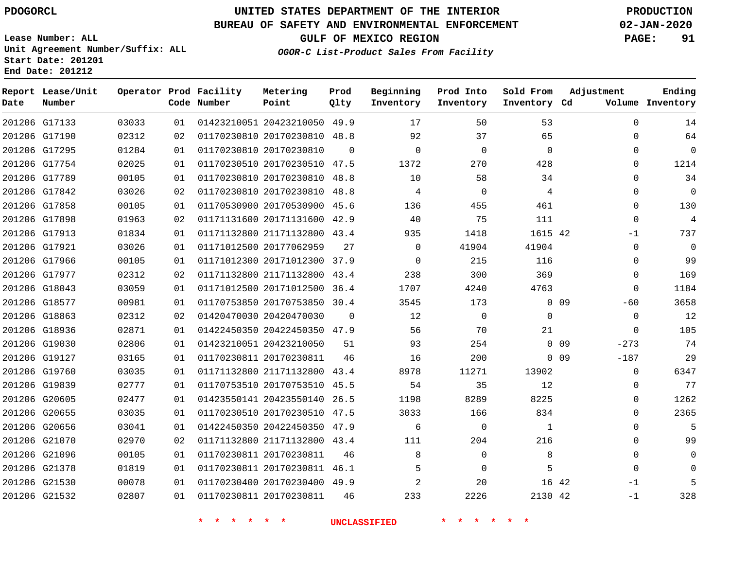G17133 G17190 G17295 G17754 G17789 G17842 G17858 G17898 G17913 G17921 G17966 G17977 G18043 G18577 G18863 G18936 G19030 G19127 G19760 G19839 G20605 G20655 G20656 G21070 G21096 G21378 G21530 G21532

**Date**

**Report Lease/Unit**

**Number**

### **UNITED STATES DEPARTMENT OF THE INTERIOR PDOGORCL PRODUCTION**

**Prod Qlty**

#### **BUREAU OF SAFETY AND ENVIRONMENTAL ENFORCEMENT 02-JAN-2020**

**Lease Number: ALL Unit Agreement Number/Suffix: ALL Start Date: 201201 End Date: 201212**

**Operator Prod Facility**

**Code Number**

  $\sim$ 

**OGOR-C List-Product Sales From Facility**

  $\sim$ 

**Sold From Inventory**

**Prod Into Inventory**

**Beginning Inventory**

**GULF OF MEXICO REGION PAGE: 91**

**Inventory Cd Volume**

**Adjustment**

  $\Omega$  $\Omega$  $\Omega$  $\Omega$  $\Omega$  $\Omega$  $\Omega$ -1  $\Omega$  $\Omega$  $\Omega$  $\overline{0}$  $-60$  $\Omega$  $\overline{0}$ -273 -187  $\Omega$  $\Omega$  $\Omega$  $\Omega$  $\Omega$   $\Omega$  $\Omega$ -1 -1

**Ending**

| 02312 | 02 | 01170230810 20170230810 | 48.8        | 92       | 37          | 65          |    |
|-------|----|-------------------------|-------------|----------|-------------|-------------|----|
| 01284 | 01 | 01170230810 20170230810 | $\Omega$    | 0        | $\Omega$    | $\Omega$    |    |
| 02025 | 01 | 01170230510 20170230510 | 47.5        | 1372     | 270         | 428         |    |
| 00105 | 01 | 01170230810 20170230810 | 48.8        | 10       | 58          | 34          |    |
| 03026 | 02 | 01170230810 20170230810 | 48.8        | 4        | $\Omega$    | 4           |    |
| 00105 | 01 | 01170530900 20170530900 | 45.6        | 136      | 455         | 461         |    |
| 01963 | 02 | 01171131600 20171131600 | 42.9        | 40       | 75          | 111         |    |
| 01834 | 01 | 01171132800 21171132800 | 43.4        | 935      | 1418        | 1615 42     |    |
| 03026 | 01 | 01171012500 20177062959 | 27          | $\Omega$ | 41904       | 41904       |    |
| 00105 | 01 | 01171012300 20171012300 | 37.9        | 0        | 215         | 116         |    |
| 02312 | 02 | 01171132800 21171132800 | 43.4        | 238      | 300         | 369         |    |
| 03059 | 01 | 01171012500 20171012500 | 36.4        | 1707     | 4240        | 4763        |    |
| 00981 | 01 | 01170753850 20170753850 | 30.4        | 3545     | 173         | $\Omega$    | 09 |
| 02312 | 02 | 01420470030 20420470030 | $\mathbf 0$ | 12       | $\mathbf 0$ | $\mathbf 0$ |    |
| 02871 | 01 | 01422450350 20422450350 | 47.9        | 56       | 70          | 21          |    |
| 02806 | 01 | 01423210051 20423210050 | 51          | 93       | 254         | $\Omega$    | 09 |
| 03165 | 01 | 01170230811 20170230811 | 46          | 16       | 200         | $\Omega$    | 09 |
| 03035 | 01 | 01171132800 21171132800 | 43.4        | 8978     | 11271       | 13902       |    |
| 02777 | 01 | 01170753510 20170753510 | 45.5        | 54       | 35          | 12          |    |
| 02477 | 01 | 01423550141 20423550140 | 26.5        | 1198     | 8289        | 8225        |    |
| 03035 | 01 | 01170230510 20170230510 | 47.5        | 3033     | 166         | 834         |    |
|       |    |                         |             |          |             |             |    |

20423210050 49.9

**Metering Point**

 20422450350 47.9 21171132800 43.4

 20170230811 46.1 20170230400 49.9

20170230811

20170230811

**\* \* \* \* \* \* UNCLASSIFIED \* \* \* \* \* \***

 $\Omega$   $\Omega$  $\Omega$  

42 42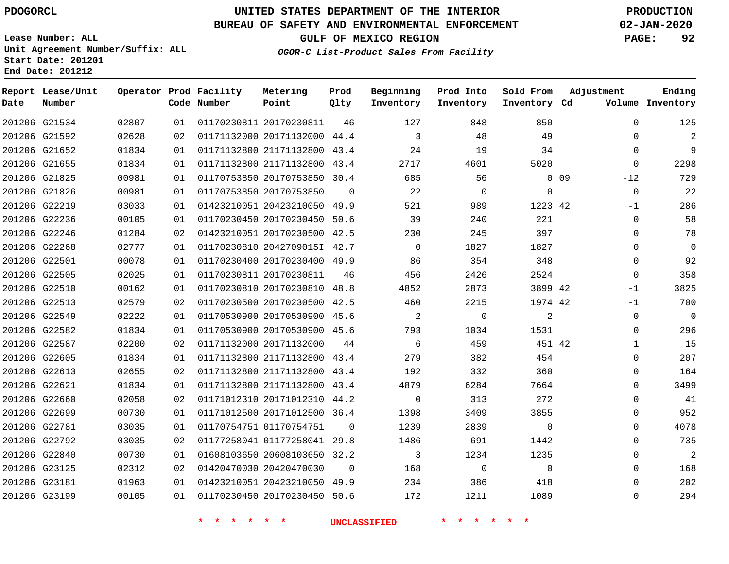**Date**

### **UNITED STATES DEPARTMENT OF THE INTERIOR PDOGORCL PRODUCTION**

#### **BUREAU OF SAFETY AND ENVIRONMENTAL ENFORCEMENT 02-JAN-2020**

**Lease Number: ALL Unit Agreement Number/Suffix: ALL Start Date: 201201 End Date: 201212**

**OGOR-C List-Product Sales From Facility**

**Prod Into Inventory**

**Sold From Inventory**

**GULF OF MEXICO REGION PAGE: 92**

**Inventory Cd Volume**

**Adjustment**

**Ending**

| Date | Report Lease/Unit<br>Number      |                                                          | Operator Prod Facility<br>Code Number | Metering<br>Point | Prod<br>Olty | Beginning<br>Inventory |
|------|----------------------------------|----------------------------------------------------------|---------------------------------------|-------------------|--------------|------------------------|
|      | 201206 G21534                    | 02807                                                    | 01 01170230811 20170230811            |                   | 46           | 127                    |
|      | $\begin{array}{c} \n\end{array}$ | $\mathbf{a} \mathbf{a} \mathbf{a} \mathbf{a} \mathbf{a}$ |                                       |                   |              |                        |

|               | 201206 G21534 | 02807 | 01 | 01170230811 20170230811      | 46       | 127            | 848         | 850            |        | $\Omega$    | 125            |
|---------------|---------------|-------|----|------------------------------|----------|----------------|-------------|----------------|--------|-------------|----------------|
| 201206 G21592 |               | 02628 | 02 | 01171132000 20171132000 44.4 |          | 3              | 48          | 49             |        | 0           | 2              |
|               | 201206 G21652 | 01834 | 01 | 01171132800 21171132800 43.4 |          | 24             | 19          | 34             |        | $\Omega$    | 9              |
| 201206 G21655 |               | 01834 | 01 | 01171132800 21171132800 43.4 |          | 2717           | 4601        | 5020           |        | 0           | 2298           |
| 201206 G21825 |               | 00981 | 01 | 01170753850 20170753850 30.4 |          | 685            | 56          |                | $0$ 09 | $-12$       | 729            |
| 201206 G21826 |               | 00981 | 01 | 01170753850 20170753850      | $\Omega$ | 22             | 0           | $\mathbf 0$    |        | $\Omega$    | 22             |
| 201206 G22219 |               | 03033 | 01 | 01423210051 20423210050 49.9 |          | 521            | 989         | 1223 42        |        | $-1$        | 286            |
| 201206 G22236 |               | 00105 | 01 | 01170230450 20170230450 50.6 |          | 39             | 240         | 221            |        | $\mathbf 0$ | 58             |
| 201206 G22246 |               | 01284 | 02 | 01423210051 20170230500 42.5 |          | 230            | 245         | 397            |        | $\Omega$    | 78             |
| 201206 G22268 |               | 02777 | 01 | 01170230810 2042709015I 42.7 |          | $\overline{0}$ | 1827        | 1827           |        | $\Omega$    | $\overline{0}$ |
| 201206 G22501 |               | 00078 | 01 | 01170230400 20170230400 49.9 |          | 86             | 354         | 348            |        | 0           | 92             |
| 201206 G22505 |               | 02025 | 01 | 01170230811 20170230811      | 46       | 456            | 2426        | 2524           |        | $\Omega$    | 358            |
| 201206 G22510 |               | 00162 | 01 | 01170230810 20170230810 48.8 |          | 4852           | 2873        | 3899 42        |        | $-1$        | 3825           |
| 201206 G22513 |               | 02579 | 02 | 01170230500 20170230500 42.5 |          | 460            | 2215        | 1974 42        |        | $-1$        | 700            |
| 201206 G22549 |               | 02222 | 01 | 01170530900 20170530900 45.6 |          | 2              | $\mathbf 0$ | 2              |        | 0           | $\overline{0}$ |
| 201206 G22582 |               | 01834 | 01 | 01170530900 20170530900 45.6 |          | 793            | 1034        | 1531           |        | $\mathbf 0$ | 296            |
| 201206 G22587 |               | 02200 | 02 | 01171132000 20171132000      | 44       | 6              | 459         | 451 42         |        | 1           | 15             |
| 201206 G22605 |               | 01834 | 01 | 01171132800 21171132800 43.4 |          | 279            | 382         | 454            |        | 0           | 207            |
| 201206 G22613 |               | 02655 | 02 | 01171132800 21171132800 43.4 |          | 192            | 332         | 360            |        | 0           | 164            |
| 201206 G22621 |               | 01834 | 01 | 01171132800 21171132800 43.4 |          | 4879           | 6284        | 7664           |        | 0           | 3499           |
| 201206 G22660 |               | 02058 | 02 | 01171012310 20171012310 44.2 |          | $\mathbf 0$    | 313         | 272            |        | 0           | 41             |
| 201206 G22699 |               | 00730 | 01 | 01171012500 20171012500 36.4 |          | 1398           | 3409        | 3855           |        | 0           | 952            |
| 201206 G22781 |               | 03035 | 01 | 01170754751 01170754751      | $\Omega$ | 1239           | 2839        | $\mathbf 0$    |        | 0           | 4078           |
|               | 201206 G22792 | 03035 | 02 | 01177258041 01177258041 29.8 |          | 1486           | 691         | 1442           |        | 0           | 735            |
| 201206 G22840 |               | 00730 | 01 | 01608103650 20608103650 32.2 |          | 3              | 1234        | 1235           |        | 0           | $\overline{2}$ |
| 201206 G23125 |               | 02312 | 02 | 01420470030 20420470030      | $\Omega$ | 168            | $\mathbf 0$ | $\overline{0}$ |        | $\Omega$    | 168            |
| 201206 G23181 |               | 01963 | 01 | 01423210051 20423210050 49.9 |          | 234            | 386         | 418            |        | 0           | 202            |
|               | 201206 G23199 | 00105 | 01 | 01170230450 20170230450 50.6 |          | 172            | 1211        | 1089           |        | 0           | 294            |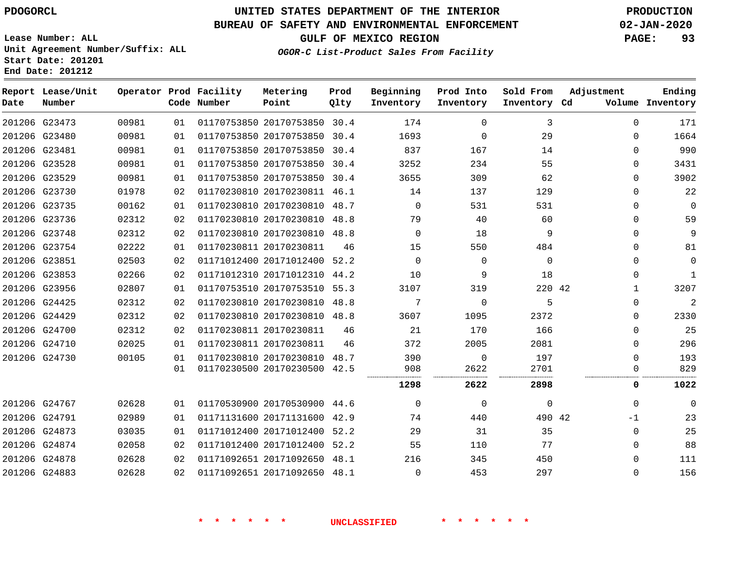#### **BUREAU OF SAFETY AND ENVIRONMENTAL ENFORCEMENT 02-JAN-2020**

**Lease Number: ALL Unit Agreement Number/Suffix: ALL Start Date: 201201 End Date: 201212**

**GULF OF MEXICO REGION PAGE: 93**

**OGOR-C List-Product Sales From Facility**

| Date | Report Lease/Unit<br>Number |       |                 | Operator Prod Facility<br>Code Number | Metering<br>Point            | Prod<br>Qlty | Beginning<br>Inventory | Prod Into<br>Inventory | Sold From<br>Inventory Cd | Adjustment   | Ending<br>Volume Inventory |
|------|-----------------------------|-------|-----------------|---------------------------------------|------------------------------|--------------|------------------------|------------------------|---------------------------|--------------|----------------------------|
|      | 201206 G23473               | 00981 | 01              |                                       | 01170753850 20170753850 30.4 |              | 174                    | $\Omega$               | 3                         | 0            | 171                        |
|      | 201206 G23480               | 00981 | 01              |                                       | 01170753850 20170753850      | 30.4         | 1693                   | 0                      | 29                        | $\Omega$     | 1664                       |
|      | 201206 G23481               | 00981 | 01              |                                       | 01170753850 20170753850      | 30.4         | 837                    | 167                    | 14                        | $\Omega$     | 990                        |
|      | 201206 G23528               | 00981 | 01              |                                       | 01170753850 20170753850 30.4 |              | 3252                   | 234                    | 55                        | 0            | 3431                       |
|      | 201206 G23529               | 00981 | 01              |                                       | 01170753850 20170753850      | 30.4         | 3655                   | 309                    | 62                        | $\Omega$     | 3902                       |
|      | 201206 G23730               | 01978 | 02              |                                       | 01170230810 20170230811 46.1 |              | 14                     | 137                    | 129                       | $\Omega$     | 22                         |
|      | 201206 G23735               | 00162 | 01              |                                       | 01170230810 20170230810 48.7 |              | $\Omega$               | 531                    | 531                       | 0            | $\mathbf 0$                |
|      | 201206 G23736               | 02312 | 02              |                                       | 01170230810 20170230810 48.8 |              | 79                     | 40                     | 60                        | $\Omega$     | 59                         |
|      | 201206 G23748               | 02312 | 02              |                                       | 01170230810 20170230810 48.8 |              | $\Omega$               | 18                     | 9                         | $\Omega$     | 9                          |
|      | 201206 G23754               | 02222 | 01              |                                       | 01170230811 20170230811      | 46           | 15                     | 550                    | 484                       | $\Omega$     | 81                         |
|      | 201206 G23851               | 02503 | 02              |                                       | 01171012400 20171012400 52.2 |              | $\Omega$               | $\Omega$               | $\Omega$                  | 0            | $\mathbf 0$                |
|      | 201206 G23853               | 02266 | 02              |                                       | 01171012310 20171012310 44.2 |              | 10                     | 9                      | 18                        | 0            | $\mathbf{1}$               |
|      | 201206 G23956               | 02807 | 01              |                                       | 01170753510 20170753510      | 55.3         | 3107                   | 319                    | 220 42                    | $\mathbf{1}$ | 3207                       |
|      | 201206 G24425               | 02312 | 02              |                                       | 01170230810 20170230810 48.8 |              | 7                      | $\Omega$               | 5                         | 0            | 2                          |
|      | 201206 G24429               | 02312 | 02              |                                       | 01170230810 20170230810 48.8 |              | 3607                   | 1095                   | 2372                      | 0            | 2330                       |
|      | 201206 G24700               | 02312 | 02              |                                       | 01170230811 20170230811      | 46           | 21                     | 170                    | 166                       | 0            | 25                         |
|      | 201206 G24710               | 02025 | 01              |                                       | 01170230811 20170230811      | 46           | 372                    | 2005                   | 2081                      | $\Omega$     | 296                        |
|      | 201206 G24730               | 00105 | 01              |                                       | 01170230810 20170230810      | 48.7         | 390                    | $\Omega$               | 197                       | $\Omega$     | 193                        |
|      |                             |       | 01              |                                       | 01170230500 20170230500 42.5 |              | 908<br>                | 2622                   | 2701                      | 0            | 829                        |
|      |                             |       |                 |                                       |                              |              | 1298                   | 2622                   | 2898                      | 0            | 1022                       |
|      | 201206 G24767               | 02628 | 01              |                                       | 01170530900 20170530900 44.6 |              | $\Omega$               | $\Omega$               | 0                         | $\Omega$     | $\mathbf 0$                |
|      | 201206 G24791               | 02989 | 01              |                                       | 01171131600 20171131600      | 42.9         | 74                     | 440                    | 490 42                    | -1           | 23                         |
|      | 201206 G24873               | 03035 | 01              |                                       | 01171012400 20171012400      | 52.2         | 29                     | 31                     | 35                        | $\Omega$     | 25                         |
|      | 201206 G24874               | 02058 | 02              |                                       | 01171012400 20171012400 52.2 |              | 55                     | 110                    | 77                        | $\Omega$     | 88                         |
|      | 201206 G24878               | 02628 | 02              |                                       | 01171092651 20171092650 48.1 |              | 216                    | 345                    | 450                       | $\Omega$     | 111                        |
|      | 201206 G24883               | 02628 | 02 <sub>o</sub> |                                       | 01171092651 20171092650 48.1 |              | 0                      | 453                    | 297                       | $\Omega$     | 156                        |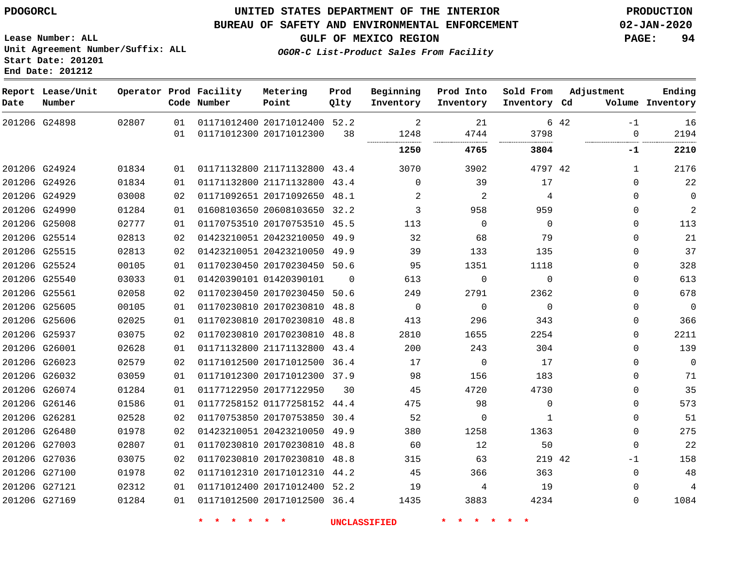**End Date: 201212**

#### **UNITED STATES DEPARTMENT OF THE INTERIOR PDOGORCL PRODUCTION**

#### **BUREAU OF SAFETY AND ENVIRONMENTAL ENFORCEMENT 02-JAN-2020**

**Lease Number: ALL Unit Agreement Number/Suffix: ALL Start Date: 201201**

**GULF OF MEXICO REGION PAGE: 94**

**OGOR-C List-Product Sales From Facility**

| Date | Report Lease/Unit<br>Number |       |          | Operator Prod Facility<br>Code Number | Metering<br>Point                                       | Prod<br>Qlty | Beginning<br>Inventory | Prod Into<br>Inventory | Sold From<br>Inventory Cd | Adjustment               | Ending<br>Volume Inventory |
|------|-----------------------------|-------|----------|---------------------------------------|---------------------------------------------------------|--------------|------------------------|------------------------|---------------------------|--------------------------|----------------------------|
|      | 201206 G24898               | 02807 | 01<br>01 |                                       | 01171012400 20171012400 52.2<br>01171012300 20171012300 | 38           | 2<br>1248              | 21<br>4744             | 3798                      | 6 42<br>$-1$<br>$\Omega$ | 16<br>2194                 |
|      |                             |       |          |                                       |                                                         |              | 1250                   | 4765                   | 3804                      | -1                       | 2210                       |
|      | 201206 G24924               | 01834 | 01       |                                       | 01171132800 21171132800 43.4                            |              | 3070                   | 3902                   | 4797 42                   | $\mathbf{1}$             | 2176                       |
|      | 201206 G24926               | 01834 | 01       |                                       | 01171132800 21171132800 43.4                            |              | $\Omega$               | 39                     | 17                        | $\Omega$                 | 22                         |
|      | 201206 G24929               | 03008 | 02       |                                       | 01171092651 20171092650 48.1                            |              | 2                      | $\overline{c}$         | 4                         | $\mathbf 0$              | $\mathbf 0$                |
|      | 201206 G24990               | 01284 | 01       |                                       | 01608103650 20608103650 32.2                            |              | 3                      | 958                    | 959                       | 0                        | $\overline{a}$             |
|      | 201206 G25008               | 02777 | 01       |                                       | 01170753510 20170753510 45.5                            |              | 113                    | $\mathbf 0$            | $\Omega$                  | $\mathbf 0$              | 113                        |
|      | 201206 G25514               | 02813 | 02       |                                       | 01423210051 20423210050 49.9                            |              | 32                     | 68                     | 79                        | $\Omega$                 | 21                         |
|      | 201206 G25515               | 02813 | 02       |                                       | 01423210051 20423210050 49.9                            |              | 39                     | 133                    | 135                       | $\Omega$                 | 37                         |
|      | 201206 G25524               | 00105 | 01       |                                       | 01170230450 20170230450 50.6                            |              | 95                     | 1351                   | 1118                      | 0                        | 328                        |
|      | 201206 G25540               | 03033 | 01       |                                       | 01420390101 01420390101                                 | $\Omega$     | 613                    | $\mathbf 0$            | $\Omega$                  | $\Omega$                 | 613                        |
|      | 201206 G25561               | 02058 | 02       |                                       | 01170230450 20170230450 50.6                            |              | 249                    | 2791                   | 2362                      | 0                        | 678                        |
|      | 201206 G25605               | 00105 | 01       |                                       | 01170230810 20170230810 48.8                            |              | $\mathbf 0$            | $\mathbf 0$            | $\Omega$                  | 0                        | $\mathbf 0$                |
|      | 201206 G25606               | 02025 | 01       |                                       | 01170230810 20170230810 48.8                            |              | 413                    | 296                    | 343                       | $\mathbf 0$              | 366                        |
|      | 201206 G25937               | 03075 | 02       |                                       | 01170230810 20170230810 48.8                            |              | 2810                   | 1655                   | 2254                      | 0                        | 2211                       |
|      | 201206 G26001               | 02628 | 01       |                                       | 01171132800 21171132800 43.4                            |              | 200                    | 243                    | 304                       | $\mathbf 0$              | 139                        |
|      | 201206 G26023               | 02579 | 02       |                                       | 01171012500 20171012500 36.4                            |              | 17                     | $\Omega$               | 17                        | $\Omega$                 | $\mathbf 0$                |
|      | 201206 G26032               | 03059 | 01       |                                       | 01171012300 20171012300 37.9                            |              | 98                     | 156                    | 183                       | 0                        | 71                         |
|      | 201206 G26074               | 01284 | 01       |                                       | 01177122950 20177122950                                 | 30           | 45                     | 4720                   | 4730                      | $\Omega$                 | 35                         |
|      | 201206 G26146               | 01586 | 01       |                                       | 01177258152 01177258152 44.4                            |              | 475                    | 98                     | $\Omega$                  | $\Omega$                 | 573                        |
|      | 201206 G26281               | 02528 | 02       |                                       | 01170753850 20170753850 30.4                            |              | 52                     | $\mathbf 0$            | 1                         | $\mathbf 0$              | 51                         |
|      | 201206 G26480               | 01978 | 02       |                                       | 01423210051 20423210050 49.9                            |              | 380                    | 1258                   | 1363                      | 0                        | 275                        |
|      | 201206 G27003               | 02807 | 01       |                                       | 01170230810 20170230810                                 | 48.8         | 60                     | 12                     | 50                        | $\mathbf 0$              | 22                         |
|      | 201206 G27036               | 03075 | 02       |                                       | 01170230810 20170230810 48.8                            |              | 315                    | 63                     | 219 42                    | -1                       | 158                        |
|      | 201206 G27100               | 01978 | 02       |                                       | 01171012310 20171012310 44.2                            |              | 45                     | 366                    | 363                       | $\Omega$                 | 48                         |
|      | 201206 G27121               | 02312 | 01       |                                       | 01171012400 20171012400 52.2                            |              | 19                     | 4                      | 19                        | $\Omega$                 | 4                          |
|      | 201206 G27169               | 01284 | 01       |                                       | 01171012500 20171012500 36.4                            |              | 1435                   | 3883                   | 4234                      | $\Omega$                 | 1084                       |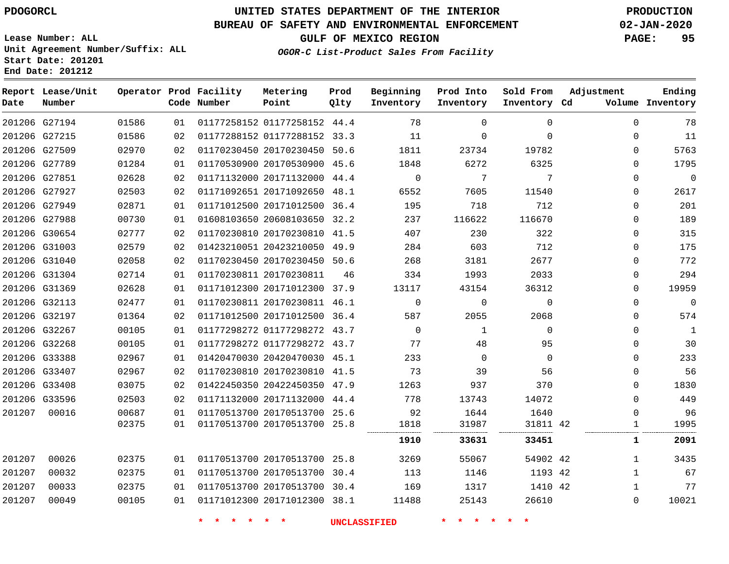G27194

**Date**

**Report Lease/Unit**

**Number**

### **UNITED STATES DEPARTMENT OF THE INTERIOR PDOGORCL PRODUCTION**

**Prod Qlty**

#### **BUREAU OF SAFETY AND ENVIRONMENTAL ENFORCEMENT 02-JAN-2020**

**Lease Number: ALL Unit Agreement Number/Suffix: ALL Start Date: 201201 End Date: 201212**

**Operator Prod Facility**

**Code Number**

01177258152 44.4

**Metering Point**

**OGOR-C List-Product Sales From Facility**

**Sold From Inventory**

**Prod Into Inventory**

**Beginning Inventory**

**GULF OF MEXICO REGION PAGE: 95**

**Inventory Cd Volume**

**Adjustment**

**Ending**

| 11           | 0            | 0            | $\Omega$ | 11          |    | 01177288152 01177288152 33.3 |                         | 02 | 01586 | 201206 G27215 |        |
|--------------|--------------|--------------|----------|-------------|----|------------------------------|-------------------------|----|-------|---------------|--------|
| 5763         | 0            | 19782        | 23734    | 1811        |    | 01170230450 20170230450 50.6 |                         | 02 | 02970 | 201206 G27509 |        |
| 1795         | 0            | 6325         | 6272     | 1848        |    | 01170530900 20170530900 45.6 |                         | 01 | 01284 | 201206 G27789 |        |
| 0            | 0            | 7            | 7        | 0           |    | 01171132000 20171132000 44.4 |                         | 02 | 02628 | 201206 G27851 |        |
| 2617         | $\Omega$     | 11540        | 7605     | 6552        |    | 01171092651 20171092650 48.1 |                         | 02 | 02503 | 201206 G27927 |        |
| 201          | 0            | 712          | 718      | 195         |    | 01171012500 20171012500 36.4 |                         | 01 | 02871 | 201206 G27949 |        |
| 189          | 0            | 116670       | 116622   | 237         |    | 01608103650 20608103650 32.2 |                         | 01 | 00730 | 201206 G27988 |        |
| 315          | 0            | 322          | 230      | 407         |    | 01170230810 20170230810 41.5 |                         | 02 | 02777 | 201206 G30654 |        |
| 175          | $\Omega$     | 712          | 603      | 284         |    | 01423210051 20423210050 49.9 |                         | 02 | 02579 | 201206 G31003 |        |
| 772          | 0            | 2677         | 3181     | 268         |    | 01170230450 20170230450 50.6 |                         | 02 | 02058 | 201206 G31040 |        |
| 294          | 0            | 2033         | 1993     | 334         | 46 |                              | 01170230811 20170230811 | 01 | 02714 | 201206 G31304 |        |
| 19959        | 0            | 36312        | 43154    | 13117       |    | 01171012300 20171012300 37.9 |                         | 01 | 02628 | 201206 G31369 |        |
| 0            | $\Omega$     | $\Omega$     | 0        | $\mathbf 0$ |    | 01170230811 20170230811 46.1 |                         | 01 | 02477 | 201206 G32113 |        |
| 574          | 0            | 2068         | 2055     | 587         |    | 01171012500 20171012500 36.4 |                         | 02 | 01364 | 201206 G32197 |        |
| $\mathbf{1}$ | 0            | $\Omega$     | 1        | $\Omega$    |    | 01177298272 01177298272 43.7 |                         | 01 | 00105 | 201206 G32267 |        |
| 30           | $\Omega$     | 95           | 48       | 77          |    | 01177298272 01177298272 43.7 |                         | 01 | 00105 | 201206 G32268 |        |
| 233          | 0            | $\Omega$     | $\Omega$ | 233         |    | 01420470030 20420470030 45.1 |                         | 01 | 02967 | 201206 G33388 |        |
| 56           | $\Omega$     | 56           | 39       | 73          |    | 01170230810 20170230810 41.5 |                         | 02 | 02967 | 201206 G33407 |        |
| 1830         | 0            | 370          | 937      | 1263        |    | 01422450350 20422450350 47.9 |                         | 02 | 03075 | 201206 G33408 |        |
| 449          | 0            | 14072        | 13743    | 778         |    | 01171132000 20171132000 44.4 |                         | 02 | 02503 | 201206 G33596 |        |
| 96           | 0            | 1640         | 1644     | 92          |    | 01170513700 20170513700 25.6 |                         | 01 | 00687 | 00016         | 201207 |
| 1995         |              | 31811 42<br> | 31987    | 1818<br>    |    | 01170513700 20170513700 25.8 |                         | 01 | 02375 |               |        |
| 2091         | 1            | 33451        | 33631    | 1910        |    |                              |                         |    |       |               |        |
| 3435         | 1            | 54902 42     | 55067    | 3269        |    | 01170513700 20170513700 25.8 |                         | 01 | 02375 | 00026         | 201207 |
| 67           | $\mathbf{1}$ | 1193 42      | 1146     | 113         |    | 01170513700 20170513700 30.4 |                         | 01 | 02375 | 00032         | 201207 |
| 77           | 1            | 1410 42      | 1317     | 169         |    | 01170513700 20170513700 30.4 |                         | 01 | 02375 | 00033         | 201207 |
| 10021        | $\Omega$     | 26610        | 25143    | 11488       |    | 01171012300 20171012300 38.1 |                         | 01 | 00105 | 00049         | 201207 |
|              |              |              |          |             |    |                              |                         |    |       |               |        |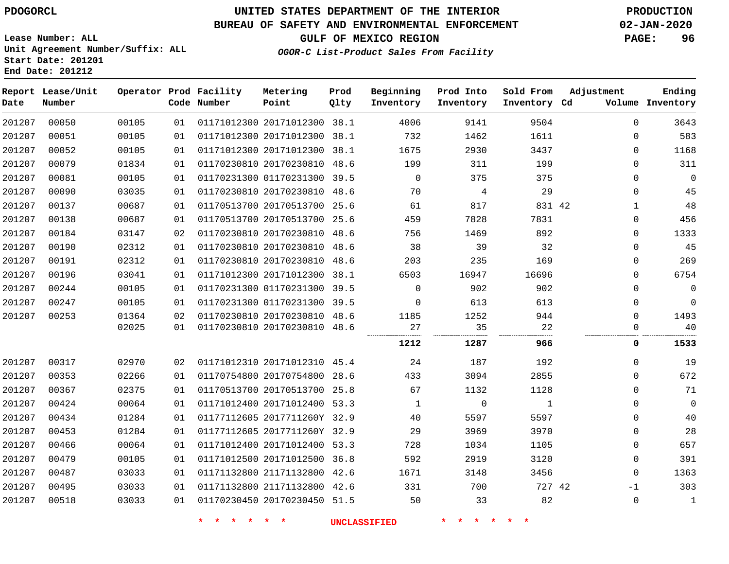#### **BUREAU OF SAFETY AND ENVIRONMENTAL ENFORCEMENT 02-JAN-2020**

**OGOR-C List-Product Sales From Facility**

**GULF OF MEXICO REGION PAGE: 96**

**Lease Number: ALL Unit Agreement Number/Suffix: ALL Start Date: 201201 End Date: 201212**

| Date   | Report Lease/Unit<br>Number |       |    | Operator Prod Facility<br>Code Number | Metering<br>Point            | Prod<br>Qlty | Beginning<br>Inventory | Prod Into<br>Inventory | Sold From<br>Inventory Cd | Adjustment   | Ending<br>Volume Inventory |
|--------|-----------------------------|-------|----|---------------------------------------|------------------------------|--------------|------------------------|------------------------|---------------------------|--------------|----------------------------|
| 201207 | 00050                       | 00105 | 01 |                                       | 01171012300 20171012300 38.1 |              | 4006                   | 9141                   | 9504                      | $\Omega$     | 3643                       |
| 201207 | 00051                       | 00105 | 01 |                                       | 01171012300 20171012300      | 38.1         | 732                    | 1462                   | 1611                      | $\mathbf 0$  | 583                        |
| 201207 | 00052                       | 00105 | 01 |                                       | 01171012300 20171012300      | 38.1         | 1675                   | 2930                   | 3437                      | $\mathbf 0$  | 1168                       |
| 201207 | 00079                       | 01834 | 01 |                                       | 01170230810 20170230810      | 48.6         | 199                    | 311                    | 199                       | $\mathbf 0$  | 311                        |
| 201207 | 00081                       | 00105 | 01 |                                       | 01170231300 01170231300 39.5 |              | $\Omega$               | 375                    | 375                       | $\mathbf 0$  | $\overline{0}$             |
| 201207 | 00090                       | 03035 | 01 |                                       | 01170230810 20170230810 48.6 |              | 70                     | 4                      | 29                        | 0            | 45                         |
| 201207 | 00137                       | 00687 | 01 |                                       | 01170513700 20170513700 25.6 |              | 61                     | 817                    | 831 42                    | $\mathbf{1}$ | 48                         |
| 201207 | 00138                       | 00687 | 01 |                                       | 01170513700 20170513700      | 25.6         | 459                    | 7828                   | 7831                      | 0            | 456                        |
| 201207 | 00184                       | 03147 | 02 |                                       | 01170230810 20170230810      | 48.6         | 756                    | 1469                   | 892                       | $\mathbf 0$  | 1333                       |
| 201207 | 00190                       | 02312 | 01 |                                       | 01170230810 20170230810 48.6 |              | 38                     | 39                     | 32                        | 0            | 45                         |
| 201207 | 00191                       | 02312 | 01 |                                       | 01170230810 20170230810 48.6 |              | 203                    | 235                    | 169                       | 0            | 269                        |
| 201207 | 00196                       | 03041 | 01 |                                       | 01171012300 20171012300 38.1 |              | 6503                   | 16947                  | 16696                     | $\mathbf 0$  | 6754                       |
| 201207 | 00244                       | 00105 | 01 |                                       | 01170231300 01170231300      | 39.5         | $\mathbf 0$            | 902                    | 902                       | $\mathbf{0}$ | $\overline{0}$             |
| 201207 | 00247                       | 00105 | 01 |                                       | 01170231300 01170231300 39.5 |              | $\Omega$               | 613                    | 613                       | $\mathbf 0$  | $\overline{0}$             |
| 201207 | 00253                       | 01364 | 02 |                                       | 01170230810 20170230810 48.6 |              | 1185                   | 1252                   | 944                       | $\Omega$     | 1493                       |
|        |                             | 02025 | 01 |                                       | 01170230810 20170230810      | 48.6         | 27                     | 35                     | 22                        | 0            | 40                         |
|        |                             |       |    |                                       |                              |              | 1212                   | 1287                   | 966                       | 0            | 1533                       |
| 201207 | 00317                       | 02970 | 02 |                                       | 01171012310 20171012310 45.4 |              | 24                     | 187                    | 192                       | $\mathbf 0$  | 19                         |
| 201207 | 00353                       | 02266 | 01 |                                       | 01170754800 20170754800 28.6 |              | 433                    | 3094                   | 2855                      | $\mathbf 0$  | 672                        |
| 201207 | 00367                       | 02375 | 01 |                                       | 01170513700 20170513700      | 25.8         | 67                     | 1132                   | 1128                      | $\mathbf 0$  | 71                         |
| 201207 | 00424                       | 00064 | 01 |                                       | 01171012400 20171012400 53.3 |              | 1                      | $\mathsf{O}$           | $\mathbf{1}$              | $\mathbf 0$  | $\overline{0}$             |
| 201207 | 00434                       | 01284 | 01 |                                       | 01177112605 2017711260Y 32.9 |              | 40                     | 5597                   | 5597                      | $\Omega$     | 40                         |
| 201207 | 00453                       | 01284 | 01 |                                       | 01177112605 2017711260Y 32.9 |              | 29                     | 3969                   | 3970                      | 0            | 28                         |
| 201207 | 00466                       | 00064 | 01 |                                       | 01171012400 20171012400 53.3 |              | 728                    | 1034                   | 1105                      | $\mathbf 0$  | 657                        |
| 201207 | 00479                       | 00105 | 01 |                                       | 01171012500 20171012500 36.8 |              | 592                    | 2919                   | 3120                      | $\mathbf 0$  | 391                        |
| 201207 | 00487                       | 03033 | 01 |                                       | 01171132800 21171132800      | 42.6         | 1671                   | 3148                   | 3456                      | $\mathbf 0$  | 1363                       |
| 201207 | 00495                       | 03033 | 01 |                                       | 01171132800 21171132800 42.6 |              | 331                    | 700                    | 727 42                    | $-1$         | 303                        |
| 201207 | 00518                       | 03033 | 01 |                                       | 01170230450 20170230450 51.5 |              | 50                     | 33                     | 82                        | 0            | $\mathbf{1}$               |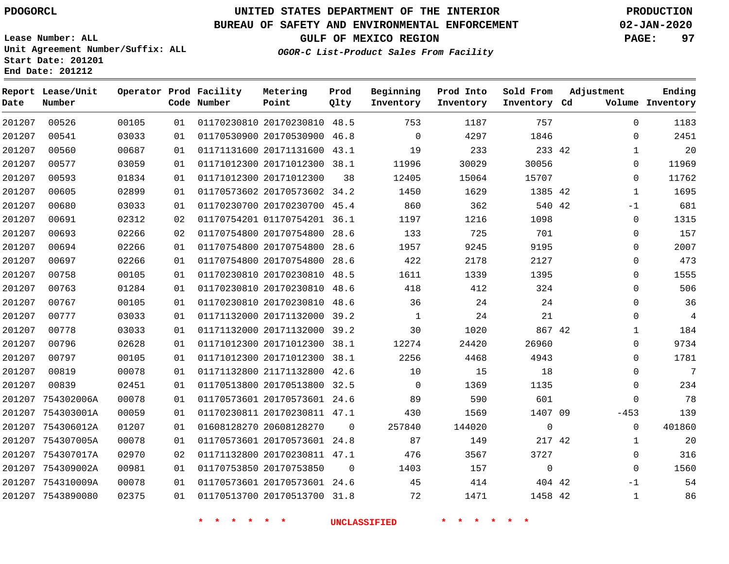**End Date: 201212**

## **UNITED STATES DEPARTMENT OF THE INTERIOR PDOGORCL PRODUCTION**

#### **BUREAU OF SAFETY AND ENVIRONMENTAL ENFORCEMENT 02-JAN-2020**

**Lease Number: ALL Unit Agreement Number/Suffix: ALL Start Date: 201201**

**GULF OF MEXICO REGION PAGE: 97**

**OGOR-C List-Product Sales From Facility**

| Date   | Report Lease/Unit<br>Number |       |    | Operator Prod Facility<br>Code Number | Metering<br>Point            | Prod<br>Qlty | Beginning<br>Inventory | Prod Into<br>Inventory | Sold From<br>Inventory Cd | Adjustment | Ending<br>Volume Inventory |
|--------|-----------------------------|-------|----|---------------------------------------|------------------------------|--------------|------------------------|------------------------|---------------------------|------------|----------------------------|
| 201207 | 00526                       | 00105 | 01 |                                       | 01170230810 20170230810 48.5 |              | 753                    | 1187                   | 757                       |            | $\Omega$<br>1183           |
| 201207 | 00541                       | 03033 | 01 |                                       | 01170530900 20170530900 46.8 |              | $\Omega$               | 4297                   | 1846                      |            | 2451<br>$\Omega$           |
| 201207 | 00560                       | 00687 | 01 |                                       | 01171131600 20171131600 43.1 |              | 19                     | 233                    | 233 42                    |            | 20<br>$\mathbf{1}$         |
| 201207 | 00577                       | 03059 | 01 |                                       | 01171012300 20171012300 38.1 |              | 11996                  | 30029                  | 30056                     |            | 11969<br>0                 |
| 201207 | 00593                       | 01834 | 01 |                                       | 01171012300 20171012300      | 38           | 12405                  | 15064                  | 15707                     |            | 11762<br>0                 |
| 201207 | 00605                       | 02899 | 01 |                                       | 01170573602 20170573602 34.2 |              | 1450                   | 1629                   | 1385 42                   |            | 1695<br>$\mathbf{1}$       |
| 201207 | 00680                       | 03033 | 01 |                                       | 01170230700 20170230700 45.4 |              | 860                    | 362                    | 540 42                    | $-1$       | 681                        |
| 201207 | 00691                       | 02312 | 02 |                                       | 01170754201 01170754201 36.1 |              | 1197                   | 1216                   | 1098                      |            | 1315<br>0                  |
| 201207 | 00693                       | 02266 | 02 |                                       | 01170754800 20170754800      | 28.6         | 133                    | 725                    | 701                       |            | 157<br>0                   |
| 201207 | 00694                       | 02266 | 01 |                                       | 01170754800 20170754800      | 28.6         | 1957                   | 9245                   | 9195                      |            | 2007<br>0                  |
| 201207 | 00697                       | 02266 | 01 |                                       | 01170754800 20170754800      | 28.6         | 422                    | 2178                   | 2127                      |            | 473<br>0                   |
| 201207 | 00758                       | 00105 | 01 |                                       | 01170230810 20170230810      | 48.5         | 1611                   | 1339                   | 1395                      |            | 1555<br>0                  |
| 201207 | 00763                       | 01284 | 01 |                                       | 01170230810 20170230810      | 48.6         | 418                    | 412                    | 324                       |            | 506<br>0                   |
| 201207 | 00767                       | 00105 | 01 |                                       | 01170230810 20170230810 48.6 |              | 36                     | 24                     | 24                        |            | 36<br>0                    |
| 201207 | 00777                       | 03033 | 01 |                                       | 01171132000 20171132000      | 39.2         | 1                      | 24                     | 21                        |            | $\overline{4}$<br>$\Omega$ |
| 201207 | 00778                       | 03033 | 01 |                                       | 01171132000 20171132000 39.2 |              | 30                     | 1020                   | 867 42                    |            | 184<br>$\mathbf{1}$        |
| 201207 | 00796                       | 02628 | 01 |                                       | 01171012300 20171012300 38.1 |              | 12274                  | 24420                  | 26960                     |            | 9734<br>0                  |
| 201207 | 00797                       | 00105 | 01 |                                       | 01171012300 20171012300 38.1 |              | 2256                   | 4468                   | 4943                      |            | 1781<br>0                  |
| 201207 | 00819                       | 00078 | 01 |                                       | 01171132800 21171132800 42.6 |              | 10                     | 15                     | 18                        |            | $\overline{7}$<br>$\Omega$ |
| 201207 | 00839                       | 02451 | 01 |                                       | 01170513800 20170513800 32.5 |              | $\overline{0}$         | 1369                   | 1135                      |            | 234<br>0                   |
| 201207 | 754302006A                  | 00078 | 01 |                                       | 01170573601 20170573601 24.6 |              | 89                     | 590                    | 601                       |            | 78<br>0                    |
|        | 201207 754303001A           | 00059 | 01 |                                       | 01170230811 20170230811 47.1 |              | 430                    | 1569                   | 1407 09                   | $-453$     | 139                        |
|        | 201207 754306012A           | 01207 | 01 |                                       | 01608128270 20608128270      | $\Omega$     | 257840                 | 144020                 | $\mathbf{0}$              |            | 401860<br>$\Omega$         |
|        | 201207 754307005A           | 00078 | 01 |                                       | 01170573601 20170573601 24.8 |              | 87                     | 149                    | 217 42                    |            | 20<br>$\mathbf{1}$         |
|        | 201207 754307017A           | 02970 | 02 |                                       | 01171132800 20170230811 47.1 |              | 476                    | 3567                   | 3727                      |            | 316<br>0                   |
|        | 201207 754309002A           | 00981 | 01 |                                       | 01170753850 20170753850      | $\mathbf 0$  | 1403                   | 157                    | $\mathbf{0}$              |            | 1560<br>$\mathbf 0$        |
|        | 201207 754310009A           | 00078 | 01 |                                       | 01170573601 20170573601 24.6 |              | 45                     | 414                    | 404 42                    | $-1$       | 54                         |
|        | 201207 7543890080           | 02375 | 01 |                                       | 01170513700 20170513700 31.8 |              | 72                     | 1471                   | 1458 42                   |            | 86<br>1                    |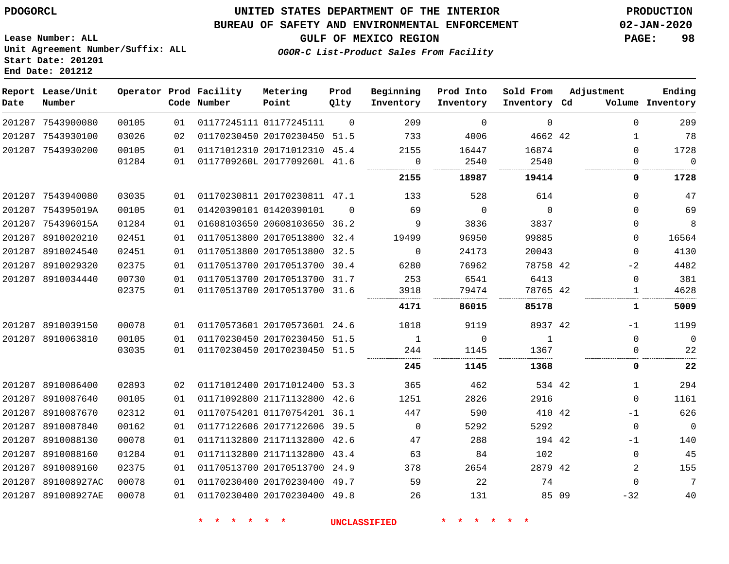**End Date: 201212**

### **UNITED STATES DEPARTMENT OF THE INTERIOR PDOGORCL PRODUCTION**

#### **BUREAU OF SAFETY AND ENVIRONMENTAL ENFORCEMENT 02-JAN-2020**

**Lease Number: ALL Unit Agreement Number/Suffix: ALL Start Date: 201201**

**GULF OF MEXICO REGION PAGE: 98**

**OGOR-C List-Product Sales From Facility**

| Date | Report Lease/Unit<br>Number |       |    | Operator Prod Facility<br>Code Number | Metering<br>Point            | Prod<br>Qlty | Beginning<br>Inventory | Prod Into<br>Inventory | Sold From<br>Inventory Cd | Adjustment |              | Ending<br>Volume Inventory |
|------|-----------------------------|-------|----|---------------------------------------|------------------------------|--------------|------------------------|------------------------|---------------------------|------------|--------------|----------------------------|
|      | 201207 7543900080           | 00105 | 01 |                                       | 01177245111 01177245111      | $\Omega$     | 209                    | $\Omega$               | $\mathbf 0$               |            | $\Omega$     | 209                        |
|      | 201207 7543930100           | 03026 | 02 |                                       | 01170230450 20170230450 51.5 |              | 733                    | 4006                   | 4662 42                   |            | 1            | 78                         |
|      | 201207 7543930200           | 00105 | 01 |                                       | 01171012310 20171012310 45.4 |              | 2155                   | 16447                  | 16874                     |            | $\Omega$     | 1728                       |
|      |                             | 01284 | 01 |                                       | 0117709260L 2017709260L 41.6 |              | 0<br>.                 | 2540                   | 2540                      |            | $\mathbf{0}$ | $\mathbf 0$<br>.           |
|      |                             |       |    |                                       |                              |              | 2155                   | 18987                  | 19414                     |            | 0            | 1728                       |
|      | 201207 7543940080           | 03035 | 01 |                                       | 01170230811 20170230811 47.1 |              | 133                    | 528                    | 614                       |            | $\Omega$     | 47                         |
|      | 201207 754395019A           | 00105 | 01 |                                       | 01420390101 01420390101      | $\Omega$     | 69                     | $\Omega$               | $\Omega$                  |            | $\Omega$     | 69                         |
|      | 201207 754396015A           | 01284 | 01 |                                       | 01608103650 20608103650 36.2 |              | 9                      | 3836                   | 3837                      |            | $\Omega$     | 8                          |
|      | 201207 8910020210           | 02451 | 01 |                                       | 01170513800 20170513800      | 32.4         | 19499                  | 96950                  | 99885                     |            | 0            | 16564                      |
|      | 201207 8910024540           | 02451 | 01 |                                       | 01170513800 20170513800      | 32.5         | 0                      | 24173                  | 20043                     |            | $\Omega$     | 4130                       |
|      | 201207 8910029320           | 02375 | 01 |                                       | 01170513700 20170513700      | 30.4         | 6280                   | 76962                  | 78758 42                  |            | -2           | 4482                       |
|      | 201207 8910034440           | 00730 | 01 |                                       | 01170513700 20170513700 31.7 |              | 253                    | 6541                   | 6413                      |            | $\mathbf{0}$ | 381                        |
|      |                             | 02375 | 01 |                                       | 01170513700 20170513700 31.6 |              | 3918                   | 79474                  | 78765 42                  |            | 1            | 4628                       |
|      |                             |       |    |                                       |                              |              | 4171                   | 86015                  | 85178                     |            | 1            | 5009                       |
|      | 201207 8910039150           | 00078 | 01 |                                       | 01170573601 20170573601 24.6 |              | 1018                   | 9119                   | 8937 42                   |            | -1           | 1199                       |
|      | 201207 8910063810           | 00105 | 01 |                                       | 01170230450 20170230450      | 51.5         | 1                      | $\Omega$               | 1                         |            | $\Omega$     | $\overline{0}$             |
|      |                             | 03035 | 01 |                                       | 01170230450 20170230450      | 51.5         | 244                    | 1145                   | 1367                      |            | 0            | 22                         |
|      |                             |       |    |                                       |                              |              | 245                    | 1145                   | 1368                      |            | 0            | 22                         |
|      | 201207 8910086400           | 02893 | 02 |                                       | 01171012400 20171012400 53.3 |              | 365                    | 462                    | 534 42                    |            | $\mathbf 1$  | 294                        |
|      | 201207 8910087640           | 00105 | 01 |                                       | 01171092800 21171132800 42.6 |              | 1251                   | 2826                   | 2916                      |            | $\mathbf{0}$ | 1161                       |
|      | 201207 8910087670           | 02312 | 01 |                                       | 01170754201 01170754201 36.1 |              | 447                    | 590                    | 410 42                    |            | $-1$         | 626                        |
|      | 201207 8910087840           | 00162 | 01 |                                       | 01177122606 20177122606      | 39.5         | $\overline{0}$         | 5292                   | 5292                      |            | 0            | $\overline{0}$             |
|      | 201207 8910088130           | 00078 | 01 |                                       | 01171132800 21171132800      | 42.6         | 47                     | 288                    | 194 42                    |            | $-1$         | 140                        |
|      | 201207 8910088160           | 01284 | 01 |                                       | 01171132800 21171132800 43.4 |              | 63                     | 84                     | 102                       |            | 0            | 45                         |
|      | 201207 8910089160           | 02375 | 01 |                                       | 01170513700 20170513700 24.9 |              | 378                    | 2654                   | 2879 42                   |            | 2            | 155                        |
|      | 201207 891008927AC          | 00078 | 01 |                                       | 01170230400 20170230400 49.7 |              | 59                     | 22                     | 74                        |            | $\Omega$     | $7\phantom{.0}$            |
|      | 201207 891008927AE          | 00078 | 01 |                                       | 01170230400 20170230400 49.8 |              | 26                     | 131                    | 85 09                     |            | $-32$        | 40                         |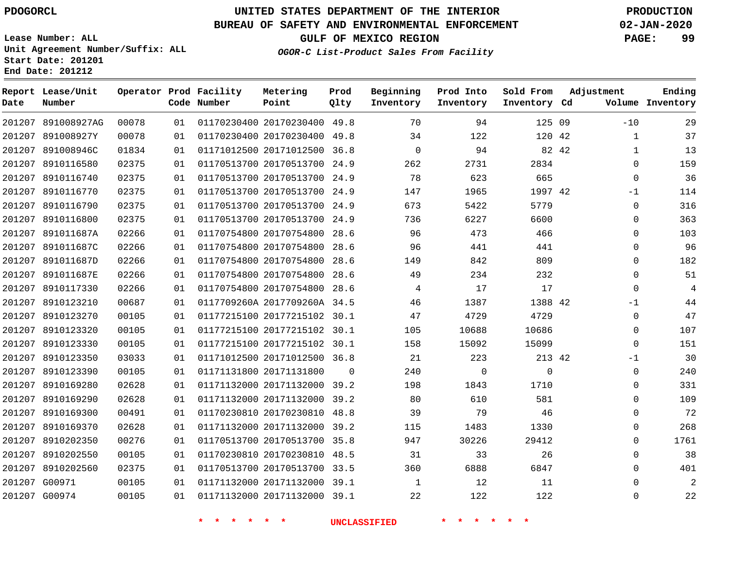**Date**

891008927AG

**Number**

**Report Lease/Unit**

 G00971 G00974

## **UNITED STATES DEPARTMENT OF THE INTERIOR PDOGORCL PRODUCTION**

**Prod Qlty**

#### **BUREAU OF SAFETY AND ENVIRONMENTAL ENFORCEMENT 02-JAN-2020**

**Lease Number: ALL Unit Agreement Number/Suffix: ALL Start Date: 201201 End Date: 201212**

**Operator Prod Facility**

**Code Number**

20170230400 49.8

**Metering Point**

**OGOR-C List-Product Sales From Facility**

**Prod Into Inventory**

**Beginning Inventory**

**GULF OF MEXICO REGION PAGE: 99**

**Inventory Cd Volume**

**Adjustment**

 $-10$   $\Omega$  $\Omega$ -1  $\Omega$  $\Omega$  $\Omega$  $\Omega$  $\Omega$  $\Omega$  $\overline{0}$ -1  $\Omega$  $\overline{0}$  $\Omega$  $-1$  $\Omega$  $\Omega$   $\Omega$  $\Omega$   $\Omega$   $\Omega$ 

**Ending**

125 09

**Sold From Inventory**

|        | 201207 891008927Y | 00078 | 01 |                         | 01170230400 20170230400 49.8 |          | 34          | 122      | 120 42      |       |
|--------|-------------------|-------|----|-------------------------|------------------------------|----------|-------------|----------|-------------|-------|
|        | 201207 891008946C | 01834 | 01 |                         | 01171012500 20171012500 36.8 |          | $\mathbf 0$ | 94       |             | 82 42 |
|        | 201207 8910116580 | 02375 | 01 |                         | 01170513700 20170513700 24.9 |          | 262         | 2731     | 2834        |       |
|        | 201207 8910116740 | 02375 | 01 |                         | 01170513700 20170513700 24.9 |          | 78          | 623      | 665         |       |
| 201207 | 8910116770        | 02375 | 01 |                         | 01170513700 20170513700 24.9 |          | 147         | 1965     | 1997 42     |       |
|        | 201207 8910116790 | 02375 | 01 |                         | 01170513700 20170513700 24.9 |          | 673         | 5422     | 5779        |       |
| 201207 | 8910116800        | 02375 | 01 |                         | 01170513700 20170513700      | 24.9     | 736         | 6227     | 6600        |       |
|        | 201207 891011687A | 02266 | 01 |                         | 01170754800 20170754800 28.6 |          | 96          | 473      | 466         |       |
|        | 201207 891011687C | 02266 | 01 |                         | 01170754800 20170754800      | 28.6     | 96          | 441      | 441         |       |
|        | 201207 891011687D | 02266 | 01 |                         | 01170754800 20170754800 28.6 |          | 149         | 842      | 809         |       |
| 201207 | 891011687E        | 02266 | 01 |                         | 01170754800 20170754800 28.6 |          | 49          | 234      | 232         |       |
| 201207 | 8910117330        | 02266 | 01 |                         | 01170754800 20170754800 28.6 |          | 4           | 17       | 17          |       |
| 201207 | 8910123210        | 00687 | 01 |                         | 0117709260A 2017709260A 34.5 |          | 46          | 1387     | 1388 42     |       |
| 201207 | 8910123270        | 00105 | 01 |                         | 01177215100 20177215102 30.1 |          | 47          | 4729     | 4729        |       |
|        | 201207 8910123320 | 00105 | 01 |                         | 01177215100 20177215102 30.1 |          | 105         | 10688    | 10686       |       |
| 201207 | 8910123330        | 00105 | 01 |                         | 01177215100 20177215102 30.1 |          | 158         | 15092    | 15099       |       |
|        | 201207 8910123350 | 03033 | 01 |                         | 01171012500 20171012500 36.8 |          | 21          | 223      | 213 42      |       |
| 201207 | 8910123390        | 00105 | 01 | 01171131800 20171131800 |                              | $\Omega$ | 240         | $\Omega$ | $\mathbf 0$ |       |
|        | 201207 8910169280 | 02628 | 01 |                         | 01171132000 20171132000 39.2 |          | 198         | 1843     | 1710        |       |
| 201207 | 8910169290        | 02628 | 01 |                         | 01171132000 20171132000 39.2 |          | 80          | 610      | 581         |       |
|        | 201207 8910169300 | 00491 | 01 |                         | 01170230810 20170230810 48.8 |          | 39          | 79       | 46          |       |
| 201207 | 8910169370        | 02628 | 01 |                         | 01171132000 20171132000 39.2 |          | 115         | 1483     | 1330        |       |
|        | 201207 8910202350 | 00276 | 01 |                         | 01170513700 20170513700 35.8 |          | 947         | 30226    | 29412       |       |
|        | 201207 8910202550 | 00105 | 01 |                         | 01170230810 20170230810 48.5 |          | 31          | 33       | 26          |       |
|        | 201207 8910202560 | 02375 | 01 |                         | 01170513700 20170513700 33.5 |          | 360         | 6888     | 6847        |       |
|        | 201207 G00971     | 00105 | 01 |                         | 01171132000 20171132000 39.1 |          | 1           | 12       | 11          |       |

**\* \* \* \* \* \* UNCLASSIFIED \* \* \* \* \* \***

20171132000 39.1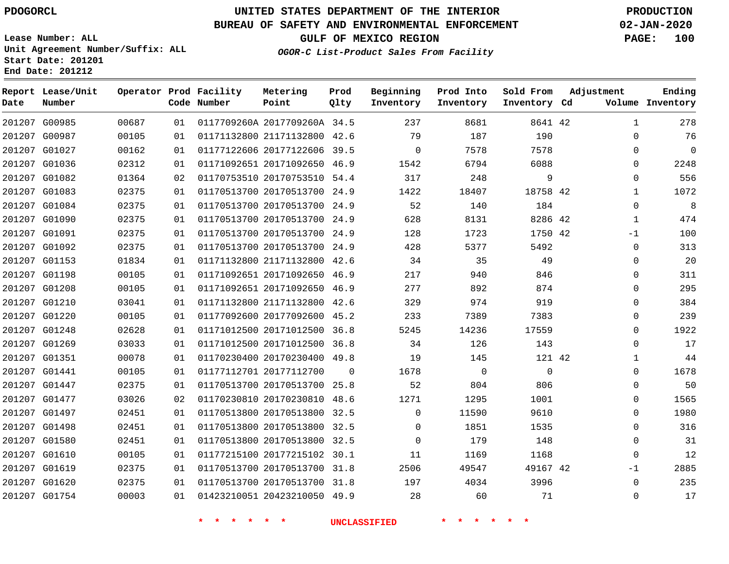**Date**

### **UNITED STATES DEPARTMENT OF THE INTERIOR PDOGORCL PRODUCTION**

**Prod Qlty**

#### **BUREAU OF SAFETY AND ENVIRONMENTAL ENFORCEMENT 02-JAN-2020**

**Lease Number: ALL Unit Agreement Number/Suffix: ALL Start Date: 201201**

**Operator Prod Facility**

**Code Number**

**Metering Point**

**End Date: 201212**

**Report Lease/Unit**

**Number**

**GULF OF MEXICO REGION PAGE: 100**

**Inventory Cd Volume**

**Adjustment**

**Ending**

**OGOR-C List-Product Sales From Facility**

**Beginning Inventory**

**Prod Into Inventory** **Sold From Inventory**

|        | 201207 G00985 | 00687 | 01 | 0117709260A 2017709260A 34.5 |          | 237      | 8681        | 8641 42     | $\mathbf 1$ | 278  |
|--------|---------------|-------|----|------------------------------|----------|----------|-------------|-------------|-------------|------|
|        | 201207 G00987 | 00105 | 01 | 01171132800 21171132800 42.6 |          | 79       | 187         | 190         | $\Omega$    | 76   |
|        | 201207 G01027 | 00162 | 01 | 01177122606 20177122606 39.5 |          | $\Omega$ | 7578        | 7578        | $\Omega$    | 0    |
|        | 201207 G01036 | 02312 | 01 | 01171092651 20171092650 46.9 |          | 1542     | 6794        | 6088        | $\Omega$    | 2248 |
|        | 201207 G01082 | 01364 | 02 | 01170753510 20170753510      | 54.4     | 317      | 248         | 9           | 0           | 556  |
| 201207 | G01083        | 02375 | 01 | 01170513700 20170513700      | 24.9     | 1422     | 18407       | 18758 42    | 1           | 1072 |
|        | 201207 G01084 | 02375 | 01 | 01170513700 20170513700      | 24.9     | 52       | 140         | 184         | 0           | 8    |
|        | 201207 G01090 | 02375 | 01 | 01170513700 20170513700 24.9 |          | 628      | 8131        | 8286 42     | 1           | 474  |
|        | 201207 G01091 | 02375 | 01 | 01170513700 20170513700 24.9 |          | 128      | 1723        | 1750 42     | -1          | 100  |
|        | 201207 G01092 | 02375 | 01 | 01170513700 20170513700      | 24.9     | 428      | 5377        | 5492        | 0           | 313  |
|        | 201207 G01153 | 01834 | 01 | 01171132800 21171132800 42.6 |          | 34       | 35          | 49          | $\Omega$    | 20   |
|        | 201207 G01198 | 00105 | 01 | 01171092651 20171092650 46.9 |          | 217      | 940         | 846         | $\Omega$    | 311  |
| 201207 | G01208        | 00105 | 01 | 01171092651 20171092650 46.9 |          | 277      | 892         | 874         | 0           | 295  |
|        | 201207 G01210 | 03041 | 01 | 01171132800 21171132800      | 42.6     | 329      | 974         | 919         | $\Omega$    | 384  |
|        | 201207 G01220 | 00105 | 01 | 01177092600 20177092600 45.2 |          | 233      | 7389        | 7383        | 0           | 239  |
| 201207 | G01248        | 02628 | 01 | 01171012500 20171012500      | 36.8     | 5245     | 14236       | 17559       | $\Omega$    | 1922 |
|        | 201207 G01269 | 03033 | 01 | 01171012500 20171012500      | 36.8     | 34       | 126         | 143         | $\Omega$    | 17   |
|        | 201207 G01351 | 00078 | 01 | 01170230400 20170230400 49.8 |          | 19       | 145         | 121 42      | 1           | 44   |
| 201207 | G01441        | 00105 | 01 | 01177112701 20177112700      | $\Omega$ | 1678     | $\mathbf 0$ | $\mathbf 0$ | $\Omega$    | 1678 |
|        | 201207 G01447 | 02375 | 01 | 01170513700 20170513700      | 25.8     | 52       | 804         | 806         | 0           | 50   |
|        | 201207 G01477 | 03026 | 02 | 01170230810 20170230810 48.6 |          | 1271     | 1295        | 1001        | $\Omega$    | 1565 |
| 201207 | G01497        | 02451 | 01 | 01170513800 20170513800      | 32.5     | $\Omega$ | 11590       | 9610        | $\Omega$    | 1980 |
|        | 201207 G01498 | 02451 | 01 | 01170513800 20170513800 32.5 |          | $\Omega$ | 1851        | 1535        | $\Omega$    | 316  |
|        | 201207 G01580 | 02451 | 01 | 01170513800 20170513800 32.5 |          | $\Omega$ | 179         | 148         | $\Omega$    | 31   |
| 201207 | G01610        | 00105 | 01 | 01177215100 20177215102      | 30.1     | 11       | 1169        | 1168        | 0           | 12   |
|        | 201207 G01619 | 02375 | 01 | 01170513700 20170513700 31.8 |          | 2506     | 49547       | 49167 42    | -1          | 2885 |
|        | 201207 G01620 | 02375 | 01 | 01170513700 20170513700 31.8 |          | 197      | 4034        | 3996        | 0           | 235  |
|        | 201207 G01754 | 00003 | 01 | 01423210051 20423210050 49.9 |          | 28       | 60          | 71          | $\Omega$    | 17   |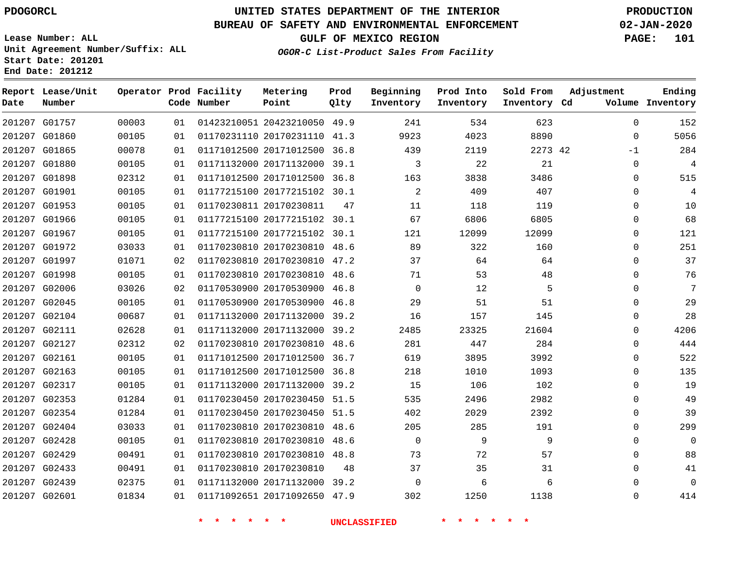G01757 G01860

**Date**

**Report Lease/Unit**

**Number**

### **UNITED STATES DEPARTMENT OF THE INTERIOR PDOGORCL PRODUCTION**

#### **BUREAU OF SAFETY AND ENVIRONMENTAL ENFORCEMENT 02-JAN-2020**

**Lease Number: ALL Unit Agreement Number/Suffix: ALL Start Date: 201201 End Date: 201212**

**Operator Prod Facility**

**Code Number**

**OGOR-C List-Product Sales From Facility**

**Beginning Inventory** **Prod Into Inventory** **Sold From Inventory**

**GULF OF MEXICO REGION PAGE: 101**

**Inventory Cd Volume**

**Adjustment**

  $-1$ 

 

**Ending**

| 00003 | 01 | 01423210051 20423210050 |             | 49.9 | 241            | 534   | 623   |    |
|-------|----|-------------------------|-------------|------|----------------|-------|-------|----|
| 00105 | 01 | 01170231110             | 20170231110 | 41.3 | 9923           | 4023  | 8890  |    |
| 00078 | 01 | 01171012500 20171012500 |             | 36.8 | 439            | 2119  | 2273  | 42 |
| 00105 | 01 | 01171132000             | 20171132000 | 39.1 | 3              | 22    | 21    |    |
| 02312 | 01 | 01171012500 20171012500 |             | 36.8 | 163            | 3838  | 3486  |    |
| 00105 | 01 | 01177215100 20177215102 |             | 30.1 | $\overline{a}$ | 409   | 407   |    |
| 00105 | 01 | 01170230811             | 20170230811 | 47   | 11             | 118   | 119   |    |
| 00105 | 01 | 01177215100             | 20177215102 | 30.1 | 67             | 6806  | 6805  |    |
| 00105 | 01 | 01177215100 20177215102 |             | 30.1 | 121            | 12099 | 12099 |    |
| 03033 | 01 | 01170230810 20170230810 |             | 48.6 | 89             | 322   | 160   |    |
| 01071 | 02 | 01170230810 20170230810 |             | 47.2 | 37             | 64    | 64    |    |
| 00105 | 01 | 01170230810 20170230810 |             | 48.6 | 71             | 53    | 48    |    |
| 03026 | 02 | 01170530900 20170530900 |             | 46.8 | $\Omega$       | 12    | 5     |    |
| 00105 | 01 | 01170530900             | 20170530900 | 46.8 | 29             | 51    | 51    |    |
| 00687 | 01 | 01171132000             | 20171132000 | 39.2 | 16             | 157   | 145   |    |
| 02628 | 01 | 01171132000             | 20171132000 | 39.2 | 2485           | 23325 | 21604 |    |
| 02312 | 02 | 01170230810             | 20170230810 | 48.6 | 281            | 447   | 284   |    |
| 00105 | 01 | 01171012500             | 20171012500 | 36.7 | 619            | 3895  | 3992  |    |
| 00105 | 01 | 01171012500 20171012500 |             | 36.8 | 218            | 1010  | 1093  |    |
| 00105 | 01 | 01171132000             | 20171132000 | 39.2 | 15             | 106   | 102   |    |

**Prod Qlty**

**Metering Point**

| 284            | $-1$     | 2273 42 | 2119  | 439            | 36.8 | 01171012500 20171012500      | 01 | 00078 | 201207 G01865 |  |
|----------------|----------|---------|-------|----------------|------|------------------------------|----|-------|---------------|--|
| $\overline{4}$ | $\Omega$ | 21      | 22    | 3              |      | 01171132000 20171132000 39.1 | 01 | 00105 | 201207 G01880 |  |
| 515            | $\Omega$ | 3486    | 3838  | 163            |      | 01171012500 20171012500 36.8 | 01 | 02312 | 201207 G01898 |  |
| $\overline{4}$ | $\Omega$ | 407     | 409   | 2              |      | 01177215100 20177215102 30.1 | 01 | 00105 | 201207 G01901 |  |
| 10             | $\Omega$ | 119     | 118   | 11             | 47   | 01170230811 20170230811      | 01 | 00105 | 201207 G01953 |  |
| 68             | $\Omega$ | 6805    | 6806  | 67             |      | 01177215100 20177215102 30.1 | 01 | 00105 | 201207 G01966 |  |
| 121            | $\Omega$ | 12099   | 12099 | 121            |      | 01177215100 20177215102 30.1 | 01 | 00105 | 201207 G01967 |  |
| 251            | $\Omega$ | 160     | 322   | 89             |      | 01170230810 20170230810 48.6 | 01 | 03033 | 201207 G01972 |  |
| 37             | 0        | 64      | 64    | 37             |      | 01170230810 20170230810 47.2 | 02 | 01071 | 201207 G01997 |  |
| 76             | $\Omega$ | 48      | 53    | 71             |      | 01170230810 20170230810 48.6 | 01 | 00105 | 201207 G01998 |  |
| 7              | $\Omega$ | 5       | 12    | $\Omega$       |      | 01170530900 20170530900 46.8 | 02 | 03026 | 201207 G02006 |  |
| 29             | $\Omega$ | 51      | 51    | 29             |      | 01170530900 20170530900 46.8 | 01 | 00105 | 201207 G02045 |  |
| 28             | $\Omega$ | 145     | 157   | 16             |      | 01171132000 20171132000 39.2 | 01 | 00687 | 201207 G02104 |  |
| 4206           | $\Omega$ | 21604   | 23325 | 2485           |      | 01171132000 20171132000 39.2 | 01 | 02628 | 201207 G02111 |  |
| 444            | $\Omega$ | 284     | 447   | 281            |      | 01170230810 20170230810 48.6 | 02 | 02312 | 201207 G02127 |  |
| 522            | $\Omega$ | 3992    | 3895  | 619            |      | 01171012500 20171012500 36.7 | 01 | 00105 | 201207 G02161 |  |
| 135            | $\Omega$ | 1093    | 1010  | 218            |      | 01171012500 20171012500 36.8 | 01 | 00105 | 201207 G02163 |  |
| 19             | $\Omega$ | 102     | 106   | 15             |      | 01171132000 20171132000 39.2 | 01 | 00105 | 201207 G02317 |  |
| 49             | $\Omega$ | 2982    | 2496  | 535            |      | 01170230450 20170230450 51.5 | 01 | 01284 | 201207 G02353 |  |
| 39             | $\Omega$ | 2392    | 2029  | 402            |      | 01170230450 20170230450 51.5 | 01 | 01284 | 201207 G02354 |  |
| 299            | $\Omega$ | 191     | 285   | 205            |      | 01170230810 20170230810 48.6 | 01 | 03033 | 201207 G02404 |  |
| $\mathbf 0$    | $\Omega$ | 9       | 9     | $\overline{0}$ |      | 01170230810 20170230810 48.6 | 01 | 00105 | 201207 G02428 |  |
| 88             | $\Omega$ | 57      | 72    | 73             |      | 01170230810 20170230810 48.8 | 01 | 00491 | 201207 G02429 |  |
| 41             | $\Omega$ | 31      | 35    | 37             | 48   | 01170230810 20170230810      | 01 | 00491 | 201207 G02433 |  |
| $\mathbf 0$    | 0        | 6       | 6     | $\Omega$       |      | 01171132000 20171132000 39.2 | 01 | 02375 | 201207 G02439 |  |
| 414            | $\Omega$ | 1138    | 1250  | 302            |      | 01171092651 20171092650 47.9 | 01 | 01834 | 201207 G02601 |  |
|                |          |         |       |                |      |                              |    |       |               |  |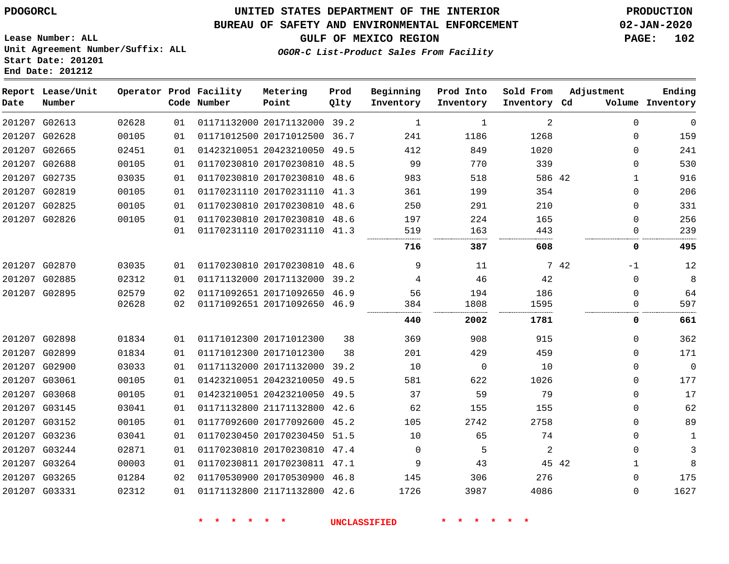**Lease Number: ALL**

**Start Date: 201201 End Date: 201212**

## **UNITED STATES DEPARTMENT OF THE INTERIOR PDOGORCL PRODUCTION**

#### **BUREAU OF SAFETY AND ENVIRONMENTAL ENFORCEMENT 02-JAN-2020**

**Unit Agreement Number/Suffix: ALL**

**GULF OF MEXICO REGION PAGE: 102**

**OGOR-C List-Product Sales From Facility**

| Date | Report Lease/Unit<br>Number |       |    | Operator Prod Facility<br>Code Number | Metering<br>Point            | Prod<br>Qlty | Beginning<br>Inventory | Prod Into<br>Inventory | Sold From<br>Inventory | Adjustment<br>Cd | Ending<br>Volume Inventory |
|------|-----------------------------|-------|----|---------------------------------------|------------------------------|--------------|------------------------|------------------------|------------------------|------------------|----------------------------|
|      | 201207 G02613               | 02628 | 01 |                                       | 01171132000 20171132000 39.2 |              | 1                      | 1                      | 2                      | $\mathbf 0$      | $\mathbf 0$                |
|      | 201207 G02628               | 00105 | 01 |                                       | 01171012500 20171012500      | 36.7         | 241                    | 1186                   | 1268                   | $\Omega$         | 159                        |
|      | 201207 G02665               | 02451 | 01 |                                       | 01423210051 20423210050      | 49.5         | 412                    | 849                    | 1020                   | $\Omega$         | 241                        |
|      | 201207 G02688               | 00105 | 01 |                                       | 01170230810 20170230810 48.5 |              | 99                     | 770                    | 339                    | $\Omega$         | 530                        |
|      | 201207 G02735               | 03035 | 01 |                                       | 01170230810 20170230810      | 48.6         | 983                    | 518                    | 586 42                 | $\mathbf{1}$     | 916                        |
|      | 201207 G02819               | 00105 | 01 |                                       | 01170231110 20170231110 41.3 |              | 361                    | 199                    | 354                    | $\Omega$         | 206                        |
|      | 201207 G02825               | 00105 | 01 |                                       | 01170230810 20170230810 48.6 |              | 250                    | 291                    | 210                    | $\mathbf 0$      | 331                        |
|      | 201207 G02826               | 00105 | 01 |                                       | 01170230810 20170230810 48.6 |              | 197                    | 224                    | 165                    | $\Omega$         | 256                        |
|      |                             |       | 01 |                                       | 01170231110 20170231110 41.3 |              | 519                    | 163                    | 443                    | $\Omega$         | 239                        |
|      |                             |       |    |                                       |                              |              | 716                    | 387                    | 608                    | 0                | 495                        |
|      | 201207 G02870               | 03035 | 01 |                                       | 01170230810 20170230810 48.6 |              | 9                      | 11                     |                        | 7 42<br>-1       | 12                         |
|      | 201207 G02885               | 02312 | 01 |                                       | 01171132000 20171132000      | 39.2         | 4                      | 46                     | 42                     | $\mathbf 0$      | 8                          |
|      | 201207 G02895               | 02579 | 02 |                                       | 01171092651 20171092650 46.9 |              | 56                     | 194                    | 186                    | $\Omega$         | 64                         |
|      |                             | 02628 | 02 |                                       | 01171092651 20171092650      | 46.9         | 384                    | 1808                   | 1595<br>.              | $\Omega$         | 597                        |
|      |                             |       |    |                                       |                              |              | 440                    | 2002                   | 1781                   | 0                | 661                        |
|      | 201207 G02898               | 01834 | 01 |                                       | 01171012300 20171012300      | 38           | 369                    | 908                    | 915                    | $\Omega$         | 362                        |
|      | 201207 G02899               | 01834 | 01 |                                       | 01171012300 20171012300      | 38           | 201                    | 429                    | 459                    | $\Omega$         | 171                        |
|      | 201207 G02900               | 03033 | 01 |                                       | 01171132000 20171132000      | 39.2         | 10                     | $\mathbf{0}$           | 10                     | $\Omega$         | $\mathbf 0$                |
|      | 201207 G03061               | 00105 | 01 |                                       | 01423210051 20423210050      | 49.5         | 581                    | 622                    | 1026                   | $\Omega$         | 177                        |
|      | 201207 G03068               | 00105 | 01 |                                       | 01423210051 20423210050      | 49.5         | 37                     | 59                     | 79                     | $\Omega$         | 17                         |
|      | 201207 G03145               | 03041 | 01 |                                       | 01171132800 21171132800      | 42.6         | 62                     | 155                    | 155                    | $\Omega$         | 62                         |
|      | 201207 G03152               | 00105 | 01 |                                       | 01177092600 20177092600      | 45.2         | 105                    | 2742                   | 2758                   | $\Omega$         | 89                         |
|      | 201207 G03236               | 03041 | 01 |                                       | 01170230450 20170230450      | 51.5         | 10                     | 65                     | 74                     | $\Omega$         | 1                          |
|      | 201207 G03244               | 02871 | 01 |                                       | 01170230810 20170230810 47.4 |              | $\mathbf 0$            | 5                      | 2                      | $\Omega$         | 3                          |
|      | 201207 G03264               | 00003 | 01 |                                       | 01170230811 20170230811 47.1 |              | 9                      | 43                     | 45 42                  | $\mathbf{1}$     | 8                          |
|      | 201207 G03265               | 01284 | 02 |                                       | 01170530900 20170530900 46.8 |              | 145                    | 306                    | 276                    | $\Omega$         | 175                        |
|      | 201207 G03331               | 02312 | 01 |                                       | 01171132800 21171132800      | 42.6         | 1726                   | 3987                   | 4086                   | $\Omega$         | 1627                       |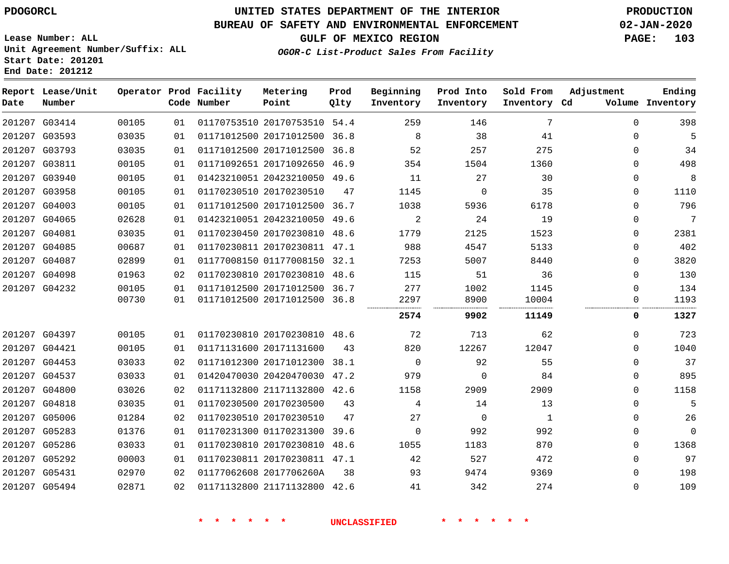G05494

**End Date: 201212**

**Report Lease/Unit**

### **UNITED STATES DEPARTMENT OF THE INTERIOR PDOGORCL PRODUCTION**

**Prod Qlty**

#### **BUREAU OF SAFETY AND ENVIRONMENTAL ENFORCEMENT 02-JAN-2020**

**Lease Number: ALL Unit Agreement Number/Suffix: ALL Start Date: 201201**

**Operator Prod Facility**

**OGOR-C List-Product Sales From Facility**

**Beginning Inventory** **Prod Into Inventory** **Sold From**

**GULF OF MEXICO REGION PAGE: 103**

**Adjustment**

 $\Omega$   $\Omega$   $\Omega$  $\Omega$   $\Omega$   $\Omega$  $\Omega$ 

**Ending**

| Date   | Number        |       |    | Code Number | Point                        | Qlty | Inventory   | Inventory   | Inventory Cd |          | Volume Inventory |
|--------|---------------|-------|----|-------------|------------------------------|------|-------------|-------------|--------------|----------|------------------|
| 201207 | G03414        | 00105 | 01 |             | 01170753510 20170753510 54.4 |      | 259         | 146         | 7            | $\Omega$ | 398              |
|        | 201207 G03593 | 03035 | 01 |             | 01171012500 20171012500 36.8 |      | 8           | 38          | 41           | $\Omega$ | 5                |
|        | 201207 G03793 | 03035 | 01 |             | 01171012500 20171012500      | 36.8 | 52          | 257         | 275          | $\Omega$ | 34               |
|        | 201207 G03811 | 00105 | 01 |             | 01171092651 20171092650 46.9 |      | 354         | 1504        | 1360         | 0        | 498              |
|        | 201207 G03940 | 00105 | 01 |             | 01423210051 20423210050 49.6 |      | 11          | 27          | 30           | $\Omega$ | 8                |
|        | 201207 G03958 | 00105 | 01 |             | 01170230510 20170230510      | 47   | 1145        | $\Omega$    | 35           | $\Omega$ | 1110             |
|        | 201207 G04003 | 00105 | 01 |             | 01171012500 20171012500 36.7 |      | 1038        | 5936        | 6178         | 0        | 796              |
|        | 201207 G04065 | 02628 | 01 |             | 01423210051 20423210050 49.6 |      | 2           | 24          | 19           | 0        | 7                |
|        | 201207 G04081 | 03035 | 01 |             | 01170230450 20170230810 48.6 |      | 1779        | 2125        | 1523         | 0        | 2381             |
|        | 201207 G04085 | 00687 | 01 |             | 01170230811 20170230811 47.1 |      | 988         | 4547        | 5133         | $\Omega$ | 402              |
|        | 201207 G04087 | 02899 | 01 |             | 01177008150 01177008150 32.1 |      | 7253        | 5007        | 8440         | $\Omega$ | 3820             |
|        | 201207 G04098 | 01963 | 02 |             | 01170230810 20170230810 48.6 |      | 115         | 51          | 36           | $\Omega$ | 130              |
|        | 201207 G04232 | 00105 | 01 |             | 01171012500 20171012500 36.7 |      | 277         | 1002        | 1145         | $\Omega$ | 134              |
|        |               | 00730 | 01 |             | 01171012500 20171012500 36.8 |      | 2297        | 8900        | 10004        | 0        | 1193             |
|        |               |       |    |             |                              |      | 2574        | 9902        | 11149        | 0        | 1327             |
|        | 201207 G04397 | 00105 | 01 |             | 01170230810 20170230810 48.6 |      | 72          | 713         | 62           | $\Omega$ | 723              |
|        | 201207 G04421 | 00105 | 01 |             | 01171131600 20171131600      | 43   | 820         | 12267       | 12047        | $\Omega$ | 1040             |
|        | 201207 G04453 | 03033 | 02 |             | 01171012300 20171012300 38.1 |      | $\mathbf 0$ | 92          | 55           | 0        | 37               |
|        | 201207 G04537 | 03033 | 01 |             | 01420470030 20420470030 47.2 |      | 979         | $\Omega$    | 84           | $\Omega$ | 895              |
|        | 201207 G04800 | 03026 | 02 |             | 01171132800 21171132800 42.6 |      | 1158        | 2909        | 2909         | $\Omega$ | 1158             |
|        | 201207 G04818 | 03035 | 01 |             | 01170230500 20170230500      | 43   | 4           | 14          | 13           | $\Omega$ | 5                |
|        | 201207 G05006 | 01284 | 02 |             | 01170230510 20170230510      | 47   | 27          | $\mathbf 0$ | 1            | 0        | 26               |
|        | 201207 G05283 | 01376 | 01 |             | 01170231300 01170231300      | 39.6 | $\mathbf 0$ | 992         | 992          | 0        | $\mathbf 0$      |
|        | 201207 G05286 | 03033 | 01 |             | 01170230810 20170230810 48.6 |      | 1055        | 1183        | 870          | $\Omega$ | 1368             |
|        | 201207 G05292 | 00003 | 01 |             | 01170230811 20170230811 47.1 |      | 42          | 527         | 472          | $\Omega$ | 97               |
|        | 201207 G05431 | 02970 | 02 |             | 01177062608 2017706260A      | 38   | 93          | 9474        | 9369         | $\Omega$ | 198              |

**Metering Point**

21171132800 42.6

**\* \* \* \* \* \* UNCLASSIFIED \* \* \* \* \* \***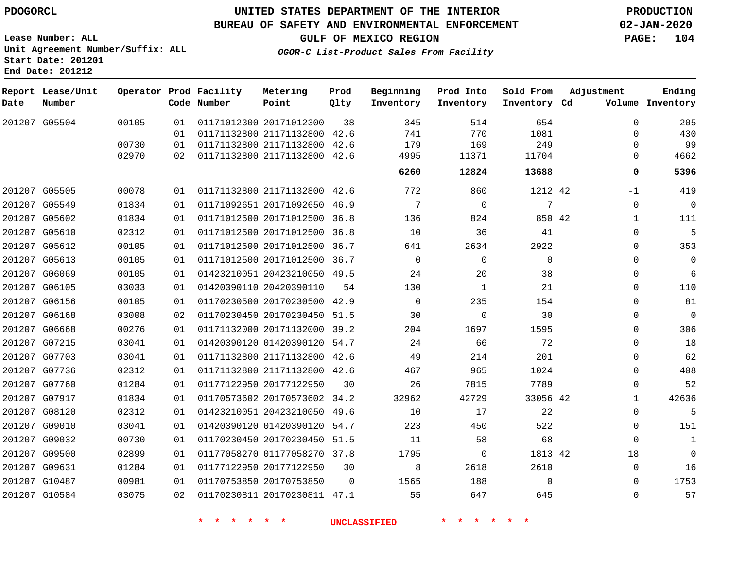#### **BUREAU OF SAFETY AND ENVIRONMENTAL ENFORCEMENT 02-JAN-2020**

**Lease Number: ALL Unit Agreement Number/Suffix: ALL Start Date: 201201 End Date: 201212**

**GULF OF MEXICO REGION PAGE: 104**

**OGOR-C List-Product Sales From Facility**

| Date | Report Lease/Unit<br>Number |       |    | Operator Prod Facility<br>Code Number | Metering<br>Point            | Prod<br>Qlty | Beginning<br>Inventory | Prod Into<br>Inventory | Sold From<br>Inventory Cd | Adjustment   | Ending<br>Volume Inventory |
|------|-----------------------------|-------|----|---------------------------------------|------------------------------|--------------|------------------------|------------------------|---------------------------|--------------|----------------------------|
|      | 201207 G05504               | 00105 | 01 |                                       | 01171012300 20171012300      | 38           | 345                    | 514                    | 654                       | $\Omega$     | 205                        |
|      |                             |       | 01 |                                       | 01171132800 21171132800 42.6 |              | 741                    | 770                    | 1081                      | $\Omega$     | 430                        |
|      |                             | 00730 | 01 |                                       | 01171132800 21171132800      | 42.6         | 179                    | 169                    | 249                       | 0            | 99                         |
|      |                             | 02970 | 02 |                                       | 01171132800 21171132800 42.6 |              | 4995                   | 11371                  | 11704                     | $\Omega$     | 4662                       |
|      |                             |       |    |                                       |                              |              | 6260                   | 12824                  | 13688                     | 0            | 5396                       |
|      | 201207 G05505               | 00078 | 01 |                                       | 01171132800 21171132800 42.6 |              | 772                    | 860                    | 1212 42                   | $-1$         | 419                        |
|      | 201207 G05549               | 01834 | 01 |                                       | 01171092651 20171092650 46.9 |              | 7                      | $\overline{0}$         | 7                         | $\mathbf 0$  | $\mathbf{0}$               |
|      | 201207 G05602               | 01834 | 01 |                                       | 01171012500 20171012500 36.8 |              | 136                    | 824                    | 850 42                    | 1            | 111                        |
|      | 201207 G05610               | 02312 | 01 |                                       | 01171012500 20171012500 36.8 |              | 10                     | 36                     | 41                        | $\Omega$     | 5                          |
|      | 201207 G05612               | 00105 | 01 |                                       | 01171012500 20171012500 36.7 |              | 641                    | 2634                   | 2922                      | 0            | 353                        |
|      | 201207 G05613               | 00105 | 01 |                                       | 01171012500 20171012500 36.7 |              | $\Omega$               | $\Omega$               | $\Omega$                  | $\Omega$     | $\mathbf{0}$               |
|      | 201207 G06069               | 00105 | 01 |                                       | 01423210051 20423210050 49.5 |              | 24                     | 20                     | 38                        | 0            | 6                          |
|      | 201207 G06105               | 03033 | 01 |                                       | 01420390110 20420390110      | 54           | 130                    | 1                      | 21                        | $\Omega$     | 110                        |
|      | 201207 G06156               | 00105 | 01 |                                       | 01170230500 20170230500 42.9 |              | $\Omega$               | 235                    | 154                       | $\Omega$     | 81                         |
|      | 201207 G06168               | 03008 | 02 |                                       | 01170230450 20170230450 51.5 |              | 30                     | $\mathbf 0$            | 30                        | 0            | $\mathbf{0}$               |
|      | 201207 G06668               | 00276 | 01 |                                       | 01171132000 20171132000 39.2 |              | 204                    | 1697                   | 1595                      | $\Omega$     | 306                        |
|      | 201207 G07215               | 03041 | 01 |                                       | 01420390120 01420390120 54.7 |              | 24                     | 66                     | 72                        | $\Omega$     | 18                         |
|      | 201207 G07703               | 03041 | 01 |                                       | 01171132800 21171132800 42.6 |              | 49                     | 214                    | 201                       | 0            | 62                         |
|      | 201207 G07736               | 02312 | 01 |                                       | 01171132800 21171132800 42.6 |              | 467                    | 965                    | 1024                      | 0            | 408                        |
|      | 201207 G07760               | 01284 | 01 |                                       | 01177122950 20177122950      | 30           | 26                     | 7815                   | 7789                      | 0            | 52                         |
|      | 201207 G07917               | 01834 | 01 |                                       | 01170573602 20170573602 34.2 |              | 32962                  | 42729                  | 33056 42                  | $\mathbf{1}$ | 42636                      |
|      | 201207 G08120               | 02312 | 01 |                                       | 01423210051 20423210050 49.6 |              | 10                     | 17                     | 22                        | $\mathbf 0$  | 5                          |
|      | 201207 G09010               | 03041 | 01 |                                       | 01420390120 01420390120 54.7 |              | 223                    | 450                    | 522                       | $\mathbf 0$  | 151                        |
|      | 201207 G09032               | 00730 | 01 |                                       | 01170230450 20170230450 51.5 |              | 11                     | 58                     | 68                        | $\mathbf 0$  | $\mathbf{1}$               |
|      | 201207 G09500               | 02899 | 01 |                                       | 01177058270 01177058270 37.8 |              | 1795                   | $\mathbf 0$            | 1813 42                   | 18           | $\mathbf 0$                |
|      | 201207 G09631               | 01284 | 01 |                                       | 01177122950 20177122950      | 30           | 8                      | 2618                   | 2610                      | $\Omega$     | 16                         |
|      | 201207 G10487               | 00981 | 01 |                                       | 01170753850 20170753850      | $\Omega$     | 1565                   | 188                    | $\Omega$                  | $\Omega$     | 1753                       |
|      | 201207 G10584               | 03075 | 02 |                                       | 01170230811 20170230811 47.1 |              | 55                     | 647                    | 645                       | $\Omega$     | 57                         |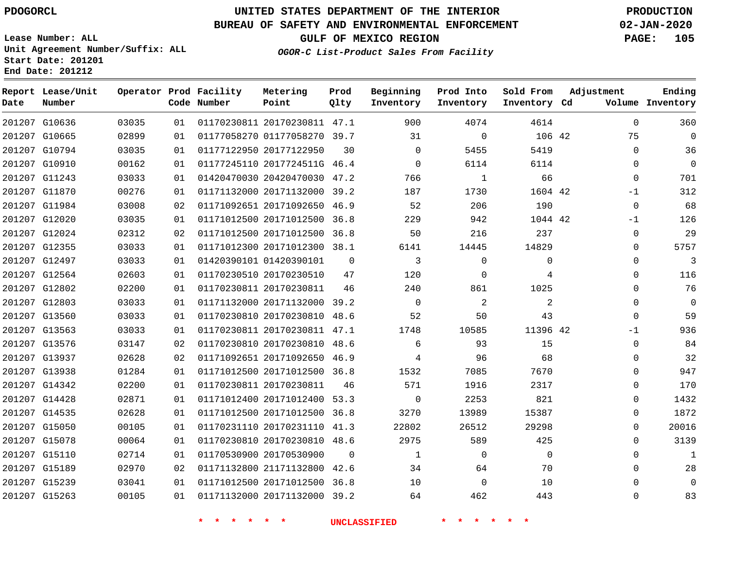**Report Lease/Unit**

### **UNITED STATES DEPARTMENT OF THE INTERIOR PDOGORCL PRODUCTION**

**Prod**

#### **BUREAU OF SAFETY AND ENVIRONMENTAL ENFORCEMENT 02-JAN-2020**

**Lease Number: ALL Unit Agreement Number/Suffix: ALL Start Date: 201201 End Date: 201212**

**Operator Prod Facility Metering**

**OGOR-C List-Product Sales From Facility**

**Beginning Prod Into Sold From Adjustment**

**GULF OF MEXICO REGION PAGE: 105**

**Ending**

| Date | Number        |       |    | Code Number   | Point                        | Qlty           | Inventory           | Inventory     | Inventory Cd |             | Volume Inventory |
|------|---------------|-------|----|---------------|------------------------------|----------------|---------------------|---------------|--------------|-------------|------------------|
|      | 201207 G10636 | 03035 | 01 |               | 01170230811 20170230811 47.1 |                | 900                 | 4074          | 4614         | $\mathbf 0$ | 360              |
|      | 201207 G10665 | 02899 | 01 |               | 01177058270 01177058270 39.7 |                | 31                  | $\Omega$      | 106 42       | 75          | $\Omega$         |
|      | 201207 G10794 | 03035 | 01 |               | 01177122950 20177122950      | 30             | $\Omega$            | 5455          | 5419         | $\Omega$    | 36               |
|      | 201207 G10910 | 00162 | 01 |               | 01177245110 2017724511G 46.4 |                | $\Omega$            | 6114          | 6114         | $\Omega$    | $\overline{0}$   |
|      | 201207 G11243 | 03033 | 01 |               | 01420470030 20420470030 47.2 |                | 766                 | $\mathbf{1}$  | 66           | $\mathbf 0$ | 701              |
|      | 201207 G11870 | 00276 | 01 |               | 01171132000 20171132000 39.2 |                | 187                 | 1730          | 1604 42      | $-1$        | 312              |
|      | 201207 G11984 | 03008 | 02 |               | 01171092651 20171092650 46.9 |                | 52                  | 206           | 190          | $\mathbf 0$ | 68               |
|      | 201207 G12020 | 03035 | 01 |               | 01171012500 20171012500 36.8 |                | 229                 | 942           | 1044 42      | $-1$        | 126              |
|      | 201207 G12024 | 02312 | 02 |               | 01171012500 20171012500 36.8 |                | 50                  | 216           | 237          | $\Omega$    | 29               |
|      | 201207 G12355 | 03033 | 01 |               | 01171012300 20171012300 38.1 |                | 6141                | 14445         | 14829        | $\Omega$    | 5757             |
|      | 201207 G12497 | 03033 | 01 |               | 01420390101 01420390101      | $\overline{0}$ | $\mathbf{3}$        | $\mathbf 0$   | $\mathbf 0$  | $\mathbf 0$ | $\overline{3}$   |
|      | 201207 G12564 | 02603 | 01 |               | 01170230510 20170230510      | 47             | 120                 | $\Omega$      | 4            | $\Omega$    | 116              |
|      | 201207 G12802 | 02200 | 01 |               | 01170230811 20170230811      | 46             | 240                 | 861           | 1025         | $\Omega$    | 76               |
|      | 201207 G12803 | 03033 | 01 |               | 01171132000 20171132000 39.2 |                | $\overline{0}$      | 2             | 2            | $\mathbf 0$ | $\overline{0}$   |
|      | 201207 G13560 | 03033 | 01 |               | 01170230810 20170230810 48.6 |                | 52                  | 50            | 43           | $\mathbf 0$ | 59               |
|      | 201207 G13563 | 03033 | 01 |               | 01170230811 20170230811 47.1 |                | 1748                | 10585         | 11396 42     | $-1$        | 936              |
|      | 201207 G13576 | 03147 | 02 |               | 01170230810 20170230810 48.6 |                | 6                   | 93            | 15           | $\mathbf 0$ | 84               |
|      | 201207 G13937 | 02628 | 02 |               | 01171092651 20171092650 46.9 |                | 4                   | 96            | 68           | $\mathbf 0$ | 32               |
|      | 201207 G13938 | 01284 | 01 |               | 01171012500 20171012500 36.8 |                | 1532                | 7085          | 7670         | $\Omega$    | 947              |
|      | 201207 G14342 | 02200 | 01 |               | 01170230811 20170230811      | 46             | 571                 | 1916          | 2317         | $\mathbf 0$ | 170              |
|      | 201207 G14428 | 02871 | 01 |               | 01171012400 20171012400 53.3 |                | $\overline{0}$      | 2253          | 821          | 0           | 1432             |
|      | 201207 G14535 | 02628 | 01 |               | 01171012500 20171012500 36.8 |                | 3270                | 13989         | 15387        | $\Omega$    | 1872             |
|      | 201207 G15050 | 00105 | 01 |               | 01170231110 20170231110 41.3 |                | 22802               | 26512         | 29298        | $\mathbf 0$ | 20016            |
|      | 201207 G15078 | 00064 | 01 |               | 01170230810 20170230810 48.6 |                | 2975                | 589           | 425          | $\Omega$    | 3139             |
|      | 201207 G15110 | 02714 | 01 |               | 01170530900 20170530900      | $\Omega$       | 1                   | $\Omega$      | $\Omega$     | $\Omega$    | $\mathbf{1}$     |
|      | 201207 G15189 | 02970 | 02 |               | 01171132800 21171132800 42.6 |                | 34                  | 64            | 70           | $\Omega$    | 28               |
|      | 201207 G15239 | 03041 | 01 |               | 01171012500 20171012500 36.8 |                | 10                  | $\Omega$      | 10           | $\Omega$    | $\mathbf 0$      |
|      | 201207 G15263 | 00105 | 01 |               | 01171132000 20171132000 39.2 |                | 64                  | 462           | 443          | 0           | 83               |
|      |               |       |    | $\star$<br>一大 | $\star$ $\star$              |                | <b>UNCLASSIFIED</b> | $\star$<br>一大 |              |             |                  |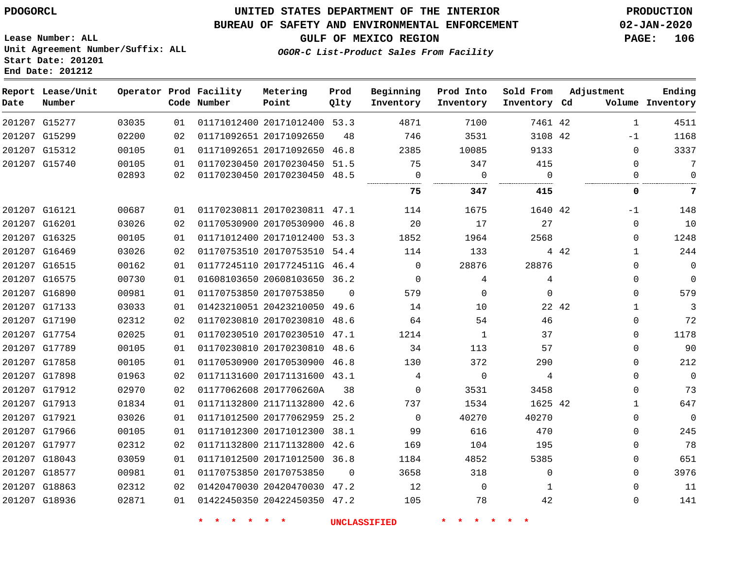#### **BUREAU OF SAFETY AND ENVIRONMENTAL ENFORCEMENT 02-JAN-2020**

**Lease Number: ALL Unit Agreement Number/Suffix: ALL Start Date: 201201 End Date: 201212**

**GULF OF MEXICO REGION PAGE: 106**

| OGOR-C List-Product Sales From Facility |  |  |
|-----------------------------------------|--|--|
|                                         |  |  |

| Date | Report Lease/Unit<br>Number |       |    | Operator Prod Facility<br>Code Number | Metering<br>Point            | Prod<br>Qlty | Beginning<br>Inventory | Prod Into<br>Inventory | Sold From<br>Inventory Cd |       | Adjustment   | Ending<br>Volume Inventory |
|------|-----------------------------|-------|----|---------------------------------------|------------------------------|--------------|------------------------|------------------------|---------------------------|-------|--------------|----------------------------|
|      | 201207 G15277               | 03035 | 01 |                                       | 01171012400 20171012400 53.3 |              | 4871                   | 7100                   | 7461 42                   |       | $\mathbf{1}$ | 4511                       |
|      | 201207 G15299               | 02200 | 02 |                                       | 01171092651 20171092650      | 48           | 746                    | 3531                   | 3108 42                   |       | $-1$         | 1168                       |
|      | 201207 G15312               | 00105 | 01 |                                       | 01171092651 20171092650 46.8 |              | 2385                   | 10085                  | 9133                      |       | $\Omega$     | 3337                       |
|      | 201207 G15740               | 00105 | 01 |                                       | 01170230450 20170230450 51.5 |              | 75                     | 347                    | 415                       |       | $\Omega$     | 7                          |
|      |                             | 02893 | 02 |                                       | 01170230450 20170230450 48.5 |              | $\mathbf 0$<br>        | $\overline{0}$         | $\Omega$                  |       | 0            | $\mathbf 0$                |
|      |                             |       |    |                                       |                              |              | 75                     | 347                    | 415                       |       | 0            | 7                          |
|      | 201207 G16121               | 00687 | 01 |                                       | 01170230811 20170230811 47.1 |              | 114                    | 1675                   | 1640 42                   |       | $-1$         | 148                        |
|      | 201207 G16201               | 03026 | 02 |                                       | 01170530900 20170530900 46.8 |              | 20                     | 17                     | 27                        |       | $\Omega$     | 10                         |
|      | 201207 G16325               | 00105 | 01 |                                       | 01171012400 20171012400 53.3 |              | 1852                   | 1964                   | 2568                      |       | $\Omega$     | 1248                       |
|      | 201207 G16469               | 03026 | 02 |                                       | 01170753510 20170753510 54.4 |              | 114                    | 133                    |                           | 4 4 2 | $\mathbf{1}$ | 244                        |
|      | 201207 G16515               | 00162 | 01 |                                       | 01177245110 2017724511G 46.4 |              | 0                      | 28876                  | 28876                     |       | $\mathbf 0$  | $\mathbf 0$                |
|      | 201207 G16575               | 00730 | 01 |                                       | 01608103650 20608103650 36.2 |              | $\Omega$               | 4                      | 4                         |       | $\Omega$     | $\overline{0}$             |
|      | 201207 G16890               | 00981 | 01 |                                       | 01170753850 20170753850      | $\Omega$     | 579                    | $\Omega$               | $\Omega$                  |       | $\Omega$     | 579                        |
|      | 201207 G17133               | 03033 | 01 |                                       | 01423210051 20423210050 49.6 |              | 14                     | 10                     |                           | 22 42 | $\mathbf{1}$ | 3                          |
|      | 201207 G17190               | 02312 | 02 |                                       | 01170230810 20170230810 48.6 |              | 64                     | 54                     | 46                        |       | $\mathbf{0}$ | 72                         |
|      | 201207 G17754               | 02025 | 01 |                                       | 01170230510 20170230510 47.1 |              | 1214                   | $\mathbf{1}$           | 37                        |       | $\Omega$     | 1178                       |
|      | 201207 G17789               | 00105 | 01 |                                       | 01170230810 20170230810 48.6 |              | 34                     | 113                    | 57                        |       | $\Omega$     | 90                         |
|      | 201207 G17858               | 00105 | 01 |                                       | 01170530900 20170530900 46.8 |              | 130                    | 372                    | 290                       |       | $\Omega$     | 212                        |
|      | 201207 G17898               | 01963 | 02 |                                       | 01171131600 20171131600 43.1 |              | 4                      | $\overline{0}$         | 4                         |       | $\mathbf{0}$ | $\mathbf 0$                |
|      | 201207 G17912               | 02970 | 02 |                                       | 01177062608 2017706260A      | 38           | $\mathbf 0$            | 3531                   | 3458                      |       | $\mathbf{0}$ | 73                         |
|      | 201207 G17913               | 01834 | 01 |                                       | 01171132800 21171132800 42.6 |              | 737                    | 1534                   | 1625 42                   |       | $\mathbf{1}$ | 647                        |
|      | 201207 G17921               | 03026 | 01 |                                       | 01171012500 20177062959 25.2 |              | $\mathbf 0$            | 40270                  | 40270                     |       | $\mathbf 0$  | $\mathbf 0$                |
|      | 201207 G17966               | 00105 | 01 |                                       | 01171012300 20171012300 38.1 |              | 99                     | 616                    | 470                       |       | $\mathbf 0$  | 245                        |
|      | 201207 G17977               | 02312 | 02 |                                       | 01171132800 21171132800 42.6 |              | 169                    | 104                    | 195                       |       | $\mathbf{0}$ | 78                         |
|      | 201207 G18043               | 03059 | 01 |                                       | 01171012500 20171012500 36.8 |              | 1184                   | 4852                   | 5385                      |       | $\mathbf{0}$ | 651                        |
|      | 201207 G18577               | 00981 | 01 |                                       | 01170753850 20170753850      | $\Omega$     | 3658                   | 318                    | $\Omega$                  |       | $\Omega$     | 3976                       |
|      | 201207 G18863               | 02312 | 02 |                                       | 01420470030 20420470030 47.2 |              | 12                     | $\overline{0}$         | 1                         |       | $\Omega$     | 11                         |
|      | 201207 G18936               | 02871 | 01 |                                       | 01422450350 20422450350 47.2 |              | 105                    | 78                     | 42                        |       | $\Omega$     | 141                        |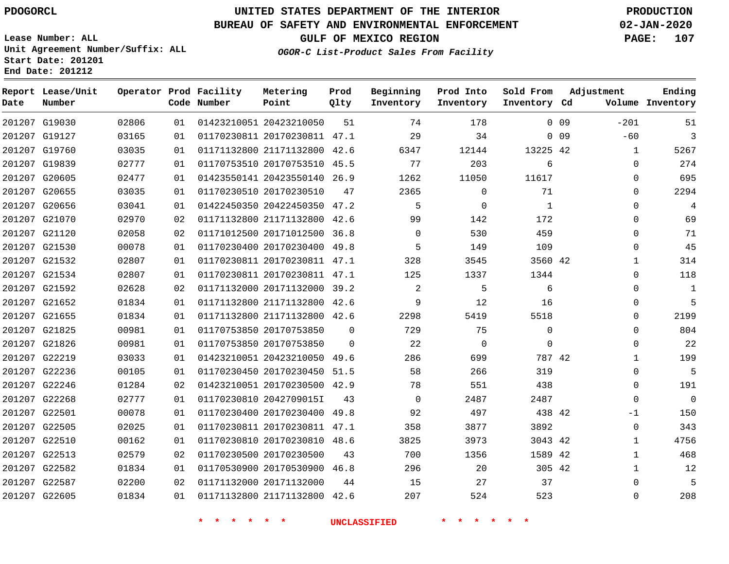**Date**

**Report Lease/Unit**

**Number**

### **UNITED STATES DEPARTMENT OF THE INTERIOR PDOGORCL PRODUCTION**

**Prod Qlty**

#### **BUREAU OF SAFETY AND ENVIRONMENTAL ENFORCEMENT 02-JAN-2020**

**Lease Number: ALL Unit Agreement Number/Suffix: ALL Start Date: 201201 End Date: 201212**

**Operator Prod Facility**

**Code Number**

**Metering Point**

**OGOR-C List-Product Sales From Facility**

**Beginning Inventory** **Prod Into Inventory** **Sold From Inventory**

**GULF OF MEXICO REGION PAGE: 107**

**Inventory Cd Volume**

**Adjustment**

**Ending**

|                                |                |    |  | * * * * * *                           | UNCLASSIFIED                             | * * * * * *    |                                 |        |
|--------------------------------|----------------|----|--|---------------------------------------|------------------------------------------|----------------|---------------------------------|--------|
| 201207 G22605                  | 01834          |    |  | 01   01171132800   21171132800   42.6 |                                          | 207 — 207      | 523<br>524 and $\overline{524}$ |        |
| 201207 G22587                  | 02200          | 02 |  | 01171132000 20171132000 44            | 15                                       | 27             | 37                              |        |
| 201207 G22582                  | 01834          | 01 |  | 01170530900 20170530900 46.8          | 296 — 10                                 | 20             | 305 42                          |        |
| 201207 G22513                  | 02579          | 02 |  | 01170230500 20170230500 43            |                                          |                | 1356<br>1589 42                 |        |
| 201207 G22510                  | 00162          | 01 |  | 01170230810 20170230810 48.6          | 3825                                     |                | 3973 — 100<br>3043 42           |        |
| 201207 G22505                  | 02025          | 01 |  |                                       | 01170230811 20170230811 47.1 358         | 3877           | 3892                            |        |
| 201207 G22501                  | 00078          | 01 |  |                                       | 01170230400 20170230400 49.8 92          | 497            | 438 42                          |        |
| 201207 G22268                  | 02777          | 01 |  | 01170230810 2042709015I 43            | $\overline{0}$                           |                | 2487<br>2487                    |        |
| 201207 G22246                  | 01284          | 02 |  |                                       | 01423210051 20170230500 42.9 78          | 551            | 438                             |        |
| 201207 G22236                  | 00105          | 01 |  | 01170230450 20170230450 51.5          | 58                                       | 266            | 319                             |        |
| 201207 G22219                  | 03033          | 01 |  | 01423210051 20423210050 49.6          |                                          | 286 28         | 699 — 100<br>787 42             |        |
| 201207 G21826                  | 00981          | 01 |  |                                       | 01170753850 20170753850 0 22             | $\overline{0}$ | $\overline{0}$                  |        |
| 201207 G21825                  | 00981          | 01 |  | 01170753850 20170753850 0             | 729                                      | 75             | $\overline{0}$                  |        |
| 201207 G21655                  | 01834          | 01 |  | 01171132800 21171132800 42.6          | 2298 — 120                               |                | 5419<br>5518                    |        |
| 201207 G21652                  | 01834          | 01 |  | 01171132800 21171132800 42.6          | $\overline{9}$                           | 12             | 16                              |        |
| 201207 G21592                  | 02628          | 02 |  |                                       | 01171132000 20171132000 39.2 2           | $5^{\circ}$    | 6                               |        |
| 201207 G21534                  | 02807          |    |  |                                       | 01 01170230811 20170230811 47.1 125      |                | 1344<br>1337                    |        |
| 201207 G21532                  | 02807          | 01 |  |                                       | 01170230811 20170230811 47.1 328         |                | 3560 42<br>3545                 |        |
| 201207 G21530                  | 00078          |    |  | 01 01170230400 20170230400 49.8       | $5 - 5$                                  | 149            | 109                             |        |
| 201207 G21120                  | 02058          | 02 |  |                                       | 01171012500 20171012500 36.8 0           | 530            | 459                             |        |
| 201207 G21070                  | 02970          | 02 |  | 01171132800 21171132800 42.6          | 99                                       | 142            | 172                             |        |
| 201207 G20656                  | 03041          | 01 |  | 01422450350 20422450350 47.2          | $5^{\circ}$                              | $\overline{0}$ | $\overline{1}$                  |        |
| 201207 G20655                  | 03035          | 01 |  |                                       | 01170230510 20170230510 47 2365          | $\overline{0}$ | 71                              |        |
| 201207 G20605                  | 02477          | 01 |  |                                       | 01423550141 20423550140 26.9 1262        |                | 11050<br>11617                  |        |
| 201207 G19839                  | 03035<br>02777 | 01 |  | 01170753510 20170753510 45.5          | 77                                       | 12144<br>203   | $\overline{6}$                  |        |
| 201207 G19127<br>201207 G19760 | 03165          | 01 |  | 01   01170230811   20170230811   47.1 | 29<br>01171132800 21171132800 42.6 6347  | 34             | $0\quad09$<br>13225 42          |        |
|                                |                |    |  |                                       |                                          |                |                                 |        |
| 201207 G19030                  | 02806          |    |  |                                       | 01   01423210051   20423210050   51   74 | 178            |                                 | $0$ 09 |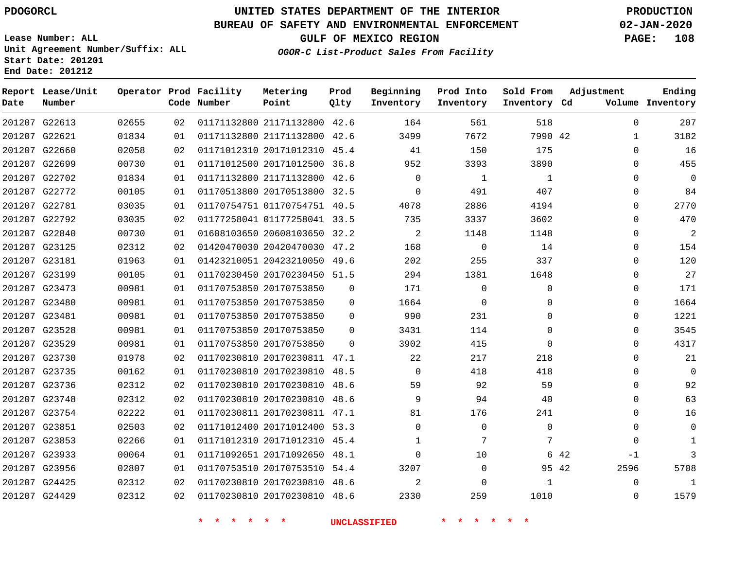#### **BUREAU OF SAFETY AND ENVIRONMENTAL ENFORCEMENT 02-JAN-2020**

**Lease Number: ALL Unit Agreement Number/Suffix: ALL Start Date: 201201 End Date: 201212**

**OGOR-C List-Product Sales From Facility**

**GULF OF MEXICO REGION PAGE: 108**

| OGOR-C List-Product Sales From Facility |  |  |
|-----------------------------------------|--|--|
|                                         |  |  |

| Date | Report Lease/Unit<br>Number |       |    | Operator Prod Facility<br>Code Number | Metering<br>Point            | Prod<br>Qlty | Beginning<br>Inventory | Prod Into<br>Inventory | Sold From<br>Inventory Cd | Adjustment    | Ending<br>Volume Inventory |
|------|-----------------------------|-------|----|---------------------------------------|------------------------------|--------------|------------------------|------------------------|---------------------------|---------------|----------------------------|
|      | 201207 G22613               | 02655 | 02 |                                       | 01171132800 21171132800 42.6 |              | 164                    | 561                    | 518                       | $\mathbf 0$   | 207                        |
|      | 201207 G22621               | 01834 | 01 |                                       | 01171132800 21171132800 42.6 |              | 3499                   | 7672                   | 7990 42                   | $\mathbf{1}$  | 3182                       |
|      | 201207 G22660               | 02058 | 02 |                                       | 01171012310 20171012310 45.4 |              | 41                     | 150                    | 175                       | $\Omega$      | 16                         |
|      | 201207 G22699               | 00730 | 01 |                                       | 01171012500 20171012500 36.8 |              | 952                    | 3393                   | 3890                      | $\Omega$      | 455                        |
|      | 201207 G22702               | 01834 | 01 |                                       | 01171132800 21171132800 42.6 |              | $\mathbf 0$            | 1                      | $\mathbf{1}$              | $\Omega$      | $\Omega$                   |
|      | 201207 G22772               | 00105 | 01 |                                       | 01170513800 20170513800 32.5 |              | $\Omega$               | 491                    | 407                       | 0             | 84                         |
|      | 201207 G22781               | 03035 | 01 |                                       | 01170754751 01170754751 40.5 |              | 4078                   | 2886                   | 4194                      | $\Omega$      | 2770                       |
|      | 201207 G22792               | 03035 | 02 |                                       | 01177258041 01177258041 33.5 |              | 735                    | 3337                   | 3602                      | $\Omega$      | 470                        |
|      | 201207 G22840               | 00730 | 01 |                                       | 01608103650 20608103650 32.2 |              | 2                      | 1148                   | 1148                      | $\Omega$      | $\overline{2}$             |
|      | 201207 G23125               | 02312 | 02 |                                       | 01420470030 20420470030 47.2 |              | 168                    | $\mathbf 0$            | 14                        | 0             | 154                        |
|      | 201207 G23181               | 01963 | 01 |                                       | 01423210051 20423210050 49.6 |              | 202                    | 255                    | 337                       | $\Omega$      | 120                        |
|      | 201207 G23199               | 00105 | 01 |                                       | 01170230450 20170230450 51.5 |              | 294                    | 1381                   | 1648                      | $\Omega$      | 27                         |
|      | 201207 G23473               | 00981 | 01 |                                       | 01170753850 20170753850      | $\Omega$     | 171                    | $\Omega$               | $\Omega$                  | $\Omega$      | 171                        |
|      | 201207 G23480               | 00981 | 01 |                                       | 01170753850 20170753850      | $\Omega$     | 1664                   | 0                      | $\Omega$                  | $\mathbf 0$   | 1664                       |
|      | 201207 G23481               | 00981 | 01 |                                       | 01170753850 20170753850      | $\Omega$     | 990                    | 231                    | $\Omega$                  | $\Omega$      | 1221                       |
|      | 201207 G23528               | 00981 | 01 |                                       | 01170753850 20170753850      | $\Omega$     | 3431                   | 114                    | $\mathbf 0$               | $\mathbf 0$   | 3545                       |
|      | 201207 G23529               | 00981 | 01 |                                       | 01170753850 20170753850      | $\Omega$     | 3902                   | 415                    | $\Omega$                  | $\mathbf 0$   | 4317                       |
|      | 201207 G23730               | 01978 | 02 |                                       | 01170230810 20170230811 47.1 |              | 22                     | 217                    | 218                       | $\mathbf 0$   | 21                         |
|      | 201207 G23735               | 00162 | 01 |                                       | 01170230810 20170230810 48.5 |              | $\Omega$               | 418                    | 418                       | $\mathbf 0$   | $\mathbf 0$                |
|      | 201207 G23736               | 02312 | 02 |                                       | 01170230810 20170230810      | 48.6         | 59                     | 92                     | 59                        | $\Omega$      | 92                         |
|      | 201207 G23748               | 02312 | 02 |                                       | 01170230810 20170230810 48.6 |              | 9                      | 94                     | 40                        | $\Omega$      | 63                         |
|      | 201207 G23754               | 02222 | 01 |                                       | 01170230811 20170230811 47.1 |              | 81                     | 176                    | 241                       | $\Omega$      | 16                         |
|      | 201207 G23851               | 02503 | 02 |                                       | 01171012400 20171012400 53.3 |              | $\Omega$               | $\mathbf 0$            | $\Omega$                  | $\Omega$      | $\mathbf 0$                |
|      | 201207 G23853               | 02266 | 01 |                                       | 01171012310 20171012310      | 45.4         | 1                      | 7                      | 7                         | $\Omega$      | $\mathbf{1}$               |
|      | 201207 G23933               | 00064 | 01 |                                       | 01171092651 20171092650      | 48.1         | $\mathbf 0$            | 10                     | 6                         | 42<br>-1      | 3                          |
|      | 201207 G23956               | 02807 | 01 |                                       | 01170753510 20170753510 54.4 |              | 3207                   | $\Omega$               |                           | 2596<br>95 42 | 5708                       |
|      | 201207 G24425               | 02312 | 02 |                                       | 01170230810 20170230810      | 48.6         | 2                      | $\Omega$               | 1                         | 0             | 1                          |
|      | 201207 G24429               | 02312 | 02 |                                       | 01170230810 20170230810 48.6 |              | 2330                   | 259                    | 1010                      | $\Omega$      | 1579                       |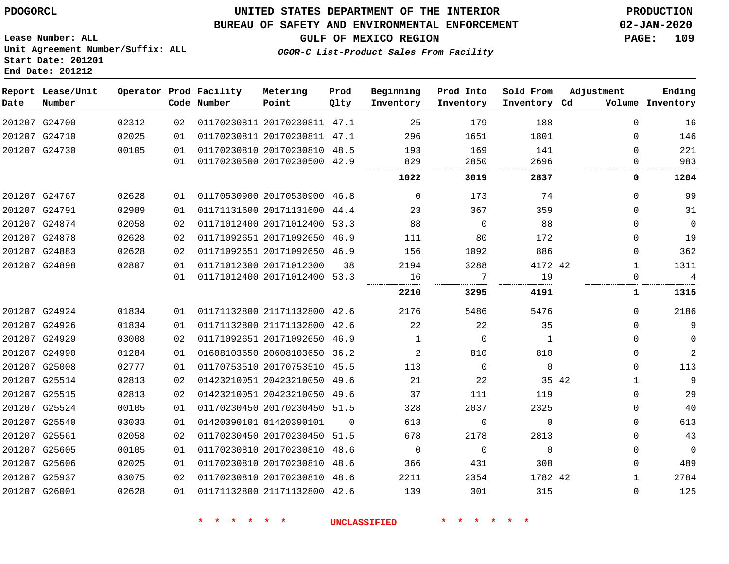**Report Lease/Unit**

**Number**

## **UNITED STATES DEPARTMENT OF THE INTERIOR PDOGORCL PRODUCTION**

#### **BUREAU OF SAFETY AND ENVIRONMENTAL ENFORCEMENT 02-JAN-2020**

**Lease Number: ALL Unit Agreement Number/Suffix: ALL Start Date: 201201 End Date: 201212**

**Operator Prod**

**OGOR-C List-Product Sales From Facility**

**GULF OF MEXICO REGION PAGE: 109**

**Adjustment**

**Ending**

| Prod Facility<br>Code Number    | Metering<br>Point | Prod<br>Oltv | Beginning<br>Inventory | Prod Into<br>Inventory | Sold From<br>Inventory Cd | A |
|---------------------------------|-------------------|--------------|------------------------|------------------------|---------------------------|---|
| 00 01170000011 00170000011 17 1 |                   |              | ⌒冖                     | 170 <sup>-</sup>       | າດດ                       |   |

| Date | Number        |       |    | Code Number | Point                        | Qlty     | Inventory      | Inventory      | Inventory Cd |       |              | Volume Inventory |
|------|---------------|-------|----|-------------|------------------------------|----------|----------------|----------------|--------------|-------|--------------|------------------|
|      | 201207 G24700 | 02312 | 02 |             | 01170230811 20170230811 47.1 |          | 25             | 179            | 188          |       | $\Omega$     | 16               |
|      | 201207 G24710 | 02025 | 01 |             | 01170230811 20170230811 47.1 |          | 296            | 1651           | 1801         |       | $\Omega$     | 146              |
|      | 201207 G24730 | 00105 | 01 |             | 01170230810 20170230810 48.5 |          | 193            | 169            | 141          |       | $\Omega$     | 221              |
|      |               |       | 01 |             | 01170230500 20170230500 42.9 |          | 829            | 2850           | 2696         |       | 0            | 983              |
|      |               |       |    |             |                              |          | 1022           | 3019           | 2837         |       | 0            | 1204             |
|      | 201207 G24767 | 02628 | 01 |             | 01170530900 20170530900 46.8 |          | $\overline{0}$ | 173            | 74           |       | $\Omega$     | 99               |
|      | 201207 G24791 | 02989 | 01 |             | 01171131600 20171131600 44.4 |          | 23             | 367            | 359          |       | $\Omega$     | 31               |
|      | 201207 G24874 | 02058 | 02 |             | 01171012400 20171012400 53.3 |          | 88             | $\overline{0}$ | 88           |       | $\Omega$     | $\mathbf 0$      |
|      | 201207 G24878 | 02628 | 02 |             | 01171092651 20171092650 46.9 |          | 111            | 80             | 172          |       | 0            | 19               |
|      | 201207 G24883 | 02628 | 02 |             | 01171092651 20171092650 46.9 |          | 156            | 1092           | 886          |       | 0            | 362              |
|      | 201207 G24898 | 02807 | 01 |             | 01171012300 20171012300      | 38       | 2194           | 3288           | 4172 42      |       | $\mathbf{1}$ | 1311             |
|      |               |       | 01 |             | 01171012400 20171012400 53.3 |          | 16             | -7             | 19           |       | 0            | $\overline{4}$   |
|      |               |       |    |             |                              |          | 2210           | 3295           | 4191         |       | 1            | 1315             |
|      | 201207 G24924 | 01834 | 01 |             | 01171132800 21171132800 42.6 |          | 2176           | 5486           | 5476         |       | $\Omega$     | 2186             |
|      | 201207 G24926 | 01834 | 01 |             | 01171132800 21171132800 42.6 |          | 22             | 22             | 35           |       | $\Omega$     | 9                |
|      | 201207 G24929 | 03008 | 02 |             | 01171092651 20171092650 46.9 |          | $\mathbf{1}$   | $\overline{0}$ | 1            |       | 0            | $\mathbf 0$      |
|      | 201207 G24990 | 01284 | 01 |             | 01608103650 20608103650 36.2 |          | $\overline{2}$ | 810            | 810          |       | 0            | $\sqrt{2}$       |
|      | 201207 G25008 | 02777 | 01 |             | 01170753510 20170753510 45.5 |          | 113            | $\Omega$       | $\mathbf 0$  |       | $\Omega$     | 113              |
|      | 201207 G25514 | 02813 | 02 |             | 01423210051 20423210050 49.6 |          | 21             | 22             |              | 35 42 | $\mathbf{1}$ | 9                |
|      | 201207 G25515 | 02813 | 02 |             | 01423210051 20423210050 49.6 |          | 37             | 111            | 119          |       | 0            | 29               |
|      | 201207 G25524 | 00105 | 01 |             | 01170230450 20170230450 51.5 |          | 328            | 2037           | 2325         |       | 0            | 40               |
|      | 201207 G25540 | 03033 | 01 |             | 01420390101 01420390101      | $\Omega$ | 613            | $\Omega$       | $\Omega$     |       | $\Omega$     | 613              |
|      | 201207 G25561 | 02058 | 02 |             | 01170230450 20170230450 51.5 |          | 678            | 2178           | 2813         |       | 0            | 43               |
|      | 201207 G25605 | 00105 | 01 |             | 01170230810 20170230810 48.6 |          | $\overline{0}$ | $\Omega$       | $\Omega$     |       | 0            | $\mathsf 0$      |
|      | 201207 G25606 | 02025 | 01 |             | 01170230810 20170230810 48.6 |          | 366            | 431            | 308          |       | 0            | 489              |
|      | 201207 G25937 | 03075 | 02 |             | 01170230810 20170230810 48.6 |          | 2211           | 2354           | 1782 42      |       | $\mathbf{1}$ | 2784             |
|      | 201207 G26001 | 02628 | 01 |             | 01171132800 21171132800 42.6 |          | 139            | 301            | 315          |       | 0            | 125              |
|      |               |       |    |             |                              |          |                |                |              |       |              |                  |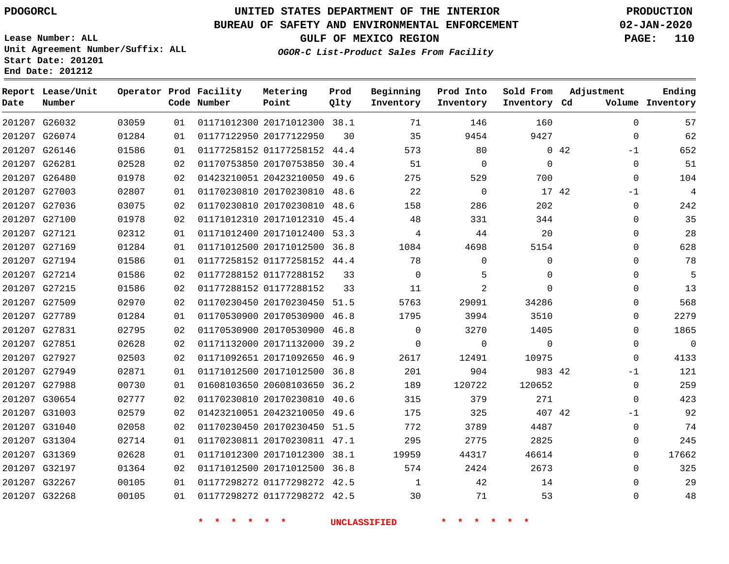**Report Lease/Unit**

**Number**

## **UNITED STATES DEPARTMENT OF THE INTERIOR PDOGORCL PRODUCTION**

**Prod Qlty**

#### **BUREAU OF SAFETY AND ENVIRONMENTAL ENFORCEMENT 02-JAN-2020**

**Lease Number: ALL Unit Agreement Number/Suffix: ALL Start Date: 201201 End Date: 201212**

**Operator Prod Facility**

**Code Number**

**OGOR-C List-Product Sales From Facility**

**Beginning Inventory** **Prod Into Inventory** **Sold From Inventory**

**GULF OF MEXICO REGION PAGE: 110**

**Inventory Cd Volume**

**Adjustment**

  $-1$   $\Omega$ -1  $\Omega$   $\Omega$  $\Omega$   $\Omega$  $\overline{0}$   $\Omega$  $\overline{0}$  $\Omega$  $\Omega$  $-1$  $\Omega$  -1  $\Omega$ 

**Ending**

| 201207 G26032 |               | 03059 | 01              | 01171012300 20171012300 38.1 |    | 71             | 146            | 160         |     |
|---------------|---------------|-------|-----------------|------------------------------|----|----------------|----------------|-------------|-----|
|               | 201207 G26074 | 01284 | 01              | 01177122950 20177122950      | 30 | 35             | 9454           | 9427        |     |
|               | 201207 G26146 | 01586 | 01              | 01177258152 01177258152 44.4 |    | 573            | 80             |             | 042 |
|               | 201207 G26281 | 02528 | 02              | 01170753850 20170753850 30.4 |    | 51             | $\overline{0}$ | $\mathbf 0$ |     |
| 201207 G26480 |               | 01978 | 02              | 01423210051 20423210050 49.6 |    | 275            | 529            | 700         |     |
| 201207 G27003 |               | 02807 | 01              | 01170230810 20170230810 48.6 |    | 22             | $\overline{0}$ | 17 42       |     |
| 201207 G27036 |               | 03075 | 02              | 01170230810 20170230810 48.6 |    | 158            | 286            | 202         |     |
| 201207 G27100 |               | 01978 | 02 <sub>o</sub> | 01171012310 20171012310 45.4 |    | 48             | 331            | 344         |     |
| 201207 G27121 |               | 02312 | 01              | 01171012400 20171012400 53.3 |    | 4              | 44             | 20          |     |
| 201207 G27169 |               | 01284 | 01              | 01171012500 20171012500 36.8 |    | 1084           | 4698           | 5154        |     |
|               | 201207 G27194 | 01586 | 01              | 01177258152 01177258152 44.4 |    | 78             | $\Omega$       | $\mathbf 0$ |     |
| 201207 G27214 |               | 01586 | 02              | 01177288152 01177288152      | 33 | $\Omega$       | 5              | $\mathbf 0$ |     |
| 201207 G27215 |               | 01586 | 02              | 01177288152 01177288152      | 33 | 11             | $\overline{2}$ | $\Omega$    |     |
| 201207 G27509 |               | 02970 | 02              | 01170230450 20170230450 51.5 |    | 5763           | 29091          | 34286       |     |
| 201207 G27789 |               | 01284 | 01              | 01170530900 20170530900 46.8 |    | 1795           | 3994           | 3510        |     |
|               | 201207 G27831 | 02795 | 02              | 01170530900 20170530900 46.8 |    | $\overline{0}$ | 3270           | 1405        |     |
|               | 201207 G27851 | 02628 | 02              | 01171132000 20171132000 39.2 |    | $\overline{0}$ | $\overline{0}$ | 0           |     |
|               | 201207 G27927 | 02503 | 02              | 01171092651 20171092650 46.9 |    | 2617           | 12491          | 10975       |     |
| 201207 G27949 |               | 02871 | 01              | 01171012500 20171012500 36.8 |    | 201            | 904            | 983 42      |     |
| 201207 G27988 |               | 00730 | 01              | 01608103650 20608103650 36.2 |    | 189            | 120722         | 120652      |     |
|               | 201207 G30654 | 02777 | 02              | 01170230810 20170230810 40.6 |    | 315            | 379            | 271         |     |
| 201207 G31003 |               | 02579 | 02              | 01423210051 20423210050 49.6 |    | 175            | 325            | 407 42      |     |
| 201207 G31040 |               | 02058 | 02              | 01170230450 20170230450 51.5 |    | 772            | 3789           | 4487        |     |
|               | 201207 G31304 | 02714 | 01              | 01170230811 20170230811 47.1 |    | 295            | 2775           | 2825        |     |
| 201207 G31369 |               | 02628 | 01              | 01171012300 20171012300 38.1 |    | 19959          | 44317          | 46614       |     |
|               | 201207 G32197 | 01364 | 02              | 01171012500 20171012500 36.8 |    | 574            | 2424           | 2673        |     |
|               | 201207 G32267 | 00105 | 01              | 01177298272 01177298272 42.5 |    | $\overline{1}$ | 42             | 14          |     |
| 201207 G32268 |               | 00105 | 01              | 01177298272 01177298272 42.5 |    | 30             | 71             | 53          |     |
|               |               |       |                 |                              |    |                |                |             |     |

**Metering Point**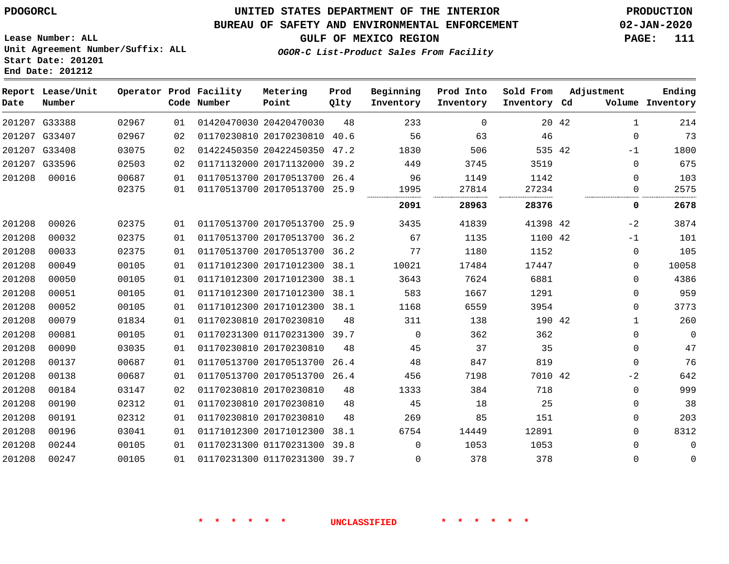#### **BUREAU OF SAFETY AND ENVIRONMENTAL ENFORCEMENT 02-JAN-2020**

**OGOR-C List-Product Sales From Facility**

**GULF OF MEXICO REGION PAGE: 111**

**Lease Number: ALL Unit Agreement Number/Suffix: ALL Start Date: 201201 End Date: 201212**

| Date   | Report Lease/Unit<br>Number |       |    | Operator Prod Facility<br>Code Number | Metering<br>Point            | Prod<br>Qlty | Beginning<br>Inventory | Prod Into<br>Inventory | Sold From<br>Inventory Cd | Adjustment            | Ending<br>Volume Inventory |
|--------|-----------------------------|-------|----|---------------------------------------|------------------------------|--------------|------------------------|------------------------|---------------------------|-----------------------|----------------------------|
|        | 201207 G33388               | 02967 | 01 |                                       | 01420470030 20420470030      | 48           | 233                    | $\Omega$               |                           | $\mathbf{1}$<br>20 42 | 214                        |
|        | 201207 G33407               | 02967 | 02 |                                       | 01170230810 20170230810      | 40.6         | 56                     | 63                     | 46                        | $\mathbf{0}$          | 73                         |
| 201207 | G33408                      | 03075 | 02 |                                       | 01422450350 20422450350      | 47.2         | 1830                   | 506                    | 535 42                    | $-1$                  | 1800                       |
| 201207 | G33596                      | 02503 | 02 |                                       | 01171132000 20171132000      | 39.2         | 449                    | 3745                   | 3519                      | $\Omega$              | 675                        |
| 201208 | 00016                       | 00687 | 01 |                                       | 01170513700 20170513700 26.4 |              | 96                     | 1149                   | 1142                      | 0                     | 103                        |
|        |                             | 02375 | 01 |                                       | 01170513700 20170513700      | 25.9         | 1995                   | 27814                  | 27234                     | 0                     | 2575                       |
|        |                             |       |    |                                       |                              |              | 2091                   | 28963                  | 28376                     | 0                     | 2678                       |
| 201208 | 00026                       | 02375 | 01 |                                       | 01170513700 20170513700 25.9 |              | 3435                   | 41839                  | 41398 42                  | $-2$                  | 3874                       |
| 201208 | 00032                       | 02375 | 01 |                                       | 01170513700 20170513700      | 36.2         | 67                     | 1135                   | 1100 42                   | $-1$                  | 101                        |
| 201208 | 00033                       | 02375 | 01 |                                       | 01170513700 20170513700      | 36.2         | 77                     | 1180                   | 1152                      | 0                     | 105                        |
| 201208 | 00049                       | 00105 | 01 |                                       | 01171012300 20171012300 38.1 |              | 10021                  | 17484                  | 17447                     | 0                     | 10058                      |
| 201208 | 00050                       | 00105 | 01 |                                       | 01171012300 20171012300      | 38.1         | 3643                   | 7624                   | 6881                      | 0                     | 4386                       |
| 201208 | 00051                       | 00105 | 01 |                                       | 01171012300 20171012300      | 38.1         | 583                    | 1667                   | 1291                      | 0                     | 959                        |
| 201208 | 00052                       | 00105 | 01 |                                       | 01171012300 20171012300 38.1 |              | 1168                   | 6559                   | 3954                      | $\mathbf{0}$          | 3773                       |
| 201208 | 00079                       | 01834 | 01 |                                       | 01170230810 20170230810      | 48           | 311                    | 138                    | 190 42                    | $\mathbf{1}$          | 260                        |
| 201208 | 00081                       | 00105 | 01 |                                       | 01170231300 01170231300 39.7 |              | $\mathbf 0$            | 362                    | 362                       | 0                     | $\mathbf 0$                |
| 201208 | 00090                       | 03035 | 01 |                                       | 01170230810 20170230810      | 48           | 45                     | 37                     | 35                        | $\mathbf{0}$          | 47                         |
| 201208 | 00137                       | 00687 | 01 |                                       | 01170513700 20170513700      | 26.4         | 48                     | 847                    | 819                       | $\Omega$              | 76                         |
| 201208 | 00138                       | 00687 | 01 |                                       | 01170513700 20170513700 26.4 |              | 456                    | 7198                   | 7010 42                   | $-2$                  | 642                        |
| 201208 | 00184                       | 03147 | 02 |                                       | 01170230810 20170230810      | 48           | 1333                   | 384                    | 718                       | $\mathbf{0}$          | 999                        |
| 201208 | 00190                       | 02312 | 01 |                                       | 01170230810 20170230810      | 48           | 45                     | 18                     | 25                        | $\Omega$              | 38                         |
| 201208 | 00191                       | 02312 | 01 |                                       | 01170230810 20170230810      | 48           | 269                    | 85                     | 151                       | 0                     | 203                        |
| 201208 | 00196                       | 03041 | 01 |                                       | 01171012300 20171012300      | 38.1         | 6754                   | 14449                  | 12891                     | 0                     | 8312                       |
| 201208 | 00244                       | 00105 | 01 |                                       | 01170231300 01170231300      | 39.8         | $\Omega$               | 1053                   | 1053                      | 0                     | 0                          |
| 201208 | 00247                       | 00105 | 01 |                                       | 01170231300 01170231300 39.7 |              | 0                      | 378                    | 378                       | 0                     | $\mathbf{0}$               |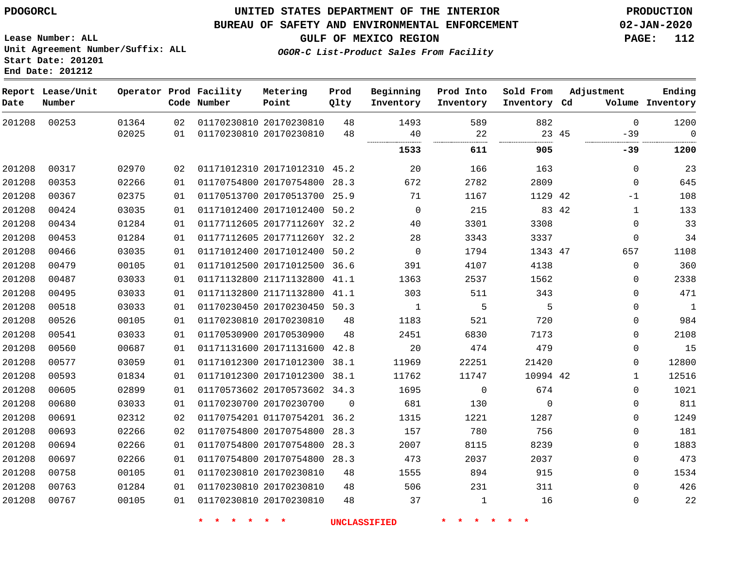**Start Date: 201201 End Date: 201212**

#### **UNITED STATES DEPARTMENT OF THE INTERIOR PDOGORCL PRODUCTION**

#### **BUREAU OF SAFETY AND ENVIRONMENTAL ENFORCEMENT 02-JAN-2020**

**Lease Number: ALL Unit Agreement Number/Suffix: ALL**

**GULF OF MEXICO REGION PAGE: 112**

**OGOR-C List-Product Sales From Facility**

| Date   | Report Lease/Unit<br>Number |       |    | Operator Prod Facility<br>Code Number | Metering<br>Point            | Prod<br>Qlty | Beginning<br>Inventory | Prod Into<br>Inventory | Sold From<br>Inventory Cd | Adjustment     | Ending<br>Volume Inventory  |
|--------|-----------------------------|-------|----|---------------------------------------|------------------------------|--------------|------------------------|------------------------|---------------------------|----------------|-----------------------------|
| 201208 | 00253                       | 01364 | 02 |                                       | 01170230810 20170230810      | 48           | 1493                   | 589                    | 882                       |                | 1200<br>$\Omega$            |
|        |                             | 02025 | 01 |                                       | 01170230810 20170230810      | 48           | 40                     | 22<br>                 |                           | 23 45<br>$-39$ | $\mathbf 0$                 |
|        |                             |       |    |                                       |                              |              | 1533                   | 611                    | 905                       | $-39$          | 1200                        |
| 201208 | 00317                       | 02970 | 02 |                                       | 01171012310 20171012310 45.2 |              | 20                     | 166                    | 163                       |                | 23<br>$\mathbf 0$           |
| 201208 | 00353                       | 02266 | 01 |                                       | 01170754800 20170754800 28.3 |              | 672                    | 2782                   | 2809                      |                | 645<br>$\mathbf 0$          |
| 201208 | 00367                       | 02375 | 01 |                                       | 01170513700 20170513700 25.9 |              | 71                     | 1167                   | 1129 42                   | -1             | 108                         |
| 201208 | 00424                       | 03035 | 01 |                                       | 01171012400 20171012400 50.2 |              | $\mathbf 0$            | 215                    |                           | 83 42          | 133<br>$\mathbf{1}$         |
| 201208 | 00434                       | 01284 | 01 |                                       | 01177112605 2017711260Y 32.2 |              | 40                     | 3301                   | 3308                      |                | 33<br>0                     |
| 201208 | 00453                       | 01284 | 01 |                                       | 01177112605 2017711260Y 32.2 |              | 28                     | 3343                   | 3337                      |                | 34<br>$\mathbf 0$           |
| 201208 | 00466                       | 03035 | 01 |                                       | 01171012400 20171012400 50.2 |              | $\Omega$               | 1794                   | 1343 47                   | 657            | 1108                        |
| 201208 | 00479                       | 00105 | 01 |                                       | 01171012500 20171012500 36.6 |              | 391                    | 4107                   | 4138                      |                | 360<br>$\mathbf 0$          |
| 201208 | 00487                       | 03033 | 01 |                                       | 01171132800 21171132800 41.1 |              | 1363                   | 2537                   | 1562                      |                | 2338<br>0                   |
| 201208 | 00495                       | 03033 | 01 |                                       | 01171132800 21171132800      | 41.1         | 303                    | 511                    | 343                       |                | $\mathbf{0}$<br>471         |
| 201208 | 00518                       | 03033 | 01 |                                       | 01170230450 20170230450 50.3 |              | $\mathbf{1}$           | 5                      | 5                         |                | $\mathbf{1}$<br>$\mathbf 0$ |
| 201208 | 00526                       | 00105 | 01 |                                       | 01170230810 20170230810      | 48           | 1183                   | 521                    | 720                       |                | 984<br>$\mathbf{0}$         |
| 201208 | 00541                       | 03033 | 01 |                                       | 01170530900 20170530900      | 48           | 2451                   | 6830                   | 7173                      |                | 2108<br>$\mathbf 0$         |
| 201208 | 00560                       | 00687 | 01 |                                       | 01171131600 20171131600 42.8 |              | 20                     | 474                    | 479                       |                | 15<br>$\mathbf{0}$          |
| 201208 | 00577                       | 03059 | 01 |                                       | 01171012300 20171012300 38.1 |              | 11969                  | 22251                  | 21420                     |                | $\mathbf 0$<br>12800        |
| 201208 | 00593                       | 01834 | 01 |                                       | 01171012300 20171012300 38.1 |              | 11762                  | 11747                  | 10994 42                  |                | 12516<br>$\mathbf{1}$       |
| 201208 | 00605                       | 02899 | 01 |                                       | 01170573602 20170573602 34.3 |              | 1695                   | 0                      | 674                       |                | 1021<br>$\mathbf{0}$        |
| 201208 | 00680                       | 03033 | 01 |                                       | 01170230700 20170230700      | $\mathbf 0$  | 681                    | 130                    | $\Omega$                  |                | 811<br>0                    |
| 201208 | 00691                       | 02312 | 02 |                                       | 01170754201 01170754201 36.2 |              | 1315                   | 1221                   | 1287                      |                | 1249<br>$\mathbf{0}$        |
| 201208 | 00693                       | 02266 | 02 |                                       | 01170754800 20170754800 28.3 |              | 157                    | 780                    | 756                       |                | 181<br>$\mathbf{0}$         |
| 201208 | 00694                       | 02266 | 01 |                                       | 01170754800 20170754800 28.3 |              | 2007                   | 8115                   | 8239                      |                | 1883<br>$\mathbf{0}$        |
| 201208 | 00697                       | 02266 | 01 |                                       | 01170754800 20170754800 28.3 |              | 473                    | 2037                   | 2037                      |                | 473<br>$\mathbf 0$          |
| 201208 | 00758                       | 00105 | 01 |                                       | 01170230810 20170230810      | 48           | 1555                   | 894                    | 915                       |                | 1534<br>$\Omega$            |
| 201208 | 00763                       | 01284 | 01 |                                       | 01170230810 20170230810      | 48           | 506                    | 231                    | 311                       |                | 426<br>$\mathbf{0}$         |
| 201208 | 00767                       | 00105 | 01 |                                       | 01170230810 20170230810      | 48           | 37                     | $\mathbf 1$            | 16                        |                | 22<br>$\mathbf{0}$          |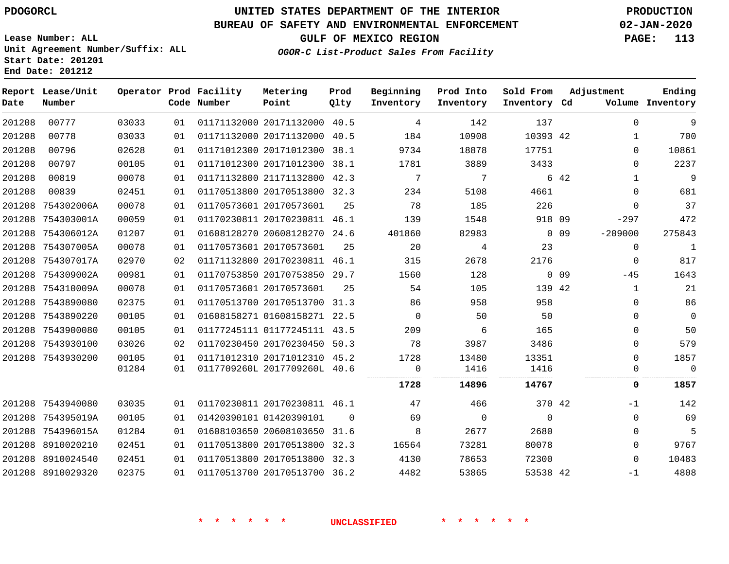#### **BUREAU OF SAFETY AND ENVIRONMENTAL ENFORCEMENT 02-JAN-2020**

**Lease Number: ALL Unit Agreement Number/Suffix: ALL Start Date: 201201 End Date: 201212**

**GULF OF MEXICO REGION PAGE: 113**

**OGOR-C List-Product Sales From Facility**

| Ending<br>Volume Inventory | Adjustment   |        | Sold From<br>Inventory Cd | Prod Into<br>Inventory | Beginning<br>Inventory | Prod<br>Qlty | Metering<br>Point            | Operator Prod Facility<br>Code Number |    |       | Report Lease/Unit<br>Number | Date   |
|----------------------------|--------------|--------|---------------------------|------------------------|------------------------|--------------|------------------------------|---------------------------------------|----|-------|-----------------------------|--------|
| 9                          | $\Omega$     |        | 137                       | 142                    | 4                      |              | 01171132000 20171132000 40.5 |                                       | 01 | 03033 | 00777                       | 201208 |
| 700                        | $\mathbf{1}$ |        | 10393 42                  | 10908                  | 184                    | 40.5         | 01171132000 20171132000      |                                       | 01 | 03033 | 00778                       | 201208 |
| 10861                      | $\mathbf 0$  |        | 17751                     | 18878                  | 9734                   | 38.1         | 01171012300 20171012300      |                                       | 01 | 02628 | 00796                       | 201208 |
| 2237                       | $\Omega$     |        | 3433                      | 3889                   | 1781                   |              | 01171012300 20171012300 38.1 |                                       | 01 | 00105 | 00797                       | 201208 |
| $\overline{9}$             | $\mathbf{1}$ | 6 42   |                           | 7                      | 7                      | 42.3         | 01171132800 21171132800      |                                       | 01 | 00078 | 00819                       | 201208 |
| 681                        | $\Omega$     |        | 4661                      | 5108                   | 234                    |              | 01170513800 20170513800 32.3 |                                       | 01 | 02451 | 00839                       | 201208 |
| 37                         | $\mathbf 0$  |        | 226                       | 185                    | 78                     | 25           |                              | 01170573601 20170573601               | 01 | 00078 | 754302006A                  | 201208 |
| 472                        | $-297$       |        | 918 09                    | 1548                   | 139                    |              | 01170230811 20170230811 46.1 |                                       | 01 | 00059 | 201208 754303001A           |        |
| 275843                     | $-209000$    | 0 0 9  |                           | 82983                  | 401860                 |              | 01608128270 20608128270 24.6 |                                       | 01 | 01207 | 201208 754306012A           |        |
| $\mathbf{1}$               | $\Omega$     |        | 23                        | 4                      | 20                     | 25           |                              | 01170573601 20170573601               | 01 | 00078 | 201208 754307005A           |        |
| 817                        | $\Omega$     |        | 2176                      | 2678                   | 315                    |              | 01171132800 20170230811 46.1 |                                       | 02 | 02970 | 201208 754307017A           |        |
| 1643                       | $-45$        | $0$ 09 |                           | 128                    | 1560                   | 29.7         | 01170753850 20170753850      |                                       | 01 | 00981 | 201208 754309002A           |        |
| 21                         | 1            |        | 139 42                    | 105                    | 54                     | 25           |                              | 01170573601 20170573601               | 01 | 00078 | 201208 754310009A           |        |
| 86                         | $\Omega$     |        | 958                       | 958                    | 86                     |              | 01170513700 20170513700 31.3 |                                       | 01 | 02375 | 201208 7543890080           |        |
| $\mathbf 0$                | $\Omega$     |        | 50                        | 50                     | $\mathbf 0$            |              | 01608158271 01608158271 22.5 |                                       | 01 | 00105 | 201208 7543890220           |        |
| 50                         | $\Omega$     |        | 165                       | 6                      | 209                    |              | 01177245111 01177245111 43.5 |                                       | 01 | 00105 | 201208 7543900080           |        |
| 579                        | $\mathbf 0$  |        | 3486                      | 3987                   | 78                     |              | 01170230450 20170230450 50.3 |                                       | 02 | 03026 | 201208 7543930100           |        |
| 1857                       | $\Omega$     |        | 13351                     | 13480                  | 1728                   |              | 01171012310 20171012310 45.2 |                                       | 01 | 00105 | 201208 7543930200           |        |
| $\mathbf 0$                | $\mathbf{0}$ |        | 1416<br>                  | 1416<br>.              | $\mathbf 0$<br>        |              | 0117709260L 2017709260L 40.6 |                                       | 01 | 01284 |                             |        |
| 1857                       | 0            |        | 14767                     | 14896                  | 1728                   |              |                              |                                       |    |       |                             |        |
| 142                        | $-1$         |        | 370 42                    | 466                    | 47                     |              | 01170230811 20170230811 46.1 |                                       | 01 | 03035 | 201208 7543940080           |        |
| 69                         | $\Omega$     |        | $\Omega$                  | $\mathbf 0$            | 69                     | $\Omega$     |                              | 01420390101 01420390101               | 01 | 00105 | 201208 754395019A           |        |
| 5                          | $\Omega$     |        | 2680                      | 2677                   | 8                      | 31.6         | 01608103650 20608103650      |                                       | 01 | 01284 | 201208 754396015A           |        |
| 9767                       | $\Omega$     |        | 80078                     | 73281                  | 16564                  | 32.3         | 01170513800 20170513800      |                                       | 01 | 02451 | 201208 8910020210           |        |
| 10483                      | $\Omega$     |        | 72300                     | 78653                  | 4130                   |              | 01170513800 20170513800 32.3 |                                       | 01 | 02451 | 201208 8910024540           |        |
| 4808                       | $-1$         |        | 53538 42                  | 53865                  | 4482                   |              | 01170513700 20170513700 36.2 |                                       | 01 | 02375 | 201208 8910029320           |        |
|                            |              |        |                           |                        |                        |              |                              |                                       |    |       |                             |        |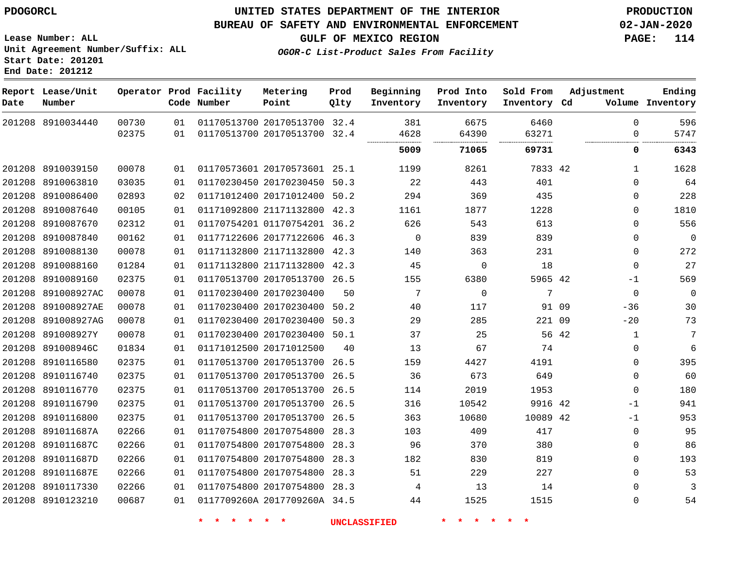**End Date: 201212**

#### **UNITED STATES DEPARTMENT OF THE INTERIOR PDOGORCL PRODUCTION**

#### **BUREAU OF SAFETY AND ENVIRONMENTAL ENFORCEMENT 02-JAN-2020**

**Lease Number: ALL Unit Agreement Number/Suffix: ALL Start Date: 201201**

**GULF OF MEXICO REGION PAGE: 114**

**OGOR-C List-Product Sales From Facility**

| Date   | Report Lease/Unit<br>Number |       |    | Operator Prod Facility<br>Code Number | Metering<br>Point            | Prod<br>Qlty | Beginning<br>Inventory | Prod Into<br>Inventory | Sold From<br>Inventory Cd | Adjustment            | Ending<br>Volume Inventory |
|--------|-----------------------------|-------|----|---------------------------------------|------------------------------|--------------|------------------------|------------------------|---------------------------|-----------------------|----------------------------|
|        | 201208 8910034440           | 00730 | 01 |                                       | 01170513700 20170513700 32.4 |              | 381                    | 6675                   | 6460                      | $\Omega$              | 596                        |
|        |                             | 02375 | 01 |                                       | 01170513700 20170513700 32.4 |              | 4628                   | 64390                  | 63271                     | $\Omega$              | 5747                       |
|        |                             |       |    |                                       |                              |              | 5009                   | 71065                  | 69731                     | 0                     | 6343                       |
|        | 201208 8910039150           | 00078 | 01 |                                       | 01170573601 20170573601 25.1 |              | 1199                   | 8261                   | 7833 42                   | $\mathbf{1}$          | 1628                       |
|        | 201208 8910063810           | 03035 | 01 |                                       | 01170230450 20170230450 50.3 |              | 22                     | 443                    | 401                       | $\Omega$              | 64                         |
|        | 201208 8910086400           | 02893 | 02 |                                       | 01171012400 20171012400 50.2 |              | 294                    | 369                    | 435                       | 0                     | 228                        |
|        | 201208 8910087640           | 00105 | 01 |                                       | 01171092800 21171132800      | 42.3         | 1161                   | 1877                   | 1228                      | $\mathbf{0}$          | 1810                       |
|        | 201208 8910087670           | 02312 | 01 |                                       | 01170754201 01170754201 36.2 |              | 626                    | 543                    | 613                       | $\Omega$              | 556                        |
|        | 201208 8910087840           | 00162 | 01 |                                       | 01177122606 20177122606 46.3 |              | $\mathbf 0$            | 839                    | 839                       | $\Omega$              | $\mathbf 0$                |
|        | 201208 8910088130           | 00078 | 01 |                                       | 01171132800 21171132800 42.3 |              | 140                    | 363                    | 231                       | $\Omega$              | 272                        |
|        | 201208 8910088160           | 01284 | 01 |                                       | 01171132800 21171132800 42.3 |              | 45                     | 0                      | 18                        | $\mathbf 0$           | 27                         |
|        | 201208 8910089160           | 02375 | 01 |                                       | 01170513700 20170513700 26.5 |              | 155                    | 6380                   | 5965 42                   | $-1$                  | 569                        |
| 201208 | 891008927AC                 | 00078 | 01 |                                       | 01170230400 20170230400      | 50           | 7                      | $\Omega$               | 7                         | $\Omega$              | $\mathbf 0$                |
|        | 201208 891008927AE          | 00078 | 01 |                                       | 01170230400 20170230400 50.2 |              | 40                     | 117                    |                           | 91 09<br>$-36$        | 30                         |
|        | 201208 891008927AG          | 00078 | 01 |                                       | 01170230400 20170230400 50.3 |              | 29                     | 285                    | 221 09                    | $-20$                 | 73                         |
|        | 201208 891008927Y           | 00078 | 01 |                                       | 01170230400 20170230400 50.1 |              | 37                     | 25                     |                           | 56 42<br>$\mathbf{1}$ | 7                          |
|        | 201208 891008946C           | 01834 | 01 |                                       | 01171012500 20171012500      | 40           | 13                     | 67                     | 74                        | 0                     | 6                          |
|        | 201208 8910116580           | 02375 | 01 |                                       | 01170513700 20170513700      | 26.5         | 159                    | 4427                   | 4191                      | 0                     | 395                        |
|        | 201208 8910116740           | 02375 | 01 |                                       | 01170513700 20170513700 26.5 |              | 36                     | 673                    | 649                       | $\mathbf 0$           | 60                         |
|        | 201208 8910116770           | 02375 | 01 |                                       | 01170513700 20170513700      | 26.5         | 114                    | 2019                   | 1953                      | $\mathbf 0$           | 180                        |
|        | 201208 8910116790           | 02375 | 01 |                                       | 01170513700 20170513700 26.5 |              | 316                    | 10542                  | 9916 42                   | $-1$                  | 941                        |
|        | 201208 8910116800           | 02375 | 01 |                                       | 01170513700 20170513700 26.5 |              | 363                    | 10680                  | 10089 42                  | $-1$                  | 953                        |
|        | 201208 891011687A           | 02266 | 01 |                                       | 01170754800 20170754800 28.3 |              | 103                    | 409                    | 417                       | $\Omega$              | 95                         |
|        | 201208 891011687C           | 02266 | 01 |                                       | 01170754800 20170754800      | 28.3         | 96                     | 370                    | 380                       | 0                     | 86                         |
|        | 201208 891011687D           | 02266 | 01 |                                       | 01170754800 20170754800      | 28.3         | 182                    | 830                    | 819                       | 0                     | 193                        |
|        | 201208 891011687E           | 02266 | 01 |                                       | 01170754800 20170754800 28.3 |              | 51                     | 229                    | 227                       | $\Omega$              | 53                         |
|        | 201208 8910117330           | 02266 | 01 |                                       | 01170754800 20170754800 28.3 |              | 4                      | 13                     | 14                        | $\Omega$              | 3                          |
|        | 201208 8910123210           | 00687 | 01 |                                       | 0117709260A 2017709260A 34.5 |              | 44                     | 1525                   | 1515                      | $\mathbf{0}$          | 54                         |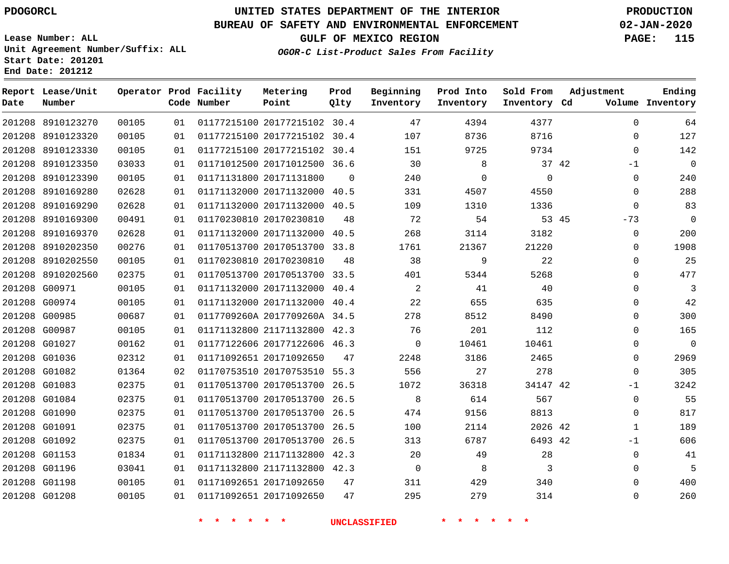**Report Lease/Unit**

**Number**

## **UNITED STATES DEPARTMENT OF THE INTERIOR PDOGORCL PRODUCTION**

**Prod Qlty**

#### **BUREAU OF SAFETY AND ENVIRONMENTAL ENFORCEMENT 02-JAN-2020**

**Lease Number: ALL Unit Agreement Number/Suffix: ALL Start Date: 201201 End Date: 201212**

**Operator Prod Facility**

**Code Number**

**OGOR-C List-Product Sales From Facility**

**Beginning Inventory** **Prod Into Inventory** **Sold From Inventory**

**GULF OF MEXICO REGION PAGE: 115**

**Inventory Cd Volume**

**Adjustment**

**Ending**

|               |                                        |                |          | $\star$<br>$\star$                                           | $\star$<br>一大 |          | <b>UNCLASSIFIED</b> |              |              |       |                            |
|---------------|----------------------------------------|----------------|----------|--------------------------------------------------------------|---------------|----------|---------------------|--------------|--------------|-------|----------------------------|
| 201208 G01208 |                                        | 00105          | 01       | 01171092651 20171092650                                      |               | 47       | 295                 | 279          | 314          |       | $\mathsf 0$                |
| 201208 G01198 |                                        | 00105          | 01       | 01171092651 20171092650                                      |               | 47       | 311                 | 429          | 340          |       | $\mathbf 0$                |
|               | 201208 G01196                          | 03041          | 01       | 01171132800 21171132800 42.3                                 |               |          | $\overline{0}$      | 8            | 3            |       | $\mathbf 0$                |
| 201208 G01153 |                                        | 01834          | 01       | 01171132800 21171132800 42.3                                 |               |          | 20                  | 49           | 28           |       | $\mathbb O$                |
|               | 201208 G01092                          | 02375          | 01       | 01170513700 20170513700 26.5                                 |               |          | 313                 | 6787         | 6493 42      |       | $-1$                       |
| 201208 G01091 |                                        | 02375          | 01       | 01170513700 20170513700 26.5                                 |               |          | 100                 | 2114         | 2026 42      |       | $\mathbf{1}$               |
|               | 201208 G01090                          | 02375          | 01       | 01170513700 20170513700 26.5                                 |               |          | 474                 | 9156         | 8813         |       | $\mathbf 0$                |
|               | 201208 G01084                          | 02375          | 01       | 01170513700 20170513700 26.5                                 |               |          | 8                   | 614          | 567          |       | $\mathbf 0$                |
| 201208 G01083 |                                        | 02375          | 01       | 01170513700 20170513700 26.5                                 |               |          | 1072                | 36318        | 34147 42     |       | $-1$                       |
|               | 201208 G01082                          | 01364          | 02       | 01170753510 20170753510 55.3                                 |               |          | 556                 | 27           | 278          |       | $\mathbf 0$                |
|               | 201208 G01036                          | 02312          | 01       | 01171092651 20171092650                                      |               | 47       | 2248                | 3186         | 2465         |       | $\mathbf 0$                |
| 201208 G01027 |                                        | 00162          | 01       | 01177122606 20177122606 46.3                                 |               |          | $\Omega$            | 10461        | 10461        |       | $\Omega$                   |
| 201208 G00987 |                                        | 00105          | 01       | 01171132800 21171132800 42.3                                 |               |          | 76                  | 201          | 112          |       | $\Omega$                   |
| 201208 G00985 |                                        | 00687          | 01       | 0117709260A 2017709260A 34.5                                 |               |          | 278                 | 8512         | 8490         |       | $\overline{0}$             |
|               | 201208 G00974                          | 00105          | 01       | 01171132000 20171132000 40.4                                 |               |          | 22                  | 655          | 635          |       | $\overline{0}$             |
|               | 201208 G00971                          | 00105          | 01       | 01171132000 20171132000 40.4                                 |               |          | 2                   | 41           | 40           |       | $\overline{0}$             |
|               | 201208 8910202560                      | 02375          | 01       | 01170513700 20170513700 33.5                                 |               |          | 401                 | 5344         | 5268         |       | $\overline{0}$             |
|               | 201208 8910202550                      | 00105          | 01       | 01170230810 20170230810                                      |               | 48       | 38                  | 9            | 22           |       | $\mathbf 0$                |
|               | 201208 8910202350                      | 00276          | 01       | 01170513700 20170513700 33.8                                 |               |          | 1761                | 21367        | 21220        |       | $\mathbf 0$                |
|               | 201208 8910169370                      | 02628          | 01       | 01171132000 20171132000 40.5                                 |               |          | 268                 | 3114         | 3182         |       | $\mathbf 0$                |
|               | 201208 8910169300                      | 00491          | 01       | 01170230810 20170230810                                      |               | 48       | 72                  | 54           |              | 53 45 | $-73$                      |
|               | 201208 8910169290                      | 02628          | 01       | 01171132000 20171132000 40.5                                 |               |          | 109                 | 1310         | 1336         |       | $\mathbf 0$                |
|               | 201208 8910169280                      | 02628          | 01       | 01171132000 20171132000 40.5                                 |               |          | 331                 | 4507         | 4550         |       | $\mathbf 0$                |
| 201208        | 8910123390                             | 00105          | 01       | 01171131800 20171131800                                      |               | $\Omega$ | 240                 | $\mathbf 0$  | $\mathbf 0$  |       | $\mathbf 0$                |
|               | 201208 8910123350                      | 03033          | 01       | 01171012500 20171012500 36.6                                 |               |          | 30                  | 8            |              | 37 42 | $-1$                       |
|               | 201208 8910123320<br>201208 8910123330 | 00105<br>00105 | 01<br>01 | 01177215100 20177215102 30.4<br>01177215100 20177215102 30.4 |               |          | 107<br>151          | 8736<br>9725 | 8716<br>9734 |       | $\mathbf 0$<br>$\mathbf 0$ |
|               | 201208 8910123270                      | 00105          | 01       | 01177215100 20177215102 30.4                                 |               |          | 47                  | 4394         | 4377         |       | $\mathbf 0$                |
|               |                                        |                |          |                                                              |               |          |                     |              |              |       |                            |

**Metering Point**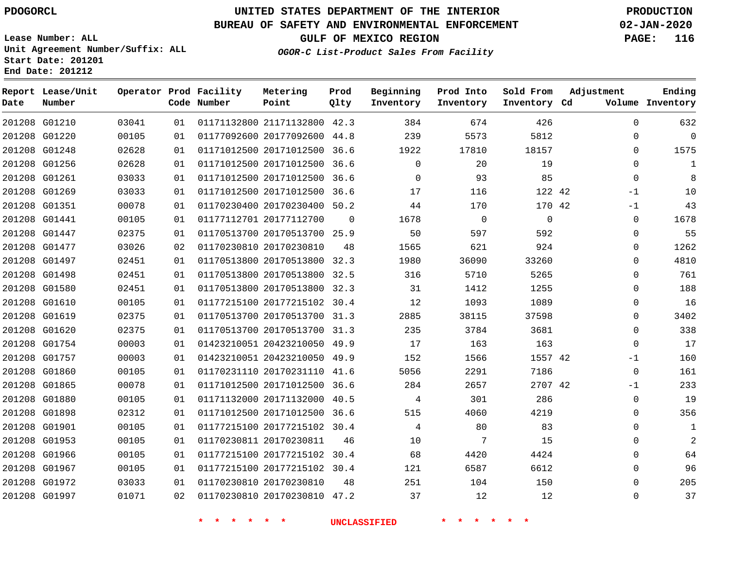**Report Lease/Unit**

**Number**

## **UNITED STATES DEPARTMENT OF THE INTERIOR PDOGORCL PRODUCTION**

**Prod Qlty**

#### **BUREAU OF SAFETY AND ENVIRONMENTAL ENFORCEMENT 02-JAN-2020**

**Lease Number: ALL Unit Agreement Number/Suffix: ALL Start Date: 201201 End Date: 201212**

**Operator Prod Facility**

**Code Number**

**OGOR-C List-Product Sales From Facility**

**Beginning Inventory** **Prod Into Inventory** **Sold From Inventory**

**GULF OF MEXICO REGION PAGE: 116**

**Inventory Cd Volume**

**Adjustment**

**Ending**

| 201208 G01210 | 03041 | 01 | 01171132800 21171132800 42.3 |                | 384          | 674            | 426            | $\Omega$       |
|---------------|-------|----|------------------------------|----------------|--------------|----------------|----------------|----------------|
| 201208 G01220 | 00105 | 01 | 01177092600 20177092600 44.8 |                | 239          | 5573           | 5812           | $\Omega$       |
| 201208 G01248 | 02628 | 01 | 01171012500 20171012500 36.6 |                | 1922         | 17810          | 18157          | 0              |
| 201208 G01256 | 02628 | 01 | 01171012500 20171012500 36.6 |                | $\mathbf{0}$ | 20             | 19             | $\mathbf 0$    |
| 201208 G01261 | 03033 | 01 | 01171012500 20171012500 36.6 |                | $\Omega$     | 93             | 85             | $\Omega$       |
| 201208 G01269 | 03033 | 01 | 01171012500 20171012500 36.6 |                | 17           | 116            | 122 42         | $-1$           |
| 201208 G01351 | 00078 | 01 | 01170230400 20170230400 50.2 |                | 44           | 170            | 170 42         | -1             |
| 201208 G01441 | 00105 | 01 | 01177112701 20177112700      | $\overline{0}$ | 1678         | $\overline{0}$ | $\overline{0}$ | $\mathbf 0$    |
| 201208 G01447 | 02375 | 01 | 01170513700 20170513700 25.9 |                | 50           | 597            | 592            | $\mathbf 0$    |
| 201208 G01477 | 03026 | 02 | 01170230810 20170230810      | 48             | 1565         | 621            | 924            | $\Omega$       |
| 201208 G01497 | 02451 | 01 | 01170513800 20170513800 32.3 |                | 1980         | 36090          | 33260          | $\Omega$       |
| 201208 G01498 | 02451 | 01 | 01170513800 20170513800 32.5 |                | 316          | 5710           | 5265           | $\Omega$       |
| 201208 G01580 | 02451 | 01 | 01170513800 20170513800 32.3 |                | 31           | 1412           | 1255           | $\mathbf 0$    |
| 201208 G01610 | 00105 | 01 | 01177215100 20177215102 30.4 |                | 12           | 1093           | 1089           | $\mathbf 0$    |
| 201208 G01619 | 02375 | 01 | 01170513700 20170513700 31.3 |                | 2885         | 38115          | 37598          | $\mathbf 0$    |
| 201208 G01620 | 02375 | 01 | 01170513700 20170513700 31.3 |                | 235          | 3784           | 3681           | $\mathbf 0$    |
| 201208 G01754 | 00003 | 01 | 01423210051 20423210050 49.9 |                | 17           | 163            | 163            | $\Omega$       |
| 201208 G01757 | 00003 | 01 | 01423210051 20423210050 49.9 |                | 152          | 1566           | 1557 42        | $-1$           |
| 201208 G01860 | 00105 | 01 | 01170231110 20170231110 41.6 |                | 5056         | 2291           | 7186           | $\overline{0}$ |
| 201208 G01865 | 00078 | 01 | 01171012500 20171012500 36.6 |                | 284          | 2657           | 2707 42        | -1             |
| 201208 G01880 | 00105 | 01 | 01171132000 20171132000 40.5 |                | 4            | 301            | 286            | $\Omega$       |
| 201208 G01898 | 02312 | 01 | 01171012500 20171012500 36.6 |                | 515          | 4060           | 4219           | $\mathbf 0$    |
| 201208 G01901 | 00105 | 01 | 01177215100 20177215102 30.4 |                | 4            | 80             | 83             | $\mathbf 0$    |
| 201208 G01953 | 00105 | 01 | 01170230811 20170230811      | 46             | 10           | 7              | 15             | $\mathbf 0$    |
| 201208 G01966 | 00105 | 01 | 01177215100 20177215102 30.4 |                | 68           | 4420           | 4424           | $\mathbf 0$    |
| 201208 G01967 | 00105 | 01 | 01177215100 20177215102 30.4 |                | 121          | 6587           | 6612           | $\Omega$       |
| 201208 G01972 | 03033 | 01 | 01170230810 20170230810      | 48             | 251          | 104            | 150            | $\mathbf 0$    |
| 201208 G01997 | 01071 | 02 | 01170230810 20170230810 47.2 |                | 37           | 12             | 12             | $\mathbf 0$    |
|               |       |    |                              |                |              |                |                |                |

**Metering Point**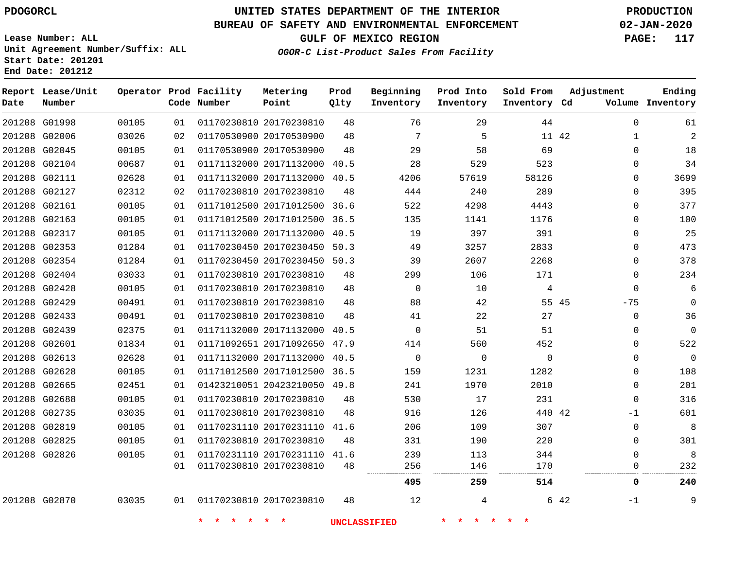## **UNITED STATES DEPARTMENT OF THE INTERIOR PDOGORCL PRODUCTION**

#### **BUREAU OF SAFETY AND ENVIRONMENTAL ENFORCEMENT 02-JAN-2020**

**Lease Number: ALL Unit Agreement Number/Suffix: ALL Start Date: 201201 End Date: 201212**

**OGOR-C List-Product Sales From Facility**

**GULF OF MEXICO REGION PAGE: 117**

-1

| Date | Report Lease/Unit<br>Number |       |    | Operator Prod Facility<br>Code Number | Metering<br>Point            | Prod<br>Qlty | Beginning<br>Inventory | Prod Into<br>Inventory | Sold From<br>Inventory Cd | Adjustment   | Ending<br>Volume Inventory |
|------|-----------------------------|-------|----|---------------------------------------|------------------------------|--------------|------------------------|------------------------|---------------------------|--------------|----------------------------|
|      | 201208 G01998               | 00105 | 01 |                                       | 01170230810 20170230810      | 48           | 76                     | 29                     | 44                        | $\Omega$     | 61                         |
|      | 201208 G02006               | 03026 | 02 |                                       | 01170530900 20170530900      | 48           | 7                      | 5                      | 11 42                     | $\mathbf{1}$ | $\overline{2}$             |
|      | 201208 G02045               | 00105 | 01 |                                       | 01170530900 20170530900      | 48           | 29                     | 58                     | 69                        | $\Omega$     | 18                         |
|      | 201208 G02104               | 00687 | 01 |                                       | 01171132000 20171132000 40.5 |              | 28                     | 529                    | 523                       | 0            | 34                         |
|      | 201208 G02111               | 02628 | 01 |                                       | 01171132000 20171132000 40.5 |              | 4206                   | 57619                  | 58126                     | 0            | 3699                       |
|      | 201208 G02127               | 02312 | 02 |                                       | 01170230810 20170230810      | 48           | 444                    | 240                    | 289                       | 0            | 395                        |
|      | 201208 G02161               | 00105 | 01 |                                       | 01171012500 20171012500 36.6 |              | 522                    | 4298                   | 4443                      | 0            | 377                        |
|      | 201208 G02163               | 00105 | 01 |                                       | 01171012500 20171012500 36.5 |              | 135                    | 1141                   | 1176                      | $\Omega$     | 100                        |
|      | 201208 G02317               | 00105 | 01 |                                       | 01171132000 20171132000 40.5 |              | 19                     | 397                    | 391                       | $\Omega$     | 25                         |
|      | 201208 G02353               | 01284 | 01 |                                       | 01170230450 20170230450 50.3 |              | 49                     | 3257                   | 2833                      | 0            | 473                        |
|      | 201208 G02354               | 01284 | 01 |                                       | 01170230450 20170230450 50.3 |              | 39                     | 2607                   | 2268                      | $\mathbf 0$  | 378                        |
|      | 201208 G02404               | 03033 | 01 |                                       | 01170230810 20170230810      | 48           | 299                    | 106                    | 171                       | $\mathbf 0$  | 234                        |
|      | 201208 G02428               | 00105 | 01 |                                       | 01170230810 20170230810      | 48           | $\Omega$               | 10                     | 4                         | $\Omega$     | 6                          |
|      | 201208 G02429               | 00491 | 01 |                                       | 01170230810 20170230810      | 48           | 88                     | 42                     | 55 45                     | $-75$        | $\mathbf 0$                |
|      | 201208 G02433               | 00491 | 01 |                                       | 01170230810 20170230810      | 48           | 41                     | 22                     | 27                        | $\mathbf 0$  | 36                         |
|      | 201208 G02439               | 02375 | 01 |                                       | 01171132000 20171132000 40.5 |              | $\Omega$               | 51                     | 51                        | $\mathbf 0$  | $\mathbf 0$                |
|      | 201208 G02601               | 01834 | 01 |                                       | 01171092651 20171092650 47.9 |              | 414                    | 560                    | 452                       | $\mathbf 0$  | 522                        |
|      | 201208 G02613               | 02628 | 01 |                                       | 01171132000 20171132000      | 40.5         | $\mathbf{0}$           | $\mathbf 0$            | $\Omega$                  | $\Omega$     | 0                          |
|      | 201208 G02628               | 00105 | 01 |                                       | 01171012500 20171012500 36.5 |              | 159                    | 1231                   | 1282                      | $\Omega$     | 108                        |
|      | 201208 G02665               | 02451 | 01 |                                       | 01423210051 20423210050 49.8 |              | 241                    | 1970                   | 2010                      | $\mathbf 0$  | 201                        |
|      | 201208 G02688               | 00105 | 01 |                                       | 01170230810 20170230810      | 48           | 530                    | 17                     | 231                       | $\mathbf 0$  | 316                        |
|      | 201208 G02735               | 03035 | 01 |                                       | 01170230810 20170230810      | 48           | 916                    | 126                    | 440 42                    | -1           | 601                        |
|      | 201208 G02819               | 00105 | 01 |                                       | 01170231110 20170231110 41.6 |              | 206                    | 109                    | 307                       | $\Omega$     | 8                          |
|      | 201208 G02825               | 00105 | 01 |                                       | 01170230810 20170230810      | 48           | 331                    | 190                    | 220                       | $\Omega$     | 301                        |
|      | 201208 G02826               | 00105 | 01 |                                       | 01170231110 20170231110 41.6 |              | 239                    | 113                    | 344                       | $\Omega$     | 8                          |
|      |                             |       | 01 |                                       | 01170230810 20170230810      | 48           | 256                    | 146<br>.               | 170<br>.                  | $\Omega$<br> | 232                        |
|      |                             |       |    |                                       |                              |              | 495                    | 259                    | 514                       | 0            | 240                        |

G02870

**\* \* \* \* \* \* UNCLASSIFIED \* \* \* \* \* \***

20170230810

42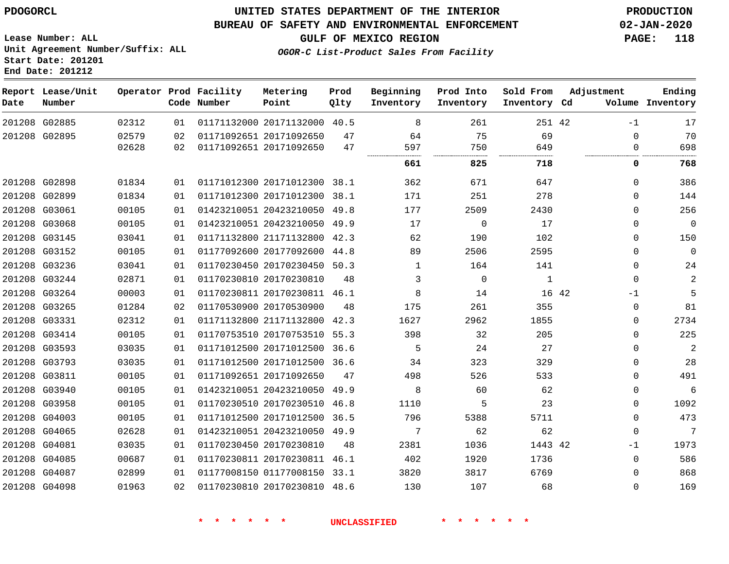#### **BUREAU OF SAFETY AND ENVIRONMENTAL ENFORCEMENT 02-JAN-2020**

**Lease Number: ALL Unit Agreement Number/Suffix: ALL Start Date: 201201 End Date: 201212**

**OGOR-C List-Product Sales From Facility**

**GULF OF MEXICO REGION PAGE: 118**

| Date | Report Lease/Unit<br>Number |       |    | Operator Prod Facility<br>Code Number | Metering<br>Point            | Prod<br>Qlty | Beginning<br>Inventory | Prod Into<br>Inventory | Sold From<br>Inventory Cd | Adjustment    | Ending<br>Volume Inventory |
|------|-----------------------------|-------|----|---------------------------------------|------------------------------|--------------|------------------------|------------------------|---------------------------|---------------|----------------------------|
|      | 201208 G02885               | 02312 | 01 |                                       | 01171132000 20171132000 40.5 |              | 8                      | 261                    | 251 42                    | $-1$          | 17                         |
|      | 201208 G02895               | 02579 | 02 |                                       | 01171092651 20171092650      | 47           | 64                     | 75                     | 69                        | $\Omega$      | 70                         |
|      |                             | 02628 | 02 |                                       | 01171092651 20171092650      | 47           | 597                    | 750                    | 649                       | 0             | 698                        |
|      |                             |       |    |                                       |                              |              | 661                    | 825                    | 718                       | 0             | 768                        |
|      | 201208 G02898               | 01834 | 01 |                                       | 01171012300 20171012300 38.1 |              | 362                    | 671                    | 647                       | $\mathbf 0$   | 386                        |
|      | 201208 G02899               | 01834 | 01 |                                       | 01171012300 20171012300      | 38.1         | 171                    | 251                    | 278                       | 0             | 144                        |
|      | 201208 G03061               | 00105 | 01 |                                       | 01423210051 20423210050      | 49.8         | 177                    | 2509                   | 2430                      | $\Omega$      | 256                        |
|      | 201208 G03068               | 00105 | 01 |                                       | 01423210051 20423210050 49.9 |              | 17                     | $\mathbf 0$            | 17                        | $\Omega$      | $\overline{0}$             |
|      | 201208 G03145               | 03041 | 01 |                                       | 01171132800 21171132800      | 42.3         | 62                     | 190                    | 102                       | $\Omega$      | 150                        |
|      | 201208 G03152               | 00105 | 01 |                                       | 01177092600 20177092600      | 44.8         | 89                     | 2506                   | 2595                      | $\Omega$      | $\overline{0}$             |
|      | 201208 G03236               | 03041 | 01 |                                       | 01170230450 20170230450 50.3 |              | $\mathbf{1}$           | 164                    | 141                       | $\mathbf 0$   | 24                         |
|      | 201208 G03244               | 02871 | 01 |                                       | 01170230810 20170230810      | 48           | 3                      | $\mathbf 0$            | $\mathbf{1}$              | $\mathbf 0$   | $\mathbf{2}$               |
|      | 201208 G03264               | 00003 | 01 |                                       | 01170230811 20170230811 46.1 |              | 8                      | 14                     |                           | 16 42<br>$-1$ | 5                          |
|      | 201208 G03265               | 01284 | 02 |                                       | 01170530900 20170530900      | 48           | 175                    | 261                    | 355                       | $\Omega$      | 81                         |
|      | 201208 G03331               | 02312 | 01 |                                       | 01171132800 21171132800      | 42.3         | 1627                   | 2962                   | 1855                      | 0             | 2734                       |
|      | 201208 G03414               | 00105 | 01 |                                       | 01170753510 20170753510      | 55.3         | 398                    | 32                     | 205                       | $\mathbf 0$   | 225                        |
|      | 201208 G03593               | 03035 | 01 |                                       | 01171012500 20171012500      | 36.6         | 5                      | 24                     | 27                        | $\mathbf 0$   | $\mathbf{2}$               |
|      | 201208 G03793               | 03035 | 01 |                                       | 01171012500 20171012500 36.6 |              | 34                     | 323                    | 329                       | $\mathbf 0$   | 28                         |
|      | 201208 G03811               | 00105 | 01 |                                       | 01171092651 20171092650      | 47           | 498                    | 526                    | 533                       | $\Omega$      | 491                        |
|      | 201208 G03940               | 00105 | 01 |                                       | 01423210051 20423210050      | 49.9         | 8                      | 60                     | 62                        | $\mathbf 0$   | 6                          |
|      | 201208 G03958               | 00105 | 01 |                                       | 01170230510 20170230510 46.8 |              | 1110                   | 5                      | 23                        | 0             | 1092                       |
|      | 201208 G04003               | 00105 | 01 |                                       | 01171012500 20171012500 36.5 |              | 796                    | 5388                   | 5711                      | $\mathbf 0$   | 473                        |
|      | 201208 G04065               | 02628 | 01 |                                       | 01423210051 20423210050 49.9 |              | 7                      | 62                     | 62                        | $\mathbf 0$   | 7                          |
|      | 201208 G04081               | 03035 | 01 |                                       | 01170230450 20170230810      | 48           | 2381                   | 1036                   | 1443 42                   | $-1$          | 1973                       |
|      | 201208 G04085               | 00687 | 01 |                                       | 01170230811 20170230811 46.1 |              | 402                    | 1920                   | 1736                      | $\Omega$      | 586                        |
|      | 201208 G04087               | 02899 | 01 |                                       | 01177008150 01177008150 33.1 |              | 3820                   | 3817                   | 6769                      | 0             | 868                        |
|      | 201208 G04098               | 01963 | 02 |                                       | 01170230810 20170230810 48.6 |              | 130                    | 107                    | 68                        | $\mathbf 0$   | 169                        |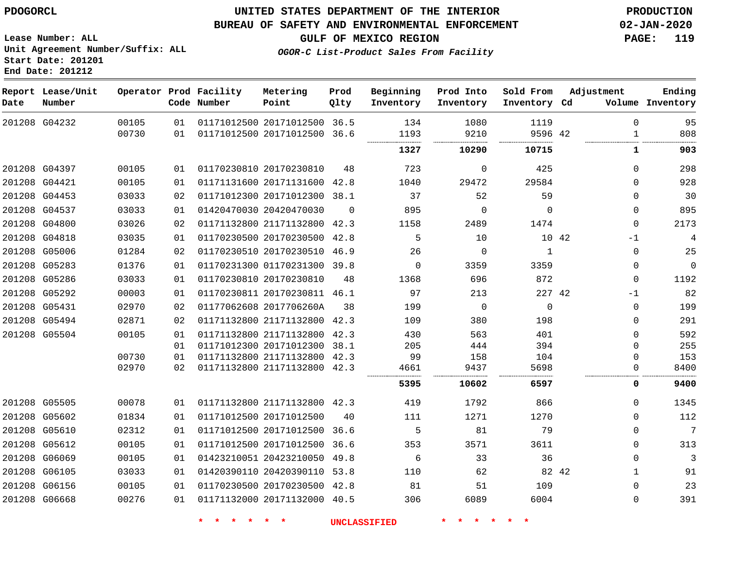#### **BUREAU OF SAFETY AND ENVIRONMENTAL ENFORCEMENT 02-JAN-2020**

**GULF OF MEXICO REGION PAGE: 119**

**Lease Number: ALL Unit Agreement Number/Suffix: ALL Start Date: 201201 End Date: 201212**

**OGOR-C List-Product Sales From Facility**

| Date          | Report Lease/Unit<br>Number |                |          | Operator Prod Facility<br>Code Number | Metering<br>Point                                       | Prod<br>Qlty | Beginning<br>Inventory | Prod Into<br>Inventory | Sold From<br>Inventory Cd | Adjustment               | Ending<br>Volume Inventory |
|---------------|-----------------------------|----------------|----------|---------------------------------------|---------------------------------------------------------|--------------|------------------------|------------------------|---------------------------|--------------------------|----------------------------|
| 201208 G04232 |                             | 00105<br>00730 | 01<br>01 |                                       | 01171012500 20171012500 36.5<br>01171012500 20171012500 | 36.6         | 134<br>1193            | 1080<br>9210           | 1119<br>9596 42           | $\Omega$<br>$\mathbf{1}$ | 95<br>808                  |
|               |                             |                |          |                                       |                                                         |              | <br>1327               | 10290                  | 10715                     | 1                        | 903                        |
|               |                             |                |          |                                       |                                                         |              |                        |                        |                           |                          |                            |
| 201208 G04397 |                             | 00105          | 01       |                                       | 01170230810 20170230810                                 | 48           | 723                    | $\Omega$               | 425                       | $\mathbf 0$              | 298                        |
| 201208 G04421 |                             | 00105          | 01       |                                       | 01171131600 20171131600 42.8                            |              | 1040                   | 29472                  | 29584                     | $\mathbf{0}$             | 928                        |
| 201208 G04453 |                             | 03033          | 02       |                                       | 01171012300 20171012300                                 | 38.1         | 37                     | 52                     | 59                        | $\mathbf{0}$             | 30                         |
| 201208 G04537 |                             | 03033          | 01       |                                       | 01420470030 20420470030                                 | $\Omega$     | 895                    | $\mathbf 0$            | $\mathbf 0$               | $\mathbf{0}$             | 895                        |
| 201208 G04800 |                             | 03026          | 02       |                                       | 01171132800 21171132800 42.3                            |              | 1158                   | 2489                   | 1474                      | $\mathbf{0}$             | 2173                       |
| 201208 G04818 |                             | 03035          | 01       |                                       | 01170230500 20170230500 42.8                            |              | 5                      | 10                     | 10 42                     | $-1$                     | $\overline{4}$             |
| 201208 G05006 |                             | 01284          | 02       |                                       | 01170230510 20170230510 46.9                            |              | 26                     | $\Omega$               | $\mathbf{1}$              | $\mathbf{0}$             | 25                         |
| 201208 G05283 |                             | 01376          | 01       |                                       | 01170231300 01170231300 39.8                            |              | $\mathbf 0$            | 3359                   | 3359                      | $\mathbf{0}$             | $\mathbf 0$                |
| 201208 G05286 |                             | 03033          | 01       |                                       | 01170230810 20170230810                                 | 48           | 1368                   | 696                    | 872                       | $\mathbf{0}$             | 1192                       |
| 201208 G05292 |                             | 00003          | 01       |                                       | 01170230811 20170230811 46.1                            |              | 97                     | 213                    | 227 42                    | $-1$                     | 82                         |
| 201208 G05431 |                             | 02970          | 02       |                                       | 01177062608 2017706260A                                 | 38           | 199                    | $\overline{0}$         | $\overline{0}$            | 0                        | 199                        |
| 201208 G05494 |                             | 02871          | 02       |                                       | 01171132800 21171132800                                 | 42.3         | 109                    | 380                    | 198                       | 0                        | 291                        |
| 201208 G05504 |                             | 00105          | 01       |                                       | 01171132800 21171132800                                 | 42.3         | 430                    | 563                    | 401                       | $\mathbf{0}$             | 592                        |
|               |                             |                | 01       |                                       | 01171012300 20171012300 38.1                            |              | 205                    | 444                    | 394                       | $\mathbf 0$              | 255                        |
|               |                             | 00730          | 01       |                                       | 01171132800 21171132800 42.3                            |              | 99                     | 158                    | 104                       | 0                        | 153                        |
|               |                             | 02970          | 02       |                                       | 01171132800 21171132800 42.3                            |              | 4661                   | 9437                   | 5698                      | $\mathbf{0}$             | 8400                       |
|               |                             |                |          |                                       |                                                         |              | 5395                   | 10602                  | 6597                      | 0                        | 9400                       |
| 201208 G05505 |                             | 00078          | 01       |                                       | 01171132800 21171132800 42.3                            |              | 419                    | 1792                   | 866                       | $\mathbf{0}$             | 1345                       |
| 201208 G05602 |                             | 01834          | 01       |                                       | 01171012500 20171012500                                 | 40           | 111                    | 1271                   | 1270                      | $\mathbf{0}$             | 112                        |
| 201208 G05610 |                             | 02312          | 01       |                                       | 01171012500 20171012500                                 | 36.6         | 5                      | 81                     | 79                        | 0                        | 7                          |
| 201208 G05612 |                             | 00105          | 01       |                                       | 01171012500 20171012500 36.6                            |              | 353                    | 3571                   | 3611                      | $\mathbf 0$              | 313                        |
| 201208 G06069 |                             | 00105          | 01       |                                       | 01423210051 20423210050 49.8                            |              | 6                      | 33                     | 36                        | $\Omega$                 | $\overline{3}$             |
| 201208 G06105 |                             | 03033          | 01       |                                       | 01420390110 20420390110 53.8                            |              | 110                    | 62                     |                           | 82 42<br>$\mathbf{1}$    | 91                         |
| 201208 G06156 |                             | 00105          | 01       |                                       | 01170230500 20170230500 42.8                            |              | 81                     | 51                     | 109                       | 0                        | 23                         |
| 201208 G06668 |                             | 00276          | 01       |                                       | 01171132000 20171132000 40.5                            |              | 306                    | 6089                   | 6004                      | 0                        | 391                        |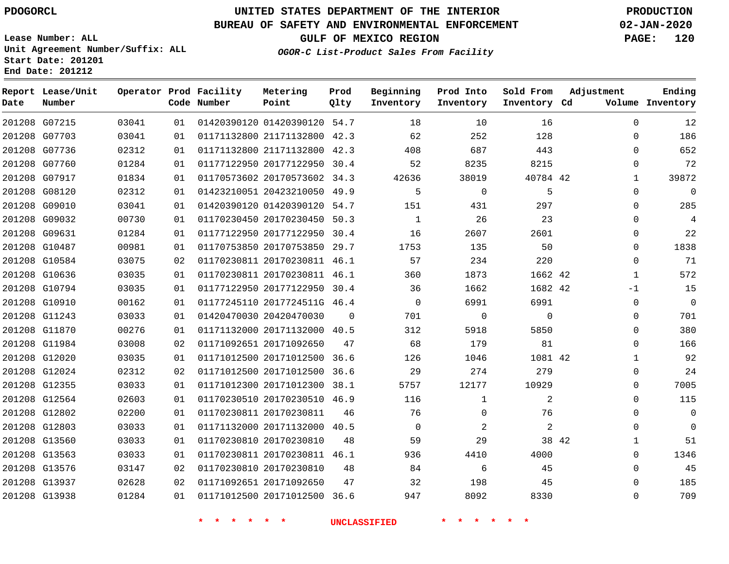G07215 G07703 G07736 G07760 G07917 G08120 G09010 G09032 G09631 G10487 G10584 G10636 G10794 G10910 G11243 G11870 G11984 G12020 G12024 G12355 G12564 G12802 G12803 G13560 G13563 G13576 G13937 G13938

**Date**

**Report Lease/Unit**

**Number**

## **UNITED STATES DEPARTMENT OF THE INTERIOR PDOGORCL PRODUCTION**

**Prod Qlty**

#### **BUREAU OF SAFETY AND ENVIRONMENTAL ENFORCEMENT 02-JAN-2020**

**Lease Number: ALL Unit Agreement Number/Suffix: ALL Start Date: 201201 End Date: 201212**

**Operator Prod Facility**

**Code Number**

**Metering Point**

**OGOR-C List-Product Sales From Facility**

**Prod Into Inventory**

**Beginning Inventory**

**GULF OF MEXICO REGION PAGE: 120**

**Inventory Cd Volume**

**Adjustment**

  $\Omega$  $\Omega$  $\Omega$   $\Omega$  $\Omega$  $\Omega$  $\Omega$  $\Omega$  $\Omega$   $-1$   $\Omega$  $\Omega$  $\Omega$   $\Omega$  $\Omega$   $\Omega$  $\Omega$   $\Omega$   $\Omega$  $\Omega$ 

**Ending**

| 03035 | 01 |  |  | 01177122950 20177122950 | 30.4 |                     | 36       |  | 1662     |  |   |
|-------|----|--|--|-------------------------|------|---------------------|----------|--|----------|--|---|
| 00162 | 01 |  |  | 01177245110 2017724511G | 46.4 |                     | $\Omega$ |  | 6991     |  |   |
| 03033 | 01 |  |  | 01420470030 20420470030 | 0    |                     | 701      |  | 0        |  |   |
| 00276 | 01 |  |  | 01171132000 20171132000 | 40.5 |                     | 312      |  | 5918     |  |   |
| 03008 | 02 |  |  | 01171092651 20171092650 | 47   |                     | 68       |  | 179      |  |   |
| 03035 | 01 |  |  | 01171012500 20171012500 | 36.6 |                     | 126      |  | 1046     |  |   |
| 02312 | 02 |  |  | 01171012500 20171012500 | 36.6 |                     | 29       |  | 274      |  |   |
| 03033 | 01 |  |  | 01171012300 20171012300 | 38.1 |                     | 5757     |  | 12177    |  | 1 |
| 02603 | 01 |  |  | 01170230510 20170230510 | 46.9 |                     | 116      |  | 1        |  |   |
| 02200 | 01 |  |  | 01170230811 20170230811 | 46   |                     | 76       |  | $\Omega$ |  |   |
| 03033 | 01 |  |  | 01171132000 20171132000 | 40.5 |                     | $\Omega$ |  | 2        |  |   |
| 03033 | 01 |  |  | 01170230810 20170230810 | 48   |                     | 59       |  | 29       |  |   |
| 03033 | 01 |  |  | 01170230811 20170230811 | 46.1 |                     | 936      |  | 4410     |  |   |
| 03147 | 02 |  |  | 01170230810 20170230810 | 48   |                     | 84       |  | 6        |  |   |
| 02628 | 02 |  |  | 01171092651 20171092650 | 47   |                     | 32       |  | 198      |  |   |
| 01284 | 01 |  |  | 01171012500 20171012500 | 36.6 |                     | 947      |  | 8092     |  |   |
|       |    |  |  |                         |      | <b>UNCLASSIFIED</b> |          |  |          |  |   |
|       |    |  |  |                         |      |                     |          |  |          |  |   |

42

**Sold From Inventory**

> 42 42

42

 

 

42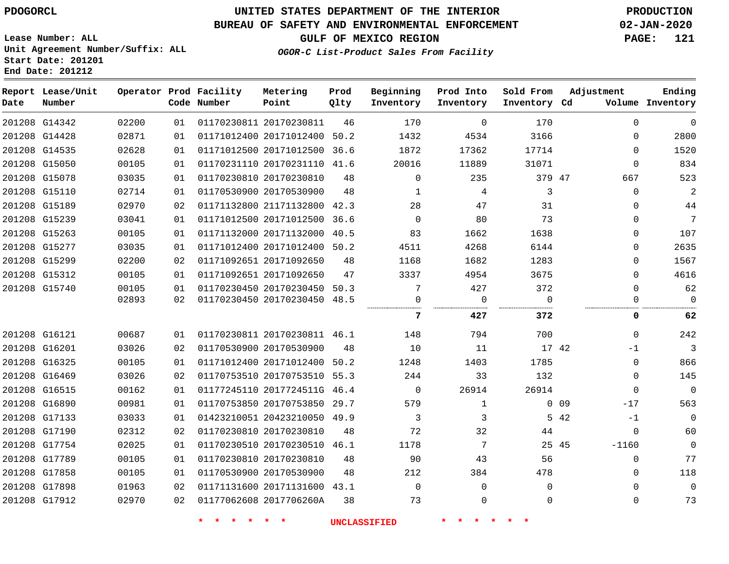#### **BUREAU OF SAFETY AND ENVIRONMENTAL ENFORCEMENT 02-JAN-2020**

**GULF OF MEXICO REGION PAGE: 121**

**OGOR-C List-Product Sales From Facility**

**Lease Number: ALL Unit Agreement Number/Suffix: ALL Start Date: 201201 End Date: 201212**

| Date          | Report Lease/Unit<br>Number |       |    | Operator Prod Facility<br>Code Number | Metering<br>Point            | Prod<br>Qlty | Beginning<br>Inventory | Prod Into<br>Inventory | Sold From<br>Inventory Cd | Adjustment |          | Ending<br>Volume Inventory |
|---------------|-----------------------------|-------|----|---------------------------------------|------------------------------|--------------|------------------------|------------------------|---------------------------|------------|----------|----------------------------|
|               | 201208 G14342               | 02200 | 01 |                                       | 01170230811 20170230811      | 46           | 170                    | $\Omega$               | 170                       |            | $\Omega$ | $\mathbf 0$                |
| 201208 G14428 |                             | 02871 | 01 |                                       | 01171012400 20171012400      | 50.2         | 1432                   | 4534                   | 3166                      |            | $\Omega$ | 2800                       |
| 201208 G14535 |                             | 02628 | 01 |                                       | 01171012500 20171012500 36.6 |              | 1872                   | 17362                  | 17714                     |            | $\Omega$ | 1520                       |
| 201208 G15050 |                             | 00105 | 01 |                                       | 01170231110 20170231110 41.6 |              | 20016                  | 11889                  | 31071                     |            | $\Omega$ | 834                        |
| 201208 G15078 |                             | 03035 | 01 |                                       | 01170230810 20170230810      | 48           | $\mathbf 0$            | 235                    | 379 47                    |            | 667      | 523                        |
|               | 201208 G15110               | 02714 | 01 |                                       | 01170530900 20170530900      | 48           | 1                      | 4                      | 3                         |            | $\Omega$ | 2                          |
| 201208 G15189 |                             | 02970 | 02 |                                       | 01171132800 21171132800 42.3 |              | 28                     | 47                     | 31                        |            | 0        | 44                         |
| 201208 G15239 |                             | 03041 | 01 |                                       | 01171012500 20171012500 36.6 |              | $\Omega$               | 80                     | 73                        |            | $\Omega$ | 7                          |
| 201208 G15263 |                             | 00105 | 01 |                                       | 01171132000 20171132000 40.5 |              | 83                     | 1662                   | 1638                      |            | $\Omega$ | 107                        |
|               | 201208 G15277               | 03035 | 01 |                                       | 01171012400 20171012400 50.2 |              | 4511                   | 4268                   | 6144                      |            | $\Omega$ | 2635                       |
| 201208 G15299 |                             | 02200 | 02 |                                       | 01171092651 20171092650      | 48           | 1168                   | 1682                   | 1283                      |            | $\Omega$ | 1567                       |
| 201208 G15312 |                             | 00105 | 01 |                                       | 01171092651 20171092650      | 47           | 3337                   | 4954                   | 3675                      |            | $\Omega$ | 4616                       |
| 201208 G15740 |                             | 00105 | 01 |                                       | 01170230450 20170230450 50.3 |              | 7                      | 427                    | 372                       |            | $\Omega$ | 62                         |
|               |                             | 02893 | 02 |                                       | 01170230450 20170230450 48.5 |              | 0<br>                  | $\mathbf 0$            | $\Omega$                  |            | 0        | $\mathbf 0$                |
|               |                             |       |    |                                       |                              |              | 7                      | 427                    | 372                       |            | 0        | 62                         |
| 201208 G16121 |                             | 00687 | 01 |                                       | 01170230811 20170230811 46.1 |              | 148                    | 794                    | 700                       |            | $\Omega$ | 242                        |
| 201208 G16201 |                             | 03026 | 02 |                                       | 01170530900 20170530900      | 48           | 10                     | 11                     |                           | 17 42      | $-1$     | $\overline{3}$             |
| 201208 G16325 |                             | 00105 | 01 |                                       | 01171012400 20171012400 50.2 |              | 1248                   | 1403                   | 1785                      |            | $\Omega$ | 866                        |
|               | 201208 G16469               | 03026 | 02 |                                       | 01170753510 20170753510 55.3 |              | 244                    | 33                     | 132                       |            | $\Omega$ | 145                        |
| 201208 G16515 |                             | 00162 | 01 |                                       | 01177245110 2017724511G 46.4 |              | $\mathbf 0$            | 26914                  | 26914                     |            | $\Omega$ | $\overline{0}$             |
| 201208 G16890 |                             | 00981 | 01 |                                       | 01170753850 20170753850 29.7 |              | 579                    | $\mathbf{1}$           |                           | $0$ 09     | $-17$    | 563                        |
| 201208 G17133 |                             | 03033 | 01 |                                       | 01423210051 20423210050 49.9 |              | 3                      | 3                      |                           | 5 42       | $-1$     | $\overline{0}$             |
|               | 201208 G17190               | 02312 | 02 |                                       | 01170230810 20170230810      | 48           | 72                     | 32                     | 44                        |            | $\Omega$ | 60                         |
| 201208 G17754 |                             | 02025 | 01 |                                       | 01170230510 20170230510 46.1 |              | 1178                   | 7                      |                           | 25 45      | $-1160$  | $\mathbf 0$                |
| 201208 G17789 |                             | 00105 | 01 |                                       | 01170230810 20170230810      | 48           | 90                     | 43                     | 56                        |            | $\Omega$ | 77                         |
| 201208 G17858 |                             | 00105 | 01 |                                       | 01170530900 20170530900      | 48           | 212                    | 384                    | 478                       |            | $\Omega$ | 118                        |
| 201208 G17898 |                             | 01963 | 02 |                                       | 01171131600 20171131600 43.1 |              | $\mathbf 0$            | $\mathbf 0$            | $\Omega$                  |            | 0        | $\overline{0}$             |
| 201208 G17912 |                             | 02970 | 02 |                                       | 01177062608 2017706260A      | 38           | 73                     | $\mathbf 0$            | $\mathbf 0$               |            | 0        | 73                         |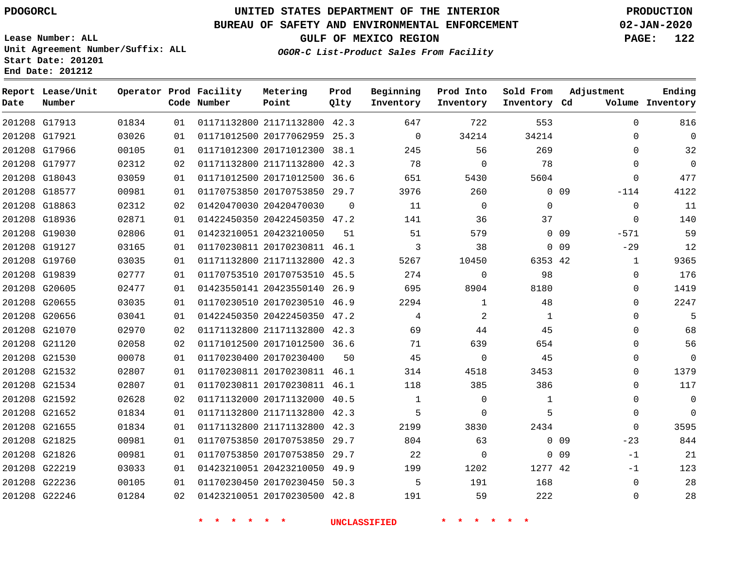**Report Lease/Unit**

**Number**

## **UNITED STATES DEPARTMENT OF THE INTERIOR PDOGORCL PRODUCTION**

**Prod Qlty**

#### **BUREAU OF SAFETY AND ENVIRONMENTAL ENFORCEMENT 02-JAN-2020**

**Lease Number: ALL Unit Agreement Number/Suffix: ALL Start Date: 201201 End Date: 201212**

**Operator Prod Facility**

**Code Number**

**OGOR-C List-Product Sales From Facility**

**Beginning Inventory**

**Prod Into Inventory**

**Sold From Inventory**

**GULF OF MEXICO REGION PAGE: 122**

**Inventory Cd Volume**

**Adjustment**

**Ending**

|               | 201208 G17913 | 01834 | 01 | 01171132800 21171132800 42.3 |          | 647                      | 722            | 553            |                 | $\Omega$       |
|---------------|---------------|-------|----|------------------------------|----------|--------------------------|----------------|----------------|-----------------|----------------|
|               | 201208 G17921 | 03026 | 01 | 01171012500 20177062959 25.3 |          | $\overline{0}$           | 34214          | 34214          |                 | $\mathbf 0$    |
|               | 201208 G17966 | 00105 | 01 | 01171012300 20171012300 38.1 |          | 245                      | 56             | 269            |                 | $\mathbf 0$    |
|               | 201208 G17977 | 02312 | 02 | 01171132800 21171132800 42.3 |          | 78                       | $\Omega$       | 78             |                 | $\mathbf 0$    |
|               | 201208 G18043 | 03059 | 01 | 01171012500 20171012500 36.6 |          | 651                      | 5430           | 5604           |                 | $\Omega$       |
|               | 201208 G18577 | 00981 | 01 | 01170753850 20170753850 29.7 |          | 3976                     | 260            |                | 0 <sub>09</sub> | $-114$         |
|               | 201208 G18863 | 02312 | 02 | 01420470030 20420470030      | $\Omega$ | 11                       | 0              | $\Omega$       |                 | $\overline{0}$ |
|               | 201208 G18936 | 02871 | 01 | 01422450350 20422450350 47.2 |          | 141                      | 36             | 37             |                 | $\Omega$       |
|               | 201208 G19030 | 02806 | 01 | 01423210051 20423210050      | 51       | 51                       | 579            |                | 0 <sub>09</sub> | $-571$         |
|               | 201208 G19127 | 03165 | 01 | 01170230811 20170230811 46.1 |          | $\overline{\phantom{a}}$ | 38             |                | 0 <sub>09</sub> | $-29$          |
|               | 201208 G19760 | 03035 | 01 | 01171132800 21171132800 42.3 |          | 5267                     | 10450          | 6353 42        |                 | $\mathbf{1}$   |
|               | 201208 G19839 | 02777 | 01 | 01170753510 20170753510 45.5 |          | 274                      | $\mathbf 0$    | 98             |                 | $\mathbf 0$    |
|               | 201208 G20605 | 02477 | 01 | 01423550141 20423550140 26.9 |          | 695                      | 8904           | 8180           |                 | $\mathbf 0$    |
|               | 201208 G20655 | 03035 | 01 | 01170230510 20170230510 46.9 |          | 2294                     | $\mathbf{1}$   | 48             |                 | $\mathbf 0$    |
|               | 201208 G20656 | 03041 | 01 | 01422450350 20422450350 47.2 |          | $\overline{4}$           | 2              | $\overline{1}$ |                 | $\Omega$       |
|               | 201208 G21070 | 02970 | 02 | 01171132800 21171132800 42.3 |          | 69                       | 44             | 45             |                 | $\Omega$       |
|               | 201208 G21120 | 02058 | 02 | 01171012500 20171012500 36.6 |          | 71                       | 639            | 654            |                 | $\Omega$       |
|               | 201208 G21530 | 00078 | 01 | 01170230400 20170230400      | 50       | 45                       | 0              | 45             |                 | $\Omega$       |
|               | 201208 G21532 | 02807 | 01 | 01170230811 20170230811 46.1 |          | 314                      | 4518           | 3453           |                 | $\Omega$       |
|               | 201208 G21534 | 02807 | 01 | 01170230811 20170230811 46.1 |          | 118                      | 385            | 386            |                 | 0              |
|               | 201208 G21592 | 02628 | 02 | 01171132000 20171132000 40.5 |          | $\overline{1}$           | $\overline{0}$ | 1              |                 | 0              |
|               | 201208 G21652 | 01834 | 01 | 01171132800 21171132800 42.3 |          | $5^{\circ}$              | 0              | 5              |                 | $\mathbf 0$    |
|               | 201208 G21655 | 01834 | 01 | 01171132800 21171132800 42.3 |          | 2199                     | 3830           | 2434           |                 | $\Omega$       |
|               | 201208 G21825 | 00981 | 01 | 01170753850 20170753850 29.7 |          | 804                      | 63             |                | 0 <sub>09</sub> | $-23$          |
|               | 201208 G21826 | 00981 | 01 | 01170753850 20170753850 29.7 |          | 22                       | $\overline{0}$ |                | $0$ 09          | $-1$           |
| 201208 G22219 |               | 03033 | 01 | 01423210051 20423210050 49.9 |          | 199                      | 1202           | 1277 42        |                 | $-1$           |
|               | 201208 G22236 | 00105 | 01 | 01170230450 20170230450 50.3 |          | 5                        | 191            | 168            |                 | $\mathbf 0$    |
|               | 201208 G22246 | 01284 | 02 | 01423210051 20170230500 42.8 |          | 191                      | 59             | 222            |                 | $\mathbf 0$    |
|               |               |       |    |                              |          |                          |                |                |                 |                |

**Metering Point**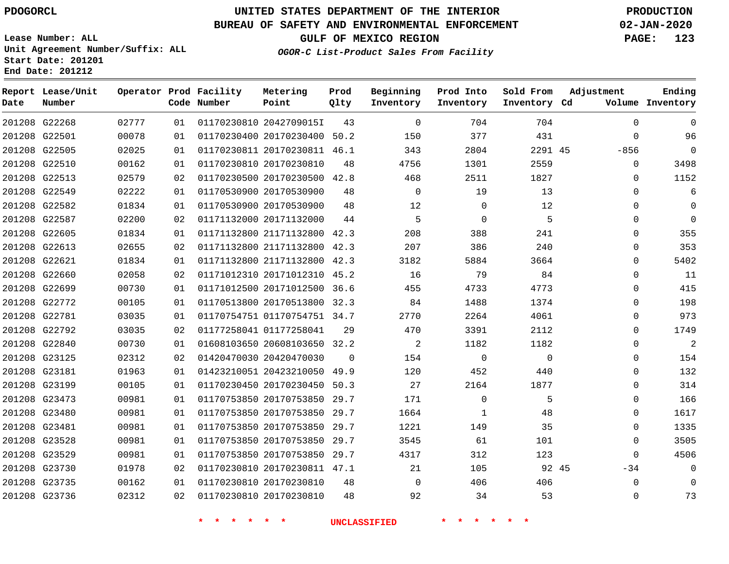#### **BUREAU OF SAFETY AND ENVIRONMENTAL ENFORCEMENT 02-JAN-2020**

**Lease Number: ALL Unit Agreement Number/Suffix: ALL Start Date: 201201 End Date: 201212**

**OGOR-C List-Product Sales From Facility**

**GULF OF MEXICO REGION PAGE: 123**

| Date | Report Lease/Unit<br>Number |       |    | Operator Prod Facility<br>Code Number    | Metering<br>Point            | Prod<br>Qlty | Beginning<br>Inventory | Prod Into<br>Inventory | Sold From<br>Inventory Cd | Adjustment  | Ending<br>Volume Inventory |
|------|-----------------------------|-------|----|------------------------------------------|------------------------------|--------------|------------------------|------------------------|---------------------------|-------------|----------------------------|
|      | 201208 G22268               | 02777 | 01 |                                          | 01170230810 2042709015I      | 43           | $\mathbf{0}$           | 704                    | 704                       | $\mathbf 0$ | $\Omega$                   |
|      | 201208 G22501               | 00078 | 01 |                                          | 01170230400 20170230400 50.2 |              | 150                    | 377                    | 431                       | $\mathbf 0$ | 96                         |
|      | 201208 G22505               | 02025 | 01 |                                          | 01170230811 20170230811 46.1 |              | 343                    | 2804                   | 2291 45                   | $-856$      | $\mathbf 0$                |
|      | 201208 G22510               | 00162 | 01 |                                          | 01170230810 20170230810      | 48           | 4756                   | 1301                   | 2559                      | 0           | 3498                       |
|      | 201208 G22513               | 02579 | 02 |                                          | 01170230500 20170230500 42.8 |              | 468                    | 2511                   | 1827                      | $\Omega$    | 1152                       |
|      | 201208 G22549               | 02222 | 01 |                                          | 01170530900 20170530900      | 48           | $\mathbf 0$            | 19                     | 13                        | $\Omega$    | 6                          |
|      | 201208 G22582               | 01834 | 01 |                                          | 01170530900 20170530900      | 48           | 12                     | 0                      | 12                        | $\Omega$    | $\Omega$                   |
|      | 201208 G22587               | 02200 | 02 |                                          | 01171132000 20171132000      | 44           | 5                      | $\mathsf 0$            | 5                         | $\mathbf 0$ | $\Omega$                   |
|      | 201208 G22605               | 01834 | 01 |                                          | 01171132800 21171132800 42.3 |              | 208                    | 388                    | 241                       | $\mathbf 0$ | 355                        |
|      | 201208 G22613               | 02655 | 02 |                                          | 01171132800 21171132800 42.3 |              | 207                    | 386                    | 240                       | $\Omega$    | 353                        |
|      | 201208 G22621               | 01834 | 01 |                                          | 01171132800 21171132800 42.3 |              | 3182                   | 5884                   | 3664                      | $\Omega$    | 5402                       |
|      | 201208 G22660               | 02058 | 02 |                                          | 01171012310 20171012310 45.2 |              | 16                     | 79                     | 84                        | $\Omega$    | 11                         |
|      | 201208 G22699               | 00730 | 01 |                                          | 01171012500 20171012500 36.6 |              | 455                    | 4733                   | 4773                      | $\Omega$    | 415                        |
|      | 201208 G22772               | 00105 | 01 |                                          | 01170513800 20170513800 32.3 |              | 84                     | 1488                   | 1374                      | $\Omega$    | 198                        |
|      | 201208 G22781               | 03035 | 01 |                                          | 01170754751 01170754751 34.7 |              | 2770                   | 2264                   | 4061                      | $\Omega$    | 973                        |
|      | 201208 G22792               | 03035 | 02 |                                          | 01177258041 01177258041      | 29           | 470                    | 3391                   | 2112                      | $\mathbf 0$ | 1749                       |
|      | 201208 G22840               | 00730 | 01 |                                          | 01608103650 20608103650 32.2 |              | 2                      | 1182                   | 1182                      | $\Omega$    | $\overline{c}$             |
|      | 201208 G23125               | 02312 | 02 |                                          | 01420470030 20420470030      | $\Omega$     | 154                    | $\mathbf 0$            | $\mathbf 0$               | $\Omega$    | 154                        |
|      | 201208 G23181               | 01963 | 01 |                                          | 01423210051 20423210050 49.9 |              | 120                    | 452                    | 440                       | $\mathbf 0$ | 132                        |
|      | 201208 G23199               | 00105 | 01 |                                          | 01170230450 20170230450 50.3 |              | 27                     | 2164                   | 1877                      | $\Omega$    | 314                        |
|      | 201208 G23473               | 00981 | 01 |                                          | 01170753850 20170753850 29.7 |              | 171                    | 0                      | 5                         | $\Omega$    | 166                        |
|      | 201208 G23480               | 00981 | 01 |                                          | 01170753850 20170753850 29.7 |              | 1664                   | $\mathbf{1}$           | 48                        | $\mathbf 0$ | 1617                       |
|      | 201208 G23481               | 00981 | 01 |                                          | 01170753850 20170753850 29.7 |              | 1221                   | 149                    | 35                        | $\mathbf 0$ | 1335                       |
|      | 201208 G23528               | 00981 | 01 |                                          | 01170753850 20170753850 29.7 |              | 3545                   | 61                     | 101                       | $\mathbf 0$ | 3505                       |
|      | 201208 G23529               | 00981 | 01 |                                          | 01170753850 20170753850 29.7 |              | 4317                   | 312                    | 123                       | $\Omega$    | 4506                       |
|      | 201208 G23730               | 01978 | 02 |                                          | 01170230810 20170230811 47.1 |              | 21                     | 105                    | 92 45                     | $-34$       | 0                          |
|      | 201208 G23735               | 00162 | 01 |                                          | 01170230810 20170230810      | 48           | $\mathbf{0}$           | 406                    | 406                       | 0           | $\Omega$                   |
|      | 201208 G23736               | 02312 | 02 |                                          | 01170230810 20170230810      | 48           | 92                     | 34                     | 53                        | $\Omega$    | 73                         |
|      |                             |       |    | $\star$<br>$\star$<br>$\star$<br>$\star$ | $\star$ .                    |              | <b>UNCLASSIFIED</b>    |                        |                           |             |                            |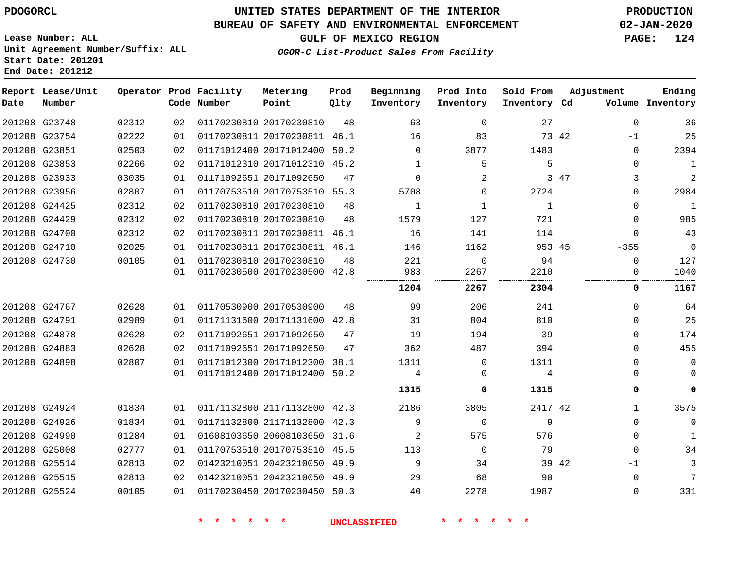#### **BUREAU OF SAFETY AND ENVIRONMENTAL ENFORCEMENT 02-JAN-2020**

**GULF OF MEXICO REGION PAGE: 124**

**Lease Number: ALL Unit Agreement Number/Suffix: ALL Start Date: 201201 End Date: 201212**

|  |  | OGOR-C List-Product Sales From Facility |  |
|--|--|-----------------------------------------|--|
|  |  |                                         |  |
|  |  |                                         |  |

| Date          | Report Lease/Unit<br>Number |       |    | Operator Prod Facility<br>Code Number | Metering<br>Point            | Prod<br>Qlty | Beginning<br>Inventory | Prod Into<br>Inventory | Sold From<br>Inventory Cd | Adjustment    | Ending<br>Volume Inventory |
|---------------|-----------------------------|-------|----|---------------------------------------|------------------------------|--------------|------------------------|------------------------|---------------------------|---------------|----------------------------|
|               | 201208 G23748               | 02312 | 02 |                                       | 01170230810 20170230810      | 48           | 63                     | $\Omega$               | 27                        | $\Omega$      | 36                         |
|               | 201208 G23754               | 02222 | 01 |                                       | 01170230811 20170230811      | 46.1         | 16                     | 83                     |                           | 73 42<br>$-1$ | 25                         |
|               | 201208 G23851               | 02503 | 02 |                                       | 01171012400 20171012400      | 50.2         | $\Omega$               | 3877                   | 1483                      | 0             | 2394                       |
|               | 201208 G23853               | 02266 | 02 |                                       | 01171012310 20171012310 45.2 |              | 1                      | 5                      | 5                         | $\Omega$      | $\mathbf{1}$               |
|               | 201208 G23933               | 03035 | 01 |                                       | 01171092651 20171092650      | 47           | $\Omega$               | 2                      |                           | 3<br>3 47     | $\overline{2}$             |
|               | 201208 G23956               | 02807 | 01 |                                       | 01170753510 20170753510 55.3 |              | 5708                   | $\Omega$               | 2724                      | 0             | 2984                       |
|               | 201208 G24425               | 02312 | 02 |                                       | 01170230810 20170230810      | 48           | 1                      | $\mathbf{1}$           | 1                         | 0             | $\mathbf{1}$               |
| 201208 G24429 |                             | 02312 | 02 |                                       | 01170230810 20170230810      | 48           | 1579                   | 127                    | 721                       | $\Omega$      | 985                        |
|               | 201208 G24700               | 02312 | 02 |                                       | 01170230811 20170230811      | 46.1         | 16                     | 141                    | 114                       | 0             | 43                         |
|               | 201208 G24710               | 02025 | 01 |                                       | 01170230811 20170230811 46.1 |              | 146                    | 1162                   | 953 45                    | $-355$        | $\mathbf 0$                |
|               | 201208 G24730               | 00105 | 01 |                                       | 01170230810 20170230810      | 48           | 221                    | $\Omega$               | 94                        | $\Omega$      | 127                        |
|               |                             |       | 01 |                                       | 01170230500 20170230500 42.8 |              | 983                    | 2267                   | 2210                      | 0             | 1040                       |
|               |                             |       |    |                                       |                              |              | 1204                   | 2267                   | 2304                      | 0             | 1167                       |
|               | 201208 G24767               | 02628 | 01 |                                       | 01170530900 20170530900      | 48           | 99                     | 206                    | 241                       | $\Omega$      | 64                         |
| 201208 G24791 |                             | 02989 | 01 |                                       | 01171131600 20171131600      | 42.8         | 31                     | 804                    | 810                       | $\Omega$      | 25                         |
|               | 201208 G24878               | 02628 | 02 |                                       | 01171092651 20171092650      | 47           | 19                     | 194                    | 39                        | $\Omega$      | 174                        |
|               | 201208 G24883               | 02628 | 02 |                                       | 01171092651 20171092650      | 47           | 362                    | 487                    | 394                       | $\Omega$      | 455                        |
|               | 201208 G24898               | 02807 | 01 |                                       | 01171012300 20171012300      | 38.1         | 1311                   | $\mathbf 0$            | 1311                      | $\Omega$      | $\mathbf 0$                |
|               |                             |       | 01 |                                       | 01171012400 20171012400      | 50.2         | 4                      | 0                      | 4                         | 0             | $\Omega$                   |
|               |                             |       |    |                                       |                              |              | 1315                   | 0                      | 1315                      | 0             | 0                          |
|               | 201208 G24924               | 01834 | 01 |                                       | 01171132800 21171132800 42.3 |              | 2186                   | 3805                   | 2417 42                   | $\mathbf{1}$  | 3575                       |
|               | 201208 G24926               | 01834 | 01 |                                       | 01171132800 21171132800 42.3 |              | 9                      | $\Omega$               | 9                         | $\Omega$      | $\mathbf 0$                |
|               | 201208 G24990               | 01284 | 01 |                                       | 01608103650 20608103650 31.6 |              | 2                      | 575                    | 576                       | $\mathbf 0$   | 1                          |
| 201208 G25008 |                             | 02777 | 01 |                                       | 01170753510 20170753510 45.5 |              | 113                    | $\Omega$               | 79                        | $\mathbf 0$   | 34                         |
|               | 201208 G25514               | 02813 | 02 |                                       | 01423210051 20423210050 49.9 |              | 9                      | 34                     |                           | 39 42<br>-1   | 3                          |
| 201208 G25515 |                             | 02813 | 02 |                                       | 01423210051 20423210050 49.9 |              | 29                     | 68                     | 90                        | $\mathbf 0$   | 7                          |
|               | 201208 G25524               | 00105 | 01 |                                       | 01170230450 20170230450 50.3 |              | 40                     | 2278                   | 1987                      | $\Omega$      | 331                        |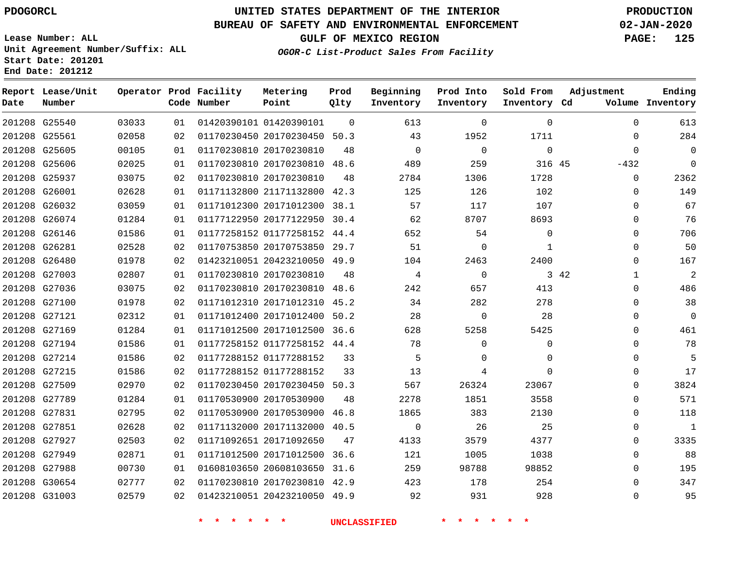## **UNITED STATES DEPARTMENT OF THE INTERIOR PDOGORCL PRODUCTION**

#### **BUREAU OF SAFETY AND ENVIRONMENTAL ENFORCEMENT 02-JAN-2020**

**Lease Number: ALL Unit Agreement Number/Suffix: ALL Start Date: 201201 End Date: 201212**

**OGOR-C List-Product Sales From Facility**

**GULF OF MEXICO REGION PAGE: 125**

| Date          | Report Lease/Unit<br>Number |       |    | Operator Prod Facility<br>Code Number | Metering<br>Point            | Prod<br>Qlty | Beginning<br>Inventory | Prod Into<br>Inventory | Sold From<br>Inventory Cd | Adjustment           | Ending<br>Volume Inventory |
|---------------|-----------------------------|-------|----|---------------------------------------|------------------------------|--------------|------------------------|------------------------|---------------------------|----------------------|----------------------------|
|               | 201208 G25540               | 03033 | 01 |                                       | 01420390101 01420390101      | $\Omega$     | 613                    | $\Omega$               | $\mathbf 0$               | $\mathbf 0$          | 613                        |
| 201208 G25561 |                             | 02058 | 02 |                                       | 01170230450 20170230450 50.3 |              | 43                     | 1952                   | 1711                      | $\mathbf 0$          | 284                        |
| 201208 G25605 |                             | 00105 | 01 |                                       | 01170230810 20170230810      | 48           | $\Omega$               | $\Omega$               | $\Omega$                  | $\Omega$             | $\Omega$                   |
|               | 201208 G25606               | 02025 | 01 |                                       | 01170230810 20170230810 48.6 |              | 489                    | 259                    | 316 45                    | $-432$               | $\Omega$                   |
| 201208 G25937 |                             | 03075 | 02 |                                       | 01170230810 20170230810      | 48           | 2784                   | 1306                   | 1728                      | $\mathbf 0$          | 2362                       |
| 201208 G26001 |                             | 02628 | 01 |                                       | 01171132800 21171132800 42.3 |              | 125                    | 126                    | 102                       | $\mathbf 0$          | 149                        |
|               | 201208 G26032               | 03059 | 01 |                                       | 01171012300 20171012300 38.1 |              | 57                     | 117                    | 107                       | $\Omega$             | 67                         |
|               | 201208 G26074               | 01284 | 01 |                                       | 01177122950 20177122950 30.4 |              | 62                     | 8707                   | 8693                      | $\mathbf 0$          | 76                         |
|               | 201208 G26146               | 01586 | 01 |                                       | 01177258152 01177258152 44.4 |              | 652                    | 54                     | $\Omega$                  | $\Omega$             | 706                        |
| 201208 G26281 |                             | 02528 | 02 |                                       | 01170753850 20170753850 29.7 |              | 51                     | $\mathbf 0$            | $\mathbf{1}$              | $\mathbf 0$          | 50                         |
| 201208 G26480 |                             | 01978 | 02 |                                       | 01423210051 20423210050 49.9 |              | 104                    | 2463                   | 2400                      | $\Omega$             | 167                        |
|               | 201208 G27003               | 02807 | 01 |                                       | 01170230810 20170230810      | 48           | 4                      | $\mathbf 0$            |                           | 3 42<br>$\mathbf{1}$ | $\overline{2}$             |
|               | 201208 G27036               | 03075 | 02 |                                       | 01170230810 20170230810 48.6 |              | 242                    | 657                    | 413                       | $\Omega$             | 486                        |
|               | 201208 G27100               | 01978 | 02 |                                       | 01171012310 20171012310 45.2 |              | 34                     | 282                    | 278                       | $\mathbf 0$          | 38                         |
| 201208 G27121 |                             | 02312 | 01 |                                       | 01171012400 20171012400 50.2 |              | 28                     | $\Omega$               | 28                        | $\mathbf 0$          | $\Omega$                   |
| 201208 G27169 |                             | 01284 | 01 |                                       | 01171012500 20171012500 36.6 |              | 628                    | 5258                   | 5425                      | $\mathbf 0$          | 461                        |
|               | 201208 G27194               | 01586 | 01 |                                       | 01177258152 01177258152 44.4 |              | 78                     | 0                      | $\Omega$                  | $\Omega$             | 78                         |
|               | 201208 G27214               | 01586 | 02 |                                       | 01177288152 01177288152      | 33           | 5                      | 0                      | $\mathbf 0$               | $\mathbf 0$          | 5                          |
| 201208 G27215 |                             | 01586 | 02 |                                       | 01177288152 01177288152      | 33           | 13                     | 4                      | $\Omega$                  | $\mathbf 0$          | 17                         |
| 201208 G27509 |                             | 02970 | 02 |                                       | 01170230450 20170230450 50.3 |              | 567                    | 26324                  | 23067                     | $\mathbf 0$          | 3824                       |
| 201208 G27789 |                             | 01284 | 01 |                                       | 01170530900 20170530900      | 48           | 2278                   | 1851                   | 3558                      | $\Omega$             | 571                        |
| 201208 G27831 |                             | 02795 | 02 |                                       | 01170530900 20170530900 46.8 |              | 1865                   | 383                    | 2130                      | $\mathbf 0$          | 118                        |
| 201208 G27851 |                             | 02628 | 02 |                                       | 01171132000 20171132000 40.5 |              | $\Omega$               | 26                     | 25                        | $\mathbf 0$          | $\mathbf{1}$               |
| 201208 G27927 |                             | 02503 | 02 |                                       | 01171092651 20171092650      | 47           | 4133                   | 3579                   | 4377                      | $\mathbf 0$          | 3335                       |
| 201208 G27949 |                             | 02871 | 01 |                                       | 01171012500 20171012500 36.6 |              | 121                    | 1005                   | 1038                      | $\Omega$             | 88                         |
| 201208 G27988 |                             | 00730 | 01 |                                       | 01608103650 20608103650 31.6 |              | 259                    | 98788                  | 98852                     | $\Omega$             | 195                        |
| 201208 G30654 |                             | 02777 | 02 |                                       | 01170230810 20170230810 42.9 |              | 423                    | 178                    | 254                       | $\Omega$             | 347                        |
|               | 201208 G31003               | 02579 | 02 |                                       | 01423210051 20423210050 49.9 |              | 92                     | 931                    | 928                       | $\Omega$             | 95                         |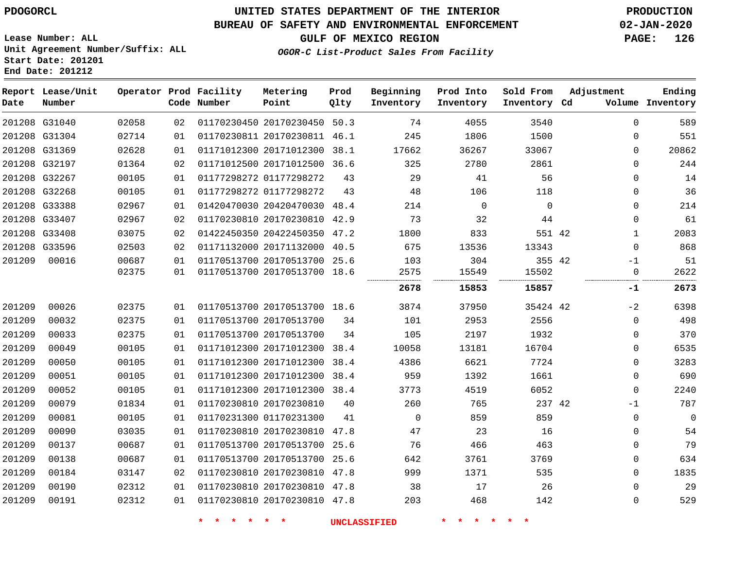**End Date: 201212**

## **UNITED STATES DEPARTMENT OF THE INTERIOR PDOGORCL PRODUCTION**

#### **BUREAU OF SAFETY AND ENVIRONMENTAL ENFORCEMENT 02-JAN-2020**

**Lease Number: ALL Unit Agreement Number/Suffix: ALL Start Date: 201201**

**GULF OF MEXICO REGION PAGE: 126**

**OGOR-C List-Product Sales From Facility**

| Date   | Report Lease/Unit<br>Number |       |    | Operator Prod Facility<br>Code Number | Metering<br>Point            | Prod<br>Qlty | Beginning<br>Inventory | Prod Into<br>Inventory | Sold From<br>Inventory Cd | Adjustment   | Ending<br>Volume Inventory |
|--------|-----------------------------|-------|----|---------------------------------------|------------------------------|--------------|------------------------|------------------------|---------------------------|--------------|----------------------------|
|        | 201208 G31040               | 02058 | 02 |                                       | 01170230450 20170230450 50.3 |              | 74                     | 4055                   | 3540                      | $\Omega$     | 589                        |
|        | 201208 G31304               | 02714 | 01 |                                       | 01170230811 20170230811 46.1 |              | 245                    | 1806                   | 1500                      | $\mathbf 0$  | 551                        |
|        | 201208 G31369               | 02628 | 01 |                                       | 01171012300 20171012300      | 38.1         | 17662                  | 36267                  | 33067                     | $\mathbf 0$  | 20862                      |
|        | 201208 G32197               | 01364 | 02 |                                       | 01171012500 20171012500      | 36.6         | 325                    | 2780                   | 2861                      | $\mathbf 0$  | 244                        |
|        | 201208 G32267               | 00105 | 01 |                                       | 01177298272 01177298272      | 43           | 29                     | 41                     | 56                        | $\mathbf 0$  | 14                         |
|        | 201208 G32268               | 00105 | 01 |                                       | 01177298272 01177298272      | 43           | 48                     | 106                    | 118                       | $\Omega$     | 36                         |
|        | 201208 G33388               | 02967 | 01 |                                       | 01420470030 20420470030      | 48.4         | 214                    | $\mathbf 0$            | $\mathbf 0$               | $\mathbf 0$  | 214                        |
|        | 201208 G33407               | 02967 | 02 |                                       | 01170230810 20170230810 42.9 |              | 73                     | 32                     | 44                        | $\mathbf 0$  | 61                         |
|        | 201208 G33408               | 03075 | 02 |                                       | 01422450350 20422450350 47.2 |              | 1800                   | 833                    | 551 42                    | $\mathbf{1}$ | 2083                       |
|        | 201208 G33596               | 02503 | 02 |                                       | 01171132000 20171132000      | 40.5         | 675                    | 13536                  | 13343                     | $\Omega$     | 868                        |
| 201209 | 00016                       | 00687 | 01 |                                       | 01170513700 20170513700      | 25.6         | 103                    | 304                    | 355 42                    | $-1$         | 51                         |
|        |                             | 02375 | 01 |                                       | 01170513700 20170513700 18.6 |              | 2575                   | 15549                  | 15502                     | $\mathbf 0$  | 2622                       |
|        |                             |       |    |                                       |                              |              | 2678                   | 15853                  | 15857                     | -1           | 2673                       |
| 201209 | 00026                       | 02375 | 01 |                                       | 01170513700 20170513700 18.6 |              | 3874                   | 37950                  | 35424 42                  | $-2$         | 6398                       |
| 201209 | 00032                       | 02375 | 01 |                                       | 01170513700 20170513700      | 34           | 101                    | 2953                   | 2556                      | $\mathbf 0$  | 498                        |
| 201209 | 00033                       | 02375 | 01 |                                       | 01170513700 20170513700      | 34           | 105                    | 2197                   | 1932                      | $\mathbf 0$  | 370                        |
| 201209 | 00049                       | 00105 | 01 |                                       | 01171012300 20171012300      | 38.4         | 10058                  | 13181                  | 16704                     | $\mathbf 0$  | 6535                       |
| 201209 | 00050                       | 00105 | 01 |                                       | 01171012300 20171012300      | 38.4         | 4386                   | 6621                   | 7724                      | $\mathbf 0$  | 3283                       |
| 201209 | 00051                       | 00105 | 01 |                                       | 01171012300 20171012300      | 38.4         | 959                    | 1392                   | 1661                      | $\mathbf 0$  | 690                        |
| 201209 | 00052                       | 00105 | 01 |                                       | 01171012300 20171012300 38.4 |              | 3773                   | 4519                   | 6052                      | $\mathbf 0$  | 2240                       |
| 201209 | 00079                       | 01834 | 01 |                                       | 01170230810 20170230810      | 40           | 260                    | 765                    | 237 42                    | $-1$         | 787                        |
| 201209 | 00081                       | 00105 | 01 |                                       | 01170231300 01170231300      | 41           | $\Omega$               | 859                    | 859                       | $\mathbf 0$  | $\Omega$                   |
| 201209 | 00090                       | 03035 | 01 |                                       | 01170230810 20170230810 47.8 |              | 47                     | 23                     | 16                        | $\mathbf 0$  | 54                         |
| 201209 | 00137                       | 00687 | 01 |                                       | 01170513700 20170513700      | 25.6         | 76                     | 466                    | 463                       | $\mathbf 0$  | 79                         |
| 201209 | 00138                       | 00687 | 01 |                                       | 01170513700 20170513700 25.6 |              | 642                    | 3761                   | 3769                      | $\mathbf 0$  | 634                        |
| 201209 | 00184                       | 03147 | 02 |                                       | 01170230810 20170230810      | 47.8         | 999                    | 1371                   | 535                       | $\mathbf 0$  | 1835                       |
| 201209 | 00190                       | 02312 | 01 |                                       | 01170230810 20170230810 47.8 |              | 38                     | 17                     | 26                        | $\Omega$     | 29                         |
| 201209 | 00191                       | 02312 | 01 |                                       | 01170230810 20170230810 47.8 |              | 203                    | 468                    | 142                       | $\Omega$     | 529                        |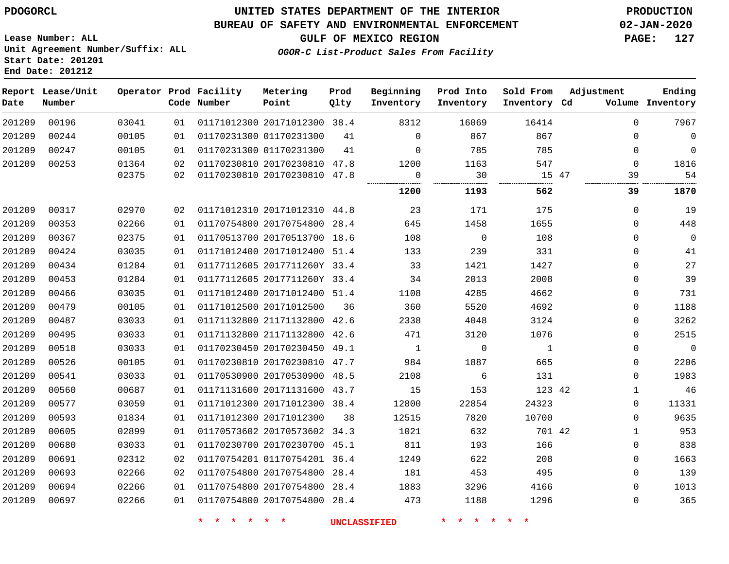**Start Date: 201201 End Date: 201212**

### **UNITED STATES DEPARTMENT OF THE INTERIOR PDOGORCL PRODUCTION**

#### **BUREAU OF SAFETY AND ENVIRONMENTAL ENFORCEMENT 02-JAN-2020**

**Lease Number: ALL Unit Agreement Number/Suffix: ALL**

**GULF OF MEXICO REGION PAGE: 127**

**OGOR-C List-Product Sales From Facility**

| Date   | Report Lease/Unit<br>Number |       |    | Operator Prod Facility<br>Code Number | Metering<br>Point            | Prod<br>Qlty | Beginning<br>Inventory | Prod Into<br>Inventory | Sold From<br>Inventory Cd | Adjustment   | Ending<br>Volume Inventory |
|--------|-----------------------------|-------|----|---------------------------------------|------------------------------|--------------|------------------------|------------------------|---------------------------|--------------|----------------------------|
| 201209 | 00196                       | 03041 | 01 |                                       | 01171012300 20171012300 38.4 |              | 8312                   | 16069                  | 16414                     | $\Omega$     | 7967                       |
| 201209 | 00244                       | 00105 | 01 |                                       | 01170231300 01170231300      | 41           | $\mathbf 0$            | 867                    | 867                       | $\mathbf{0}$ | $\overline{0}$             |
| 201209 | 00247                       | 00105 | 01 |                                       | 01170231300 01170231300      | 41           | $\Omega$               | 785                    | 785                       | $\mathbf{0}$ | $\mathbf 0$                |
| 201209 | 00253                       | 01364 | 02 |                                       | 01170230810 20170230810 47.8 |              | 1200                   | 1163                   | 547                       | $\Omega$     | 1816                       |
|        |                             | 02375 | 02 |                                       | 01170230810 20170230810 47.8 |              | $\mathbf 0$            | 30                     |                           | 15 47<br>39  | 54                         |
|        |                             |       |    |                                       |                              |              | 1200                   | 1193                   | 562                       | 39           | 1870                       |
| 201209 | 00317                       | 02970 | 02 |                                       | 01171012310 20171012310 44.8 |              | 23                     | 171                    | 175                       | $\mathbf 0$  | 19                         |
| 201209 | 00353                       | 02266 | 01 |                                       | 01170754800 20170754800 28.4 |              | 645                    | 1458                   | 1655                      | $\mathbf 0$  | 448                        |
| 201209 | 00367                       | 02375 | 01 |                                       | 01170513700 20170513700 18.6 |              | 108                    | 0                      | 108                       | $\mathbf 0$  | $\overline{0}$             |
| 201209 | 00424                       | 03035 | 01 |                                       | 01171012400 20171012400 51.4 |              | 133                    | 239                    | 331                       | $\mathbf{0}$ | 41                         |
| 201209 | 00434                       | 01284 | 01 |                                       | 01177112605 2017711260Y 33.4 |              | 33                     | 1421                   | 1427                      | $\mathbf{0}$ | 27                         |
| 201209 | 00453                       | 01284 | 01 |                                       | 01177112605 2017711260Y 33.4 |              | 34                     | 2013                   | 2008                      | $\mathbf{0}$ | 39                         |
| 201209 | 00466                       | 03035 | 01 |                                       | 01171012400 20171012400 51.4 |              | 1108                   | 4285                   | 4662                      | $\mathbf{0}$ | 731                        |
| 201209 | 00479                       | 00105 | 01 |                                       | 01171012500 20171012500      | 36           | 360                    | 5520                   | 4692                      | $\mathbf{0}$ | 1188                       |
| 201209 | 00487                       | 03033 | 01 |                                       | 01171132800 21171132800 42.6 |              | 2338                   | 4048                   | 3124                      | $\mathbf{0}$ | 3262                       |
| 201209 | 00495                       | 03033 | 01 |                                       | 01171132800 21171132800 42.6 |              | 471                    | 3120                   | 1076                      | 0            | 2515                       |
| 201209 | 00518                       | 03033 | 01 |                                       | 01170230450 20170230450 49.1 |              | $\mathbf{1}$           | 0                      | $\mathbf{1}$              | 0            | $\mathbf 0$                |
| 201209 | 00526                       | 00105 | 01 |                                       | 01170230810 20170230810 47.7 |              | 984                    | 1887                   | 665                       | $\mathbf 0$  | 2206                       |
| 201209 | 00541                       | 03033 | 01 |                                       | 01170530900 20170530900 48.5 |              | 2108                   | 6                      | 131                       | $\mathbf 0$  | 1983                       |
| 201209 | 00560                       | 00687 | 01 |                                       | 01171131600 20171131600 43.7 |              | 15                     | 153                    | 123 42                    | $\mathbf{1}$ | 46                         |
| 201209 | 00577                       | 03059 | 01 |                                       | 01171012300 20171012300 38.4 |              | 12800                  | 22854                  | 24323                     | 0            | 11331                      |
| 201209 | 00593                       | 01834 | 01 |                                       | 01171012300 20171012300      | 38           | 12515                  | 7820                   | 10700                     | 0            | 9635                       |
| 201209 | 00605                       | 02899 | 01 |                                       | 01170573602 20170573602 34.3 |              | 1021                   | 632                    | 701 42                    | $\mathbf{1}$ | 953                        |
| 201209 | 00680                       | 03033 | 01 |                                       | 01170230700 20170230700 45.1 |              | 811                    | 193                    | 166                       | 0            | 838                        |
| 201209 | 00691                       | 02312 | 02 |                                       | 01170754201 01170754201 36.4 |              | 1249                   | 622                    | 208                       | 0            | 1663                       |
| 201209 | 00693                       | 02266 | 02 |                                       | 01170754800 20170754800 28.4 |              | 181                    | 453                    | 495                       | 0            | 139                        |
| 201209 | 00694                       | 02266 | 01 |                                       | 01170754800 20170754800 28.4 |              | 1883                   | 3296                   | 4166                      | $\mathbf{0}$ | 1013                       |
| 201209 | 00697                       | 02266 | 01 |                                       | 01170754800 20170754800 28.4 |              | 473                    | 1188                   | 1296                      | $\Omega$     | 365                        |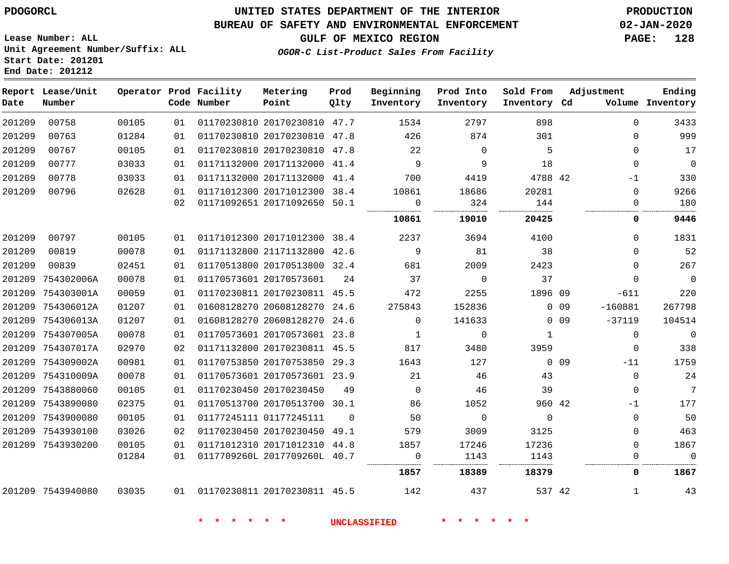#### **BUREAU OF SAFETY AND ENVIRONMENTAL ENFORCEMENT 02-JAN-2020**

**Lease Number: ALL Unit Agreement Number/Suffix: ALL Start Date: 201201 End Date: 201212**

**GULF OF MEXICO REGION PAGE: 128**

**OGOR-C List-Product Sales From Facility**

| Date   | Report Lease/Unit<br>Number |       |    | Operator Prod Facility<br>Code Number | Metering<br>Point            | Prod<br>Qlty | Beginning<br>Inventory | Prod Into<br>Inventory | Sold From<br>Inventory Cd |            | Adjustment   | Ending<br>Volume Inventory |
|--------|-----------------------------|-------|----|---------------------------------------|------------------------------|--------------|------------------------|------------------------|---------------------------|------------|--------------|----------------------------|
| 201209 | 00758                       | 00105 | 01 |                                       | 01170230810 20170230810 47.7 |              | 1534                   | 2797                   | 898                       |            | $\Omega$     | 3433                       |
| 201209 | 00763                       | 01284 | 01 |                                       | 01170230810 20170230810 47.8 |              | 426                    | 874                    | 301                       |            | $\Omega$     | 999                        |
| 201209 | 00767                       | 00105 | 01 |                                       | 01170230810 20170230810 47.8 |              | 22                     | $\Omega$               | 5                         |            | $\Omega$     | 17                         |
| 201209 | 00777                       | 03033 | 01 |                                       | 01171132000 20171132000 41.4 |              | 9                      | 9                      | 18                        |            | $\Omega$     | $\overline{0}$             |
| 201209 | 00778                       | 03033 | 01 |                                       | 01171132000 20171132000 41.4 |              | 700                    | 4419                   | 4788 42                   |            | $-1$         | 330                        |
| 201209 | 00796                       | 02628 | 01 |                                       | 01171012300 20171012300 38.4 |              | 10861                  | 18686                  | 20281                     |            | $\Omega$     | 9266                       |
|        |                             |       | 02 |                                       | 01171092651 20171092650 50.1 |              | $\overline{0}$         | 324                    | 144                       |            | 0            | 180                        |
|        |                             |       |    |                                       |                              |              | 10861                  | 19010                  | 20425                     |            | 0            | 9446                       |
| 201209 | 00797                       | 00105 | 01 | 01171012300 20171012300 38.4          |                              |              | 2237                   | 3694                   | 4100                      |            | 0            | 1831                       |
| 201209 | 00819                       | 00078 | 01 |                                       | 01171132800 21171132800 42.6 |              | 9                      | 81                     | 38                        |            | 0            | 52                         |
| 201209 | 00839                       | 02451 | 01 |                                       | 01170513800 20170513800 32.4 |              | 681                    | 2009                   | 2423                      |            | $\Omega$     | 267                        |
| 201209 | 754302006A                  | 00078 | 01 |                                       | 01170573601 20170573601      | 24           | 37                     | $\mathbf 0$            | 37                        |            | $\Omega$     | $\overline{0}$             |
|        | 201209 754303001A           | 00059 | 01 |                                       | 01170230811 20170230811 45.5 |              | 472                    | 2255                   | 1896 09                   |            | $-611$       | 220                        |
| 201209 | 754306012A                  | 01207 | 01 |                                       | 01608128270 20608128270 24.6 |              | 275843                 | 152836                 |                           | $0$ 09     | $-160881$    | 267798                     |
|        | 201209 754306013A           | 01207 | 01 |                                       | 01608128270 20608128270 24.6 |              | $\Omega$               | 141633                 |                           | $0\quad09$ | $-37119$     | 104514                     |
|        | 201209 754307005A           | 00078 | 01 |                                       | 01170573601 20170573601 23.8 |              | $\mathbf{1}$           | $\mathbf 0$            | $\mathbf{1}$              |            | $\Omega$     | $\overline{0}$             |
|        | 201209 754307017A           | 02970 | 02 |                                       | 01171132800 20170230811 45.5 |              | 817                    | 3480                   | 3959                      |            | $\mathbf 0$  | 338                        |
|        | 201209 754309002A           | 00981 | 01 |                                       | 01170753850 20170753850 29.3 |              | 1643                   | 127                    |                           | $0$ 09     | $-11$        | 1759                       |
|        | 201209 754310009A           | 00078 | 01 |                                       | 01170573601 20170573601 23.9 |              | 21                     | 46                     | 43                        |            | $\mathbf 0$  | 24                         |
|        | 201209 7543880060           | 00105 | 01 | 01170230450 20170230450               |                              | 49           | $\overline{0}$         | 46                     | 39                        |            | $\mathbf 0$  | $7\phantom{.0}$            |
|        | 201209 7543890080           | 02375 | 01 |                                       | 01170513700 20170513700 30.1 |              | 86                     | 1052                   | 960 42                    |            | -1           | 177                        |
|        | 201209 7543900080           | 00105 | 01 | 01177245111 01177245111               |                              | $\Omega$     | 50                     | $\mathbf 0$            | $\overline{0}$            |            | $\mathbf{0}$ | 50                         |
|        | 201209 7543930100           | 03026 | 02 |                                       | 01170230450 20170230450 49.1 |              | 579                    | 3009                   | 3125                      |            | $\Omega$     | 463                        |
|        | 201209 7543930200           | 00105 | 01 |                                       | 01171012310 20171012310 44.8 |              | 1857                   | 17246                  | 17236                     |            | $\mathbf{0}$ | 1867                       |
|        |                             | 01284 | 01 |                                       | 0117709260L 2017709260L 40.7 |              | $\mathbf 0$            | 1143                   | 1143                      |            | $\Omega$     | $\overline{0}$             |
|        |                             |       |    |                                       |                              |              | 1857                   | 18389                  | 18379                     |            | 0            | 1867                       |
|        | 201209 7543940080           | 03035 |    | 01 01170230811 20170230811 45.5       |                              |              | 142                    | 437                    | 537 42                    |            | $\mathbf{1}$ | 43                         |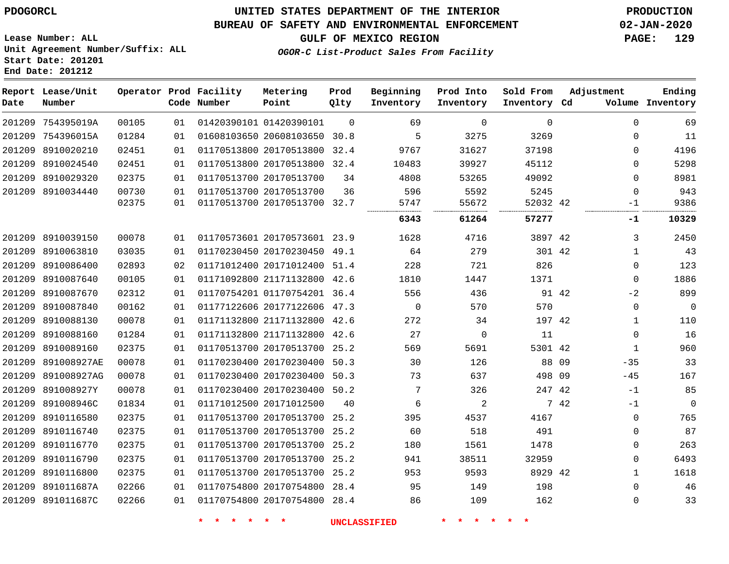#### **BUREAU OF SAFETY AND ENVIRONMENTAL ENFORCEMENT 02-JAN-2020**

**Lease Number: ALL Unit Agreement Number/Suffix: ALL Start Date: 201201**

## **GULF OF MEXICO REGION PAGE: 129**

**OGOR-C List-Product Sales From Facility**

# **End Date: 201212**

| Date | Report Lease/Unit<br>Number |       |    | Operator Prod Facility<br>Code Number | Metering<br>Point            | Prod<br>Qlty | Beginning<br>Inventory | Prod Into<br>Inventory | Sold From<br>Inventory Cd | Adjustment |              | Ending<br>Volume Inventory |
|------|-----------------------------|-------|----|---------------------------------------|------------------------------|--------------|------------------------|------------------------|---------------------------|------------|--------------|----------------------------|
|      | 201209 754395019A           | 00105 | 01 |                                       | 01420390101 01420390101      | $\Omega$     | 69                     | $\Omega$               | $\Omega$                  |            | $\Omega$     | 69                         |
|      | 201209 754396015A           | 01284 | 01 |                                       | 01608103650 20608103650 30.8 |              | 5                      | 3275                   | 3269                      |            | $\Omega$     | 11                         |
|      | 201209 8910020210           | 02451 | 01 |                                       | 01170513800 20170513800      | 32.4         | 9767                   | 31627                  | 37198                     |            | $\Omega$     | 4196                       |
|      | 201209 8910024540           | 02451 | 01 |                                       | 01170513800 20170513800 32.4 |              | 10483                  | 39927                  | 45112                     |            | $\Omega$     | 5298                       |
|      | 201209 8910029320           | 02375 | 01 |                                       | 01170513700 20170513700      | 34           | 4808                   | 53265                  | 49092                     |            | $\Omega$     | 8981                       |
|      | 201209 8910034440           | 00730 | 01 |                                       | 01170513700 20170513700      | 36           | 596                    | 5592                   | 5245                      |            | 0            | 943                        |
|      |                             | 02375 | 01 |                                       | 01170513700 20170513700 32.7 |              | 5747                   | 55672                  | 52032 42                  |            | $-1$         | 9386                       |
|      |                             |       |    |                                       |                              |              | 6343                   | 61264                  | 57277                     |            | -1           | 10329                      |
|      | 201209 8910039150           | 00078 | 01 |                                       | 01170573601 20170573601 23.9 |              | 1628                   | 4716                   | 3897 42                   |            | 3            | 2450                       |
|      | 201209 8910063810           | 03035 | 01 |                                       | 01170230450 20170230450 49.1 |              | 64                     | 279                    | 301 42                    |            | 1            | 43                         |
|      | 201209 8910086400           | 02893 | 02 |                                       | 01171012400 20171012400 51.4 |              | 228                    | 721                    | 826                       |            | 0            | 123                        |
|      | 201209 8910087640           | 00105 | 01 |                                       | 01171092800 21171132800 42.6 |              | 1810                   | 1447                   | 1371                      |            | 0            | 1886                       |
|      | 201209 8910087670           | 02312 | 01 |                                       | 01170754201 01170754201 36.4 |              | 556                    | 436                    | 91 42                     |            | $-2$         | 899                        |
|      | 201209 8910087840           | 00162 | 01 |                                       | 01177122606 20177122606 47.3 |              | $\Omega$               | 570                    | 570                       |            | 0            | $\mathbf 0$                |
|      | 201209 8910088130           | 00078 | 01 |                                       | 01171132800 21171132800      | 42.6         | 272                    | 34                     | 197 42                    |            | 1            | 110                        |
|      | 201209 8910088160           | 01284 | 01 |                                       | 01171132800 21171132800 42.6 |              | 27                     | $\mathbf 0$            | 11                        |            | 0            | 16                         |
|      | 201209 8910089160           | 02375 | 01 |                                       | 01170513700 20170513700 25.2 |              | 569                    | 5691                   | 5301 42                   |            | $\mathbf{1}$ | 960                        |
|      | 201209 891008927AE          | 00078 | 01 |                                       | 01170230400 20170230400 50.3 |              | 30                     | 126                    | 88                        | - 09       | $-35$        | 33                         |
|      | 201209 891008927AG          | 00078 | 01 |                                       | 01170230400 20170230400 50.3 |              | 73                     | 637                    | 498 09                    |            | $-45$        | 167                        |
|      | 201209 891008927Y           | 00078 | 01 |                                       | 01170230400 20170230400 50.2 |              | 7                      | 326                    | 247 42                    |            | $-1$         | 85                         |
|      | 201209 891008946C           | 01834 | 01 |                                       | 01171012500 20171012500      | 40           | 6                      | 2                      |                           | 7 42       | $-1$         | $\mathbf 0$                |
|      | 201209 8910116580           | 02375 | 01 |                                       | 01170513700 20170513700 25.2 |              | 395                    | 4537                   | 4167                      |            | 0            | 765                        |
|      | 201209 8910116740           | 02375 | 01 |                                       | 01170513700 20170513700 25.2 |              | 60                     | 518                    | 491                       |            | 0            | 87                         |
|      | 201209 8910116770           | 02375 | 01 |                                       | 01170513700 20170513700 25.2 |              | 180                    | 1561                   | 1478                      |            | 0            | 263                        |
|      | 201209 8910116790           | 02375 | 01 |                                       | 01170513700 20170513700      | 25.2         | 941                    | 38511                  | 32959                     |            | 0            | 6493                       |
|      | 201209 8910116800           | 02375 | 01 |                                       | 01170513700 20170513700 25.2 |              | 953                    | 9593                   | 8929 42                   |            | $\mathbf{1}$ | 1618                       |
|      | 201209 891011687A           | 02266 | 01 |                                       | 01170754800 20170754800      | 28.4         | 95                     | 149                    | 198                       |            | 0            | 46                         |
|      | 201209 891011687C           | 02266 | 01 |                                       | 01170754800 20170754800 28.4 |              | 86                     | 109                    | 162                       |            | 0            | 33                         |
|      |                             |       |    |                                       |                              |              |                        |                        |                           |            |              |                            |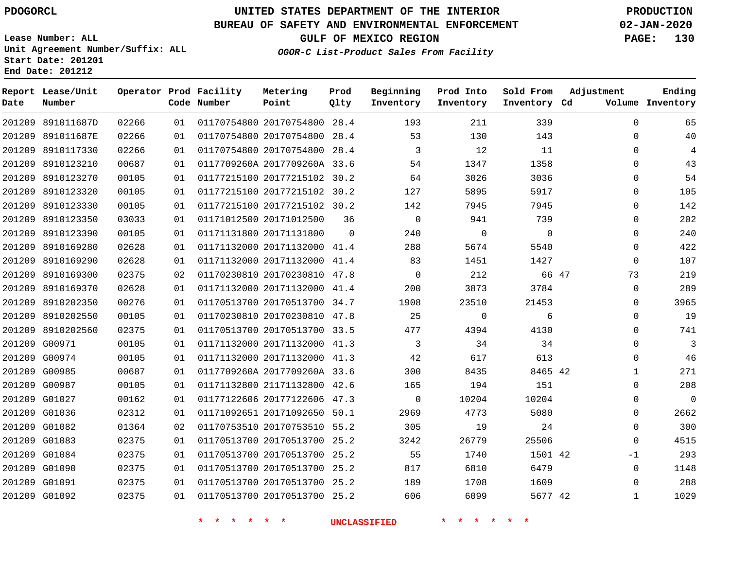#### **BUREAU OF SAFETY AND ENVIRONMENTAL ENFORCEMENT 02-JAN-2020**

**Lease Number: ALL Unit Agreement Number/Suffix: ALL Start Date: 201201 End Date: 201212**

**OGOR-C List-Product Sales From Facility**

**GULF OF MEXICO REGION PAGE: 130**

| Date | Report Lease/Unit<br>Number |       |    | Operator Prod Facility<br>Code Number | Metering<br>Point            | Prod<br>Qlty   | Beginning<br>Inventory | Prod Into<br>Inventory | Sold From<br>Inventory Cd | Adjustment   | Ending<br>Volume Inventory |
|------|-----------------------------|-------|----|---------------------------------------|------------------------------|----------------|------------------------|------------------------|---------------------------|--------------|----------------------------|
|      | 201209 891011687D           | 02266 | 01 |                                       | 01170754800 20170754800 28.4 |                | 193                    | 211                    | 339                       | 0            | 65                         |
|      | 201209 891011687E           | 02266 | 01 |                                       | 01170754800 20170754800 28.4 |                | 53                     | 130                    | 143                       | 0            | 40                         |
|      | 201209 8910117330           | 02266 | 01 |                                       | 01170754800 20170754800 28.4 |                | 3                      | 12                     | 11                        | $\Omega$     | $\overline{4}$             |
|      | 201209 8910123210           | 00687 | 01 |                                       | 0117709260A 2017709260A 33.6 |                | 54                     | 1347                   | 1358                      | $\Omega$     | 43                         |
|      | 201209 8910123270           | 00105 | 01 |                                       | 01177215100 20177215102 30.2 |                | 64                     | 3026                   | 3036                      | $\Omega$     | 54                         |
|      | 201209 8910123320           | 00105 | 01 |                                       | 01177215100 20177215102 30.2 |                | 127                    | 5895                   | 5917                      | $\Omega$     | 105                        |
|      | 201209 8910123330           | 00105 | 01 |                                       | 01177215100 20177215102 30.2 |                | 142                    | 7945                   | 7945                      | $\Omega$     | 142                        |
|      | 201209 8910123350           | 03033 | 01 |                                       | 01171012500 20171012500      | 36             | $\Omega$               | 941                    | 739                       | $\Omega$     | 202                        |
|      | 201209 8910123390           | 00105 | 01 |                                       | 01171131800 20171131800      | $\overline{0}$ | 240                    | $\mathbf 0$            | 0                         | 0            | 240                        |
|      | 201209 8910169280           | 02628 | 01 |                                       | 01171132000 20171132000 41.4 |                | 288                    | 5674                   | 5540                      | 0            | 422                        |
|      | 201209 8910169290           | 02628 | 01 |                                       | 01171132000 20171132000 41.4 |                | 83                     | 1451                   | 1427                      | $\mathbf 0$  | 107                        |
|      | 201209 8910169300           | 02375 | 02 |                                       | 01170230810 20170230810 47.8 |                | $\mathbf 0$            | 212                    | 66 47                     | 73           | 219                        |
|      | 201209 8910169370           | 02628 | 01 |                                       | 01171132000 20171132000 41.4 |                | 200                    | 3873                   | 3784                      | 0            | 289                        |
|      | 201209 8910202350           | 00276 | 01 |                                       | 01170513700 20170513700 34.7 |                | 1908                   | 23510                  | 21453                     | 0            | 3965                       |
|      | 201209 8910202550           | 00105 | 01 |                                       | 01170230810 20170230810 47.8 |                | 25                     | $\mathbf 0$            | 6                         | $\Omega$     | 19                         |
|      | 201209 8910202560           | 02375 | 01 |                                       | 01170513700 20170513700 33.5 |                | 477                    | 4394                   | 4130                      | $\Omega$     | 741                        |
|      | 201209 G00971               | 00105 | 01 |                                       | 01171132000 20171132000 41.3 |                | 3                      | 34                     | 34                        | $\Omega$     | 3                          |
|      | 201209 G00974               | 00105 | 01 |                                       | 01171132000 20171132000 41.3 |                | 42                     | 617                    | 613                       | $\Omega$     | 46                         |
|      | 201209 G00985               | 00687 | 01 |                                       | 0117709260A 2017709260A 33.6 |                | 300                    | 8435                   | 8465 42                   | 1            | 271                        |
|      | 201209 G00987               | 00105 | 01 |                                       | 01171132800 21171132800 42.6 |                | 165                    | 194                    | 151                       | 0            | 208                        |
|      | 201209 G01027               | 00162 | 01 |                                       | 01177122606 20177122606 47.3 |                | $\mathbf{0}$           | 10204                  | 10204                     | 0            | $\mathbf{0}$               |
|      | 201209 G01036               | 02312 | 01 |                                       | 01171092651 20171092650 50.1 |                | 2969                   | 4773                   | 5080                      | 0            | 2662                       |
|      | 201209 G01082               | 01364 | 02 |                                       | 01170753510 20170753510 55.2 |                | 305                    | 19                     | 24                        | 0            | 300                        |
|      | 201209 G01083               | 02375 | 01 |                                       | 01170513700 20170513700 25.2 |                | 3242                   | 26779                  | 25506                     | $\Omega$     | 4515                       |
|      | 201209 G01084               | 02375 | 01 |                                       | 01170513700 20170513700 25.2 |                | 55                     | 1740                   | 1501 42                   | $-1$         | 293                        |
|      | 201209 G01090               | 02375 | 01 |                                       | 01170513700 20170513700 25.2 |                | 817                    | 6810                   | 6479                      | $\mathbf 0$  | 1148                       |
|      | 201209 G01091               | 02375 | 01 |                                       | 01170513700 20170513700 25.2 |                | 189                    | 1708                   | 1609                      | $\Omega$     | 288                        |
|      | 201209 G01092               | 02375 | 01 |                                       | 01170513700 20170513700 25.2 |                | 606                    | 6099                   | 5677 42                   | $\mathbf{1}$ | 1029                       |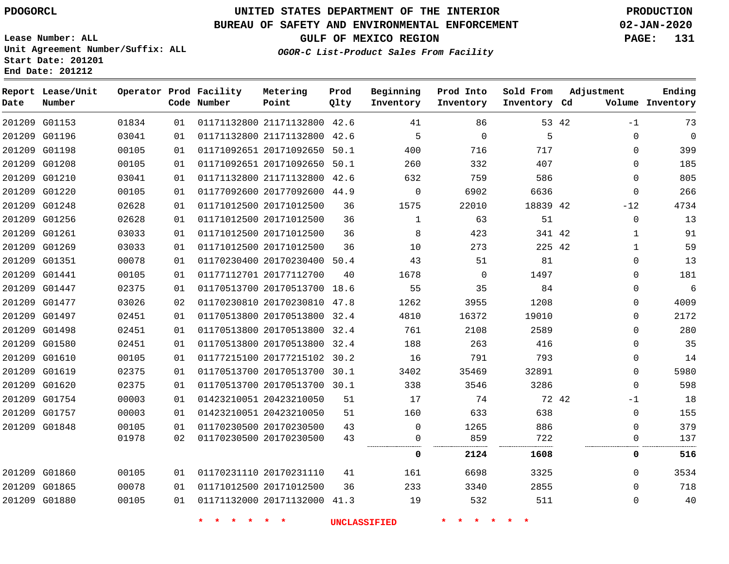#### **BUREAU OF SAFETY AND ENVIRONMENTAL ENFORCEMENT 02-JAN-2020**

**Lease Number: ALL Unit Agreement Number/Suffix: ALL Start Date: 201201 End Date: 201212**

**GULF OF MEXICO REGION PAGE: 131**

**OGOR-C List-Product Sales From Facility**

| Date | Report Lease/Unit<br>Number |       |    | Operator Prod Facility<br>Code Number | Metering<br>Point            | Prod<br>Qlty | Beginning<br>Inventory | Prod Into<br>Inventory | Sold From<br>Inventory Cd | Adjustment          | Ending<br>Volume Inventory |
|------|-----------------------------|-------|----|---------------------------------------|------------------------------|--------------|------------------------|------------------------|---------------------------|---------------------|----------------------------|
|      | 201209 G01153               | 01834 | 01 |                                       | 01171132800 21171132800 42.6 |              | 41                     | 86                     |                           | 53 42<br>$-1$       | 73                         |
|      | 201209 G01196               | 03041 | 01 |                                       | 01171132800 21171132800 42.6 |              | 5                      | $\mathbf 0$            | 5                         | $\mathbf 0$         | $\mathbf 0$                |
|      | 201209 G01198               | 00105 | 01 |                                       | 01171092651 20171092650 50.1 |              | 400                    | 716                    | 717                       | $\mathbf 0$         | 399                        |
|      | 201209 G01208               | 00105 | 01 |                                       | 01171092651 20171092650 50.1 |              | 260                    | 332                    | 407                       | $\mathbf 0$         | 185                        |
|      | 201209 G01210               | 03041 | 01 |                                       | 01171132800 21171132800 42.6 |              | 632                    | 759                    | 586                       | $\mathbf{0}$        | 805                        |
|      | 201209 G01220               | 00105 | 01 |                                       | 01177092600 20177092600 44.9 |              | $\mathsf{O}$           | 6902                   | 6636                      | $\mathbf 0$         | 266                        |
|      | 201209 G01248               | 02628 | 01 |                                       | 01171012500 20171012500      | 36           | 1575                   | 22010                  | 18839 42                  | $-12$               | 4734                       |
|      | 201209 G01256               | 02628 | 01 |                                       | 01171012500 20171012500      | 36           | $\mathbf{1}$           | 63                     | 51                        | $\mathsf{O}\xspace$ | 13                         |
|      | 201209 G01261               | 03033 | 01 |                                       | 01171012500 20171012500      | 36           | 8                      | 423                    | 341 42                    | $\mathbf{1}$        | 91                         |
|      | 201209 G01269               | 03033 | 01 |                                       | 01171012500 20171012500      | 36           | 10                     | 273                    | 225 42                    | $\mathbf{1}$        | 59                         |
|      | 201209 G01351               | 00078 | 01 |                                       | 01170230400 20170230400 50.4 |              | 43                     | 51                     | 81                        | 0                   | 13                         |
|      | 201209 G01441               | 00105 | 01 |                                       | 01177112701 20177112700      | 40           | 1678                   | $\mathbf 0$            | 1497                      | $\mathbf 0$         | 181                        |
|      | 201209 G01447               | 02375 | 01 |                                       | 01170513700 20170513700 18.6 |              | 55                     | 35                     | 84                        | 0                   | $\sqrt{6}$                 |
|      | 201209 G01477               | 03026 | 02 |                                       | 01170230810 20170230810 47.8 |              | 1262                   | 3955                   | 1208                      | $\mathbf 0$         | 4009                       |
|      | 201209 G01497               | 02451 | 01 |                                       | 01170513800 20170513800 32.4 |              | 4810                   | 16372                  | 19010                     | $\mathsf{O}$        | 2172                       |
|      | 201209 G01498               | 02451 | 01 |                                       | 01170513800 20170513800 32.4 |              | 761                    | 2108                   | 2589                      | $\mathbf 0$         | 280                        |
|      | 201209 G01580               | 02451 | 01 |                                       | 01170513800 20170513800 32.4 |              | 188                    | 263                    | 416                       | 0                   | 35                         |
|      | 201209 G01610               | 00105 | 01 |                                       | 01177215100 20177215102 30.2 |              | 16                     | 791                    | 793                       | $\mathbf 0$         | 14                         |
|      | 201209 G01619               | 02375 | 01 |                                       | 01170513700 20170513700 30.1 |              | 3402                   | 35469                  | 32891                     | $\mathbf 0$         | 5980                       |
|      | 201209 G01620               | 02375 | 01 |                                       | 01170513700 20170513700 30.1 |              | 338                    | 3546                   | 3286                      | $\mathbf 0$         | 598                        |
|      | 201209 G01754               | 00003 | 01 |                                       | 01423210051 20423210050      | 51           | 17                     | 74                     |                           | 72 42<br>$-1$       | 18                         |
|      | 201209 G01757               | 00003 | 01 |                                       | 01423210051 20423210050      | 51           | 160                    | 633                    | 638                       | $\mathbf 0$         | 155                        |
|      | 201209 G01848               | 00105 | 01 |                                       | 01170230500 20170230500      | 43           | $\mathbf 0$            | 1265                   | 886                       | $\mathbf 0$         | 379                        |
|      |                             | 01978 | 02 |                                       | 01170230500 20170230500      | 43           | 0                      | 859                    | 722                       | 0                   | 137                        |
|      |                             |       |    |                                       |                              |              | 0                      | 2124                   | 1608                      | 0                   | 516                        |
|      | 201209 G01860               | 00105 | 01 |                                       | 01170231110 20170231110      | 41           | 161                    | 6698                   | 3325                      | $\mathbf 0$         | 3534                       |
|      | 201209 G01865               | 00078 | 01 |                                       | 01171012500 20171012500      | 36           | 233                    | 3340                   | 2855                      | $\mathbf 0$         | 718                        |
|      | 201209 G01880               | 00105 | 01 |                                       | 01171132000 20171132000 41.3 |              | 19                     | 532                    | 511                       | 0                   | 40                         |
|      |                             |       |    |                                       |                              |              | <b>UNCLASSIFIED</b>    |                        |                           |                     |                            |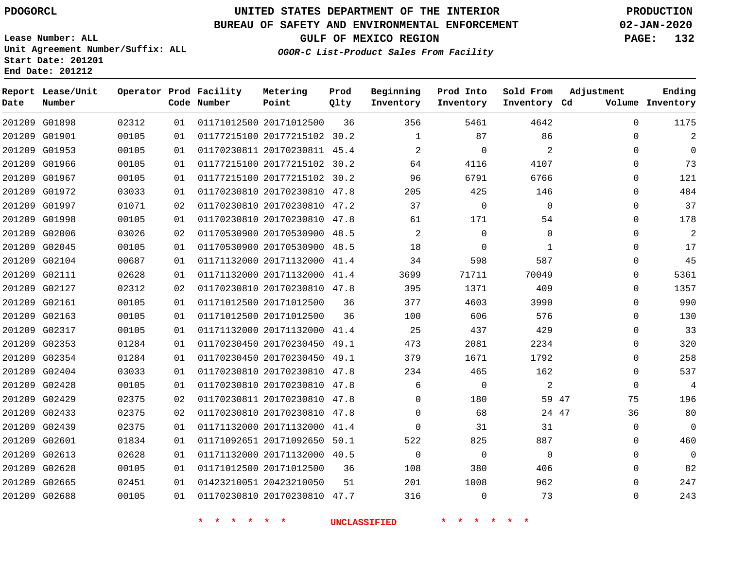G01898

**Date**

**Report Lease/Unit**

**Number**

 G02665 G02688

## **UNITED STATES DEPARTMENT OF THE INTERIOR PDOGORCL PRODUCTION**

**Prod Qlty**

#### **BUREAU OF SAFETY AND ENVIRONMENTAL ENFORCEMENT 02-JAN-2020**

**Lease Number: ALL Unit Agreement Number/Suffix: ALL Start Date: 201201 End Date: 201212**

> 

**Operator Prod Facility**

**Code Number**

20171012500

**Metering Point**

 

    **OGOR-C List-Product Sales From Facility**

 

   

**Sold From Inventory**

**Prod Into Inventory**

**Beginning Inventory**

**GULF OF MEXICO REGION PAGE: 132**

**Inventory Cd Volume**

**Adjustment**

  $\Omega$  $\Omega$   $\Omega$  $\Omega$  $\Omega$  $\Omega$  $\Omega$  $\Omega$  $\Omega$  $\Omega$  $\overline{0}$   $\Omega$  $\overline{0}$  $\Omega$  $\Omega$  $\Omega$  $\Omega$   $\Omega$   $\Omega$   $\Omega$ 

**Ending**

| 201209 | G01901        | 00105 | 01 | 01177215100 20177215102      | 30.2 | 1              | 87          | 86           |       |
|--------|---------------|-------|----|------------------------------|------|----------------|-------------|--------------|-------|
| 201209 | G01953        | 00105 | 01 | 01170230811 20170230811      | 45.4 | 2              | $\Omega$    | 2            |       |
| 201209 | G01966        | 00105 | 01 | 01177215100 20177215102      | 30.2 | 64             | 4116        | 4107         |       |
| 201209 | G01967        | 00105 | 01 | 01177215100 20177215102 30.2 |      | 96             | 6791        | 6766         |       |
| 201209 | G01972        | 03033 | 01 | 01170230810 20170230810      | 47.8 | 205            | 425         | 146          |       |
| 201209 | G01997        | 01071 | 02 | 01170230810 20170230810      | 47.2 | 37             | $\mathbf 0$ | 0            |       |
| 201209 | G01998        | 00105 | 01 | 01170230810 20170230810      | 47.8 | 61             | 171         | 54           |       |
| 201209 | G02006        | 03026 | 02 | 01170530900 20170530900      | 48.5 | $\overline{2}$ | 0           | $\Omega$     |       |
| 201209 | G02045        | 00105 | 01 | 01170530900 20170530900      | 48.5 | 18             | $\mathbf 0$ | $\mathbf{1}$ |       |
| 201209 | G02104        | 00687 | 01 | 01171132000 20171132000      | 41.4 | 34             | 598         | 587          |       |
| 201209 | G02111        | 02628 | 01 | 01171132000 20171132000      | 41.4 | 3699           | 71711       | 70049        |       |
| 201209 | G02127        | 02312 | 02 | 01170230810 20170230810 47.8 |      | 395            | 1371        | 409          |       |
| 201209 | G02161        | 00105 | 01 | 01171012500 20171012500      | 36   | 377            | 4603        | 3990         |       |
| 201209 | G02163        | 00105 | 01 | 01171012500 20171012500      | 36   | 100            | 606         | 576          |       |
| 201209 | G02317        | 00105 | 01 | 01171132000 20171132000 41.4 |      | 25             | 437         | 429          |       |
| 201209 | G02353        | 01284 | 01 | 01170230450 20170230450      | 49.1 | 473            | 2081        | 2234         |       |
| 201209 | G02354        | 01284 | 01 | 01170230450 20170230450 49.1 |      | 379            | 1671        | 1792         |       |
| 201209 | G02404        | 03033 | 01 | 01170230810 20170230810      | 47.8 | 234            | 465         | 162          |       |
| 201209 | G02428        | 00105 | 01 | 01170230810 20170230810 47.8 |      | 6              | 0           | 2            |       |
| 201209 | G02429        | 02375 | 02 | 01170230811 20170230810      | 47.8 | 0              | 180         | 59           | 47    |
| 201209 | G02433        | 02375 | 02 | 01170230810 20170230810 47.8 |      | 0              | 68          |              | 24 47 |
| 201209 | G02439        | 02375 | 01 | 01171132000 20171132000      | 41.4 | $\Omega$       | 31          | 31           |       |
|        | 201209 G02601 | 01834 | 01 | 01171092651 20171092650 50.1 |      | 522            | 825         | 887          |       |
| 201209 | G02613        | 02628 | 01 | 01171132000 20171132000 40.5 |      | $\Omega$       | $\mathbf 0$ | $\Omega$     |       |
|        | 201209 G02628 | 00105 | 01 | 01171012500 20171012500      | 36   | 108            | 380         | 406          |       |
|        |               |       |    |                              |      |                |             |              |       |

**\* \* \* \* \* \* UNCLASSIFIED \* \* \* \* \* \***

20170230810 47.7

20423210050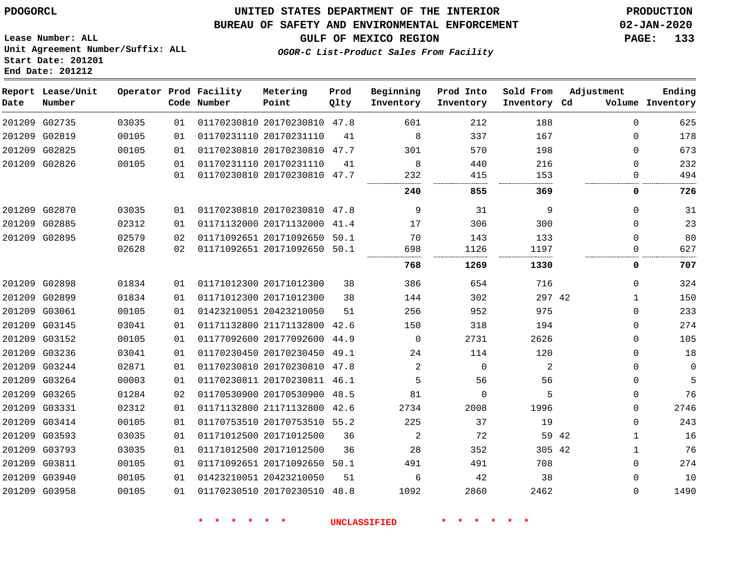#### **BUREAU OF SAFETY AND ENVIRONMENTAL ENFORCEMENT 02-JAN-2020**

**GULF OF MEXICO REGION PAGE: 133**

**Lease Number: ALL Unit Agreement Number/Suffix: ALL Start Date: 201201 End Date: 201212**

#### **OGOR-C List-Product Sales From Facility**

| Date | Report Lease/Unit<br>Number |       |    | Operator Prod Facility<br>Code Number | Metering<br>Point            | Prod<br>Qlty | Beginning<br>Inventory | Prod Into<br>Inventory | Sold From<br>Inventory Cd | Adjustment   | Ending<br>Volume Inventory |
|------|-----------------------------|-------|----|---------------------------------------|------------------------------|--------------|------------------------|------------------------|---------------------------|--------------|----------------------------|
|      | 201209 G02735               | 03035 | 01 |                                       | 01170230810 20170230810 47.8 |              | 601                    | 212                    | 188                       | $\Omega$     | 625                        |
|      | 201209 G02819               | 00105 | 01 |                                       | 01170231110 20170231110      | 41           | 8                      | 337                    | 167                       | 0            | 178                        |
|      | 201209 G02825               | 00105 | 01 |                                       | 01170230810 20170230810 47.7 |              | 301                    | 570                    | 198                       | $\mathbf 0$  | 673                        |
|      | 201209 G02826               | 00105 | 01 |                                       | 01170231110 20170231110      | 41           | 8                      | 440                    | 216                       | 0            | 232                        |
|      |                             |       | 01 |                                       | 01170230810 20170230810 47.7 |              | 232                    | 415                    | 153                       | $\mathbf 0$  | 494                        |
|      |                             |       |    |                                       |                              |              | 240                    | 855                    | 369                       | 0            | 726                        |
|      | 201209 G02870               | 03035 | 01 |                                       | 01170230810 20170230810 47.8 |              | 9                      | 31                     | 9                         | $\mathbf 0$  | 31                         |
|      | 201209 G02885               | 02312 | 01 |                                       | 01171132000 20171132000 41.4 |              | 17                     | 306                    | 300                       | $\Omega$     | 23                         |
|      | 201209 G02895               | 02579 | 02 |                                       | 01171092651 20171092650 50.1 |              | 70                     | 143                    | 133                       | $\Omega$     | 80                         |
|      |                             | 02628 | 02 |                                       | 01171092651 20171092650 50.1 |              | 698                    | 1126                   | 1197                      | 0            | 627                        |
|      |                             |       |    |                                       |                              |              | 768                    | 1269                   | 1330                      | 0            | 707                        |
|      | 201209 G02898               | 01834 | 01 |                                       | 01171012300 20171012300      | 38           | 386                    | 654                    | 716                       | $\mathbf 0$  | 324                        |
|      | 201209 G02899               | 01834 | 01 |                                       | 01171012300 20171012300      | 38           | 144                    | 302                    | 297 42                    | $\mathbf{1}$ | 150                        |
|      | 201209 G03061               | 00105 | 01 |                                       | 01423210051 20423210050      | 51           | 256                    | 952                    | 975                       | $\mathbf 0$  | 233                        |
|      | 201209 G03145               | 03041 | 01 |                                       | 01171132800 21171132800 42.6 |              | 150                    | 318                    | 194                       | 0            | 274                        |
|      | 201209 G03152               | 00105 | 01 |                                       | 01177092600 20177092600      | 44.9         | $\mathbf 0$            | 2731                   | 2626                      | $\mathbf 0$  | 105                        |
|      | 201209 G03236               | 03041 | 01 |                                       | 01170230450 20170230450 49.1 |              | 24                     | 114                    | 120                       | $\Omega$     | 18                         |
|      | 201209 G03244               | 02871 | 01 |                                       | 01170230810 20170230810 47.8 |              | 2                      | $\mathbf 0$            | 2                         | $\mathbf{0}$ | $\Omega$                   |
|      | 201209 G03264               | 00003 | 01 |                                       | 01170230811 20170230811 46.1 |              | 5                      | 56                     | 56                        | $\mathbf{0}$ | 5                          |
|      | 201209 G03265               | 01284 | 02 |                                       | 01170530900 20170530900 48.5 |              | 81                     | 0                      | 5                         | 0            | 76                         |
|      | 201209 G03331               | 02312 | 01 |                                       | 01171132800 21171132800 42.6 |              | 2734                   | 2008                   | 1996                      | 0            | 2746                       |
|      | 201209 G03414               | 00105 | 01 |                                       | 01170753510 20170753510 55.2 |              | 225                    | 37                     | 19                        | $\mathbf 0$  | 243                        |
|      | 201209 G03593               | 03035 | 01 |                                       | 01171012500 20171012500      | 36           | 2                      | 72                     | 59 42                     | $\mathbf{1}$ | 16                         |
|      | 201209 G03793               | 03035 | 01 |                                       | 01171012500 20171012500      | 36           | 28                     | 352                    | 305 42                    | $\mathbf{1}$ | 76                         |
|      | 201209 G03811               | 00105 | 01 |                                       | 01171092651 20171092650 50.1 |              | 491                    | 491                    | 708                       | 0            | 274                        |
|      | 201209 G03940               | 00105 | 01 |                                       | 01423210051 20423210050      | 51           | 6                      | 42                     | 38                        | 0            | 10                         |
|      | 201209 G03958               | 00105 | 01 |                                       | 01170230510 20170230510 48.8 |              | 1092                   | 2860                   | 2462                      | 0            | 1490                       |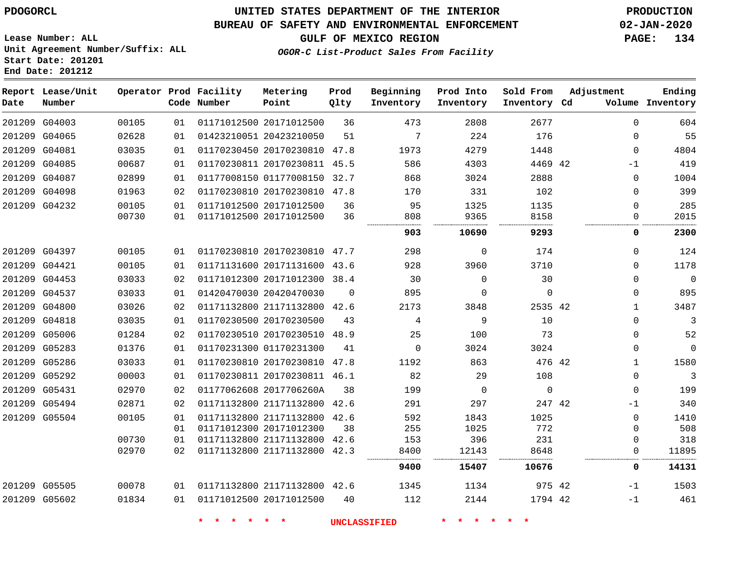**Lease Number: ALL**

**Start Date: 201201 End Date: 201212**

## **UNITED STATES DEPARTMENT OF THE INTERIOR PDOGORCL PRODUCTION**

#### **BUREAU OF SAFETY AND ENVIRONMENTAL ENFORCEMENT 02-JAN-2020**

**Unit Agreement Number/Suffix: ALL**

**GULF OF MEXICO REGION PAGE: 134**

**OGOR-C List-Product Sales From Facility**

| Date | Report Lease/Unit<br>Number |       |    | Operator Prod Facility<br>Code Number | Metering<br>Point            | Prod<br>Qlty | Beginning<br>Inventory | Prod Into<br>Inventory | Sold From<br>Inventory Cd | Adjustment   | Ending<br>Volume Inventory |
|------|-----------------------------|-------|----|---------------------------------------|------------------------------|--------------|------------------------|------------------------|---------------------------|--------------|----------------------------|
|      | 201209 G04003               | 00105 | 01 |                                       | 01171012500 20171012500      | 36           | 473                    | 2808                   | 2677                      | $\Omega$     | 604                        |
|      | 201209 G04065               | 02628 | 01 |                                       | 01423210051 20423210050      | 51           | 7                      | 224                    | 176                       | $\mathbf{0}$ | 55                         |
|      | 201209 G04081               | 03035 | 01 |                                       | 01170230450 20170230810 47.8 |              | 1973                   | 4279                   | 1448                      | $\mathbf{0}$ | 4804                       |
|      | 201209 G04085               | 00687 | 01 |                                       | 01170230811 20170230811      | 45.5         | 586                    | 4303                   | 4469 42                   | $-1$         | 419                        |
|      | 201209 G04087               | 02899 | 01 |                                       | 01177008150 01177008150      | 32.7         | 868                    | 3024                   | 2888                      | $\mathbf{0}$ | 1004                       |
|      | 201209 G04098               | 01963 | 02 |                                       | 01170230810 20170230810 47.8 |              | 170                    | 331                    | 102                       | $\mathbf 0$  | 399                        |
|      | 201209 G04232               | 00105 | 01 |                                       | 01171012500 20171012500      | 36           | 95                     | 1325                   | 1135                      | $\Omega$     | 285                        |
|      |                             | 00730 | 01 |                                       | 01171012500 20171012500      | 36           | 808                    | 9365                   | 8158                      | 0            | 2015                       |
|      |                             |       |    |                                       |                              |              | 903                    | 10690                  | 9293                      | 0            | 2300                       |
|      | 201209 G04397               | 00105 | 01 |                                       | 01170230810 20170230810 47.7 |              | 298                    | $\mathbf 0$            | 174                       | $\mathbf{0}$ | 124                        |
|      | 201209 G04421               | 00105 | 01 |                                       | 01171131600 20171131600      | 43.6         | 928                    | 3960                   | 3710                      | 0            | 1178                       |
|      | 201209 G04453               | 03033 | 02 |                                       | 01171012300 20171012300 38.4 |              | 30                     | $\Omega$               | 30                        | $\Omega$     | $\mathbf 0$                |
|      | 201209 G04537               | 03033 | 01 |                                       | 01420470030 20420470030      | $\Omega$     | 895                    | $\Omega$               | $\mathbf 0$               | $\mathbf{0}$ | 895                        |
|      | 201209 G04800               | 03026 | 02 |                                       | 01171132800 21171132800 42.6 |              | 2173                   | 3848                   | 2535 42                   | $\mathbf{1}$ | 3487                       |
|      | 201209 G04818               | 03035 | 01 |                                       | 01170230500 20170230500      | 43           | 4                      | 9                      | 10                        | $\mathbf{0}$ | 3                          |
|      | 201209 G05006               | 01284 | 02 |                                       | 01170230510 20170230510      | 48.9         | 25                     | 100                    | 73                        | 0            | 52                         |
|      | 201209 G05283               | 01376 | 01 |                                       | 01170231300 01170231300      | 41           | $\mathbf 0$            | 3024                   | 3024                      | $\mathbf 0$  | $\mathbf 0$                |
|      | 201209 G05286               | 03033 | 01 |                                       | 01170230810 20170230810      | 47.8         | 1192                   | 863                    | 476 42                    | $\mathbf{1}$ | 1580                       |
|      | 201209 G05292               | 00003 | 01 |                                       | 01170230811 20170230811 46.1 |              | 82                     | 29                     | 108                       | $\mathbf{0}$ | 3                          |
|      | 201209 G05431               | 02970 | 02 |                                       | 01177062608 2017706260A      | 38           | 199                    | $\Omega$               | $\Omega$                  | $\Omega$     | 199                        |
|      | 201209 G05494               | 02871 | 02 |                                       | 01171132800 21171132800      | 42.6         | 291                    | 297                    | 247 42                    | $-1$         | 340                        |
|      | 201209 G05504               | 00105 | 01 |                                       | 01171132800 21171132800 42.6 |              | 592                    | 1843                   | 1025                      | $\mathbf 0$  | 1410                       |
|      |                             |       | 01 |                                       | 01171012300 20171012300      | 38           | 255                    | 1025                   | 772                       | $\mathbf 0$  | 508                        |
|      |                             | 00730 | 01 |                                       | 01171132800 21171132800      | 42.6         | 153                    | 396                    | 231                       | $\mathbf{0}$ | 318                        |
|      |                             | 02970 | 02 |                                       | 01171132800 21171132800      | 42.3         | 8400                   | 12143                  | 8648                      | $\mathbf{0}$ | 11895                      |
|      |                             |       |    |                                       |                              |              | 9400                   | 15407                  | 10676                     | 0            | 14131                      |
|      | 201209 G05505               | 00078 | 01 |                                       | 01171132800 21171132800 42.6 |              | 1345                   | 1134                   | 975 42                    | $-1$         | 1503                       |
|      | 201209 G05602               | 01834 | 01 |                                       | 01171012500 20171012500      | 40           | 112                    | 2144                   | 1794 42                   | -1           | 461                        |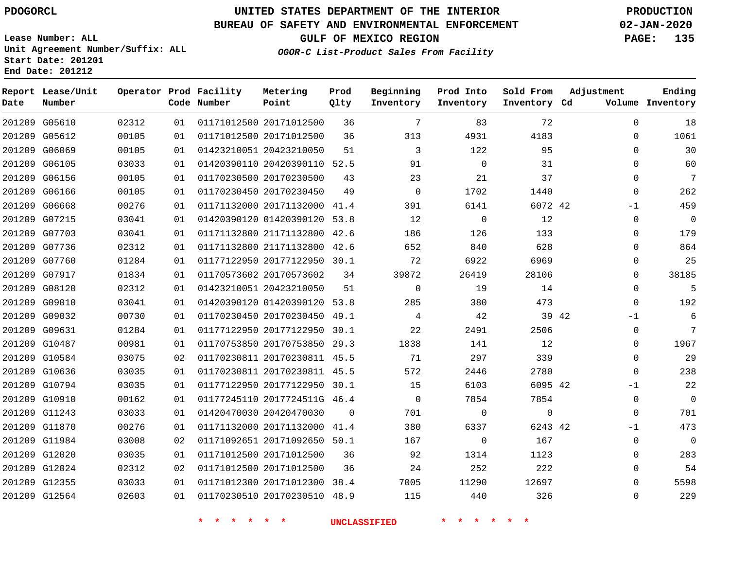#### **BUREAU OF SAFETY AND ENVIRONMENTAL ENFORCEMENT 02-JAN-2020**

**Lease Number: ALL Unit Agreement Number/Suffix: ALL Start Date: 201201**

**Operator Prod Facility**

**End Date: 201212**

**Report Lease/Unit**

**GULF OF MEXICO REGION PAGE: 135**

**Prod**

**OGOR-C List-Product Sales From Facility**

**Beginning Prod Into Sold From**

**Adjustment**

**Ending**

| Date | Number        |       |    | Code Number                         | Point                        | Qlty     | Inventory           | Inventory    | Inventory Cd    |       |             | Volume Inventory |
|------|---------------|-------|----|-------------------------------------|------------------------------|----------|---------------------|--------------|-----------------|-------|-------------|------------------|
|      | 201209 G05610 | 02312 | 01 |                                     | 01171012500 20171012500      | 36       | 7                   | 83           | 72              |       | $\mathbf 0$ | 18               |
|      | 201209 G05612 | 00105 | 01 |                                     | 01171012500 20171012500      | 36       | 313                 | 4931         | 4183            |       | 0           | 1061             |
|      | 201209 G06069 | 00105 | 01 |                                     | 01423210051 20423210050      | 51       | 3                   | 122          | 95              |       | $\Omega$    | 30               |
|      | 201209 G06105 | 03033 | 01 |                                     | 01420390110 20420390110 52.5 |          | 91                  | $\mathbf 0$  | 31              |       | 0           | 60               |
|      | 201209 G06156 | 00105 | 01 |                                     | 01170230500 20170230500      | 43       | 23                  | 21           | 37              |       | 0           | $\overline{7}$   |
|      | 201209 G06166 | 00105 | 01 |                                     | 01170230450 20170230450      | 49       | $\Omega$            | 1702         | 1440            |       | 0           | 262              |
|      | 201209 G06668 | 00276 | 01 |                                     | 01171132000 20171132000 41.4 |          | 391                 | 6141         | 6072 42         |       | $-1$        | 459              |
|      | 201209 G07215 | 03041 | 01 |                                     | 01420390120 01420390120 53.8 |          | 12                  | $\mathsf{O}$ | 12              |       | 0           | $\mathbf 0$      |
|      | 201209 G07703 | 03041 | 01 |                                     | 01171132800 21171132800 42.6 |          | 186                 | 126          | 133             |       | $\mathbf 0$ | 179              |
|      | 201209 G07736 | 02312 | 01 |                                     | 01171132800 21171132800 42.6 |          | 652                 | 840          | 628             |       | $\mathbf 0$ | 864              |
|      | 201209 G07760 | 01284 | 01 |                                     | 01177122950 20177122950 30.1 |          | 72                  | 6922         | 6969            |       | 0           | 25               |
|      | 201209 G07917 | 01834 | 01 |                                     | 01170573602 20170573602      | 34       | 39872               | 26419        | 28106           |       | $\mathbf 0$ | 38185            |
|      | 201209 G08120 | 02312 | 01 |                                     | 01423210051 20423210050      | 51       | $\mathbf 0$         | 19           | 14              |       | $\mathbf 0$ | 5                |
|      | 201209 G09010 | 03041 | 01 |                                     | 01420390120 01420390120 53.8 |          | 285                 | 380          | 473             |       | $\Omega$    | 192              |
|      | 201209 G09032 | 00730 | 01 |                                     | 01170230450 20170230450 49.1 |          | 4                   | 42           |                 | 39 42 | $-1$        | 6                |
|      | 201209 G09631 | 01284 | 01 |                                     | 01177122950 20177122950 30.1 |          | 22                  | 2491         | 2506            |       | $\mathbf 0$ | $\overline{7}$   |
|      | 201209 G10487 | 00981 | 01 |                                     | 01170753850 20170753850 29.3 |          | 1838                | 141          | 12              |       | 0           | 1967             |
|      | 201209 G10584 | 03075 | 02 |                                     | 01170230811 20170230811 45.5 |          | 71                  | 297          | 339             |       | $\mathbf 0$ | 29               |
|      | 201209 G10636 | 03035 | 01 |                                     | 01170230811 20170230811 45.5 |          | 572                 | 2446         | 2780            |       | $\mathbf 0$ | 238              |
|      | 201209 G10794 | 03035 | 01 |                                     | 01177122950 20177122950 30.1 |          | 15                  | 6103         | 6095 42         |       | $-1$        | 22               |
|      | 201209 G10910 | 00162 | 01 |                                     | 01177245110 2017724511G 46.4 |          | $\overline{0}$      | 7854         | 7854            |       | $\mathbf 0$ | $\overline{0}$   |
|      | 201209 G11243 | 03033 | 01 |                                     | 01420470030 20420470030      | $\Omega$ | 701                 | $\mathbf 0$  | $\mathbf 0$     |       | $\mathbf 0$ | 701              |
|      | 201209 G11870 | 00276 | 01 |                                     | 01171132000 20171132000 41.4 |          | 380                 | 6337         | 6243 42         |       | -1          | 473              |
|      | 201209 G11984 | 03008 | 02 |                                     | 01171092651 20171092650 50.1 |          | 167                 | $\mathbf 0$  | 167             |       | $\mathbf 0$ | $\overline{0}$   |
|      | 201209 G12020 | 03035 | 01 |                                     | 01171012500 20171012500      | 36       | 92                  | 1314         | 1123            |       | $\Omega$    | 283              |
|      | 201209 G12024 | 02312 | 02 |                                     | 01171012500 20171012500      | 36       | 24                  | 252          | 222             |       | 0           | 54               |
|      | 201209 G12355 | 03033 | 01 |                                     | 01171012300 20171012300 38.4 |          | 7005                | 11290        | 12697           |       | $\mathbf 0$ | 5598             |
|      | 201209 G12564 | 02603 | 01 |                                     | 01170230510 20170230510 48.9 |          | 115                 | 440          | 326             |       | $\mathbf 0$ | 229              |
|      |               |       |    | $\star$<br>$\star$<br>一大<br>$\star$ | $\star$ $\star$              |          | <b>UNCLASSIFIED</b> | * * * *      | $\star$ $\star$ |       |             |                  |

**Metering**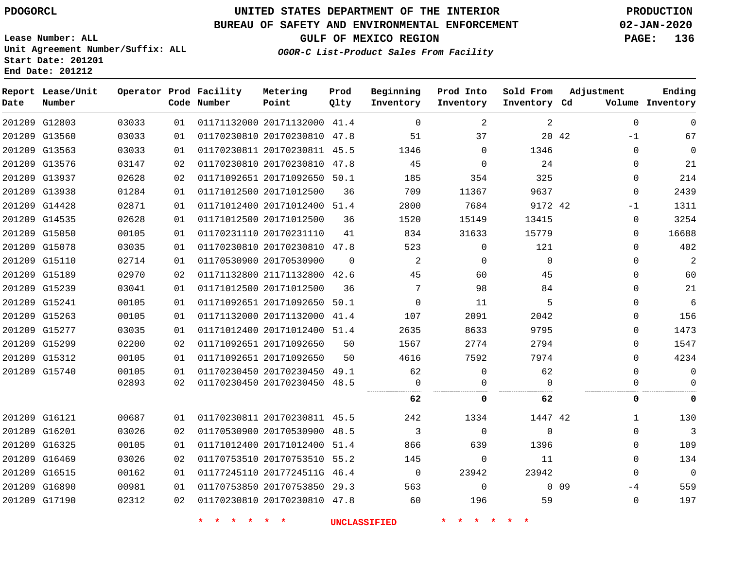**Prod Qlty**

#### **BUREAU OF SAFETY AND ENVIRONMENTAL ENFORCEMENT 02-JAN-2020**

**Lease Number: ALL Unit Agreement Number/Suffix: ALL Start Date: 201201**

**Operator Prod Facility Metering**

**Code Number**

01171132000 20171132000 41.4

**Point**

**End Date: 201212**

**Report Lease/Unit**

**Number**

G12803

**Date**

G17190

**GULF OF MEXICO REGION PAGE: 136**

**Inventory Cd Volume**

**OGOR-C List-Product Sales From Facility**

**Inventory**

**Beginning Prod Into**

**Inventory**

**Sold From Adjustment**

**Inventory**

|        | 201209 G13560 | 03033 | 01 | 01170230810 20170230810 47.8 |          | 51       | 37       |          | 20 42           | $-1$     | 67           |
|--------|---------------|-------|----|------------------------------|----------|----------|----------|----------|-----------------|----------|--------------|
|        | 201209 G13563 | 03033 | 01 | 01170230811 20170230811 45.5 |          | 1346     | $\Omega$ | 1346     |                 | $\Omega$ | $\mathbf{0}$ |
|        | 201209 G13576 | 03147 | 02 | 01170230810 20170230810 47.8 |          | 45       | $\Omega$ | 24       |                 | $\Omega$ | 21           |
|        | 201209 G13937 | 02628 | 02 | 01171092651 20171092650      | 50.1     | 185      | 354      | 325      |                 | $\Omega$ | 214          |
|        | 201209 G13938 | 01284 | 01 | 01171012500 20171012500      | 36       | 709      | 11367    | 9637     |                 | $\Omega$ | 2439         |
| 201209 | G14428        | 02871 | 01 | 01171012400 20171012400 51.4 |          | 2800     | 7684     | 9172 42  |                 | -1       | 1311         |
|        | 201209 G14535 | 02628 | 01 | 01171012500 20171012500      | 36       | 1520     | 15149    | 13415    |                 | $\Omega$ | 3254         |
|        | 201209 G15050 | 00105 | 01 | 01170231110 20170231110      | 41       | 834      | 31633    | 15779    |                 | $\Omega$ | 16688        |
|        | 201209 G15078 | 03035 | 01 | 01170230810 20170230810 47.8 |          | 523      | 0        | 121      |                 | 0        | 402          |
|        | 201209 G15110 | 02714 | 01 | 01170530900 20170530900      | $\Omega$ | 2        | $\Omega$ | $\Omega$ |                 | 0        | 2            |
|        | 201209 G15189 | 02970 | 02 | 01171132800 21171132800      | 42.6     | 45       | 60       | 45       |                 | $\Omega$ | 60           |
|        | 201209 G15239 | 03041 | 01 | 01171012500 20171012500      | 36       | 7        | 98       | 84       |                 | $\Omega$ | 21           |
| 201209 | G15241        | 00105 | 01 | 01171092651 20171092650      | 50.1     | $\Omega$ | 11       | 5        |                 | $\Omega$ | 6            |
|        | 201209 G15263 | 00105 | 01 | 01171132000 20171132000      | 41.4     | 107      | 2091     | 2042     |                 | $\Omega$ | 156          |
|        | 201209 G15277 | 03035 | 01 | 01171012400 20171012400 51.4 |          | 2635     | 8633     | 9795     |                 | $\Omega$ | 1473         |
|        | 201209 G15299 | 02200 | 02 | 01171092651 20171092650      | 50       | 1567     | 2774     | 2794     |                 | 0        | 1547         |
|        | 201209 G15312 | 00105 | 01 | 01171092651 20171092650      | 50       | 4616     | 7592     | 7974     |                 | $\Omega$ | 4234         |
|        | 201209 G15740 | 00105 | 01 | 01170230450 20170230450      | 49.1     | 62       | 0        | 62       |                 | 0        | 0            |
|        |               | 02893 | 02 | 01170230450 20170230450 48.5 |          | 0        |          | ∩        |                 |          | $\Omega$     |
|        |               |       |    |                              |          | 62       | 0        | 62       |                 | 0        | 0            |
|        | 201209 G16121 | 00687 | 01 | 01170230811 20170230811 45.5 |          | 242      | 1334     | 1447 42  |                 |          | 130          |
|        | 201209 G16201 | 03026 | 02 | 01170530900 20170530900 48.5 |          | 3        | $\Omega$ | $\Omega$ |                 | $\Omega$ | 3            |
|        | 201209 G16325 | 00105 | 01 | 01171012400 20171012400 51.4 |          | 866      | 639      | 1396     |                 | 0        | 109          |
| 201209 | G16469        | 03026 | 02 | 01170753510 20170753510      | 55.2     | 145      | 0        | 11       |                 | $\Omega$ | 134          |
|        | 201209 G16515 | 00162 | 01 | 01177245110 2017724511G 46.4 |          | $\Omega$ | 23942    | 23942    |                 | $\Omega$ | $\Omega$     |
|        | 201209 G16890 | 00981 | 01 | 01170753850 20170753850 29.3 |          | 563      | $\Omega$ |          | 0 <sub>09</sub> | -4       | 559          |

**\* \* \* \* \* \* UNCLASSIFIED \* \* \* \* \* \***

01170230810 20170230810 47.8

**Ending**

 $\Omega$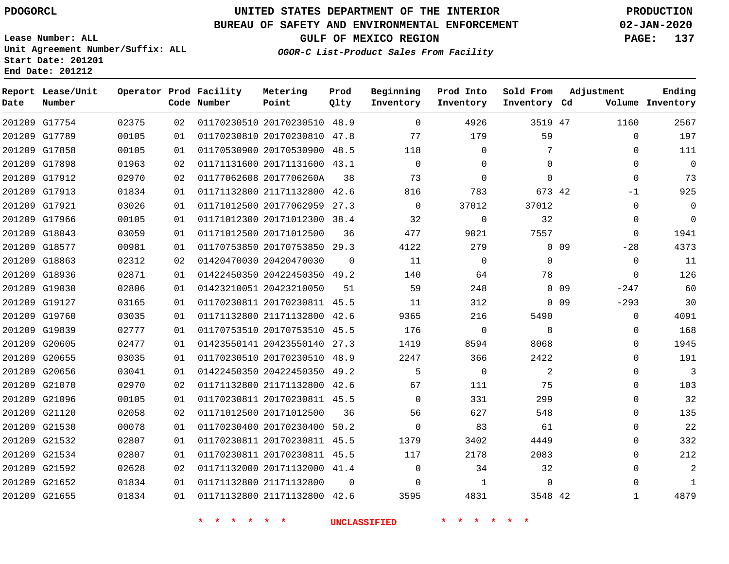G17754 G17789

**Date**

**Report Lease/Unit**

**Number**

## **UNITED STATES DEPARTMENT OF THE INTERIOR PDOGORCL PRODUCTION**

**Prod Qlty**

#### **BUREAU OF SAFETY AND ENVIRONMENTAL ENFORCEMENT 02-JAN-2020**

**Lease Number: ALL Unit Agreement Number/Suffix: ALL Start Date: 201201 End Date: 201212**

> 

**Operator Prod Facility**

**Code Number**

 20170230510 48.9 20170230810 47.8

**Metering Point**

  **OGOR-C List-Product Sales From Facility**

 

 

**Prod Into Inventory**

**Beginning Inventory**

**GULF OF MEXICO REGION PAGE: 137**

**Inventory Cd Volume**

**Adjustment**

  $\Omega$  $\Omega$  -1  $\Omega$   $-28$   $\Omega$  $-247$  $-293$  $\overline{0}$  $\overline{0}$  $\Omega$  $\Omega$  $\Omega$  $\Omega$   $\Omega$  

**Ending**

47

**Sold From Inventory**

|               |       |    |  |                              |          | <b>UNCLASSIFIED</b> |       |                            |                 |
|---------------|-------|----|--|------------------------------|----------|---------------------|-------|----------------------------|-----------------|
| 201209 G21655 | 01834 | 01 |  | 01171132800 21171132800 42.6 |          | 3595                | 4831  | 3548 42                    |                 |
| 201209 G21652 | 01834 | 01 |  | 01171132800 21171132800      | $\Omega$ | $\Omega$            |       | $\mathbf{1}$<br>$\Omega$   |                 |
| 201209 G21592 | 02628 | 02 |  | 01171132000 20171132000 41.4 |          | $\Omega$            |       | 32<br>34                   |                 |
| 201209 G21534 | 02807 | 01 |  | 01170230811 20170230811 45.5 |          | 117                 | 2178  | 2083                       |                 |
| 201209 G21532 | 02807 | 01 |  | 01170230811 20170230811 45.5 |          | 1379                | 3402  | 4449                       |                 |
| 201209 G21530 | 00078 | 01 |  | 01170230400 20170230400 50.2 |          | $\mathbf 0$         |       | 83<br>61                   |                 |
| 201209 G21120 | 02058 | 02 |  | 01171012500 20171012500      | 36       | 56                  | 627   | 548                        |                 |
| 201209 G21096 | 00105 | 01 |  | 01170230811 20170230811 45.5 |          | $\Omega$            | 331   | 299                        |                 |
| 201209 G21070 | 02970 | 02 |  | 01171132800 21171132800 42.6 |          | 67                  | 111   | 75                         |                 |
| 201209 G20656 | 03041 | 01 |  | 01422450350 20422450350 49.2 |          | 5                   |       | 2<br>0                     |                 |
| 201209 G20655 | 03035 | 01 |  | 01170230510 20170230510 48.9 |          | 2247                |       | 366<br>2422                |                 |
| 201209 G20605 | 02477 | 01 |  | 01423550141 20423550140 27.3 |          | 1419                | 8594  | 8068                       |                 |
| 201209 G19839 | 02777 | 01 |  | 01170753510 20170753510 45.5 |          | 176                 |       | 0<br>8                     |                 |
| 201209 G19760 | 03035 | 01 |  | 01171132800 21171132800 42.6 |          | 9365                | 216   | 5490                       |                 |
| 201209 G19127 | 03165 | 01 |  | 01170230811 20170230811 45.5 |          | 11                  | 312   |                            | 0 <sub>09</sub> |
| 201209 G19030 | 02806 | 01 |  | 01423210051 20423210050      | 51       | 59                  | 248   |                            | 0 <sub>09</sub> |
| 201209 G18936 | 02871 | 01 |  | 01422450350 20422450350 49.2 |          | 140                 |       | 78<br>64                   |                 |
| 201209 G18863 | 02312 | 02 |  | 01420470030 20420470030      | $\Omega$ | 11                  |       | 0<br>$\Omega$              |                 |
| 201209 G18577 | 00981 | 01 |  | 01170753850 20170753850 29.3 |          | 4122                |       | 279                        | $0$ 09          |
| 201209 G18043 | 03059 | 01 |  | 01171012500 20171012500      | 36       | 477                 | 9021  | 7557                       |                 |
| 201209 G17966 | 00105 | 01 |  | 01171012300 20171012300 38.4 |          | 32                  |       | $\mathbf 0$<br>32          |                 |
| 201209 G17921 | 03026 | 01 |  | 01171012500 20177062959 27.3 |          | $\Omega$            | 37012 | 37012                      |                 |
| 201209 G17913 | 01834 | 01 |  | 01171132800 21171132800 42.6 |          | 816                 | 783   |                            | 673 42          |
| 201209 G17912 | 02970 | 02 |  | 01177062608 2017706260A      | 38       | 73                  |       | $\mathbf 0$<br>$\mathbf 0$ |                 |
| 201209 G17898 | 01963 | 02 |  | 01171131600 20171131600 43.1 |          | $\Omega$            |       | $\mathbf 0$<br>$\Omega$    |                 |
| 201209 G17858 | 00105 | 01 |  | 01170530900 20170530900 48.5 |          | 118                 |       | 7<br>$\mathbf 0$           |                 |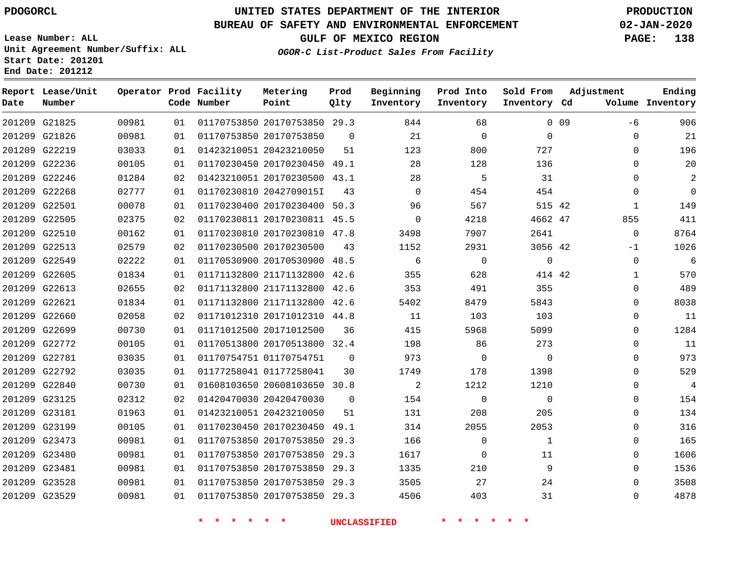#### **BUREAU OF SAFETY AND ENVIRONMENTAL ENFORCEMENT 02-JAN-2020**

**Lease Number: ALL Unit Agreement Number/Suffix: ALL Start Date: 201201 End Date: 201212**

**GULF OF MEXICO REGION PAGE: 138**

**OGOR-C List-Product Sales From Facility**

| Date | Report Lease/Unit<br>Number |       |    | Operator Prod Facility<br>Code Number | Metering<br>Point            | Prod<br>Qlty   | Beginning<br>Inventory | Prod Into<br>Inventory | Sold From<br>Inventory Cd | Adjustment   | Ending<br>Volume Inventory |
|------|-----------------------------|-------|----|---------------------------------------|------------------------------|----------------|------------------------|------------------------|---------------------------|--------------|----------------------------|
|      | 201209 G21825               | 00981 | 01 |                                       | 01170753850 20170753850 29.3 |                | 844                    | 68                     |                           | 0.09<br>-6   | 906                        |
|      | 201209 G21826               | 00981 | 01 |                                       | 01170753850 20170753850      | $\Omega$       | 21                     | $\mathbf 0$            | $\mathbf{0}$              | 0            | 21                         |
|      | 201209 G22219               | 03033 | 01 |                                       | 01423210051 20423210050      | 51             | 123                    | 800                    | 727                       | $\Omega$     | 196                        |
|      | 201209 G22236               | 00105 | 01 |                                       | 01170230450 20170230450 49.1 |                | 28                     | 128                    | 136                       | $\Omega$     | 20                         |
|      | 201209 G22246               | 01284 | 02 |                                       | 01423210051 20170230500 43.1 |                | 28                     | 5                      | 31                        | $\Omega$     | 2                          |
|      | 201209 G22268               | 02777 | 01 |                                       | 01170230810 2042709015I      | 43             | $\mathbf 0$            | 454                    | 454                       | $\mathbf{0}$ | $\mathbf 0$                |
|      | 201209 G22501               | 00078 | 01 |                                       | 01170230400 20170230400 50.3 |                | 96                     | 567                    | 515 42                    | $\mathbf{1}$ | 149                        |
|      | 201209 G22505               | 02375 | 02 |                                       | 01170230811 20170230811 45.5 |                | $\mathbf 0$            | 4218                   | 4662 47                   | 855          | 411                        |
|      | 201209 G22510               | 00162 | 01 |                                       | 01170230810 20170230810 47.8 |                | 3498                   | 7907                   | 2641                      | $\mathbf 0$  | 8764                       |
|      | 201209 G22513               | 02579 | 02 |                                       | 01170230500 20170230500      | 43             | 1152                   | 2931                   | 3056 42                   | $-1$         | 1026                       |
|      | 201209 G22549               | 02222 | 01 |                                       | 01170530900 20170530900 48.5 |                | 6                      | $\mathbf 0$            | $\mathbf 0$               | $\mathbf 0$  | 6                          |
|      | 201209 G22605               | 01834 | 01 |                                       | 01171132800 21171132800      | 42.6           | 355                    | 628                    | 414 42                    | $\mathbf{1}$ | 570                        |
|      | 201209 G22613               | 02655 | 02 |                                       | 01171132800 21171132800 42.6 |                | 353                    | 491                    | 355                       | 0            | 489                        |
|      | 201209 G22621               | 01834 | 01 |                                       | 01171132800 21171132800 42.6 |                | 5402                   | 8479                   | 5843                      | 0            | 8038                       |
|      | 201209 G22660               | 02058 | 02 |                                       | 01171012310 20171012310 44.8 |                | 11                     | 103                    | 103                       | 0            | 11                         |
|      | 201209 G22699               | 00730 | 01 |                                       | 01171012500 20171012500      | 36             | 415                    | 5968                   | 5099                      | $\Omega$     | 1284                       |
|      | 201209 G22772               | 00105 | 01 |                                       | 01170513800 20170513800 32.4 |                | 198                    | 86                     | 273                       | 0            | 11                         |
|      | 201209 G22781               | 03035 | 01 |                                       | 01170754751 01170754751      | $\overline{0}$ | 973                    | $\mathbf 0$            | $\mathbf 0$               | 0            | 973                        |
|      | 201209 G22792               | 03035 | 01 |                                       | 01177258041 01177258041      | 30             | 1749                   | 178                    | 1398                      | 0            | 529                        |
|      | 201209 G22840               | 00730 | 01 |                                       | 01608103650 20608103650 30.8 |                | 2                      | 1212                   | 1210                      | $\Omega$     | 4                          |
|      | 201209 G23125               | 02312 | 02 |                                       | 01420470030 20420470030      | $\mathbf 0$    | 154                    | 0                      | $\mathbf 0$               | $\mathbf{0}$ | 154                        |
|      | 201209 G23181               | 01963 | 01 |                                       | 01423210051 20423210050      | 51             | 131                    | 208                    | 205                       | $\Omega$     | 134                        |
|      | 201209 G23199               | 00105 | 01 |                                       | 01170230450 20170230450 49.1 |                | 314                    | 2055                   | 2053                      | 0            | 316                        |
|      | 201209 G23473               | 00981 | 01 |                                       | 01170753850 20170753850 29.3 |                | 166                    | 0                      | 1                         | 0            | 165                        |
|      | 201209 G23480               | 00981 | 01 |                                       | 01170753850 20170753850 29.3 |                | 1617                   | $\mathbf 0$            | 11                        | $\Omega$     | 1606                       |
|      | 201209 G23481               | 00981 | 01 |                                       | 01170753850 20170753850 29.3 |                | 1335                   | 210                    | 9                         | 0            | 1536                       |
|      | 201209 G23528               | 00981 | 01 |                                       | 01170753850 20170753850 29.3 |                | 3505                   | 27                     | 24                        | 0            | 3508                       |
|      | 201209 G23529               | 00981 | 01 |                                       | 01170753850 20170753850 29.3 |                | 4506                   | 403                    | 31                        | 0            | 4878                       |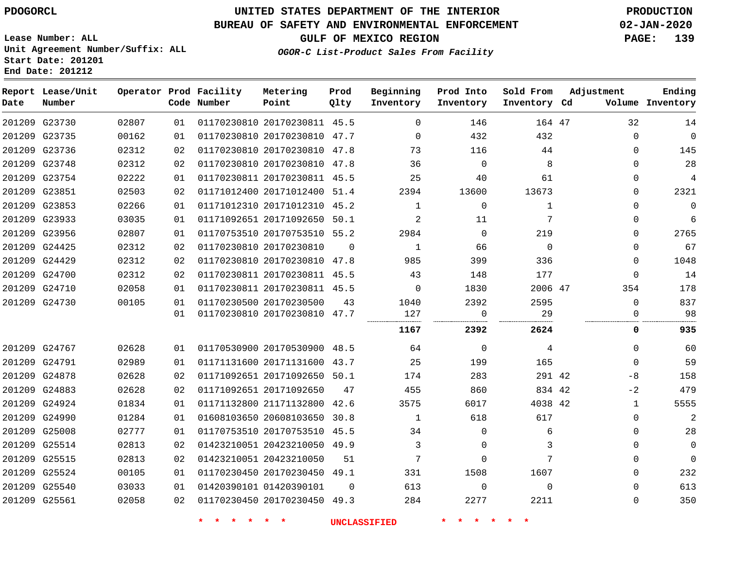**End Date: 201212**

**Report Lease/Unit**

**Number**

 G23730 G23735 G23736

**Date**

## **UNITED STATES DEPARTMENT OF THE INTERIOR PDOGORCL PRODUCTION**

**Prod**

#### **BUREAU OF SAFETY AND ENVIRONMENTAL ENFORCEMENT 02-JAN-2020**

**Lease Number: ALL Unit Agreement Number/Suffix: ALL Start Date: 201201**

**Operator Prod Facility**

**OGOR-C List-Product Sales From Facility**

**Beginning**

**Prod Into**

**GULF OF MEXICO REGION PAGE: 139**

**Inventory Cd Volume**

**Adjustment**

 

**Ending**

**Sold From**

|       |    | Code Number | Point                        | Qlty | Inventory      | Inventory | Inventory Cd |  |
|-------|----|-------------|------------------------------|------|----------------|-----------|--------------|--|
| 02807 | 01 |             | 01170230810 20170230811 45.5 |      | $\Omega$       | 146       | 164 47       |  |
| 00162 | 01 |             | 01170230810 20170230810      | 47.7 | $\Omega$       | 432       | 432          |  |
| 02312 | 02 |             | 01170230810 20170230810      | 47.8 | 73             | 116       | 44           |  |
| 02312 | 02 |             | 01170230810 20170230810      | 47.8 | 36             | 0         | 8            |  |
| 02222 | 01 |             | 01170230811 20170230811 45.5 |      | 25             | 40        | 61           |  |
| 02503 | 02 |             | 01171012400 20171012400 51.4 |      | 2394           | 13600     | 13673        |  |
| 02266 | 01 |             | 01171012310 20171012310      | 45.2 |                | $\Omega$  |              |  |
| 03035 | 01 |             | 01171092651 20171092650      | 50.1 | $\mathfrak{D}$ | 11        | 7            |  |
| 02807 | 01 |             | 01170753510 20170753510 55.2 |      | 2984           | $\Omega$  | 219          |  |
| 02312 | 02 |             | 01170230810 20170230810      | 0    |                | 66        | $\Omega$     |  |
|       |    |             |                              |      |                |           |              |  |

**Metering**

| 201209 G23748 | 02312 | 02 | 01170230810 20170230810 47.8 |          | 36             | $\Omega$       | 8          | 0            | 28          |
|---------------|-------|----|------------------------------|----------|----------------|----------------|------------|--------------|-------------|
| 201209 G23754 | 02222 | 01 | 01170230811 20170230811 45.5 |          | 25             | 40             | 61         | $\Omega$     | 4           |
| 201209 G23851 | 02503 | 02 | 01171012400 20171012400 51.4 |          | 2394           | 13600          | 13673      | $\Omega$     | 2321        |
| 201209 G23853 | 02266 | 01 | 01171012310 20171012310 45.2 |          | 1              | $\Omega$       | 1          | $\Omega$     | $\Omega$    |
| 201209 G23933 | 03035 | 01 | 01171092651 20171092650 50.1 |          | 2              | 11             | 7          | 0            | 6           |
| 201209 G23956 | 02807 | 01 | 01170753510 20170753510 55.2 |          | 2984           | $\Omega$       | 219        | 0            | 2765        |
| 201209 G24425 | 02312 | 02 | 01170230810 20170230810      | $\Omega$ | $\mathbf{1}$   | 66             | $\bigcirc$ | $\Omega$     | 67          |
| 201209 G24429 | 02312 | 02 | 01170230810 20170230810 47.8 |          | 985            | 399            | 336        | $\Omega$     | 1048        |
| 201209 G24700 | 02312 | 02 | 01170230811 20170230811 45.5 |          | 43             | 148            | 177        | $\Omega$     | 14          |
| 201209 G24710 | 02058 | 01 | 01170230811 20170230811 45.5 |          | $\Omega$       | 1830           | 2006 47    | 354          | 178         |
| 201209 G24730 | 00105 | 01 | 01170230500 20170230500      | 43       | 1040           | 2392           | 2595       | $\Omega$     | 837         |
|               |       | 01 | 01170230810 20170230810 47.7 |          | 127            | $\overline{0}$ | 29         | $\Omega$     | 98          |
|               |       |    |                              |          | 1167           | 2392           | 2624       | 0            | 935         |
| 201209 G24767 | 02628 | 01 | 01170530900 20170530900 48.5 |          | 64             | $\Omega$       | 4          | $\Omega$     | 60          |
| 201209 G24791 | 02989 | 01 | 01171131600 20171131600 43.7 |          | 25             | 199            | 165        | $\Omega$     | 59          |
| 201209 G24878 | 02628 | 02 | 01171092651 20171092650 50.1 |          | 174            | 283            | 291 42     | -8           | 158         |
| 201209 G24883 | 02628 | 02 | 01171092651 20171092650      | 47       | 455            | 860            | 834 42     | $-2$         | 479         |
| 201209 G24924 | 01834 | 01 | 01171132800 21171132800 42.6 |          | 3575           | 6017           | 4038 42    | $\mathbf{1}$ | 5555        |
| 201209 G24990 | 01284 | 01 | 01608103650 20608103650 30.8 |          | $\overline{1}$ | 618            | 617        | $\Omega$     | 2           |
| 201209 G25008 | 02777 | 01 | 01170753510 20170753510 45.5 |          | 34             | $\Omega$       | 6          | 0            | 28          |
| 201209 G25514 | 02813 | 02 | 01423210051 20423210050 49.9 |          | 3              | 0              |            | $\Omega$     | $\mathbf 0$ |
|               |       |    |                              |          |                |                |            |              |             |
| 201209 G25515 | 02813 | 02 | 01423210051 20423210050      | 51       | 7              | $\Omega$       |            | $\Omega$     | $\mathbf 0$ |
| 201209 G25524 | 00105 | 01 | 01170230450 20170230450 49.1 |          | 331            | 1508           | 1607       | $\Omega$     | 232         |
| 201209 G25540 | 03033 | 01 | 01420390101 01420390101      | $\Omega$ | 613            | $\Omega$       | $\Omega$   | $\Omega$     | 613         |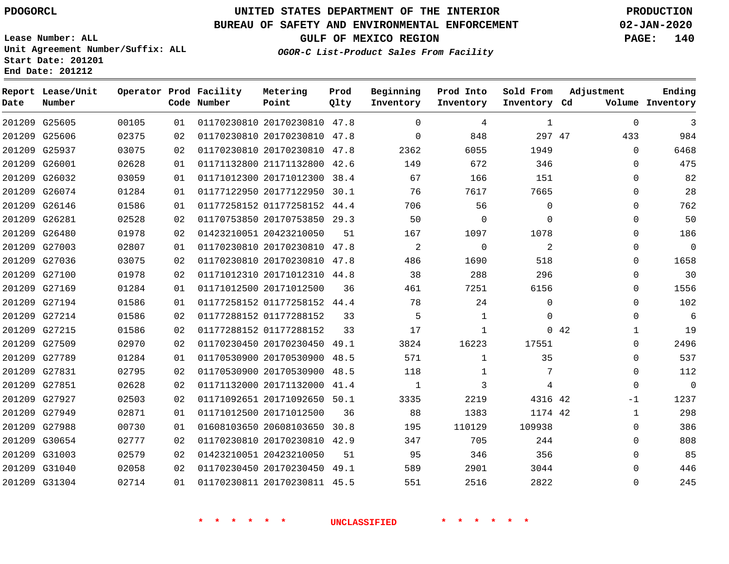**Report Lease/Unit**

**Number**

## **UNITED STATES DEPARTMENT OF THE INTERIOR PDOGORCL PRODUCTION**

**Prod Qlty**

#### **BUREAU OF SAFETY AND ENVIRONMENTAL ENFORCEMENT 02-JAN-2020**

**Lease Number: ALL Unit Agreement Number/Suffix: ALL Start Date: 201201 End Date: 201212**

**Operator Prod Facility**

**Code Number**

**OGOR-C List-Product Sales From Facility**

**Beginning Inventory**

 $\cap$ 

**Sold From Inventory**

**Prod Into Inventory**

**GULF OF MEXICO REGION PAGE: 140**

**Inventory Cd Volume**

**Adjustment**

  $\Omega$   $\Omega$  $\Omega$  $\Omega$   $\Omega$   $\Omega$  $\Omega$  $\overline{0}$  $\Omega$   $\Omega$  $\Omega$  $\Omega$  $\Omega$ -1 

**Ending**

|               | 201209 G25605 | 00105 | 01 |                              | 01170230810 20170230810 47.8 |    | $\overline{0}$ | 4              | $\mathbf{1}$   |     |
|---------------|---------------|-------|----|------------------------------|------------------------------|----|----------------|----------------|----------------|-----|
|               | 201209 G25606 | 02375 | 02 |                              | 01170230810 20170230810 47.8 |    | $\overline{0}$ | 848            | 297 47         |     |
|               | 201209 G25937 | 03075 | 02 |                              | 01170230810 20170230810 47.8 |    | 2362           | 6055           | 1949           |     |
|               | 201209 G26001 | 02628 | 01 |                              | 01171132800 21171132800 42.6 |    | 149            | 672            | 346            |     |
|               | 201209 G26032 | 03059 | 01 |                              | 01171012300 20171012300 38.4 |    | 67             | 166            | 151            |     |
|               | 201209 G26074 | 01284 | 01 |                              | 01177122950 20177122950 30.1 |    | 76             | 7617           | 7665           |     |
| 201209 G26146 |               | 01586 | 01 |                              | 01177258152 01177258152 44.4 |    | 706            | 56             | $\mathbf 0$    |     |
|               | 201209 G26281 | 02528 | 02 |                              | 01170753850 20170753850 29.3 |    | 50             | $\mathbf 0$    | $\mathbf 0$    |     |
|               | 201209 G26480 | 01978 | 02 | 01423210051 20423210050      |                              | 51 | 167            | 1097           | 1078           |     |
|               | 201209 G27003 | 02807 | 01 |                              | 01170230810 20170230810 47.8 |    | 2              | $\overline{0}$ | 2              |     |
|               | 201209 G27036 | 03075 | 02 |                              | 01170230810 20170230810 47.8 |    | 486            | 1690           | 518            |     |
|               | 201209 G27100 | 01978 | 02 |                              | 01171012310 20171012310 44.8 |    | 38             | 288            | 296            |     |
|               | 201209 G27169 | 01284 | 01 | 01171012500 20171012500      |                              | 36 | 461            | 7251           | 6156           |     |
|               | 201209 G27194 | 01586 | 01 |                              | 01177258152 01177258152 44.4 |    | 78             | 24             | $\Omega$       |     |
|               | 201209 G27214 | 01586 | 02 | 01177288152 01177288152      |                              | 33 | 5              | $\mathbf{1}$   | $\mathbf 0$    |     |
| 201209 G27215 |               | 01586 | 02 | 01177288152 01177288152      |                              | 33 | 17             | $\mathbf{1}$   |                | 042 |
|               | 201209 G27509 | 02970 | 02 |                              | 01170230450 20170230450 49.1 |    | 3824           | 16223          | 17551          |     |
|               | 201209 G27789 | 01284 | 01 |                              | 01170530900 20170530900 48.5 |    | 571            | $\mathbf{1}$   | 35             |     |
|               | 201209 G27831 | 02795 | 02 |                              | 01170530900 20170530900 48.5 |    | 118            | $\mathbf{1}$   | 7              |     |
|               | 201209 G27851 | 02628 | 02 |                              | 01171132000 20171132000 41.4 |    | $\overline{1}$ | 3              | $\overline{4}$ |     |
|               | 201209 G27927 | 02503 | 02 |                              | 01171092651 20171092650 50.1 |    | 3335           | 2219           | 4316 42        |     |
|               | 201209 G27949 | 02871 | 01 | 01171012500 20171012500      |                              | 36 | 88             | 1383           | 1174 42        |     |
|               | 201209 G27988 | 00730 | 01 |                              | 01608103650 20608103650 30.8 |    | 195            | 110129         | 109938         |     |
|               | 201209 G30654 | 02777 | 02 |                              | 01170230810 20170230810 42.9 |    | 347            | 705            | 244            |     |
|               | 201209 G31003 | 02579 | 02 | 01423210051 20423210050      |                              | 51 | 95             | 346            | 356            |     |
|               | 201209 G31040 | 02058 | 02 |                              | 01170230450 20170230450 49.1 |    | 589            | 2901           | 3044           |     |
|               | 201209 G31304 | 02714 | 01 | 01170230811 20170230811 45.5 |                              |    | 551            | 2516           | 2822           |     |
|               |               |       |    |                              |                              |    |                |                |                |     |
|               |               |       |    |                              |                              |    |                |                |                |     |
|               |               |       |    |                              |                              |    |                |                |                |     |

**Metering Point**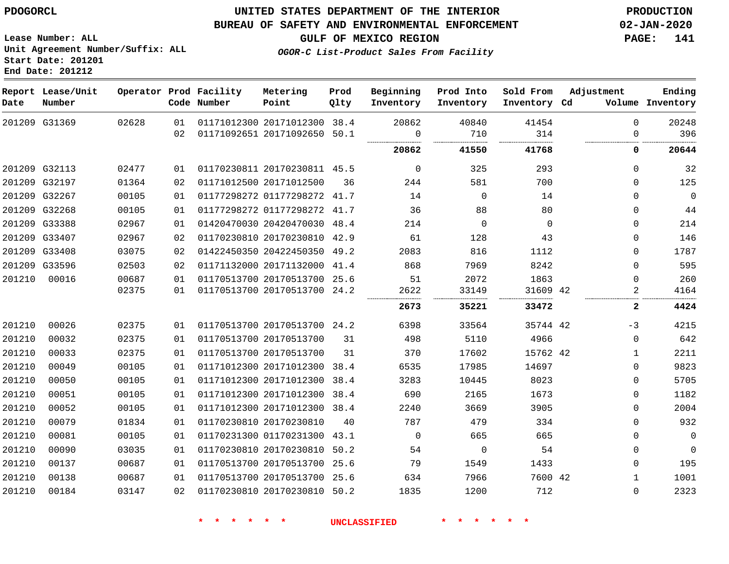#### **BUREAU OF SAFETY AND ENVIRONMENTAL ENFORCEMENT 02-JAN-2020**

**Lease Number: ALL Unit Agreement Number/Suffix: ALL Start Date: 201201**

**End Date: 201212**

**GULF OF MEXICO REGION PAGE: 141**

**OGOR-C List-Product Sales From Facility**

| Date   | Report Lease/Unit<br>Number |       |    | Operator Prod Facility<br>Code Number | Metering<br>Point            | Prod<br>Qlty | Beginning<br>Inventory | Prod Into<br>Inventory | Sold From<br>Inventory Cd | Adjustment   | Ending<br>Volume Inventory |
|--------|-----------------------------|-------|----|---------------------------------------|------------------------------|--------------|------------------------|------------------------|---------------------------|--------------|----------------------------|
|        | 201209 G31369               | 02628 | 01 |                                       | 01171012300 20171012300 38.4 |              | 20862                  | 40840                  | 41454                     | $\Omega$     | 20248                      |
|        |                             |       | 02 |                                       | 01171092651 20171092650 50.1 |              | $\overline{0}$         | 710                    | 314                       | $\Omega$     | 396                        |
|        |                             |       |    |                                       |                              |              | 20862                  | 41550                  | 41768                     | 0            | 20644                      |
|        | 201209 G32113               | 02477 | 01 |                                       | 01170230811 20170230811 45.5 |              | $\overline{0}$         | 325                    | 293                       | $\mathbf{0}$ | 32                         |
|        | 201209 G32197               | 01364 | 02 |                                       | 01171012500 20171012500      | 36           | 244                    | 581                    | 700                       | $\Omega$     | 125                        |
|        | 201209 G32267               | 00105 | 01 |                                       | 01177298272 01177298272 41.7 |              | 14                     | $\overline{0}$         | 14                        | $\Omega$     | $\mathbf 0$                |
|        | 201209 G32268               | 00105 | 01 |                                       | 01177298272 01177298272 41.7 |              | 36                     | 88                     | 80                        | $\mathbf 0$  | 44                         |
|        | 201209 G33388               | 02967 | 01 |                                       | 01420470030 20420470030 48.4 |              | 214                    | $\Omega$               | $\Omega$                  | $\Omega$     | 214                        |
|        | 201209 G33407               | 02967 | 02 |                                       | 01170230810 20170230810 42.9 |              | 61                     | 128                    | 43                        | $\Omega$     | 146                        |
|        | 201209 G33408               | 03075 | 02 |                                       | 01422450350 20422450350 49.2 |              | 2083                   | 816                    | 1112                      | $\Omega$     | 1787                       |
|        | 201209 G33596               | 02503 | 02 |                                       | 01171132000 20171132000 41.4 |              | 868                    | 7969                   | 8242                      | $\Omega$     | 595                        |
| 201210 | 00016                       | 00687 | 01 |                                       | 01170513700 20170513700 25.6 |              | 51                     | 2072                   | 1863                      | $\Omega$     | 260                        |
|        |                             | 02375 | 01 |                                       | 01170513700 20170513700 24.2 |              | 2622                   | 33149                  | 31609 42                  | 2            | 4164                       |
|        |                             |       |    |                                       |                              |              | 2673                   | 35221                  | 33472                     | 2            | 4424                       |
| 201210 | 00026                       | 02375 | 01 |                                       | 01170513700 20170513700 24.2 |              | 6398                   | 33564                  | 35744 42                  | $-3$         | 4215                       |
| 201210 | 00032                       | 02375 | 01 |                                       | 01170513700 20170513700      | 31           | 498                    | 5110                   | 4966                      | $\mathbf 0$  | 642                        |
| 201210 | 00033                       | 02375 | 01 |                                       | 01170513700 20170513700      | 31           | 370                    | 17602                  | 15762 42                  | $\mathbf{1}$ | 2211                       |
| 201210 | 00049                       | 00105 | 01 |                                       | 01171012300 20171012300 38.4 |              | 6535                   | 17985                  | 14697                     | $\Omega$     | 9823                       |
| 201210 | 00050                       | 00105 | 01 |                                       | 01171012300 20171012300 38.4 |              | 3283                   | 10445                  | 8023                      | $\Omega$     | 5705                       |
| 201210 | 00051                       | 00105 | 01 |                                       | 01171012300 20171012300 38.4 |              | 690                    | 2165                   | 1673                      | $\mathbf 0$  | 1182                       |
| 201210 | 00052                       | 00105 | 01 |                                       | 01171012300 20171012300 38.4 |              | 2240                   | 3669                   | 3905                      | $\Omega$     | 2004                       |
| 201210 | 00079                       | 01834 | 01 |                                       | 01170230810 20170230810      | 40           | 787                    | 479                    | 334                       | $\Omega$     | 932                        |
| 201210 | 00081                       | 00105 | 01 |                                       | 01170231300 01170231300 43.1 |              | $\overline{0}$         | 665                    | 665                       | $\mathbf 0$  | $\overline{0}$             |
| 201210 | 00090                       | 03035 | 01 |                                       | 01170230810 20170230810 50.2 |              | 54                     | $\Omega$               | 54                        | $\Omega$     | $\mathbf 0$                |
| 201210 | 00137                       | 00687 | 01 |                                       | 01170513700 20170513700 25.6 |              | 79                     | 1549                   | 1433                      | $\mathbf 0$  | 195                        |
| 201210 | 00138                       | 00687 | 01 |                                       | 01170513700 20170513700 25.6 |              | 634                    | 7966                   | 7600 42                   | 1            | 1001                       |
| 201210 | 00184                       | 03147 | 02 |                                       | 01170230810 20170230810 50.2 |              | 1835                   | 1200                   | 712                       | $\mathbf 0$  | 2323                       |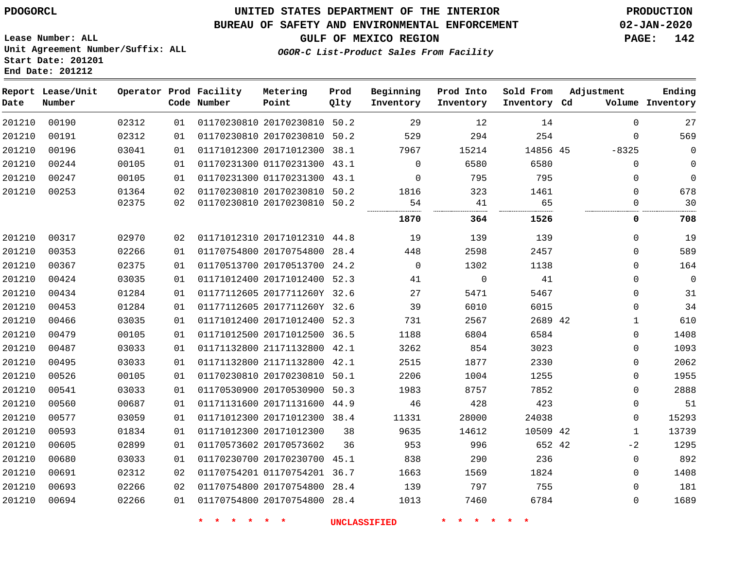#### **BUREAU OF SAFETY AND ENVIRONMENTAL ENFORCEMENT 02-JAN-2020**

**Lease Number: ALL Unit Agreement Number/Suffix: ALL Start Date: 201201 End Date: 201212**

**GULF OF MEXICO REGION PAGE: 142**

**OGOR-C List-Product Sales From Facility**

| Date   | Report Lease/Unit<br>Number |       |    | Operator Prod Facility<br>Code Number | Metering<br>Point            | Prod<br>Qlty | Beginning<br>Inventory | Prod Into<br>Inventory | Sold From<br>Inventory Cd | Adjustment  | Ending<br>Volume Inventory |
|--------|-----------------------------|-------|----|---------------------------------------|------------------------------|--------------|------------------------|------------------------|---------------------------|-------------|----------------------------|
| 201210 | 00190                       | 02312 | 01 |                                       | 01170230810 20170230810 50.2 |              | 29                     | 12                     | 14                        | $\Omega$    | 27                         |
| 201210 | 00191                       | 02312 | 01 |                                       | 01170230810 20170230810 50.2 |              | 529                    | 294                    | 254                       | 0           | 569                        |
| 201210 | 00196                       | 03041 | 01 |                                       | 01171012300 20171012300 38.1 |              | 7967                   | 15214                  | 14856 45                  | $-8325$     | 0                          |
| 201210 | 00244                       | 00105 | 01 |                                       | 01170231300 01170231300 43.1 |              | $\mathbf{0}$           | 6580                   | 6580                      | $\mathbf 0$ | 0                          |
| 201210 | 00247                       | 00105 | 01 |                                       | 01170231300 01170231300 43.1 |              | $\mathbf 0$            | 795                    | 795                       | 0           | $\mathbf 0$                |
| 201210 | 00253                       | 01364 | 02 |                                       | 01170230810 20170230810 50.2 |              | 1816                   | 323                    | 1461                      | $\Omega$    | 678                        |
|        |                             | 02375 | 02 |                                       | 01170230810 20170230810 50.2 |              | 54                     | 41                     | 65                        | 0           | 30                         |
|        |                             |       |    |                                       |                              |              | 1870                   | 364                    | 1526                      | 0           | 708                        |
| 201210 | 00317                       | 02970 | 02 |                                       | 01171012310 20171012310 44.8 |              | 19                     | 139                    | 139                       | $\mathbf 0$ | 19                         |
| 201210 | 00353                       | 02266 | 01 |                                       | 01170754800 20170754800 28.4 |              | 448                    | 2598                   | 2457                      | $\Omega$    | 589                        |
| 201210 | 00367                       | 02375 | 01 |                                       | 01170513700 20170513700 24.2 |              | $\mathbf{0}$           | 1302                   | 1138                      | $\Omega$    | 164                        |
| 201210 | 00424                       | 03035 | 01 |                                       | 01171012400 20171012400 52.3 |              | 41                     | $\mathbf 0$            | 41                        | 0           | 0                          |
| 201210 | 00434                       | 01284 | 01 |                                       | 01177112605 2017711260Y 32.6 |              | 27                     | 5471                   | 5467                      | 0           | 31                         |
| 201210 | 00453                       | 01284 | 01 |                                       | 01177112605 2017711260Y 32.6 |              | 39                     | 6010                   | 6015                      | $\mathbf 0$ | 34                         |
| 201210 | 00466                       | 03035 | 01 |                                       | 01171012400 20171012400 52.3 |              | 731                    | 2567                   | 2689 42                   | 1           | 610                        |
| 201210 | 00479                       | 00105 | 01 |                                       | 01171012500 20171012500 36.5 |              | 1188                   | 6804                   | 6584                      | 0           | 1408                       |
| 201210 | 00487                       | 03033 | 01 |                                       | 01171132800 21171132800 42.1 |              | 3262                   | 854                    | 3023                      | $\Omega$    | 1093                       |
| 201210 | 00495                       | 03033 | 01 |                                       | 01171132800 21171132800 42.1 |              | 2515                   | 1877                   | 2330                      | 0           | 2062                       |
| 201210 | 00526                       | 00105 | 01 |                                       | 01170230810 20170230810 50.1 |              | 2206                   | 1004                   | 1255                      | $\mathbf 0$ | 1955                       |
| 201210 | 00541                       | 03033 | 01 |                                       | 01170530900 20170530900 50.3 |              | 1983                   | 8757                   | 7852                      | $\mathbf 0$ | 2888                       |
| 201210 | 00560                       | 00687 | 01 |                                       | 01171131600 20171131600 44.9 |              | 46                     | 428                    | 423                       | $\Omega$    | 51                         |
| 201210 | 00577                       | 03059 | 01 |                                       | 01171012300 20171012300 38.4 |              | 11331                  | 28000                  | 24038                     | 0           | 15293                      |
| 201210 | 00593                       | 01834 | 01 |                                       | 01171012300 20171012300      | 38           | 9635                   | 14612                  | 10509 42                  | 1           | 13739                      |
| 201210 | 00605                       | 02899 | 01 |                                       | 01170573602 20170573602      | 36           | 953                    | 996                    | 652 42                    | $-2$        | 1295                       |
| 201210 | 00680                       | 03033 | 01 |                                       | 01170230700 20170230700 45.1 |              | 838                    | 290                    | 236                       | 0           | 892                        |
| 201210 | 00691                       | 02312 | 02 |                                       | 01170754201 01170754201 36.7 |              | 1663                   | 1569                   | 1824                      | 0           | 1408                       |
| 201210 | 00693                       | 02266 | 02 |                                       | 01170754800 20170754800 28.4 |              | 139                    | 797                    | 755                       | 0           | 181                        |
| 201210 | 00694                       | 02266 | 01 |                                       | 01170754800 20170754800 28.4 |              | 1013                   | 7460                   | 6784                      | $\Omega$    | 1689                       |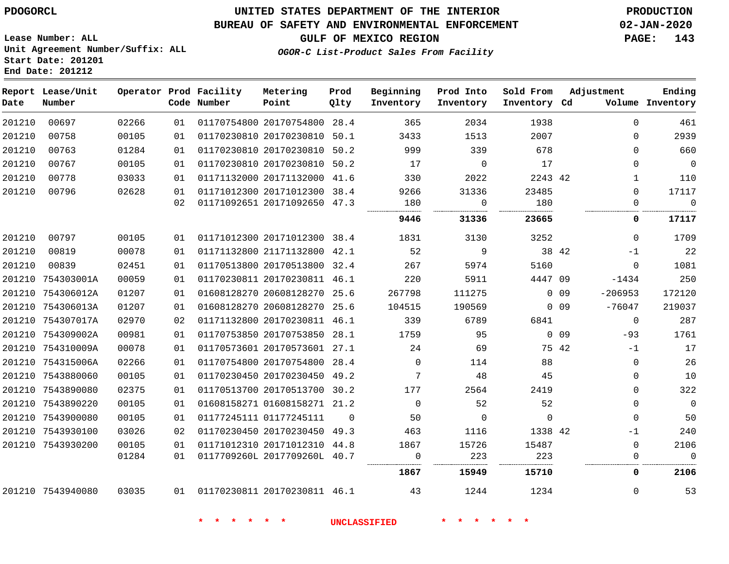#### **BUREAU OF SAFETY AND ENVIRONMENTAL ENFORCEMENT 02-JAN-2020**

**Lease Number: ALL Unit Agreement Number/Suffix: ALL Start Date: 201201 End Date: 201212**

**GULF OF MEXICO REGION PAGE: 143**

**OGOR-C List-Product Sales From Facility**

| Date   | Report Lease/Unit<br>Number |       |    | Operator Prod Facility<br>Code Number | Metering<br>Point            | Prod<br>Qlty | Beginning<br>Inventory | Prod Into<br>Inventory | Sold From<br>Inventory Cd |                 | Adjustment  | Ending<br>Volume Inventory |
|--------|-----------------------------|-------|----|---------------------------------------|------------------------------|--------------|------------------------|------------------------|---------------------------|-----------------|-------------|----------------------------|
| 201210 | 00697                       | 02266 | 01 |                                       | 01170754800 20170754800 28.4 |              | 365                    | 2034                   | 1938                      |                 | $\Omega$    | 461                        |
| 201210 | 00758                       | 00105 | 01 |                                       | 01170230810 20170230810 50.1 |              | 3433                   | 1513                   | 2007                      |                 | $\Omega$    | 2939                       |
| 201210 | 00763                       | 01284 | 01 |                                       | 01170230810 20170230810 50.2 |              | 999                    | 339                    | 678                       |                 | $\Omega$    | 660                        |
| 201210 | 00767                       | 00105 | 01 |                                       | 01170230810 20170230810 50.2 |              | 17                     | $\Omega$               | 17                        |                 | $\Omega$    | $\overline{0}$             |
| 201210 | 00778                       | 03033 | 01 |                                       | 01171132000 20171132000 41.6 |              | 330                    | 2022                   | 2243 42                   |                 | $\mathbf 1$ | 110                        |
| 201210 | 00796                       | 02628 | 01 |                                       | 01171012300 20171012300 38.4 |              | 9266                   | 31336                  | 23485                     |                 | $\mathbf 0$ | 17117                      |
|        |                             |       | 02 |                                       | 01171092651 20171092650 47.3 |              | 180                    | $\mathbf 0$            | 180                       |                 | $\Omega$    | $\overline{0}$             |
|        |                             |       |    |                                       |                              |              | 9446                   | 31336                  | 23665                     |                 | 0           | 17117                      |
| 201210 | 00797                       | 00105 | 01 |                                       | 01171012300 20171012300 38.4 |              | 1831                   | 3130                   | 3252                      |                 | $\Omega$    | 1709                       |
| 201210 | 00819                       | 00078 | 01 |                                       | 01171132800 21171132800 42.1 |              | 52                     | 9                      | 38 42                     |                 | $-1$        | 22                         |
| 201210 | 00839                       | 02451 | 01 |                                       | 01170513800 20170513800 32.4 |              | 267                    | 5974                   | 5160                      |                 | $\Omega$    | 1081                       |
|        | 201210 754303001A           | 00059 | 01 |                                       | 01170230811 20170230811 46.1 |              | 220                    | 5911                   | 4447 09                   |                 | $-1434$     | 250                        |
|        | 201210 754306012A           | 01207 | 01 |                                       | 01608128270 20608128270 25.6 |              | 267798                 | 111275                 |                           | 0 <sub>09</sub> | $-206953$   | 172120                     |
|        | 201210 754306013A           | 01207 | 01 |                                       | 01608128270 20608128270 25.6 |              | 104515                 | 190569                 |                           | 0 <sub>09</sub> | $-76047$    | 219037                     |
|        | 201210 754307017A           | 02970 | 02 |                                       | 01171132800 20170230811 46.1 |              | 339                    | 6789                   | 6841                      |                 | $\Omega$    | 287                        |
|        | 201210 754309002A           | 00981 | 01 |                                       | 01170753850 20170753850 28.1 |              | 1759                   | 95                     |                           | 0 <sub>09</sub> | $-93$       | 1761                       |
|        | 201210 754310009A           | 00078 | 01 |                                       | 01170573601 20170573601 27.1 |              | 24                     | 69                     | 75 42                     |                 | $-1$        | 17                         |
|        | 201210 754315006A           | 02266 | 01 |                                       | 01170754800 20170754800 28.4 |              | $\Omega$               | 114                    | 88                        |                 | $\Omega$    | 26                         |
|        | 201210 7543880060           | 00105 | 01 |                                       | 01170230450 20170230450 49.2 |              | $7\phantom{.0}$        | 48                     | 45                        |                 | $\Omega$    | 10                         |
|        | 201210 7543890080           | 02375 | 01 |                                       | 01170513700 20170513700 30.2 |              | 177                    | 2564                   | 2419                      |                 | $\Omega$    | 322                        |
|        | 201210 7543890220           | 00105 | 01 |                                       | 01608158271 01608158271 21.2 |              | $\overline{0}$         | 52                     | 52                        |                 | $\mathbf 0$ | $\overline{0}$             |
|        | 201210 7543900080           | 00105 | 01 |                                       | 01177245111 01177245111      | $\Omega$     | 50                     | $\overline{0}$         | $\overline{0}$            |                 | $\Omega$    | 50                         |
|        | 201210 7543930100           | 03026 | 02 |                                       | 01170230450 20170230450 49.3 |              | 463                    | 1116                   | 1338 42                   |                 | $-1$        | 240                        |
|        | 201210 7543930200           | 00105 | 01 |                                       | 01171012310 20171012310 44.8 |              | 1867                   | 15726                  | 15487                     |                 | $\Omega$    | 2106                       |
|        |                             | 01284 | 01 |                                       | 0117709260L 2017709260L 40.7 |              | $\Omega$               | 223<br>                | 223                       |                 | $\Omega$    | $\Omega$                   |
|        |                             |       |    |                                       |                              |              | 1867                   | 15949                  | 15710                     |                 | 0           | 2106                       |
|        | 201210 7543940080           | 03035 |    | 01 01170230811 20170230811 46.1       |                              |              | 43                     | 1244                   | 1234                      |                 | $\Omega$    | 53                         |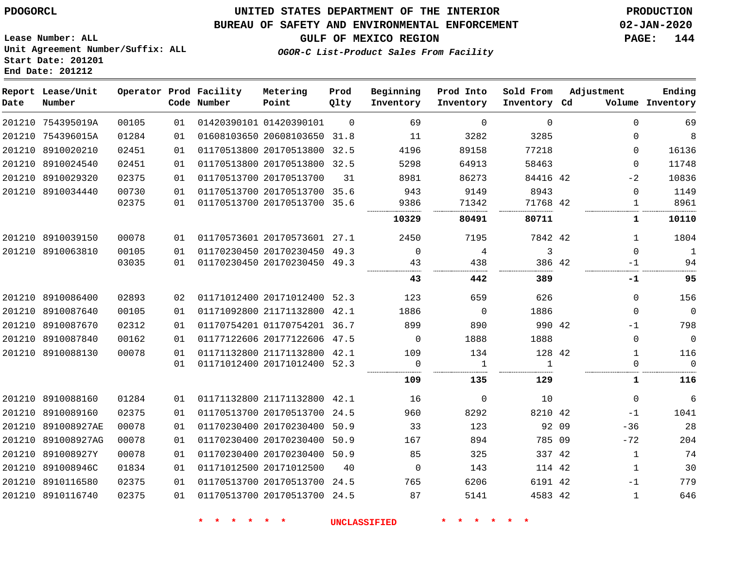#### **BUREAU OF SAFETY AND ENVIRONMENTAL ENFORCEMENT 02-JAN-2020**

**GULF OF MEXICO REGION PAGE: 144**

**Lease Number: ALL Unit Agreement Number/Suffix: ALL Start Date: 201201 End Date: 201212**

#### OGOR-C List-Prod

| -------------- |                          |  | -------- | _____ |
|----------------|--------------------------|--|----------|-------|
|                | luct Sales From Facility |  |          |       |
|                |                          |  |          |       |
|                |                          |  |          |       |

| Date   | Report Lease/Unit<br>Number |       |    | Operator Prod Facility<br>Code Number | Metering<br>Point            | Prod<br>Qlty | Beginning<br>Inventory | Prod Into<br>Inventory | Sold From<br>Inventory Cd | Adjustment |              | Ending<br>Volume Inventory |
|--------|-----------------------------|-------|----|---------------------------------------|------------------------------|--------------|------------------------|------------------------|---------------------------|------------|--------------|----------------------------|
|        | 201210 754395019A           | 00105 | 01 |                                       | 01420390101 01420390101      | $\Omega$     | 69                     | $\mathbf 0$            | $\mathbf 0$               |            | $\Omega$     | 69                         |
|        | 201210 754396015A           | 01284 | 01 |                                       | 01608103650 20608103650 31.8 |              | 11                     | 3282                   | 3285                      |            | $\Omega$     | 8                          |
|        | 201210 8910020210           | 02451 | 01 |                                       | 01170513800 20170513800 32.5 |              | 4196                   | 89158                  | 77218                     |            | $\Omega$     | 16136                      |
|        | 201210 8910024540           | 02451 | 01 |                                       | 01170513800 20170513800 32.5 |              | 5298                   | 64913                  | 58463                     |            | $\Omega$     | 11748                      |
|        | 201210 8910029320           | 02375 | 01 |                                       | 01170513700 20170513700      | 31           | 8981                   | 86273                  | 84416 42                  |            | $-2$         | 10836                      |
|        | 201210 8910034440           | 00730 | 01 |                                       | 01170513700 20170513700 35.6 |              | 943                    | 9149                   | 8943                      |            | $\Omega$     | 1149                       |
|        |                             | 02375 | 01 |                                       | 01170513700 20170513700 35.6 |              | 9386                   | 71342                  | 71768 42                  |            | $\mathbf{1}$ | 8961                       |
|        |                             |       |    |                                       |                              |              | 10329                  | 80491                  | 80711                     |            | 1            | 10110                      |
|        | 201210 8910039150           | 00078 | 01 |                                       | 01170573601 20170573601 27.1 |              | 2450                   | 7195                   | 7842 42                   |            | 1            | 1804                       |
|        | 201210 8910063810           | 00105 | 01 |                                       | 01170230450 20170230450 49.3 |              | $\mathbf{0}$           | 4                      | 3                         |            | $\Omega$     | $\mathbf{1}$               |
|        |                             | 03035 | 01 |                                       | 01170230450 20170230450 49.3 |              | 43                     | 438                    | 386 42                    |            | -1           | 94                         |
|        |                             |       |    |                                       |                              |              | 43                     | 442                    | 389                       |            | -1           | 95                         |
|        | 201210 8910086400           | 02893 | 02 |                                       | 01171012400 20171012400 52.3 |              | 123                    | 659                    | 626                       |            | $\Omega$     | 156                        |
|        | 201210 8910087640           | 00105 | 01 |                                       | 01171092800 21171132800 42.1 |              | 1886                   | $\overline{0}$         | 1886                      |            | $\Omega$     | $\overline{0}$             |
|        | 201210 8910087670           | 02312 | 01 |                                       | 01170754201 01170754201 36.7 |              | 899                    | 890                    | 990 42                    |            | $-1$         | 798                        |
|        | 201210 8910087840           | 00162 | 01 |                                       | 01177122606 20177122606 47.5 |              | $\mathbf 0$            | 1888                   | 1888                      |            | $\Omega$     | $\overline{0}$             |
| 201210 | 8910088130                  | 00078 | 01 |                                       | 01171132800 21171132800 42.1 |              | 109                    | 134                    | 128 42                    |            | $\mathbf{1}$ | 116                        |
|        |                             |       | 01 |                                       | 01171012400 20171012400 52.3 |              | 0                      | 1                      | $\mathbf{1}$              |            | $\Omega$     | $\overline{0}$             |
|        |                             |       |    |                                       |                              |              | 109                    | 135                    | 129                       |            | 1            | 116                        |
|        | 201210 8910088160           | 01284 | 01 |                                       | 01171132800 21171132800 42.1 |              | 16                     | $\mathbf 0$            | 10                        |            | $\mathbf{0}$ | 6                          |
|        | 201210 8910089160           | 02375 | 01 |                                       | 01170513700 20170513700 24.5 |              | 960                    | 8292                   | 8210 42                   |            | $-1$         | 1041                       |
|        | 201210 891008927AE          | 00078 | 01 |                                       | 01170230400 20170230400      | 50.9         | 33                     | 123                    | 92 09                     |            | $-36$        | 28                         |
|        | 201210 891008927AG          | 00078 | 01 |                                       | 01170230400 20170230400      | 50.9         | 167                    | 894                    | 785 09                    |            | $-72$        | 204                        |
| 201210 | 891008927Y                  | 00078 | 01 |                                       | 01170230400 20170230400      | 50.9         | 85                     | 325                    | 337 42                    |            | $\mathbf{1}$ | 74                         |
|        | 201210 891008946C           | 01834 | 01 |                                       | 01171012500 20171012500      | 40           | $\mathbf 0$            | 143                    | 114 42                    |            | $\mathbf{1}$ | 30                         |
|        | 201210 8910116580           | 02375 | 01 |                                       | 01170513700 20170513700 24.5 |              | 765                    | 6206                   | 6191 42                   |            | $-1$         | 779                        |
|        | 201210 8910116740           | 02375 | 01 |                                       | 01170513700 20170513700 24.5 |              | 87                     | 5141                   | 4583 42                   |            | $\mathbf{1}$ | 646                        |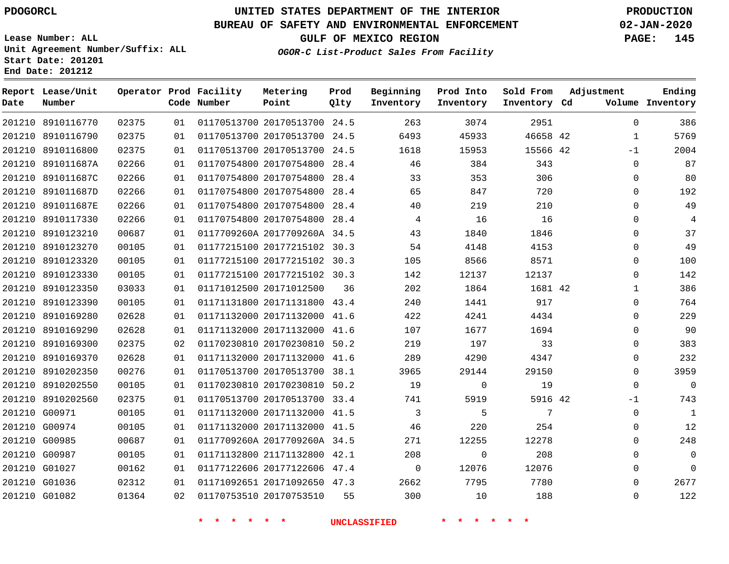### **BUREAU OF SAFETY AND ENVIRONMENTAL ENFORCEMENT 02-JAN-2020**

**Lease Number: ALL Unit Agreement Number/Suffix: ALL Start Date: 201201 End Date: 201212**

**OGOR-C List-Product Sales From Facility**

**GULF OF MEXICO REGION PAGE: 145**

| Date | Report Lease/Unit<br>Number |       |    | Operator Prod Facility<br>Code Number | Metering<br>Point            | Prod<br>Qlty | Beginning<br>Inventory | Prod Into<br>Inventory | Sold From<br>Inventory Cd | Adjustment   | Ending<br>Volume Inventory |
|------|-----------------------------|-------|----|---------------------------------------|------------------------------|--------------|------------------------|------------------------|---------------------------|--------------|----------------------------|
|      | 201210 8910116770           | 02375 | 01 |                                       | 01170513700 20170513700 24.5 |              | 263                    | 3074                   | 2951                      | $\mathbf 0$  | 386                        |
|      | 201210 8910116790           | 02375 | 01 |                                       | 01170513700 20170513700 24.5 |              | 6493                   | 45933                  | 46658 42                  | $\mathbf{1}$ | 5769                       |
|      | 201210 8910116800           | 02375 | 01 |                                       | 01170513700 20170513700 24.5 |              | 1618                   | 15953                  | 15566 42                  | $-1$         | 2004                       |
|      | 201210 891011687A           | 02266 | 01 |                                       | 01170754800 20170754800 28.4 |              | 46                     | 384                    | 343                       | $\Omega$     | 87                         |
|      | 201210 891011687C           | 02266 | 01 |                                       | 01170754800 20170754800      | 28.4         | 33                     | 353                    | 306                       | 0            | 80                         |
|      | 201210 891011687D           | 02266 | 01 |                                       | 01170754800 20170754800 28.4 |              | 65                     | 847                    | 720                       | $\Omega$     | 192                        |
|      | 201210 891011687E           | 02266 | 01 |                                       | 01170754800 20170754800      | 28.4         | 40                     | 219                    | 210                       | $\Omega$     | 49                         |
|      | 201210 8910117330           | 02266 | 01 |                                       | 01170754800 20170754800 28.4 |              | 4                      | 16                     | 16                        | $\Omega$     | 4                          |
|      | 201210 8910123210           | 00687 | 01 |                                       | 0117709260A 2017709260A 34.5 |              | 43                     | 1840                   | 1846                      | $\Omega$     | 37                         |
|      | 201210 8910123270           | 00105 | 01 |                                       | 01177215100 20177215102 30.3 |              | 54                     | 4148                   | 4153                      | $\Omega$     | 49                         |
|      | 201210 8910123320           | 00105 | 01 |                                       | 01177215100 20177215102 30.3 |              | 105                    | 8566                   | 8571                      | $\mathbf 0$  | 100                        |
|      | 201210 8910123330           | 00105 | 01 |                                       | 01177215100 20177215102 30.3 |              | 142                    | 12137                  | 12137                     | $\Omega$     | 142                        |
|      | 201210 8910123350           | 03033 | 01 |                                       | 01171012500 20171012500      | 36           | 202                    | 1864                   | 1681 42                   | 1            | 386                        |
|      | 201210 8910123390           | 00105 | 01 |                                       | 01171131800 20171131800 43.4 |              | 240                    | 1441                   | 917                       | $\Omega$     | 764                        |
|      | 201210 8910169280           | 02628 | 01 |                                       | 01171132000 20171132000      | 41.6         | 422                    | 4241                   | 4434                      | $\Omega$     | 229                        |
|      | 201210 8910169290           | 02628 | 01 |                                       | 01171132000 20171132000 41.6 |              | 107                    | 1677                   | 1694                      | $\mathbf 0$  | 90                         |
|      | 201210 8910169300           | 02375 | 02 |                                       | 01170230810 20170230810      | 50.2         | 219                    | 197                    | 33                        | $\Omega$     | 383                        |
|      | 201210 8910169370           | 02628 | 01 |                                       | 01171132000 20171132000 41.6 |              | 289                    | 4290                   | 4347                      | 0            | 232                        |
|      | 201210 8910202350           | 00276 | 01 |                                       | 01170513700 20170513700      | 38.1         | 3965                   | 29144                  | 29150                     | $\Omega$     | 3959                       |
|      | 201210 8910202550           | 00105 | 01 |                                       | 01170230810 20170230810      | 50.2         | 19                     | 0                      | 19                        | 0            | $\mathbf 0$                |
|      | 201210 8910202560           | 02375 | 01 |                                       | 01170513700 20170513700 33.4 |              | 741                    | 5919                   | 5916 42                   | $-1$         | 743                        |
|      | 201210 G00971               | 00105 | 01 |                                       | 01171132000 20171132000 41.5 |              | 3                      | 5                      | 7                         | 0            | $\mathbf{1}$               |
|      | 201210 G00974               | 00105 | 01 |                                       | 01171132000 20171132000 41.5 |              | 46                     | 220                    | 254                       | 0            | 12                         |
|      | 201210 G00985               | 00687 | 01 |                                       | 0117709260A 2017709260A 34.5 |              | 271                    | 12255                  | 12278                     | 0            | 248                        |
|      | 201210 G00987               | 00105 | 01 |                                       | 01171132800 21171132800 42.1 |              | 208                    | $\mathbf 0$            | 208                       | $\Omega$     | $\mathbf 0$                |
|      | 201210 G01027               | 00162 | 01 |                                       | 01177122606 20177122606 47.4 |              | $\mathbf{0}$           | 12076                  | 12076                     | $\Omega$     | $\Omega$                   |
|      | 201210 G01036               | 02312 | 01 |                                       | 01171092651 20171092650 47.3 |              | 2662                   | 7795                   | 7780                      | $\Omega$     | 2677                       |
|      | 201210 G01082               | 01364 | 02 |                                       | 01170753510 20170753510      | 55           | 300                    | 10                     | 188                       | $\Omega$     | 122                        |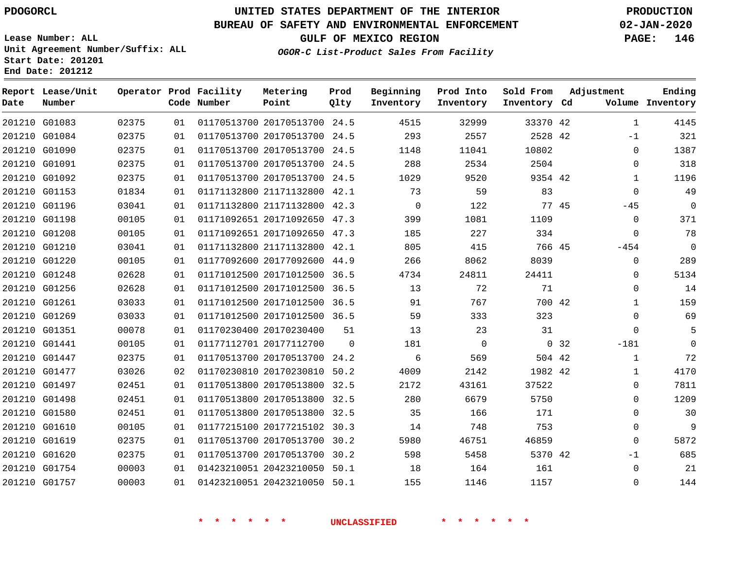### **BUREAU OF SAFETY AND ENVIRONMENTAL ENFORCEMENT 02-JAN-2020**

**Lease Number: ALL Unit Agreement Number/Suffix: ALL Start Date: 201201 End Date: 201212**

**OGOR-C List-Product Sales From Facility**

**GULF OF MEXICO REGION PAGE: 146**

| Metering | Prod | Beginning | Prod Into | Sold From |
|----------|------|-----------|-----------|-----------|

| Date | Report Lease/Unit<br>Number |       |    | Operator Prod Facility<br>Code Number | Metering<br>Point            | Prod<br>Qlty | Beginning<br>Inventory | Prod Into<br>Inventory | Sold From<br>Inventory Cd |       | Adjustment   | Ending<br>Volume Inventory |
|------|-----------------------------|-------|----|---------------------------------------|------------------------------|--------------|------------------------|------------------------|---------------------------|-------|--------------|----------------------------|
|      | 201210 G01083               | 02375 | 01 |                                       | 01170513700 20170513700 24.5 |              | 4515                   | 32999                  | 33370 42                  |       | $\mathbf{1}$ | 4145                       |
|      | 201210 G01084               | 02375 | 01 |                                       | 01170513700 20170513700 24.5 |              | 293                    | 2557                   | 2528 42                   |       | $-1$         | 321                        |
|      | 201210 G01090               | 02375 | 01 |                                       | 01170513700 20170513700 24.5 |              | 1148                   | 11041                  | 10802                     |       | $\mathbf 0$  | 1387                       |
|      | 201210 G01091               | 02375 | 01 |                                       | 01170513700 20170513700 24.5 |              | 288                    | 2534                   | 2504                      |       | $\mathbf 0$  | 318                        |
|      | 201210 G01092               | 02375 | 01 |                                       | 01170513700 20170513700 24.5 |              | 1029                   | 9520                   | 9354 42                   |       | $\mathbf{1}$ | 1196                       |
|      | 201210 G01153               | 01834 | 01 |                                       | 01171132800 21171132800 42.1 |              | 73                     | 59                     | 83                        |       | $\Omega$     | 49                         |
|      | 201210 G01196               | 03041 | 01 |                                       | 01171132800 21171132800 42.3 |              | $\mathbf 0$            | 122                    | 77 45                     |       | $-45$        | $\overline{0}$             |
|      | 201210 G01198               | 00105 | 01 |                                       | 01171092651 20171092650 47.3 |              | 399                    | 1081                   | 1109                      |       | $\mathbf 0$  | 371                        |
|      | 201210 G01208               | 00105 | 01 |                                       | 01171092651 20171092650 47.3 |              | 185                    | 227                    | 334                       |       | $\Omega$     | 78                         |
|      | 201210 G01210               | 03041 | 01 |                                       | 01171132800 21171132800 42.1 |              | 805                    | 415                    | 766 45                    |       | $-454$       | $\overline{0}$             |
|      | 201210 G01220               | 00105 | 01 |                                       | 01177092600 20177092600 44.9 |              | 266                    | 8062                   | 8039                      |       | $\mathbf 0$  | 289                        |
|      | 201210 G01248               | 02628 | 01 |                                       | 01171012500 20171012500 36.5 |              | 4734                   | 24811                  | 24411                     |       | 0            | 5134                       |
|      | 201210 G01256               | 02628 | 01 |                                       | 01171012500 20171012500 36.5 |              | 13                     | 72                     | 71                        |       | $\Omega$     | 14                         |
|      | 201210 G01261               | 03033 | 01 |                                       | 01171012500 20171012500 36.5 |              | 91                     | 767                    | 700 42                    |       | 1            | 159                        |
|      | 201210 G01269               | 03033 | 01 |                                       | 01171012500 20171012500 36.5 |              | 59                     | 333                    | 323                       |       | $\Omega$     | 69                         |
|      | 201210 G01351               | 00078 | 01 |                                       | 01170230400 20170230400      | 51           | 13                     | 23                     | 31                        |       | $\Omega$     |                            |
|      | 201210 G01441               | 00105 | 01 |                                       | 01177112701 20177112700      | $\Omega$     | 181                    | $\mathbf 0$            |                           | 0, 32 | $-181$       | $\Omega$                   |
|      | 201210 G01447               | 02375 | 01 |                                       | 01170513700 20170513700      | 24.2         | 6                      | 569                    | 504 42                    |       | $\mathbf{1}$ | 72                         |
|      | 201210 G01477               | 03026 | 02 |                                       | 01170230810 20170230810 50.2 |              | 4009                   | 2142                   | 1982 42                   |       | $\mathbf{1}$ | 4170                       |
|      | 201210 G01497               | 02451 | 01 |                                       | 01170513800 20170513800 32.5 |              | 2172                   | 43161                  | 37522                     |       | $\mathbf 0$  | 7811                       |
|      | 201210 G01498               | 02451 | 01 |                                       | 01170513800 20170513800 32.5 |              | 280                    | 6679                   | 5750                      |       | $\mathbf 0$  | 1209                       |
|      | 201210 G01580               | 02451 | 01 |                                       | 01170513800 20170513800 32.5 |              | 35                     | 166                    | 171                       |       | $\mathbf 0$  | 30                         |
|      | 201210 G01610               | 00105 | 01 |                                       | 01177215100 20177215102 30.3 |              | 14                     | 748                    | 753                       |       | $\mathbf 0$  | 9                          |
|      | 201210 G01619               | 02375 | 01 |                                       | 01170513700 20170513700      | 30.2         | 5980                   | 46751                  | 46859                     |       | $\mathbf 0$  | 5872                       |
|      | 201210 G01620               | 02375 | 01 |                                       | 01170513700 20170513700 30.2 |              | 598                    | 5458                   | 5370 42                   |       | $-1$         | 685                        |
|      | 201210 G01754               | 00003 | 01 |                                       | 01423210051 20423210050 50.1 |              | 18                     | 164                    | 161                       |       | $\mathbf 0$  | 21                         |
|      | 201210 G01757               | 00003 | 01 |                                       | 01423210051 20423210050 50.1 |              | 155                    | 1146                   | 1157                      |       | $\mathbf 0$  | 144                        |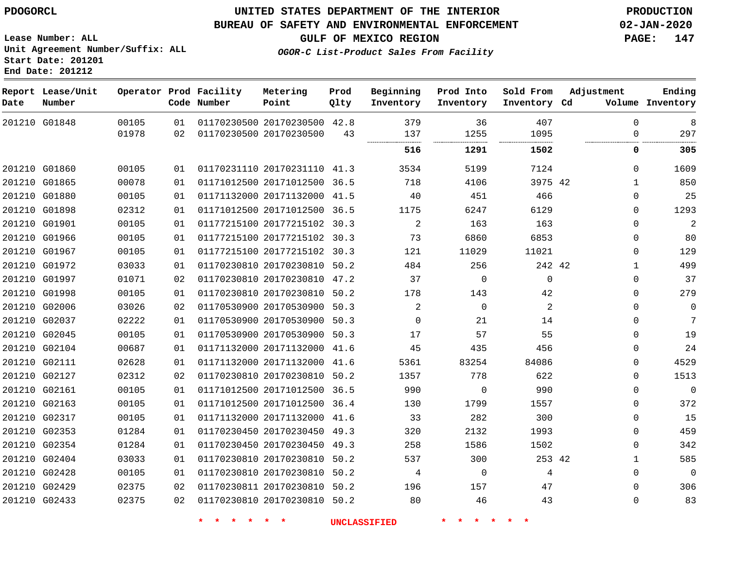**End Date: 201212**

## **UNITED STATES DEPARTMENT OF THE INTERIOR PDOGORCL PRODUCTION**

#### **BUREAU OF SAFETY AND ENVIRONMENTAL ENFORCEMENT 02-JAN-2020**

**Lease Number: ALL Unit Agreement Number/Suffix: ALL Start Date: 201201**

## **GULF OF MEXICO REGION PAGE: 147**

**OGOR-C List-Product Sales From Facility**

| Date          | Report Lease/Unit<br>Number |                |          | Operator Prod Facility<br>Code Number | Metering<br>Point            | Prod<br>Qlty | Beginning<br>Inventory | Prod Into<br>Inventory | Sold From<br>Inventory Cd | Adjustment           | Ending<br>Volume Inventory |
|---------------|-----------------------------|----------------|----------|---------------------------------------|------------------------------|--------------|------------------------|------------------------|---------------------------|----------------------|----------------------------|
|               | 201210 G01848               | 00105<br>01978 | 01<br>02 | 01170230500 20170230500               | 01170230500 20170230500 42.8 | 43           | 379<br>137             | 36<br>1255             | 407<br>1095               | $\Omega$<br>$\Omega$ | 8<br>297                   |
|               |                             |                |          |                                       |                              |              | 516                    | 1291                   | 1502                      | 0                    | 305                        |
|               | 201210 G01860               | 00105          | 01       |                                       | 01170231110 20170231110 41.3 |              | 3534                   | 5199                   | 7124                      | $\Omega$             | 1609                       |
|               | 201210 G01865               | 00078          | 01       | 01171012500 20171012500 36.5          |                              |              | 718                    | 4106                   | 3975 42                   | 1                    | 850                        |
|               | 201210 G01880               | 00105          | 01       |                                       | 01171132000 20171132000 41.5 |              | 40                     | 451                    | 466                       | $\Omega$             | 25                         |
|               | 201210 G01898               | 02312          | 01       |                                       | 01171012500 20171012500      | 36.5         | 1175                   | 6247                   | 6129                      | $\Omega$             | 1293                       |
| 201210 G01901 |                             | 00105          | 01       |                                       | 01177215100 20177215102 30.3 |              | $\overline{2}$         | 163                    | 163                       | $\Omega$             | $\overline{2}$             |
| 201210 G01966 |                             | 00105          | 01       |                                       | 01177215100 20177215102 30.3 |              | 73                     | 6860                   | 6853                      | $\Omega$             | 80                         |
|               | 201210 G01967               | 00105          | 01       |                                       | 01177215100 20177215102 30.3 |              | 121                    | 11029                  | 11021                     | 0                    | 129                        |
|               | 201210 G01972               | 03033          | 01       |                                       | 01170230810 20170230810      | 50.2         | 484                    | 256                    | 242 42                    | 1                    | 499                        |
|               | 201210 G01997               | 01071          | 02       |                                       | 01170230810 20170230810 47.2 |              | 37                     | $\overline{0}$         | $\mathbf 0$               | 0                    | 37                         |
|               | 201210 G01998               | 00105          | 01       |                                       | 01170230810 20170230810 50.2 |              | 178                    | 143                    | 42                        | $\Omega$             | 279                        |
|               | 201210 G02006               | 03026          | 02       | 01170530900 20170530900 50.3          |                              |              | 2                      | $\mathbf 0$            | $\overline{2}$            | $\mathbf{0}$         | $\mathbf 0$                |
|               | 201210 G02037               | 02222          | 01       |                                       | 01170530900 20170530900 50.3 |              | $\Omega$               | 21                     | 14                        | 0                    | 7                          |
| 201210 G02045 |                             | 00105          | 01       |                                       | 01170530900 20170530900 50.3 |              | 17                     | 57                     | 55                        | $\mathbf{0}$         | 19                         |
| 201210 G02104 |                             | 00687          | 01       |                                       | 01171132000 20171132000 41.6 |              | 45                     | 435                    | 456                       | $\Omega$             | 24                         |
|               | 201210 G02111               | 02628          | 01       |                                       | 01171132000 20171132000 41.6 |              | 5361                   | 83254                  | 84086                     | $\mathbf{0}$         | 4529                       |
|               | 201210 G02127               | 02312          | 02       |                                       | 01170230810 20170230810 50.2 |              | 1357                   | 778                    | 622                       | 0                    | 1513                       |
| 201210 G02161 |                             | 00105          | 01       |                                       | 01171012500 20171012500      | 36.5         | 990                    | $\mathbf 0$            | 990                       | $\mathbf 0$          | $\mathbf 0$                |
|               | 201210 G02163               | 00105          | 01       |                                       | 01171012500 20171012500 36.4 |              | 130                    | 1799                   | 1557                      | $\Omega$             | 372                        |
|               | 201210 G02317               | 00105          | 01       |                                       | 01171132000 20171132000 41.6 |              | 33                     | 282                    | 300                       | $\Omega$             | 15                         |
|               | 201210 G02353               | 01284          | 01       | 01170230450 20170230450 49.3          |                              |              | 320                    | 2132                   | 1993                      | $\Omega$             | 459                        |
|               | 201210 G02354               | 01284          | 01       |                                       | 01170230450 20170230450 49.3 |              | 258                    | 1586                   | 1502                      | 0                    | 342                        |
|               | 201210 G02404               | 03033          | 01       |                                       | 01170230810 20170230810      | 50.2         | 537                    | 300                    | 253 42                    | $\mathbf{1}$         | 585                        |
|               | 201210 G02428               | 00105          | 01       |                                       | 01170230810 20170230810 50.2 |              | 4                      | $\overline{0}$         | 4                         | $\Omega$             | $\mathbf 0$                |
|               | 201210 G02429               | 02375          | 02       |                                       | 01170230811 20170230810 50.2 |              | 196                    | 157                    | 47                        | $\Omega$             | 306                        |
|               | 201210 G02433               | 02375          | 02       |                                       | 01170230810 20170230810 50.2 |              | 80                     | 46                     | 43                        | $\Omega$             | 83                         |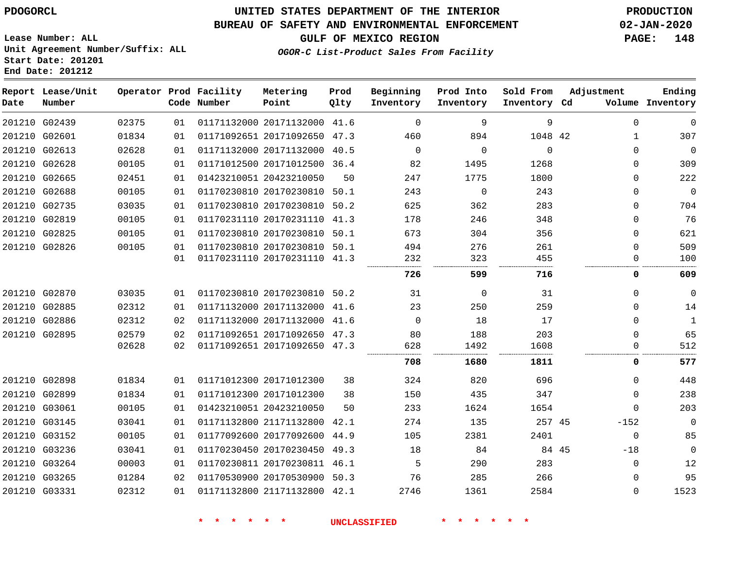G03265 G03331    

# **UNITED STATES DEPARTMENT OF THE INTERIOR PDOGORCL PRODUCTION**

#### **BUREAU OF SAFETY AND ENVIRONMENTAL ENFORCEMENT 02-JAN-2020**

**OGOR-C List-Product Sales From Facility**

**GULF OF MEXICO REGION PAGE: 148**

**Prod**

**Adjustment**

**Ending**

 

 

**Lease Number: ALL Unit Agreement Number/Suffix: ALL Start Date: 201201 End Date: 201212**

| Date | Report Lease/Unit<br>Number |       |    | Operator Prod Facility<br>Code Number | Metering<br>Point            | Prod<br>Qlty | Beginning<br>Inventory | Prod Into<br>Inventory | Sold From<br>Inventory Cd | Adjustment   | Ending<br>Volume Inventory |
|------|-----------------------------|-------|----|---------------------------------------|------------------------------|--------------|------------------------|------------------------|---------------------------|--------------|----------------------------|
|      | 201210 G02439               | 02375 | 01 |                                       | 01171132000 20171132000      | 41.6         | $\Omega$               | 9                      | 9                         | $\mathbf 0$  | $\mathbf 0$                |
|      | 201210 G02601               | 01834 | 01 |                                       | 01171092651 20171092650 47.3 |              | 460                    | 894                    | 1048 42                   | $\mathbf{1}$ | 307                        |
|      | 201210 G02613               | 02628 | 01 |                                       | 01171132000 20171132000      | 40.5         | $\Omega$               | $\Omega$               | $\Omega$                  | $\Omega$     | $\Omega$                   |
|      | 201210 G02628               | 00105 | 01 |                                       | 01171012500 20171012500 36.4 |              | 82                     | 1495                   | 1268                      | $\Omega$     | 309                        |
|      | 201210 G02665               | 02451 | 01 |                                       | 01423210051 20423210050      | 50           | 247                    | 1775                   | 1800                      | $\Omega$     | 222                        |
|      | 201210 G02688               | 00105 | 01 |                                       | 01170230810 20170230810 50.1 |              | 243                    | $\Omega$               | 243                       | $\Omega$     | $\mathbf 0$                |
|      | 201210 G02735               | 03035 | 01 |                                       | 01170230810 20170230810 50.2 |              | 625                    | 362                    | 283                       | $\mathbf 0$  | 704                        |
|      | 201210 G02819               | 00105 | 01 |                                       | 01170231110 20170231110 41.3 |              | 178                    | 246                    | 348                       | $\mathbf 0$  | 76                         |
|      | 201210 G02825               | 00105 | 01 |                                       | 01170230810 20170230810 50.1 |              | 673                    | 304                    | 356                       | $\Omega$     | 621                        |
|      | 201210 G02826               | 00105 | 01 |                                       | 01170230810 20170230810 50.1 |              | 494                    | 276                    | 261                       | $\Omega$     | 509                        |
|      |                             |       | 01 |                                       | 01170231110 20170231110 41.3 |              | 232                    | 323                    | 455                       | 0            | 100                        |
|      |                             |       |    |                                       |                              |              | 726                    | 599                    | 716                       | 0            | 609                        |
|      | 201210 G02870               | 03035 | 01 |                                       | 01170230810 20170230810 50.2 |              | 31                     | 0                      | 31                        | $\mathbf 0$  | $\mathbf 0$                |
|      | 201210 G02885               | 02312 | 01 |                                       | 01171132000 20171132000 41.6 |              | 23                     | 250                    | 259                       | $\mathbf 0$  | 14                         |
|      | 201210 G02886               | 02312 | 02 |                                       | 01171132000 20171132000 41.6 |              | $\Omega$               | 18                     | 17                        | $\Omega$     | $\mathbf{1}$               |
|      | 201210 G02895               | 02579 | 02 |                                       | 01171092651 20171092650 47.3 |              | 80                     | 188                    | 203                       | $\Omega$     | 65                         |
|      |                             | 02628 | 02 |                                       | 01171092651 20171092650 47.3 |              | 628                    | 1492                   | 1608                      | 0            | 512                        |
|      |                             |       |    |                                       |                              |              | 708                    | 1680                   | 1811                      | 0            | 577                        |
|      | 201210 G02898               | 01834 | 01 |                                       | 01171012300 20171012300      | 38           | 324                    | 820                    | 696                       | $\mathbf 0$  | 448                        |
|      | 201210 G02899               | 01834 | 01 |                                       | 01171012300 20171012300      | 38           | 150                    | 435                    | 347                       | $\mathbf 0$  | 238                        |
|      | 201210 G03061               | 00105 | 01 |                                       | 01423210051 20423210050      | 50           | 233                    | 1624                   | 1654                      | $\Omega$     | 203                        |
|      | 201210 G03145               | 03041 | 01 |                                       | 01171132800 21171132800      | 42.1         | 274                    | 135                    | 257 45                    | $-152$       | $\Omega$                   |
|      | 201210 G03152               | 00105 | 01 |                                       | 01177092600 20177092600      | 44.9         | 105                    | 2381                   | 2401                      | $\mathsf 0$  | 85                         |
|      | 201210 G03236               | 03041 | 01 |                                       | 01170230450 20170230450      | 49.3         | 18                     | 84                     | 84 45                     | $-18$        | $\mathbf 0$                |
|      | 201210 G03264               | 00003 | 01 |                                       | 01170230811 20170230811 46.1 |              | 5                      | 290                    | 283                       | $\mathbf 0$  | 12                         |

 20170530900 50.3 21171132800 42.1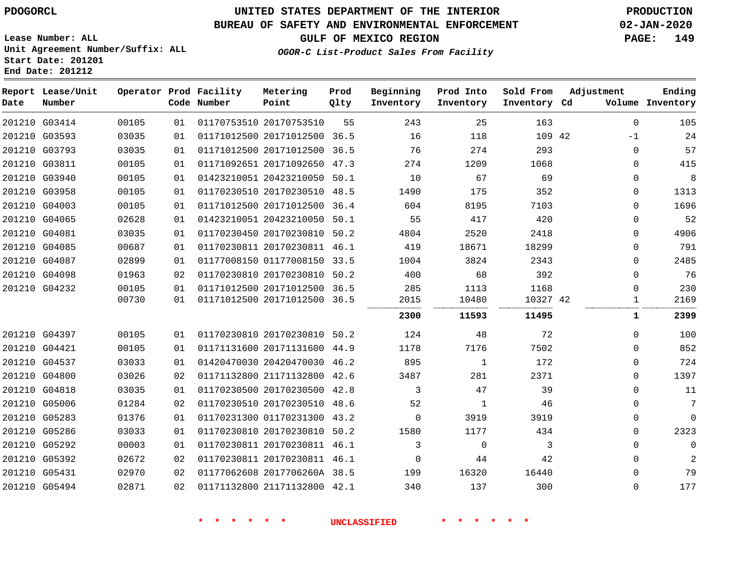**End Date: 201212**

**Report Lease/Unit**

**Number**

 G03414 G03593 G03793 G03811 G03940 G03958 G04003 G04065 G04081 G04085 G04087 G04098 G04232

**Date**

# **UNITED STATES DEPARTMENT OF THE INTERIOR PDOGORCL PRODUCTION**

**Prod Qlty**

#### **BUREAU OF SAFETY AND ENVIRONMENTAL ENFORCEMENT 02-JAN-2020**

**Lease Number: ALL Unit Agreement Number/Suffix: ALL Start Date: 201201**

**Operator Prod Facility**

**Code Number**

**OGOR-C List-Product Sales From Facility**

**Beginning Inventory** **Prod Into Inventory**

**GULF OF MEXICO REGION PAGE: 149**

**Inventory Cd Volume**

**Adjustment**

 -1  $\Omega$   $\Omega$  $\Omega$   $\Omega$   $\Omega$  $\overline{0}$ 

**Ending**

**Sold From Inventory**

<u>1</u>

| 163   | 25        | 243  | 55   | 01170753510 20170753510 |             | 01 | 00105 |
|-------|-----------|------|------|-------------------------|-------------|----|-------|
| 109   | 118       | 16   | 36.5 | 20171012500             | 01171012500 | 01 | 03035 |
| 293   | 274       | 76   | 36.5 | 20171012500             | 01171012500 | 01 | 03035 |
| 1068  | 1209      | 274  | 47.3 | 20171092650             | 01171092651 | 01 | 00105 |
| 69    | 67        | 10   | 50.1 | 20423210050             | 01423210051 | 01 | 00105 |
| 352   | 175       | 1490 | 48.5 | 20170230510             | 01170230510 | 01 | 00105 |
| 7103  | 8195      | 604  | 36.4 | 20171012500             | 01171012500 | 01 | 00105 |
| 420   | 417       | 55   | 50.1 | 20423210050             | 01423210051 | 01 | 02628 |
| 2418  | 2520      | 4804 | 50.2 | 20170230810             | 01170230450 | 01 | 03035 |
| 18299 | 18671     | 419  | 46.1 | 20170230811             | 01170230811 | 01 | 00687 |
| 2343  | 3824      | 1004 | 33.5 | 01177008150             | 01177008150 | 01 | 02899 |
| 392   | 68        | 400  | 50.2 | 20170230810             | 01170230810 | 02 | 01963 |
| 1168  | 1113      | 285  | 36.5 | 20171012500             | 01171012500 | 01 | 00105 |
| 10327 | 10480<br> | 2015 | 36.5 | 20171012500             | 01171012500 | 01 | 00730 |
|       |           |      |      |                         |             |    |       |

**Metering Point**

|               |       |    |                              |      | 2300 | 11593 | 11495 |              | 2399     |
|---------------|-------|----|------------------------------|------|------|-------|-------|--------------|----------|
| 201210 G04397 | 00105 | 01 | 01170230810 20170230810      | 50.2 | 124  | 48    | 72    | 0            | 100      |
| 201210 G04421 | 00105 | 01 | 01171131600 20171131600 44.9 |      | 1178 | 7176  | 7502  | $\mathbf 0$  | 852      |
| 201210 G04537 | 03033 | 01 | 01420470030 20420470030 46.2 |      | 895  |       | 172   | $\mathbf 0$  | 724      |
| 201210 G04800 | 03026 | 02 | 01171132800 21171132800 42.6 |      | 3487 | 281   | 2371  | 0            | 1397     |
| 201210 G04818 | 03035 | 01 | 01170230500 20170230500      | 42.8 |      | 47    | 39    | 0            | 11       |
| 201210 G05006 | 01284 | 02 | 01170230510 20170230510 48.6 |      | 52   |       | 46    | $\Omega$     | 7        |
| 201210 G05283 | 01376 | 01 | 01170231300 01170231300 43.2 |      |      | 3919  | 3919  | $\mathbf 0$  | $\Omega$ |
| 201210 G05286 | 03033 | 01 | 01170230810 20170230810      | 50.2 | 1580 | 1177  | 434   | $\mathbf 0$  | 2323     |
| 201210 G05292 | 00003 | 01 | 01170230811 20170230811 46.1 |      |      |       |       | $\mathbf{0}$ | 0        |
| 201210 G05392 | 02672 | 02 | 01170230811 20170230811 46.1 |      |      | 44    | 42    | $\mathbf 0$  | 2        |
| 201210 G05431 | 02970 | 02 | 01177062608 2017706260A 38.5 |      | 199  | 16320 | 16440 | $\mathbf 0$  | 79       |
| 201210 G05494 | 02871 | 02 | 01171132800 21171132800 42.1 |      | 340  | 137   | 300   | $\Omega$     | 177      |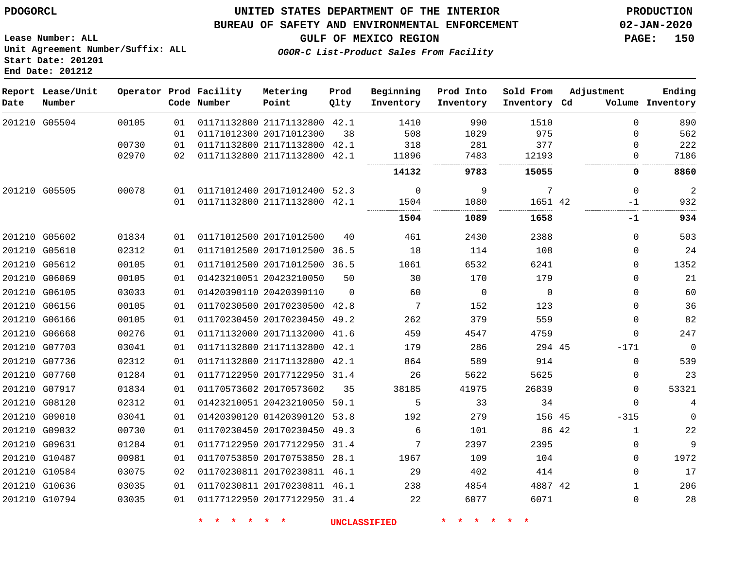**Report Lease/Unit**

## **UNITED STATES DEPARTMENT OF THE INTERIOR PDOGORCL PRODUCTION**

#### **BUREAU OF SAFETY AND ENVIRONMENTAL ENFORCEMENT 02-JAN-2020**

**Lease Number: ALL Unit Agreement Number/Suffix: ALL Start Date: 201201 End Date: 201212**

**OGOR-C List-Product Sales From Facility**

**GULF OF MEXICO REGION PAGE: 150**

**Ending**

**Operator Prod Facility Metering Point Prod**  $Q_1$ **Beginning Prod Into Sold From Adjustment**

| Date          | Number        |       |    | Code Number             | Point                        | Qlty     | Inventory | Inventory   | Inventory Cd |       |              | Volume Inventory |
|---------------|---------------|-------|----|-------------------------|------------------------------|----------|-----------|-------------|--------------|-------|--------------|------------------|
|               | 201210 G05504 | 00105 | 01 |                         | 01171132800 21171132800      | 42.1     | 1410      | 990         | 1510         |       | $\Omega$     | 890              |
|               |               |       | 01 | 01171012300 20171012300 |                              | 38       | 508       | 1029        | 975          |       | $\Omega$     | 562              |
|               |               | 00730 | 01 |                         | 01171132800 21171132800      | 42.1     | 318       | 281         | 377          |       | 0            | 222              |
|               |               | 02970 | 02 |                         | 01171132800 21171132800      | 42.1     | 11896     | 7483        | 12193        |       | $\Omega$     | 7186             |
|               |               |       |    |                         |                              |          | 14132     | 9783        | 15055        |       | 0            | 8860             |
| 201210 G05505 |               | 00078 | 01 |                         | 01171012400 20171012400      | 52.3     | 0         | 9           | 7            |       | $\mathbf 0$  | $\overline{2}$   |
|               |               |       | 01 |                         | 01171132800 21171132800      | 42.1     | 1504      | 1080        | 1651 42      |       | -1           | 932              |
|               |               |       |    |                         |                              |          | 1504      | 1089        | 1658         |       | -1           | 934              |
| 201210 G05602 |               | 01834 | 01 |                         | 01171012500 20171012500      | 40       | 461       | 2430        | 2388         |       | $\Omega$     | 503              |
|               | 201210 G05610 | 02312 | 01 |                         | 01171012500 20171012500      | 36.5     | 18        | 114         | 108          |       | 0            | 24               |
|               | 201210 G05612 | 00105 | 01 |                         | 01171012500 20171012500      | 36.5     | 1061      | 6532        | 6241         |       | 0            | 1352             |
|               | 201210 G06069 | 00105 | 01 |                         | 01423210051 20423210050      | 50       | 30        | 170         | 179          |       | $\Omega$     | 21               |
|               | 201210 G06105 | 03033 | 01 |                         | 01420390110 20420390110      | $\Omega$ | 60        | $\mathbf 0$ | $\Omega$     |       | 0            | 60               |
|               | 201210 G06156 | 00105 | 01 |                         | 01170230500 20170230500      | 42.8     | 7         | 152         | 123          |       | 0            | 36               |
| 201210 G06166 |               | 00105 | 01 |                         | 01170230450 20170230450      | 49.2     | 262       | 379         | 559          |       | 0            | 82               |
|               | 201210 G06668 | 00276 | 01 |                         | 01171132000 20171132000      | 41.6     | 459       | 4547        | 4759         |       | $\Omega$     | 247              |
|               | 201210 G07703 | 03041 | 01 |                         | 01171132800 21171132800      | 42.1     | 179       | 286         | 294 45       |       | $-171$       | $\mathbf 0$      |
|               | 201210 G07736 | 02312 | 01 |                         | 01171132800 21171132800      | 42.1     | 864       | 589         | 914          |       | 0            | 539              |
|               | 201210 G07760 | 01284 | 01 |                         | 01177122950 20177122950 31.4 |          | 26        | 5622        | 5625         |       | 0            | 23               |
|               | 201210 G07917 | 01834 | 01 |                         | 01170573602 20170573602      | 35       | 38185     | 41975       | 26839        |       | $\Omega$     | 53321            |
|               | 201210 G08120 | 02312 | 01 |                         | 01423210051 20423210050      | 50.1     | 5         | 33          | 34           |       | $\Omega$     | 4                |
|               | 201210 G09010 | 03041 | 01 |                         | 01420390120 01420390120      | 53.8     | 192       | 279         | 156 45       |       | $-315$       | $\mathbf 0$      |
|               | 201210 G09032 | 00730 | 01 |                         | 01170230450 20170230450 49.3 |          | 6         | 101         |              | 86 42 | $\mathbf{1}$ | 22               |
|               | 201210 G09631 | 01284 | 01 |                         | 01177122950 20177122950      | 31.4     | 7         | 2397        | 2395         |       | 0            | 9                |
|               | 201210 G10487 | 00981 | 01 |                         | 01170753850 20170753850      | 28.1     | 1967      | 109         | 104          |       | $\Omega$     | 1972             |
|               | 201210 G10584 | 03075 | 02 |                         | 01170230811 20170230811 46.1 |          | 29        | 402         | 414          |       | $\Omega$     | 17               |
|               | 201210 G10636 | 03035 | 01 |                         | 01170230811 20170230811 46.1 |          | 238       | 4854        | 4887 42      |       | $\mathbf{1}$ | 206              |
|               | 201210 G10794 | 03035 | 01 |                         | 01177122950 20177122950 31.4 |          | 22        | 6077        | 6071         |       | 0            | 28               |

**\* \* \* \* \* \* UNCLASSIFIED \* \* \* \* \* \***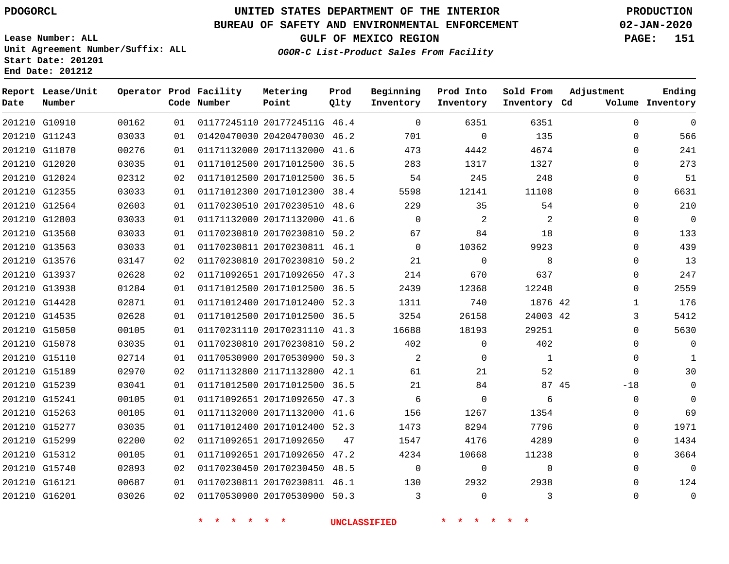#### **BUREAU OF SAFETY AND ENVIRONMENTAL ENFORCEMENT 02-JAN-2020**

**Lease Number: ALL Unit Agreement Number/Suffix: ALL Start Date: 201201 End Date: 201212**

**OGOR-C List-Product Sales From Facility**

**GULF OF MEXICO REGION PAGE: 151**

**Metering Prod Beginning Prod Into Sold From**

| Date          | Report Lease/Unit<br>Number |       |    | Operator Prod Facility<br>Code Number | Metering<br>Point            | Prod<br>Qlty | Beginning<br>Inventory | Prod Into<br>Inventory | Sold From<br>Inventory Cd | Adjustment  | Ending<br>Volume Inventory |
|---------------|-----------------------------|-------|----|---------------------------------------|------------------------------|--------------|------------------------|------------------------|---------------------------|-------------|----------------------------|
|               | 201210 G10910               | 00162 | 01 |                                       | 01177245110 2017724511G 46.4 |              | $\Omega$               | 6351                   | 6351                      | $\Omega$    | $\mathbf 0$                |
|               | 201210 G11243               | 03033 | 01 |                                       | 01420470030 20420470030 46.2 |              | 701                    | $\mathbf 0$            | 135                       | $\mathbf 0$ | 566                        |
|               | 201210 G11870               | 00276 | 01 |                                       | 01171132000 20171132000 41.6 |              | 473                    | 4442                   | 4674                      | $\mathbf 0$ | 241                        |
|               | 201210 G12020               | 03035 | 01 |                                       | 01171012500 20171012500 36.5 |              | 283                    | 1317                   | 1327                      | $\mathbf 0$ | 273                        |
|               | 201210 G12024               | 02312 | 02 |                                       | 01171012500 20171012500 36.5 |              | 54                     | 245                    | 248                       | $\Omega$    | 51                         |
|               | 201210 G12355               | 03033 | 01 |                                       | 01171012300 20171012300 38.4 |              | 5598                   | 12141                  | 11108                     | $\mathbf 0$ | 6631                       |
|               | 201210 G12564               | 02603 | 01 |                                       | 01170230510 20170230510 48.6 |              | 229                    | 35                     | 54                        | $\mathbf 0$ | 210                        |
|               | 201210 G12803               | 03033 | 01 |                                       | 01171132000 20171132000 41.6 |              | $\mathbf 0$            | 2                      | 2                         | $\mathbf 0$ | $\overline{0}$             |
|               | 201210 G13560               | 03033 | 01 |                                       | 01170230810 20170230810 50.2 |              | 67                     | 84                     | 18                        | $\Omega$    | 133                        |
|               | 201210 G13563               | 03033 | 01 |                                       | 01170230811 20170230811 46.1 |              | $\mathbf 0$            | 10362                  | 9923                      | 0           | 439                        |
|               | 201210 G13576               | 03147 | 02 |                                       | 01170230810 20170230810 50.2 |              | 21                     | $\Omega$               | 8                         | $\mathbf 0$ | 13                         |
|               | 201210 G13937               | 02628 | 02 |                                       | 01171092651 20171092650 47.3 |              | 214                    | 670                    | 637                       | $\mathbf 0$ | 247                        |
|               | 201210 G13938               | 01284 | 01 |                                       | 01171012500 20171012500 36.5 |              | 2439                   | 12368                  | 12248                     | $\Omega$    | 2559                       |
|               | 201210 G14428               | 02871 | 01 |                                       | 01171012400 20171012400 52.3 |              | 1311                   | 740                    | 1876 42                   | 1           | 176                        |
|               | 201210 G14535               | 02628 | 01 |                                       | 01171012500 20171012500 36.5 |              | 3254                   | 26158                  | 24003 42                  | 3           | 5412                       |
|               | 201210 G15050               | 00105 | 01 |                                       | 01170231110 20170231110      | 41.3         | 16688                  | 18193                  | 29251                     | $\Omega$    | 5630                       |
|               | 201210 G15078               | 03035 | 01 |                                       | 01170230810 20170230810 50.2 |              | 402                    | $\mathbf 0$            | 402                       | $\mathbf 0$ | $\overline{0}$             |
|               | 201210 G15110               | 02714 | 01 |                                       | 01170530900 20170530900 50.3 |              | 2                      | $\mathbf 0$            | 1                         | 0           | 1                          |
| 201210 G15189 |                             | 02970 | 02 |                                       | 01171132800 21171132800 42.1 |              | 61                     | 21                     | 52                        | $\Omega$    | 30                         |
| 201210 G15239 |                             | 03041 | 01 |                                       | 01171012500 20171012500 36.5 |              | 21                     | 84                     | 87 45                     | $-18$       | $\mathbf 0$                |
| 201210 G15241 |                             | 00105 | 01 |                                       | 01171092651 20171092650 47.3 |              | 6                      | $\mathbf 0$            | 6                         | $\mathbf 0$ | $\mathbf 0$                |
|               | 201210 G15263               | 00105 | 01 |                                       | 01171132000 20171132000 41.6 |              | 156                    | 1267                   | 1354                      | 0           | 69                         |
|               | 201210 G15277               | 03035 | 01 |                                       | 01171012400 20171012400 52.3 |              | 1473                   | 8294                   | 7796                      | 0           | 1971                       |
| 201210 G15299 |                             | 02200 | 02 |                                       | 01171092651 20171092650      | 47           | 1547                   | 4176                   | 4289                      | $\mathbf 0$ | 1434                       |
|               | 201210 G15312               | 00105 | 01 |                                       | 01171092651 20171092650 47.2 |              | 4234                   | 10668                  | 11238                     | 0           | 3664                       |
|               | 201210 G15740               | 02893 | 02 |                                       | 01170230450 20170230450 48.5 |              | $\mathbf 0$            | $\mathbf 0$            | $\mathbf 0$               | 0           | $\overline{0}$             |
| 201210 G16121 |                             | 00687 | 01 |                                       | 01170230811 20170230811 46.1 |              | 130                    | 2932                   | 2938                      | $\Omega$    | 124                        |
| 201210 G16201 |                             | 03026 | 02 |                                       | 01170530900 20170530900 50.3 |              | 3                      | $\mathbf 0$            | 3                         | $\Omega$    | $\overline{0}$             |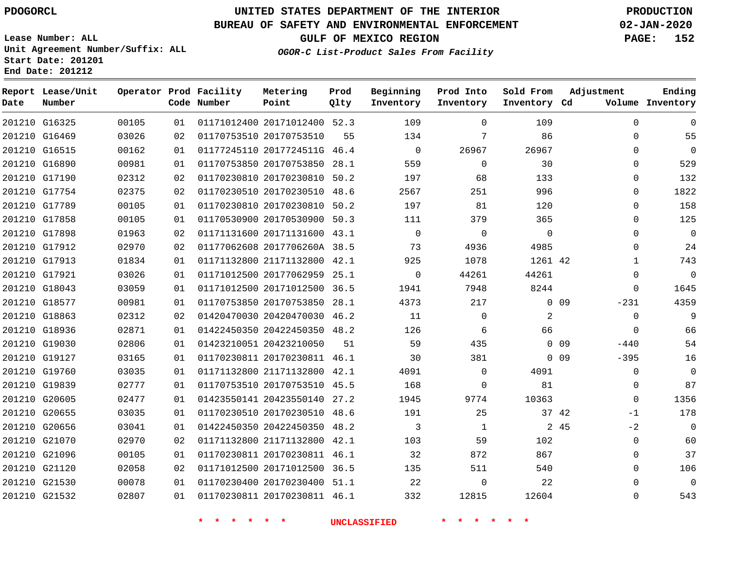### **BUREAU OF SAFETY AND ENVIRONMENTAL ENFORCEMENT 02-JAN-2020**

**Lease Number: ALL Unit Agreement Number/Suffix: ALL Start Date: 201201 End Date: 201212**

**OGOR-C List-Product Sales From Facility**

**GULF OF MEXICO REGION PAGE: 152**

|  |  |  | . <del>. 21</del> 60 - 1200000 <i>Da</i> io <i>u -</i> 120m - 001110, |  |
|--|--|--|-----------------------------------------------------------------------|--|
|  |  |  |                                                                       |  |
|  |  |  |                                                                       |  |
|  |  |  |                                                                       |  |

| Date          | Report Lease/Unit<br>Number |       |    | Operator Prod Facility<br>Code Number | Metering<br>Point            | Prod<br>Qlty | Beginning<br>Inventory | Prod Into<br>Inventory | Sold From<br>Inventory Cd | Adjustment                | Ending<br>Volume Inventory |
|---------------|-----------------------------|-------|----|---------------------------------------|------------------------------|--------------|------------------------|------------------------|---------------------------|---------------------------|----------------------------|
| 201210 G16325 |                             | 00105 | 01 |                                       | 01171012400 20171012400 52.3 |              | 109                    | $\Omega$               | 109                       | $\Omega$                  | $\mathbf 0$                |
| 201210 G16469 |                             | 03026 | 02 |                                       | 01170753510 20170753510      | 55           | 134                    | 7                      | 86                        | $\mathbf 0$               | 55                         |
| 201210 G16515 |                             | 00162 | 01 |                                       | 01177245110 2017724511G 46.4 |              | $\Omega$               | 26967                  | 26967                     | $\Omega$                  | $\Omega$                   |
| 201210 G16890 |                             | 00981 | 01 |                                       | 01170753850 20170753850 28.1 |              | 559                    | $\mathbf 0$            | 30                        | $\Omega$                  | 529                        |
| 201210 G17190 |                             | 02312 | 02 |                                       | 01170230810 20170230810      | 50.2         | 197                    | 68                     | 133                       | $\Omega$                  | 132                        |
| 201210 G17754 |                             | 02375 | 02 |                                       | 01170230510 20170230510 48.6 |              | 2567                   | 251                    | 996                       | 0                         | 1822                       |
| 201210 G17789 |                             | 00105 | 01 |                                       | 01170230810 20170230810      | 50.2         | 197                    | 81                     | 120                       | $\Omega$                  | 158                        |
| 201210 G17858 |                             | 00105 | 01 |                                       | 01170530900 20170530900 50.3 |              | 111                    | 379                    | 365                       | 0                         | 125                        |
| 201210 G17898 |                             | 01963 | 02 |                                       | 01171131600 20171131600 43.1 |              | $\Omega$               | 0                      | $\Omega$                  | $\Omega$                  | $\mathbf 0$                |
|               | 201210 G17912               | 02970 | 02 |                                       | 01177062608 2017706260A 38.5 |              | 73                     | 4936                   | 4985                      | 0                         | 24                         |
| 201210 G17913 |                             | 01834 | 01 |                                       | 01171132800 21171132800 42.1 |              | 925                    | 1078                   | 1261 42                   | $\mathbf{1}$              | 743                        |
| 201210 G17921 |                             | 03026 | 01 |                                       | 01171012500 20177062959      | 25.1         | $\mathbf 0$            | 44261                  | 44261                     | 0                         | $\mathbf 0$                |
| 201210 G18043 |                             | 03059 | 01 |                                       | 01171012500 20171012500 36.5 |              | 1941                   | 7948                   | 8244                      | $\Omega$                  | 1645                       |
|               | 201210 G18577               | 00981 | 01 |                                       | 01170753850 20170753850 28.1 |              | 4373                   | 217                    |                           | $0$ 09<br>$-231$          | 4359                       |
| 201210 G18863 |                             | 02312 | 02 |                                       | 01420470030 20420470030 46.2 |              | 11                     | $\Omega$               | $\overline{a}$            | $\Omega$                  | 9                          |
| 201210 G18936 |                             | 02871 | 01 |                                       | 01422450350 20422450350 48.2 |              | 126                    | 6                      | 66                        | $\Omega$                  | 66                         |
| 201210 G19030 |                             | 02806 | 01 |                                       | 01423210051 20423210050      | 51           | 59                     | 435                    |                           | $0$ 09<br>$-440$          | 54                         |
|               | 201210 G19127               | 03165 | 01 |                                       | 01170230811 20170230811 46.1 |              | 30                     | 381                    |                           | 0 <sub>09</sub><br>$-395$ | 16                         |
| 201210 G19760 |                             | 03035 | 01 |                                       | 01171132800 21171132800 42.1 |              | 4091                   | $\mathbf 0$            | 4091                      | $\mathbf 0$               | $\mathbf 0$                |
| 201210 G19839 |                             | 02777 | 01 |                                       | 01170753510 20170753510 45.5 |              | 168                    | $\mathbf 0$            | 81                        | 0                         | 87                         |
| 201210 G20605 |                             | 02477 | 01 |                                       | 01423550141 20423550140 27.2 |              | 1945                   | 9774                   | 10363                     | 0                         | 1356                       |
| 201210 G20655 |                             | 03035 | 01 |                                       | 01170230510 20170230510 48.6 |              | 191                    | 25                     | 37 42                     | -1                        | 178                        |
| 201210 G20656 |                             | 03041 | 01 |                                       | 01422450350 20422450350      | 48.2         | 3                      | 1                      |                           | 2 45<br>$-2$              | $\mathbf 0$                |
| 201210 G21070 |                             | 02970 | 02 |                                       | 01171132800 21171132800 42.1 |              | 103                    | 59                     | 102                       | $\Omega$                  | 60                         |
| 201210 G21096 |                             | 00105 | 01 |                                       | 01170230811 20170230811 46.1 |              | 32                     | 872                    | 867                       | 0                         | 37                         |
| 201210 G21120 |                             | 02058 | 02 |                                       | 01171012500 20171012500 36.5 |              | 135                    | 511                    | 540                       | $\Omega$                  | 106                        |
| 201210 G21530 |                             | 00078 | 01 |                                       | 01170230400 20170230400 51.1 |              | 22                     | $\mathbf 0$            | 22                        | 0                         | $\overline{0}$             |
| 201210 G21532 |                             | 02807 | 01 |                                       | 01170230811 20170230811 46.1 |              | 332                    | 12815                  | 12604                     | $\Omega$                  | 543                        |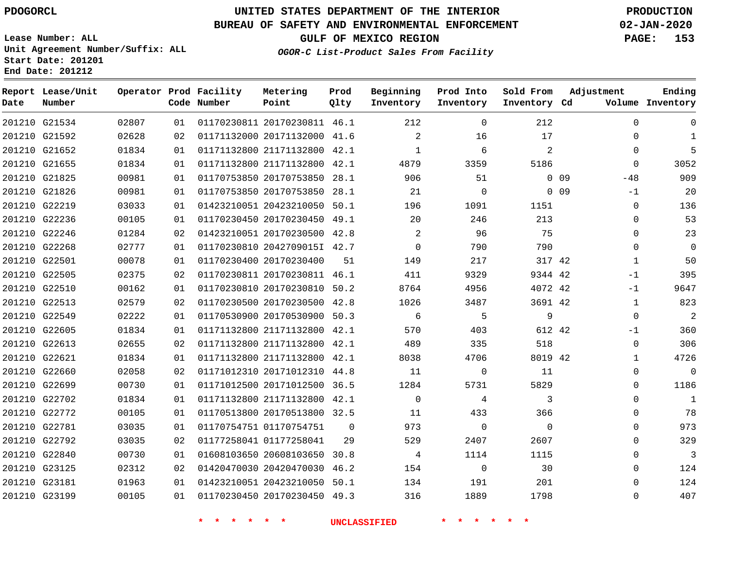#### **BUREAU OF SAFETY AND ENVIRONMENTAL ENFORCEMENT 02-JAN-2020**

**Lease Number: ALL Unit Agreement Number/Suffix: ALL Start Date: 201201 End Date: 201212**

**GULF OF MEXICO REGION PAGE: 153**

**OGOR-C List-Product Sales From Facility**

| Date | Report Lease/Unit<br>Number |       |    | Operator Prod Facility<br>Code Number | Metering<br>Point            | Prod<br>Qlty | Beginning<br>Inventory | Prod Into<br>Inventory | Sold From<br>Inventory Cd | Adjustment               | Ending<br>Volume Inventory |
|------|-----------------------------|-------|----|---------------------------------------|------------------------------|--------------|------------------------|------------------------|---------------------------|--------------------------|----------------------------|
|      | 201210 G21534               | 02807 | 01 |                                       | 01170230811 20170230811 46.1 |              | 212                    | $\mathbf 0$            | 212                       | $\mathbf 0$              | $\mathbf 0$                |
|      | 201210 G21592               | 02628 | 02 |                                       | 01171132000 20171132000 41.6 |              | $\overline{a}$         | 16                     | 17                        | $\mathbf 0$              | $\mathbf{1}$               |
|      | 201210 G21652               | 01834 | 01 |                                       | 01171132800 21171132800      | 42.1         | $\mathbf{1}$           | 6                      | $\overline{2}$            | $\mathbf 0$              | 5                          |
|      | 201210 G21655               | 01834 | 01 |                                       | 01171132800 21171132800      | 42.1         | 4879                   | 3359                   | 5186                      | $\Omega$                 | 3052                       |
|      | 201210 G21825               | 00981 | 01 |                                       | 01170753850 20170753850      | 28.1         | 906                    | 51                     |                           | 0 <sub>09</sub><br>$-48$ | 909                        |
|      | 201210 G21826               | 00981 | 01 |                                       | 01170753850 20170753850      | 28.1         | 21                     | $\mathbf 0$            |                           | 0 <sub>09</sub><br>$-1$  | 20                         |
|      | 201210 G22219               | 03033 | 01 |                                       | 01423210051 20423210050      | 50.1         | 196                    | 1091                   | 1151                      | $\mathbf{0}$             | 136                        |
|      | 201210 G22236               | 00105 | 01 |                                       | 01170230450 20170230450      | 49.1         | 20                     | 246                    | 213                       | $\mathbf 0$              | 53                         |
|      | 201210 G22246               | 01284 | 02 |                                       | 01423210051 20170230500 42.8 |              | 2                      | 96                     | 75                        | $\mathbf 0$              | 23                         |
|      | 201210 G22268               | 02777 | 01 |                                       | 01170230810 2042709015I 42.7 |              | $\mathbf 0$            | 790                    | 790                       | $\mathbf 0$              | $\mathbf 0$                |
|      | 201210 G22501               | 00078 | 01 |                                       | 01170230400 20170230400      | 51           | 149                    | 217                    | 317 42                    | $\mathbf{1}$             | 50                         |
|      | 201210 G22505               | 02375 | 02 |                                       | 01170230811 20170230811      | 46.1         | 411                    | 9329                   | 9344 42                   | $-1$                     | 395                        |
|      | 201210 G22510               | 00162 | 01 |                                       | 01170230810 20170230810      | 50.2         | 8764                   | 4956                   | 4072 42                   | $-1$                     | 9647                       |
|      | 201210 G22513               | 02579 | 02 |                                       | 01170230500 20170230500      | 42.8         | 1026                   | 3487                   | 3691 42                   | $\mathbf{1}$             | 823                        |
|      | 201210 G22549               | 02222 | 01 |                                       | 01170530900 20170530900      | 50.3         | 6                      | 5                      | 9                         | $\mathbf 0$              | $\overline{2}$             |
|      | 201210 G22605               | 01834 | 01 |                                       | 01171132800 21171132800 42.1 |              | 570                    | 403                    | 612 42                    | $-1$                     | 360                        |
|      | 201210 G22613               | 02655 | 02 |                                       | 01171132800 21171132800 42.1 |              | 489                    | 335                    | 518                       | $\mathbf 0$              | 306                        |
|      | 201210 G22621               | 01834 | 01 |                                       | 01171132800 21171132800 42.1 |              | 8038                   | 4706                   | 8019 42                   | $\mathbf 1$              | 4726                       |
|      | 201210 G22660               | 02058 | 02 |                                       | 01171012310 20171012310 44.8 |              | 11                     | $\mathbf 0$            | 11                        | $\mathbf 0$              | $\mathbf 0$                |
|      | 201210 G22699               | 00730 | 01 |                                       | 01171012500 20171012500 36.5 |              | 1284                   | 5731                   | 5829                      | $\mathbf 0$              | 1186                       |
|      | 201210 G22702               | 01834 | 01 |                                       | 01171132800 21171132800      | 42.1         | $\mathbf 0$            | 4                      | 3                         | $\mathbf 0$              | $\mathbf{1}$               |
|      | 201210 G22772               | 00105 | 01 |                                       | 01170513800 20170513800 32.5 |              | 11                     | 433                    | 366                       | 0                        | 78                         |
|      | 201210 G22781               | 03035 | 01 |                                       | 01170754751 01170754751      | $\Omega$     | 973                    | $\mathbf 0$            | $\Omega$                  | 0                        | 973                        |
|      | 201210 G22792               | 03035 | 02 |                                       | 01177258041 01177258041      | 29           | 529                    | 2407                   | 2607                      | $\mathbf 0$              | 329                        |
|      | 201210 G22840               | 00730 | 01 |                                       | 01608103650 20608103650      | 30.8         | 4                      | 1114                   | 1115                      | $\mathbf 0$              | 3                          |
|      | 201210 G23125               | 02312 | 02 |                                       | 01420470030 20420470030      | 46.2         | 154                    | 0                      | 30                        | $\mathbf 0$              | 124                        |
|      | 201210 G23181               | 01963 | 01 |                                       | 01423210051 20423210050 50.1 |              | 134                    | 191                    | 201                       | $\mathbf 0$              | 124                        |
|      | 201210 G23199               | 00105 | 01 |                                       | 01170230450 20170230450 49.3 |              | 316                    | 1889                   | 1798                      | 0                        | 407                        |
|      |                             |       |    |                                       |                              |              |                        |                        |                           |                          |                            |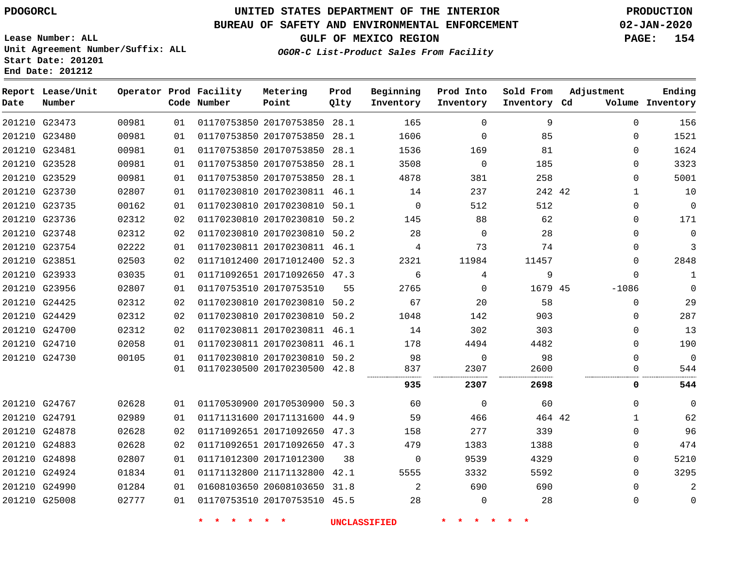### **BUREAU OF SAFETY AND ENVIRONMENTAL ENFORCEMENT 02-JAN-2020**

**Lease Number: ALL Unit Agreement Number/Suffix: ALL Start Date: 201201 End Date: 201212**

**GULF OF MEXICO REGION PAGE: 154**

**OGOR-C List-Product Sales From Facility**

| Date | Report Lease/Unit<br>Number |       |    | Operator Prod Facility<br>Code Number | Metering<br>Point            | Prod<br>Qlty | Beginning<br>Inventory | Prod Into<br>Inventory | Sold From<br>Inventory Cd | Adjustment | Ending<br>Volume Inventory |
|------|-----------------------------|-------|----|---------------------------------------|------------------------------|--------------|------------------------|------------------------|---------------------------|------------|----------------------------|
|      | 201210 G23473               | 00981 | 01 |                                       | 01170753850 20170753850 28.1 |              | 165                    | $\Omega$               | 9                         |            | 156<br>$\Omega$            |
|      | 201210 G23480               | 00981 | 01 |                                       | 01170753850 20170753850 28.1 |              | 1606                   | $\Omega$               | 85                        |            | 1521<br>$\Omega$           |
|      | 201210 G23481               | 00981 | 01 |                                       | 01170753850 20170753850 28.1 |              | 1536                   | 169                    | 81                        |            | 1624<br>$\Omega$           |
|      | 201210 G23528               | 00981 | 01 |                                       | 01170753850 20170753850 28.1 |              | 3508                   | $\mathbf 0$            | 185                       |            | 3323<br>$\mathbf 0$        |
|      | 201210 G23529               | 00981 | 01 |                                       | 01170753850 20170753850 28.1 |              | 4878                   | 381                    | 258                       |            | 5001<br>$\Omega$           |
|      | 201210 G23730               | 02807 | 01 |                                       | 01170230810 20170230811 46.1 |              | 14                     | 237                    | 242 42                    |            | 10<br>$\mathbf{1}$         |
|      | 201210 G23735               | 00162 | 01 |                                       | 01170230810 20170230810 50.1 |              | $\mathbf 0$            | 512                    | 512                       |            | $\mathbf 0$<br>$\mathbf 0$ |
|      | 201210 G23736               | 02312 | 02 |                                       | 01170230810 20170230810 50.2 |              | 145                    | 88                     | 62                        |            | 171<br>$\Omega$            |
|      | 201210 G23748               | 02312 | 02 |                                       | 01170230810 20170230810 50.2 |              | 28                     | $\mathbf 0$            | 28                        |            | $\overline{0}$<br>0        |
|      | 201210 G23754               | 02222 | 01 |                                       | 01170230811 20170230811 46.1 |              | 4                      | 73                     | 74                        |            | $\mathbf{3}$<br>$\Omega$   |
|      | 201210 G23851               | 02503 | 02 |                                       | 01171012400 20171012400 52.3 |              | 2321                   | 11984                  | 11457                     |            | 2848<br>$\Omega$           |
|      | 201210 G23933               | 03035 | 01 |                                       | 01171092651 20171092650 47.3 |              | 6                      | 4                      | 9                         |            | $\Omega$<br>$\mathbf{1}$   |
|      | 201210 G23956               | 02807 | 01 |                                       | 01170753510 20170753510      | 55           | 2765                   | $\Omega$               | 1679 45                   | $-1086$    | $\mathbf 0$                |
|      | 201210 G24425               | 02312 | 02 |                                       | 01170230810 20170230810 50.2 |              | 67                     | 20                     | 58                        |            | 29<br>$\mathbf 0$          |
|      | 201210 G24429               | 02312 | 02 |                                       | 01170230810 20170230810 50.2 |              | 1048                   | 142                    | 903                       |            | 287<br>$\Omega$            |
|      | 201210 G24700               | 02312 | 02 |                                       | 01170230811 20170230811 46.1 |              | 14                     | 302                    | 303                       |            | 13<br>$\Omega$             |
|      | 201210 G24710               | 02058 | 01 |                                       | 01170230811 20170230811 46.1 |              | 178                    | 4494                   | 4482                      |            | 190<br>$\Omega$            |
|      | 201210 G24730               | 00105 | 01 |                                       | 01170230810 20170230810 50.2 |              | 98                     | $\Omega$               | 98                        |            | $\Omega$<br>$\Omega$       |
|      |                             |       | 01 |                                       | 01170230500 20170230500 42.8 |              | 837                    | 2307                   | 2600                      |            | $\Omega$<br>544            |
|      |                             |       |    |                                       |                              |              | 935                    | 2307                   | 2698                      |            | 544<br>0                   |
|      | 201210 G24767               | 02628 | 01 |                                       | 01170530900 20170530900 50.3 |              | 60                     | $\mathbf 0$            | 60                        |            | $\Omega$<br>$\Omega$       |
|      | 201210 G24791               | 02989 | 01 |                                       | 01171131600 20171131600 44.9 |              | 59                     | 466                    | 464 42                    |            | 62<br>$\mathbf{1}$         |
|      | 201210 G24878               | 02628 | 02 |                                       | 01171092651 20171092650 47.3 |              | 158                    | 277                    | 339                       |            | 96<br>$\Omega$             |
|      | 201210 G24883               | 02628 | 02 |                                       | 01171092651 20171092650 47.3 |              | 479                    | 1383                   | 1388                      |            | 474<br>$\Omega$            |
|      | 201210 G24898               | 02807 | 01 |                                       | 01171012300 20171012300      | 38           | 0                      | 9539                   | 4329                      |            | 5210<br>$\Omega$           |
|      | 201210 G24924               | 01834 | 01 |                                       | 01171132800 21171132800 42.1 |              | 5555                   | 3332                   | 5592                      |            | 3295<br>$\Omega$           |
|      | 201210 G24990               | 01284 | 01 |                                       | 01608103650 20608103650 31.8 |              | 2                      | 690                    | 690                       |            | $\overline{a}$<br>$\Omega$ |
|      | 201210 G25008               | 02777 | 01 |                                       | 01170753510 20170753510 45.5 |              | 28                     | $\mathbf 0$            | 28                        |            | $\mathbf 0$<br>0           |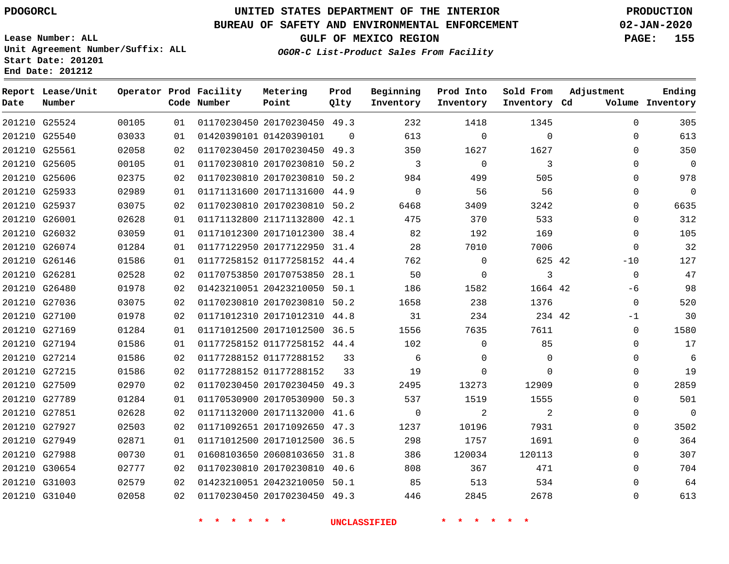### **BUREAU OF SAFETY AND ENVIRONMENTAL ENFORCEMENT 02-JAN-2020**

**Lease Number: ALL Unit Agreement Number/Suffix: ALL Start Date: 201201 End Date: 201212**

**OGOR-C List-Product Sales From Facility**

**GULF OF MEXICO REGION PAGE: 155**

| Date | Report Lease/Unit<br>Number |       |    | Operator Prod Facility<br>Code Number | Metering<br>Point            | Prod<br>Qlty | Beginning<br>Inventory | Prod Into<br>Inventory | Sold From<br>Inventory Cd | Adjustment   | Ending<br>Volume Inventory |
|------|-----------------------------|-------|----|---------------------------------------|------------------------------|--------------|------------------------|------------------------|---------------------------|--------------|----------------------------|
|      | 201210 G25524               | 00105 | 01 |                                       | 01170230450 20170230450 49.3 |              | 232                    | 1418                   | 1345                      | $\Omega$     | 305                        |
|      | 201210 G25540               | 03033 | 01 |                                       | 01420390101 01420390101      | $\Omega$     | 613                    | $\mathbf 0$            | $\mathbf 0$               | $\mathbf 0$  | 613                        |
|      | 201210 G25561               | 02058 | 02 |                                       | 01170230450 20170230450 49.3 |              | 350                    | 1627                   | 1627                      | $\Omega$     | 350                        |
|      | 201210 G25605               | 00105 | 01 |                                       | 01170230810 20170230810 50.2 |              | 3                      | $\mathbf 0$            | 3                         | 0            | $\overline{0}$             |
|      | 201210 G25606               | 02375 | 02 |                                       | 01170230810 20170230810 50.2 |              | 984                    | 499                    | 505                       | $\Omega$     | 978                        |
|      | 201210 G25933               | 02989 | 01 |                                       | 01171131600 20171131600 44.9 |              | $\mathbf 0$            | 56                     | 56                        | 0            | $\mathbf 0$                |
|      | 201210 G25937               | 03075 | 02 |                                       | 01170230810 20170230810 50.2 |              | 6468                   | 3409                   | 3242                      | $\mathbf{0}$ | 6635                       |
|      | 201210 G26001               | 02628 | 01 |                                       | 01171132800 21171132800 42.1 |              | 475                    | 370                    | 533                       | $\mathbf{0}$ | 312                        |
|      | 201210 G26032               | 03059 | 01 |                                       | 01171012300 20171012300 38.4 |              | 82                     | 192                    | 169                       | $\Omega$     | 105                        |
|      | 201210 G26074               | 01284 | 01 |                                       | 01177122950 20177122950 31.4 |              | 28                     | 7010                   | 7006                      | $\mathbf{0}$ | 32                         |
|      | 201210 G26146               | 01586 | 01 |                                       | 01177258152 01177258152 44.4 |              | 762                    | $\Omega$               | 625 42                    | $-10$        | 127                        |
|      | 201210 G26281               | 02528 | 02 |                                       | 01170753850 20170753850 28.1 |              | 50                     | 0                      | 3                         | $\mathbf 0$  | 47                         |
|      | 201210 G26480               | 01978 | 02 |                                       | 01423210051 20423210050 50.1 |              | 186                    | 1582                   | 1664 42                   | -6           | 98                         |
|      | 201210 G27036               | 03075 | 02 |                                       | 01170230810 20170230810 50.2 |              | 1658                   | 238                    | 1376                      | $\Omega$     | 520                        |
|      | 201210 G27100               | 01978 | 02 |                                       | 01171012310 20171012310 44.8 |              | 31                     | 234                    | 234 42                    | $-1$         | 30                         |
|      | 201210 G27169               | 01284 | 01 |                                       | 01171012500 20171012500 36.5 |              | 1556                   | 7635                   | 7611                      | $\mathbf 0$  | 1580                       |
|      | 201210 G27194               | 01586 | 01 |                                       | 01177258152 01177258152 44.4 |              | 102                    | $\Omega$               | 85                        | $\Omega$     | 17                         |
|      | 201210 G27214               | 01586 | 02 |                                       | 01177288152 01177288152      | 33           | 6                      | $\Omega$               | $\Omega$                  | $\Omega$     | 6                          |
|      | 201210 G27215               | 01586 | 02 |                                       | 01177288152 01177288152      | 33           | 19                     | 0                      | $\mathbf 0$               | $\mathbf 0$  | 19                         |
|      | 201210 G27509               | 02970 | 02 |                                       | 01170230450 20170230450 49.3 |              | 2495                   | 13273                  | 12909                     | $\Omega$     | 2859                       |
|      | 201210 G27789               | 01284 | 01 |                                       | 01170530900 20170530900 50.3 |              | 537                    | 1519                   | 1555                      | 0            | 501                        |
|      | 201210 G27851               | 02628 | 02 |                                       | 01171132000 20171132000 41.6 |              | $\Omega$               | 2                      | 2                         | $\Omega$     | $\mathbf 0$                |
|      | 201210 G27927               | 02503 | 02 |                                       | 01171092651 20171092650 47.3 |              | 1237                   | 10196                  | 7931                      | 0            | 3502                       |
|      | 201210 G27949               | 02871 | 01 |                                       | 01171012500 20171012500 36.5 |              | 298                    | 1757                   | 1691                      | $\mathbf 0$  | 364                        |
|      | 201210 G27988               | 00730 | 01 |                                       | 01608103650 20608103650 31.8 |              | 386                    | 120034                 | 120113                    | $\mathbf 0$  | 307                        |
|      | 201210 G30654               | 02777 | 02 |                                       | 01170230810 20170230810 40.6 |              | 808                    | 367                    | 471                       | $\Omega$     | 704                        |
|      | 201210 G31003               | 02579 | 02 |                                       | 01423210051 20423210050 50.1 |              | 85                     | 513                    | 534                       | $\Omega$     | 64                         |
|      | 201210 G31040               | 02058 | 02 |                                       | 01170230450 20170230450 49.3 |              | 446                    | 2845                   | 2678                      | $\Omega$     | 613                        |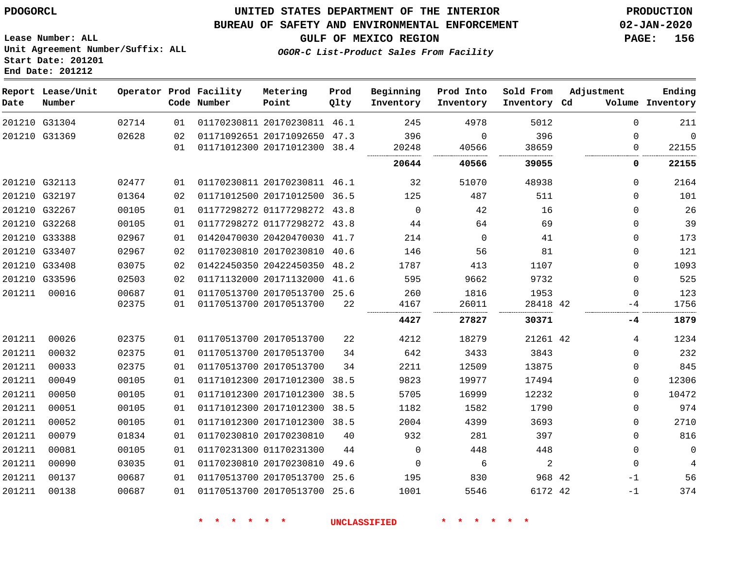**End Date: 201212**

## **UNITED STATES DEPARTMENT OF THE INTERIOR PDOGORCL PRODUCTION**

#### **BUREAU OF SAFETY AND ENVIRONMENTAL ENFORCEMENT 02-JAN-2020**

**Lease Number: ALL Unit Agreement Number/Suffix: ALL Start Date: 201201**

**GULF OF MEXICO REGION PAGE: 156**

**OGOR-C List-Product Sales From Facility**

| Date   | Report Lease/Unit<br>Number |       |    | Operator Prod Facility<br>Code Number | Metering<br>Point            | Prod<br>Qlty | Beginning<br>Inventory | Prod Into<br>Inventory | Sold From<br>Inventory Cd | Adjustment   | Ending<br>Volume Inventory |
|--------|-----------------------------|-------|----|---------------------------------------|------------------------------|--------------|------------------------|------------------------|---------------------------|--------------|----------------------------|
|        | 201210 G31304               | 02714 | 01 |                                       | 01170230811 20170230811 46.1 |              | 245                    | 4978                   | 5012                      | $\Omega$     | 211                        |
|        | 201210 G31369               | 02628 | 02 |                                       | 01171092651 20171092650      | 47.3         | 396                    | 0                      | 396                       | $\mathbf{0}$ | $\mathbf 0$                |
|        |                             |       | 01 |                                       | 01171012300 20171012300 38.4 |              | 20248                  | 40566                  | 38659                     | 0            | 22155                      |
|        |                             |       |    |                                       |                              |              | 20644                  | 40566                  | 39055                     | 0            | 22155                      |
|        | 201210 G32113               | 02477 | 01 |                                       | 01170230811 20170230811 46.1 |              | 32                     | 51070                  | 48938                     | 0            | 2164                       |
|        | 201210 G32197               | 01364 | 02 |                                       | 01171012500 20171012500 36.5 |              | 125                    | 487                    | 511                       | $\mathbf{0}$ | 101                        |
|        | 201210 G32267               | 00105 | 01 |                                       | 01177298272 01177298272 43.8 |              | $\mathbf 0$            | 42                     | 16                        | $\mathbf 0$  | 26                         |
|        | 201210 G32268               | 00105 | 01 |                                       | 01177298272 01177298272      | 43.8         | 44                     | 64                     | 69                        | $\mathbf 0$  | 39                         |
|        | 201210 G33388               | 02967 | 01 |                                       | 01420470030 20420470030 41.7 |              | 214                    | $\mathbf 0$            | 41                        | $\mathbf 0$  | 173                        |
|        | 201210 G33407               | 02967 | 02 |                                       | 01170230810 20170230810 40.6 |              | 146                    | 56                     | 81                        | 0            | 121                        |
|        | 201210 G33408               | 03075 | 02 |                                       | 01422450350 20422450350 48.2 |              | 1787                   | 413                    | 1107                      | $\mathbf 0$  | 1093                       |
|        | 201210 G33596               | 02503 | 02 |                                       | 01171132000 20171132000      | 41.6         | 595                    | 9662                   | 9732                      | $\mathbf{0}$ | 525                        |
| 201211 | 00016                       | 00687 | 01 |                                       | 01170513700 20170513700 25.6 |              | 260                    | 1816                   | 1953                      | 0            | 123                        |
|        |                             | 02375 | 01 |                                       | 01170513700 20170513700      | 22           | 4167                   | 26011                  | 28418 42                  | -4           | 1756                       |
|        |                             |       |    |                                       |                              |              | 4427                   | 27827                  | 30371                     | $-4$         | 1879                       |
| 201211 | 00026                       | 02375 | 01 |                                       | 01170513700 20170513700      | 22           | 4212                   | 18279                  | 21261 42                  | 4            | 1234                       |
| 201211 | 00032                       | 02375 | 01 |                                       | 01170513700 20170513700      | 34           | 642                    | 3433                   | 3843                      | 0            | 232                        |
| 201211 | 00033                       | 02375 | 01 |                                       | 01170513700 20170513700      | 34           | 2211                   | 12509                  | 13875                     | 0            | 845                        |
| 201211 | 00049                       | 00105 | 01 |                                       | 01171012300 20171012300      | 38.5         | 9823                   | 19977                  | 17494                     | 0            | 12306                      |
| 201211 | 00050                       | 00105 | 01 |                                       | 01171012300 20171012300      | 38.5         | 5705                   | 16999                  | 12232                     | $\mathbf 0$  | 10472                      |
| 201211 | 00051                       | 00105 | 01 |                                       | 01171012300 20171012300      | 38.5         | 1182                   | 1582                   | 1790                      | 0            | 974                        |
| 201211 | 00052                       | 00105 | 01 |                                       | 01171012300 20171012300 38.5 |              | 2004                   | 4399                   | 3693                      | 0            | 2710                       |
| 201211 | 00079                       | 01834 | 01 |                                       | 01170230810 20170230810      | 40           | 932                    | 281                    | 397                       | $\Omega$     | 816                        |
| 201211 | 00081                       | 00105 | 01 |                                       | 01170231300 01170231300      | 44           | $\mathbf 0$            | 448                    | 448                       | 0            | $\mathbf 0$                |
| 201211 | 00090                       | 03035 | 01 |                                       | 01170230810 20170230810      | 49.6         | $\mathbf 0$            | 6                      | 2                         | $\mathbf 0$  | $\overline{4}$             |
| 201211 | 00137                       | 00687 | 01 |                                       | 01170513700 20170513700 25.6 |              | 195                    | 830                    | 968 42                    | $-1$         | 56                         |
| 201211 | 00138                       | 00687 | 01 |                                       | 01170513700 20170513700      | 25.6         | 1001                   | 5546                   | 6172 42                   | $-1$         | 374                        |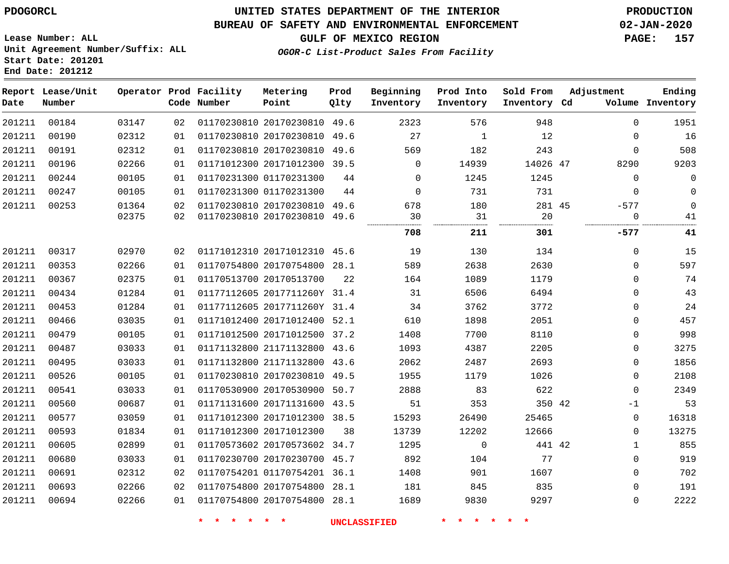**End Date: 201212**

## **UNITED STATES DEPARTMENT OF THE INTERIOR PDOGORCL PRODUCTION**

#### **BUREAU OF SAFETY AND ENVIRONMENTAL ENFORCEMENT 02-JAN-2020**

**Lease Number: ALL Unit Agreement Number/Suffix: ALL Start Date: 201201**

**GULF OF MEXICO REGION PAGE: 157**

**OGOR-C List-Product Sales From Facility**

| Date   | Report Lease/Unit<br>Number |       |    | Operator Prod Facility<br>Code Number | Metering<br>Point            | Prod<br>Qlty | Beginning<br>Inventory | Prod Into<br>Inventory | Sold From<br>Inventory Cd | Adjustment   | Ending<br>Volume Inventory |
|--------|-----------------------------|-------|----|---------------------------------------|------------------------------|--------------|------------------------|------------------------|---------------------------|--------------|----------------------------|
| 201211 | 00184                       | 03147 | 02 |                                       | 01170230810 20170230810 49.6 |              | 2323                   | 576                    | 948                       | $\mathbf 0$  | 1951                       |
| 201211 | 00190                       | 02312 | 01 |                                       | 01170230810 20170230810 49.6 |              | 27                     | $\overline{1}$         | 12                        | $\Omega$     | 16                         |
| 201211 | 00191                       | 02312 | 01 |                                       | 01170230810 20170230810 49.6 |              | 569                    | 182                    | 243                       | $\mathbf 0$  | 508                        |
| 201211 | 00196                       | 02266 | 01 |                                       | 01171012300 20171012300 39.5 |              | $\overline{0}$         | 14939                  | 14026 47                  | 8290         | 9203                       |
| 201211 | 00244                       | 00105 | 01 |                                       | 01170231300 01170231300      | 44           | $\mathbf{0}$           | 1245                   | 1245                      | $\mathbf 0$  | $\mathsf{O}$               |
| 201211 | 00247                       | 00105 | 01 |                                       | 01170231300 01170231300      | 44           | $\mathbf 0$            | 731                    | 731                       | $\mathbf 0$  | $\mathbf 0$                |
| 201211 | 00253                       | 01364 | 02 |                                       | 01170230810 20170230810 49.6 |              | 678                    | 180                    | 281 45                    | $-577$       | $\mathbf 0$                |
|        |                             | 02375 | 02 |                                       | 01170230810 20170230810 49.6 |              | 30                     | 31<br>                 | 20                        | $\mathbf 0$  | 41                         |
|        |                             |       |    |                                       |                              |              | 708                    | 211                    | 301                       | $-577$       | 41                         |
| 201211 | 00317                       | 02970 | 02 |                                       | 01171012310 20171012310 45.6 |              | 19                     | 130                    | 134                       | $\Omega$     | 15                         |
| 201211 | 00353                       | 02266 | 01 |                                       | 01170754800 20170754800 28.1 |              | 589                    | 2638                   | 2630                      | $\Omega$     | 597                        |
| 201211 | 00367                       | 02375 | 01 |                                       | 01170513700 20170513700      | 22           | 164                    | 1089                   | 1179                      | $\Omega$     | 74                         |
| 201211 | 00434                       | 01284 | 01 |                                       | 01177112605 2017711260Y 31.4 |              | 31                     | 6506                   | 6494                      | $\mathbf 0$  | 43                         |
| 201211 | 00453                       | 01284 | 01 |                                       | 01177112605 2017711260Y 31.4 |              | 34                     | 3762                   | 3772                      | 0            | 24                         |
| 201211 | 00466                       | 03035 | 01 |                                       | 01171012400 20171012400 52.1 |              | 610                    | 1898                   | 2051                      | 0            | 457                        |
| 201211 | 00479                       | 00105 | 01 |                                       | 01171012500 20171012500 37.2 |              | 1408                   | 7700                   | 8110                      | $\mathbf 0$  | 998                        |
| 201211 | 00487                       | 03033 | 01 |                                       | 01171132800 21171132800 43.6 |              | 1093                   | 4387                   | 2205                      | $\Omega$     | 3275                       |
| 201211 | 00495                       | 03033 | 01 |                                       | 01171132800 21171132800 43.6 |              | 2062                   | 2487                   | 2693                      | 0            | 1856                       |
| 201211 | 00526                       | 00105 | 01 |                                       | 01170230810 20170230810 49.5 |              | 1955                   | 1179                   | 1026                      | 0            | 2108                       |
| 201211 | 00541                       | 03033 | 01 |                                       | 01170530900 20170530900 50.7 |              | 2888                   | 83                     | 622                       | $\mathbf 0$  | 2349                       |
| 201211 | 00560                       | 00687 | 01 |                                       | 01171131600 20171131600 43.5 |              | 51                     | 353                    | 350 42                    | $-1$         | 53                         |
| 201211 | 00577                       | 03059 | 01 |                                       | 01171012300 20171012300 38.5 |              | 15293                  | 26490                  | 25465                     | $\mathbf 0$  | 16318                      |
| 201211 | 00593                       | 01834 | 01 |                                       | 01171012300 20171012300      | 38           | 13739                  | 12202                  | 12666                     | $\mathbf 0$  | 13275                      |
| 201211 | 00605                       | 02899 | 01 |                                       | 01170573602 20170573602 34.7 |              | 1295                   | $\overline{0}$         | 441 42                    | $\mathbf{1}$ | 855                        |
| 201211 | 00680                       | 03033 | 01 |                                       | 01170230700 20170230700 45.7 |              | 892                    | 104                    | 77                        | $\Omega$     | 919                        |
| 201211 | 00691                       | 02312 | 02 |                                       | 01170754201 01170754201 36.1 |              | 1408                   | 901                    | 1607                      | $\mathbf 0$  | 702                        |
| 201211 | 00693                       | 02266 | 02 |                                       | 01170754800 20170754800 28.1 |              | 181                    | 845                    | 835                       | $\mathbf 0$  | 191                        |
| 201211 | 00694                       | 02266 | 01 |                                       | 01170754800 20170754800 28.1 |              | 1689                   | 9830                   | 9297                      | $\Omega$     | 2222                       |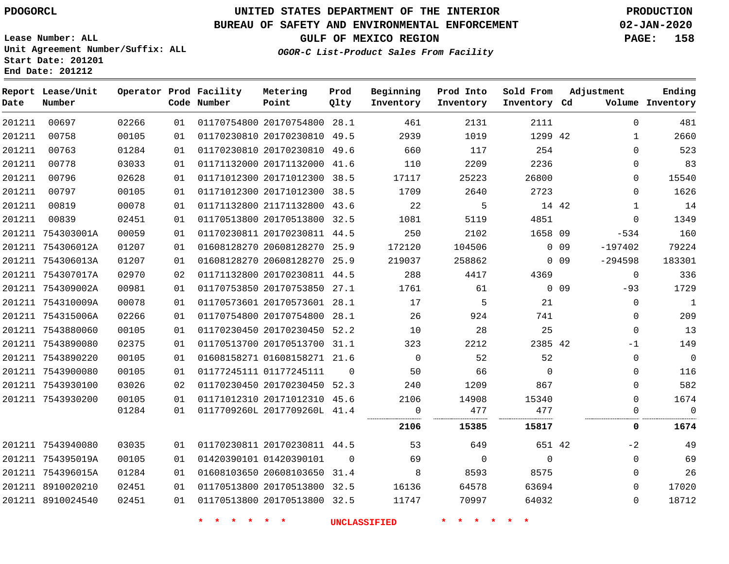**Report Lease/Unit**

# **UNITED STATES DEPARTMENT OF THE INTERIOR PDOGORCL PRODUCTION**

**Prod**

#### **BUREAU OF SAFETY AND ENVIRONMENTAL ENFORCEMENT 02-JAN-2020**

**Lease Number: ALL Unit Agreement Number/Suffix: ALL Start Date: 201201 End Date: 201212**

**Operator Prod Facility Metering**

**OGOR-C List-Product Sales From Facility**

**Beginning Prod Into Sold From Adjustment**

**GULF OF MEXICO REGION PAGE: 158**

**Ending**

| Date   | Number            |       |    | Code Number | Point                        | Qlty     | Inventory      | Inventory | Inventory Cd |            |              | Volume Inventory |
|--------|-------------------|-------|----|-------------|------------------------------|----------|----------------|-----------|--------------|------------|--------------|------------------|
| 201211 | 00697             | 02266 | 01 |             | 01170754800 20170754800 28.1 |          | 461            | 2131      | 2111         |            | $\Omega$     | 481              |
| 201211 | 00758             | 00105 | 01 |             | 01170230810 20170230810 49.5 |          | 2939           | 1019      | 1299 42      |            | 1            | 2660             |
| 201211 | 00763             | 01284 | 01 |             | 01170230810 20170230810 49.6 |          | 660            | 117       | 254          |            | $\Omega$     | 523              |
| 201211 | 00778             | 03033 | 01 |             | 01171132000 20171132000 41.6 |          | 110            | 2209      | 2236         |            | $\Omega$     | 83               |
| 201211 | 00796             | 02628 | 01 |             | 01171012300 20171012300 38.5 |          | 17117          | 25223     | 26800        |            | 0            | 15540            |
| 201211 | 00797             | 00105 | 01 |             | 01171012300 20171012300 38.5 |          | 1709           | 2640      | 2723         |            | 0            | 1626             |
| 201211 | 00819             | 00078 | 01 |             | 01171132800 21171132800 43.6 |          | 22             | 5         | 14 42        |            | 1            | 14               |
| 201211 | 00839             | 02451 | 01 |             | 01170513800 20170513800 32.5 |          | 1081           | 5119      | 4851         |            | $\mathbf{0}$ | 1349             |
|        | 201211 754303001A | 00059 | 01 |             | 01170230811 20170230811 44.5 |          | 250            | 2102      | 1658 09      |            | $-534$       | 160              |
|        | 201211 754306012A | 01207 | 01 |             | 01608128270 20608128270 25.9 |          | 172120         | 104506    |              | $0\quad09$ | $-197402$    | 79224            |
|        | 201211 754306013A | 01207 | 01 |             | 01608128270 20608128270 25.9 |          | 219037         | 258862    |              | $0$ 09     | $-294598$    | 183301           |
|        | 201211 754307017A | 02970 | 02 |             | 01171132800 20170230811 44.5 |          | 288            | 4417      | 4369         |            | $\mathbf 0$  | 336              |
|        | 201211 754309002A | 00981 | 01 |             | 01170753850 20170753850 27.1 |          | 1761           | 61        |              | 0.09       | $-93$        | 1729             |
|        | 201211 754310009A | 00078 | 01 |             | 01170573601 20170573601 28.1 |          | 17             | 5         | 21           |            | $\mathbf{0}$ | $\mathbf{1}$     |
|        | 201211 754315006A | 02266 | 01 |             | 01170754800 20170754800 28.1 |          | 26             | 924       | 741          |            | $\Omega$     | 209              |
|        | 201211 7543880060 | 00105 | 01 |             | 01170230450 20170230450 52.2 |          | 10             | 28        | 25           |            | $\mathbf{0}$ | 13               |
|        | 201211 7543890080 | 02375 | 01 |             | 01170513700 20170513700 31.1 |          | 323            | 2212      | 2385 42      |            | $-1$         | 149              |
|        | 201211 7543890220 | 00105 | 01 |             | 01608158271 01608158271 21.6 |          | $\overline{0}$ | 52        | 52           |            | 0            | $\mathbf 0$      |
|        | 201211 7543900080 | 00105 | 01 |             | 01177245111 01177245111      | $\Omega$ | 50             | 66        | $\Omega$     |            | $\Omega$     | 116              |
|        | 201211 7543930100 | 03026 | 02 |             | 01170230450 20170230450 52.3 |          | 240            | 1209      | 867          |            | $\Omega$     | 582              |
|        | 201211 7543930200 | 00105 | 01 |             | 01171012310 20171012310 45.6 |          | 2106           | 14908     | 15340        |            | $\Omega$     | 1674             |
|        |                   | 01284 | 01 |             | 0117709260L 2017709260L 41.4 |          | 0<br>          | 477       | 477          |            | 0            | 0                |
|        |                   |       |    |             |                              |          | 2106           | 15385     | 15817        |            | 0            | 1674             |
|        | 201211 7543940080 | 03035 | 01 |             | 01170230811 20170230811 44.5 |          | 53             | 649       | 651 42       |            | $-2$         | 49               |
|        | 201211 754395019A | 00105 | 01 |             | 01420390101 01420390101      | $\Omega$ | 69             | 0         | $\mathbf 0$  |            | $\mathbf 0$  | 69               |
|        | 201211 754396015A | 01284 | 01 |             | 01608103650 20608103650 31.4 |          | 8              | 8593      | 8575         |            | $\mathbf 0$  | 26               |
|        | 201211 8910020210 | 02451 | 01 |             | 01170513800 20170513800 32.5 |          | 16136          | 64578     | 63694        |            | $\Omega$     | 17020            |
|        | 201211 8910024540 | 02451 | 01 |             | 01170513800 20170513800 32.5 |          | 11747          | 70997     | 64032        |            | $\Omega$     | 18712            |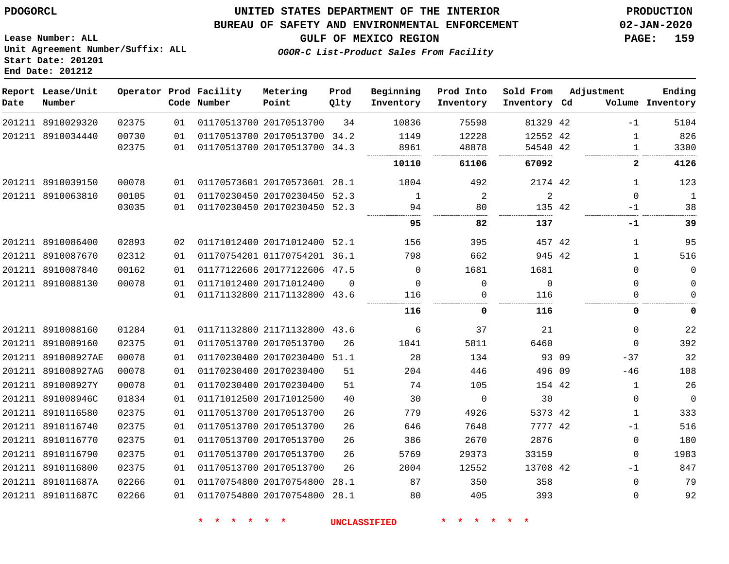#### **BUREAU OF SAFETY AND ENVIRONMENTAL ENFORCEMENT 02-JAN-2020**

**Lease Number: ALL Unit Agreement Number/Suffix: ALL Start Date: 201201 End Date: 201212**

**GULF OF MEXICO REGION PAGE: 159**

**OGOR-C List-Product Sales From Facility**

| Date | Report Lease/Unit<br>Number |       |    | Operator Prod Facility<br>Code Number | Metering<br>Point            | Prod<br>Qlty | Beginning<br>Inventory | Prod Into<br>Inventory | Sold From<br>Inventory Cd |       | Adjustment   | Ending<br>Volume Inventory |
|------|-----------------------------|-------|----|---------------------------------------|------------------------------|--------------|------------------------|------------------------|---------------------------|-------|--------------|----------------------------|
|      | 201211 8910029320           | 02375 | 01 |                                       | 01170513700 20170513700      | 34           | 10836                  | 75598                  | 81329 42                  |       | $-1$         | 5104                       |
|      | 201211 8910034440           | 00730 | 01 |                                       | 01170513700 20170513700 34.2 |              | 1149                   | 12228                  | 12552 42                  |       | 1            | 826                        |
|      |                             | 02375 | 01 |                                       | 01170513700 20170513700 34.3 |              | 8961                   | 48878                  | 54540 42                  |       | $\mathbf{1}$ | 3300                       |
|      |                             |       |    |                                       |                              |              | 10110                  | 61106                  | 67092                     |       | $\mathbf{2}$ | 4126                       |
|      | 201211 8910039150           | 00078 | 01 |                                       | 01170573601 20170573601 28.1 |              | 1804                   | 492                    | 2174 42                   |       | 1            | 123                        |
|      | 201211 8910063810           | 00105 | 01 |                                       | 01170230450 20170230450      | 52.3         | 1                      | 2                      | $\overline{2}$            |       | $\Omega$     | 1                          |
|      |                             | 03035 | 01 |                                       | 01170230450 20170230450      | 52.3         | 94                     | 80                     | 135 42                    |       | -1           | 38                         |
|      |                             |       |    |                                       |                              |              | 95                     | 82                     | 137                       |       | -1           | 39                         |
|      | 201211 8910086400           | 02893 | 02 |                                       | 01171012400 20171012400 52.1 |              | 156                    | 395                    | 457 42                    |       | 1            | 95                         |
|      | 201211 8910087670           | 02312 | 01 |                                       | 01170754201 01170754201 36.1 |              | 798                    | 662                    | 945 42                    |       | $\mathbf{1}$ | 516                        |
|      | 201211 8910087840           | 00162 | 01 |                                       | 01177122606 20177122606 47.5 |              | $\mathbf 0$            | 1681                   | 1681                      |       | $\Omega$     | $\mathsf 0$                |
|      | 201211 8910088130           | 00078 | 01 |                                       | 01171012400 20171012400      | $\Omega$     | 0                      | 0                      | $\mathbf{0}$              |       | 0            | 0                          |
|      |                             |       | 01 |                                       | 01171132800 21171132800 43.6 |              | 116                    | $\Omega$               | 116                       |       | 0            | $\mathbf 0$                |
|      |                             |       |    |                                       |                              |              | 116                    | 0                      | 116                       |       | 0            | 0                          |
|      | 201211 8910088160           | 01284 | 01 |                                       | 01171132800 21171132800 43.6 |              | 6                      | 37                     | 21                        |       | 0            | 22                         |
|      | 201211 8910089160           | 02375 | 01 |                                       | 01170513700 20170513700      | 26           | 1041                   | 5811                   | 6460                      |       | $\Omega$     | 392                        |
|      | 201211 891008927AE          | 00078 | 01 |                                       | 01170230400 20170230400 51.1 |              | 28                     | 134                    |                           | 93 09 | $-37$        | 32                         |
|      | 201211 891008927AG          | 00078 | 01 |                                       | 01170230400 20170230400      | 51           | 204                    | 446                    | 496 09                    |       | $-46$        | 108                        |
|      | 201211 891008927Y           | 00078 | 01 |                                       | 01170230400 20170230400      | 51           | 74                     | 105                    | 154 42                    |       | $\mathbf 1$  | 26                         |
|      | 201211 891008946C           | 01834 | 01 |                                       | 01171012500 20171012500      | 40           | 30                     | 0                      | 30                        |       | 0            | $\mathbf 0$                |
|      | 201211 8910116580           | 02375 | 01 |                                       | 01170513700 20170513700      | 26           | 779                    | 4926                   | 5373 42                   |       | $\mathbf 1$  | 333                        |
|      | 201211 8910116740           | 02375 | 01 | 01170513700 20170513700               |                              | 26           | 646                    | 7648                   | 7777 42                   |       | $-1$         | 516                        |
|      | 201211 8910116770           | 02375 | 01 |                                       | 01170513700 20170513700      | 26           | 386                    | 2670                   | 2876                      |       | 0            | 180                        |
|      | 201211 8910116790           | 02375 | 01 |                                       | 01170513700 20170513700      | 26           | 5769                   | 29373                  | 33159                     |       | 0            | 1983                       |
|      | 201211 8910116800           | 02375 | 01 |                                       | 01170513700 20170513700      | 26           | 2004                   | 12552                  | 13708 42                  |       | $-1$         | 847                        |
|      | 201211 891011687A           | 02266 | 01 |                                       | 01170754800 20170754800      | 28.1         | 87                     | 350                    | 358                       |       | 0            | 79                         |
|      | 201211 891011687C           | 02266 | 01 |                                       | 01170754800 20170754800 28.1 |              | 80                     | 405                    | 393                       |       | 0            | 92                         |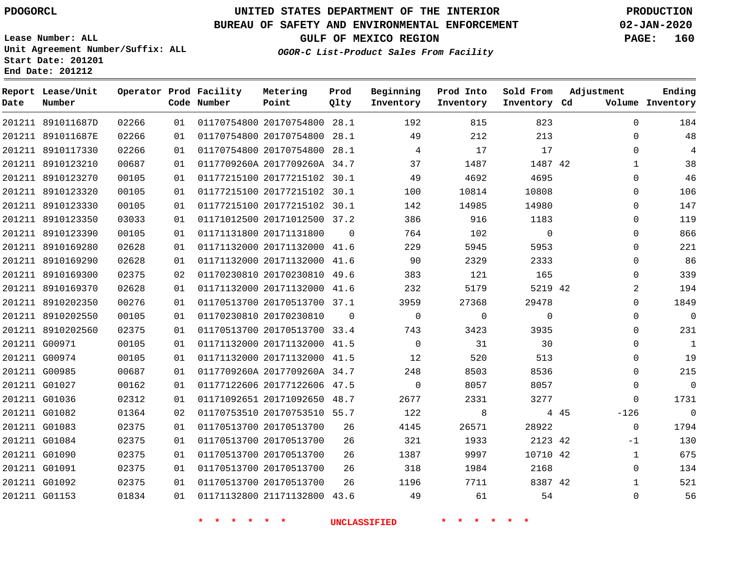**Report Lease/Unit**

**Number**

# **UNITED STATES DEPARTMENT OF THE INTERIOR PDOGORCL PRODUCTION**

**Prod Qlty**

#### **BUREAU OF SAFETY AND ENVIRONMENTAL ENFORCEMENT 02-JAN-2020**

**Lease Number: ALL Unit Agreement Number/Suffix: ALL Start Date: 201201 End Date: 201212**

**Operator Prod Facility**

**OGOR-C List-Product Sales From Facility**

**Beginning Inventory** **Prod Into Inventory**

**Sold From Inventory**

**GULF OF MEXICO REGION PAGE: 160**

**Adjustment**

**Ending**

| Date | Number            |       |    | Code Number                | Point                        | Qlty           | Inventory           | Inventory   | Inventory Cd    |      |              | Volume Inventory |
|------|-------------------|-------|----|----------------------------|------------------------------|----------------|---------------------|-------------|-----------------|------|--------------|------------------|
|      | 201211 891011687D | 02266 | 01 |                            | 01170754800 20170754800 28.1 |                | 192                 | 815         | 823             |      | $\Omega$     | 184              |
|      | 201211 891011687E | 02266 | 01 |                            | 01170754800 20170754800 28.1 |                | 49                  | 212         | 213             |      | $\Omega$     | 48               |
|      | 201211 8910117330 | 02266 | 01 |                            | 01170754800 20170754800 28.1 |                | $\overline{4}$      | 17          | 17              |      | $\mathbf 0$  | $\overline{4}$   |
|      | 201211 8910123210 | 00687 | 01 |                            | 0117709260A 2017709260A 34.7 |                | 37                  | 1487        | 1487 42         |      | $\mathbf{1}$ | 38               |
|      | 201211 8910123270 | 00105 | 01 |                            | 01177215100 20177215102 30.1 |                | 49                  | 4692        | 4695            |      | $\Omega$     | 46               |
|      | 201211 8910123320 | 00105 | 01 |                            | 01177215100 20177215102 30.1 |                | 100                 | 10814       | 10808           |      | $\Omega$     | 106              |
|      | 201211 8910123330 | 00105 | 01 |                            | 01177215100 20177215102 30.1 |                | 142                 | 14985       | 14980           |      | $\Omega$     | 147              |
|      | 201211 8910123350 | 03033 | 01 |                            | 01171012500 20171012500 37.2 |                | 386                 | 916         | 1183            |      | 0            | 119              |
|      | 201211 8910123390 | 00105 | 01 |                            | 01171131800 20171131800      | $\Omega$       | 764                 | 102         | $\overline{0}$  |      | $\Omega$     | 866              |
|      | 201211 8910169280 | 02628 | 01 |                            | 01171132000 20171132000 41.6 |                | 229                 | 5945        | 5953            |      | $\Omega$     | 221              |
|      | 201211 8910169290 | 02628 | 01 |                            | 01171132000 20171132000 41.6 |                | 90                  | 2329        | 2333            |      | $\Omega$     | 86               |
|      | 201211 8910169300 | 02375 | 02 |                            | 01170230810 20170230810 49.6 |                | 383                 | 121         | 165             |      | $\Omega$     | 339              |
|      | 201211 8910169370 | 02628 | 01 |                            | 01171132000 20171132000 41.6 |                | 232                 | 5179        | 5219 42         |      | 2            | 194              |
|      | 201211 8910202350 | 00276 | 01 |                            | 01170513700 20170513700 37.1 |                | 3959                | 27368       | 29478           |      | $\Omega$     | 1849             |
|      | 201211 8910202550 | 00105 | 01 |                            | 01170230810 20170230810      | $\overline{0}$ | $\overline{0}$      | $\mathbf 0$ | $\mathbf 0$     |      | $\mathbf 0$  | $\overline{0}$   |
|      | 201211 8910202560 | 02375 | 01 |                            | 01170513700 20170513700 33.4 |                | 743                 | 3423        | 3935            |      | $\Omega$     | 231              |
|      | 201211 G00971     | 00105 | 01 |                            | 01171132000 20171132000 41.5 |                | $\overline{0}$      | 31          | 30              |      | $\Omega$     | $\mathbf{1}$     |
|      | 201211 G00974     | 00105 | 01 |                            | 01171132000 20171132000 41.5 |                | 12                  | 520         | 513             |      | $\Omega$     | 19               |
|      | 201211 G00985     | 00687 | 01 |                            | 0117709260A 2017709260A 34.7 |                | 248                 | 8503        | 8536            |      | $\Omega$     | 215              |
|      | 201211 G01027     | 00162 | 01 |                            | 01177122606 20177122606 47.5 |                | $\overline{0}$      | 8057        | 8057            |      | 0            | $\overline{0}$   |
|      | 201211 G01036     | 02312 | 01 |                            | 01171092651 20171092650 48.7 |                | 2677                | 2331        | 3277            |      | $\Omega$     | 1731             |
|      | 201211 G01082     | 01364 | 02 |                            | 01170753510 20170753510 55.7 |                | 122                 | 8           |                 | 4 45 | $-126$       | $\overline{0}$   |
|      | 201211 G01083     | 02375 | 01 |                            | 01170513700 20170513700      | 26             | 4145                | 26571       | 28922           |      | $\Omega$     | 1794             |
|      | 201211 G01084     | 02375 | 01 |                            | 01170513700 20170513700      | 26             | 321                 | 1933        | 2123 42         |      | $-1$         | 130              |
|      | 201211 G01090     | 02375 | 01 |                            | 01170513700 20170513700      | 26             | 1387                | 9997        | 10710 42        |      | $\mathbf{1}$ | 675              |
|      | 201211 G01091     | 02375 | 01 |                            | 01170513700 20170513700      | 26             | 318                 | 1984        | 2168            |      | $\mathbf 0$  | 134              |
|      | 201211 G01092     | 02375 | 01 |                            | 01170513700 20170513700      | 26             | 1196                | 7711        | 8387 42         |      | $\mathbf{1}$ | 521              |
|      | 201211 G01153     | 01834 | 01 |                            | 01171132800 21171132800 43.6 |                | 49                  | 61          | 54              |      | 0            | 56               |
|      |                   |       |    | * * * *<br>$\star$ $\star$ |                              |                | <b>UNCLASSIFIED</b> | * * * *     | $\star$ $\star$ |      |              |                  |

**Metering Point**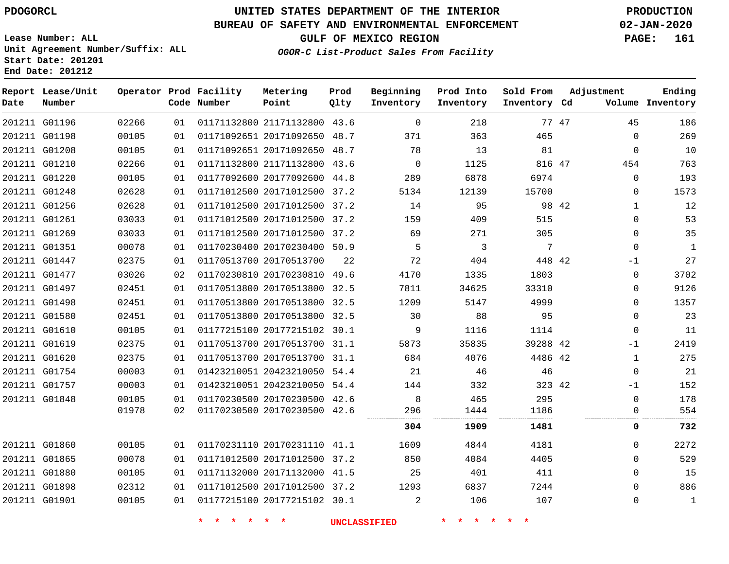G01196

**Date**

**Report Lease/Unit**

**Number**

# **UNITED STATES DEPARTMENT OF THE INTERIOR PDOGORCL PRODUCTION**

**Prod Qlty**

#### **BUREAU OF SAFETY AND ENVIRONMENTAL ENFORCEMENT 02-JAN-2020**

**Lease Number: ALL Unit Agreement Number/Suffix: ALL Start Date: 201201 End Date: 201212**

**Operator Prod Facility**

**Code Number**

21171132800 43.6

**Metering Point**

**OGOR-C List-Product Sales From Facility**

**Prod Into Inventory**

**Beginning Inventory**

**GULF OF MEXICO REGION PAGE: 161**

**Inventory Cd Volume**

**Adjustment**

**Ending**

47

**Sold From Inventory**

| 201211 G01198 | 00105 | 01 | 01171092651 20171092650 48.7 |    | 371      | 363   | 465      | $\Omega$     | 269         |
|---------------|-------|----|------------------------------|----|----------|-------|----------|--------------|-------------|
| 201211 G01208 | 00105 | 01 | 01171092651 20171092650 48.7 |    | 78       | 13    | 81       | $\mathbf 0$  | 10          |
| 201211 G01210 | 02266 | 01 | 01171132800 21171132800 43.6 |    | $\Omega$ | 1125  | 816 47   | 454          | 763         |
| 201211 G01220 | 00105 | 01 | 01177092600 20177092600 44.8 |    | 289      | 6878  | 6974     | $\Omega$     | 193         |
| 201211 G01248 | 02628 | 01 | 01171012500 20171012500 37.2 |    | 5134     | 12139 | 15700    | $\Omega$     | 1573        |
| 201211 G01256 | 02628 | 01 | 01171012500 20171012500 37.2 |    | 14       | 95    | 98 42    | 1            | 12          |
| 201211 G01261 | 03033 | 01 | 01171012500 20171012500 37.2 |    | 159      | 409   | 515      | $\Omega$     | 53          |
| 201211 G01269 | 03033 | 01 | 01171012500 20171012500 37.2 |    | 69       | 271   | 305      | $\Omega$     | 35          |
| 201211 G01351 | 00078 | 01 | 01170230400 20170230400 50.9 |    | 5        | 3     | 7        | $\Omega$     | 1           |
| 201211 G01447 | 02375 | 01 | 01170513700 20170513700      | 22 | 72       | 404   | 448 42   | -1           | 27          |
| 201211 G01477 | 03026 | 02 | 01170230810 20170230810 49.6 |    | 4170     | 1335  | 1803     | 0            | 3702        |
| 201211 G01497 | 02451 | 01 | 01170513800 20170513800 32.5 |    | 7811     | 34625 | 33310    | $\mathbf 0$  | 9126        |
| 201211 G01498 | 02451 | 01 | 01170513800 20170513800 32.5 |    | 1209     | 5147  | 4999     | $\Omega$     | 1357        |
| 201211 G01580 | 02451 | 01 | 01170513800 20170513800 32.5 |    | 30       | 88    | 95       | $\mathbf 0$  | 23          |
| 201211 G01610 | 00105 | 01 | 01177215100 20177215102 30.1 |    | 9        | 1116  | 1114     | $\mathbf 0$  | 11          |
| 201211 G01619 | 02375 | 01 | 01170513700 20170513700 31.1 |    | 5873     | 35835 | 39288 42 | $-1$         | 2419        |
| 201211 G01620 | 02375 | 01 | 01170513700 20170513700 31.1 |    | 684      | 4076  | 4486 42  | $\mathbf{1}$ | 275         |
| 201211 G01754 | 00003 | 01 | 01423210051 20423210050 54.4 |    | 21       | 46    | 46       | $\Omega$     | 21          |
| 201211 G01757 | 00003 | 01 | 01423210051 20423210050 54.4 |    | 144      | 332   | 323 42   | $-1$         | 152         |
| 201211 G01848 | 00105 | 01 | 01170230500 20170230500 42.6 |    | 8        | 465   | 295      | $\Omega$     | 178         |
|               | 01978 | 02 | 01170230500 20170230500 42.6 |    | 296      | 1444  | 1186     | 0            | 554         |
|               |       |    |                              |    | 304      | 1909  | 1481     | 0            | 732         |
| 201211 G01860 | 00105 | 01 | 01170231110 20170231110 41.1 |    | 1609     | 4844  | 4181     | $\mathbf 0$  | 2272        |
| 201211 G01865 | 00078 | 01 | 01171012500 20171012500 37.2 |    | 850      | 4084  | 4405     | $\Omega$     | 529         |
| 201211 G01880 | 00105 | 01 | 01171132000 20171132000 41.5 |    | 25       | 401   | 411      | $\Omega$     | 15          |
| 201211 G01898 | 02312 | 01 | 01171012500 20171012500 37.2 |    | 1293     | 6837  | 7244     | $\Omega$     | 886         |
| 201211 G01901 | 00105 | 01 | 01177215100 20177215102 30.1 |    | 2        | 106   | 107      | $\Omega$     | $\mathbf 1$ |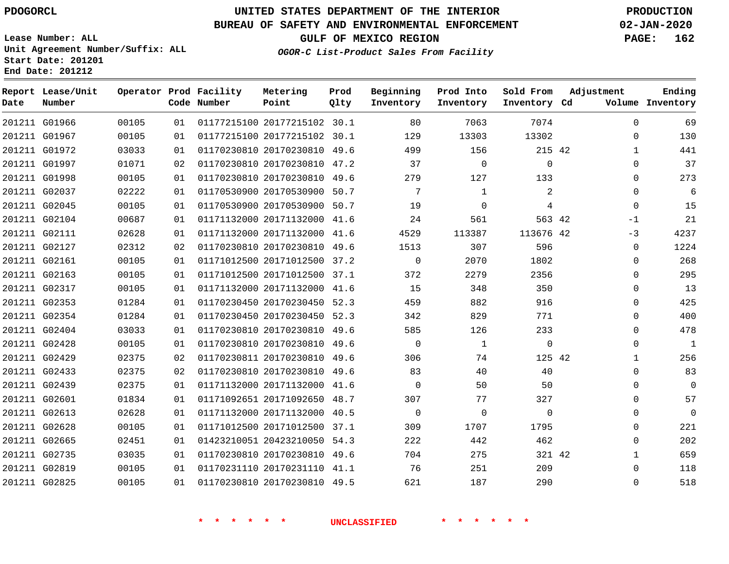### **BUREAU OF SAFETY AND ENVIRONMENTAL ENFORCEMENT 02-JAN-2020**

**Lease Number: ALL Unit Agreement Number/Suffix: ALL Start Date: 201201 End Date: 201212**

**GULF OF MEXICO REGION PAGE: 162**

**OGOR-C List-Product Sales From Facility**

| Date | Report Lease/Unit<br>Number |       |    | Operator Prod Facility<br>Code Number | Metering<br>Point            | Prod<br>Qlty | Beginning<br>Inventory | Prod Into<br>Inventory | Sold From<br>Inventory Cd | Adjustment   | Ending<br>Volume Inventory |
|------|-----------------------------|-------|----|---------------------------------------|------------------------------|--------------|------------------------|------------------------|---------------------------|--------------|----------------------------|
|      | 201211 G01966               | 00105 | 01 |                                       | 01177215100 20177215102 30.1 |              | 80                     | 7063                   | 7074                      | $\Omega$     | 69                         |
|      | 201211 G01967               | 00105 | 01 |                                       | 01177215100 20177215102 30.1 |              | 129                    | 13303                  | 13302                     | $\mathbf 0$  | 130                        |
|      | 201211 G01972               | 03033 | 01 |                                       | 01170230810 20170230810      | 49.6         | 499                    | 156                    | 215 42                    | $\mathbf{1}$ | 441                        |
|      | 201211 G01997               | 01071 | 02 |                                       | 01170230810 20170230810 47.2 |              | 37                     | $\mathbf 0$            | $\overline{0}$            | $\mathbf 0$  | 37                         |
|      | 201211 G01998               | 00105 | 01 |                                       | 01170230810 20170230810 49.6 |              | 279                    | 127                    | 133                       | $\Omega$     | 273                        |
|      | 201211 G02037               | 02222 | 01 |                                       | 01170530900 20170530900 50.7 |              | 7                      | 1                      | 2                         | 0            | 6                          |
|      | 201211 G02045               | 00105 | 01 |                                       | 01170530900 20170530900 50.7 |              | 19                     | $\mathbf 0$            | $\overline{4}$            | $\mathbf 0$  | 15                         |
|      | 201211 G02104               | 00687 | 01 |                                       | 01171132000 20171132000 41.6 |              | 24                     | 561                    | 563 42                    | -1           | 21                         |
|      | 201211 G02111               | 02628 | 01 |                                       | 01171132000 20171132000 41.6 |              | 4529                   | 113387                 | 113676 42                 | $-3$         | 4237                       |
|      | 201211 G02127               | 02312 | 02 |                                       | 01170230810 20170230810 49.6 |              | 1513                   | 307                    | 596                       | $\Omega$     | 1224                       |
|      | 201211 G02161               | 00105 | 01 |                                       | 01171012500 20171012500 37.2 |              | $\Omega$               | 2070                   | 1802                      | $\Omega$     | 268                        |
|      | 201211 G02163               | 00105 | 01 |                                       | 01171012500 20171012500 37.1 |              | 372                    | 2279                   | 2356                      | $\mathbf 0$  | 295                        |
|      | 201211 G02317               | 00105 | 01 |                                       | 01171132000 20171132000 41.6 |              | 15                     | 348                    | 350                       | $\mathbf 0$  | 13                         |
|      | 201211 G02353               | 01284 | 01 |                                       | 01170230450 20170230450 52.3 |              | 459                    | 882                    | 916                       | $\Omega$     | 425                        |
|      | 201211 G02354               | 01284 | 01 |                                       | 01170230450 20170230450 52.3 |              | 342                    | 829                    | 771                       | $\Omega$     | 400                        |
|      | 201211 G02404               | 03033 | 01 |                                       | 01170230810 20170230810 49.6 |              | 585                    | 126                    | 233                       | $\mathbf 0$  | 478                        |
|      | 201211 G02428               | 00105 | 01 |                                       | 01170230810 20170230810 49.6 |              | $\mathbf 0$            | $\mathbf{1}$           | $\mathbf 0$               | $\mathbf 0$  | 1                          |
|      | 201211 G02429               | 02375 | 02 |                                       | 01170230811 20170230810 49.6 |              | 306                    | 74                     | 125 42                    | $\mathbf 1$  | 256                        |
|      | 201211 G02433               | 02375 | 02 |                                       | 01170230810 20170230810 49.6 |              | 83                     | 40                     | 40                        | 0            | 83                         |
|      | 201211 G02439               | 02375 | 01 |                                       | 01171132000 20171132000 41.6 |              | $\Omega$               | 50                     | 50                        | 0            | $\mathbf 0$                |
|      | 201211 G02601               | 01834 | 01 |                                       | 01171092651 20171092650 48.7 |              | 307                    | 77                     | 327                       | 0            | 57                         |
|      | 201211 G02613               | 02628 | 01 |                                       | 01171132000 20171132000 40.5 |              | $\mathbf 0$            | $\Omega$               | $\Omega$                  | $\Omega$     | $\mathbf 0$                |
|      | 201211 G02628               | 00105 | 01 |                                       | 01171012500 20171012500 37.1 |              | 309                    | 1707                   | 1795                      | $\mathbf 0$  | 221                        |
|      | 201211 G02665               | 02451 | 01 |                                       | 01423210051 20423210050 54.3 |              | 222                    | 442                    | 462                       | $\mathbf 0$  | 202                        |
|      | 201211 G02735               | 03035 | 01 |                                       | 01170230810 20170230810 49.6 |              | 704                    | 275                    | 321 42                    | $\mathbf{1}$ | 659                        |
|      | 201211 G02819               | 00105 | 01 |                                       | 01170231110 20170231110 41.1 |              | 76                     | 251                    | 209                       | 0            | 118                        |
|      | 201211 G02825               | 00105 | 01 |                                       | 01170230810 20170230810 49.5 |              | 621                    | 187                    | 290                       | $\Omega$     | 518                        |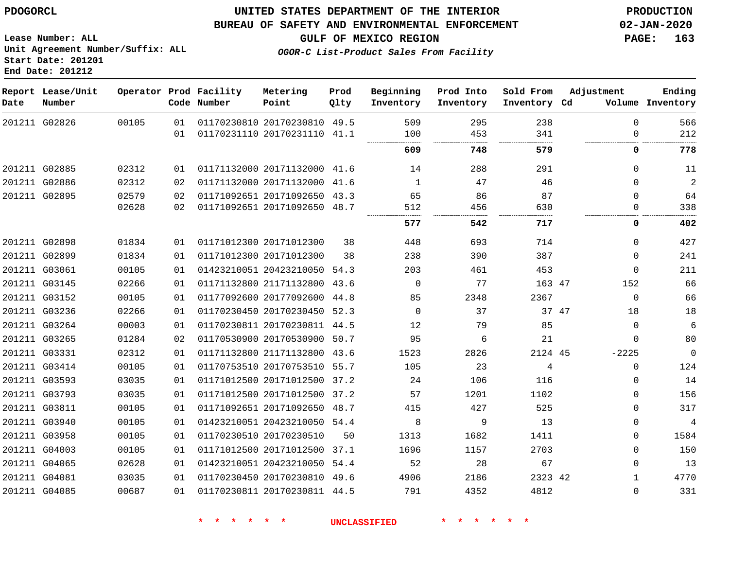**Date**

**Report Lease/Unit**

**Number**

 G03811 G03940 G03958 G04003 G04065 G04081 G04085

## **UNITED STATES DEPARTMENT OF THE INTERIOR PDOGORCL PRODUCTION**

**Prod Qlty**

#### **BUREAU OF SAFETY AND ENVIRONMENTAL ENFORCEMENT 02-JAN-2020**

**Lease Number: ALL Unit Agreement Number/Suffix: ALL Start Date: 201201 End Date: 201212**

**Operator Prod Facility**

**Code Number**

**OGOR-C List-Product Sales From Facility**

**Beginning Inventory** **Prod Into Inventory** **Sold From Inventory**

**Inventory Cd Volume**

**Adjustment**

...............

  $\Omega$ 

 $\Omega$   $\Omega$ 

 $\Omega$  $\Omega$   $\Omega$   $\Omega$  -2225  $\Omega$  $\Omega$  $\Omega$   $\Omega$   $\Omega$   $\Omega$ 

**GULF OF MEXICO REGION PAGE: 163**

 

. . . . . . . . .

**Ending**

. . . . . . . . .

|        | 201211 G02826 | 00105 | 01<br>01 | 01170230810 20170230810<br>01170231110 20170231110 |             | 49.5<br>41.1 | 509<br>100 | 295<br>453 | 238<br>341 |    |
|--------|---------------|-------|----------|----------------------------------------------------|-------------|--------------|------------|------------|------------|----|
|        |               |       |          |                                                    |             |              | 609        | <br>748    | 579        |    |
| 201211 | G02885        | 02312 | 01       | 01171132000 20171132000                            |             | 41.6         | 14         | 288        | 291        |    |
| 201211 | G02886        | 02312 | 02       | 01171132000                                        | 20171132000 | 41.6         |            | 47         | 46         |    |
| 201211 | G02895        | 02579 | 02       | 01171092651 20171092650                            |             | 43.3         | 65         | 86         | 87         |    |
|        |               | 02628 | 02       | 01171092651 20171092650                            |             | 48.7         | 512        | 456        | 630        |    |
|        |               |       |          |                                                    |             |              | <br>577    | .<br>542   | 717        |    |
| 201211 | G02898        | 01834 | 01       | 01171012300 20171012300                            |             | 38           | 448        | 693        | 714        |    |
| 201211 | G02899        | 01834 | 01       | 01171012300 20171012300                            |             | 38           | 238        | 390        | 387        |    |
| 201211 | G03061        | 00105 | 01       | 01423210051 20423210050                            |             | 54.3         | 203        | 461        | 453        |    |
| 201211 | G03145        | 02266 | 01       | 01171132800 21171132800                            |             | 43.6         | $\Omega$   | 77         | 163        | 47 |
| 201211 | G03152        | 00105 | 01       | 01177092600 20177092600                            |             | 44.8         | 85         | 2348       | 2367       |    |
| 201211 | G03236        | 02266 | 01       | 01170230450 20170230450                            |             | 52.3         | $\Omega$   | 37         | 37         | 47 |
| 201211 | G03264        | 00003 | 01       | 01170230811 20170230811                            |             | 44.5         | 12         | 79         | 85         |    |
| 201211 | G03265        | 01284 | 02       | 01170530900 20170530900                            |             | 50.7         | 95         | 6          | 21         |    |
| 201211 | G03331        | 02312 | 01       | 01171132800 21171132800                            |             | 43.6         | 1523       | 2826       | 2124 45    |    |
| 201211 | G03414        | 00105 | 01       | 01170753510 20170753510                            |             | 55.7         | 105        | 23         | 4          |    |
| 201211 | G03593        | 03035 | 01       | 01171012500 20171012500                            |             | 37.2         | 24         | 106        | 116        |    |
| 201211 | G03793        | 03035 | 01       | 01171012500 20171012500                            |             | 37.2         | 57         | 1201       | 1102       |    |
|        |               |       |          |                                                    |             |              |            |            |            |    |

20170230510

 20171092650 48.7 20423210050 54.4

**Metering Point**

 20171012500 37.1 20423210050 54.4 20170230810 49.6 20170230811 44.5

**\* \* \* \* \* \* UNCLASSIFIED \* \* \* \* \* \***

42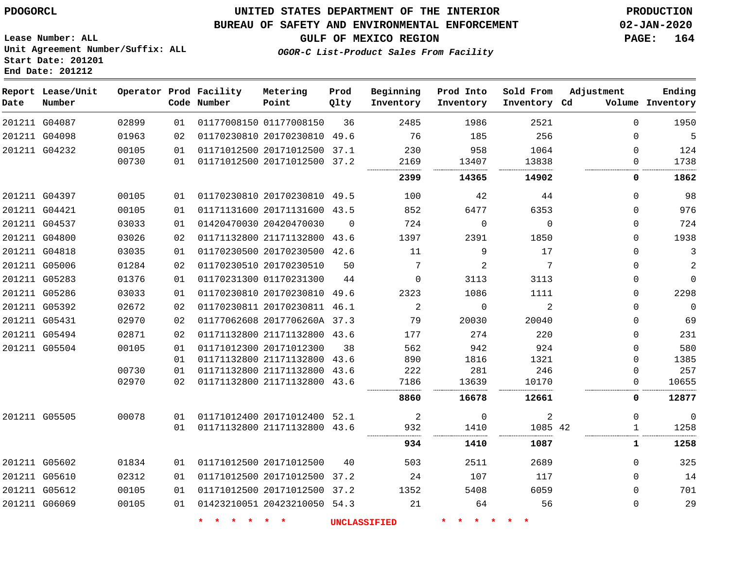**End Date: 201212**

## **UNITED STATES DEPARTMENT OF THE INTERIOR PDOGORCL PRODUCTION**

#### **BUREAU OF SAFETY AND ENVIRONMENTAL ENFORCEMENT 02-JAN-2020**

**Lease Number: ALL Unit Agreement Number/Suffix: ALL Start Date: 201201**

**GULF OF MEXICO REGION PAGE: 164**

**OGOR-C List-Product Sales From Facility**

| Date | Report Lease/Unit<br>Number |       |    | Operator Prod Facility<br>Code Number | Metering<br>Point            | Prod<br>Qlty | Beginning<br>Inventory | Prod Into<br>Inventory | Sold From<br>Inventory Cd | Adjustment | Ending<br>Volume Inventory |
|------|-----------------------------|-------|----|---------------------------------------|------------------------------|--------------|------------------------|------------------------|---------------------------|------------|----------------------------|
|      | 201211 G04087               | 02899 | 01 |                                       | 01177008150 01177008150      | 36           | 2485                   | 1986                   | 2521                      | $\Omega$   | 1950                       |
|      | 201211 G04098               | 01963 | 02 |                                       | 01170230810 20170230810 49.6 |              | 76                     | 185                    | 256                       | $\Omega$   | 5                          |
|      | 201211 G04232               | 00105 | 01 |                                       | 01171012500 20171012500 37.1 |              | 230                    | 958                    | 1064                      | $\Omega$   | 124                        |
|      |                             | 00730 | 01 |                                       | 01171012500 20171012500 37.2 |              | 2169                   | 13407                  | 13838                     | $\Omega$   | 1738                       |
|      |                             |       |    |                                       |                              |              | 2399                   | 14365                  | 14902                     | 0          | 1862                       |
|      | 201211 G04397               | 00105 | 01 |                                       | 01170230810 20170230810 49.5 |              | 100                    | 42                     | 44                        | $\Omega$   | 98                         |
|      | 201211 G04421               | 00105 | 01 |                                       | 01171131600 20171131600 43.5 |              | 852                    | 6477                   | 6353                      | $\Omega$   | 976                        |
|      | 201211 G04537               | 03033 | 01 |                                       | 01420470030 20420470030      | $\Omega$     | 724                    | 0                      | $\Omega$                  | 0          | 724                        |
|      | 201211 G04800               | 03026 | 02 |                                       | 01171132800 21171132800 43.6 |              | 1397                   | 2391                   | 1850                      | 0          | 1938                       |
|      | 201211 G04818               | 03035 | 01 |                                       | 01170230500 20170230500 42.6 |              | 11                     | 9                      | 17                        | $\Omega$   | 3                          |
|      | 201211 G05006               | 01284 | 02 |                                       | 01170230510 20170230510      | 50           | 7                      | 2                      | 7                         | 0          | 2                          |
|      | 201211 G05283               | 01376 | 01 |                                       | 01170231300 01170231300      | 44           | $\Omega$               | 3113                   | 3113                      | $\Omega$   | $\Omega$                   |
|      | 201211 G05286               | 03033 | 01 |                                       | 01170230810 20170230810 49.6 |              | 2323                   | 1086                   | 1111                      | $\Omega$   | 2298                       |
|      | 201211 G05392               | 02672 | 02 |                                       | 01170230811 20170230811 46.1 |              | 2                      | $\mathbf 0$            | 2                         | 0          | $\mathbf 0$                |
|      | 201211 G05431               | 02970 | 02 |                                       | 01177062608 2017706260A 37.3 |              | 79                     | 20030                  | 20040                     | $\Omega$   | 69                         |
|      | 201211 G05494               | 02871 | 02 |                                       | 01171132800 21171132800 43.6 |              | 177                    | 274                    | 220                       | $\Omega$   | 231                        |
|      | 201211 G05504               | 00105 | 01 |                                       | 01171012300 20171012300      | 38           | 562                    | 942                    | 924                       | 0          | 580                        |
|      |                             |       | 01 |                                       | 01171132800 21171132800 43.6 |              | 890                    | 1816                   | 1321                      | $\Omega$   | 1385                       |
|      |                             | 00730 | 01 |                                       | 01171132800 21171132800 43.6 |              | 222                    | 281                    | 246                       | 0          | 257                        |
|      |                             | 02970 | 02 |                                       | 01171132800 21171132800 43.6 |              | 7186<br>.              | 13639<br>              | 10170                     | 0<br>      | 10655                      |
|      |                             |       |    |                                       |                              |              | 8860                   | 16678                  | 12661                     | 0          | 12877                      |
|      | 201211 G05505               | 00078 | 01 |                                       | 01171012400 20171012400 52.1 |              | 2                      | $\Omega$               | 2                         | $\Omega$   | $\mathbf 0$                |
|      |                             |       | 01 |                                       | 01171132800 21171132800 43.6 |              | 932                    | 1410                   | 1085 42                   | 1          | 1258                       |
|      |                             |       |    |                                       |                              |              | 934                    | 1410                   | 1087                      | 1          | 1258                       |
|      | 201211 G05602               | 01834 | 01 |                                       | 01171012500 20171012500      | 40           | 503                    | 2511                   | 2689                      | $\Omega$   | 325                        |
|      | 201211 G05610               | 02312 | 01 |                                       | 01171012500 20171012500 37.2 |              | 24                     | 107                    | 117                       | $\Omega$   | 14                         |
|      | 201211 G05612               | 00105 | 01 |                                       | 01171012500 20171012500 37.2 |              | 1352                   | 5408                   | 6059                      | $\Omega$   | 701                        |
|      | 201211 G06069               | 00105 | 01 |                                       | 01423210051 20423210050 54.3 |              | 21                     | 64                     | 56                        | $\Omega$   | 29                         |
|      |                             |       |    | * * * * * *                           |                              |              | <b>UNCLASSIFIED</b>    | * * *                  | $\star$<br>$\star$        |            |                            |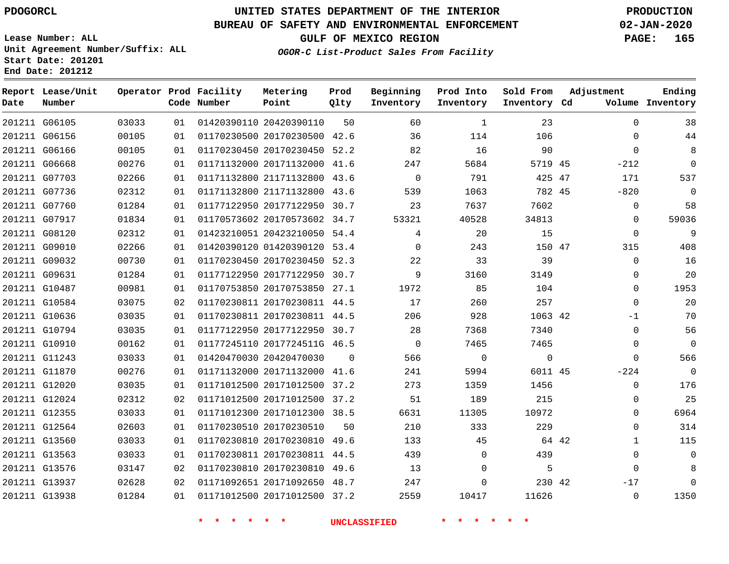**Prod Qlty**

#### **BUREAU OF SAFETY AND ENVIRONMENTAL ENFORCEMENT 02-JAN-2020**

**Lease Number: ALL Unit Agreement Number/Suffix: ALL Start Date: 201201**

> 

**Operator Prod Facility**

**Code Number**

20420390110

20170230500 42.6

**Metering Point**

 

   

**End Date: 201212**

**Report Lease/Unit**

**Number**

 G06105 G06156

**Date**

 G13937 G13938

**GULF OF MEXICO REGION PAGE: 165**

**Inventory Cd Volume**

**Adjustment**

  $\Omega$ 

**Ending**

**OGOR-C List-Product Sales From Facility**

**Beginning Inventory**

> 

 

 

**Sold From Inventory**

**Prod Into Inventory**

| 201211 G06166 | 00105 | 01 |                         | 01170230450 20170230450 52.2 |          | 82       | 16          | 90       | $\Omega$     |  |
|---------------|-------|----|-------------------------|------------------------------|----------|----------|-------------|----------|--------------|--|
| 201211 G06668 | 00276 | 01 |                         | 01171132000 20171132000 41.6 |          | 247      | 5684        | 5719 45  | $-212$       |  |
| 201211 G07703 | 02266 | 01 |                         | 01171132800 21171132800 43.6 |          | $\Omega$ | 791         | 425 47   | 171          |  |
| 201211 G07736 | 02312 | 01 |                         | 01171132800 21171132800 43.6 |          | 539      | 1063        | 782 45   | $-820$       |  |
| 201211 G07760 | 01284 | 01 |                         | 01177122950 20177122950 30.7 |          | 23       | 7637        | 7602     | $\mathbf{0}$ |  |
| 201211 G07917 | 01834 | 01 |                         | 01170573602 20170573602 34.7 |          | 53321    | 40528       | 34813    | $\mathbf 0$  |  |
| 201211 G08120 | 02312 | 01 |                         | 01423210051 20423210050 54.4 |          | 4        | 20          | 15       | $\Omega$     |  |
| 201211 G09010 | 02266 | 01 |                         | 01420390120 01420390120 53.4 |          | $\Omega$ | 243         | 150 47   | 315          |  |
| 201211 G09032 | 00730 | 01 |                         | 01170230450 20170230450 52.3 |          | 22       | 33          | 39       | $\Omega$     |  |
| 201211 G09631 | 01284 | 01 |                         | 01177122950 20177122950 30.7 |          | 9        | 3160        | 3149     | $\Omega$     |  |
| 201211 G10487 | 00981 | 01 |                         | 01170753850 20170753850 27.1 |          | 1972     | 85          | 104      | $\Omega$     |  |
| 201211 G10584 | 03075 | 02 |                         | 01170230811 20170230811 44.5 |          | 17       | 260         | 257      | $\Omega$     |  |
| 201211 G10636 | 03035 | 01 |                         | 01170230811 20170230811 44.5 |          | 206      | 928         | 1063 42  | $-1$         |  |
| 201211 G10794 | 03035 | 01 |                         | 01177122950 20177122950 30.7 |          | 28       | 7368        | 7340     | $\Omega$     |  |
| 201211 G10910 | 00162 | 01 |                         | 01177245110 2017724511G 46.5 |          | $\Omega$ | 7465        | 7465     | $\Omega$     |  |
| 201211 G11243 | 03033 | 01 | 01420470030 20420470030 |                              | $\Omega$ | 566      | $\mathbf 0$ | $\Omega$ | $\Omega$     |  |
| 201211 G11870 | 00276 | 01 |                         | 01171132000 20171132000 41.6 |          | 241      | 5994        | 6011 45  | $-224$       |  |
| 201211 G12020 | 03035 | 01 |                         | 01171012500 20171012500 37.2 |          | 273      | 1359        | 1456     | $\mathbf 0$  |  |
| 201211 G12024 | 02312 | 02 |                         | 01171012500 20171012500 37.2 |          | 51       | 189         | 215      | $\mathbf 0$  |  |
| 201211 G12355 | 03033 | 01 |                         | 01171012300 20171012300 38.5 |          | 6631     | 11305       | 10972    | $\Omega$     |  |
| 201211 G12564 | 02603 | 01 | 01170230510 20170230510 |                              | 50       | 210      | 333         | 229      | $\Omega$     |  |
| 201211 G13560 | 03033 | 01 |                         | 01170230810 20170230810 49.6 |          | 133      | 45          | 64 42    | $\mathbf{1}$ |  |
| 201211 G13563 | 03033 | 01 |                         | 01170230811 20170230811 44.5 |          | 439      | $\Omega$    | 439      | $\Omega$     |  |
| 201211 G13576 | 03147 | 02 |                         | 01170230810 20170230810 49.6 |          | 13       | $\Omega$    | 5        | $\Omega$     |  |

 20171092650 48.7 20171012500 37.2

 

  42

-17  $\Omega$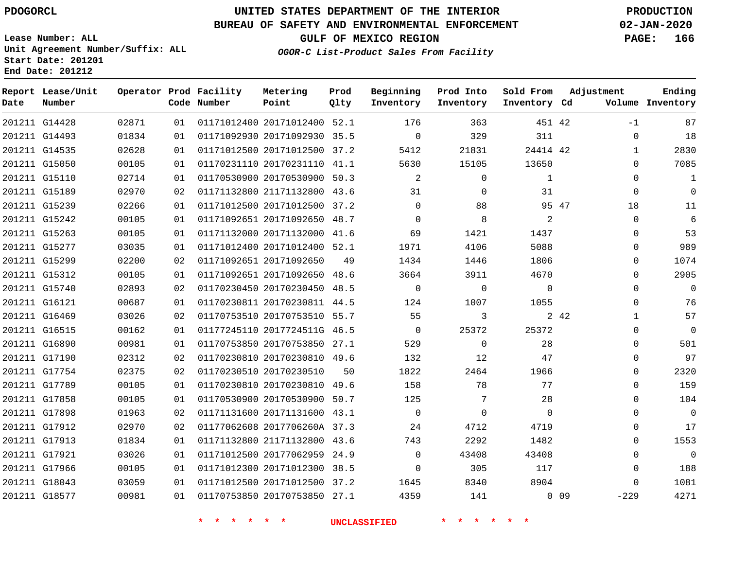### **BUREAU OF SAFETY AND ENVIRONMENTAL ENFORCEMENT 02-JAN-2020**

**Lease Number: ALL Unit Agreement Number/Suffix: ALL Start Date: 201201 End Date: 201212**

**GULF OF MEXICO REGION PAGE: 166**

**OGOR-C List-Product Sales From Facility**

| Date | Report Lease/Unit<br>Number |       |    | Operator Prod Facility<br>Code Number | Metering<br>Point            | Prod<br>Qlty | Beginning<br>Inventory | Prod Into<br>Inventory | Sold From<br>Inventory Cd | Adjustment            | Ending<br>Volume Inventory |
|------|-----------------------------|-------|----|---------------------------------------|------------------------------|--------------|------------------------|------------------------|---------------------------|-----------------------|----------------------------|
|      | 201211 G14428               | 02871 | 01 |                                       | 01171012400 20171012400 52.1 |              | 176                    | 363                    | 451 42                    | $-1$                  | 87                         |
|      | 201211 G14493               | 01834 | 01 |                                       | 01171092930 20171092930 35.5 |              | $\mathbf 0$            | 329                    | 311                       | $\mathbf 0$           | 18                         |
|      | 201211 G14535               | 02628 | 01 |                                       | 01171012500 20171012500 37.2 |              | 5412                   | 21831                  | 24414 42                  | 1                     | 2830                       |
|      | 201211 G15050               | 00105 | 01 |                                       | 01170231110 20170231110 41.1 |              | 5630                   | 15105                  | 13650                     | $\Omega$              | 7085                       |
|      | 201211 G15110               | 02714 | 01 |                                       | 01170530900 20170530900 50.3 |              | 2                      | $\Omega$               | 1                         | $\Omega$              | $\mathbf{1}$               |
|      | 201211 G15189               | 02970 | 02 |                                       | 01171132800 21171132800 43.6 |              | 31                     | $\mathbf 0$            | 31                        | $\mathbf 0$           | $\overline{0}$             |
|      | 201211 G15239               | 02266 | 01 |                                       | 01171012500 20171012500 37.2 |              | $\Omega$               | 88                     | 95 47                     | 18                    | 11                         |
|      | 201211 G15242               | 00105 | 01 |                                       | 01171092651 20171092650      | 48.7         | $\mathbf{0}$           | 8                      | 2                         | $\mathbf 0$           | 6                          |
|      | 201211 G15263               | 00105 | 01 |                                       | 01171132000 20171132000 41.6 |              | 69                     | 1421                   | 1437                      | $\Omega$              | 53                         |
|      | 201211 G15277               | 03035 | 01 |                                       | 01171012400 20171012400 52.1 |              | 1971                   | 4106                   | 5088                      | $\mathbf 0$           | 989                        |
|      | 201211 G15299               | 02200 | 02 |                                       | 01171092651 20171092650      | 49           | 1434                   | 1446                   | 1806                      | $\Omega$              | 1074                       |
|      | 201211 G15312               | 00105 | 01 |                                       | 01171092651 20171092650 48.6 |              | 3664                   | 3911                   | 4670                      | $\Omega$              | 2905                       |
|      | 201211 G15740               | 02893 | 02 |                                       | 01170230450 20170230450 48.5 |              | $\Omega$               | $\Omega$               | $\Omega$                  | $\Omega$              | $\mathbf 0$                |
|      | 201211 G16121               | 00687 | 01 |                                       | 01170230811 20170230811 44.5 |              | 124                    | 1007                   | 1055                      | $\Omega$              | 76                         |
|      | 201211 G16469               | 03026 | 02 |                                       | 01170753510 20170753510 55.7 |              | 55                     | 3                      |                           | 2 4 2<br>$\mathbf{1}$ | 57                         |
|      | 201211 G16515               | 00162 | 01 |                                       | 01177245110 2017724511G 46.5 |              | $\mathbf{0}$           | 25372                  | 25372                     | $\Omega$              | $\overline{0}$             |
|      | 201211 G16890               | 00981 | 01 |                                       | 01170753850 20170753850 27.1 |              | 529                    | $\mathbf 0$            | 28                        | $\Omega$              | 501                        |
|      | 201211 G17190               | 02312 | 02 |                                       | 01170230810 20170230810 49.6 |              | 132                    | 12                     | 47                        | $\Omega$              | 97                         |
|      | 201211 G17754               | 02375 | 02 |                                       | 01170230510 20170230510      | 50           | 1822                   | 2464                   | 1966                      | $\mathbf 0$           | 2320                       |
|      | 201211 G17789               | 00105 | 01 |                                       | 01170230810 20170230810 49.6 |              | 158                    | 78                     | 77                        | $\Omega$              | 159                        |
|      | 201211 G17858               | 00105 | 01 |                                       | 01170530900 20170530900 50.7 |              | 125                    | 7                      | 28                        | $\Omega$              | 104                        |
|      | 201211 G17898               | 01963 | 02 |                                       | 01171131600 20171131600 43.1 |              | $\mathbf{0}$           | $\Omega$               | $\Omega$                  | $\Omega$              | $\overline{0}$             |
|      | 201211 G17912               | 02970 | 02 |                                       | 01177062608 2017706260A 37.3 |              | 24                     | 4712                   | 4719                      | $\Omega$              | 17                         |
|      | 201211 G17913               | 01834 | 01 |                                       | 01171132800 21171132800 43.6 |              | 743                    | 2292                   | 1482                      | $\Omega$              | 1553                       |
|      | 201211 G17921               | 03026 | 01 |                                       | 01171012500 20177062959      | 24.9         | $\mathbf 0$            | 43408                  | 43408                     | $\Omega$              | $\overline{0}$             |
|      | 201211 G17966               | 00105 | 01 |                                       | 01171012300 20171012300 38.5 |              | $\Omega$               | 305                    | 117                       | $\Omega$              | 188                        |
|      | 201211 G18043               | 03059 | 01 |                                       | 01171012500 20171012500 37.2 |              | 1645                   | 8340                   | 8904                      | $\Omega$              | 1081                       |
|      | 201211 G18577               | 00981 | 01 |                                       | 01170753850 20170753850 27.1 |              | 4359                   | 141                    |                           | $0$ 09<br>$-229$      | 4271                       |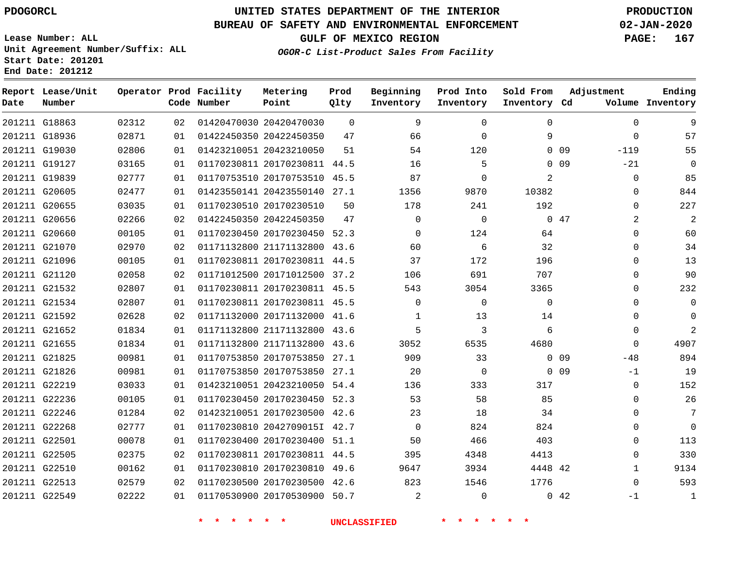**Prod Qlty**

#### **BUREAU OF SAFETY AND ENVIRONMENTAL ENFORCEMENT 02-JAN-2020**

**Lease Number: ALL Unit Agreement Number/Suffix: ALL Start Date: 201201**

> 

**Operator Prod Facility**

**Code Number**

20420470030

**Metering Point**

 

   

**End Date: 201212**

**Report Lease/Unit**

**Number**

G18863

**Date**

 G22513 G22549 **GULF OF MEXICO REGION PAGE: 167**

**Inventory Cd Volume**

**Adjustment**

  $\Omega$ 

 -1

**Ending**

**OGOR-C List-Product Sales From Facility**

**Beginning Inventory**

> 

  $\Omega$   

**Sold From Inventory**

**Prod Into Inventory**

|               | 201211 G18936 | 02871 | 01 | 01422450350 20422450350 |                              | 47 | 66       | $\Omega$    | 9        |                 | $\Omega$       |  |
|---------------|---------------|-------|----|-------------------------|------------------------------|----|----------|-------------|----------|-----------------|----------------|--|
|               | 201211 G19030 | 02806 | 01 | 01423210051 20423210050 |                              | 51 | 54       | 120         |          | 0 <sub>09</sub> | $-119$         |  |
|               | 201211 G19127 | 03165 | 01 |                         | 01170230811 20170230811 44.5 |    | 16       | 5           | $\Omega$ | 09              | $-21$          |  |
|               | 201211 G19839 | 02777 | 01 |                         | 01170753510 20170753510 45.5 |    | 87       | $\Omega$    | 2        |                 | $\Omega$       |  |
|               | 201211 G20605 | 02477 | 01 |                         | 01423550141 20423550140 27.1 |    | 1356     | 9870        | 10382    |                 | 0              |  |
|               | 201211 G20655 | 03035 | 01 | 01170230510 20170230510 |                              | 50 | 178      | 241         | 192      |                 | $\Omega$       |  |
|               | 201211 G20656 | 02266 | 02 | 01422450350 20422450350 |                              | 47 | $\Omega$ | $\mathbf 0$ |          | $0\quad 47$     | $\overline{2}$ |  |
|               | 201211 G20660 | 00105 | 01 |                         | 01170230450 20170230450 52.3 |    | $\Omega$ | 124         | 64       |                 | 0              |  |
|               | 201211 G21070 | 02970 | 02 |                         | 01171132800 21171132800 43.6 |    | 60       | 6           | 32       |                 | 0              |  |
|               | 201211 G21096 | 00105 | 01 |                         | 01170230811 20170230811 44.5 |    | 37       | 172         | 196      |                 | 0              |  |
|               | 201211 G21120 | 02058 | 02 |                         | 01171012500 20171012500 37.2 |    | 106      | 691         | 707      |                 | 0              |  |
|               | 201211 G21532 | 02807 | 01 |                         | 01170230811 20170230811 45.5 |    | 543      | 3054        | 3365     |                 | 0              |  |
|               | 201211 G21534 | 02807 | 01 |                         | 01170230811 20170230811 45.5 |    | $\Omega$ | $\Omega$    | $\Omega$ |                 | $\Omega$       |  |
|               | 201211 G21592 | 02628 | 02 |                         | 01171132000 20171132000 41.6 |    | 1        | 13          | 14       |                 | $\Omega$       |  |
|               | 201211 G21652 | 01834 | 01 |                         | 01171132800 21171132800 43.6 |    | 5        | 3           | 6        |                 | $\Omega$       |  |
|               | 201211 G21655 | 01834 | 01 |                         | 01171132800 21171132800 43.6 |    | 3052     | 6535        | 4680     |                 | $\Omega$       |  |
|               | 201211 G21825 | 00981 | 01 |                         | 01170753850 20170753850 27.1 |    | 909      | 33          |          | 0 <sub>09</sub> | $-48$          |  |
|               | 201211 G21826 | 00981 | 01 |                         | 01170753850 20170753850 27.1 |    | 20       | $\mathbf 0$ |          | $0\quad09$      | $-1$           |  |
|               | 201211 G22219 | 03033 | 01 |                         | 01423210051 20423210050 54.4 |    | 136      | 333         | 317      |                 | 0              |  |
|               | 201211 G22236 | 00105 | 01 |                         | 01170230450 20170230450 52.3 |    | 53       | 58          | 85       |                 | $\Omega$       |  |
|               | 201211 G22246 | 01284 | 02 |                         | 01423210051 20170230500 42.6 |    | 23       | 18          | 34       |                 | $\Omega$       |  |
|               | 201211 G22268 | 02777 | 01 |                         | 01170230810 2042709015I 42.7 |    | $\Omega$ | 824         | 824      |                 | 0              |  |
|               | 201211 G22501 | 00078 | 01 |                         | 01170230400 20170230400 51.1 |    | 50       | 466         | 403      |                 | 0              |  |
|               | 201211 G22505 | 02375 | 02 |                         | 01170230811 20170230811 44.5 |    | 395      | 4348        | 4413     |                 | $\Omega$       |  |
| 201211 G22510 |               | 00162 | 01 |                         | 01170230810 20170230810 49.6 |    | 9647     | 3934        | 4448 42  |                 |                |  |

 20170230500 42.6 20170530900 50.7

 

  $\Omega$ 

42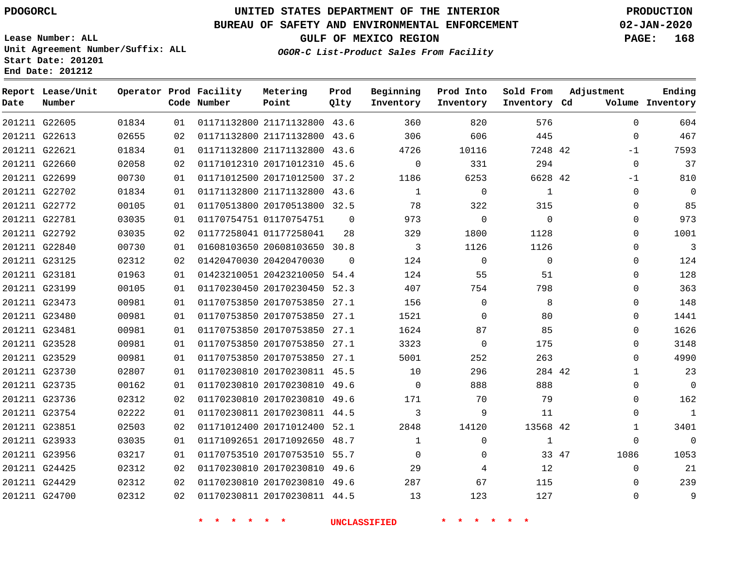#### **BUREAU OF SAFETY AND ENVIRONMENTAL ENFORCEMENT 02-JAN-2020**

**Lease Number: ALL Unit Agreement Number/Suffix: ALL Start Date: 201201 End Date: 201212**

**OGOR-C List-Product Sales From Facility**

**GULF OF MEXICO REGION PAGE: 168**

| Date | Report Lease/Unit<br>Number |       |    | Operator Prod Facility<br>Code Number | Metering<br>Point            | Prod<br>Qlty   | Beginning<br>Inventory | Prod Into<br>Inventory | Sold From<br>Inventory Cd | Adjustment    | Ending<br>Volume Inventory |
|------|-----------------------------|-------|----|---------------------------------------|------------------------------|----------------|------------------------|------------------------|---------------------------|---------------|----------------------------|
|      | 201211 G22605               | 01834 | 01 |                                       | 01171132800 21171132800 43.6 |                | 360                    | 820                    | 576                       |               | $\Omega$<br>604            |
|      | 201211 G22613               | 02655 | 02 |                                       | 01171132800 21171132800 43.6 |                | 306                    | 606                    | 445                       |               | 467<br>$\mathbf 0$         |
|      | 201211 G22621               | 01834 | 01 |                                       | 01171132800 21171132800 43.6 |                | 4726                   | 10116                  | 7248 42                   | $-1$          | 7593                       |
|      | 201211 G22660               | 02058 | 02 |                                       | 01171012310 20171012310 45.6 |                | $\Omega$               | 331                    | 294                       |               | 37<br>$\mathbf 0$          |
|      | 201211 G22699               | 00730 | 01 |                                       | 01171012500 20171012500 37.2 |                | 1186                   | 6253                   | 6628 42                   | $-1$          | 810                        |
|      | 201211 G22702               | 01834 | 01 |                                       | 01171132800 21171132800 43.6 |                | $\mathbf{1}$           | $\mathbf 0$            | 1                         |               | $\mathbf 0$<br>$\mathbf 0$ |
|      | 201211 G22772               | 00105 | 01 |                                       | 01170513800 20170513800 32.5 |                | 78                     | 322                    | 315                       |               | 85<br>$\Omega$             |
|      | 201211 G22781               | 03035 | 01 |                                       | 01170754751 01170754751      | $\overline{0}$ | 973                    | $\mathbf 0$            | $\Omega$                  |               | 973<br>$\Omega$            |
|      | 201211 G22792               | 03035 | 02 |                                       | 01177258041 01177258041      | 28             | 329                    | 1800                   | 1128                      |               | 1001<br>$\Omega$           |
|      | 201211 G22840               | 00730 | 01 |                                       | 01608103650 20608103650 30.8 |                | 3                      | 1126                   | 1126                      |               | 3<br>0                     |
|      | 201211 G23125               | 02312 | 02 |                                       | 01420470030 20420470030      | $\Omega$       | 124                    | $\mathbf 0$            | $\mathbf 0$               |               | 124<br>$\Omega$            |
|      | 201211 G23181               | 01963 | 01 |                                       | 01423210051 20423210050 54.4 |                | 124                    | 55                     | 51                        |               | 128<br>$\Omega$            |
|      | 201211 G23199               | 00105 | 01 |                                       | 01170230450 20170230450 52.3 |                | 407                    | 754                    | 798                       |               | 363<br>$\Omega$            |
|      | 201211 G23473               | 00981 | 01 |                                       | 01170753850 20170753850 27.1 |                | 156                    | $\mathbf 0$            | 8                         |               | 148<br>0                   |
|      | 201211 G23480               | 00981 | 01 |                                       | 01170753850 20170753850 27.1 |                | 1521                   | $\mathbf 0$            | 80                        |               | 1441<br>$\Omega$           |
|      | 201211 G23481               | 00981 | 01 |                                       | 01170753850 20170753850 27.1 |                | 1624                   | 87                     | 85                        |               | 1626<br>$\Omega$           |
|      | 201211 G23528               | 00981 | 01 |                                       | 01170753850 20170753850 27.1 |                | 3323                   | 0                      | 175                       |               | 3148<br>0                  |
|      | 201211 G23529               | 00981 | 01 |                                       | 01170753850 20170753850 27.1 |                | 5001                   | 252                    | 263                       |               | 4990<br>0                  |
|      | 201211 G23730               | 02807 | 01 |                                       | 01170230810 20170230811 45.5 |                | 10                     | 296                    | 284 42                    |               | 23<br>1                    |
|      | 201211 G23735               | 00162 | 01 |                                       | 01170230810 20170230810 49.6 |                | $\mathbf 0$            | 888                    | 888                       |               | $\mathbf 0$<br>$\Omega$    |
|      | 201211 G23736               | 02312 | 02 |                                       | 01170230810 20170230810 49.6 |                | 171                    | 70                     | 79                        |               | 162<br>$\Omega$            |
|      | 201211 G23754               | 02222 | 01 |                                       | 01170230811 20170230811 44.5 |                | 3                      | 9                      | 11                        |               | $\mathbf{1}$<br>0          |
|      | 201211 G23851               | 02503 | 02 |                                       | 01171012400 20171012400 52.1 |                | 2848                   | 14120                  | 13568 42                  |               | 3401<br>1                  |
|      | 201211 G23933               | 03035 | 01 |                                       | 01171092651 20171092650      | 48.7           | $\mathbf{1}$           | $\mathbf 0$            | $\mathbf{1}$              |               | $\Omega$<br>$\Omega$       |
|      | 201211 G23956               | 03217 | 01 |                                       | 01170753510 20170753510 55.7 |                | $\Omega$               | 0                      |                           | 1086<br>33 47 | 1053                       |
|      | 201211 G24425               | 02312 | 02 |                                       | 01170230810 20170230810 49.6 |                | 29                     | 4                      | 12                        |               | 21<br>$\mathbf 0$          |
|      | 201211 G24429               | 02312 | 02 |                                       | 01170230810 20170230810 49.6 |                | 287                    | 67                     | 115                       |               | 239<br>$\Omega$            |
|      | 201211 G24700               | 02312 | 02 |                                       | 01170230811 20170230811 44.5 |                | 13                     | 123                    | 127                       |               | 9<br>$\Omega$              |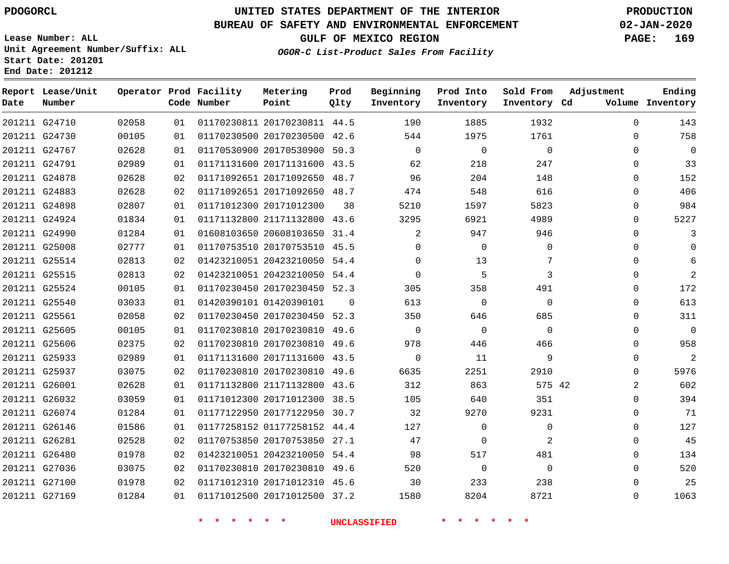### **BUREAU OF SAFETY AND ENVIRONMENTAL ENFORCEMENT 02-JAN-2020**

**Lease Number: ALL Unit Agreement Number/Suffix: ALL Start Date: 201201 End Date: 201212**

**OGOR-C List-Product Sales From Facility**

**GULF OF MEXICO REGION PAGE: 169**

| Date | Report Lease/Unit<br>Number |       |    | Operator Prod Facility<br>Code Number | Metering<br>Point            | Prod<br>Qlty | Beginning<br>Inventory | Prod Into<br>Inventory | Sold From<br>Inventory Cd | Adjustment | Ending<br>Volume Inventory |
|------|-----------------------------|-------|----|---------------------------------------|------------------------------|--------------|------------------------|------------------------|---------------------------|------------|----------------------------|
|      | 201211 G24710               | 02058 | 01 |                                       | 01170230811 20170230811 44.5 |              | 190                    | 1885                   | 1932                      | $\Omega$   | 143                        |
|      | 201211 G24730               | 00105 | 01 |                                       | 01170230500 20170230500 42.6 |              | 544                    | 1975                   | 1761                      | $\Omega$   | 758                        |
|      | 201211 G24767               | 02628 | 01 |                                       | 01170530900 20170530900 50.3 |              | $\Omega$               | $\mathbf 0$            | $\Omega$                  | $\Omega$   | $\mathbf{0}$               |
|      | 201211 G24791               | 02989 | 01 |                                       | 01171131600 20171131600 43.5 |              | 62                     | 218                    | 247                       | $\Omega$   | 33                         |
|      | 201211 G24878               | 02628 | 02 |                                       | 01171092651 20171092650 48.7 |              | 96                     | 204                    | 148                       | $\Omega$   | 152                        |
|      | 201211 G24883               | 02628 | 02 |                                       | 01171092651 20171092650 48.7 |              | 474                    | 548                    | 616                       | $\Omega$   | 406                        |
|      | 201211 G24898               | 02807 | 01 |                                       | 01171012300 20171012300      | 38           | 5210                   | 1597                   | 5823                      | $\Omega$   | 984                        |
|      | 201211 G24924               | 01834 | 01 |                                       | 01171132800 21171132800 43.6 |              | 3295                   | 6921                   | 4989                      | $\Omega$   | 5227                       |
|      | 201211 G24990               | 01284 | 01 |                                       | 01608103650 20608103650 31.4 |              | 2                      | 947                    | 946                       | 0          | 3                          |
|      | 201211 G25008               | 02777 | 01 |                                       | 01170753510 20170753510 45.5 |              | 0                      | $\mathbf 0$            | 0                         | 0          | $\Omega$                   |
|      | 201211 G25514               | 02813 | 02 |                                       | 01423210051 20423210050 54.4 |              | $\Omega$               | 13                     | 7                         | $\Omega$   | 6                          |
|      | 201211 G25515               | 02813 | 02 |                                       | 01423210051 20423210050 54.4 |              | 0                      | 5                      | 3                         | 0          | $\overline{2}$             |
|      | 201211 G25524               | 00105 | 01 |                                       | 01170230450 20170230450 52.3 |              | 305                    | 358                    | 491                       | $\Omega$   | 172                        |
|      | 201211 G25540               | 03033 | 01 |                                       | 01420390101 01420390101      | $\Omega$     | 613                    | $\mathbf 0$            | $\mathbf 0$               | $\Omega$   | 613                        |
|      | 201211 G25561               | 02058 | 02 |                                       | 01170230450 20170230450 52.3 |              | 350                    | 646                    | 685                       | $\Omega$   | 311                        |
|      | 201211 G25605               | 00105 | 01 |                                       | 01170230810 20170230810 49.6 |              | $\Omega$               | $\mathbf 0$            | $\Omega$                  | $\Omega$   | $\Omega$                   |
|      | 201211 G25606               | 02375 | 02 |                                       | 01170230810 20170230810 49.6 |              | 978                    | 446                    | 466                       | $\Omega$   | 958                        |
|      | 201211 G25933               | 02989 | 01 |                                       | 01171131600 20171131600 43.5 |              | $\Omega$               | 11                     | 9                         | $\Omega$   | $\overline{2}$             |
|      | 201211 G25937               | 03075 | 02 |                                       | 01170230810 20170230810 49.6 |              | 6635                   | 2251                   | 2910                      | $\Omega$   | 5976                       |
|      | 201211 G26001               | 02628 | 01 |                                       | 01171132800 21171132800 43.6 |              | 312                    | 863                    | 575 42                    | 2          | 602                        |
|      | 201211 G26032               | 03059 | 01 |                                       | 01171012300 20171012300 38.5 |              | 105                    | 640                    | 351                       | $\Omega$   | 394                        |
|      | 201211 G26074               | 01284 | 01 |                                       | 01177122950 20177122950 30.7 |              | 32                     | 9270                   | 9231                      | 0          | 71                         |
|      | 201211 G26146               | 01586 | 01 |                                       | 01177258152 01177258152 44.4 |              | 127                    | 0                      | 0                         | $\Omega$   | 127                        |
|      | 201211 G26281               | 02528 | 02 |                                       | 01170753850 20170753850 27.1 |              | 47                     | 0                      | 2                         | $\Omega$   | 45                         |
|      | 201211 G26480               | 01978 | 02 |                                       | 01423210051 20423210050 54.4 |              | 98                     | 517                    | 481                       | $\Omega$   | 134                        |
|      | 201211 G27036               | 03075 | 02 |                                       | 01170230810 20170230810 49.6 |              | 520                    | $\mathbf 0$            | $\Omega$                  | $\Omega$   | 520                        |
|      | 201211 G27100               | 01978 | 02 |                                       | 01171012310 20171012310 45.6 |              | 30                     | 233                    | 238                       | $\Omega$   | 25                         |
|      | 201211 G27169               | 01284 | 01 |                                       | 01171012500 20171012500 37.2 |              | 1580                   | 8204                   | 8721                      | $\Omega$   | 1063                       |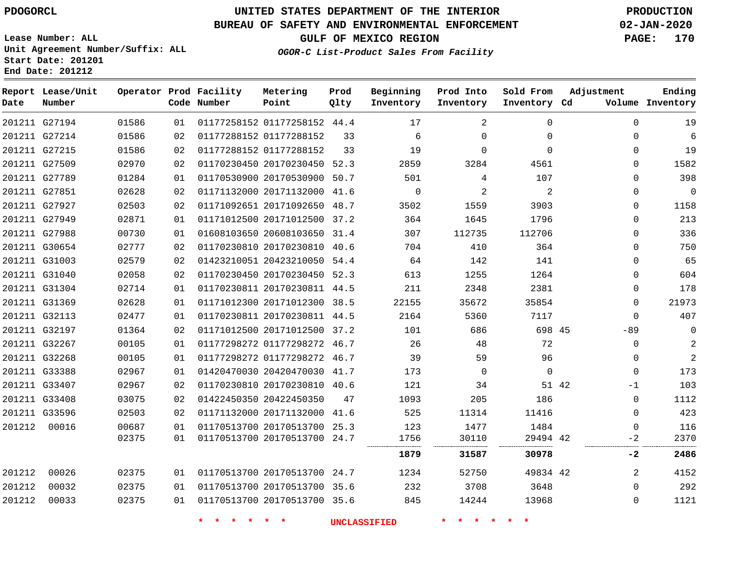### **BUREAU OF SAFETY AND ENVIRONMENTAL ENFORCEMENT 02-JAN-2020**

**Lease Number: ALL Unit Agreement Number/Suffix: ALL Start Date: 201201 End Date: 201212**

**GULF OF MEXICO REGION PAGE: 170**

**OGOR-C List-Product Sales From Facility**

| Date   | Report Lease/Unit<br>Number |       |    | Operator Prod Facility<br>Code Number | Metering<br>Point            | Prod<br>Qlty | Beginning<br>Inventory | Prod Into<br>Inventory | Sold From<br>Inventory Cd | Adjustment   | Ending<br>Volume Inventory |
|--------|-----------------------------|-------|----|---------------------------------------|------------------------------|--------------|------------------------|------------------------|---------------------------|--------------|----------------------------|
|        | 201211 G27194               | 01586 | 01 |                                       | 01177258152 01177258152 44.4 |              | 17                     | 2                      | $\Omega$                  | $\mathbf{0}$ | 19                         |
|        | 201211 G27214               | 01586 | 02 |                                       | 01177288152 01177288152      | 33           | 6                      | $\Omega$               | $\Omega$                  | $\Omega$     | 6                          |
|        | 201211 G27215               | 01586 | 02 |                                       | 01177288152 01177288152      | 33           | 19                     | $\Omega$               | $\Omega$                  | $\Omega$     | 19                         |
|        | 201211 G27509               | 02970 | 02 |                                       | 01170230450 20170230450 52.3 |              | 2859                   | 3284                   | 4561                      | $\mathbf{0}$ | 1582                       |
|        | 201211 G27789               | 01284 | 01 |                                       | 01170530900 20170530900 50.7 |              | 501                    | 4                      | 107                       | $\mathbf{0}$ | 398                        |
|        | 201211 G27851               | 02628 | 02 |                                       | 01171132000 20171132000 41.6 |              | $\mathbf 0$            | 2                      | 2                         | $\mathbf{0}$ | $\mathbf{0}$               |
|        | 201211 G27927               | 02503 | 02 |                                       | 01171092651 20171092650 48.7 |              | 3502                   | 1559                   | 3903                      | $\Omega$     | 1158                       |
|        | 201211 G27949               | 02871 | 01 |                                       | 01171012500 20171012500 37.2 |              | 364                    | 1645                   | 1796                      | $\mathbf{0}$ | 213                        |
|        | 201211 G27988               | 00730 | 01 |                                       | 01608103650 20608103650 31.4 |              | 307                    | 112735                 | 112706                    | $\mathbf{0}$ | 336                        |
|        | 201211 G30654               | 02777 | 02 |                                       | 01170230810 20170230810 40.6 |              | 704                    | 410                    | 364                       | $\mathbf{0}$ | 750                        |
|        | 201211 G31003               | 02579 | 02 |                                       | 01423210051 20423210050 54.4 |              | 64                     | 142                    | 141                       | $\mathbf{0}$ | 65                         |
|        | 201211 G31040               | 02058 | 02 |                                       | 01170230450 20170230450 52.3 |              | 613                    | 1255                   | 1264                      | $\mathbf{0}$ | 604                        |
|        | 201211 G31304               | 02714 | 01 |                                       | 01170230811 20170230811 44.5 |              | 211                    | 2348                   | 2381                      | $\mathbf{0}$ | 178                        |
|        | 201211 G31369               | 02628 | 01 |                                       | 01171012300 20171012300 38.5 |              | 22155                  | 35672                  | 35854                     | 0            | 21973                      |
|        | 201211 G32113               | 02477 | 01 |                                       | 01170230811 20170230811 44.5 |              | 2164                   | 5360                   | 7117                      | $\Omega$     | 407                        |
|        | 201211 G32197               | 01364 | 02 |                                       | 01171012500 20171012500 37.2 |              | 101                    | 686                    | 698 45                    | $-89$        | $\mathbf{0}$               |
|        | 201211 G32267               | 00105 | 01 |                                       | 01177298272 01177298272 46.7 |              | 26                     | 48                     | 72                        | $\mathbf{0}$ | $\overline{2}$             |
|        | 201211 G32268               | 00105 | 01 |                                       | 01177298272 01177298272 46.7 |              | 39                     | 59                     | 96                        | 0            | $\overline{a}$             |
|        | 201211 G33388               | 02967 | 01 |                                       | 01420470030 20420470030 41.7 |              | 173                    | $\Omega$               | $\Omega$                  | 0            | 173                        |
|        | 201211 G33407               | 02967 | 02 |                                       | 01170230810 20170230810 40.6 |              | 121                    | 34                     |                           | 51 42<br>-1  | 103                        |
|        | 201211 G33408               | 03075 | 02 |                                       | 01422450350 20422450350      | 47           | 1093                   | 205                    | 186                       | $\mathbf{0}$ | 1112                       |
|        | 201211 G33596               | 02503 | 02 |                                       | 01171132000 20171132000 41.6 |              | 525                    | 11314                  | 11416                     | 0            | 423                        |
| 201212 | 00016                       | 00687 | 01 |                                       | 01170513700 20170513700 25.3 |              | 123                    | 1477                   | 1484                      | $\mathbf 0$  | 116                        |
|        |                             | 02375 | 01 |                                       | 01170513700 20170513700 24.7 |              | 1756                   | 30110                  | 29494 42                  | $-2$         | 2370                       |
|        |                             |       |    |                                       |                              |              | 1879                   | 31587                  | 30978                     | -2           | 2486                       |
| 201212 | 00026                       | 02375 | 01 |                                       | 01170513700 20170513700 24.7 |              | 1234                   | 52750                  | 49834 42                  | 2            | 4152                       |
| 201212 | 00032                       | 02375 | 01 |                                       | 01170513700 20170513700 35.6 |              | 232                    | 3708                   | 3648                      | 0            | 292                        |
| 201212 | 00033                       | 02375 | 01 |                                       | 01170513700 20170513700 35.6 |              | 845                    | 14244                  | 13968                     | 0            | 1121                       |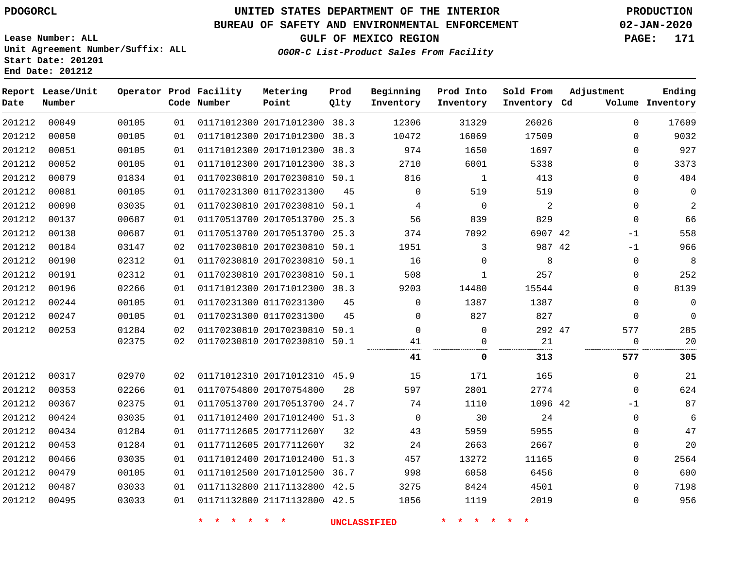## **UNITED STATES DEPARTMENT OF THE INTERIOR PDOGORCL PRODUCTION**

### **BUREAU OF SAFETY AND ENVIRONMENTAL ENFORCEMENT 02-JAN-2020**

**Lease Number: ALL Unit Agreement Number/Suffix: ALL Start Date: 201201**

**End Date: 201212**

**GULF OF MEXICO REGION PAGE: 171**

**OGOR-C List-Product Sales From Facility**

| Date   | Report Lease/Unit<br>Number |       |    | Operator Prod Facility<br>Code Number | Metering<br>Point            | Prod<br>Qlty | Beginning<br>Inventory | Prod Into<br>Inventory | Sold From<br>Inventory Cd | Adjustment  | Ending<br>Volume Inventory |
|--------|-----------------------------|-------|----|---------------------------------------|------------------------------|--------------|------------------------|------------------------|---------------------------|-------------|----------------------------|
| 201212 | 00049                       | 00105 | 01 |                                       | 01171012300 20171012300 38.3 |              | 12306                  | 31329                  | 26026                     | $\Omega$    | 17609                      |
| 201212 | 00050                       | 00105 | 01 |                                       | 01171012300 20171012300 38.3 |              | 10472                  | 16069                  | 17509                     | $\mathbf 0$ | 9032                       |
| 201212 | 00051                       | 00105 | 01 |                                       | 01171012300 20171012300 38.3 |              | 974                    | 1650                   | 1697                      | $\mathbf 0$ | 927                        |
| 201212 | 00052                       | 00105 | 01 |                                       | 01171012300 20171012300      | 38.3         | 2710                   | 6001                   | 5338                      | $\mathbf 0$ | 3373                       |
| 201212 | 00079                       | 01834 | 01 |                                       | 01170230810 20170230810 50.1 |              | 816                    | $\mathbf{1}$           | 413                       | $\mathbf 0$ | 404                        |
| 201212 | 00081                       | 00105 | 01 |                                       | 01170231300 01170231300      | 45           | $\Omega$               | 519                    | 519                       | $\mathbf 0$ | $\mathbf 0$                |
| 201212 | 00090                       | 03035 | 01 |                                       | 01170230810 20170230810 50.1 |              | 4                      | $\mathbf 0$            | 2                         | $\mathbf 0$ | $\overline{2}$             |
| 201212 | 00137                       | 00687 | 01 |                                       | 01170513700 20170513700 25.3 |              | 56                     | 839                    | 829                       | $\mathbf 0$ | 66                         |
| 201212 | 00138                       | 00687 | 01 |                                       | 01170513700 20170513700 25.3 |              | 374                    | 7092                   | 6907 42                   | $-1$        | 558                        |
| 201212 | 00184                       | 03147 | 02 |                                       | 01170230810 20170230810 50.1 |              | 1951                   | 3                      | 987 42                    | $-1$        | 966                        |
| 201212 | 00190                       | 02312 | 01 |                                       | 01170230810 20170230810 50.1 |              | 16                     | $\Omega$               | 8                         | $\mathbf 0$ | 8                          |
| 201212 | 00191                       | 02312 | 01 |                                       | 01170230810 20170230810 50.1 |              | 508                    | 1                      | 257                       | 0           | 252                        |
| 201212 | 00196                       | 02266 | 01 |                                       | 01171012300 20171012300 38.3 |              | 9203                   | 14480                  | 15544                     | $\mathbf 0$ | 8139                       |
| 201212 | 00244                       | 00105 | 01 |                                       | 01170231300 01170231300      | 45           | $\Omega$               | 1387                   | 1387                      | $\mathbf 0$ | $\mathbf 0$                |
| 201212 | 00247                       | 00105 | 01 |                                       | 01170231300 01170231300      | 45           | $\Omega$               | 827                    | 827                       | $\Omega$    | $\Omega$                   |
| 201212 | 00253                       | 01284 | 02 |                                       | 01170230810 20170230810 50.1 |              | $\Omega$               | $\mathbf 0$            | 292 47                    | 577         | 285                        |
|        |                             | 02375 | 02 |                                       | 01170230810 20170230810 50.1 |              | 41                     | $\mathbf{0}$           | 21                        | $\mathbf 0$ | 20                         |
|        |                             |       |    |                                       |                              |              | 41                     | 0                      | 313                       | 577         | 305                        |
| 201212 | 00317                       | 02970 | 02 |                                       | 01171012310 20171012310 45.9 |              | 15                     | 171                    | 165                       | 0           | 21                         |
| 201212 | 00353                       | 02266 | 01 |                                       | 01170754800 20170754800      | 28           | 597                    | 2801                   | 2774                      | $\mathbf 0$ | 624                        |
| 201212 | 00367                       | 02375 | 01 |                                       | 01170513700 20170513700 24.7 |              | 74                     | 1110                   | 1096 42                   | $-1$        | 87                         |
| 201212 | 00424                       | 03035 | 01 |                                       | 01171012400 20171012400 51.3 |              | $\mathbf 0$            | 30                     | 24                        | $\mathbf 0$ | 6                          |
| 201212 | 00434                       | 01284 | 01 |                                       | 01177112605 2017711260Y      | 32           | 43                     | 5959                   | 5955                      | $\mathbf 0$ | 47                         |
| 201212 | 00453                       | 01284 | 01 |                                       | 01177112605 2017711260Y      | 32           | 24                     | 2663                   | 2667                      | $\mathbf 0$ | 20                         |
| 201212 | 00466                       | 03035 | 01 |                                       | 01171012400 20171012400      | 51.3         | 457                    | 13272                  | 11165                     | $\mathbf 0$ | 2564                       |
| 201212 | 00479                       | 00105 | 01 |                                       | 01171012500 20171012500 36.7 |              | 998                    | 6058                   | 6456                      | $\mathbf 0$ | 600                        |
| 201212 | 00487                       | 03033 | 01 |                                       | 01171132800 21171132800 42.5 |              | 3275                   | 8424                   | 4501                      | $\mathbf 0$ | 7198                       |
| 201212 | 00495                       | 03033 | 01 |                                       | 01171132800 21171132800 42.5 |              | 1856                   | 1119                   | 2019                      | $\mathbf 0$ | 956                        |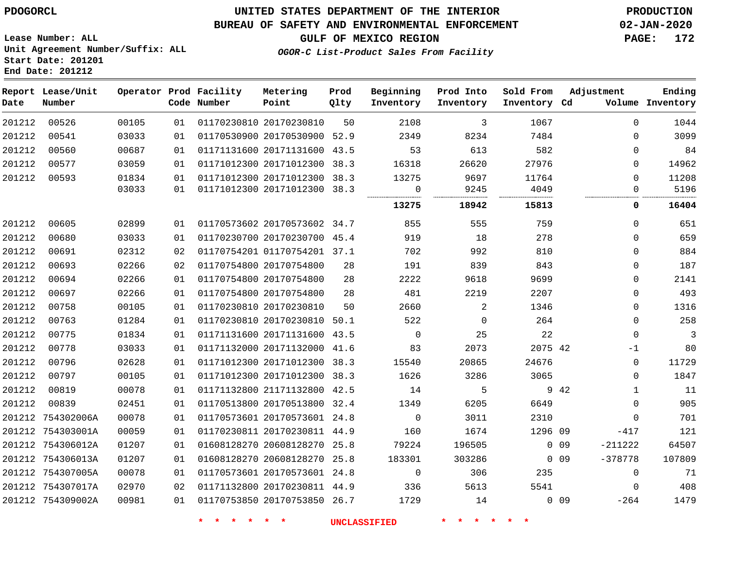#### **BUREAU OF SAFETY AND ENVIRONMENTAL ENFORCEMENT 02-JAN-2020**

**Lease Number: ALL Unit Agreement Number/Suffix: ALL Start Date: 201201 End Date: 201212**

**GULF OF MEXICO REGION PAGE: 172**

**OGOR-C List-Product Sales From Facility**

| Date   | Report Lease/Unit<br>Number |       |    | Operator Prod Facility<br>Code Number | Metering<br>Point            | Prod<br>Qlty | Beginning<br>Inventory | Prod Into<br>Inventory | Sold From<br>Inventory Cd | Adjustment           | Ending<br>Volume Inventory |
|--------|-----------------------------|-------|----|---------------------------------------|------------------------------|--------------|------------------------|------------------------|---------------------------|----------------------|----------------------------|
| 201212 | 00526                       | 00105 | 01 |                                       | 01170230810 20170230810      | 50           | 2108                   | 3                      | 1067                      | $\Omega$             | 1044                       |
| 201212 | 00541                       | 03033 | 01 |                                       | 01170530900 20170530900 52.9 |              | 2349                   | 8234                   | 7484                      | $\Omega$             | 3099                       |
| 201212 | 00560                       | 00687 | 01 |                                       | 01171131600 20171131600 43.5 |              | 53                     | 613                    | 582                       | $\Omega$             | 84                         |
| 201212 | 00577                       | 03059 | 01 |                                       | 01171012300 20171012300 38.3 |              | 16318                  | 26620                  | 27976                     | 0                    | 14962                      |
| 201212 | 00593                       | 01834 | 01 |                                       | 01171012300 20171012300 38.3 |              | 13275                  | 9697                   | 11764                     | 0                    | 11208                      |
|        |                             | 03033 | 01 |                                       | 01171012300 20171012300 38.3 |              | $\mathbf 0$<br>        | 9245                   | 4049                      | $\Omega$<br>         | 5196                       |
|        |                             |       |    |                                       |                              |              | 13275                  | 18942                  | 15813                     | 0                    | 16404                      |
| 201212 | 00605                       | 02899 | 01 |                                       | 01170573602 20170573602 34.7 |              | 855                    | 555                    | 759                       | $\Omega$             | 651                        |
| 201212 | 00680                       | 03033 | 01 |                                       | 01170230700 20170230700 45.4 |              | 919                    | 18                     | 278                       | $\Omega$             | 659                        |
| 201212 | 00691                       | 02312 | 02 |                                       | 01170754201 01170754201 37.1 |              | 702                    | 992                    | 810                       | 0                    | 884                        |
| 201212 | 00693                       | 02266 | 02 |                                       | 01170754800 20170754800      | 28           | 191                    | 839                    | 843                       | 0                    | 187                        |
| 201212 | 00694                       | 02266 | 01 |                                       | 01170754800 20170754800      | 28           | 2222                   | 9618                   | 9699                      | 0                    | 2141                       |
| 201212 | 00697                       | 02266 | 01 |                                       | 01170754800 20170754800      | 28           | 481                    | 2219                   | 2207                      | 0                    | 493                        |
| 201212 | 00758                       | 00105 | 01 |                                       | 01170230810 20170230810      | 50           | 2660                   | 2                      | 1346                      | 0                    | 1316                       |
| 201212 | 00763                       | 01284 | 01 |                                       | 01170230810 20170230810 50.1 |              | 522                    | $\mathbf 0$            | 264                       | $\mathbf 0$          | 258                        |
| 201212 | 00775                       | 01834 | 01 |                                       | 01171131600 20171131600 43.5 |              | $\mathbf 0$            | 25                     | 22                        | $\mathbf 0$          | $\overline{3}$             |
| 201212 | 00778                       | 03033 | 01 |                                       | 01171132000 20171132000 41.6 |              | 83                     | 2073                   | 2075 42                   | $-1$                 | 80                         |
| 201212 | 00796                       | 02628 | 01 |                                       | 01171012300 20171012300 38.3 |              | 15540                  | 20865                  | 24676                     | $\mathbf 0$          | 11729                      |
| 201212 | 00797                       | 00105 | 01 |                                       | 01171012300 20171012300 38.3 |              | 1626                   | 3286                   | 3065                      | 0                    | 1847                       |
| 201212 | 00819                       | 00078 | 01 |                                       | 01171132800 21171132800 42.5 |              | 14                     | 5                      |                           | 9 42<br>$\mathbf{1}$ | 11                         |
| 201212 | 00839                       | 02451 | 01 |                                       | 01170513800 20170513800 32.4 |              | 1349                   | 6205                   | 6649                      | $\mathbf 0$          | 905                        |
|        | 201212 754302006A           | 00078 | 01 |                                       | 01170573601 20170573601 24.8 |              | $\mathbf 0$            | 3011                   | 2310                      | $\Omega$             | 701                        |
|        | 201212 754303001A           | 00059 | 01 |                                       | 01170230811 20170230811 44.9 |              | 160                    | 1674                   | 1296 09                   | $-417$               | 121                        |
|        | 201212 754306012A           | 01207 | 01 |                                       | 01608128270 20608128270 25.8 |              | 79224                  | 196505                 |                           | $0$ 09<br>$-211222$  | 64507                      |
|        | 201212 754306013A           | 01207 | 01 |                                       | 01608128270 20608128270 25.8 |              | 183301                 | 303286                 |                           | $-378778$<br>$0$ 09  | 107809                     |
|        | 201212 754307005A           | 00078 | 01 |                                       | 01170573601 20170573601 24.8 |              | $\mathbf 0$            | 306                    | 235                       | $\mathbf 0$          | 71                         |
|        | 201212 754307017A           | 02970 | 02 |                                       | 01171132800 20170230811 44.9 |              | 336                    | 5613                   | 5541                      | $\mathbf 0$          | 408                        |
|        | 201212 754309002A           | 00981 | 01 |                                       | 01170753850 20170753850 26.7 |              | 1729                   | 14                     |                           | $0$ 09<br>$-264$     | 1479                       |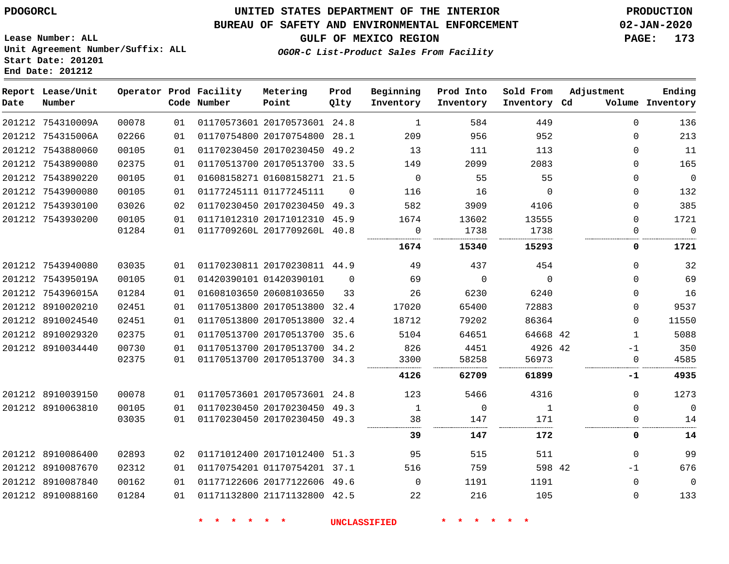**Date**

## **UNITED STATES DEPARTMENT OF THE INTERIOR PDOGORCL PRODUCTION**

**Prod Qlty**

**Metering Point**

#### **BUREAU OF SAFETY AND ENVIRONMENTAL ENFORCEMENT 02-JAN-2020**

**Lease Number: ALL Unit Agreement Number/Suffix: ALL Start Date: 201201**

**Operator Prod Facility**

**End Date: 201212**

**Report Lease/Unit**

**Number**

**GULF OF MEXICO REGION PAGE: 173**

**Adjustment**

**Ending**

**OGOR-C List-Product Sales From Facility**

**Beginning Inventory** **Prod Into Inventory**

**Sold From Inventory**

| Date | Number            |       |    | Code Number | Point                        | Qlty     | Inventory   | Inventory   | Inventory Cd |              | Volume Inventory |
|------|-------------------|-------|----|-------------|------------------------------|----------|-------------|-------------|--------------|--------------|------------------|
|      | 201212 754310009A | 00078 | 01 |             | 01170573601 20170573601 24.8 |          | 1           | 584         | 449          | $\Omega$     | 136              |
|      | 201212 754315006A | 02266 | 01 |             | 01170754800 20170754800 28.1 |          | 209         | 956         | 952          | 0            | 213              |
|      | 201212 7543880060 | 00105 | 01 |             | 01170230450 20170230450 49.2 |          | 13          | 111         | 113          | $\Omega$     | 11               |
|      | 201212 7543890080 | 02375 | 01 |             | 01170513700 20170513700 33.5 |          | 149         | 2099        | 2083         | $\Omega$     | 165              |
|      | 201212 7543890220 | 00105 | 01 |             | 01608158271 01608158271 21.5 |          | $\mathbf 0$ | 55          | 55           | $\Omega$     | $\mathbf 0$      |
|      | 201212 7543900080 | 00105 | 01 |             | 01177245111 01177245111      | $\Omega$ | 116         | 16          | $\Omega$     | $\Omega$     | 132              |
|      | 201212 7543930100 | 03026 | 02 |             | 01170230450 20170230450 49.3 |          | 582         | 3909        | 4106         | 0            | 385              |
|      | 201212 7543930200 | 00105 | 01 |             | 01171012310 20171012310 45.9 |          | 1674        | 13602       | 13555        | $\Omega$     | 1721             |
|      |                   | 01284 | 01 |             | 0117709260L 2017709260L 40.8 |          | 0           | 1738        | 1738         |              | $\Omega$         |
|      |                   |       |    |             |                              |          | 1674        | 15340       | 15293        | 0            | 1721             |
|      | 201212 7543940080 | 03035 | 01 |             | 01170230811 20170230811 44.9 |          | 49          | 437         | 454          | 0            | 32               |
|      | 201212 754395019A | 00105 | 01 |             | 01420390101 01420390101      | $\Omega$ | 69          | $\Omega$    | $\Omega$     | $\Omega$     | 69               |
|      | 201212 754396015A | 01284 | 01 |             | 01608103650 20608103650      | 33       | 26          | 6230        | 6240         | $\Omega$     | 16               |
|      | 201212 8910020210 | 02451 | 01 |             | 01170513800 20170513800      | 32.4     | 17020       | 65400       | 72883        | $\Omega$     | 9537             |
|      | 201212 8910024540 | 02451 | 01 |             | 01170513800 20170513800 32.4 |          | 18712       | 79202       | 86364        | $\Omega$     | 11550            |
|      | 201212 8910029320 | 02375 | 01 |             | 01170513700 20170513700      | 35.6     | 5104        | 64651       | 64668 42     | $\mathbf{1}$ | 5088             |
|      | 201212 8910034440 | 00730 | 01 |             | 01170513700 20170513700 34.2 |          | 826         | 4451        | 4926 42      | $-1$         | 350              |
|      |                   | 02375 | 01 |             | 01170513700 20170513700 34.3 |          | 3300        | 58258       | 56973        | 0            | 4585             |
|      |                   |       |    |             |                              |          | 4126        | 62709       | 61899        | -1           | 4935             |
|      | 201212 8910039150 | 00078 | 01 |             | 01170573601 20170573601 24.8 |          | 123         | 5466        | 4316         | $\Omega$     | 1273             |
|      | 201212 8910063810 | 00105 | 01 |             | 01170230450 20170230450 49.3 |          | 1           | $\mathbf 0$ | 1            | $\Omega$     | 0                |
|      |                   | 03035 | 01 |             | 01170230450 20170230450 49.3 |          | 38          | 147         | 171          | 0            | 14               |
|      |                   |       |    |             |                              |          | 39          | 147         | 172          | 0            | 14               |
|      | 201212 8910086400 | 02893 | 02 |             | 01171012400 20171012400 51.3 |          | 95          | 515         | 511          | $\mathbf{0}$ | 99               |
|      | 201212 8910087670 | 02312 | 01 |             | 01170754201 01170754201 37.1 |          | 516         | 759         | 598 42       | $-1$         | 676              |
|      | 201212 8910087840 | 00162 | 01 |             | 01177122606 20177122606 49.6 |          | $\Omega$    | 1191        | 1191         | $\Omega$     | 0                |
|      | 201212 8910088160 | 01284 | 01 |             | 01171132800 21171132800 42.5 |          | 22          | 216         | 105          | $\Omega$     | 133              |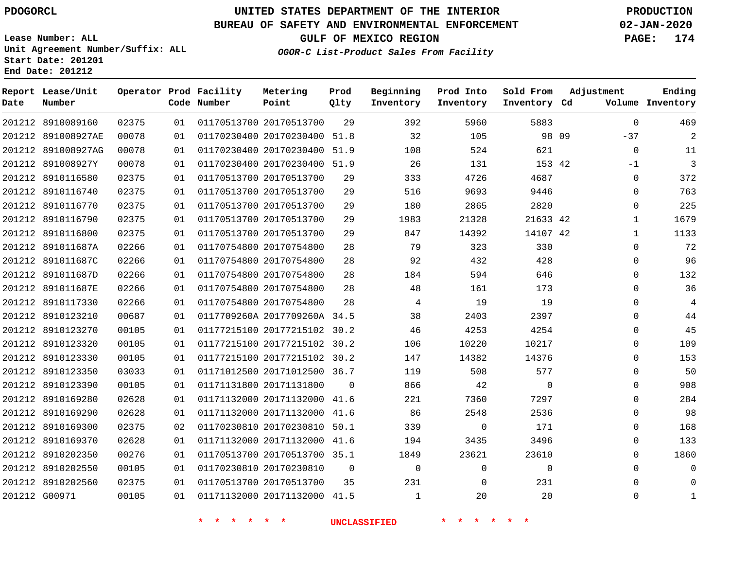### **BUREAU OF SAFETY AND ENVIRONMENTAL ENFORCEMENT 02-JAN-2020**

**Lease Number: ALL Unit Agreement Number/Suffix: ALL Start Date: 201201 End Date: 201212**

**OGOR-C List-Product Sales From Facility**

**GULF OF MEXICO REGION PAGE: 174**

| Date          | Report Lease/Unit<br>Number |       |    | Operator Prod Facility<br>Code Number | Metering<br>Point            | Prod<br>Qlty | Beginning<br>Inventory | Prod Into<br>Inventory | Sold From<br>Inventory Cd | Adjustment     | Ending<br>Volume Inventory |
|---------------|-----------------------------|-------|----|---------------------------------------|------------------------------|--------------|------------------------|------------------------|---------------------------|----------------|----------------------------|
|               | 201212 8910089160           | 02375 | 01 |                                       | 01170513700 20170513700      | 29           | 392                    | 5960                   | 5883                      | $\Omega$       | 469                        |
|               | 201212 891008927AE          | 00078 | 01 |                                       | 01170230400 20170230400      | 51.8         | 32                     | 105                    |                           | 98 09<br>$-37$ | $\overline{2}$             |
|               | 201212 891008927AG          | 00078 | 01 |                                       | 01170230400 20170230400      | 51.9         | 108                    | 524                    | 621                       | $\mathbf 0$    | 11                         |
|               | 201212 891008927Y           | 00078 | 01 |                                       | 01170230400 20170230400      | 51.9         | 26                     | 131                    | 153 42                    | -1             | 3                          |
|               | 201212 8910116580           | 02375 | 01 |                                       | 01170513700 20170513700      | 29           | 333                    | 4726                   | 4687                      | $\Omega$       | 372                        |
|               | 201212 8910116740           | 02375 | 01 |                                       | 01170513700 20170513700      | 29           | 516                    | 9693                   | 9446                      | $\mathbf{0}$   | 763                        |
|               | 201212 8910116770           | 02375 | 01 |                                       | 01170513700 20170513700      | 29           | 180                    | 2865                   | 2820                      | $\mathbf 0$    | 225                        |
|               | 201212 8910116790           | 02375 | 01 |                                       | 01170513700 20170513700      | 29           | 1983                   | 21328                  | 21633 42                  | $\mathbf{1}$   | 1679                       |
|               | 201212 8910116800           | 02375 | 01 |                                       | 01170513700 20170513700      | 29           | 847                    | 14392                  | 14107 42                  | 1              | 1133                       |
|               | 201212 891011687A           | 02266 | 01 |                                       | 01170754800 20170754800      | 28           | 79                     | 323                    | 330                       | 0              | 72                         |
|               | 201212 891011687C           | 02266 | 01 |                                       | 01170754800 20170754800      | 28           | 92                     | 432                    | 428                       | $\mathbf{0}$   | 96                         |
|               | 201212 891011687D           | 02266 | 01 |                                       | 01170754800 20170754800      | 28           | 184                    | 594                    | 646                       | 0              | 132                        |
|               | 201212 891011687E           | 02266 | 01 |                                       | 01170754800 20170754800      | 28           | 48                     | 161                    | 173                       | 0              | 36                         |
|               | 201212 8910117330           | 02266 | 01 |                                       | 01170754800 20170754800      | 28           | 4                      | 19                     | 19                        | 0              | $\overline{4}$             |
|               | 201212 8910123210           | 00687 | 01 |                                       | 0117709260A 2017709260A 34.5 |              | 38                     | 2403                   | 2397                      | $\Omega$       | 44                         |
|               | 201212 8910123270           | 00105 | 01 |                                       | 01177215100 20177215102 30.2 |              | 46                     | 4253                   | 4254                      | $\mathbf 0$    | 45                         |
|               | 201212 8910123320           | 00105 | 01 |                                       | 01177215100 20177215102 30.2 |              | 106                    | 10220                  | 10217                     | $\Omega$       | 109                        |
|               | 201212 8910123330           | 00105 | 01 |                                       | 01177215100 20177215102 30.2 |              | 147                    | 14382                  | 14376                     | 0              | 153                        |
|               | 201212 8910123350           | 03033 | 01 |                                       | 01171012500 20171012500 36.7 |              | 119                    | 508                    | 577                       | $\mathbf 0$    | 50                         |
|               | 201212 8910123390           | 00105 | 01 |                                       | 01171131800 20171131800      | $\Omega$     | 866                    | 42                     | $\mathbf 0$               | $\mathbf{0}$   | 908                        |
|               | 201212 8910169280           | 02628 | 01 |                                       | 01171132000 20171132000      | 41.6         | 221                    | 7360                   | 7297                      | $\Omega$       | 284                        |
|               | 201212 8910169290           | 02628 | 01 |                                       | 01171132000 20171132000      | 41.6         | 86                     | 2548                   | 2536                      | $\Omega$       | 98                         |
|               | 201212 8910169300           | 02375 | 02 |                                       | 01170230810 20170230810      | 50.1         | 339                    | 0                      | 171                       | $\mathbf 0$    | 168                        |
|               | 201212 8910169370           | 02628 | 01 |                                       | 01171132000 20171132000 41.6 |              | 194                    | 3435                   | 3496                      | $\mathbf 0$    | 133                        |
|               | 201212 8910202350           | 00276 | 01 |                                       | 01170513700 20170513700 35.1 |              | 1849                   | 23621                  | 23610                     | 0              | 1860                       |
|               | 201212 8910202550           | 00105 | 01 |                                       | 01170230810 20170230810      | $\mathbf 0$  | $\mathbf 0$            | 0                      | $\Omega$                  | $\Omega$       | $\mathbf 0$                |
|               | 201212 8910202560           | 02375 | 01 |                                       | 01170513700 20170513700      | 35           | 231                    | $\mathbf 0$            | 231                       | 0              | 0                          |
| 201212 G00971 |                             | 00105 | 01 |                                       | 01171132000 20171132000 41.5 |              | 1                      | 20                     | 20                        | $\mathbf 0$    | 1                          |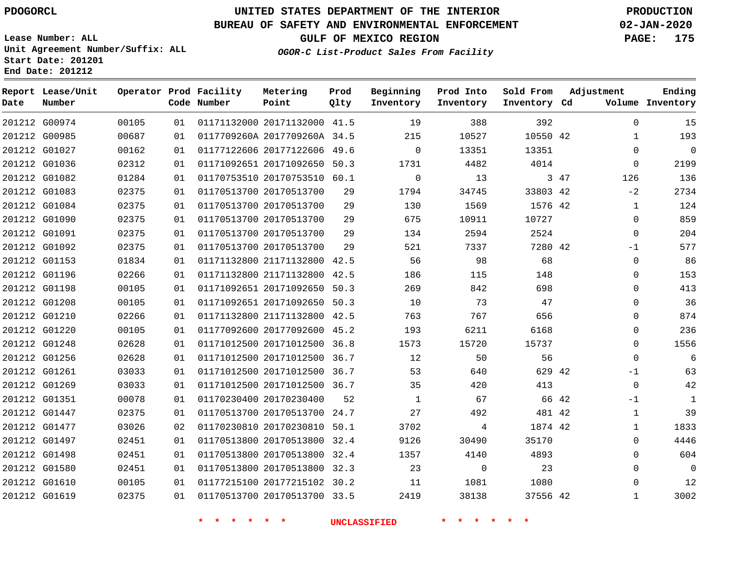### **BUREAU OF SAFETY AND ENVIRONMENTAL ENFORCEMENT 02-JAN-2020**

**Lease Number: ALL Unit Agreement Number/Suffix: ALL Start Date: 201201 End Date: 201212**

**GULF OF MEXICO REGION PAGE: 175**

**OGOR-C List-Product Sales From Facility**

| Date | Report Lease/Unit<br>Number |       |    | Operator Prod Facility<br>Code Number | Metering<br>Point            | Prod<br>Qlty | Beginning<br>Inventory | Prod Into<br>Inventory | Sold From<br>Inventory Cd | Adjustment |              | Ending<br>Volume Inventory |
|------|-----------------------------|-------|----|---------------------------------------|------------------------------|--------------|------------------------|------------------------|---------------------------|------------|--------------|----------------------------|
|      | 201212 G00974               | 00105 | 01 |                                       | 01171132000 20171132000 41.5 |              | 19                     | 388                    | 392                       |            | $\Omega$     | 15                         |
|      | 201212 G00985               | 00687 | 01 |                                       | 0117709260A 2017709260A 34.5 |              | 215                    | 10527                  | 10550 42                  |            | 1            | 193                        |
|      | 201212 G01027               | 00162 | 01 |                                       | 01177122606 20177122606 49.6 |              | $\Omega$               | 13351                  | 13351                     |            | $\Omega$     | $\mathbf 0$                |
|      | 201212 G01036               | 02312 | 01 |                                       | 01171092651 20171092650 50.3 |              | 1731                   | 4482                   | 4014                      |            | $\mathbf 0$  | 2199                       |
|      | 201212 G01082               | 01284 | 01 |                                       | 01170753510 20170753510 60.1 |              | $\mathbf 0$            | 13                     |                           | 3 47       | 126          | 136                        |
|      | 201212 G01083               | 02375 | 01 |                                       | 01170513700 20170513700      | 29           | 1794                   | 34745                  | 33803 42                  |            | $-2$         | 2734                       |
|      | 201212 G01084               | 02375 | 01 |                                       | 01170513700 20170513700      | 29           | 130                    | 1569                   | 1576 42                   |            | 1            | 124                        |
|      | 201212 G01090               | 02375 | 01 |                                       | 01170513700 20170513700      | 29           | 675                    | 10911                  | 10727                     |            | $\mathbf 0$  | 859                        |
|      | 201212 G01091               | 02375 | 01 |                                       | 01170513700 20170513700      | 29           | 134                    | 2594                   | 2524                      |            | $\mathbf 0$  | 204                        |
|      | 201212 G01092               | 02375 | 01 |                                       | 01170513700 20170513700      | 29           | 521                    | 7337                   | 7280 42                   |            | $-1$         | 577                        |
|      | 201212 G01153               | 01834 | 01 |                                       | 01171132800 21171132800 42.5 |              | 56                     | 98                     | 68                        |            | $\mathbf 0$  | 86                         |
|      | 201212 G01196               | 02266 | 01 |                                       | 01171132800 21171132800      | 42.5         | 186                    | 115                    | 148                       |            | $\mathbf 0$  | 153                        |
|      | 201212 G01198               | 00105 | 01 |                                       | 01171092651 20171092650 50.3 |              | 269                    | 842                    | 698                       |            | 0            | 413                        |
|      | 201212 G01208               | 00105 | 01 |                                       | 01171092651 20171092650 50.3 |              | 10                     | 73                     | 47                        |            | $\Omega$     | 36                         |
|      | 201212 G01210               | 02266 | 01 |                                       | 01171132800 21171132800 42.5 |              | 763                    | 767                    | 656                       |            | $\mathbf 0$  | 874                        |
|      | 201212 G01220               | 00105 | 01 |                                       | 01177092600 20177092600 45.2 |              | 193                    | 6211                   | 6168                      |            | $\mathbf 0$  | 236                        |
|      | 201212 G01248               | 02628 | 01 |                                       | 01171012500 20171012500 36.8 |              | 1573                   | 15720                  | 15737                     |            | $\Omega$     | 1556                       |
|      | 201212 G01256               | 02628 | 01 |                                       | 01171012500 20171012500 36.7 |              | 12                     | 50                     | 56                        |            | $\mathbf 0$  | 6                          |
|      | 201212 G01261               | 03033 | 01 |                                       | 01171012500 20171012500 36.7 |              | 53                     | 640                    | 629 42                    |            | $-1$         | 63                         |
|      | 201212 G01269               | 03033 | 01 |                                       | 01171012500 20171012500 36.7 |              | 35                     | 420                    | 413                       |            | $\mathbf 0$  | 42                         |
|      | 201212 G01351               | 00078 | 01 |                                       | 01170230400 20170230400      | 52           | 1                      | 67                     |                           | 66 42      | $-1$         | 1                          |
|      | 201212 G01447               | 02375 | 01 |                                       | 01170513700 20170513700      | 24.7         | 27                     | 492                    | 481 42                    |            | 1            | 39                         |
|      | 201212 G01477               | 03026 | 02 |                                       | 01170230810 20170230810      | 50.1         | 3702                   | 4                      | 1874 42                   |            | 1            | 1833                       |
|      | 201212 G01497               | 02451 | 01 |                                       | 01170513800 20170513800      | 32.4         | 9126                   | 30490                  | 35170                     |            | $\Omega$     | 4446                       |
|      | 201212 G01498               | 02451 | 01 |                                       | 01170513800 20170513800      | 32.4         | 1357                   | 4140                   | 4893                      |            | $\mathbf 0$  | 604                        |
|      | 201212 G01580               | 02451 | 01 |                                       | 01170513800 20170513800 32.3 |              | 23                     | $\Omega$               | 23                        |            | $\Omega$     | $\Omega$                   |
|      | 201212 G01610               | 00105 | 01 |                                       | 01177215100 20177215102 30.2 |              | 11                     | 1081                   | 1080                      |            | 0            | 12                         |
|      | 201212 G01619               | 02375 | 01 |                                       | 01170513700 20170513700 33.5 |              | 2419                   | 38138                  | 37556 42                  |            | $\mathbf{1}$ | 3002                       |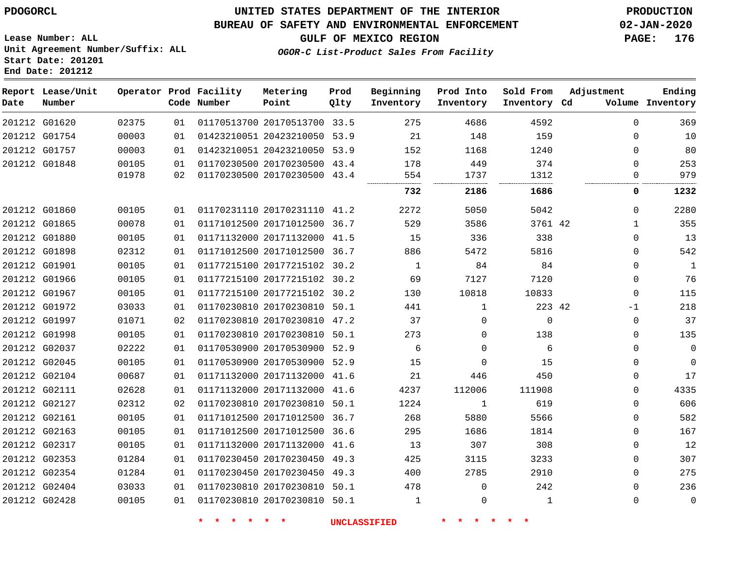**End Date: 201212**

## **UNITED STATES DEPARTMENT OF THE INTERIOR PDOGORCL PRODUCTION**

#### **BUREAU OF SAFETY AND ENVIRONMENTAL ENFORCEMENT 02-JAN-2020**

**Lease Number: ALL Unit Agreement Number/Suffix: ALL Start Date: 201201**

**GULF OF MEXICO REGION PAGE: 176**

**OGOR-C List-Product Sales From Facility**

| Date | Report Lease/Unit<br>Number |                |          | Operator Prod Facility<br>Code Number | Metering<br>Point                                            | Prod<br>Qlty | Beginning<br>Inventory | Prod Into<br>Inventory | Sold From<br>Inventory Cd | Adjustment           | Ending<br>Volume Inventory |
|------|-----------------------------|----------------|----------|---------------------------------------|--------------------------------------------------------------|--------------|------------------------|------------------------|---------------------------|----------------------|----------------------------|
|      | 201212 G01620               | 02375          | 01       |                                       | 01170513700 20170513700 33.5                                 |              | 275                    | 4686                   | 4592                      | $\mathbf 0$          | 369                        |
|      | 201212 G01754               | 00003          | 01       |                                       | 01423210051 20423210050 53.9                                 |              | 21                     | 148                    | 159                       | 0                    | 10                         |
|      | 201212 G01757               | 00003          | 01       |                                       | 01423210051 20423210050 53.9                                 |              | 152                    | 1168                   | 1240                      | $\Omega$             | 80                         |
|      | 201212 G01848               | 00105<br>01978 | 01<br>02 |                                       | 01170230500 20170230500 43.4<br>01170230500 20170230500 43.4 |              | 178<br>554             | 449<br>1737            | 374<br>1312               | $\Omega$<br>$\Omega$ | 253<br>979                 |
|      |                             |                |          |                                       |                                                              |              | 732                    | 2186                   | 1686                      | 0                    | 1232                       |
|      | 201212 G01860               | 00105          | 01       |                                       | 01170231110 20170231110 41.2                                 |              | 2272                   | 5050                   | 5042                      | $\mathbf{0}$         | 2280                       |
|      | 201212 G01865               | 00078          | 01       |                                       | 01171012500 20171012500 36.7                                 |              | 529                    | 3586                   | 3761 42                   | $\mathbf{1}$         | 355                        |
|      | 201212 G01880               | 00105          | 01       |                                       | 01171132000 20171132000 41.5                                 |              | 15                     | 336                    | 338                       | $\Omega$             | 13                         |
|      | 201212 G01898               | 02312          | 01       |                                       | 01171012500 20171012500 36.7                                 |              | 886                    | 5472                   | 5816                      | $\Omega$             | 542                        |
|      | 201212 G01901               | 00105          | 01       |                                       | 01177215100 20177215102 30.2                                 |              | 1                      | 84                     | 84                        | 0                    | $\mathbf{1}$               |
|      | 201212 G01966               | 00105          | 01       |                                       | 01177215100 20177215102 30.2                                 |              | 69                     | 7127                   | 7120                      | 0                    | 76                         |
|      | 201212 G01967               | 00105          | 01       |                                       | 01177215100 20177215102 30.2                                 |              | 130                    | 10818                  | 10833                     | $\mathbf 0$          | 115                        |
|      | 201212 G01972               | 03033          | 01       |                                       | 01170230810 20170230810 50.1                                 |              | 441                    | $\mathbf 1$            | 223 42                    | $-1$                 | 218                        |
|      | 201212 G01997               | 01071          | 02       |                                       | 01170230810 20170230810 47.2                                 |              | 37                     | $\mathbf 0$            | $\mathbf 0$               | $\mathbf 0$          | 37                         |
|      | 201212 G01998               | 00105          | 01       |                                       | 01170230810 20170230810 50.1                                 |              | 273                    | 0                      | 138                       | 0                    | 135                        |
|      | 201212 G02037               | 02222          | 01       |                                       | 01170530900 20170530900 52.9                                 |              | 6                      | $\Omega$               | 6                         | $\Omega$             | 0                          |
|      | 201212 G02045               | 00105          | 01       |                                       | 01170530900 20170530900 52.9                                 |              | 15                     | $\Omega$               | 15                        | $\Omega$             | 0                          |
|      | 201212 G02104               | 00687          | 01       |                                       | 01171132000 20171132000 41.6                                 |              | 21                     | 446                    | 450                       | $\Omega$             | 17                         |
|      | 201212 G02111               | 02628          | 01       |                                       | 01171132000 20171132000 41.6                                 |              | 4237                   | 112006                 | 111908                    | $\Omega$             | 4335                       |
|      | 201212 G02127               | 02312          | 02       |                                       | 01170230810 20170230810 50.1                                 |              | 1224                   | 1                      | 619                       | $\Omega$             | 606                        |
|      | 201212 G02161               | 00105          | 01       |                                       | 01171012500 20171012500 36.7                                 |              | 268                    | 5880                   | 5566                      | $\Omega$             | 582                        |
|      | 201212 G02163               | 00105          | 01       |                                       | 01171012500 20171012500 36.6                                 |              | 295                    | 1686                   | 1814                      | $\Omega$             | 167                        |
|      | 201212 G02317               | 00105          | 01       |                                       | 01171132000 20171132000 41.6                                 |              | 13                     | 307                    | 308                       | 0                    | 12                         |
|      | 201212 G02353               | 01284          | 01       |                                       | 01170230450 20170230450 49.3                                 |              | 425                    | 3115                   | 3233                      | $\Omega$             | 307                        |
|      | 201212 G02354               | 01284          | 01       |                                       | 01170230450 20170230450 49.3                                 |              | 400                    | 2785                   | 2910                      | $\Omega$             | 275                        |
|      | 201212 G02404               | 03033          | 01       |                                       | 01170230810 20170230810 50.1                                 |              | 478                    | $\Omega$               | 242                       | $\Omega$             | 236                        |
|      | 201212 G02428               | 00105          | 01       |                                       | 01170230810 20170230810 50.1                                 |              | $\mathbf{1}$           | $\mathbf 0$            | 1                         | $\Omega$             | $\mathbf 0$                |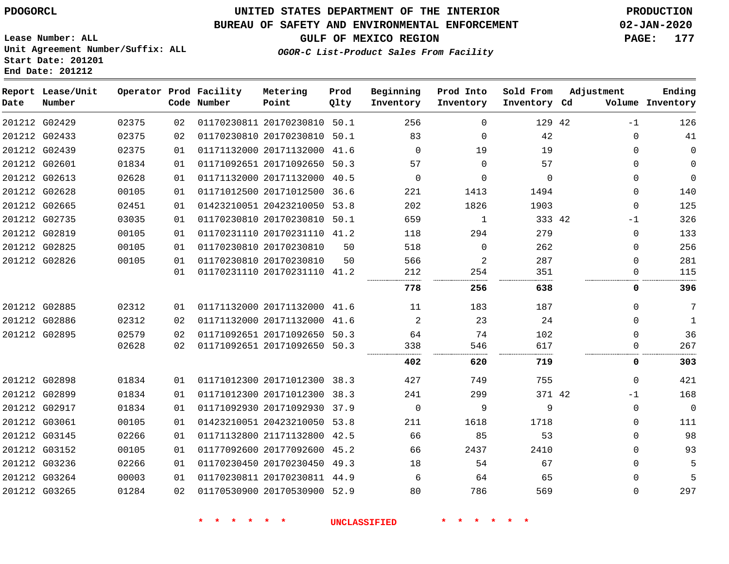**Lease Number: ALL**

# **UNITED STATES DEPARTMENT OF THE INTERIOR PDOGORCL PRODUCTION**

### **BUREAU OF SAFETY AND ENVIRONMENTAL ENFORCEMENT 02-JAN-2020**

**GULF OF MEXICO REGION PAGE: 177**

**OGOR-C List-Product Sales From Facility**

**Unit Agreement Number/Suffix: ALL Start Date: 201201 End Date: 201212**

| Date          | Report Lease/Unit<br>Number |       |    | Operator Prod Facility<br>Code Number | Metering<br>Point            | Prod<br>Qlty | Beginning<br>Inventory | Prod Into<br>Inventory | Sold From<br>Inventory Cd | Adjustment  | Ending<br>Volume Inventory |
|---------------|-----------------------------|-------|----|---------------------------------------|------------------------------|--------------|------------------------|------------------------|---------------------------|-------------|----------------------------|
| 201212 G02429 |                             | 02375 | 02 |                                       | 01170230811 20170230810      | 50.1         | 256                    | $\Omega$               | 129 42                    | $-1$        | 126                        |
| 201212 G02433 |                             | 02375 | 02 |                                       | 01170230810 20170230810 50.1 |              | 83                     | $\Omega$               | 42                        | $\Omega$    | 41                         |
| 201212 G02439 |                             | 02375 | 01 |                                       | 01171132000 20171132000      | 41.6         | $\Omega$               | 19                     | 19                        | $\Omega$    | $\mathbf 0$                |
| 201212 G02601 |                             | 01834 | 01 |                                       | 01171092651 20171092650      | 50.3         | 57                     | $\Omega$               | 57                        | 0           | $\mathbf{0}$               |
| 201212 G02613 |                             | 02628 | 01 |                                       | 01171132000 20171132000      | 40.5         | $\mathbf 0$            | $\Omega$               | $\mathbf 0$               | $\mathbf 0$ | $\mathbf 0$                |
| 201212 G02628 |                             | 00105 | 01 |                                       | 01171012500 20171012500      | 36.6         | 221                    | 1413                   | 1494                      | $\mathbf 0$ | 140                        |
|               | 201212 G02665               | 02451 | 01 |                                       | 01423210051 20423210050      | 53.8         | 202                    | 1826                   | 1903                      | $\mathbf 0$ | 125                        |
| 201212 G02735 |                             | 03035 | 01 |                                       | 01170230810 20170230810      | 50.1         | 659                    | 1                      | 333 42                    | $-1$        | 326                        |
| 201212 G02819 |                             | 00105 | 01 |                                       | 01170231110 20170231110 41.2 |              | 118                    | 294                    | 279                       | 0           | 133                        |
| 201212 G02825 |                             | 00105 | 01 |                                       | 01170230810 20170230810      | 50           | 518                    | $\mathbf 0$            | 262                       | $\mathbf 0$ | 256                        |
|               | 201212 G02826               | 00105 | 01 |                                       | 01170230810 20170230810      | 50           | 566                    | 2                      | 287                       | $\Omega$    | 281                        |
|               |                             |       | 01 |                                       | 01170231110 20170231110 41.2 |              | 212<br>.               | 254                    | 351<br>.                  | $\Omega$    | 115                        |
|               |                             |       |    |                                       |                              |              | 778                    | 256                    | 638                       | 0           | 396                        |
|               | 201212 G02885               | 02312 | 01 |                                       | 01171132000 20171132000 41.6 |              | 11                     | 183                    | 187                       | 0           | 7                          |
|               | 201212 G02886               | 02312 | 02 |                                       | 01171132000 20171132000      | 41.6         | 2                      | 23                     | 24                        | $\Omega$    | 1                          |
|               | 201212 G02895               | 02579 | 02 |                                       | 01171092651 20171092650 50.3 |              | 64                     | 74                     | 102                       | $\Omega$    | 36                         |
|               |                             | 02628 | 02 |                                       | 01171092651 20171092650 50.3 |              | 338                    | 546                    | 617                       | $\Omega$    | 267                        |
|               |                             |       |    |                                       |                              |              | 402                    | 620                    | 719                       | 0           | 303                        |
| 201212 G02898 |                             | 01834 | 01 |                                       | 01171012300 20171012300 38.3 |              | 427                    | 749                    | 755                       | $\mathbf 0$ | 421                        |
| 201212 G02899 |                             | 01834 | 01 |                                       | 01171012300 20171012300      | 38.3         | 241                    | 299                    | 371 42                    | $-1$        | 168                        |
| 201212 G02917 |                             | 01834 | 01 |                                       | 01171092930 20171092930      | 37.9         | $\mathbf 0$            | 9                      | 9                         | $\mathbf 0$ | $\mathbf 0$                |
| 201212 G03061 |                             | 00105 | 01 |                                       | 01423210051 20423210050 53.8 |              | 211                    | 1618                   | 1718                      | $\Omega$    | 111                        |
|               | 201212 G03145               | 02266 | 01 |                                       | 01171132800 21171132800      | 42.5         | 66                     | 85                     | 53                        | $\mathbf 0$ | 98                         |
|               | 201212 G03152               | 00105 | 01 |                                       | 01177092600 20177092600      | 45.2         | 66                     | 2437                   | 2410                      | $\mathbf 0$ | 93                         |
| 201212 G03236 |                             | 02266 | 01 |                                       | 01170230450 20170230450 49.3 |              | 18                     | 54                     | 67                        | $\mathbf 0$ | 5                          |
|               | 201212 G03264               | 00003 | 01 |                                       | 01170230811 20170230811 44.9 |              | 6                      | 64                     | 65                        | $\Omega$    | 5                          |
| 201212 G03265 |                             | 01284 | 02 |                                       | 01170530900 20170530900 52.9 |              | 80                     | 786                    | 569                       | $\Omega$    | 297                        |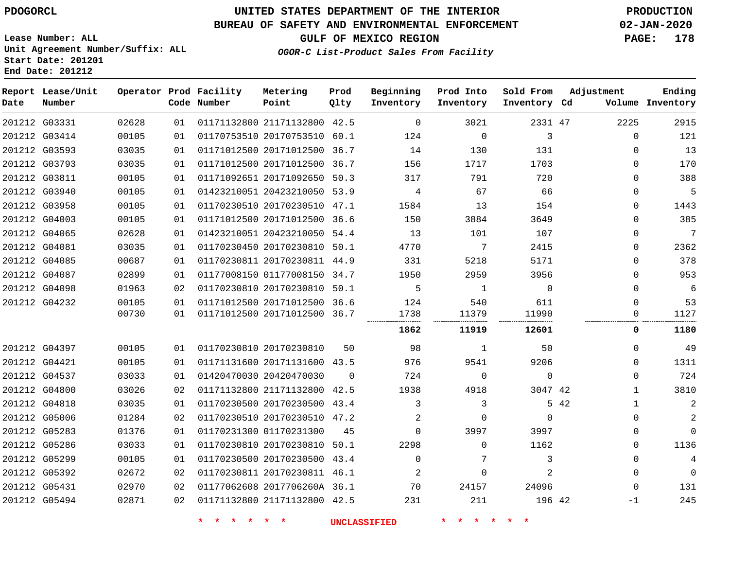**End Date: 201212**

# **UNITED STATES DEPARTMENT OF THE INTERIOR PDOGORCL PRODUCTION**

### **BUREAU OF SAFETY AND ENVIRONMENTAL ENFORCEMENT 02-JAN-2020**

**Lease Number: ALL Unit Agreement Number/Suffix: ALL Start Date: 201201**

### **OGOR-C List-Product Sales From Facility**

**GULF OF MEXICO REGION PAGE: 178**

| Date | Report Lease/Unit<br>Number |       |    | Operator Prod Facility<br>Code Number | Metering<br>Point            | Prod<br>Qlty | Beginning<br>Inventory | Prod Into<br>Inventory | Sold From<br>Inventory Cd | Adjustment           | Ending<br>Volume Inventory |
|------|-----------------------------|-------|----|---------------------------------------|------------------------------|--------------|------------------------|------------------------|---------------------------|----------------------|----------------------------|
|      | 201212 G03331               | 02628 | 01 |                                       | 01171132800 21171132800 42.5 |              | $\overline{0}$         | 3021                   | 2331 47                   | 2225                 | 2915                       |
|      | 201212 G03414               | 00105 | 01 |                                       | 01170753510 20170753510 60.1 |              | 124                    | 0                      | 3                         | $\mathbf{0}$         | 121                        |
|      | 201212 G03593               | 03035 | 01 |                                       | 01171012500 20171012500 36.7 |              | 14                     | 130                    | 131                       | $\Omega$             | 13                         |
|      | 201212 G03793               | 03035 | 01 |                                       | 01171012500 20171012500 36.7 |              | 156                    | 1717                   | 1703                      | $\mathbf 0$          | 170                        |
|      | 201212 G03811               | 00105 | 01 |                                       | 01171092651 20171092650 50.3 |              | 317                    | 791                    | 720                       | $\Omega$             | 388                        |
|      | 201212 G03940               | 00105 | 01 |                                       | 01423210051 20423210050 53.9 |              | $4\overline{ }$        | 67                     | 66                        | $\Omega$             | 5                          |
|      | 201212 G03958               | 00105 | 01 |                                       | 01170230510 20170230510 47.1 |              | 1584                   | 13                     | 154                       | $\Omega$             | 1443                       |
|      | 201212 G04003               | 00105 | 01 |                                       | 01171012500 20171012500 36.6 |              | 150                    | 3884                   | 3649                      | $\Omega$             | 385                        |
|      | 201212 G04065               | 02628 | 01 |                                       | 01423210051 20423210050 54.4 |              | 13                     | 101                    | 107                       | $\mathbf 0$          | 7                          |
|      | 201212 G04081               | 03035 | 01 |                                       | 01170230450 20170230810 50.1 |              | 4770                   | $7\phantom{.0}$        | 2415                      | $\Omega$             | 2362                       |
|      | 201212 G04085               | 00687 | 01 |                                       | 01170230811 20170230811 44.9 |              | 331                    | 5218                   | 5171                      | $\mathbf 0$          | 378                        |
|      | 201212 G04087               | 02899 | 01 |                                       | 01177008150 01177008150 34.7 |              | 1950                   | 2959                   | 3956                      | $\Omega$             | 953                        |
|      | 201212 G04098               | 01963 | 02 |                                       | 01170230810 20170230810 50.1 |              | 5                      | 1                      | $\Omega$                  | $\Omega$             | 6                          |
|      | 201212 G04232               | 00105 | 01 |                                       | 01171012500 20171012500 36.6 |              | 124                    | 540                    | 611                       | $\Omega$             | 53                         |
|      |                             | 00730 | 01 |                                       | 01171012500 20171012500 36.7 |              | 1738                   | 11379                  | 11990                     | $\mathbf 0$          | 1127                       |
|      |                             |       |    |                                       |                              |              | 1862                   | 11919                  | 12601                     | 0                    | 1180                       |
|      | 201212 G04397               | 00105 | 01 |                                       | 01170230810 20170230810      | 50           | 98                     | 1                      | 50                        | $\Omega$             | 49                         |
|      | 201212 G04421               | 00105 | 01 |                                       | 01171131600 20171131600 43.5 |              | 976                    | 9541                   | 9206                      | $\mathbf 0$          | 1311                       |
|      | 201212 G04537               | 03033 | 01 |                                       | 01420470030 20420470030      | $\Omega$     | 724                    | $\mathbf 0$            | $\mathbf 0$               | $\mathbf 0$          | 724                        |
|      | 201212 G04800               | 03026 | 02 |                                       | 01171132800 21171132800 42.5 |              | 1938                   | 4918                   | 3047 42                   | $\mathbf{1}$         | 3810                       |
|      | 201212 G04818               | 03035 | 01 |                                       | 01170230500 20170230500 43.4 |              | 3                      | 3                      |                           | 5 42<br>$\mathbf{1}$ | $\overline{c}$             |
|      | 201212 G05006               | 01284 | 02 |                                       | 01170230510 20170230510 47.2 |              | 2                      | $\Omega$               | $\mathbf 0$               | $\mathbf 0$          | $\overline{2}$             |
|      | 201212 G05283               | 01376 | 01 |                                       | 01170231300 01170231300      | 45           | $\Omega$               | 3997                   | 3997                      | $\mathbf 0$          | $\Omega$                   |
|      | 201212 G05286               | 03033 | 01 |                                       | 01170230810 20170230810 50.1 |              | 2298                   | $\mathbf 0$            | 1162                      | $\Omega$             | 1136                       |
|      | 201212 G05299               | 00105 | 01 |                                       | 01170230500 20170230500 43.4 |              | $\Omega$               | 7                      | 3                         | $\Omega$             | $\overline{4}$             |
|      | 201212 G05392               | 02672 | 02 |                                       | 01170230811 20170230811 46.1 |              | 2                      | 0                      | 2                         | $\mathbf 0$          | $\mathbf{0}$               |
|      | 201212 G05431               | 02970 | 02 |                                       | 01177062608 2017706260A 36.1 |              | 70                     | 24157                  | 24096                     | $\Omega$             | 131                        |
|      | 201212 G05494               | 02871 | 02 |                                       | 01171132800 21171132800 42.5 |              | 231                    | 211                    | 196 42                    | $-1$                 | 245                        |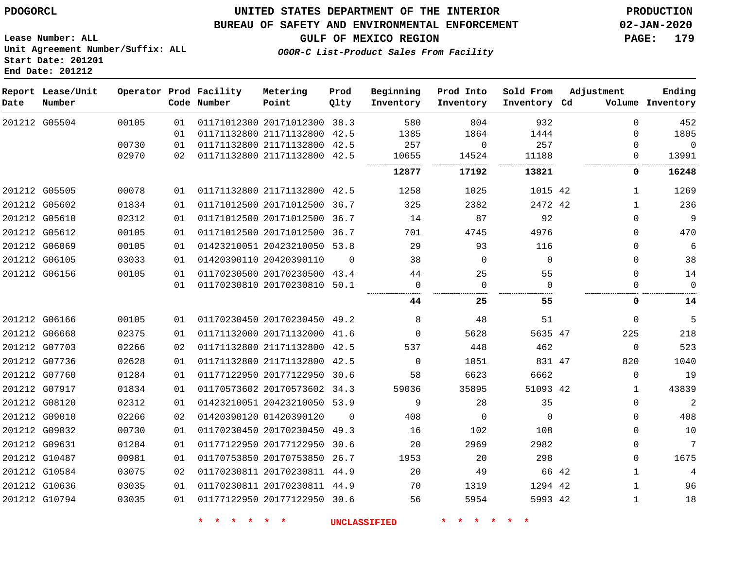#### **BUREAU OF SAFETY AND ENVIRONMENTAL ENFORCEMENT 02-JAN-2020**

**Lease Number: ALL Unit Agreement Number/Suffix: ALL Start Date: 201201 End Date: 201212**

**OGOR-C List-Product Sales From Facility**

**GULF OF MEXICO REGION PAGE: 179**

| Date | Report Lease/Unit<br>Number |       |    | Operator Prod Facility<br>Code Number | Metering<br>Point            | Prod<br>Qlty | Beginning<br>Inventory | Prod Into<br>Inventory | Sold From<br>Inventory Cd | Adjustment |              | Ending<br>Volume Inventory |
|------|-----------------------------|-------|----|---------------------------------------|------------------------------|--------------|------------------------|------------------------|---------------------------|------------|--------------|----------------------------|
|      | 201212 G05504               | 00105 | 01 |                                       | 01171012300 20171012300      | 38.3         | 580                    | 804                    | 932                       |            | $\Omega$     | 452                        |
|      |                             |       | 01 |                                       | 01171132800 21171132800      | 42.5         | 1385                   | 1864                   | 1444                      |            | $\mathbf 0$  | 1805                       |
|      |                             | 00730 | 01 |                                       | 01171132800 21171132800      | 42.5         | 257                    | $\Omega$               | 257                       |            | $\Omega$     | $\mathbf 0$                |
|      |                             | 02970 | 02 |                                       | 01171132800 21171132800      | 42.5         | 10655                  | 14524                  | 11188                     |            | 0            | 13991                      |
|      |                             |       |    |                                       |                              |              | 12877                  | 17192                  | 13821                     |            | 0            | 16248                      |
|      | 201212 G05505               | 00078 | 01 |                                       | 01171132800 21171132800 42.5 |              | 1258                   | 1025                   | 1015 42                   |            | $\mathbf{1}$ | 1269                       |
|      | 201212 G05602               | 01834 | 01 |                                       | 01171012500 20171012500      | 36.7         | 325                    | 2382                   | 2472 42                   |            | $\mathbf 1$  | 236                        |
|      | 201212 G05610               | 02312 | 01 |                                       | 01171012500 20171012500      | 36.7         | 14                     | 87                     | 92                        |            | $\mathbf 0$  | $\overline{9}$             |
|      | 201212 G05612               | 00105 | 01 |                                       | 01171012500 20171012500 36.7 |              | 701                    | 4745                   | 4976                      |            | $\mathbf 0$  | 470                        |
|      | 201212 G06069               | 00105 | 01 |                                       | 01423210051 20423210050 53.8 |              | 29                     | 93                     | 116                       |            | $\mathbf 0$  | 6                          |
|      | 201212 G06105               | 03033 | 01 | 01420390110 20420390110               |                              | $\Omega$     | 38                     | $\Omega$               | $\Omega$                  |            | $\mathbf 0$  | 38                         |
|      | 201212 G06156               | 00105 | 01 |                                       | 01170230500 20170230500 43.4 |              | 44                     | 25                     | 55                        |            | $\mathbf 0$  | 14                         |
|      |                             |       | 01 |                                       | 01170230810 20170230810 50.1 |              | $\mathbf 0$            | $\mathbf 0$            | $\overline{0}$<br>.       |            | $\mathbf 0$  | $\mathbf 0$                |
|      |                             |       |    |                                       |                              |              | 44                     | 25                     | 55                        |            | 0            | 14                         |
|      | 201212 G06166               | 00105 | 01 |                                       | 01170230450 20170230450 49.2 |              | 8                      | 48                     | 51                        |            | $\mathbf 0$  | 5                          |
|      | 201212 G06668               | 02375 | 01 |                                       | 01171132000 20171132000 41.6 |              | $\Omega$               | 5628                   | 5635 47                   |            | 225          | 218                        |
|      | 201212 G07703               | 02266 | 02 |                                       | 01171132800 21171132800 42.5 |              | 537                    | 448                    | 462                       |            | $\mathbf 0$  | 523                        |
|      | 201212 G07736               | 02628 | 01 |                                       | 01171132800 21171132800 42.5 |              | $\Omega$               | 1051                   | 831 47                    |            | 820          | 1040                       |
|      | 201212 G07760               | 01284 | 01 |                                       | 01177122950 20177122950      | 30.6         | 58                     | 6623                   | 6662                      |            | $\Omega$     | 19                         |
|      | 201212 G07917               | 01834 | 01 |                                       | 01170573602 20170573602 34.3 |              | 59036                  | 35895                  | 51093 42                  |            | 1            | 43839                      |
|      | 201212 G08120               | 02312 | 01 |                                       | 01423210051 20423210050 53.9 |              | 9                      | 28                     | 35                        |            | $\mathbf 0$  | 2                          |
|      | 201212 G09010               | 02266 | 02 | 01420390120 01420390120               |                              | $\Omega$     | 408                    | $\Omega$               | $\mathbf 0$               |            | $\mathbf 0$  | 408                        |
|      | 201212 G09032               | 00730 | 01 |                                       | 01170230450 20170230450 49.3 |              | 16                     | 102                    | 108                       |            | $\mathbf 0$  | 10                         |
|      | 201212 G09631               | 01284 | 01 |                                       | 01177122950 20177122950      | 30.6         | 20                     | 2969                   | 2982                      |            | $\mathbf 0$  | 7                          |
|      | 201212 G10487               | 00981 | 01 |                                       | 01170753850 20170753850 26.7 |              | 1953                   | 20                     | 298                       |            | $\mathbf 0$  | 1675                       |
|      | 201212 G10584               | 03075 | 02 |                                       | 01170230811 20170230811 44.9 |              | 20                     | 49                     |                           | 66 42      | $\mathbf{1}$ | $\overline{4}$             |
|      | 201212 G10636               | 03035 | 01 |                                       | 01170230811 20170230811 44.9 |              | 70                     | 1319                   | 1294 42                   |            | $\mathbf{1}$ | 96                         |
|      | 201212 G10794               | 03035 | 01 |                                       | 01177122950 20177122950      | 30.6         | 56                     | 5954                   | 5993 42                   |            | $\mathbf{1}$ | 18                         |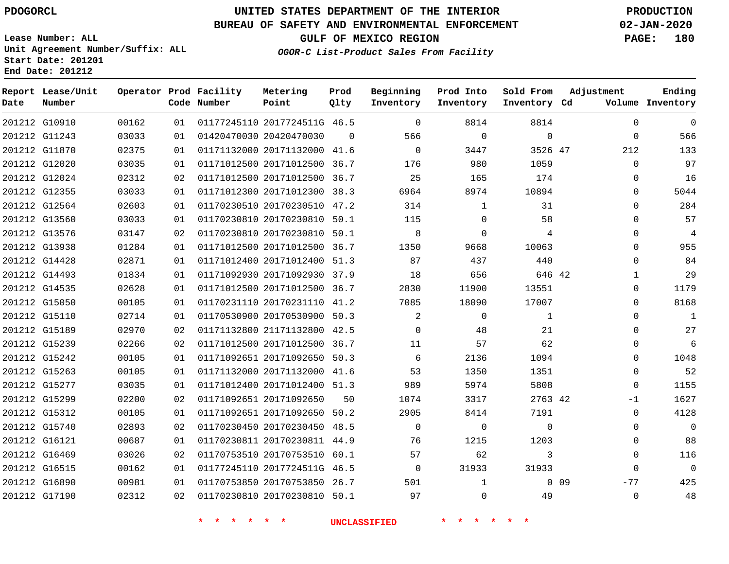G10910 G11243 G11870 G12020 G12024 G12355 G12564 G13560 G13576 G13938 G14428 G14493 G14535 G15050 G15110 G15189 G15239 G15242 G15263 G15277 G15299 G15312 G15740 G16121 G16469 G16515 G16890 G17190

**Date**

# **UNITED STATES DEPARTMENT OF THE INTERIOR PDOGORCL PRODUCTION**

#### **BUREAU OF SAFETY AND ENVIRONMENTAL ENFORCEMENT 02-JAN-2020**

**Lease Number: ALL Unit Agreement Number/Suffix: ALL Start Date: 201201 End Date: 201212**

**OGOR-C List-Product Sales From Facility**

**GULF OF MEXICO REGION PAGE: 180**

  $\Omega$   $\Omega$  $\Omega$  $\Omega$  $\Omega$  $\Omega$  $\Omega$  $\Omega$  $\Omega$   $\Omega$   $\Omega$  $\overline{0}$  $\Omega$  $\cap$  $\Omega$  $\Omega$ -1  $\Omega$  $\Omega$  $\Omega$  $\Omega$  -77  $\Omega$ 

| Date | Report Lease/Unit<br>Number |       |    | Operator Prod Facility<br>Code Number | Metering<br>Point            | Prod<br>Qlty | Beginning<br>Inventory | Prod Into<br>Inventory | Sold From<br>Inventory Cd | Adjustment  | Ending<br>Volume Inventory |
|------|-----------------------------|-------|----|---------------------------------------|------------------------------|--------------|------------------------|------------------------|---------------------------|-------------|----------------------------|
|      | 201212 G10910               | 00162 | 01 |                                       | 01177245110 2017724511G 46.5 |              | $\Omega$               | 8814                   | 8814                      | $\Omega$    | 0                          |
|      | 201212 G11243               | 03033 | 01 |                                       | 01420470030 20420470030      | $\Omega$     | 566                    | $\Omega$               | $\mathbf{0}$              | $\mathbf 0$ | 566                        |
|      | 201212 G11870               | 02375 | 01 |                                       | 01171132000 20171132000      | 41.6         | $\Omega$               | 3447                   | 3526 47                   | 212         | 133                        |
|      | 201212 G12020               | 03035 | 01 |                                       | 01171012500 20171012500      | 36.7         | 176                    | 980                    | 1059                      | $\Omega$    | 97                         |
|      | 201212 G12024               | 02312 | 02 |                                       | 01171012500 20171012500      | 36.7         | 25                     | 165                    | 174                       | $\mathbf 0$ | 16                         |
|      | 201212 G12355               | 03033 | 01 |                                       | 01171012300 20171012300      | 38.3         | 6964                   | 8974                   | 10894                     | $\Omega$    | 5044                       |
|      | 201212 G12564               | 02603 | 01 |                                       | 01170230510 20170230510      | 47.2         | 314                    | $\mathbf 1$            | 31                        | $\Omega$    | 284                        |
|      | 201212 G13560               | 03033 | 01 |                                       | 01170230810 20170230810      | 50.1         | 115                    | $\Omega$               | 58                        | $\Omega$    | 57                         |
|      | 201212 G13576               | 03147 | 02 |                                       | 01170230810 20170230810 50.1 |              | -8                     | $\Omega$               | 4                         | $\Omega$    | $\overline{4}$             |
|      | 201212 G13938               | 01284 | 01 |                                       | 01171012500 20171012500      | 36.7         | 1350                   | 9668                   | 10063                     | $\Omega$    | 955                        |
|      | 201212 G14428               | 02871 | 01 |                                       | 01171012400 20171012400 51.3 |              | 87                     | 437                    | 440                       | $\Omega$    | 84                         |
|      | 201212 G14493               | 01834 | 01 |                                       | 01171092930 20171092930      | 37.9         | 18                     | 656                    | 646 42                    | 1           | 29                         |
|      | 201212 G14535               | 02628 | 01 |                                       | 01171012500 20171012500      | 36.7         | 2830                   | 11900                  | 13551                     | $\Omega$    | 1179                       |
|      | 201212 G15050               | 00105 | 01 |                                       | 01170231110 20170231110      | 41.2         | 7085                   | 18090                  | 17007                     | $\Omega$    | 8168                       |
|      | 201212 G15110               | 02714 | 01 |                                       | 01170530900 20170530900 50.3 |              | 2                      | $\Omega$               | $\mathbf{1}$              | $\Omega$    | 1                          |
|      | 201212 G15189               | 02970 | 02 |                                       | 01171132800 21171132800      | 42.5         | $\Omega$               | 48                     | 21                        | $\Omega$    | 27                         |
|      | 201212 G15239               | 02266 | 02 |                                       | 01171012500 20171012500      | 36.7         | 11                     | 57                     | 62                        | $\Omega$    | 6                          |
|      | 201212 G15242               | 00105 | 01 |                                       | 01171092651 20171092650 50.3 |              | -6                     | 2136                   | 1094                      | $\Omega$    | 1048                       |
|      | 201212 G15263               | 00105 | 01 |                                       | 01171132000 20171132000      | 41.6         | 53                     | 1350                   | 1351                      | 0           | 52                         |
|      | 201212 G15277               | 03035 | 01 |                                       | 01171012400 20171012400 51.3 |              | 989                    | 5974                   | 5808                      | $\Omega$    | 1155                       |

20171092650

 20171092650 50.2 20170230450 48.5 20170230811 44.9 20170753510 60.1 2017724511G 46.5 20170753850 26.7 20170230810 50.1

**\* \* \* \* \* \* UNCLASSIFIED \* \* \* \* \* \***

42

0 0 9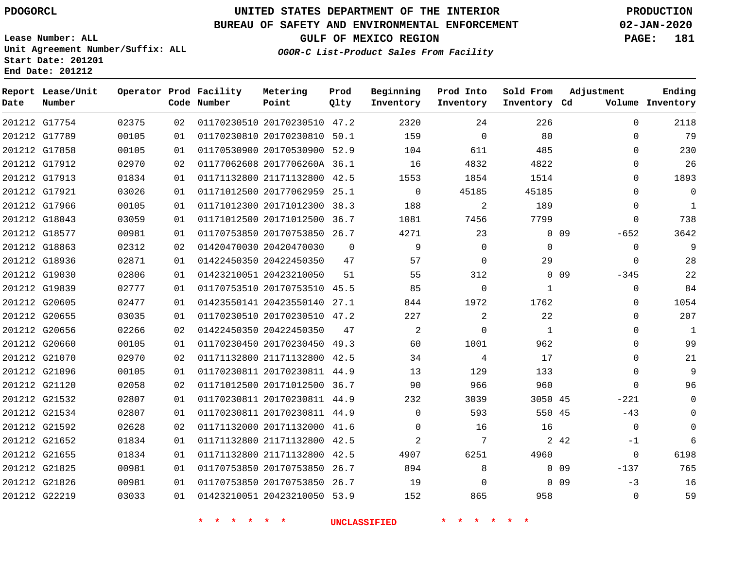**Report Lease/Unit**

**Number**

**Date**

# **UNITED STATES DEPARTMENT OF THE INTERIOR PDOGORCL PRODUCTION**

**Prod Qlty**

## **BUREAU OF SAFETY AND ENVIRONMENTAL ENFORCEMENT 02-JAN-2020**

**Lease Number: ALL Unit Agreement Number/Suffix: ALL Start Date: 201201 End Date: 201212**

**Operator Prod Facility**

**Code Number**

**Metering Point**

**OGOR-C List-Product Sales From Facility**

**Beginning Inventory** **Prod Into Inventory** **Sold From Inventory**

**GULF OF MEXICO REGION PAGE: 181**

**Inventory Cd Volume**

**Adjustment**

**Ending**

| G17754 | 02375 | 02 |                         | 01170230510 20170230510 47.2 |          | 2320                | 24              | 226          |        | $\Omega$       |
|--------|-------|----|-------------------------|------------------------------|----------|---------------------|-----------------|--------------|--------|----------------|
| G17789 | 00105 | 01 |                         | 01170230810 20170230810 50.1 |          | 159                 | $\mathbf 0$     | 80           |        | $\Omega$       |
| G17858 | 00105 | 01 |                         | 01170530900 20170530900 52.9 |          | 104                 | 611             | 485          |        | $\Omega$       |
| G17912 | 02970 | 02 |                         | 01177062608 2017706260A 36.1 |          | 16                  | 4832            | 4822         |        | $\Omega$       |
| G17913 | 01834 | 01 |                         | 01171132800 21171132800 42.5 |          | 1553                | 1854            | 1514         |        | $\Omega$       |
| G17921 | 03026 | 01 |                         | 01171012500 20177062959 25.1 |          | $\mathbf 0$         | 45185           | 45185        |        | $\mathbf 0$    |
| G17966 | 00105 | 01 |                         | 01171012300 20171012300 38.3 |          | 188                 | 2               | 189          |        | $\Omega$       |
| G18043 | 03059 | 01 |                         | 01171012500 20171012500 36.7 |          | 1081                | 7456            | 7799         |        | $\Omega$       |
| G18577 | 00981 | 01 |                         | 01170753850 20170753850 26.7 |          | 4271                | 23              |              | $0$ 09 | $-652$         |
| G18863 | 02312 | 02 |                         | 01420470030 20420470030      | $\Omega$ | 9                   | $\mathbf 0$     | $\mathbf 0$  |        | $\overline{0}$ |
| G18936 | 02871 | 01 |                         | 01422450350 20422450350      | 47       | 57                  | $\mathbf 0$     | 29           |        | $\Omega$       |
| G19030 | 02806 | 01 |                         | 01423210051 20423210050      | 51       | 55                  | 312             |              | $0$ 09 | $-345$         |
| G19839 | 02777 | 01 |                         | 01170753510 20170753510 45.5 |          | 85                  | 0               | $\mathbf{1}$ |        | 0              |
| G20605 | 02477 | 01 |                         | 01423550141 20423550140 27.1 |          | 844                 | 1972            | 1762         |        | $\mathbf 0$    |
| G20655 | 03035 | 01 |                         | 01170230510 20170230510 47.2 |          | 227                 | $\overline{a}$  | 22           |        | $\Omega$       |
| G20656 | 02266 | 02 | 01422450350 20422450350 |                              | 47       | 2                   | $\Omega$        | 1            |        | $\Omega$       |
| G20660 | 00105 | 01 |                         | 01170230450 20170230450 49.3 |          | 60                  | 1001            | 962          |        | $\Omega$       |
| G21070 | 02970 | 02 |                         | 01171132800 21171132800 42.5 |          | 34                  | 4               | 17           |        | 0              |
| G21096 | 00105 | 01 |                         | 01170230811 20170230811 44.9 |          | 13                  | 129             | 133          |        | $\mathbf 0$    |
| G21120 | 02058 | 02 |                         | 01171012500 20171012500 36.7 |          | 90                  | 966             | 960          |        | $\Omega$       |
| G21532 | 02807 | 01 |                         | 01170230811 20170230811 44.9 |          | 232                 | 3039            | 3050 45      |        | $-221$         |
| G21534 | 02807 | 01 |                         | 01170230811 20170230811 44.9 |          | $\mathbf 0$         | 593             | 550 45       |        | $-43$          |
| G21592 | 02628 | 02 |                         | 01171132000 20171132000 41.6 |          | $\mathsf{O}$        | 16              | 16           |        | $\overline{0}$ |
| G21652 | 01834 | 01 |                         | 01171132800 21171132800 42.5 |          | $\overline{2}$      | $7\phantom{.0}$ |              | 2 4 2  | $-1$           |
| G21655 | 01834 | 01 |                         | 01171132800 21171132800 42.5 |          | 4907                | 6251            | 4960         |        | $\overline{0}$ |
| G21825 | 00981 | 01 |                         | 01170753850 20170753850 26.7 |          | 894                 | 8               |              | $0$ 09 | $-137$         |
| G21826 | 00981 | 01 |                         | 01170753850 20170753850 26.7 |          | 19                  | $\mathbf 0$     |              | $0$ 09 | $-3$           |
| G22219 | 03033 | 01 |                         | 01423210051 20423210050 53.9 |          | 152                 | 865             | 958          |        | $\mathbf 0$    |
|        |       |    |                         | $\star$                      |          | <b>UNCLASSIFIED</b> |                 |              |        |                |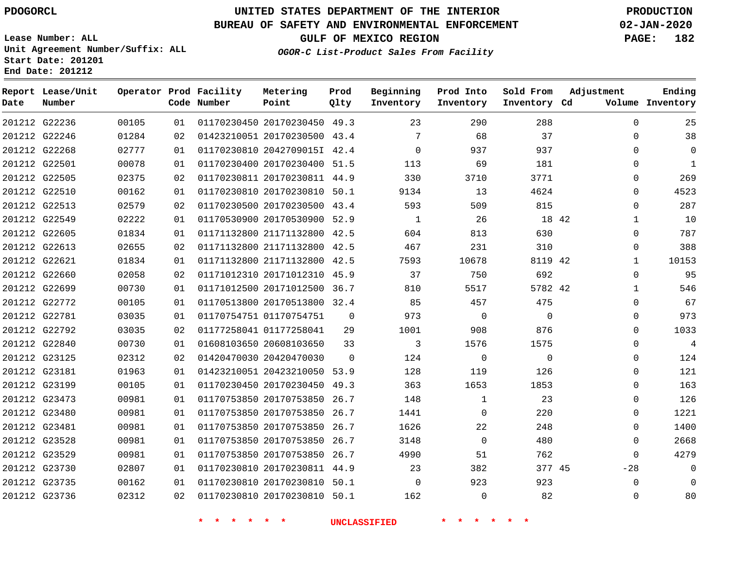## **BUREAU OF SAFETY AND ENVIRONMENTAL ENFORCEMENT 02-JAN-2020**

**Lease Number: ALL Unit Agreement Number/Suffix: ALL Start Date: 201201 End Date: 201212**

**OGOR-C List-Product Sales From Facility**

**GULF OF MEXICO REGION PAGE: 182**

| Ending<br>Volume Inventory | Adjustment   | Sold From<br>Inventory Cd | Prod Into<br>Inventory | Beginning<br>Inventory | Prod<br>Qlty | Metering<br>Point            | Operator Prod Facility<br>Code Number |    |       | Report Lease/Unit<br>Number | Date |
|----------------------------|--------------|---------------------------|------------------------|------------------------|--------------|------------------------------|---------------------------------------|----|-------|-----------------------------|------|
| 25                         | $\mathbf 0$  | 288                       | 290                    | 23                     |              | 01170230450 20170230450 49.3 |                                       | 01 | 00105 | 201212 G22236               |      |
| 38                         | 0            | 37                        | 68                     | 7                      |              | 01423210051 20170230500 43.4 |                                       | 02 | 01284 | 201212 G22246               |      |
| $\mathbf 0$                | $\mathbf 0$  | 937                       | 937                    | $\Omega$               |              | 01170230810 2042709015I 42.4 |                                       | 01 | 02777 | 201212 G22268               |      |
| $\mathbf{1}$               | $\mathbf 0$  | 181                       | 69                     | 113                    |              | 01170230400 20170230400 51.5 |                                       | 01 | 00078 | 201212 G22501               |      |
| 269                        | 0            | 3771                      | 3710                   | 330                    |              | 01170230811 20170230811 44.9 |                                       | 02 | 02375 | 201212 G22505               |      |
| 4523                       | $\mathbf 0$  | 4624                      | 13                     | 9134                   |              | 01170230810 20170230810 50.1 |                                       | 01 | 00162 | 201212 G22510               |      |
| 287                        | $\Omega$     | 815                       | 509                    | 593                    | 43.4         | 01170230500 20170230500      |                                       | 02 | 02579 | 201212 G22513               |      |
| 10                         | $\mathbf{1}$ | 18 42                     | 26                     | 1                      |              | 01170530900 20170530900 52.9 |                                       | 01 | 02222 | 201212 G22549               |      |
| 787                        | $\Omega$     | 630                       | 813                    | 604                    |              | 01171132800 21171132800 42.5 |                                       | 01 | 01834 | 201212 G22605               |      |
| 388                        | $\Omega$     | 310                       | 231                    | 467                    |              | 01171132800 21171132800 42.5 |                                       | 02 | 02655 | 201212 G22613               |      |
| 10153                      | $\mathbf{1}$ | 8119 42                   | 10678                  | 7593                   | 42.5         | 01171132800 21171132800      |                                       | 01 | 01834 | 201212 G22621               |      |
| 95                         | $\Omega$     | 692                       | 750                    | 37                     |              | 01171012310 20171012310 45.9 |                                       | 02 | 02058 | 201212 G22660               |      |
| 546                        | $\mathbf{1}$ | 5782 42                   | 5517                   | 810                    |              | 01171012500 20171012500 36.7 |                                       | 01 | 00730 | 201212 G22699               |      |
| 67                         | $\mathbf 0$  | 475                       | 457                    | 85                     |              | 01170513800 20170513800 32.4 |                                       | 01 | 00105 | 201212 G22772               |      |
| 973                        | $\Omega$     | $\Omega$                  | $\mathbf 0$            | 973                    | $\Omega$     |                              | 01170754751 01170754751               | 01 | 03035 | 201212 G22781               |      |
| 1033                       | $\Omega$     | 876                       | 908                    | 1001                   | 29           |                              | 01177258041 01177258041               | 02 | 03035 | 201212 G22792               |      |
| 4                          | $\Omega$     | 1575                      | 1576                   | 3                      | 33           | 01608103650 20608103650      |                                       | 01 | 00730 | 201212 G22840               |      |
| 124                        | $\mathbf 0$  | $\Omega$                  | $\overline{0}$         | 124                    | $\Omega$     |                              | 01420470030 20420470030               | 02 | 02312 | 201212 G23125               |      |
| 121                        | $\Omega$     | 126                       | 119                    | 128                    |              | 01423210051 20423210050 53.9 |                                       | 01 | 01963 | 201212 G23181               |      |
| 163                        | 0            | 1853                      | 1653                   | 363                    | 49.3         | 01170230450 20170230450      |                                       | 01 | 00105 | 201212 G23199               |      |
| 126                        | $\Omega$     | 23                        | $\mathbf{1}$           | 148                    | 26.7         | 01170753850 20170753850      |                                       | 01 | 00981 | 201212 G23473               |      |
| 1221                       | $\Omega$     | 220                       | $\Omega$               | 1441                   | 26.7         | 01170753850 20170753850      |                                       | 01 | 00981 | 201212 G23480               |      |
| 1400                       | 0            | 248                       | 22                     | 1626                   |              | 01170753850 20170753850 26.7 |                                       | 01 | 00981 | 201212 G23481               |      |
| 2668                       | $\mathbf 0$  | 480                       | $\mathbf{0}$           | 3148                   | 26.7         | 01170753850 20170753850      |                                       | 01 | 00981 | 201212 G23528               |      |
| 4279                       | $\Omega$     | 762                       | 51                     | 4990                   |              | 01170753850 20170753850 26.7 |                                       | 01 | 00981 | 201212 G23529               |      |
| $\mathbf 0$                | $-28$        | 377 45                    | 382                    | 23                     |              | 01170230810 20170230811 44.9 |                                       | 01 | 02807 | 201212 G23730               |      |
| $\Omega$                   | $\mathbf 0$  | 923                       | 923                    | $\Omega$               |              | 01170230810 20170230810 50.1 |                                       | 01 | 00162 | 201212 G23735               |      |
| 80                         | $\Omega$     | 82                        | $\Omega$               | 162                    |              | 01170230810 20170230810 50.1 |                                       | 02 | 02312 | 201212 G23736               |      |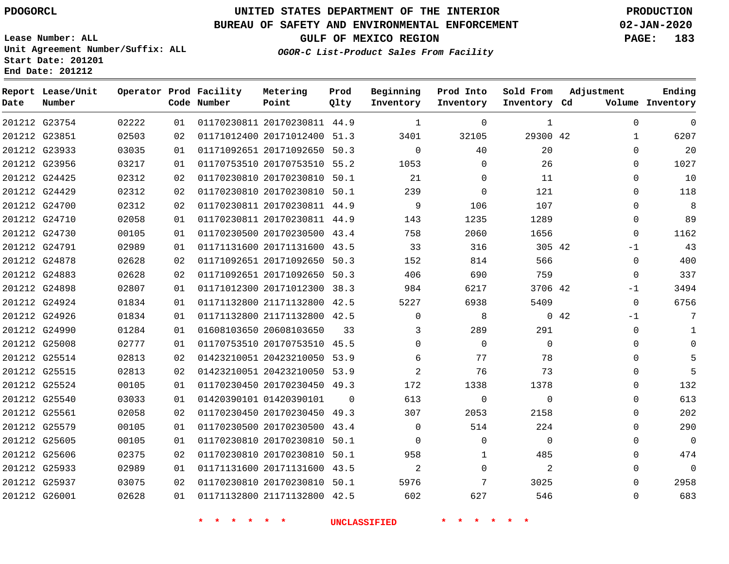## **BUREAU OF SAFETY AND ENVIRONMENTAL ENFORCEMENT 02-JAN-2020**

**Lease Number: ALL Unit Agreement Number/Suffix: ALL Start Date: 201201 End Date: 201212**

**OGOR-C List-Product Sales From Facility**

**GULF OF MEXICO REGION PAGE: 183**

| Date          | Report Lease/Unit<br>Number |       |    | Operator Prod Facility<br>Code Number | Metering<br>Point            | Prod<br>Qlty | Beginning<br>Inventory | Prod Into<br>Inventory | Sold From<br>Inventory Cd | Adjustment          | Ending<br>Volume Inventory |
|---------------|-----------------------------|-------|----|---------------------------------------|------------------------------|--------------|------------------------|------------------------|---------------------------|---------------------|----------------------------|
|               | 201212 G23754               | 02222 | 01 |                                       | 01170230811 20170230811 44.9 |              | $\mathbf{1}$           | $\mathbf{0}$           | $\mathbf{1}$              | $\mathbf 0$         | $\mathbf 0$                |
| 201212 G23851 |                             | 02503 | 02 |                                       | 01171012400 20171012400 51.3 |              | 3401                   | 32105                  | 29300 42                  | 1                   | 6207                       |
| 201212 G23933 |                             | 03035 | 01 |                                       | 01171092651 20171092650 50.3 |              | $\Omega$               | 40                     | 20                        | $\Omega$            | 20                         |
| 201212 G23956 |                             | 03217 | 01 |                                       | 01170753510 20170753510 55.2 |              | 1053                   | $\mathbf 0$            | 26                        | $\Omega$            | 1027                       |
| 201212 G24425 |                             | 02312 | 02 |                                       | 01170230810 20170230810 50.1 |              | 21                     | $\mathbf 0$            | 11                        | $\Omega$            | 10                         |
| 201212 G24429 |                             | 02312 | 02 |                                       | 01170230810 20170230810 50.1 |              | 239                    | $\mathbf 0$            | 121                       | 0                   | 118                        |
| 201212 G24700 |                             | 02312 | 02 |                                       | 01170230811 20170230811 44.9 |              | 9                      | 106                    | 107                       | $\Omega$            | 8                          |
| 201212 G24710 |                             | 02058 | 01 |                                       | 01170230811 20170230811 44.9 |              | 143                    | 1235                   | 1289                      | $\Omega$            | 89                         |
| 201212 G24730 |                             | 00105 | 01 |                                       | 01170230500 20170230500 43.4 |              | 758                    | 2060                   | 1656                      | 0                   | 1162                       |
| 201212 G24791 |                             | 02989 | 01 |                                       | 01171131600 20171131600 43.5 |              | 33                     | 316                    | 305 42                    | $-1$                | 43                         |
| 201212 G24878 |                             | 02628 | 02 |                                       | 01171092651 20171092650 50.3 |              | 152                    | 814                    | 566                       | $\Omega$            | 400                        |
| 201212 G24883 |                             | 02628 | 02 |                                       | 01171092651 20171092650 50.3 |              | 406                    | 690                    | 759                       | $\Omega$            | 337                        |
| 201212 G24898 |                             | 02807 | 01 |                                       | 01171012300 20171012300 38.3 |              | 984                    | 6217                   | 3706 42                   | $-1$                | 3494                       |
| 201212 G24924 |                             | 01834 | 01 |                                       | 01171132800 21171132800 42.5 |              | 5227                   | 6938                   | 5409                      | $\mathbf 0$         | 6756                       |
| 201212 G24926 |                             | 01834 | 01 |                                       | 01171132800 21171132800 42.5 |              | $\Omega$               | 8                      |                           | $0\quad 42$<br>$-1$ | 7                          |
| 201212 G24990 |                             | 01284 | 01 |                                       | 01608103650 20608103650      | 33           | 3                      | 289                    | 291                       | $\mathbf 0$         | 1                          |
| 201212 G25008 |                             | 02777 | 01 |                                       | 01170753510 20170753510 45.5 |              | $\mathbf 0$            | $\mathbf 0$            | $\mathbf 0$               | $\Omega$            | 0                          |
| 201212 G25514 |                             | 02813 | 02 |                                       | 01423210051 20423210050 53.9 |              | 6                      | 77                     | 78                        | $\Omega$            |                            |
|               | 201212 G25515               | 02813 | 02 |                                       | 01423210051 20423210050 53.9 |              | 2                      | 76                     | 73                        | 0                   |                            |
| 201212 G25524 |                             | 00105 | 01 |                                       | 01170230450 20170230450 49.3 |              | 172                    | 1338                   | 1378                      | $\Omega$            | 132                        |
| 201212 G25540 |                             | 03033 | 01 |                                       | 01420390101 01420390101      | $\Omega$     | 613                    | $\mathbf 0$            | $\mathbf 0$               | $\Omega$            | 613                        |
| 201212 G25561 |                             | 02058 | 02 |                                       | 01170230450 20170230450 49.3 |              | 307                    | 2053                   | 2158                      | 0                   | 202                        |
| 201212 G25579 |                             | 00105 | 01 |                                       | 01170230500 20170230500 43.4 |              | 0                      | 514                    | 224                       | 0                   | 290                        |
| 201212 G25605 |                             | 00105 | 01 |                                       | 01170230810 20170230810 50.1 |              | $\Omega$               | $\Omega$               | $\Omega$                  | $\Omega$            | $\mathbf 0$                |
| 201212 G25606 |                             | 02375 | 02 |                                       | 01170230810 20170230810 50.1 |              | 958                    | $\mathbf{1}$           | 485                       | $\Omega$            | 474                        |
| 201212 G25933 |                             | 02989 | 01 |                                       | 01171131600 20171131600 43.5 |              | 2                      | $\Omega$               | 2                         | $\Omega$            | $\mathbf 0$                |
| 201212 G25937 |                             | 03075 | 02 |                                       | 01170230810 20170230810 50.1 |              | 5976                   | 7                      | 3025                      | $\Omega$            | 2958                       |
| 201212 G26001 |                             | 02628 | 01 |                                       | 01171132800 21171132800 42.5 |              | 602                    | 627                    | 546                       | $\Omega$            | 683                        |

**\* \* \* \* \* \* UNCLASSIFIED \* \* \* \* \* \***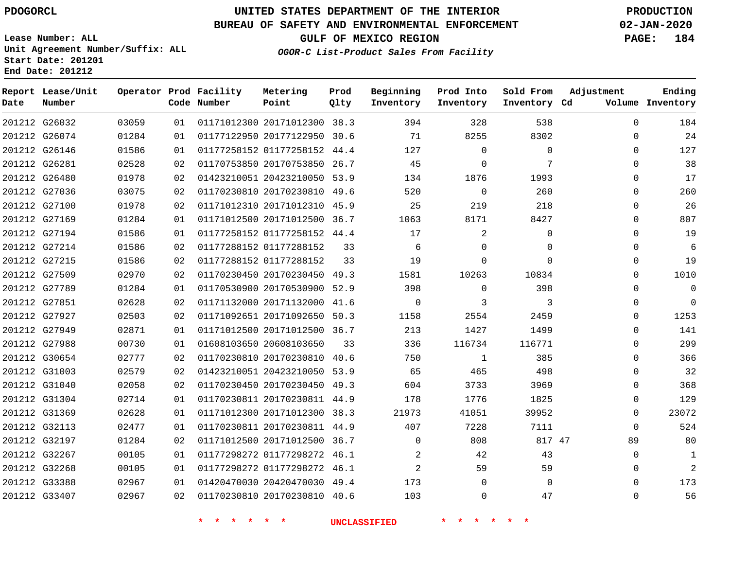**Prod Qlty**

## **BUREAU OF SAFETY AND ENVIRONMENTAL ENFORCEMENT 02-JAN-2020**

**Lease Number: ALL Unit Agreement Number/Suffix: ALL Start Date: 201201**

> 

**Operator Prod Facility**

**Code Number**

 20171012300 38.3 20177122950 30.6

**Metering Point**

 

**End Date: 201212**

**Report Lease/Unit**

**Number**

 G26032 G26074

**Date**

**OGOR-C List-Product Sales From Facility**

 

 

 

**Sold From Inventory**

**Prod Into Inventory**

**Beginning Inventory**

**GULF OF MEXICO REGION PAGE: 184**

**Inventory Cd Volume**

**Adjustment**

 

**Ending**

|               |                                |                |          | $\rightarrow$<br>$\star$ $\star$<br>$\star$ | $\star$ $\star$                                              |    | <b>UNCLASSIFIED</b> | *              |             |                            |
|---------------|--------------------------------|----------------|----------|---------------------------------------------|--------------------------------------------------------------|----|---------------------|----------------|-------------|----------------------------|
|               | 201212 G33407                  | 02967          | 02       |                                             | 01170230810 20170230810 40.6                                 |    | 103                 | $\Omega$       | 47          | 0                          |
|               | 201212 G33388                  | 02967          | 01       |                                             | 01420470030 20420470030 49.4                                 |    | 173                 | 0              | $\mathbf 0$ | $\mathbf 0$                |
|               | 201212 G32268                  | 00105          | 01       |                                             | 01177298272 01177298272 46.1                                 |    | 2                   | 59             | 59          | $\mathbf 0$                |
|               | 201212 G32267                  | 00105          | 01       |                                             | 01177298272 01177298272 46.1                                 |    | 2                   | 42             | 43          | 0                          |
|               | 201212 G32197                  | 01284          | 02       |                                             | 01171012500 20171012500 36.7                                 |    | $\mathbf 0$         | 808            | 817 47      | 89                         |
|               | 201212 G32113                  | 02477          | 01       |                                             | 01170230811 20170230811 44.9                                 |    | 407                 | 7228           | 7111        | $\Omega$                   |
|               | 201212 G31369                  | 02628          | 01       |                                             | 01171012300 20171012300 38.3                                 |    | 21973               | 41051          | 39952       | $\mathbf 0$                |
|               | 201212 G31304                  | 02714          | 01       |                                             | 01170230811 20170230811 44.9                                 |    | 178                 | 1776           | 1825        | $\mathbf 0$                |
|               | 201212 G31040                  | 02058          | 02       |                                             | 01170230450 20170230450 49.3                                 |    | 604                 | 3733           | 3969        | $\mathbf 0$                |
|               | 201212 G31003                  | 02579          | 02       |                                             | 01423210051 20423210050 53.9                                 |    | 65                  | 465            | 498         | $\mathbf 0$                |
|               | 201212 G30654                  | 02777          | 02       |                                             | 01170230810 20170230810 40.6                                 |    | 750                 | 1              | 385         | $\mathbf 0$                |
| 201212 G27988 |                                | 00730          | 01       | 01608103650 20608103650                     |                                                              | 33 | 336                 | 116734         | 116771      | $\mathbf 0$                |
|               | 201212 G27949                  | 02871          | 01       |                                             | 01171012500 20171012500 36.7                                 |    | 213                 | 1427           | 1499        | $\mathbf 0$                |
|               | 201212 G27927                  | 02503          | 02       |                                             | 01171092651 20171092650 50.3                                 |    | 1158                | 2554           | 2459        | $\mathsf{O}$               |
|               | 201212 G27851                  | 02628          | 02       |                                             | 01171132000 20171132000 41.6                                 |    | $\overline{0}$      | 3              | 3           | $\mathbf 0$                |
|               | 201212 G27789                  | 01284          | 01       |                                             | 01170530900 20170530900 52.9                                 |    | 398                 | 0              | 398         | $\mathbf 0$                |
|               | 201212 G27509                  | 02970          | 02       |                                             | 01170230450 20170230450 49.3                                 |    | 1581                | 10263          | 10834       | $\mathbf 0$                |
|               | 201212 G27215                  | 01586          | 02       | 01177288152 01177288152                     |                                                              | 33 | 19                  | 0              | 0           | $\mathsf{O}$               |
|               | 201212 G27214                  | 01586          | 02       | 01177288152 01177288152                     |                                                              | 33 | 6                   | $\mathbf 0$    | 0           | $\mathbf 0$                |
|               | 201212 G27194                  | 01586          | 01       |                                             | 01177258152 01177258152 44.4                                 |    | 17                  | $\overline{2}$ | 0           | $\mathbf 0$                |
|               | 201212 G27169                  | 01284          | 01       |                                             | 01171012500 20171012500 36.7                                 |    | 1063                | 8171           | 8427        | $\mathbf 0$                |
|               | 201212 G27100                  | 01978          | 02       |                                             | 01171012310 20171012310 45.9                                 |    | 25                  | 219            | 218         | $\mathbf 0$                |
|               | 201212 G27036                  | 03075          | 02       |                                             | 01170230810 20170230810 49.6                                 |    | 520                 | $\mathsf{O}$   | 260         | $\mathbf 0$                |
|               | 201212 G26281<br>201212 G26480 | 02528<br>01978 | 02<br>02 |                                             | 01170753850 20170753850 26.7<br>01423210051 20423210050 53.9 |    | 45<br>134           | 0<br>1876      | 7<br>1993   | $\mathbf 0$<br>$\mathbf 0$ |
|               | 201212 G26146                  | 01586          | 01       |                                             |                                                              |    |                     | $\Omega$       | 0           |                            |
|               |                                |                |          |                                             | 01177258152 01177258152 44.4                                 |    | 127                 |                |             | $\Omega$                   |